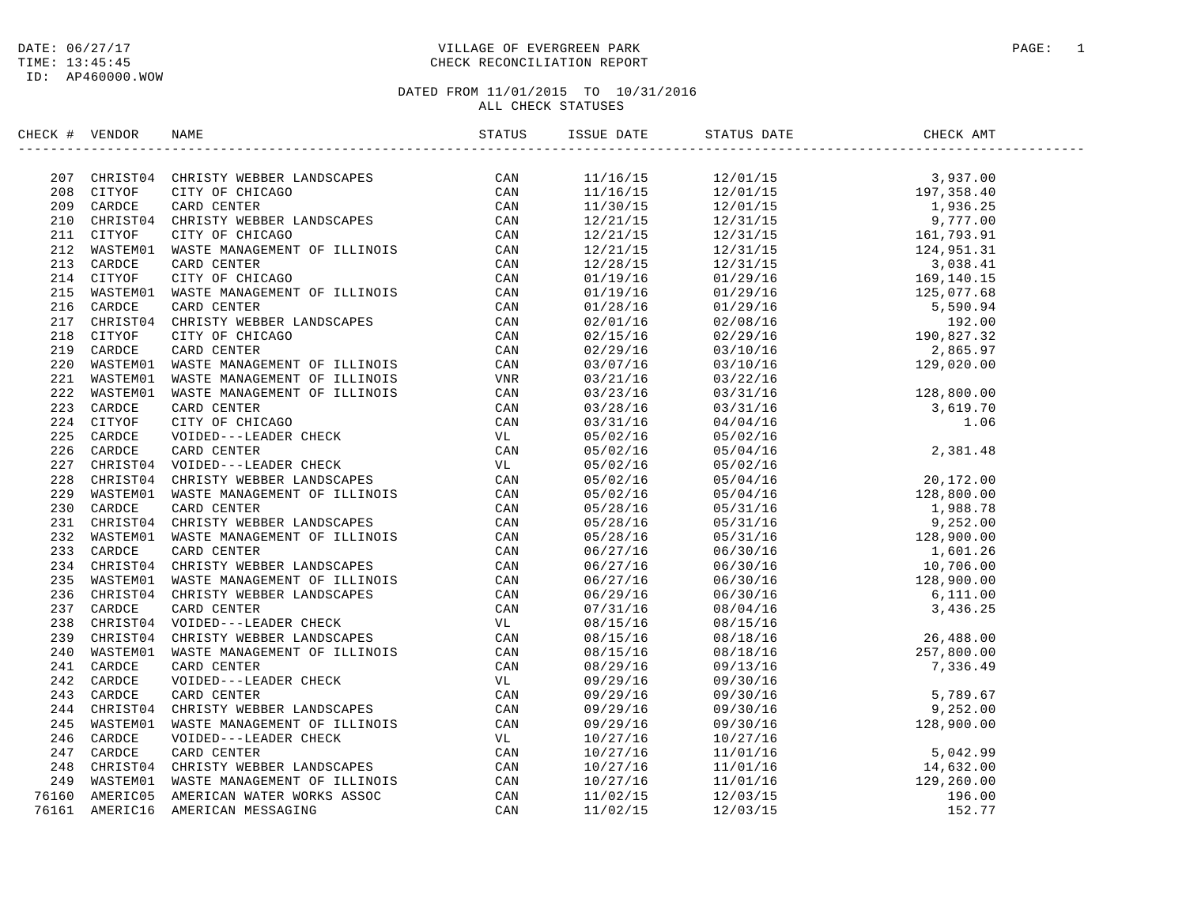#### DATE:  $06/27/17$  PAGE: 1 TIME: 13:45:45 CHECK RECONCILIATION REPORT

| CHECK # VENDOR | NAME                                                                                                                                                                                                                                                                                                                                                                                                                                                                                   | STATUS ISSUE DATE | STATUS DATE | CHECK AMT |  |
|----------------|----------------------------------------------------------------------------------------------------------------------------------------------------------------------------------------------------------------------------------------------------------------------------------------------------------------------------------------------------------------------------------------------------------------------------------------------------------------------------------------|-------------------|-------------|-----------|--|
|                | $\begin{tabular}{cccccccc} \textbf{0.1:}\footnote{\textbf{0.1:}\footnote{\textbf{0.1:}\footnote{\textbf{0.1:}\footnote{\textbf{0.1:}\footnote{\textbf{0.1:}\footnote{\textbf{0.1:}\footnote{\textbf{0.1:}\footnote{\textbf{0.1:}\footnote{\textbf{0.1:}\footnote{\textbf{0.1:}\footnote{\textbf{0.1:}\footnote{\textbf{0.1:}\footnote{\textbf{0.1:}\footnote{\textbf{0.1:}\footnote{\textbf{0.1:}\footnote{\textbf{0.1:}\footnote{\textbf{0.1:}\footnote{\textbf{0.1:}\footnote{\text$ |                   |             |           |  |
|                |                                                                                                                                                                                                                                                                                                                                                                                                                                                                                        |                   |             |           |  |
|                |                                                                                                                                                                                                                                                                                                                                                                                                                                                                                        |                   |             |           |  |
|                |                                                                                                                                                                                                                                                                                                                                                                                                                                                                                        |                   |             |           |  |
|                |                                                                                                                                                                                                                                                                                                                                                                                                                                                                                        |                   |             |           |  |
|                |                                                                                                                                                                                                                                                                                                                                                                                                                                                                                        |                   |             |           |  |
|                |                                                                                                                                                                                                                                                                                                                                                                                                                                                                                        |                   |             |           |  |
|                |                                                                                                                                                                                                                                                                                                                                                                                                                                                                                        |                   |             |           |  |
|                |                                                                                                                                                                                                                                                                                                                                                                                                                                                                                        |                   |             |           |  |
|                |                                                                                                                                                                                                                                                                                                                                                                                                                                                                                        |                   |             |           |  |
|                |                                                                                                                                                                                                                                                                                                                                                                                                                                                                                        |                   |             |           |  |
|                |                                                                                                                                                                                                                                                                                                                                                                                                                                                                                        |                   |             |           |  |
|                |                                                                                                                                                                                                                                                                                                                                                                                                                                                                                        |                   |             |           |  |
|                |                                                                                                                                                                                                                                                                                                                                                                                                                                                                                        |                   |             |           |  |
|                |                                                                                                                                                                                                                                                                                                                                                                                                                                                                                        |                   |             |           |  |
|                |                                                                                                                                                                                                                                                                                                                                                                                                                                                                                        |                   |             |           |  |
|                |                                                                                                                                                                                                                                                                                                                                                                                                                                                                                        |                   |             |           |  |
|                |                                                                                                                                                                                                                                                                                                                                                                                                                                                                                        |                   |             |           |  |
|                |                                                                                                                                                                                                                                                                                                                                                                                                                                                                                        |                   |             |           |  |
|                |                                                                                                                                                                                                                                                                                                                                                                                                                                                                                        |                   |             |           |  |
|                |                                                                                                                                                                                                                                                                                                                                                                                                                                                                                        |                   |             |           |  |
|                |                                                                                                                                                                                                                                                                                                                                                                                                                                                                                        |                   |             |           |  |
|                |                                                                                                                                                                                                                                                                                                                                                                                                                                                                                        |                   |             |           |  |
|                |                                                                                                                                                                                                                                                                                                                                                                                                                                                                                        |                   |             |           |  |
|                |                                                                                                                                                                                                                                                                                                                                                                                                                                                                                        |                   |             |           |  |
|                |                                                                                                                                                                                                                                                                                                                                                                                                                                                                                        |                   |             |           |  |
|                |                                                                                                                                                                                                                                                                                                                                                                                                                                                                                        |                   |             |           |  |
|                |                                                                                                                                                                                                                                                                                                                                                                                                                                                                                        |                   |             |           |  |
|                |                                                                                                                                                                                                                                                                                                                                                                                                                                                                                        |                   |             |           |  |
|                |                                                                                                                                                                                                                                                                                                                                                                                                                                                                                        |                   |             |           |  |
|                |                                                                                                                                                                                                                                                                                                                                                                                                                                                                                        |                   |             |           |  |
|                |                                                                                                                                                                                                                                                                                                                                                                                                                                                                                        |                   |             |           |  |
|                |                                                                                                                                                                                                                                                                                                                                                                                                                                                                                        |                   |             |           |  |
|                |                                                                                                                                                                                                                                                                                                                                                                                                                                                                                        |                   |             |           |  |
|                |                                                                                                                                                                                                                                                                                                                                                                                                                                                                                        |                   |             |           |  |
|                |                                                                                                                                                                                                                                                                                                                                                                                                                                                                                        |                   |             |           |  |
|                |                                                                                                                                                                                                                                                                                                                                                                                                                                                                                        |                   |             |           |  |
|                |                                                                                                                                                                                                                                                                                                                                                                                                                                                                                        |                   |             |           |  |
|                |                                                                                                                                                                                                                                                                                                                                                                                                                                                                                        |                   |             |           |  |
|                |                                                                                                                                                                                                                                                                                                                                                                                                                                                                                        |                   |             |           |  |
|                |                                                                                                                                                                                                                                                                                                                                                                                                                                                                                        |                   |             |           |  |
|                |                                                                                                                                                                                                                                                                                                                                                                                                                                                                                        |                   |             |           |  |
|                |                                                                                                                                                                                                                                                                                                                                                                                                                                                                                        |                   |             |           |  |
|                |                                                                                                                                                                                                                                                                                                                                                                                                                                                                                        |                   |             |           |  |
|                |                                                                                                                                                                                                                                                                                                                                                                                                                                                                                        |                   |             |           |  |
|                | 76161 AMERIC16 AMERICAN MESSAGING                                                                                                                                                                                                                                                                                                                                                                                                                                                      |                   |             |           |  |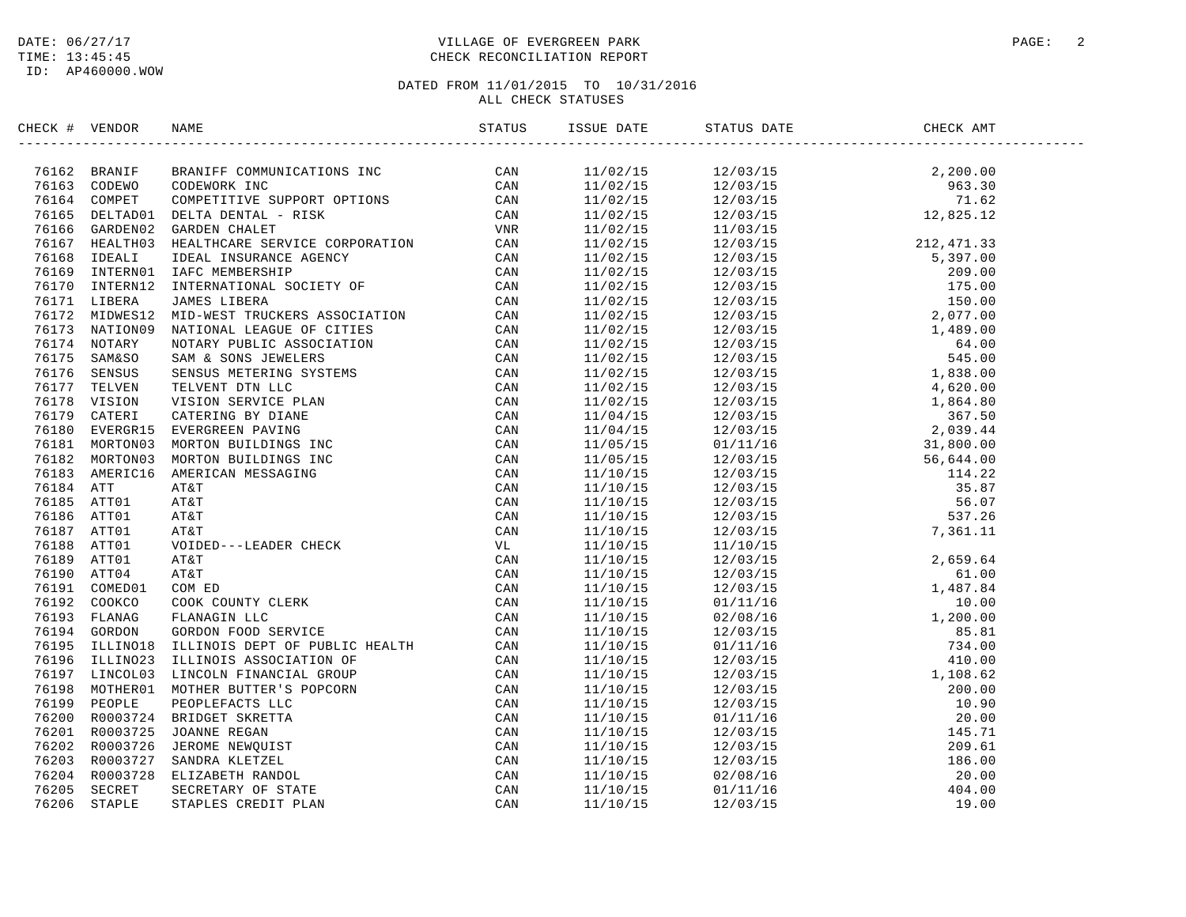#### DATE:  $06/27/17$  PAGE: 2 TIME: 13:45:45 CHECK RECONCILIATION REPORT

# DATED FROM 11/01/2015 TO 10/31/2016

## ALL CHECK STATUSES

| CHECK # VENDOR |                                                                                                                                                                                                                                 |  |  |  |
|----------------|---------------------------------------------------------------------------------------------------------------------------------------------------------------------------------------------------------------------------------|--|--|--|
|                | SECK # VENDOR NAKE STATUS 381<br>2016.2 REMATIVE COMMUNICATIONS INC. CAN THE SECULE AND AN INSTEAD IN THE SECULE AND THE SECULE AND THE SECULE AND THE SECULE AND A SECULE THE SECULE AND A SECULE AND A SECULE AND A SECULE AN |  |  |  |
|                |                                                                                                                                                                                                                                 |  |  |  |
|                |                                                                                                                                                                                                                                 |  |  |  |
|                |                                                                                                                                                                                                                                 |  |  |  |
|                |                                                                                                                                                                                                                                 |  |  |  |
|                |                                                                                                                                                                                                                                 |  |  |  |
|                |                                                                                                                                                                                                                                 |  |  |  |
|                |                                                                                                                                                                                                                                 |  |  |  |
|                |                                                                                                                                                                                                                                 |  |  |  |
|                |                                                                                                                                                                                                                                 |  |  |  |
|                |                                                                                                                                                                                                                                 |  |  |  |
|                |                                                                                                                                                                                                                                 |  |  |  |
|                |                                                                                                                                                                                                                                 |  |  |  |
|                |                                                                                                                                                                                                                                 |  |  |  |
|                |                                                                                                                                                                                                                                 |  |  |  |
|                |                                                                                                                                                                                                                                 |  |  |  |
|                |                                                                                                                                                                                                                                 |  |  |  |
|                |                                                                                                                                                                                                                                 |  |  |  |
|                |                                                                                                                                                                                                                                 |  |  |  |
|                |                                                                                                                                                                                                                                 |  |  |  |
|                |                                                                                                                                                                                                                                 |  |  |  |
|                |                                                                                                                                                                                                                                 |  |  |  |
|                |                                                                                                                                                                                                                                 |  |  |  |
|                |                                                                                                                                                                                                                                 |  |  |  |
|                |                                                                                                                                                                                                                                 |  |  |  |
|                |                                                                                                                                                                                                                                 |  |  |  |
|                |                                                                                                                                                                                                                                 |  |  |  |
|                |                                                                                                                                                                                                                                 |  |  |  |
|                |                                                                                                                                                                                                                                 |  |  |  |
|                |                                                                                                                                                                                                                                 |  |  |  |
|                |                                                                                                                                                                                                                                 |  |  |  |
|                |                                                                                                                                                                                                                                 |  |  |  |
|                |                                                                                                                                                                                                                                 |  |  |  |
|                |                                                                                                                                                                                                                                 |  |  |  |
|                |                                                                                                                                                                                                                                 |  |  |  |
|                |                                                                                                                                                                                                                                 |  |  |  |
|                |                                                                                                                                                                                                                                 |  |  |  |
|                |                                                                                                                                                                                                                                 |  |  |  |
|                |                                                                                                                                                                                                                                 |  |  |  |
|                |                                                                                                                                                                                                                                 |  |  |  |
|                |                                                                                                                                                                                                                                 |  |  |  |
|                |                                                                                                                                                                                                                                 |  |  |  |
|                |                                                                                                                                                                                                                                 |  |  |  |
|                |                                                                                                                                                                                                                                 |  |  |  |
|                |                                                                                                                                                                                                                                 |  |  |  |
|                |                                                                                                                                                                                                                                 |  |  |  |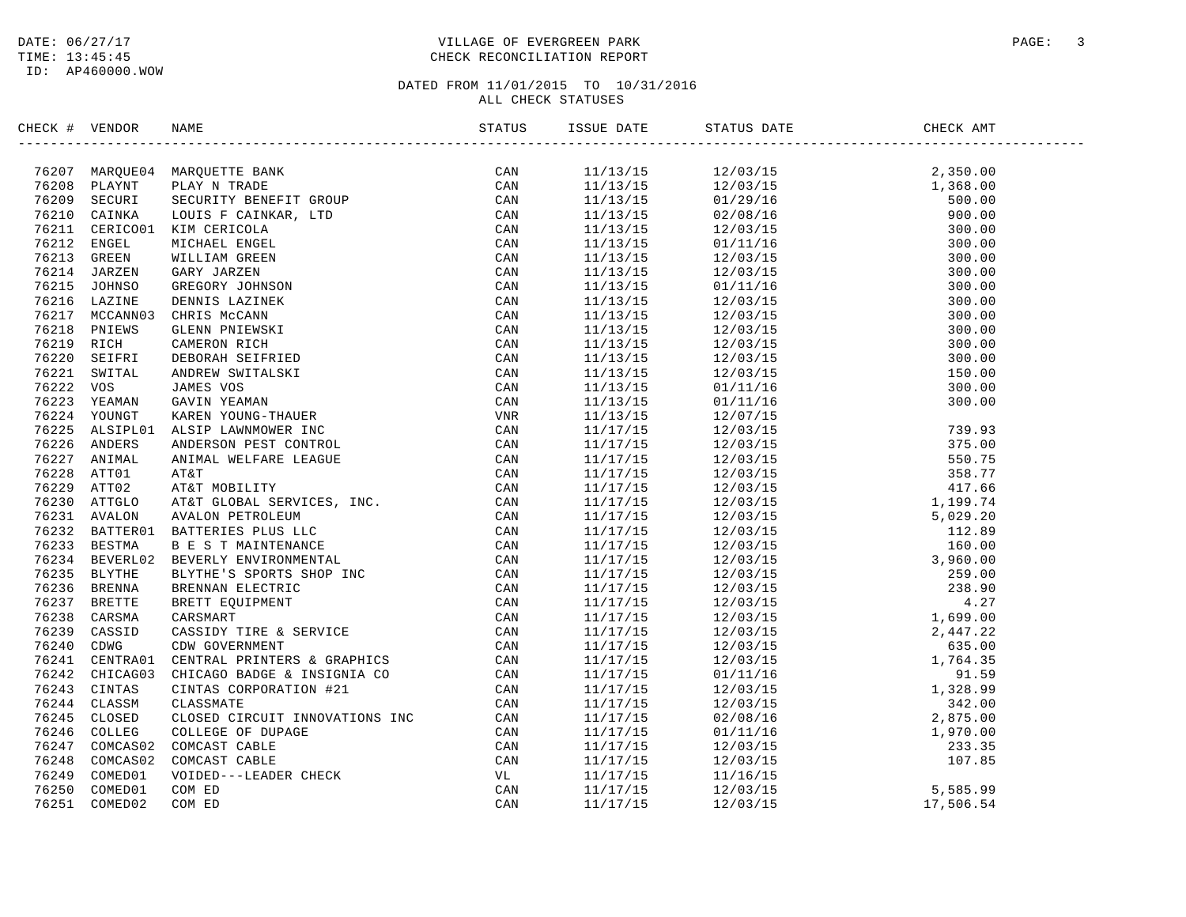#### DATE:  $06/27/17$  PAGE: 3 TIME: 13:45:45 CHECK RECONCILIATION REPORT

| CHECK # VENDOR |                                                                                                                                                                                                                                 |  |                                                                                                                                                                                                                                                                                                                                                                               |  |
|----------------|---------------------------------------------------------------------------------------------------------------------------------------------------------------------------------------------------------------------------------|--|-------------------------------------------------------------------------------------------------------------------------------------------------------------------------------------------------------------------------------------------------------------------------------------------------------------------------------------------------------------------------------|--|
|                | CK # VENDOR NAME<br>STATUS - STATIST ANALYTIC SANT CONTRACT SANT MARGINITY SANT MARGINITY SANT CONTRACT CONTRACT CONTRACT CONTRACT (CAN USE IN THE CAN USE IN THE CAN USE IN THE CAN USE IN THE CAN USE IN THE CAN USE IN THE C |  | $\begin{tabular}{cccccccc} \textbf{5.13} & \textbf{5.14} & \textbf{5.15} & \textbf{5.15} & \textbf{5.15} & \textbf{5.15} & \textbf{5.15} & \textbf{5.15} & \textbf{5.15} & \textbf{5.15} & \textbf{5.15} & \textbf{5.15} & \textbf{5.15} & \textbf{5.15} & \textbf{5.15} & \textbf{5.15} & \textbf{5.15} & \textbf{5.15} & \textbf{5.15} & \textbf{5.15} & \textbf{5.15} & \$ |  |
|                |                                                                                                                                                                                                                                 |  |                                                                                                                                                                                                                                                                                                                                                                               |  |
|                |                                                                                                                                                                                                                                 |  |                                                                                                                                                                                                                                                                                                                                                                               |  |
|                |                                                                                                                                                                                                                                 |  |                                                                                                                                                                                                                                                                                                                                                                               |  |
|                |                                                                                                                                                                                                                                 |  |                                                                                                                                                                                                                                                                                                                                                                               |  |
|                |                                                                                                                                                                                                                                 |  |                                                                                                                                                                                                                                                                                                                                                                               |  |
|                |                                                                                                                                                                                                                                 |  |                                                                                                                                                                                                                                                                                                                                                                               |  |
|                |                                                                                                                                                                                                                                 |  |                                                                                                                                                                                                                                                                                                                                                                               |  |
|                |                                                                                                                                                                                                                                 |  |                                                                                                                                                                                                                                                                                                                                                                               |  |
|                |                                                                                                                                                                                                                                 |  |                                                                                                                                                                                                                                                                                                                                                                               |  |
|                |                                                                                                                                                                                                                                 |  |                                                                                                                                                                                                                                                                                                                                                                               |  |
|                |                                                                                                                                                                                                                                 |  |                                                                                                                                                                                                                                                                                                                                                                               |  |
|                |                                                                                                                                                                                                                                 |  |                                                                                                                                                                                                                                                                                                                                                                               |  |
|                |                                                                                                                                                                                                                                 |  |                                                                                                                                                                                                                                                                                                                                                                               |  |
|                |                                                                                                                                                                                                                                 |  |                                                                                                                                                                                                                                                                                                                                                                               |  |
|                |                                                                                                                                                                                                                                 |  |                                                                                                                                                                                                                                                                                                                                                                               |  |
|                |                                                                                                                                                                                                                                 |  |                                                                                                                                                                                                                                                                                                                                                                               |  |
|                |                                                                                                                                                                                                                                 |  |                                                                                                                                                                                                                                                                                                                                                                               |  |
|                |                                                                                                                                                                                                                                 |  |                                                                                                                                                                                                                                                                                                                                                                               |  |
|                |                                                                                                                                                                                                                                 |  |                                                                                                                                                                                                                                                                                                                                                                               |  |
|                |                                                                                                                                                                                                                                 |  |                                                                                                                                                                                                                                                                                                                                                                               |  |
|                |                                                                                                                                                                                                                                 |  |                                                                                                                                                                                                                                                                                                                                                                               |  |
|                |                                                                                                                                                                                                                                 |  |                                                                                                                                                                                                                                                                                                                                                                               |  |
|                |                                                                                                                                                                                                                                 |  |                                                                                                                                                                                                                                                                                                                                                                               |  |
|                |                                                                                                                                                                                                                                 |  |                                                                                                                                                                                                                                                                                                                                                                               |  |
|                |                                                                                                                                                                                                                                 |  |                                                                                                                                                                                                                                                                                                                                                                               |  |
|                |                                                                                                                                                                                                                                 |  |                                                                                                                                                                                                                                                                                                                                                                               |  |
|                |                                                                                                                                                                                                                                 |  |                                                                                                                                                                                                                                                                                                                                                                               |  |
|                |                                                                                                                                                                                                                                 |  |                                                                                                                                                                                                                                                                                                                                                                               |  |
|                |                                                                                                                                                                                                                                 |  |                                                                                                                                                                                                                                                                                                                                                                               |  |
|                |                                                                                                                                                                                                                                 |  |                                                                                                                                                                                                                                                                                                                                                                               |  |
|                |                                                                                                                                                                                                                                 |  |                                                                                                                                                                                                                                                                                                                                                                               |  |
|                |                                                                                                                                                                                                                                 |  |                                                                                                                                                                                                                                                                                                                                                                               |  |
|                |                                                                                                                                                                                                                                 |  |                                                                                                                                                                                                                                                                                                                                                                               |  |
|                |                                                                                                                                                                                                                                 |  |                                                                                                                                                                                                                                                                                                                                                                               |  |
|                |                                                                                                                                                                                                                                 |  |                                                                                                                                                                                                                                                                                                                                                                               |  |
|                |                                                                                                                                                                                                                                 |  |                                                                                                                                                                                                                                                                                                                                                                               |  |
|                |                                                                                                                                                                                                                                 |  |                                                                                                                                                                                                                                                                                                                                                                               |  |
|                |                                                                                                                                                                                                                                 |  |                                                                                                                                                                                                                                                                                                                                                                               |  |
|                |                                                                                                                                                                                                                                 |  |                                                                                                                                                                                                                                                                                                                                                                               |  |
|                |                                                                                                                                                                                                                                 |  |                                                                                                                                                                                                                                                                                                                                                                               |  |
|                |                                                                                                                                                                                                                                 |  |                                                                                                                                                                                                                                                                                                                                                                               |  |
|                |                                                                                                                                                                                                                                 |  |                                                                                                                                                                                                                                                                                                                                                                               |  |
|                |                                                                                                                                                                                                                                 |  |                                                                                                                                                                                                                                                                                                                                                                               |  |
|                |                                                                                                                                                                                                                                 |  |                                                                                                                                                                                                                                                                                                                                                                               |  |
|                |                                                                                                                                                                                                                                 |  |                                                                                                                                                                                                                                                                                                                                                                               |  |
|                |                                                                                                                                                                                                                                 |  |                                                                                                                                                                                                                                                                                                                                                                               |  |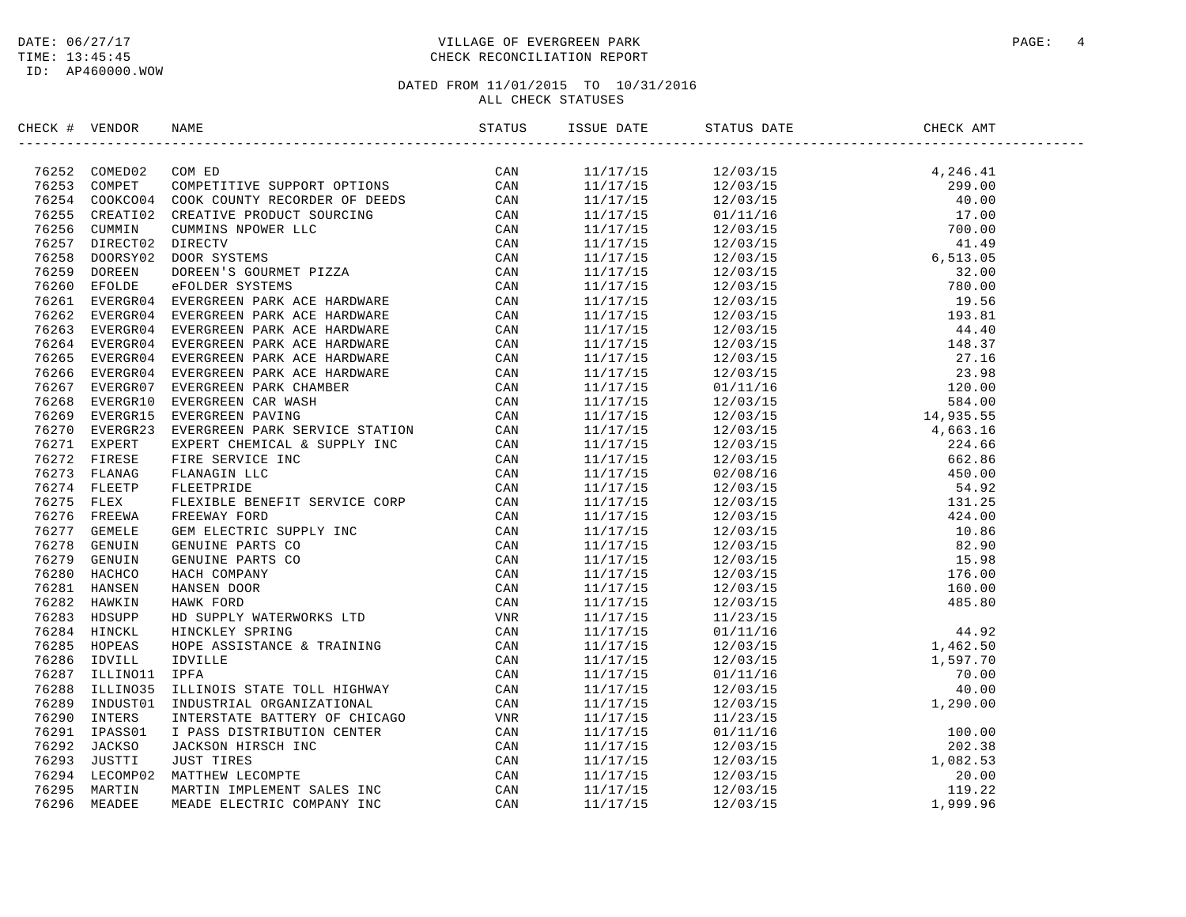ID: AP460000.WOW

#### DATE:  $06/27/17$  PAGE: 4 TIME: 13:45:45 CHECK RECONCILIATION REPORT

| CHECK # VENDOR | NAME                                                                                                                                                                                                                                                                                                                                                      |  | STATUS DATE | CHECK AMT |  |
|----------------|-----------------------------------------------------------------------------------------------------------------------------------------------------------------------------------------------------------------------------------------------------------------------------------------------------------------------------------------------------------|--|-------------|-----------|--|
|                | $\begin{tabular}{cccccccc} \textbf{0.0066} & \textbf{0.0076} & \textbf{0.0087} & \textbf{0.0087} & \textbf{0.0087} & \textbf{0.0087} & \textbf{0.0087} & \textbf{0.0087} & \textbf{0.0087} & \textbf{0.0087} & \textbf{0.0087} & \textbf{0.0087} & \textbf{0.0087} & \textbf{0.0087} & \textbf{0.0087} & \textbf{0.0087} & \textbf{0.0087} & \textbf{0.0$ |  |             |           |  |
|                |                                                                                                                                                                                                                                                                                                                                                           |  |             |           |  |
|                |                                                                                                                                                                                                                                                                                                                                                           |  |             |           |  |
|                |                                                                                                                                                                                                                                                                                                                                                           |  |             |           |  |
|                |                                                                                                                                                                                                                                                                                                                                                           |  |             |           |  |
|                |                                                                                                                                                                                                                                                                                                                                                           |  |             |           |  |
|                |                                                                                                                                                                                                                                                                                                                                                           |  |             |           |  |
|                |                                                                                                                                                                                                                                                                                                                                                           |  |             |           |  |
|                |                                                                                                                                                                                                                                                                                                                                                           |  |             |           |  |
|                |                                                                                                                                                                                                                                                                                                                                                           |  |             |           |  |
|                |                                                                                                                                                                                                                                                                                                                                                           |  |             |           |  |
|                |                                                                                                                                                                                                                                                                                                                                                           |  |             |           |  |
|                |                                                                                                                                                                                                                                                                                                                                                           |  |             |           |  |
|                |                                                                                                                                                                                                                                                                                                                                                           |  |             |           |  |
|                |                                                                                                                                                                                                                                                                                                                                                           |  |             |           |  |
|                |                                                                                                                                                                                                                                                                                                                                                           |  |             |           |  |
|                |                                                                                                                                                                                                                                                                                                                                                           |  |             |           |  |
|                |                                                                                                                                                                                                                                                                                                                                                           |  |             |           |  |
|                |                                                                                                                                                                                                                                                                                                                                                           |  |             |           |  |
|                |                                                                                                                                                                                                                                                                                                                                                           |  |             |           |  |
|                |                                                                                                                                                                                                                                                                                                                                                           |  |             |           |  |
|                |                                                                                                                                                                                                                                                                                                                                                           |  |             |           |  |
|                |                                                                                                                                                                                                                                                                                                                                                           |  |             |           |  |
|                |                                                                                                                                                                                                                                                                                                                                                           |  |             |           |  |
|                |                                                                                                                                                                                                                                                                                                                                                           |  |             |           |  |
|                |                                                                                                                                                                                                                                                                                                                                                           |  |             |           |  |
|                |                                                                                                                                                                                                                                                                                                                                                           |  |             |           |  |
|                |                                                                                                                                                                                                                                                                                                                                                           |  |             |           |  |
|                |                                                                                                                                                                                                                                                                                                                                                           |  |             |           |  |
|                |                                                                                                                                                                                                                                                                                                                                                           |  |             |           |  |
|                |                                                                                                                                                                                                                                                                                                                                                           |  |             |           |  |
|                |                                                                                                                                                                                                                                                                                                                                                           |  |             |           |  |
|                |                                                                                                                                                                                                                                                                                                                                                           |  |             |           |  |
|                |                                                                                                                                                                                                                                                                                                                                                           |  |             |           |  |
|                |                                                                                                                                                                                                                                                                                                                                                           |  |             |           |  |
|                |                                                                                                                                                                                                                                                                                                                                                           |  |             |           |  |
|                |                                                                                                                                                                                                                                                                                                                                                           |  |             |           |  |
|                |                                                                                                                                                                                                                                                                                                                                                           |  |             |           |  |
|                |                                                                                                                                                                                                                                                                                                                                                           |  |             |           |  |
|                |                                                                                                                                                                                                                                                                                                                                                           |  |             |           |  |
|                |                                                                                                                                                                                                                                                                                                                                                           |  |             |           |  |
|                |                                                                                                                                                                                                                                                                                                                                                           |  |             |           |  |
|                |                                                                                                                                                                                                                                                                                                                                                           |  |             |           |  |
|                |                                                                                                                                                                                                                                                                                                                                                           |  |             |           |  |
|                |                                                                                                                                                                                                                                                                                                                                                           |  |             |           |  |
|                |                                                                                                                                                                                                                                                                                                                                                           |  |             |           |  |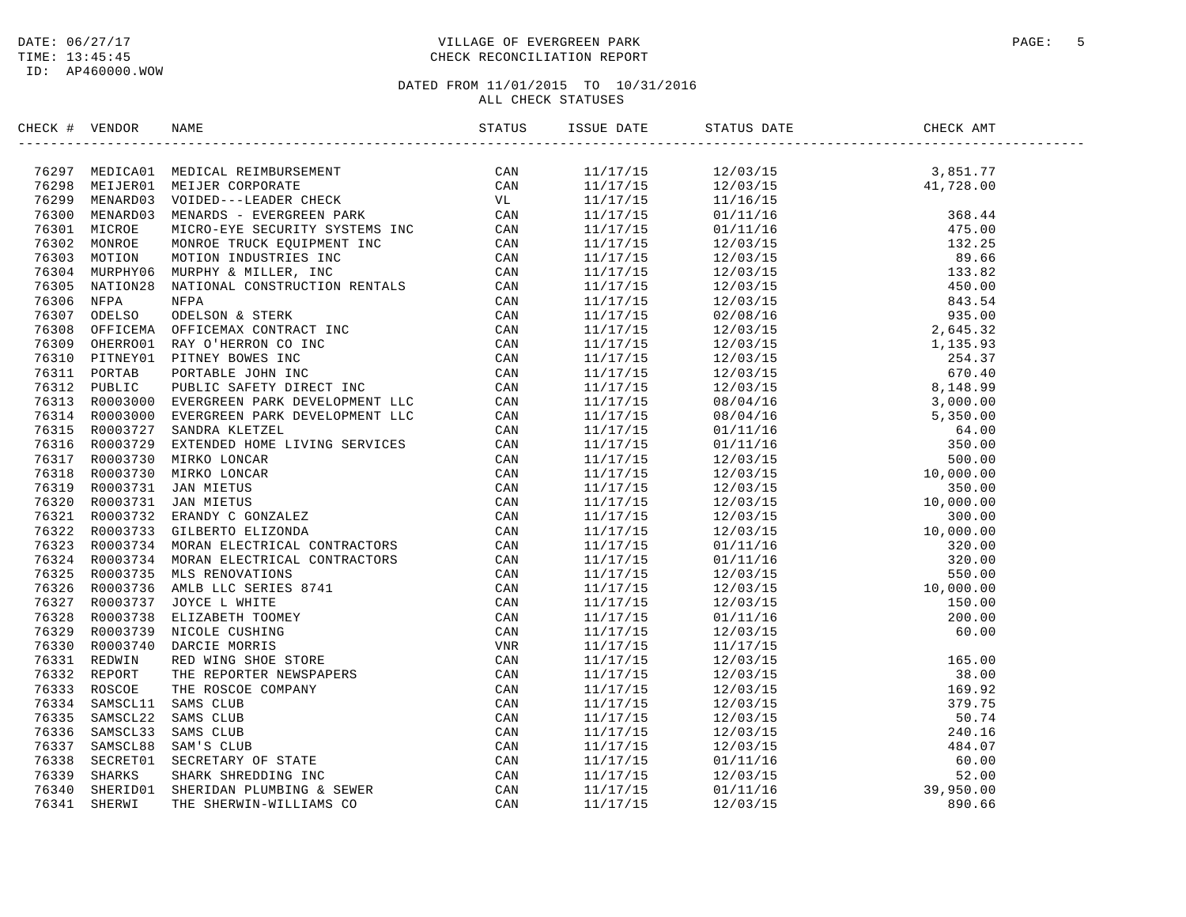#### DATE:  $06/27/17$  PAGE: 5 TIME: 13:45:45 CHECK RECONCILIATION REPORT

| CHECK # VENDOR | NAME                                                                                                                                                                                                                                    | ISSUE DATE | STATUS DATE                                                                                                                                                                                                                                                                                             | CHECK AMT |  |
|----------------|-----------------------------------------------------------------------------------------------------------------------------------------------------------------------------------------------------------------------------------------|------------|---------------------------------------------------------------------------------------------------------------------------------------------------------------------------------------------------------------------------------------------------------------------------------------------------------|-----------|--|
|                | SECCE # VERDOOR NAME<br>TREST MEDICADI MEDICAL REMONDREMENT<br>TREST MEDICADI MEDICAL REMONDREMENT<br>TREST MEDICADI MEDICAL REMONDREMENT<br>TREST MEDICAL MEDICAL CONFORMER<br>TREST MEDICAL MEDICAL MEDICAL FIRE CONNECTIVE STREET CA |            | $\begin{tabular}{l cccc} \hline \textbf{3.85 }\textbf{1.1/17/15} & 12/03/15 & 3, 851.77 \\ \hline 11/17/15 & 12/03/15 & 41.776 \\ \hline 11/17/15 & 12/03/15 & 48.6 & 44 \\ \hline 11/17/15 & 12/15/15 & 42/03/15 & 48.6 & 44 \\ \hline 11/17/15 & 12/111/16 & 475.0 \\ \hline 11/17/15 & 12/03/15 & 4$ |           |  |
|                |                                                                                                                                                                                                                                         |            |                                                                                                                                                                                                                                                                                                         |           |  |
|                |                                                                                                                                                                                                                                         |            |                                                                                                                                                                                                                                                                                                         |           |  |
|                |                                                                                                                                                                                                                                         |            |                                                                                                                                                                                                                                                                                                         |           |  |
|                |                                                                                                                                                                                                                                         |            |                                                                                                                                                                                                                                                                                                         |           |  |
|                |                                                                                                                                                                                                                                         |            |                                                                                                                                                                                                                                                                                                         |           |  |
|                |                                                                                                                                                                                                                                         |            |                                                                                                                                                                                                                                                                                                         |           |  |
|                |                                                                                                                                                                                                                                         |            |                                                                                                                                                                                                                                                                                                         |           |  |
|                |                                                                                                                                                                                                                                         |            |                                                                                                                                                                                                                                                                                                         |           |  |
|                |                                                                                                                                                                                                                                         |            |                                                                                                                                                                                                                                                                                                         |           |  |
|                |                                                                                                                                                                                                                                         |            |                                                                                                                                                                                                                                                                                                         |           |  |
|                |                                                                                                                                                                                                                                         |            |                                                                                                                                                                                                                                                                                                         |           |  |
|                |                                                                                                                                                                                                                                         |            |                                                                                                                                                                                                                                                                                                         |           |  |
|                |                                                                                                                                                                                                                                         |            |                                                                                                                                                                                                                                                                                                         |           |  |
|                |                                                                                                                                                                                                                                         |            |                                                                                                                                                                                                                                                                                                         |           |  |
|                |                                                                                                                                                                                                                                         |            |                                                                                                                                                                                                                                                                                                         |           |  |
|                |                                                                                                                                                                                                                                         |            |                                                                                                                                                                                                                                                                                                         |           |  |
|                |                                                                                                                                                                                                                                         |            |                                                                                                                                                                                                                                                                                                         |           |  |
|                |                                                                                                                                                                                                                                         |            |                                                                                                                                                                                                                                                                                                         |           |  |
|                |                                                                                                                                                                                                                                         |            |                                                                                                                                                                                                                                                                                                         |           |  |
|                |                                                                                                                                                                                                                                         |            |                                                                                                                                                                                                                                                                                                         |           |  |
|                |                                                                                                                                                                                                                                         |            |                                                                                                                                                                                                                                                                                                         |           |  |
|                |                                                                                                                                                                                                                                         |            |                                                                                                                                                                                                                                                                                                         |           |  |
|                |                                                                                                                                                                                                                                         |            |                                                                                                                                                                                                                                                                                                         |           |  |
|                |                                                                                                                                                                                                                                         |            |                                                                                                                                                                                                                                                                                                         |           |  |
|                |                                                                                                                                                                                                                                         |            |                                                                                                                                                                                                                                                                                                         |           |  |
|                |                                                                                                                                                                                                                                         |            |                                                                                                                                                                                                                                                                                                         |           |  |
|                |                                                                                                                                                                                                                                         |            |                                                                                                                                                                                                                                                                                                         |           |  |
|                |                                                                                                                                                                                                                                         |            |                                                                                                                                                                                                                                                                                                         |           |  |
|                |                                                                                                                                                                                                                                         |            |                                                                                                                                                                                                                                                                                                         |           |  |
|                |                                                                                                                                                                                                                                         |            |                                                                                                                                                                                                                                                                                                         |           |  |
|                |                                                                                                                                                                                                                                         |            |                                                                                                                                                                                                                                                                                                         |           |  |
|                |                                                                                                                                                                                                                                         |            |                                                                                                                                                                                                                                                                                                         |           |  |
|                |                                                                                                                                                                                                                                         |            |                                                                                                                                                                                                                                                                                                         |           |  |
|                |                                                                                                                                                                                                                                         |            |                                                                                                                                                                                                                                                                                                         |           |  |
|                |                                                                                                                                                                                                                                         |            |                                                                                                                                                                                                                                                                                                         |           |  |
|                |                                                                                                                                                                                                                                         |            |                                                                                                                                                                                                                                                                                                         |           |  |
|                |                                                                                                                                                                                                                                         |            |                                                                                                                                                                                                                                                                                                         |           |  |
|                |                                                                                                                                                                                                                                         |            |                                                                                                                                                                                                                                                                                                         |           |  |
|                |                                                                                                                                                                                                                                         |            |                                                                                                                                                                                                                                                                                                         |           |  |
|                |                                                                                                                                                                                                                                         |            |                                                                                                                                                                                                                                                                                                         |           |  |
|                |                                                                                                                                                                                                                                         |            |                                                                                                                                                                                                                                                                                                         |           |  |
|                |                                                                                                                                                                                                                                         |            |                                                                                                                                                                                                                                                                                                         |           |  |
|                |                                                                                                                                                                                                                                         |            |                                                                                                                                                                                                                                                                                                         |           |  |
|                |                                                                                                                                                                                                                                         |            |                                                                                                                                                                                                                                                                                                         |           |  |
|                |                                                                                                                                                                                                                                         |            |                                                                                                                                                                                                                                                                                                         |           |  |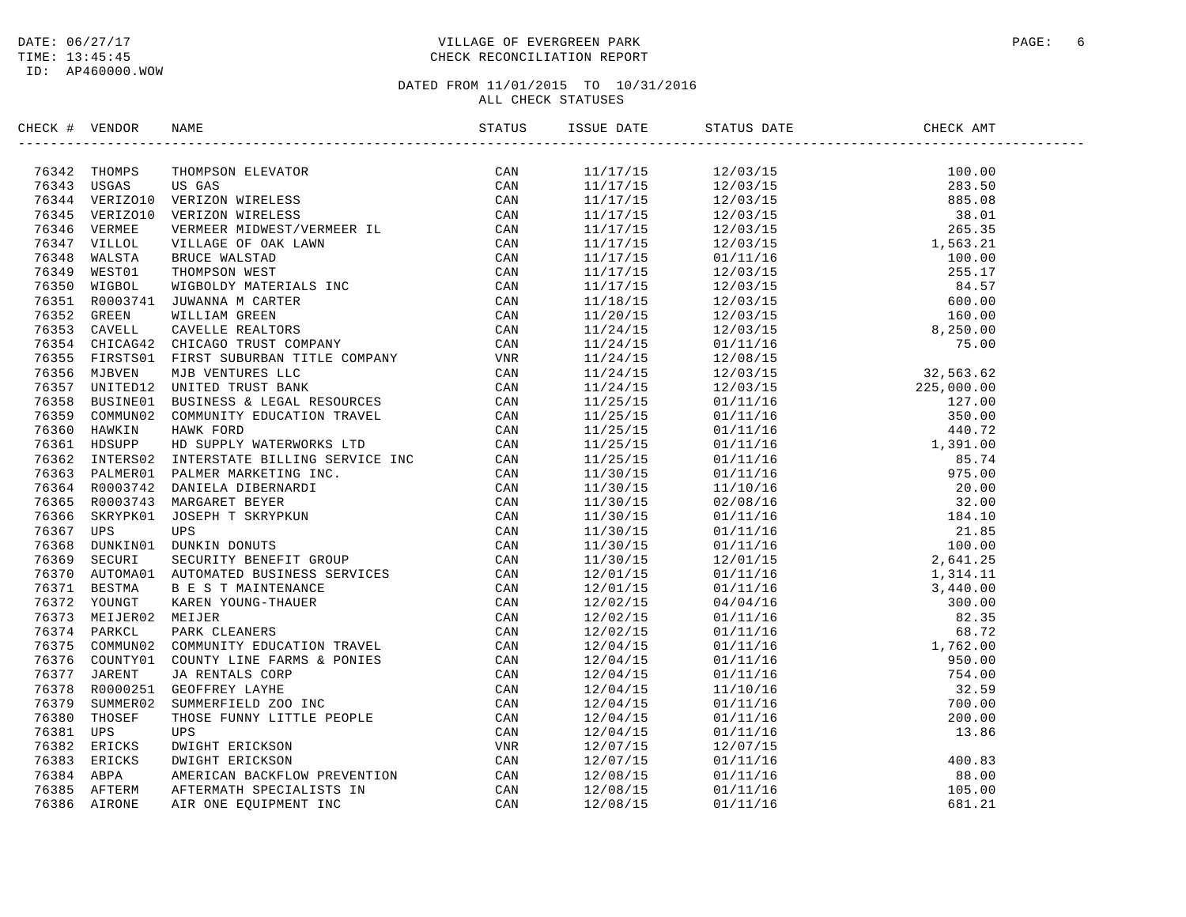#### DATE:  $06/27/17$  PAGE: 6 TIME: 13:45:45 CHECK RECONCILIATION REPORT

| CHECK # VENDOR | NAME                                                                                                                                                                                                                                                                                                                                                                                                                                      | ISSUE DATE | STATUS DATE | CHECK AMT |  |
|----------------|-------------------------------------------------------------------------------------------------------------------------------------------------------------------------------------------------------------------------------------------------------------------------------------------------------------------------------------------------------------------------------------------------------------------------------------------|------------|-------------|-----------|--|
|                | $\begin{tabular}{cccccccc} \textbf{MSE} & \textbf{HSE} & \textbf{BSE} & \textbf{BSE} & \textbf{BSE} & \textbf{BSE} & \textbf{BSE} & \textbf{BSE} & \textbf{BSE} & \textbf{BSE} & \textbf{BSE} & \textbf{BSE} & \textbf{BSE} & \textbf{BSE} & \textbf{BSE} & \textbf{BSE} & \textbf{BSE} & \textbf{BSE} & \textbf{BSE} & \textbf{BSE} & \textbf{BSE} & \textbf{BSE} & \textbf{BSE} & \textbf{BSE} & \textbf{BSE} & \textbf{BSE} & \textbf$ |            |             |           |  |
|                |                                                                                                                                                                                                                                                                                                                                                                                                                                           |            |             |           |  |
|                |                                                                                                                                                                                                                                                                                                                                                                                                                                           |            |             |           |  |
|                |                                                                                                                                                                                                                                                                                                                                                                                                                                           |            |             |           |  |
|                |                                                                                                                                                                                                                                                                                                                                                                                                                                           |            |             |           |  |
|                |                                                                                                                                                                                                                                                                                                                                                                                                                                           |            |             |           |  |
|                |                                                                                                                                                                                                                                                                                                                                                                                                                                           |            |             |           |  |
|                |                                                                                                                                                                                                                                                                                                                                                                                                                                           |            |             |           |  |
|                |                                                                                                                                                                                                                                                                                                                                                                                                                                           |            |             |           |  |
|                |                                                                                                                                                                                                                                                                                                                                                                                                                                           |            |             |           |  |
|                |                                                                                                                                                                                                                                                                                                                                                                                                                                           |            |             |           |  |
|                |                                                                                                                                                                                                                                                                                                                                                                                                                                           |            |             |           |  |
|                |                                                                                                                                                                                                                                                                                                                                                                                                                                           |            |             |           |  |
|                |                                                                                                                                                                                                                                                                                                                                                                                                                                           |            |             |           |  |
|                |                                                                                                                                                                                                                                                                                                                                                                                                                                           |            |             |           |  |
|                |                                                                                                                                                                                                                                                                                                                                                                                                                                           |            |             |           |  |
|                |                                                                                                                                                                                                                                                                                                                                                                                                                                           |            |             |           |  |
|                |                                                                                                                                                                                                                                                                                                                                                                                                                                           |            |             |           |  |
|                |                                                                                                                                                                                                                                                                                                                                                                                                                                           |            |             |           |  |
|                |                                                                                                                                                                                                                                                                                                                                                                                                                                           |            |             |           |  |
|                |                                                                                                                                                                                                                                                                                                                                                                                                                                           |            |             |           |  |
|                |                                                                                                                                                                                                                                                                                                                                                                                                                                           |            |             |           |  |
|                |                                                                                                                                                                                                                                                                                                                                                                                                                                           |            |             |           |  |
|                |                                                                                                                                                                                                                                                                                                                                                                                                                                           |            |             |           |  |
|                |                                                                                                                                                                                                                                                                                                                                                                                                                                           |            |             |           |  |
|                |                                                                                                                                                                                                                                                                                                                                                                                                                                           |            |             |           |  |
|                |                                                                                                                                                                                                                                                                                                                                                                                                                                           |            |             |           |  |
|                |                                                                                                                                                                                                                                                                                                                                                                                                                                           |            |             |           |  |
|                |                                                                                                                                                                                                                                                                                                                                                                                                                                           |            |             |           |  |
|                |                                                                                                                                                                                                                                                                                                                                                                                                                                           |            |             |           |  |
|                |                                                                                                                                                                                                                                                                                                                                                                                                                                           |            |             |           |  |
|                |                                                                                                                                                                                                                                                                                                                                                                                                                                           |            |             |           |  |
|                |                                                                                                                                                                                                                                                                                                                                                                                                                                           |            |             |           |  |
|                |                                                                                                                                                                                                                                                                                                                                                                                                                                           |            |             |           |  |
|                |                                                                                                                                                                                                                                                                                                                                                                                                                                           |            |             |           |  |
|                |                                                                                                                                                                                                                                                                                                                                                                                                                                           |            |             |           |  |
|                |                                                                                                                                                                                                                                                                                                                                                                                                                                           |            |             |           |  |
|                |                                                                                                                                                                                                                                                                                                                                                                                                                                           |            |             |           |  |
|                |                                                                                                                                                                                                                                                                                                                                                                                                                                           |            |             |           |  |
|                |                                                                                                                                                                                                                                                                                                                                                                                                                                           |            |             |           |  |
|                |                                                                                                                                                                                                                                                                                                                                                                                                                                           |            |             |           |  |
|                |                                                                                                                                                                                                                                                                                                                                                                                                                                           |            |             |           |  |
|                |                                                                                                                                                                                                                                                                                                                                                                                                                                           |            |             |           |  |
|                |                                                                                                                                                                                                                                                                                                                                                                                                                                           |            |             |           |  |
|                |                                                                                                                                                                                                                                                                                                                                                                                                                                           |            |             |           |  |
|                |                                                                                                                                                                                                                                                                                                                                                                                                                                           |            |             |           |  |
|                |                                                                                                                                                                                                                                                                                                                                                                                                                                           |            |             |           |  |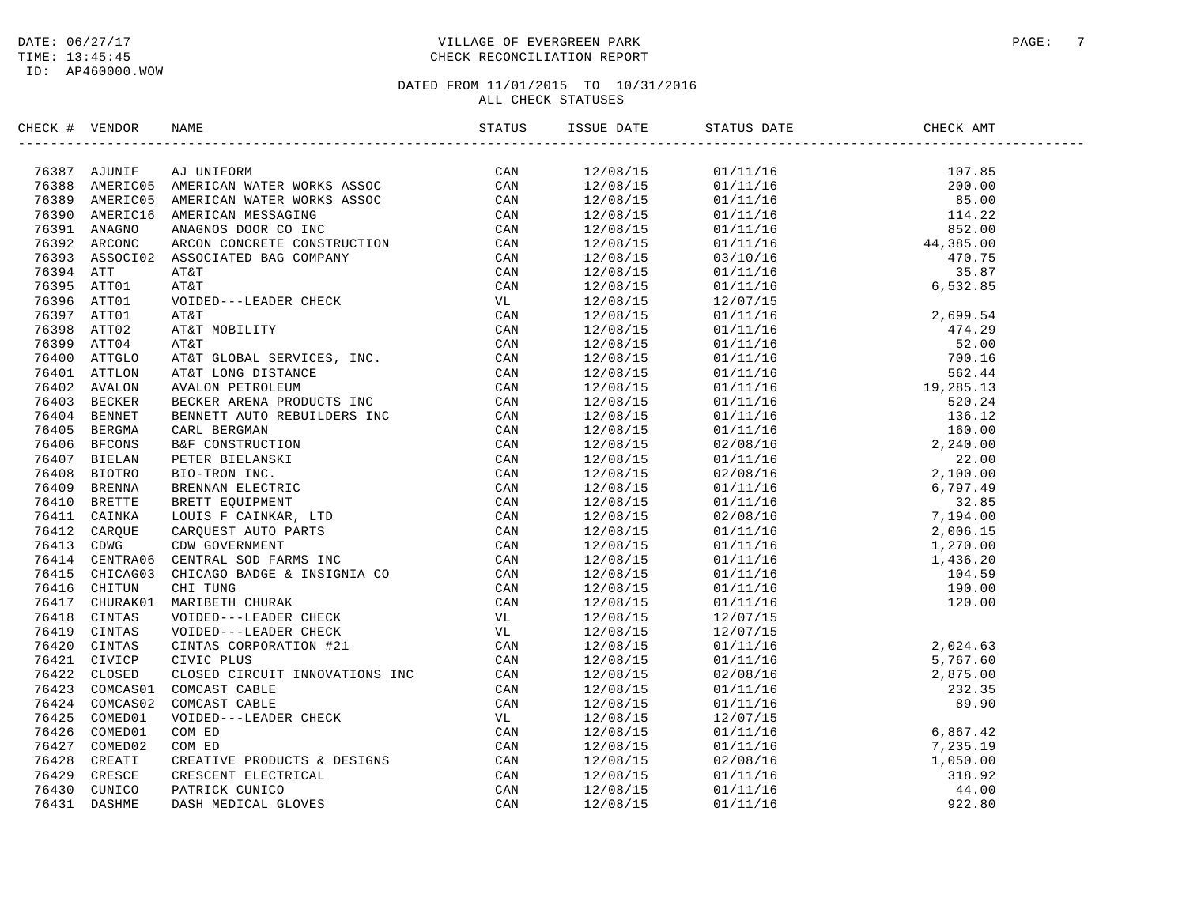#### DATE:  $06/27/17$  PAGE: 7 TIME: 13:45:45 CHECK RECONCILIATION REPORT

| CHECK # VENDOR |  |  |  |  |
|----------------|--|--|--|--|
|                |  |  |  |  |
|                |  |  |  |  |
|                |  |  |  |  |
|                |  |  |  |  |
|                |  |  |  |  |
|                |  |  |  |  |
|                |  |  |  |  |
|                |  |  |  |  |
|                |  |  |  |  |
|                |  |  |  |  |
|                |  |  |  |  |
|                |  |  |  |  |
|                |  |  |  |  |
|                |  |  |  |  |
|                |  |  |  |  |
|                |  |  |  |  |
|                |  |  |  |  |
|                |  |  |  |  |
|                |  |  |  |  |
|                |  |  |  |  |
|                |  |  |  |  |
|                |  |  |  |  |
|                |  |  |  |  |
|                |  |  |  |  |
|                |  |  |  |  |
|                |  |  |  |  |
|                |  |  |  |  |
|                |  |  |  |  |
|                |  |  |  |  |
|                |  |  |  |  |
|                |  |  |  |  |
|                |  |  |  |  |
|                |  |  |  |  |
|                |  |  |  |  |
|                |  |  |  |  |
|                |  |  |  |  |
|                |  |  |  |  |
|                |  |  |  |  |
|                |  |  |  |  |
|                |  |  |  |  |
|                |  |  |  |  |
|                |  |  |  |  |
|                |  |  |  |  |
|                |  |  |  |  |
|                |  |  |  |  |
|                |  |  |  |  |
|                |  |  |  |  |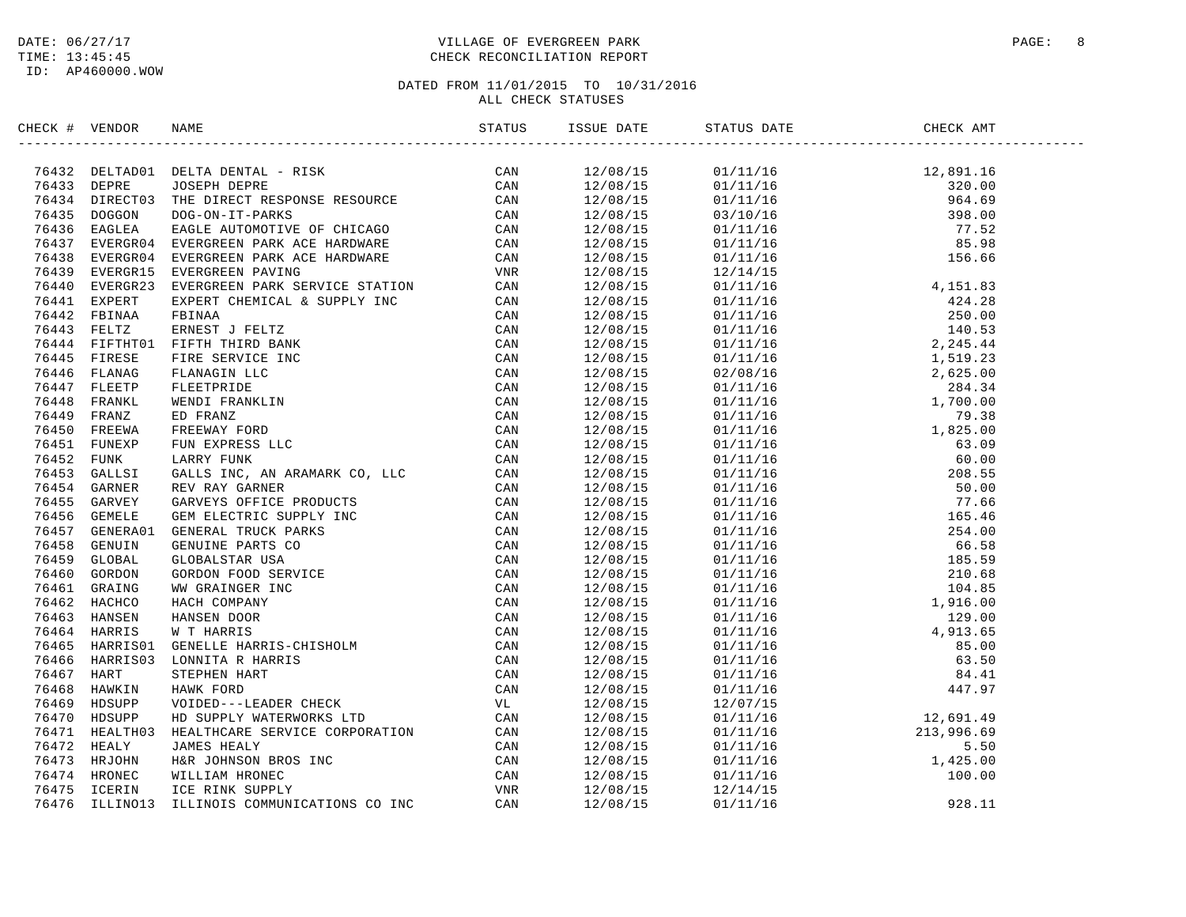#### DATE:  $06/27/17$  PAGE: 8 TIME: 13:45:45 CHECK RECONCILIATION REPORT

| CHECK # VENDOR | NAME                                                                                                                                                                                                                          | STATUS |                      | CHECK AMT |
|----------------|-------------------------------------------------------------------------------------------------------------------------------------------------------------------------------------------------------------------------------|--------|----------------------|-----------|
|                | INCRET WANDER MARRIAGE STREET THE SERVICE CRIMINALS (MARRIAGE STREET CAN THE SERVICE CRIMINALS INCREASE THE SERVICE CRIMINALS (MARRIAGE STREET AND THE SERVICE STREET AND THE SERVICE CRIMINALS (MARRIAGE STREET AND THE SERV |        |                      |           |
|                |                                                                                                                                                                                                                               |        |                      |           |
|                |                                                                                                                                                                                                                               |        |                      |           |
|                |                                                                                                                                                                                                                               |        |                      |           |
|                |                                                                                                                                                                                                                               |        |                      |           |
|                |                                                                                                                                                                                                                               |        |                      |           |
|                |                                                                                                                                                                                                                               |        |                      |           |
|                |                                                                                                                                                                                                                               |        |                      |           |
|                |                                                                                                                                                                                                                               |        |                      |           |
|                |                                                                                                                                                                                                                               |        | 12/08/15             |           |
|                |                                                                                                                                                                                                                               |        | 12/08/15             |           |
|                |                                                                                                                                                                                                                               |        | 12/08/15             |           |
|                |                                                                                                                                                                                                                               |        | 12/08/15             |           |
|                |                                                                                                                                                                                                                               |        | 12/08/15<br>12/08/15 |           |
|                |                                                                                                                                                                                                                               |        |                      |           |
|                |                                                                                                                                                                                                                               |        | 12/08/15             |           |
|                |                                                                                                                                                                                                                               |        | 12/08/15             |           |
|                |                                                                                                                                                                                                                               |        | 12/08/15             |           |
|                |                                                                                                                                                                                                                               |        | 12/08/15             |           |
|                |                                                                                                                                                                                                                               |        | 12/08/15             |           |
|                |                                                                                                                                                                                                                               |        | 12/08/15             |           |
|                |                                                                                                                                                                                                                               |        | 12/08/15             |           |
|                |                                                                                                                                                                                                                               |        | 12/08/15<br>12/08/15 |           |
|                |                                                                                                                                                                                                                               |        |                      |           |
|                |                                                                                                                                                                                                                               |        | 12/08/15             |           |
|                |                                                                                                                                                                                                                               |        | 12/08/15             |           |
|                |                                                                                                                                                                                                                               |        | 12/08/15             |           |
|                |                                                                                                                                                                                                                               |        | 12/08/15             |           |
|                |                                                                                                                                                                                                                               |        | 12/08/15             |           |
|                |                                                                                                                                                                                                                               |        | 12/08/15             |           |
|                |                                                                                                                                                                                                                               |        | 12/08/15             |           |
|                |                                                                                                                                                                                                                               |        | 12/08/15             |           |
|                |                                                                                                                                                                                                                               |        | 12/08/15             |           |
|                |                                                                                                                                                                                                                               |        | 12/08/15             |           |
|                |                                                                                                                                                                                                                               |        | 12/08/15             |           |
|                |                                                                                                                                                                                                                               |        | 12/08/15             |           |
|                |                                                                                                                                                                                                                               |        | 12/08/15             |           |
|                |                                                                                                                                                                                                                               |        | 12/08/15             |           |
|                |                                                                                                                                                                                                                               |        | 12/08/15             |           |
|                |                                                                                                                                                                                                                               |        | 12/08/15             |           |
|                |                                                                                                                                                                                                                               |        |                      |           |
|                |                                                                                                                                                                                                                               |        | 12/08/15<br>12/08/15 |           |
|                |                                                                                                                                                                                                                               |        | $\frac{12}{208/15}$  |           |
|                |                                                                                                                                                                                                                               |        | 12/08/15             |           |
|                |                                                                                                                                                                                                                               |        | 12/08/15             |           |
|                |                                                                                                                                                                                                                               |        | 12/08/15             |           |
|                |                                                                                                                                                                                                                               |        |                      |           |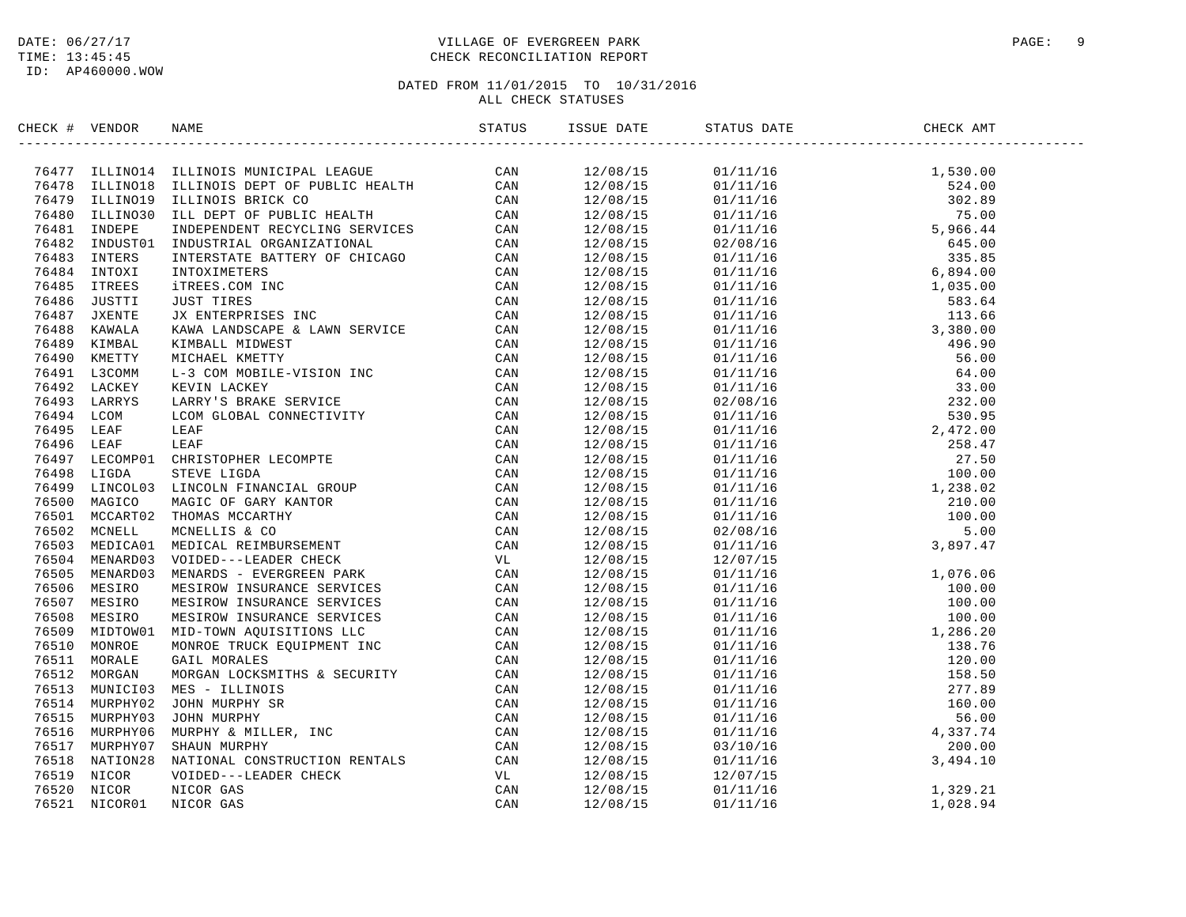ID: AP460000.WOW

#### DATE: 06/27/17 VILLAGE OF EVERGREEN PARK PAGE: 9 TIME: 13:45:45 CHECK RECONCILIATION REPORT

| CHECK # VENDOR |                                                                                                                                                                                                                                           |  |                                                                                                                                                                                                                                                                                                                                                                                                                         |  |
|----------------|-------------------------------------------------------------------------------------------------------------------------------------------------------------------------------------------------------------------------------------------|--|-------------------------------------------------------------------------------------------------------------------------------------------------------------------------------------------------------------------------------------------------------------------------------------------------------------------------------------------------------------------------------------------------------------------------|--|
|                | 299 - HATHAB HARRIS MIRTINESI (2001)<br>1997 - HATHAB HARRIS MIRTINESI LEADER (2002)<br>1997 - TANTA HARRIS MIRTINESI LEADER (2002)<br>1997 - TAN 1997 - TANK MIRTINESI (2002)<br>1997 - TAN 1997 - TAN 1997 - TAN 1997 - TAN 1997 - 1998 |  | $\begin{tabular}{l c c c} \multicolumn{1}{c}{\textbf{S-0.1}} \multicolumn{1}{c}{\textbf{S-1.1}} \multicolumn{1}{c}{\textbf{S-2.1}} \multicolumn{1}{c}{\textbf{S-3.1}} \multicolumn{1}{c}{\textbf{S-4.1}} \multicolumn{1}{c}{\textbf{S-1.1}} \multicolumn{1}{c}{\textbf{S-2.1}} \multicolumn{1}{c}{\textbf{S-3.1}} \multicolumn{1}{c}{\textbf{S-4.1}} \multicolumn{1}{c}{\textbf{S-5.1}} \multicolumn{1}{c}{\textbf{S-6$ |  |
|                |                                                                                                                                                                                                                                           |  |                                                                                                                                                                                                                                                                                                                                                                                                                         |  |
|                |                                                                                                                                                                                                                                           |  |                                                                                                                                                                                                                                                                                                                                                                                                                         |  |
|                |                                                                                                                                                                                                                                           |  |                                                                                                                                                                                                                                                                                                                                                                                                                         |  |
|                |                                                                                                                                                                                                                                           |  |                                                                                                                                                                                                                                                                                                                                                                                                                         |  |
|                |                                                                                                                                                                                                                                           |  |                                                                                                                                                                                                                                                                                                                                                                                                                         |  |
|                |                                                                                                                                                                                                                                           |  |                                                                                                                                                                                                                                                                                                                                                                                                                         |  |
|                |                                                                                                                                                                                                                                           |  |                                                                                                                                                                                                                                                                                                                                                                                                                         |  |
|                |                                                                                                                                                                                                                                           |  |                                                                                                                                                                                                                                                                                                                                                                                                                         |  |
|                |                                                                                                                                                                                                                                           |  |                                                                                                                                                                                                                                                                                                                                                                                                                         |  |
|                |                                                                                                                                                                                                                                           |  |                                                                                                                                                                                                                                                                                                                                                                                                                         |  |
|                |                                                                                                                                                                                                                                           |  |                                                                                                                                                                                                                                                                                                                                                                                                                         |  |
|                |                                                                                                                                                                                                                                           |  |                                                                                                                                                                                                                                                                                                                                                                                                                         |  |
|                |                                                                                                                                                                                                                                           |  |                                                                                                                                                                                                                                                                                                                                                                                                                         |  |
|                |                                                                                                                                                                                                                                           |  |                                                                                                                                                                                                                                                                                                                                                                                                                         |  |
|                |                                                                                                                                                                                                                                           |  |                                                                                                                                                                                                                                                                                                                                                                                                                         |  |
|                |                                                                                                                                                                                                                                           |  |                                                                                                                                                                                                                                                                                                                                                                                                                         |  |
|                |                                                                                                                                                                                                                                           |  |                                                                                                                                                                                                                                                                                                                                                                                                                         |  |
|                |                                                                                                                                                                                                                                           |  |                                                                                                                                                                                                                                                                                                                                                                                                                         |  |
|                |                                                                                                                                                                                                                                           |  |                                                                                                                                                                                                                                                                                                                                                                                                                         |  |
|                |                                                                                                                                                                                                                                           |  |                                                                                                                                                                                                                                                                                                                                                                                                                         |  |
|                |                                                                                                                                                                                                                                           |  |                                                                                                                                                                                                                                                                                                                                                                                                                         |  |
|                |                                                                                                                                                                                                                                           |  |                                                                                                                                                                                                                                                                                                                                                                                                                         |  |
|                |                                                                                                                                                                                                                                           |  |                                                                                                                                                                                                                                                                                                                                                                                                                         |  |
|                |                                                                                                                                                                                                                                           |  |                                                                                                                                                                                                                                                                                                                                                                                                                         |  |
|                |                                                                                                                                                                                                                                           |  |                                                                                                                                                                                                                                                                                                                                                                                                                         |  |
|                |                                                                                                                                                                                                                                           |  |                                                                                                                                                                                                                                                                                                                                                                                                                         |  |
|                |                                                                                                                                                                                                                                           |  |                                                                                                                                                                                                                                                                                                                                                                                                                         |  |
|                |                                                                                                                                                                                                                                           |  |                                                                                                                                                                                                                                                                                                                                                                                                                         |  |
|                |                                                                                                                                                                                                                                           |  |                                                                                                                                                                                                                                                                                                                                                                                                                         |  |
|                |                                                                                                                                                                                                                                           |  |                                                                                                                                                                                                                                                                                                                                                                                                                         |  |
|                |                                                                                                                                                                                                                                           |  |                                                                                                                                                                                                                                                                                                                                                                                                                         |  |
|                |                                                                                                                                                                                                                                           |  |                                                                                                                                                                                                                                                                                                                                                                                                                         |  |
|                |                                                                                                                                                                                                                                           |  |                                                                                                                                                                                                                                                                                                                                                                                                                         |  |
|                |                                                                                                                                                                                                                                           |  |                                                                                                                                                                                                                                                                                                                                                                                                                         |  |
|                |                                                                                                                                                                                                                                           |  |                                                                                                                                                                                                                                                                                                                                                                                                                         |  |
|                |                                                                                                                                                                                                                                           |  |                                                                                                                                                                                                                                                                                                                                                                                                                         |  |
|                |                                                                                                                                                                                                                                           |  |                                                                                                                                                                                                                                                                                                                                                                                                                         |  |
|                |                                                                                                                                                                                                                                           |  |                                                                                                                                                                                                                                                                                                                                                                                                                         |  |
|                |                                                                                                                                                                                                                                           |  |                                                                                                                                                                                                                                                                                                                                                                                                                         |  |
|                |                                                                                                                                                                                                                                           |  |                                                                                                                                                                                                                                                                                                                                                                                                                         |  |
|                |                                                                                                                                                                                                                                           |  |                                                                                                                                                                                                                                                                                                                                                                                                                         |  |
|                |                                                                                                                                                                                                                                           |  |                                                                                                                                                                                                                                                                                                                                                                                                                         |  |
|                |                                                                                                                                                                                                                                           |  |                                                                                                                                                                                                                                                                                                                                                                                                                         |  |
|                |                                                                                                                                                                                                                                           |  |                                                                                                                                                                                                                                                                                                                                                                                                                         |  |
|                |                                                                                                                                                                                                                                           |  |                                                                                                                                                                                                                                                                                                                                                                                                                         |  |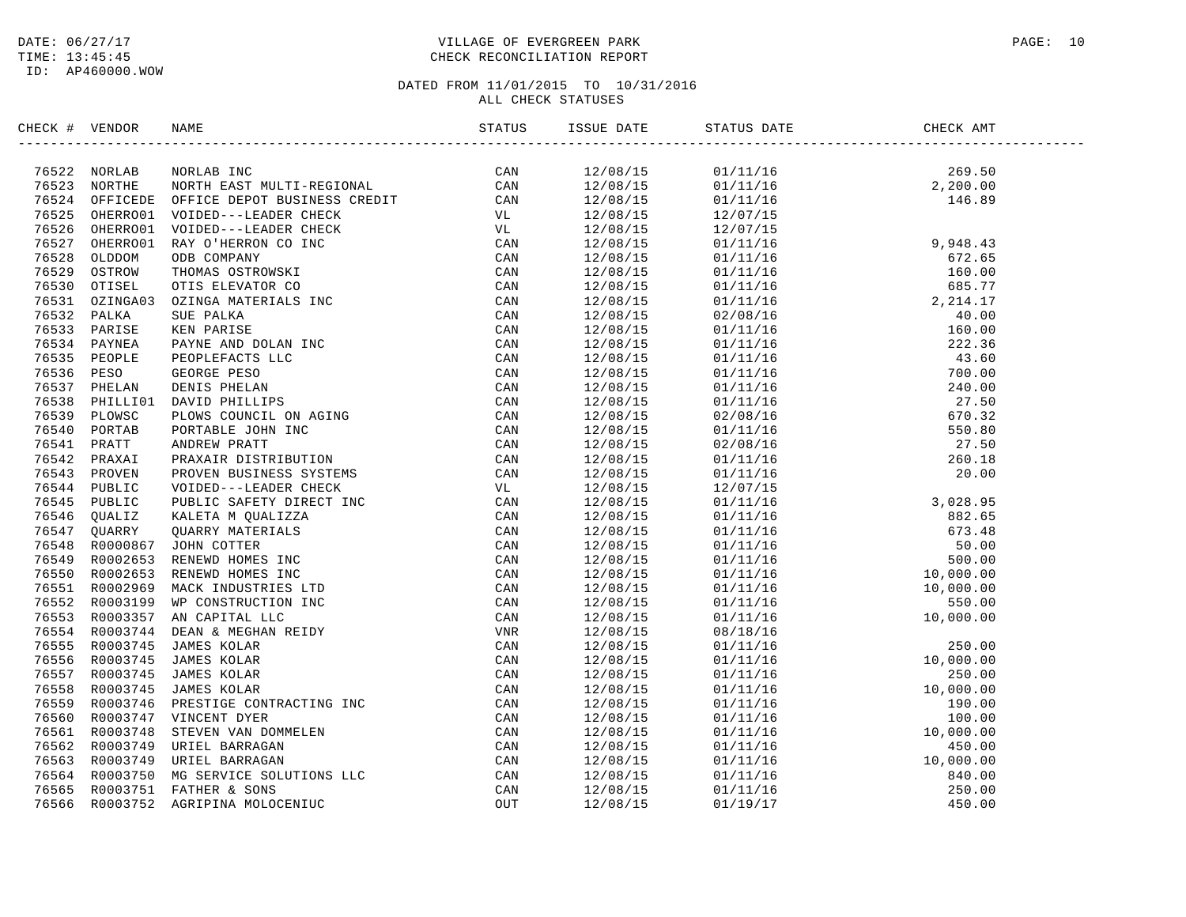#### DATE:  $06/27/17$  PAGE: 10 TIME: 13:45:45 CHECK RECONCILIATION REPORT

| CHECK # VENDOR |                                                                                                                                                                                                                                              |  |  |  |
|----------------|----------------------------------------------------------------------------------------------------------------------------------------------------------------------------------------------------------------------------------------------|--|--|--|
|                | 2002.4 YEARNA PERSON WANT (FROM 1992)<br>2003.4 YEAR PERSON PRINCIPAL CONTROL 2003.5 YEAR 1992<br>2003.2 YEAR PERSON (FROM 1992).2 YEAR 2003.2 YEAR 1992<br>2003.2 YEAR 1992<br>2003.2 YEAR 1992<br>2003.2 YEAR 1992<br>2003.2 YEAR 1992<br> |  |  |  |
|                |                                                                                                                                                                                                                                              |  |  |  |
|                |                                                                                                                                                                                                                                              |  |  |  |
|                |                                                                                                                                                                                                                                              |  |  |  |
|                |                                                                                                                                                                                                                                              |  |  |  |
|                |                                                                                                                                                                                                                                              |  |  |  |
|                |                                                                                                                                                                                                                                              |  |  |  |
|                |                                                                                                                                                                                                                                              |  |  |  |
|                |                                                                                                                                                                                                                                              |  |  |  |
|                |                                                                                                                                                                                                                                              |  |  |  |
|                |                                                                                                                                                                                                                                              |  |  |  |
|                |                                                                                                                                                                                                                                              |  |  |  |
|                |                                                                                                                                                                                                                                              |  |  |  |
|                |                                                                                                                                                                                                                                              |  |  |  |
|                |                                                                                                                                                                                                                                              |  |  |  |
|                |                                                                                                                                                                                                                                              |  |  |  |
|                |                                                                                                                                                                                                                                              |  |  |  |
|                |                                                                                                                                                                                                                                              |  |  |  |
|                |                                                                                                                                                                                                                                              |  |  |  |
|                |                                                                                                                                                                                                                                              |  |  |  |
|                |                                                                                                                                                                                                                                              |  |  |  |
|                |                                                                                                                                                                                                                                              |  |  |  |
|                |                                                                                                                                                                                                                                              |  |  |  |
|                |                                                                                                                                                                                                                                              |  |  |  |
|                |                                                                                                                                                                                                                                              |  |  |  |
|                |                                                                                                                                                                                                                                              |  |  |  |
|                |                                                                                                                                                                                                                                              |  |  |  |
|                |                                                                                                                                                                                                                                              |  |  |  |
|                |                                                                                                                                                                                                                                              |  |  |  |
|                |                                                                                                                                                                                                                                              |  |  |  |
|                |                                                                                                                                                                                                                                              |  |  |  |
|                |                                                                                                                                                                                                                                              |  |  |  |
|                |                                                                                                                                                                                                                                              |  |  |  |
|                |                                                                                                                                                                                                                                              |  |  |  |
|                |                                                                                                                                                                                                                                              |  |  |  |
|                |                                                                                                                                                                                                                                              |  |  |  |
|                |                                                                                                                                                                                                                                              |  |  |  |
|                |                                                                                                                                                                                                                                              |  |  |  |
|                |                                                                                                                                                                                                                                              |  |  |  |
|                |                                                                                                                                                                                                                                              |  |  |  |
|                |                                                                                                                                                                                                                                              |  |  |  |
|                |                                                                                                                                                                                                                                              |  |  |  |
|                |                                                                                                                                                                                                                                              |  |  |  |
|                |                                                                                                                                                                                                                                              |  |  |  |
|                |                                                                                                                                                                                                                                              |  |  |  |
|                |                                                                                                                                                                                                                                              |  |  |  |
|                |                                                                                                                                                                                                                                              |  |  |  |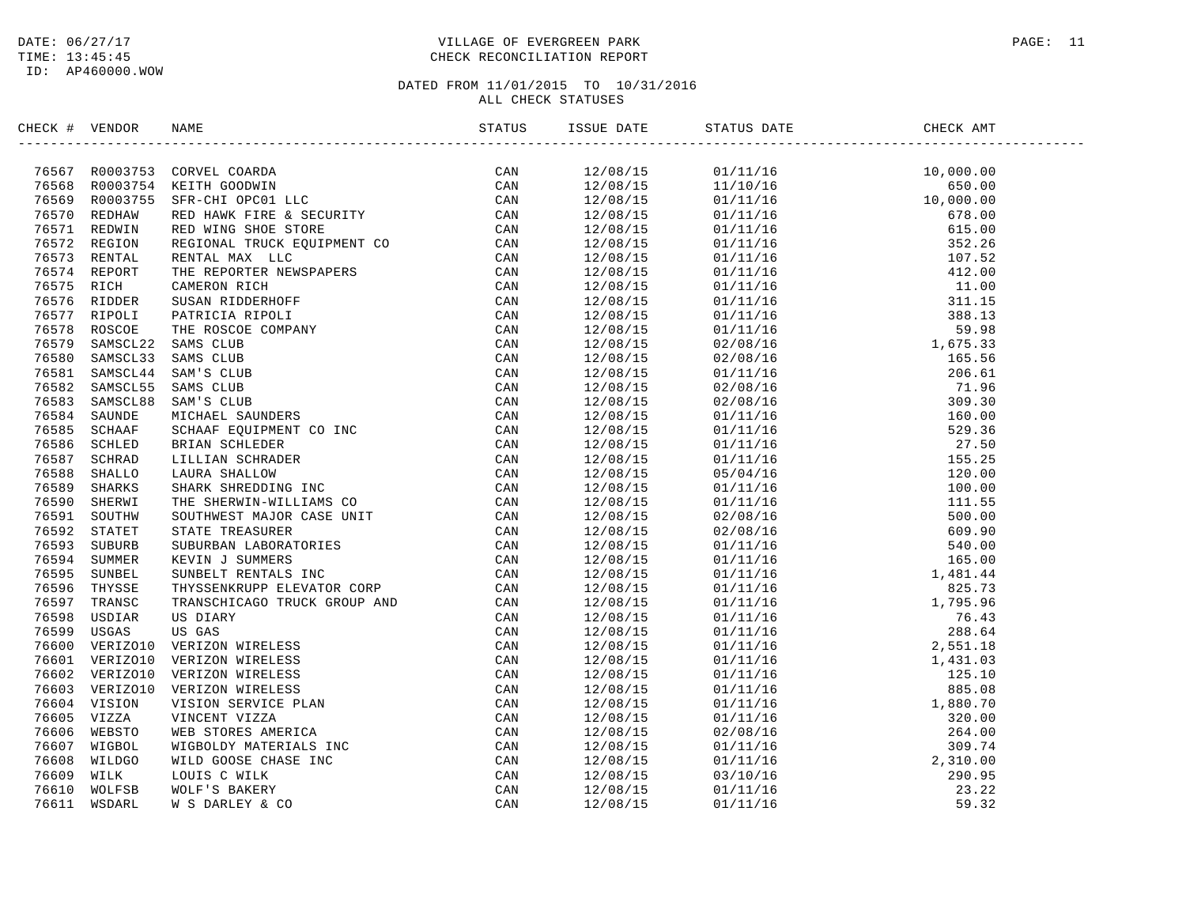#### DATE:  $06/27/17$  PAGE: 11 TIME: 13:45:45 CHECK RECONCILIATION REPORT

| CHECK # VENDOR | NAME                                                                                                                                                                                                                                         | ISSUE DATE | STATUS DATE                                                                                                                                                                                                                                                                                |  |
|----------------|----------------------------------------------------------------------------------------------------------------------------------------------------------------------------------------------------------------------------------------------|------------|--------------------------------------------------------------------------------------------------------------------------------------------------------------------------------------------------------------------------------------------------------------------------------------------|--|
|                | ENCK # VERIDOR NAME<br>TRESS RODOTSE CONVEL COADDA<br>TRESS RODOTSE SERE-CHI FORDER<br>TRESS RODOTSE SERE-CHI FORDER<br>TRESS RODOTSE SERE-CHI FORDER<br>TRESS RODOTSE SERE-CHI FORDER<br>TRESS RODOTSE REPORT RED FAMIC FIRE & SECURITY<br> | 12/08/15   | $\begin{tabular}{l c c c} $0.111/16$ & $10,000.00$ \\[-0.2cm] $0.11/10/16$ & $10,000.00$ \\[-0.2cm] $0.11/11/16$ & $650.00$ \\[-0.2cm] $0.11/11/16$ & $678.00$ \\[-0.2cm] $0.11/11/16$ & $678.00$ \\[-0.2cm] $0.11/11/16$ & $12.00$ \\[-0.2cm] $0.11/11/16$ & $12.00$ \\[-0.2cm] $0.11/11$ |  |
|                |                                                                                                                                                                                                                                              | 12/08/15   |                                                                                                                                                                                                                                                                                            |  |
|                |                                                                                                                                                                                                                                              | 12/08/15   |                                                                                                                                                                                                                                                                                            |  |
|                |                                                                                                                                                                                                                                              | 12/08/15   |                                                                                                                                                                                                                                                                                            |  |
|                |                                                                                                                                                                                                                                              | 12/08/15   |                                                                                                                                                                                                                                                                                            |  |
|                |                                                                                                                                                                                                                                              | 12/08/15   |                                                                                                                                                                                                                                                                                            |  |
|                |                                                                                                                                                                                                                                              | 12/08/15   |                                                                                                                                                                                                                                                                                            |  |
|                |                                                                                                                                                                                                                                              | 12/08/15   |                                                                                                                                                                                                                                                                                            |  |
|                |                                                                                                                                                                                                                                              | 12/08/15   |                                                                                                                                                                                                                                                                                            |  |
|                |                                                                                                                                                                                                                                              | 12/08/15   |                                                                                                                                                                                                                                                                                            |  |
|                |                                                                                                                                                                                                                                              | 12/08/15   |                                                                                                                                                                                                                                                                                            |  |
|                |                                                                                                                                                                                                                                              | 12/08/15   |                                                                                                                                                                                                                                                                                            |  |
|                |                                                                                                                                                                                                                                              | 12/08/15   |                                                                                                                                                                                                                                                                                            |  |
|                |                                                                                                                                                                                                                                              | 12/08/15   |                                                                                                                                                                                                                                                                                            |  |
|                |                                                                                                                                                                                                                                              | 12/08/15   |                                                                                                                                                                                                                                                                                            |  |
|                |                                                                                                                                                                                                                                              | 12/08/15   |                                                                                                                                                                                                                                                                                            |  |
|                |                                                                                                                                                                                                                                              | 12/08/15   |                                                                                                                                                                                                                                                                                            |  |
|                |                                                                                                                                                                                                                                              | 12/08/15   |                                                                                                                                                                                                                                                                                            |  |
|                |                                                                                                                                                                                                                                              | 12/08/15   |                                                                                                                                                                                                                                                                                            |  |
|                |                                                                                                                                                                                                                                              | 12/08/15   |                                                                                                                                                                                                                                                                                            |  |
|                |                                                                                                                                                                                                                                              | 12/08/15   |                                                                                                                                                                                                                                                                                            |  |
|                |                                                                                                                                                                                                                                              | 12/08/15   |                                                                                                                                                                                                                                                                                            |  |
|                |                                                                                                                                                                                                                                              | 12/08/15   |                                                                                                                                                                                                                                                                                            |  |
|                |                                                                                                                                                                                                                                              | 12/08/15   |                                                                                                                                                                                                                                                                                            |  |
|                |                                                                                                                                                                                                                                              | 12/08/15   |                                                                                                                                                                                                                                                                                            |  |
|                |                                                                                                                                                                                                                                              | 12/08/15   |                                                                                                                                                                                                                                                                                            |  |
|                |                                                                                                                                                                                                                                              |            |                                                                                                                                                                                                                                                                                            |  |
|                |                                                                                                                                                                                                                                              | 12/08/15   |                                                                                                                                                                                                                                                                                            |  |
|                |                                                                                                                                                                                                                                              | 12/08/15   |                                                                                                                                                                                                                                                                                            |  |
|                |                                                                                                                                                                                                                                              | 12/08/15   |                                                                                                                                                                                                                                                                                            |  |
|                |                                                                                                                                                                                                                                              | 12/08/15   |                                                                                                                                                                                                                                                                                            |  |
|                |                                                                                                                                                                                                                                              | 12/08/15   |                                                                                                                                                                                                                                                                                            |  |
|                |                                                                                                                                                                                                                                              | 12/08/15   |                                                                                                                                                                                                                                                                                            |  |
|                |                                                                                                                                                                                                                                              | 12/08/15   |                                                                                                                                                                                                                                                                                            |  |
|                |                                                                                                                                                                                                                                              | 12/08/15   |                                                                                                                                                                                                                                                                                            |  |
|                |                                                                                                                                                                                                                                              | 12/08/15   |                                                                                                                                                                                                                                                                                            |  |
|                |                                                                                                                                                                                                                                              | 12/08/15   |                                                                                                                                                                                                                                                                                            |  |
|                |                                                                                                                                                                                                                                              | 12/08/15   |                                                                                                                                                                                                                                                                                            |  |
|                |                                                                                                                                                                                                                                              | 12/08/15   |                                                                                                                                                                                                                                                                                            |  |
|                |                                                                                                                                                                                                                                              | 12/08/15   |                                                                                                                                                                                                                                                                                            |  |
|                |                                                                                                                                                                                                                                              | 12/08/15   |                                                                                                                                                                                                                                                                                            |  |
|                |                                                                                                                                                                                                                                              | 12/08/15   |                                                                                                                                                                                                                                                                                            |  |
|                |                                                                                                                                                                                                                                              | 12/08/15   |                                                                                                                                                                                                                                                                                            |  |
|                |                                                                                                                                                                                                                                              | 12/08/15   |                                                                                                                                                                                                                                                                                            |  |
|                |                                                                                                                                                                                                                                              | 12/08/15   |                                                                                                                                                                                                                                                                                            |  |
|                |                                                                                                                                                                                                                                              | 12/08/15   |                                                                                                                                                                                                                                                                                            |  |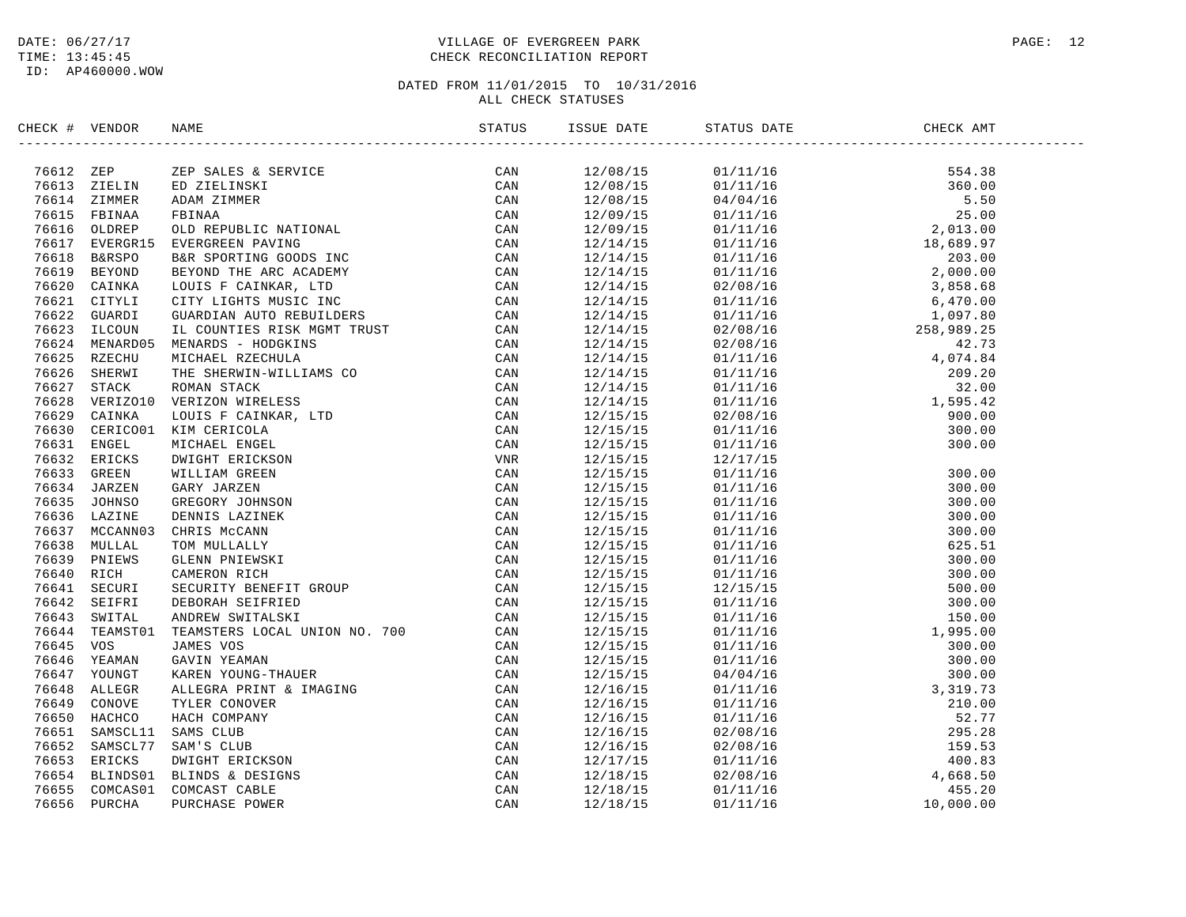### DATE:  $06/27/17$  PAGE: 12 TIME: 13:45:45 CHECK RECONCILIATION REPORT

| CHECK # VENDOR |                   | NAME                                                                                                                                                                                                                                                 |     | ISSUE DATE           | STATUS DATE                                                                                                                                                         | CHECK AMT |  |
|----------------|-------------------|------------------------------------------------------------------------------------------------------------------------------------------------------------------------------------------------------------------------------------------------------|-----|----------------------|---------------------------------------------------------------------------------------------------------------------------------------------------------------------|-----------|--|
| 76612 ZEP      |                   | NAME<br>THE SALES & SERVICE<br>THE SALES & SERVICE<br>RD ZIEP SALES & SERVICE<br>RD ZIEP SALES & SERVICE<br>PEINA ZIMMER<br>PEINA ZIMMER<br>FRINARA<br>EVENT ENCEVITE AND ANNOTIONAL<br>THE SERVINT THE ARC ACADEMY<br>LOUIS F CANNAR, LTD<br>CURRDI | CAN | 12/08/15             |                                                                                                                                                                     |           |  |
|                | 76613 ZIELIN      |                                                                                                                                                                                                                                                      | CAN | 12/08/15             |                                                                                                                                                                     |           |  |
|                | 76614 ZIMMER      |                                                                                                                                                                                                                                                      | CAN | 12/08/15             |                                                                                                                                                                     |           |  |
| 76615          | FBINAA            |                                                                                                                                                                                                                                                      | CAN | 12/09/15             |                                                                                                                                                                     |           |  |
|                | 76616 OLDREP      |                                                                                                                                                                                                                                                      | CAN | 12/09/15             |                                                                                                                                                                     |           |  |
|                | 76617 EVERGR15    |                                                                                                                                                                                                                                                      | CAN | 12/14/15             |                                                                                                                                                                     |           |  |
| 76618          | <b>B&amp;RSPO</b> |                                                                                                                                                                                                                                                      | CAN | 12/14/15             |                                                                                                                                                                     |           |  |
| 76619          | BEYOND            |                                                                                                                                                                                                                                                      | CAN | 12/14/15             |                                                                                                                                                                     |           |  |
| 76620          | CAINKA            |                                                                                                                                                                                                                                                      | CAN | 12/14/15             |                                                                                                                                                                     |           |  |
|                | 76621 CITYLI      |                                                                                                                                                                                                                                                      | CAN | 12/14/15             |                                                                                                                                                                     |           |  |
| 76622          | GUARDI            |                                                                                                                                                                                                                                                      | CAN | 12/14/15             |                                                                                                                                                                     |           |  |
| 76623          | ILCOUN            |                                                                                                                                                                                                                                                      | CAN | 12/14/15             |                                                                                                                                                                     |           |  |
| 76624          | MENARD05          |                                                                                                                                                                                                                                                      | CAN | 12/14/15             |                                                                                                                                                                     |           |  |
|                | 76625 RZECHU      |                                                                                                                                                                                                                                                      | CAN | 12/14/15             |                                                                                                                                                                     |           |  |
| 76626          | SHERWI            |                                                                                                                                                                                                                                                      | CAN | 12/14/15             |                                                                                                                                                                     |           |  |
| 76627          | STACK             |                                                                                                                                                                                                                                                      | CAN | 12/14/15             |                                                                                                                                                                     |           |  |
| 76628          | VERIZO10          |                                                                                                                                                                                                                                                      | CAN | 12/14/15             |                                                                                                                                                                     |           |  |
| 76629          | CAINKA            |                                                                                                                                                                                                                                                      | CAN | 12/15/15             |                                                                                                                                                                     |           |  |
|                | 76630 CERICO01    |                                                                                                                                                                                                                                                      | CAN | 12/15/15             |                                                                                                                                                                     |           |  |
|                | 76631 ENGEL       |                                                                                                                                                                                                                                                      | CAN | 12/15/15             |                                                                                                                                                                     |           |  |
|                | 76632 ERICKS      |                                                                                                                                                                                                                                                      | VNR | 12/15/15             |                                                                                                                                                                     |           |  |
| 76633          | GREEN             |                                                                                                                                                                                                                                                      | CAN |                      |                                                                                                                                                                     |           |  |
|                | 76634 JARZEN      |                                                                                                                                                                                                                                                      | CAN | 12/15/15<br>12/15/15 |                                                                                                                                                                     |           |  |
| 76635          | JOHNSO            |                                                                                                                                                                                                                                                      |     |                      |                                                                                                                                                                     |           |  |
| 76636          | LAZINE            |                                                                                                                                                                                                                                                      | CAN | 12/15/15             |                                                                                                                                                                     |           |  |
|                |                   |                                                                                                                                                                                                                                                      | CAN | 12/15/15             |                                                                                                                                                                     |           |  |
|                | 76637 MCCANN03    |                                                                                                                                                                                                                                                      | CAN | 12/15/15             |                                                                                                                                                                     |           |  |
| 76638          | MULLAL            |                                                                                                                                                                                                                                                      | CAN | 12/15/15             |                                                                                                                                                                     |           |  |
| 76639          | PNIEWS            |                                                                                                                                                                                                                                                      | CAN | 12/15/15             |                                                                                                                                                                     |           |  |
| 76640          | RICH              |                                                                                                                                                                                                                                                      | CAN | 12/15/15             |                                                                                                                                                                     |           |  |
| 76641          | SECURI            |                                                                                                                                                                                                                                                      | CAN | 12/15/15             |                                                                                                                                                                     |           |  |
| 76642          | SEIFRI            |                                                                                                                                                                                                                                                      | CAN | 12/15/15             |                                                                                                                                                                     |           |  |
| 76643          | SWITAL            |                                                                                                                                                                                                                                                      | CAN | 12/15/15             |                                                                                                                                                                     |           |  |
| 76644          | TEAMST01          |                                                                                                                                                                                                                                                      | CAN | 12/15/15             |                                                                                                                                                                     |           |  |
| 76645          | VOS               |                                                                                                                                                                                                                                                      | CAN | 12/15/15             |                                                                                                                                                                     |           |  |
| 76646          | YEAMAN            |                                                                                                                                                                                                                                                      | CAN | 12/15/15             |                                                                                                                                                                     |           |  |
| 76647          | YOUNGT            |                                                                                                                                                                                                                                                      | CAN | 12/15/15             |                                                                                                                                                                     |           |  |
| 76648          | ALLEGR            |                                                                                                                                                                                                                                                      | CAN | 12/16/15             |                                                                                                                                                                     |           |  |
| 76649          | CONOVE            |                                                                                                                                                                                                                                                      | CAN | 12/16/15             |                                                                                                                                                                     | 210.00    |  |
| 76650          | HACHCO            |                                                                                                                                                                                                                                                      | CAN | 12/16/15             |                                                                                                                                                                     | 52.77     |  |
|                | 76651 SAMSCL11    |                                                                                                                                                                                                                                                      | CAN | 12/16/15             |                                                                                                                                                                     | 295.28    |  |
|                | 76652 SAMSCL77    |                                                                                                                                                                                                                                                      | CAN | 12/16/15             | $\begin{array}{llll} 01/11/16 & & 3\,, \vspace{0.1in} \cr 01/11/16 & & 02/08/16 \cr 02/08/16 & & 01/11/16 \cr 02/08/16 & & 4\,, \cr 01/11/16 & & 10\,, \end{array}$ | 159.53    |  |
|                | 76653 ERICKS      |                                                                                                                                                                                                                                                      | CAN | 12/17/15             |                                                                                                                                                                     | 400.83    |  |
| 76654          | BLINDS01          |                                                                                                                                                                                                                                                      | CAN | 12/18/15             |                                                                                                                                                                     | 4,668.50  |  |
| 76655          | COMCAS01          |                                                                                                                                                                                                                                                      | CAN | 12/18/15             |                                                                                                                                                                     | 455.20    |  |
| 76656          | PURCHA            |                                                                                                                                                                                                                                                      | CAN | 12/18/15             | 01/11/16                                                                                                                                                            | 10,000.00 |  |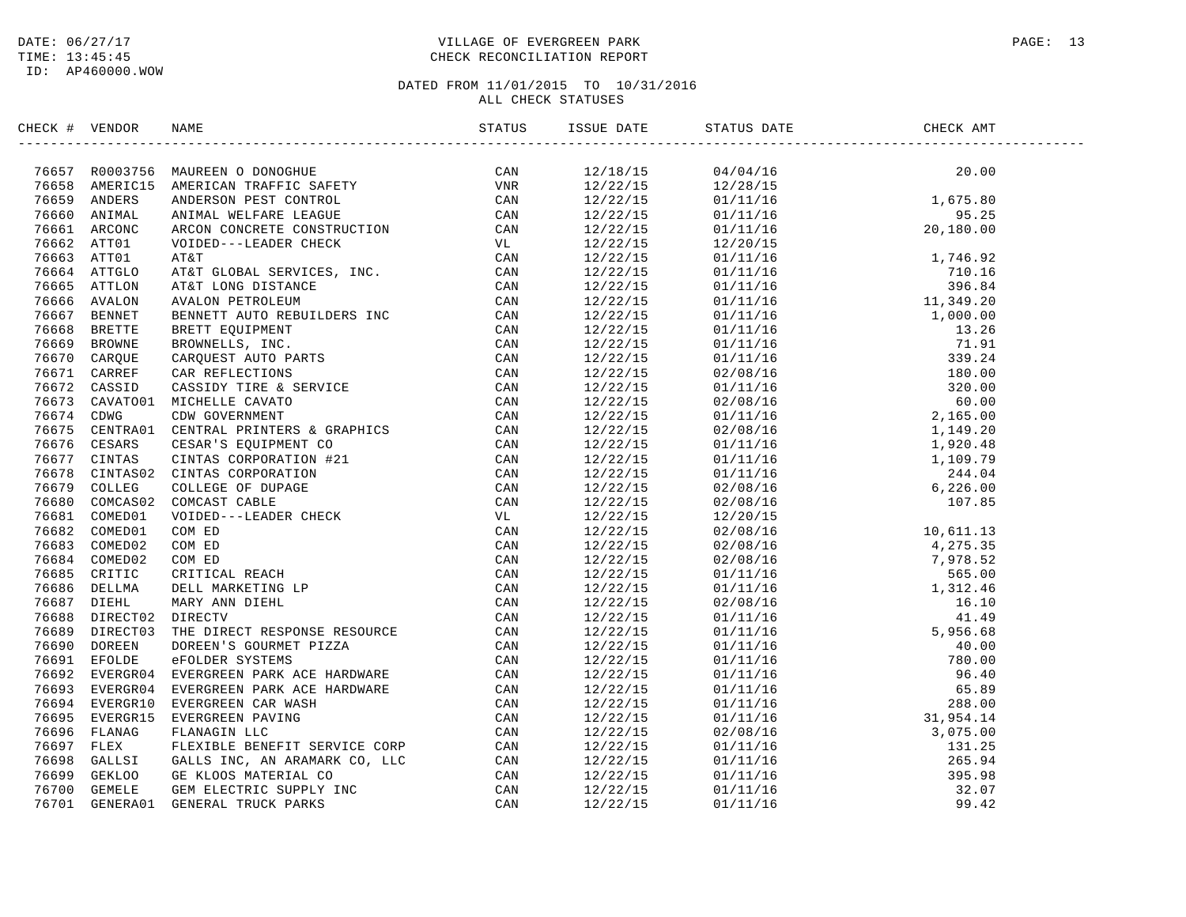### DATE:  $06/27/17$  PAGE: 13 TIME: 13:45:45 CHECK RECONCILIATION REPORT

| CHECK # VENDOR | NAME                                                                                                                                                                                                                                            | STATUS | ISSUE DATE | STATUS DATE                                                                                                                                                                                                                                                                                           | CHECK AMT |  |
|----------------|-------------------------------------------------------------------------------------------------------------------------------------------------------------------------------------------------------------------------------------------------|--------|------------|-------------------------------------------------------------------------------------------------------------------------------------------------------------------------------------------------------------------------------------------------------------------------------------------------------|-----------|--|
|                | HECK † VERDOR RANE CONOUGER (* 1970)<br>1974 - 2001<br>2005 - MINERAL MUSEUM (* 1972)<br>1976 - AMERICAN TRAFIC SAFETY (* 1978)<br>1986 - AMERICAN TRAFIC SAFETY (* 1978)<br>1986 - AMERICAN TRAFIC SAFETY (* 1978)<br>1986 - AMERICAN TRAFIC E |        |            | $\begin{tabular}{cccccccc} $1.2118/15$ & $0.474/15$ & $2.000$ & $1.0111/15$ & $1.688.00$ \\ \hline $1.212/21/15$ & $1.274/15$ & $1.674/15$ & $1.692.01$ \\ \hline $12.222/15$ & $1.2111/15$ & $1.692.01$ & $1.692.01$ \\ \hline $12.222/15$ & $1.2111/15$ & $1.692.01$ & $1.692.01$ \\ \hline $12.22$ |           |  |
|                |                                                                                                                                                                                                                                                 |        |            |                                                                                                                                                                                                                                                                                                       |           |  |
|                |                                                                                                                                                                                                                                                 |        |            |                                                                                                                                                                                                                                                                                                       |           |  |
|                |                                                                                                                                                                                                                                                 |        |            |                                                                                                                                                                                                                                                                                                       |           |  |
|                |                                                                                                                                                                                                                                                 |        |            |                                                                                                                                                                                                                                                                                                       |           |  |
|                |                                                                                                                                                                                                                                                 |        |            |                                                                                                                                                                                                                                                                                                       |           |  |
|                |                                                                                                                                                                                                                                                 |        |            |                                                                                                                                                                                                                                                                                                       |           |  |
|                |                                                                                                                                                                                                                                                 |        |            |                                                                                                                                                                                                                                                                                                       |           |  |
|                |                                                                                                                                                                                                                                                 |        |            |                                                                                                                                                                                                                                                                                                       |           |  |
|                |                                                                                                                                                                                                                                                 |        |            |                                                                                                                                                                                                                                                                                                       |           |  |
|                |                                                                                                                                                                                                                                                 |        |            |                                                                                                                                                                                                                                                                                                       |           |  |
|                |                                                                                                                                                                                                                                                 |        |            |                                                                                                                                                                                                                                                                                                       |           |  |
|                |                                                                                                                                                                                                                                                 |        |            |                                                                                                                                                                                                                                                                                                       |           |  |
|                |                                                                                                                                                                                                                                                 |        |            |                                                                                                                                                                                                                                                                                                       |           |  |
|                |                                                                                                                                                                                                                                                 |        |            |                                                                                                                                                                                                                                                                                                       |           |  |
|                |                                                                                                                                                                                                                                                 |        |            |                                                                                                                                                                                                                                                                                                       |           |  |
|                |                                                                                                                                                                                                                                                 |        |            |                                                                                                                                                                                                                                                                                                       |           |  |
|                |                                                                                                                                                                                                                                                 |        |            |                                                                                                                                                                                                                                                                                                       |           |  |
|                |                                                                                                                                                                                                                                                 |        |            |                                                                                                                                                                                                                                                                                                       |           |  |
|                |                                                                                                                                                                                                                                                 |        |            |                                                                                                                                                                                                                                                                                                       |           |  |
|                |                                                                                                                                                                                                                                                 |        |            |                                                                                                                                                                                                                                                                                                       |           |  |
|                |                                                                                                                                                                                                                                                 |        |            |                                                                                                                                                                                                                                                                                                       |           |  |
|                |                                                                                                                                                                                                                                                 |        |            |                                                                                                                                                                                                                                                                                                       |           |  |
|                |                                                                                                                                                                                                                                                 |        |            |                                                                                                                                                                                                                                                                                                       |           |  |
|                |                                                                                                                                                                                                                                                 |        |            |                                                                                                                                                                                                                                                                                                       |           |  |
|                |                                                                                                                                                                                                                                                 |        |            |                                                                                                                                                                                                                                                                                                       |           |  |
|                |                                                                                                                                                                                                                                                 |        |            |                                                                                                                                                                                                                                                                                                       |           |  |
|                |                                                                                                                                                                                                                                                 |        |            |                                                                                                                                                                                                                                                                                                       |           |  |
|                |                                                                                                                                                                                                                                                 |        |            |                                                                                                                                                                                                                                                                                                       |           |  |
|                |                                                                                                                                                                                                                                                 |        |            |                                                                                                                                                                                                                                                                                                       |           |  |
|                |                                                                                                                                                                                                                                                 |        |            |                                                                                                                                                                                                                                                                                                       |           |  |
|                |                                                                                                                                                                                                                                                 |        |            |                                                                                                                                                                                                                                                                                                       |           |  |
|                |                                                                                                                                                                                                                                                 |        |            |                                                                                                                                                                                                                                                                                                       |           |  |
|                |                                                                                                                                                                                                                                                 |        |            |                                                                                                                                                                                                                                                                                                       |           |  |
|                |                                                                                                                                                                                                                                                 |        |            |                                                                                                                                                                                                                                                                                                       |           |  |
|                |                                                                                                                                                                                                                                                 |        |            |                                                                                                                                                                                                                                                                                                       |           |  |
|                |                                                                                                                                                                                                                                                 |        |            |                                                                                                                                                                                                                                                                                                       |           |  |
|                |                                                                                                                                                                                                                                                 |        |            |                                                                                                                                                                                                                                                                                                       |           |  |
|                |                                                                                                                                                                                                                                                 |        |            |                                                                                                                                                                                                                                                                                                       |           |  |
|                |                                                                                                                                                                                                                                                 |        |            |                                                                                                                                                                                                                                                                                                       |           |  |
|                |                                                                                                                                                                                                                                                 |        |            |                                                                                                                                                                                                                                                                                                       |           |  |
|                |                                                                                                                                                                                                                                                 |        |            |                                                                                                                                                                                                                                                                                                       |           |  |
|                |                                                                                                                                                                                                                                                 |        |            |                                                                                                                                                                                                                                                                                                       |           |  |
|                |                                                                                                                                                                                                                                                 |        |            |                                                                                                                                                                                                                                                                                                       |           |  |
|                |                                                                                                                                                                                                                                                 |        |            |                                                                                                                                                                                                                                                                                                       |           |  |
|                |                                                                                                                                                                                                                                                 |        |            |                                                                                                                                                                                                                                                                                                       |           |  |
|                |                                                                                                                                                                                                                                                 |        |            |                                                                                                                                                                                                                                                                                                       |           |  |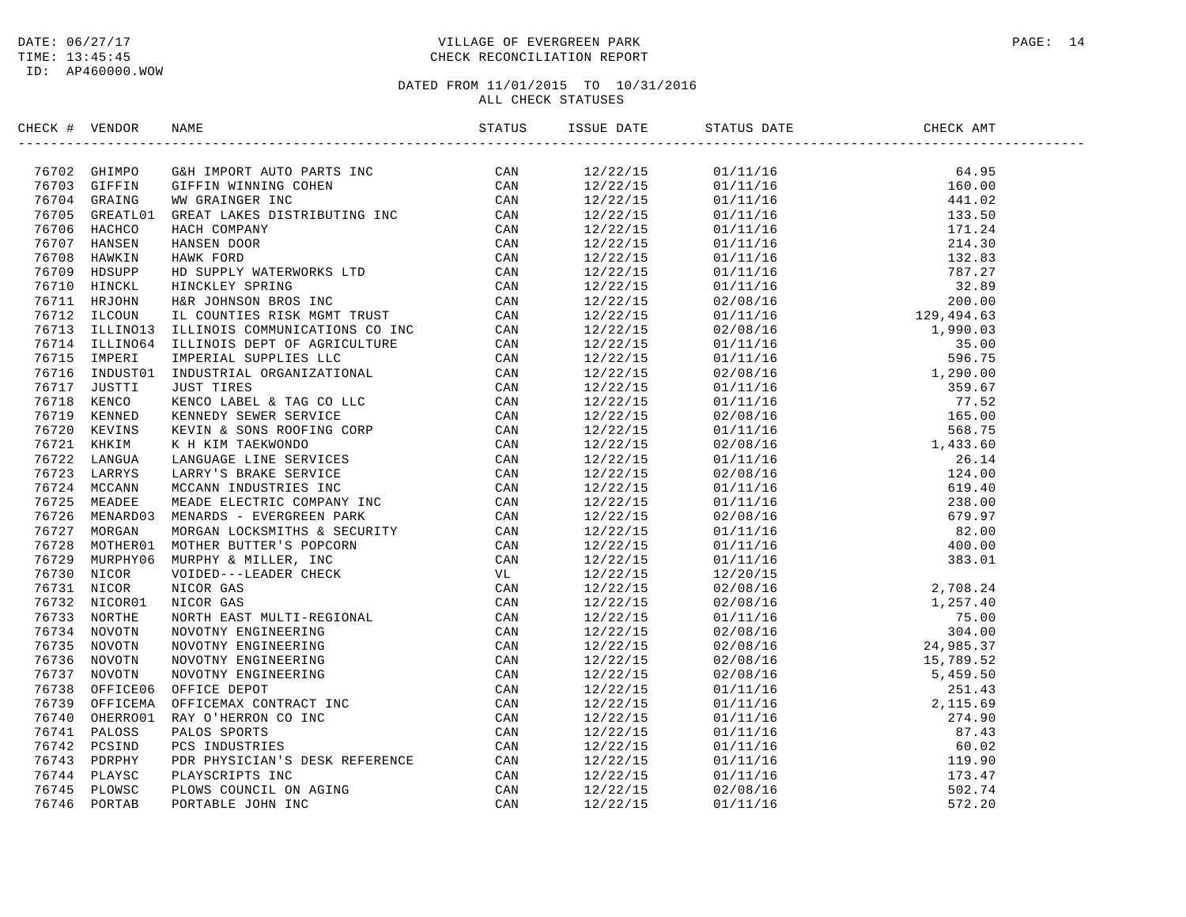#### DATE:  $06/27/17$  PAGE: 14 TIME: 13:45:45 CHECK RECONCILIATION REPORT

| CHECK # VENDOR | NAME |  | STATUS DATE | CHECK AMT |  |
|----------------|------|--|-------------|-----------|--|
|                |      |  |             |           |  |
|                |      |  |             |           |  |
|                |      |  |             |           |  |
|                |      |  |             |           |  |
|                |      |  |             |           |  |
|                |      |  |             |           |  |
|                |      |  |             |           |  |
|                |      |  |             |           |  |
|                |      |  |             |           |  |
|                |      |  |             |           |  |
|                |      |  |             |           |  |
|                |      |  |             |           |  |
|                |      |  |             |           |  |
|                |      |  |             |           |  |
|                |      |  |             |           |  |
|                |      |  |             |           |  |
|                |      |  |             |           |  |
|                |      |  |             |           |  |
|                |      |  |             |           |  |
|                |      |  |             |           |  |
|                |      |  |             |           |  |
|                |      |  |             |           |  |
|                |      |  |             |           |  |
|                |      |  |             |           |  |
|                |      |  |             |           |  |
|                |      |  |             |           |  |
|                |      |  |             |           |  |
|                |      |  |             |           |  |
|                |      |  |             |           |  |
|                |      |  |             |           |  |
|                |      |  |             |           |  |
|                |      |  |             |           |  |
|                |      |  |             |           |  |
|                |      |  |             |           |  |
|                |      |  |             |           |  |
|                |      |  |             |           |  |
|                |      |  |             |           |  |
|                |      |  |             |           |  |
|                |      |  |             |           |  |
|                |      |  |             |           |  |
|                |      |  |             |           |  |
|                |      |  |             |           |  |
|                |      |  |             |           |  |
|                |      |  |             |           |  |
|                |      |  |             |           |  |
|                |      |  |             |           |  |
|                |      |  |             |           |  |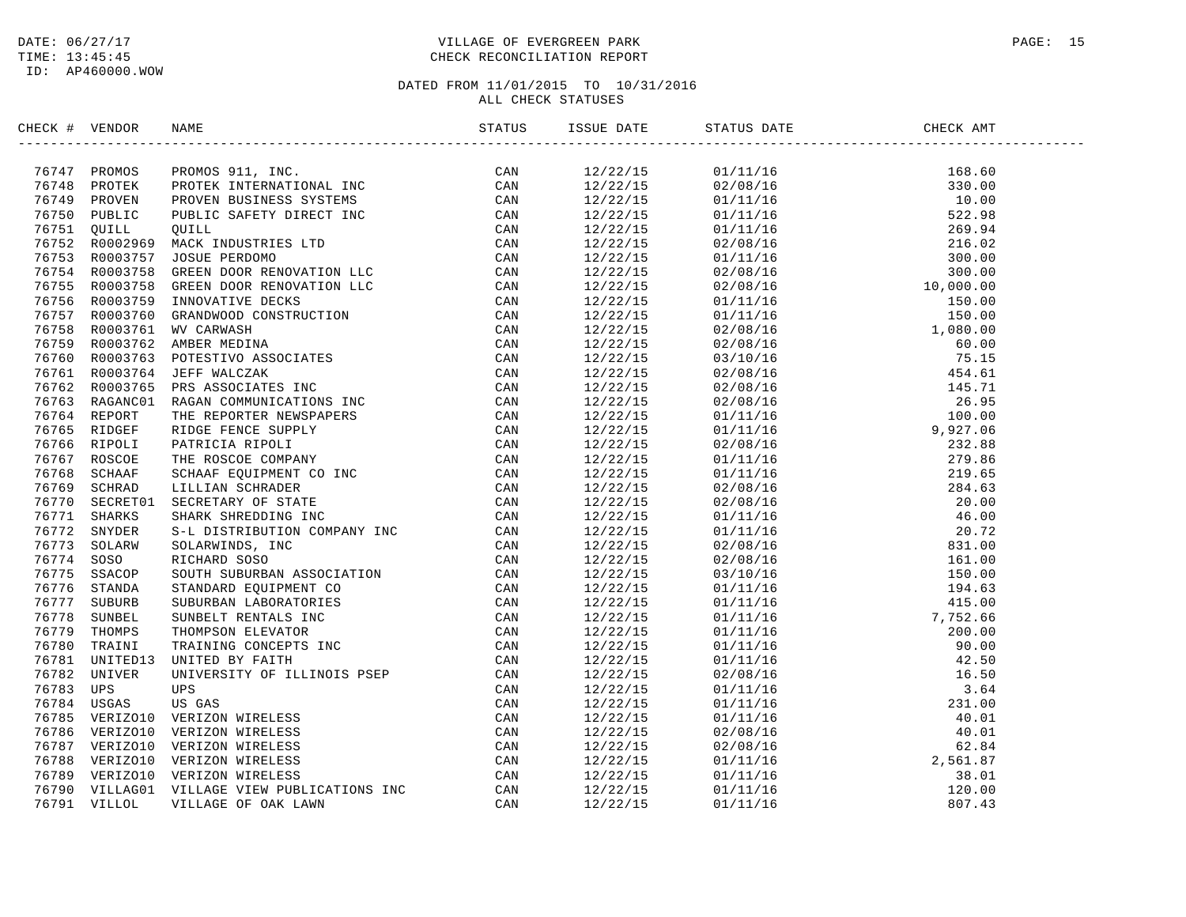#### DATE:  $06/27/17$  PAGE: 15 TIME: 13:45:45 CHECK RECONCILIATION REPORT

| CHECK # VENDOR | NAME                                                                                                                                                                                                                                | ISSUE DATE                         | STATUS DATE                                                                                                                                                                                                                                                                  | CHECK AMT |
|----------------|-------------------------------------------------------------------------------------------------------------------------------------------------------------------------------------------------------------------------------------|------------------------------------|------------------------------------------------------------------------------------------------------------------------------------------------------------------------------------------------------------------------------------------------------------------------------|-----------|
|                | <b>ICK # VERIOR MANE SCHAFF SCHOT AND AN INCREASE CAN 76719 SERIES CONSULTANCE CONSULTED AND SERIES (CAN 7672 SERIES CONSULTANCE IN A 1999 SCHOOSE AND AN INCREASE CONSULTANCE IN A 1999 SCHOOSE CONSULTANCE IN A 1999 SCHOOSE </b> | 12/22/15                           | $\begin{tabular}{cccc} 1111116 & 1600000 \\ 01111116 & 168.60 \\ 01111116 & 1600000 \\ 01111116 & 10000000 \\ 01111116 & 1000000 \\ 01111116 & 1000000 \\ 01111116 & 1000000 \\ 01111116 & 1000000 \\ 01111116 & 150000 \\ 01111116 & 150000 \\ 011111116 & 150000 \\ 01111$ |           |
|                |                                                                                                                                                                                                                                     | $\frac{12}{22}$<br>$\frac{22}{15}$ |                                                                                                                                                                                                                                                                              |           |
|                |                                                                                                                                                                                                                                     | 12/22/15                           |                                                                                                                                                                                                                                                                              |           |
|                |                                                                                                                                                                                                                                     | 12/22/15                           |                                                                                                                                                                                                                                                                              |           |
|                |                                                                                                                                                                                                                                     | 12/22/15                           |                                                                                                                                                                                                                                                                              |           |
|                |                                                                                                                                                                                                                                     | 12/22/15                           |                                                                                                                                                                                                                                                                              |           |
|                |                                                                                                                                                                                                                                     | 12/22/15                           |                                                                                                                                                                                                                                                                              |           |
|                |                                                                                                                                                                                                                                     | 12/22/15                           |                                                                                                                                                                                                                                                                              |           |
|                |                                                                                                                                                                                                                                     | 12/22/15                           |                                                                                                                                                                                                                                                                              |           |
|                |                                                                                                                                                                                                                                     | 12/22/15                           |                                                                                                                                                                                                                                                                              |           |
|                |                                                                                                                                                                                                                                     | 12/22/15                           |                                                                                                                                                                                                                                                                              |           |
|                |                                                                                                                                                                                                                                     | 12/22/15                           |                                                                                                                                                                                                                                                                              |           |
|                |                                                                                                                                                                                                                                     | 12/22/15                           |                                                                                                                                                                                                                                                                              |           |
|                |                                                                                                                                                                                                                                     | 12/22/15                           |                                                                                                                                                                                                                                                                              |           |
|                |                                                                                                                                                                                                                                     | 12/22/15                           |                                                                                                                                                                                                                                                                              |           |
|                |                                                                                                                                                                                                                                     | 12/22/15                           |                                                                                                                                                                                                                                                                              |           |
|                |                                                                                                                                                                                                                                     | 12/22/15                           |                                                                                                                                                                                                                                                                              |           |
|                |                                                                                                                                                                                                                                     | 12/22/15                           |                                                                                                                                                                                                                                                                              |           |
|                |                                                                                                                                                                                                                                     | 12/22/15                           |                                                                                                                                                                                                                                                                              |           |
|                |                                                                                                                                                                                                                                     | 12/22/15                           |                                                                                                                                                                                                                                                                              |           |
|                |                                                                                                                                                                                                                                     | 12/22/15                           |                                                                                                                                                                                                                                                                              |           |
|                |                                                                                                                                                                                                                                     | 12/22/15                           |                                                                                                                                                                                                                                                                              |           |
|                |                                                                                                                                                                                                                                     | 12/22/15                           |                                                                                                                                                                                                                                                                              |           |
|                |                                                                                                                                                                                                                                     | 12/22/15                           |                                                                                                                                                                                                                                                                              |           |
|                |                                                                                                                                                                                                                                     | 12/22/15                           |                                                                                                                                                                                                                                                                              |           |
|                |                                                                                                                                                                                                                                     | 12/22/15                           |                                                                                                                                                                                                                                                                              |           |
|                |                                                                                                                                                                                                                                     | 12/22/15                           |                                                                                                                                                                                                                                                                              |           |
|                |                                                                                                                                                                                                                                     | 12/22/15                           |                                                                                                                                                                                                                                                                              |           |
|                |                                                                                                                                                                                                                                     | 12/22/15                           |                                                                                                                                                                                                                                                                              |           |
|                |                                                                                                                                                                                                                                     | 12/22/15                           |                                                                                                                                                                                                                                                                              |           |
|                |                                                                                                                                                                                                                                     | 12/22/15                           |                                                                                                                                                                                                                                                                              |           |
|                |                                                                                                                                                                                                                                     | 12/22/15                           |                                                                                                                                                                                                                                                                              |           |
|                |                                                                                                                                                                                                                                     | 12/22/15                           |                                                                                                                                                                                                                                                                              |           |
|                |                                                                                                                                                                                                                                     | 12/22/15                           |                                                                                                                                                                                                                                                                              |           |
|                |                                                                                                                                                                                                                                     | 12/22/15                           |                                                                                                                                                                                                                                                                              |           |
|                |                                                                                                                                                                                                                                     | 12/22/15                           |                                                                                                                                                                                                                                                                              |           |
|                |                                                                                                                                                                                                                                     | 12/22/15                           |                                                                                                                                                                                                                                                                              |           |
|                |                                                                                                                                                                                                                                     | 12/22/15                           |                                                                                                                                                                                                                                                                              |           |
|                |                                                                                                                                                                                                                                     | 12/22/15                           |                                                                                                                                                                                                                                                                              |           |
|                |                                                                                                                                                                                                                                     | 12/22/15                           |                                                                                                                                                                                                                                                                              |           |
|                |                                                                                                                                                                                                                                     | 12/22/15                           |                                                                                                                                                                                                                                                                              |           |
|                |                                                                                                                                                                                                                                     | 12/22/15                           |                                                                                                                                                                                                                                                                              |           |
|                |                                                                                                                                                                                                                                     | 12/22/15                           |                                                                                                                                                                                                                                                                              |           |
|                |                                                                                                                                                                                                                                     | 12/22/15                           |                                                                                                                                                                                                                                                                              |           |
|                |                                                                                                                                                                                                                                     | 12/22/15                           |                                                                                                                                                                                                                                                                              |           |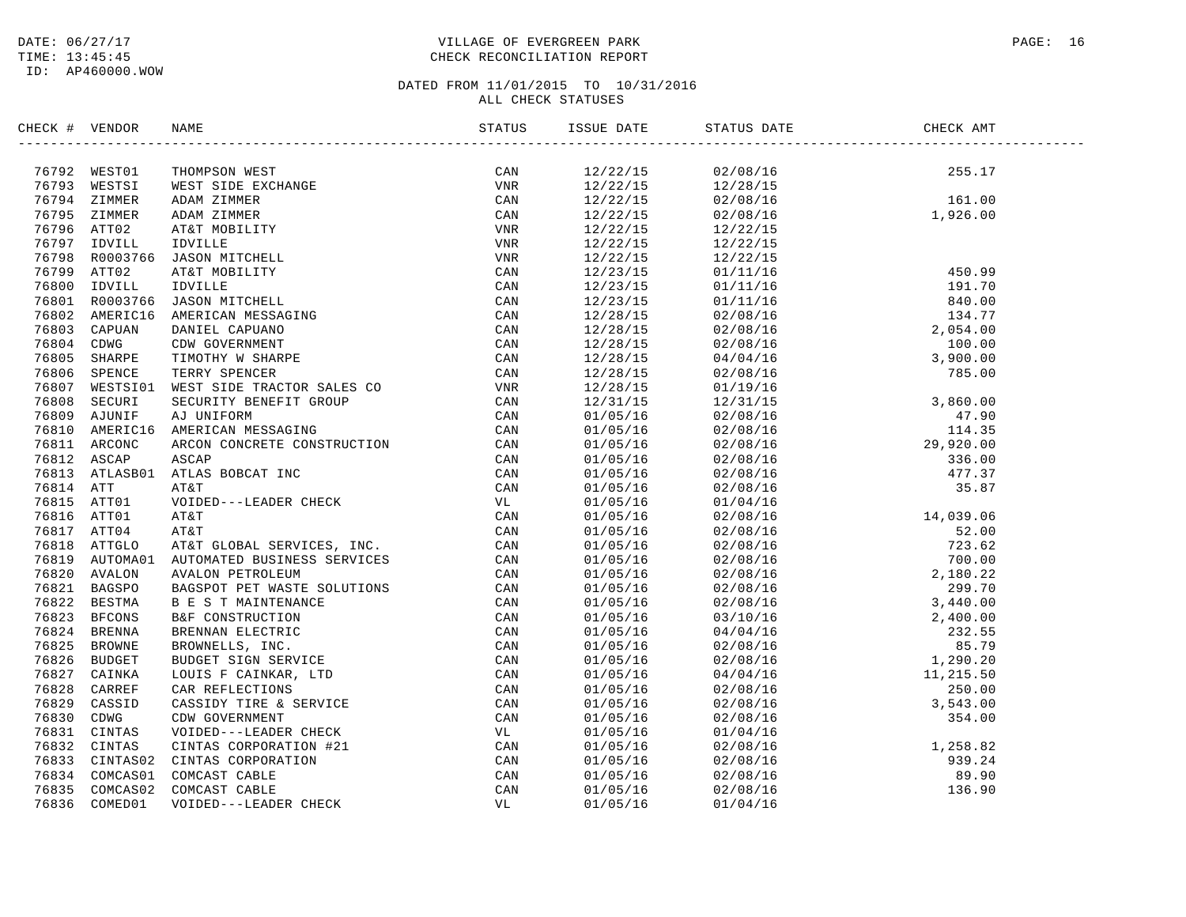#### DATE:  $06/27/17$  PAGE: 16 TIME: 13:45:45 CHECK RECONCILIATION REPORT

| CHECK # VENDOR | NAME                                                                                                                                                                                                                                                                                                | ISSUE DATE           | STATUS DATE                                                                                                                                                                                                                                                                                  | CHECK AMT                                                                                                                                                                                                                                                                       |  |
|----------------|-----------------------------------------------------------------------------------------------------------------------------------------------------------------------------------------------------------------------------------------------------------------------------------------------------|----------------------|----------------------------------------------------------------------------------------------------------------------------------------------------------------------------------------------------------------------------------------------------------------------------------------------|---------------------------------------------------------------------------------------------------------------------------------------------------------------------------------------------------------------------------------------------------------------------------------|--|
|                | ERCK # VENDOR<br>1879<br>1879<br>1879<br>1879<br>1879<br>1885<br>1885<br>1885<br>1885<br>1885<br>1885<br>1885<br>1885<br>1885<br>1885<br>1886<br>1886<br>1886<br>1886<br>1886<br>1886<br>1887<br>1887<br>1887<br>1886<br>1886<br>1886<br>1886<br>1886<br>1886<br>1886<br>1886<br>1886<br>1886<br>18 |                      |                                                                                                                                                                                                                                                                                              |                                                                                                                                                                                                                                                                                 |  |
|                |                                                                                                                                                                                                                                                                                                     |                      | $\begin{array}{cccc} 12/22/15 & 02/08/16 & 255.17 \\ 12/22/15 & 12/28/15 & 04.00 \\ 12/22/15 & 04.00 \\ 12/22/15 & 04.00 \\ 12/22/15 & 04.00 \\ 12/22/15 & 04.00 \\ 1 & 0.00 \\ 1 & 0.00 \\ 1 & 0.00 \\ 1 & 0.00 \\ 1 & 0.00 \\ 1 & 0.00 \\ 1 & 0.00 \\ 1 & 0.00 \\ 1 & 0.00 \\ 1 & 0.00 \\$ |                                                                                                                                                                                                                                                                                 |  |
|                |                                                                                                                                                                                                                                                                                                     |                      |                                                                                                                                                                                                                                                                                              |                                                                                                                                                                                                                                                                                 |  |
|                |                                                                                                                                                                                                                                                                                                     |                      |                                                                                                                                                                                                                                                                                              |                                                                                                                                                                                                                                                                                 |  |
|                |                                                                                                                                                                                                                                                                                                     |                      |                                                                                                                                                                                                                                                                                              |                                                                                                                                                                                                                                                                                 |  |
|                |                                                                                                                                                                                                                                                                                                     | 12/22/15<br>12/22/15 | 12/22/15<br>12/22/15                                                                                                                                                                                                                                                                         |                                                                                                                                                                                                                                                                                 |  |
|                |                                                                                                                                                                                                                                                                                                     | 12/22/15             |                                                                                                                                                                                                                                                                                              |                                                                                                                                                                                                                                                                                 |  |
|                |                                                                                                                                                                                                                                                                                                     | 12/23/15             |                                                                                                                                                                                                                                                                                              |                                                                                                                                                                                                                                                                                 |  |
|                |                                                                                                                                                                                                                                                                                                     | 12/23/15             |                                                                                                                                                                                                                                                                                              |                                                                                                                                                                                                                                                                                 |  |
|                |                                                                                                                                                                                                                                                                                                     | 12/23/15             |                                                                                                                                                                                                                                                                                              |                                                                                                                                                                                                                                                                                 |  |
|                |                                                                                                                                                                                                                                                                                                     | 12/28/15             |                                                                                                                                                                                                                                                                                              |                                                                                                                                                                                                                                                                                 |  |
|                |                                                                                                                                                                                                                                                                                                     | 12/28/15             |                                                                                                                                                                                                                                                                                              |                                                                                                                                                                                                                                                                                 |  |
|                |                                                                                                                                                                                                                                                                                                     | 12/28/15             |                                                                                                                                                                                                                                                                                              |                                                                                                                                                                                                                                                                                 |  |
|                |                                                                                                                                                                                                                                                                                                     | 12/28/15             |                                                                                                                                                                                                                                                                                              |                                                                                                                                                                                                                                                                                 |  |
|                |                                                                                                                                                                                                                                                                                                     | 12/28/15             |                                                                                                                                                                                                                                                                                              |                                                                                                                                                                                                                                                                                 |  |
|                |                                                                                                                                                                                                                                                                                                     | 12/28/15             |                                                                                                                                                                                                                                                                                              |                                                                                                                                                                                                                                                                                 |  |
|                |                                                                                                                                                                                                                                                                                                     | 12/31/15             |                                                                                                                                                                                                                                                                                              |                                                                                                                                                                                                                                                                                 |  |
|                |                                                                                                                                                                                                                                                                                                     | 01/05/16             |                                                                                                                                                                                                                                                                                              |                                                                                                                                                                                                                                                                                 |  |
|                |                                                                                                                                                                                                                                                                                                     | 01/05/16             |                                                                                                                                                                                                                                                                                              |                                                                                                                                                                                                                                                                                 |  |
|                |                                                                                                                                                                                                                                                                                                     | 01/05/16             |                                                                                                                                                                                                                                                                                              |                                                                                                                                                                                                                                                                                 |  |
|                |                                                                                                                                                                                                                                                                                                     | 01/05/16             |                                                                                                                                                                                                                                                                                              |                                                                                                                                                                                                                                                                                 |  |
|                |                                                                                                                                                                                                                                                                                                     | 01/05/16             |                                                                                                                                                                                                                                                                                              |                                                                                                                                                                                                                                                                                 |  |
|                |                                                                                                                                                                                                                                                                                                     | 01/05/16             |                                                                                                                                                                                                                                                                                              |                                                                                                                                                                                                                                                                                 |  |
|                |                                                                                                                                                                                                                                                                                                     | 01/05/16             |                                                                                                                                                                                                                                                                                              |                                                                                                                                                                                                                                                                                 |  |
|                |                                                                                                                                                                                                                                                                                                     | 01/05/16             |                                                                                                                                                                                                                                                                                              |                                                                                                                                                                                                                                                                                 |  |
|                |                                                                                                                                                                                                                                                                                                     | 01/05/16             |                                                                                                                                                                                                                                                                                              |                                                                                                                                                                                                                                                                                 |  |
|                |                                                                                                                                                                                                                                                                                                     | 01/05/16             |                                                                                                                                                                                                                                                                                              |                                                                                                                                                                                                                                                                                 |  |
|                |                                                                                                                                                                                                                                                                                                     | 01/05/16             |                                                                                                                                                                                                                                                                                              |                                                                                                                                                                                                                                                                                 |  |
|                |                                                                                                                                                                                                                                                                                                     | 01/05/16             |                                                                                                                                                                                                                                                                                              |                                                                                                                                                                                                                                                                                 |  |
|                |                                                                                                                                                                                                                                                                                                     | 01/05/16             |                                                                                                                                                                                                                                                                                              |                                                                                                                                                                                                                                                                                 |  |
|                |                                                                                                                                                                                                                                                                                                     | 01/05/16             |                                                                                                                                                                                                                                                                                              |                                                                                                                                                                                                                                                                                 |  |
|                |                                                                                                                                                                                                                                                                                                     | 01/05/16             |                                                                                                                                                                                                                                                                                              |                                                                                                                                                                                                                                                                                 |  |
|                |                                                                                                                                                                                                                                                                                                     | 01/05/16             |                                                                                                                                                                                                                                                                                              |                                                                                                                                                                                                                                                                                 |  |
|                |                                                                                                                                                                                                                                                                                                     | 01/05/16             |                                                                                                                                                                                                                                                                                              |                                                                                                                                                                                                                                                                                 |  |
|                |                                                                                                                                                                                                                                                                                                     | 01/05/16             |                                                                                                                                                                                                                                                                                              |                                                                                                                                                                                                                                                                                 |  |
|                |                                                                                                                                                                                                                                                                                                     | 01/05/16             |                                                                                                                                                                                                                                                                                              |                                                                                                                                                                                                                                                                                 |  |
|                |                                                                                                                                                                                                                                                                                                     | 01/05/16             |                                                                                                                                                                                                                                                                                              |                                                                                                                                                                                                                                                                                 |  |
|                |                                                                                                                                                                                                                                                                                                     | 01/05/16             |                                                                                                                                                                                                                                                                                              |                                                                                                                                                                                                                                                                                 |  |
|                |                                                                                                                                                                                                                                                                                                     | 01/05/16             |                                                                                                                                                                                                                                                                                              |                                                                                                                                                                                                                                                                                 |  |
|                |                                                                                                                                                                                                                                                                                                     | 01/05/16             |                                                                                                                                                                                                                                                                                              |                                                                                                                                                                                                                                                                                 |  |
|                |                                                                                                                                                                                                                                                                                                     | 01/05/16             |                                                                                                                                                                                                                                                                                              |                                                                                                                                                                                                                                                                                 |  |
|                |                                                                                                                                                                                                                                                                                                     | 01/05/16             |                                                                                                                                                                                                                                                                                              |                                                                                                                                                                                                                                                                                 |  |
|                |                                                                                                                                                                                                                                                                                                     | 01/05/16             |                                                                                                                                                                                                                                                                                              |                                                                                                                                                                                                                                                                                 |  |
|                |                                                                                                                                                                                                                                                                                                     | 01/05/16             |                                                                                                                                                                                                                                                                                              |                                                                                                                                                                                                                                                                                 |  |
|                |                                                                                                                                                                                                                                                                                                     | 01/05/16             | 01/04/16                                                                                                                                                                                                                                                                                     | $\begin{array}{cccc} 0.1/0.3/0.8/16 & 14\, , 0.39\, .06 \\ 0.2/0.8/16 & 52\, .00 \\ 0.2/0.8/16 & 723\, .62 \\ 0.2/0.8/16 & 700\, .00 \\ 0.2/0.8/16 & 2\, .180\, .22 \\ 0.2/0.8/16 & 2\, .180\, .22 \\ 0.2/0.8/16 & 3\, , 440\, .00 \\ 0.3/10/16 & 2\, .400\, .00 \\ 0.4/0.4/16$ |  |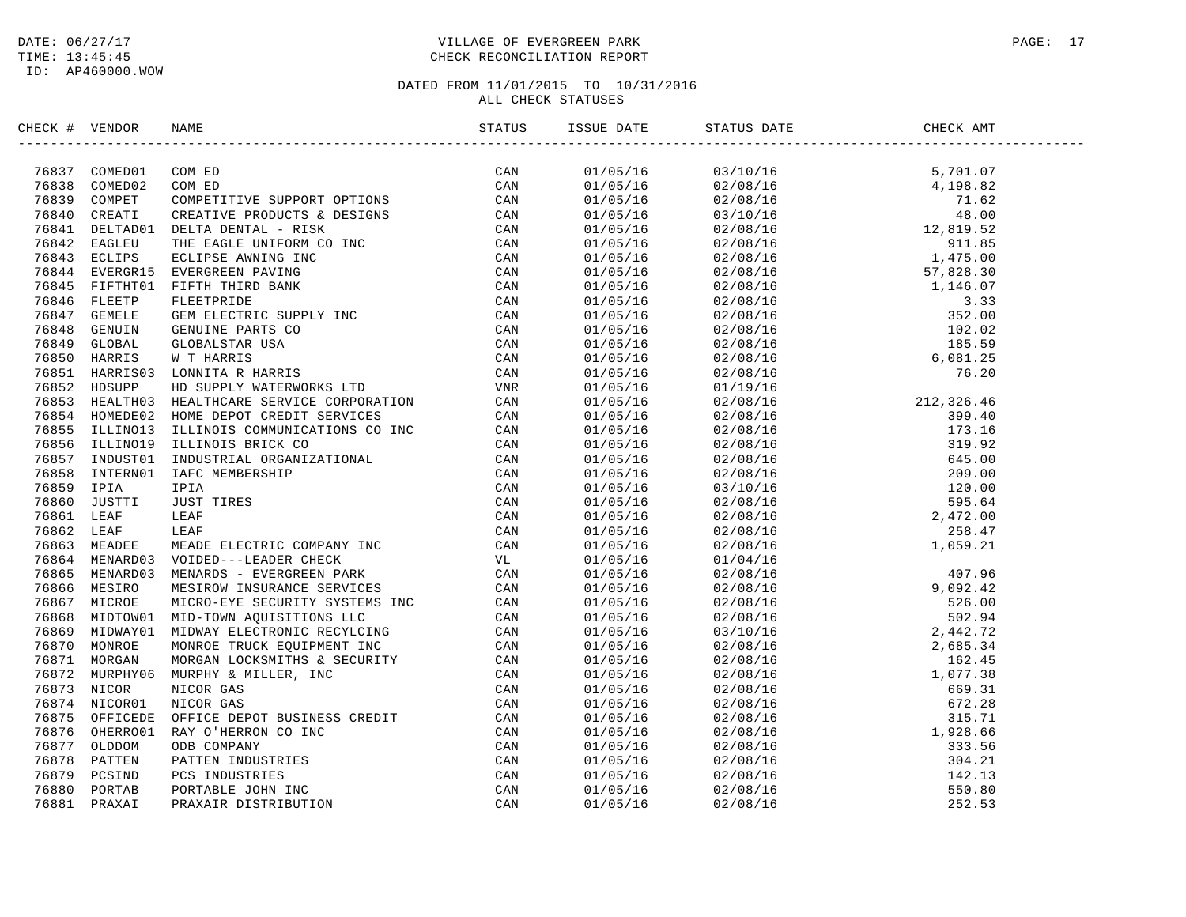#### DATE:  $06/27/17$  PAGE: 17 TIME: 13:45:45 CHECK RECONCILIATION REPORT

| CHECK # VENDOR | NAME                                                                                                                                                                                                                            | ISSUE DATE | STATUS DATE                                                                                                                                                                                                                                                              | CHECK AMT |  |
|----------------|---------------------------------------------------------------------------------------------------------------------------------------------------------------------------------------------------------------------------------|------------|--------------------------------------------------------------------------------------------------------------------------------------------------------------------------------------------------------------------------------------------------------------------------|-----------|--|
|                | ERCK # VENDOR NAME<br>TRESH COMPORE CON ED (AN INTERFERITE STRESH AND CAN THE SERVICE CAN CONFIDENT CONDUCTS A DESIGNATION CAN CAN THE SERVICE CONTROLL INTO THE SAME CAN CONFIDENT ON THE SERVICE OF THE SERVICE ON CAN THE SE |            | $\begin{tabular}{cccccccc} \textbf{5.701} & 911/68/16 & 93/10/16 & 94/16 & 93/10/16 & 93/10/16 & 93/10/16 & 93/10/16 & 93/16/16 & 93/16/16 & 93/16/16 & 93/16/16 & 93/16/16 & 93/16/16 & 93/16/16 & 93/16/16 & 93/16/16 & 93/16/16 & 93/16/16 & 93/16/16 & 93/16/16 & 9$ |           |  |
|                |                                                                                                                                                                                                                                 |            |                                                                                                                                                                                                                                                                          |           |  |
|                |                                                                                                                                                                                                                                 |            |                                                                                                                                                                                                                                                                          |           |  |
|                |                                                                                                                                                                                                                                 |            |                                                                                                                                                                                                                                                                          |           |  |
|                |                                                                                                                                                                                                                                 |            |                                                                                                                                                                                                                                                                          |           |  |
|                |                                                                                                                                                                                                                                 |            |                                                                                                                                                                                                                                                                          |           |  |
|                |                                                                                                                                                                                                                                 |            |                                                                                                                                                                                                                                                                          |           |  |
|                |                                                                                                                                                                                                                                 |            |                                                                                                                                                                                                                                                                          |           |  |
|                |                                                                                                                                                                                                                                 |            |                                                                                                                                                                                                                                                                          |           |  |
|                |                                                                                                                                                                                                                                 |            |                                                                                                                                                                                                                                                                          |           |  |
|                |                                                                                                                                                                                                                                 |            |                                                                                                                                                                                                                                                                          |           |  |
|                |                                                                                                                                                                                                                                 |            |                                                                                                                                                                                                                                                                          |           |  |
|                |                                                                                                                                                                                                                                 |            |                                                                                                                                                                                                                                                                          |           |  |
|                |                                                                                                                                                                                                                                 |            |                                                                                                                                                                                                                                                                          |           |  |
|                |                                                                                                                                                                                                                                 |            |                                                                                                                                                                                                                                                                          |           |  |
|                |                                                                                                                                                                                                                                 |            |                                                                                                                                                                                                                                                                          |           |  |
|                |                                                                                                                                                                                                                                 |            |                                                                                                                                                                                                                                                                          |           |  |
|                |                                                                                                                                                                                                                                 |            |                                                                                                                                                                                                                                                                          |           |  |
|                |                                                                                                                                                                                                                                 |            |                                                                                                                                                                                                                                                                          |           |  |
|                |                                                                                                                                                                                                                                 |            |                                                                                                                                                                                                                                                                          |           |  |
|                |                                                                                                                                                                                                                                 |            |                                                                                                                                                                                                                                                                          |           |  |
|                |                                                                                                                                                                                                                                 |            |                                                                                                                                                                                                                                                                          |           |  |
|                |                                                                                                                                                                                                                                 |            |                                                                                                                                                                                                                                                                          |           |  |
|                |                                                                                                                                                                                                                                 |            |                                                                                                                                                                                                                                                                          |           |  |
|                |                                                                                                                                                                                                                                 |            |                                                                                                                                                                                                                                                                          |           |  |
|                |                                                                                                                                                                                                                                 |            |                                                                                                                                                                                                                                                                          |           |  |
|                |                                                                                                                                                                                                                                 |            |                                                                                                                                                                                                                                                                          |           |  |
|                |                                                                                                                                                                                                                                 |            |                                                                                                                                                                                                                                                                          |           |  |
|                |                                                                                                                                                                                                                                 |            |                                                                                                                                                                                                                                                                          |           |  |
|                |                                                                                                                                                                                                                                 |            |                                                                                                                                                                                                                                                                          |           |  |
|                |                                                                                                                                                                                                                                 |            |                                                                                                                                                                                                                                                                          |           |  |
|                |                                                                                                                                                                                                                                 |            |                                                                                                                                                                                                                                                                          |           |  |
|                |                                                                                                                                                                                                                                 |            |                                                                                                                                                                                                                                                                          |           |  |
|                |                                                                                                                                                                                                                                 |            |                                                                                                                                                                                                                                                                          |           |  |
|                |                                                                                                                                                                                                                                 |            |                                                                                                                                                                                                                                                                          |           |  |
|                |                                                                                                                                                                                                                                 |            |                                                                                                                                                                                                                                                                          |           |  |
|                |                                                                                                                                                                                                                                 |            |                                                                                                                                                                                                                                                                          |           |  |
|                |                                                                                                                                                                                                                                 |            |                                                                                                                                                                                                                                                                          |           |  |
|                |                                                                                                                                                                                                                                 |            |                                                                                                                                                                                                                                                                          |           |  |
|                |                                                                                                                                                                                                                                 |            |                                                                                                                                                                                                                                                                          |           |  |
|                |                                                                                                                                                                                                                                 |            |                                                                                                                                                                                                                                                                          |           |  |
|                |                                                                                                                                                                                                                                 |            |                                                                                                                                                                                                                                                                          |           |  |
|                |                                                                                                                                                                                                                                 |            |                                                                                                                                                                                                                                                                          |           |  |
|                |                                                                                                                                                                                                                                 |            |                                                                                                                                                                                                                                                                          |           |  |
|                |                                                                                                                                                                                                                                 |            |                                                                                                                                                                                                                                                                          |           |  |
|                |                                                                                                                                                                                                                                 |            |                                                                                                                                                                                                                                                                          |           |  |
|                |                                                                                                                                                                                                                                 |            |                                                                                                                                                                                                                                                                          |           |  |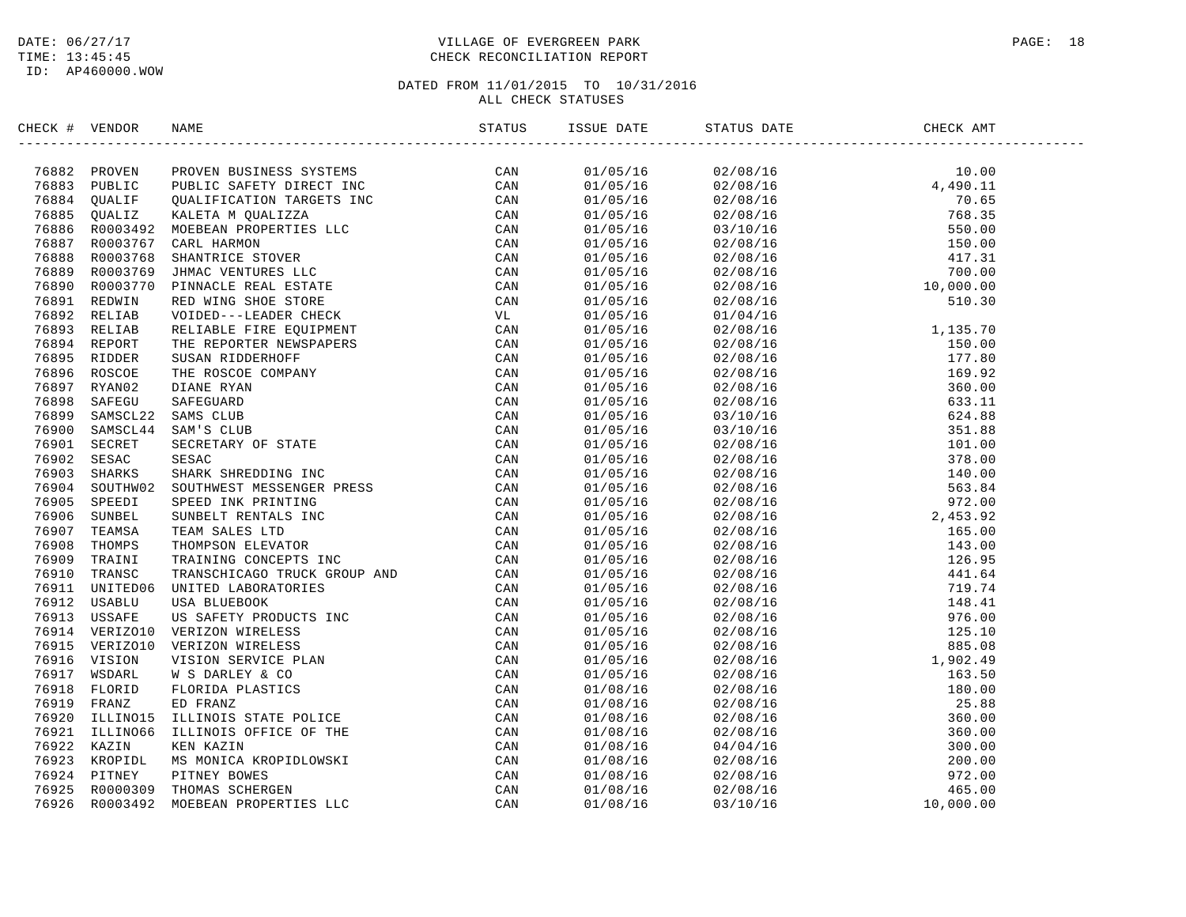#### DATE:  $06/27/17$  PAGE: 18 TIME: 13:45:45 CHECK RECONCILIATION REPORT

| CHECK # VENDOR | NAME | ISSUE DATE | STATUS DATE                                                                                                                                                                                                                                                                       | CHECK AMT |  |
|----------------|------|------------|-----------------------------------------------------------------------------------------------------------------------------------------------------------------------------------------------------------------------------------------------------------------------------------|-----------|--|
|                |      |            | $\begin{tabular}{cccccccc} 1.11 & 0.10 & 0.11 & 0.10 & 0.11 & 0.10 & 0.11 & 0.10 & 0.11 & 0.10 & 0.11 & 0.10 & 0.11 & 0.11 & 0.11 & 0.11 & 0.11 & 0.11 & 0.11 & 0.11 & 0.11 & 0.11 & 0.11 & 0.11 & 0.11 & 0.11 & 0.11 & 0.11 & 0.11 & 0.11 & 0.11 & 0.11 & 0.11 & 0.11 & 0.11 & $ |           |  |
|                |      |            |                                                                                                                                                                                                                                                                                   |           |  |
|                |      |            |                                                                                                                                                                                                                                                                                   |           |  |
|                |      |            |                                                                                                                                                                                                                                                                                   |           |  |
|                |      |            |                                                                                                                                                                                                                                                                                   |           |  |
|                |      |            |                                                                                                                                                                                                                                                                                   |           |  |
|                |      |            |                                                                                                                                                                                                                                                                                   |           |  |
|                |      |            |                                                                                                                                                                                                                                                                                   |           |  |
|                |      |            |                                                                                                                                                                                                                                                                                   |           |  |
|                |      |            |                                                                                                                                                                                                                                                                                   |           |  |
|                |      |            |                                                                                                                                                                                                                                                                                   |           |  |
|                |      |            |                                                                                                                                                                                                                                                                                   |           |  |
|                |      |            |                                                                                                                                                                                                                                                                                   |           |  |
|                |      |            |                                                                                                                                                                                                                                                                                   |           |  |
|                |      |            |                                                                                                                                                                                                                                                                                   |           |  |
|                |      |            |                                                                                                                                                                                                                                                                                   |           |  |
|                |      |            |                                                                                                                                                                                                                                                                                   |           |  |
|                |      |            |                                                                                                                                                                                                                                                                                   |           |  |
|                |      |            |                                                                                                                                                                                                                                                                                   |           |  |
|                |      |            |                                                                                                                                                                                                                                                                                   |           |  |
|                |      |            |                                                                                                                                                                                                                                                                                   |           |  |
|                |      |            |                                                                                                                                                                                                                                                                                   |           |  |
|                |      |            |                                                                                                                                                                                                                                                                                   |           |  |
|                |      |            |                                                                                                                                                                                                                                                                                   |           |  |
|                |      |            |                                                                                                                                                                                                                                                                                   |           |  |
|                |      |            |                                                                                                                                                                                                                                                                                   |           |  |
|                |      |            |                                                                                                                                                                                                                                                                                   |           |  |
|                |      |            |                                                                                                                                                                                                                                                                                   |           |  |
|                |      |            |                                                                                                                                                                                                                                                                                   |           |  |
|                |      |            |                                                                                                                                                                                                                                                                                   |           |  |
|                |      |            |                                                                                                                                                                                                                                                                                   |           |  |
|                |      |            |                                                                                                                                                                                                                                                                                   |           |  |
|                |      |            |                                                                                                                                                                                                                                                                                   |           |  |
|                |      |            |                                                                                                                                                                                                                                                                                   |           |  |
|                |      |            |                                                                                                                                                                                                                                                                                   |           |  |
|                |      |            |                                                                                                                                                                                                                                                                                   |           |  |
|                |      |            |                                                                                                                                                                                                                                                                                   |           |  |
|                |      |            |                                                                                                                                                                                                                                                                                   |           |  |
|                |      |            |                                                                                                                                                                                                                                                                                   |           |  |
|                |      |            |                                                                                                                                                                                                                                                                                   |           |  |
|                |      |            |                                                                                                                                                                                                                                                                                   |           |  |
|                |      |            |                                                                                                                                                                                                                                                                                   |           |  |
|                |      |            |                                                                                                                                                                                                                                                                                   |           |  |
|                |      |            |                                                                                                                                                                                                                                                                                   |           |  |
|                |      |            |                                                                                                                                                                                                                                                                                   |           |  |
|                |      |            |                                                                                                                                                                                                                                                                                   |           |  |
|                |      |            |                                                                                                                                                                                                                                                                                   |           |  |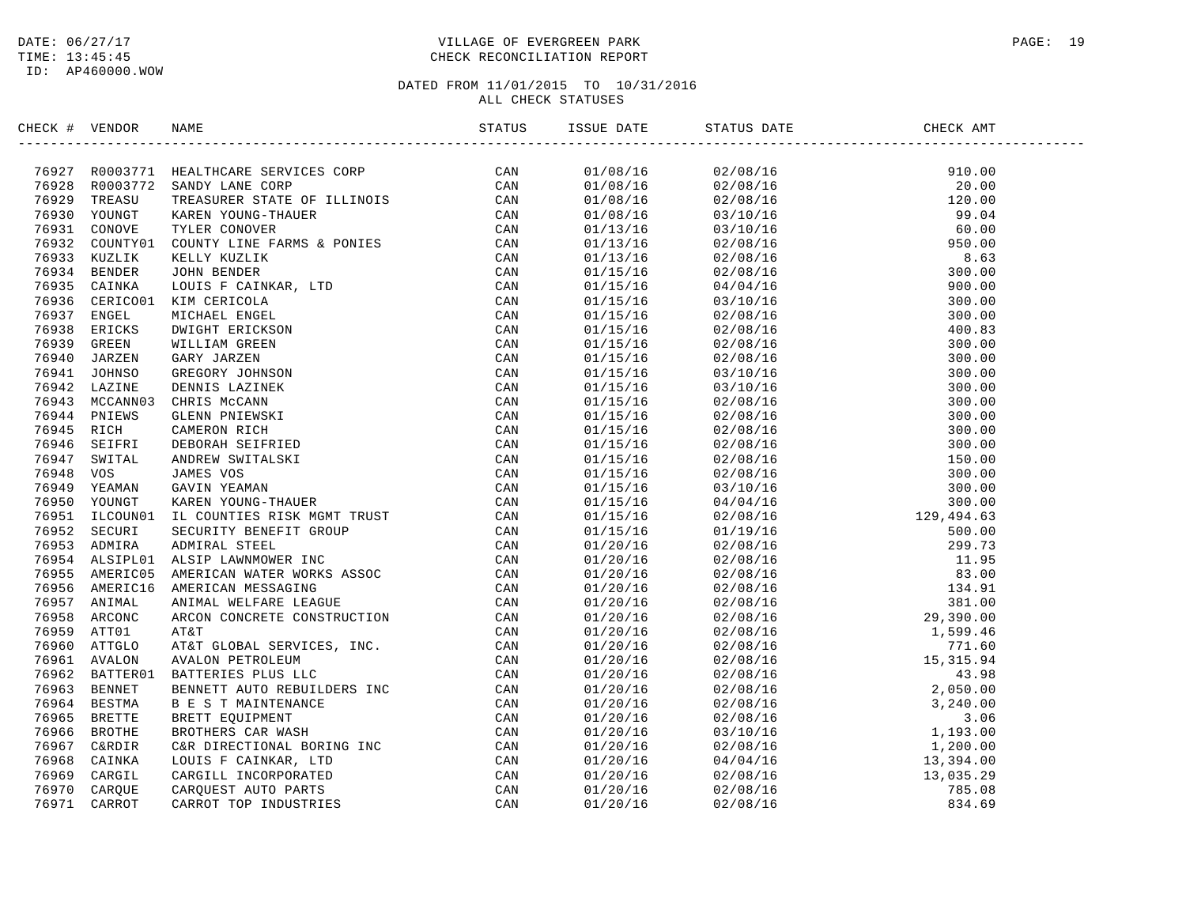#### DATE:  $06/27/17$  PAGE: 19 TIME: 13:45:45 CHECK RECONCILIATION REPORT

| CHECK # VENDOR |                                                                                                                                                                                                                                           |                          | CHECK AMT                                                                                                                                                                                                                                                            |  |
|----------------|-------------------------------------------------------------------------------------------------------------------------------------------------------------------------------------------------------------------------------------------|--------------------------|----------------------------------------------------------------------------------------------------------------------------------------------------------------------------------------------------------------------------------------------------------------------|--|
|                | XRCK + VERIOGRE NAME<br>TASK + VERIOGRE NAME<br>TASK ROOSTYL SEALTUCARE SERVICES CORP<br>TASK ROOSTYL SEARCH VERNER SERVICE OF CLINOIS<br>TASK ROOSTYL SEARCH YOUNG-THAUGE CORP<br>TASK ROOSTYL CORPUS TREAT TANK AND CORPUSE CAN<br>TASK |                          | $\begin{tabular}{cccccccc} 5111000&2708/16 & 300.000\\ 22/08/16 & 320.000\\ 22/08/16 & 320.000\\ 23/10/16 & 399.04\\ 03/10/16 & 390.00\\ 22/08/16 & 300.00\\ 22/08/16 & 300.00\\ 22/08/16 & 300.00\\ 22/08/16 & 300.00\\ 22/08/16 & 300.00\\ 22/08/16 & 300.00\\ 22$ |  |
|                |                                                                                                                                                                                                                                           | $01/08/16$<br>01/08/16   |                                                                                                                                                                                                                                                                      |  |
|                |                                                                                                                                                                                                                                           | 01/08/16                 |                                                                                                                                                                                                                                                                      |  |
|                |                                                                                                                                                                                                                                           | 01/08/16                 |                                                                                                                                                                                                                                                                      |  |
|                |                                                                                                                                                                                                                                           | 01/08/16                 |                                                                                                                                                                                                                                                                      |  |
|                |                                                                                                                                                                                                                                           | 01/13/16                 |                                                                                                                                                                                                                                                                      |  |
|                |                                                                                                                                                                                                                                           | 01/13/16<br>01/13/16     |                                                                                                                                                                                                                                                                      |  |
|                |                                                                                                                                                                                                                                           | 01/15/16                 |                                                                                                                                                                                                                                                                      |  |
|                |                                                                                                                                                                                                                                           | 01/15/16                 |                                                                                                                                                                                                                                                                      |  |
|                |                                                                                                                                                                                                                                           | 01/15/16                 |                                                                                                                                                                                                                                                                      |  |
|                |                                                                                                                                                                                                                                           | 01/15/16                 |                                                                                                                                                                                                                                                                      |  |
|                |                                                                                                                                                                                                                                           | 01/15/16                 |                                                                                                                                                                                                                                                                      |  |
|                |                                                                                                                                                                                                                                           | 01/15/16                 |                                                                                                                                                                                                                                                                      |  |
|                |                                                                                                                                                                                                                                           | 01/15/16                 |                                                                                                                                                                                                                                                                      |  |
|                |                                                                                                                                                                                                                                           | 01/15/16                 |                                                                                                                                                                                                                                                                      |  |
|                |                                                                                                                                                                                                                                           | 01/15/16                 |                                                                                                                                                                                                                                                                      |  |
|                |                                                                                                                                                                                                                                           | 01/15/16                 |                                                                                                                                                                                                                                                                      |  |
|                |                                                                                                                                                                                                                                           | 01/15/16                 |                                                                                                                                                                                                                                                                      |  |
|                |                                                                                                                                                                                                                                           | 01/15/16                 |                                                                                                                                                                                                                                                                      |  |
|                |                                                                                                                                                                                                                                           | 01/15/16                 |                                                                                                                                                                                                                                                                      |  |
|                |                                                                                                                                                                                                                                           | 01/15/16                 |                                                                                                                                                                                                                                                                      |  |
|                |                                                                                                                                                                                                                                           |                          |                                                                                                                                                                                                                                                                      |  |
|                |                                                                                                                                                                                                                                           | $01/15/16$<br>$01/15/16$ |                                                                                                                                                                                                                                                                      |  |
|                |                                                                                                                                                                                                                                           | 01/15/16                 |                                                                                                                                                                                                                                                                      |  |
|                |                                                                                                                                                                                                                                           | 01/15/16                 |                                                                                                                                                                                                                                                                      |  |
|                |                                                                                                                                                                                                                                           | 01/15/16                 |                                                                                                                                                                                                                                                                      |  |
|                |                                                                                                                                                                                                                                           | 01/20/16                 |                                                                                                                                                                                                                                                                      |  |
|                |                                                                                                                                                                                                                                           | 01/20/16                 |                                                                                                                                                                                                                                                                      |  |
|                |                                                                                                                                                                                                                                           | 01/20/16                 |                                                                                                                                                                                                                                                                      |  |
|                |                                                                                                                                                                                                                                           | 01/20/16                 |                                                                                                                                                                                                                                                                      |  |
|                |                                                                                                                                                                                                                                           | 01/20/16                 |                                                                                                                                                                                                                                                                      |  |
|                |                                                                                                                                                                                                                                           | 01/20/16                 |                                                                                                                                                                                                                                                                      |  |
|                |                                                                                                                                                                                                                                           | 01/20/16                 |                                                                                                                                                                                                                                                                      |  |
|                |                                                                                                                                                                                                                                           | 01/20/16                 |                                                                                                                                                                                                                                                                      |  |
|                |                                                                                                                                                                                                                                           | 01/20/16                 |                                                                                                                                                                                                                                                                      |  |
|                |                                                                                                                                                                                                                                           | 01/20/16                 |                                                                                                                                                                                                                                                                      |  |
|                |                                                                                                                                                                                                                                           | 01/20/16                 |                                                                                                                                                                                                                                                                      |  |
|                |                                                                                                                                                                                                                                           | 01/20/16                 |                                                                                                                                                                                                                                                                      |  |
|                |                                                                                                                                                                                                                                           | 01/20/16                 |                                                                                                                                                                                                                                                                      |  |
|                |                                                                                                                                                                                                                                           | 01/20/16                 |                                                                                                                                                                                                                                                                      |  |
|                |                                                                                                                                                                                                                                           | 01/20/16                 |                                                                                                                                                                                                                                                                      |  |
|                |                                                                                                                                                                                                                                           | 01/20/16                 |                                                                                                                                                                                                                                                                      |  |
|                |                                                                                                                                                                                                                                           | 01/20/16                 |                                                                                                                                                                                                                                                                      |  |
|                |                                                                                                                                                                                                                                           | 01/20/16                 |                                                                                                                                                                                                                                                                      |  |
|                |                                                                                                                                                                                                                                           | 01/20/16                 |                                                                                                                                                                                                                                                                      |  |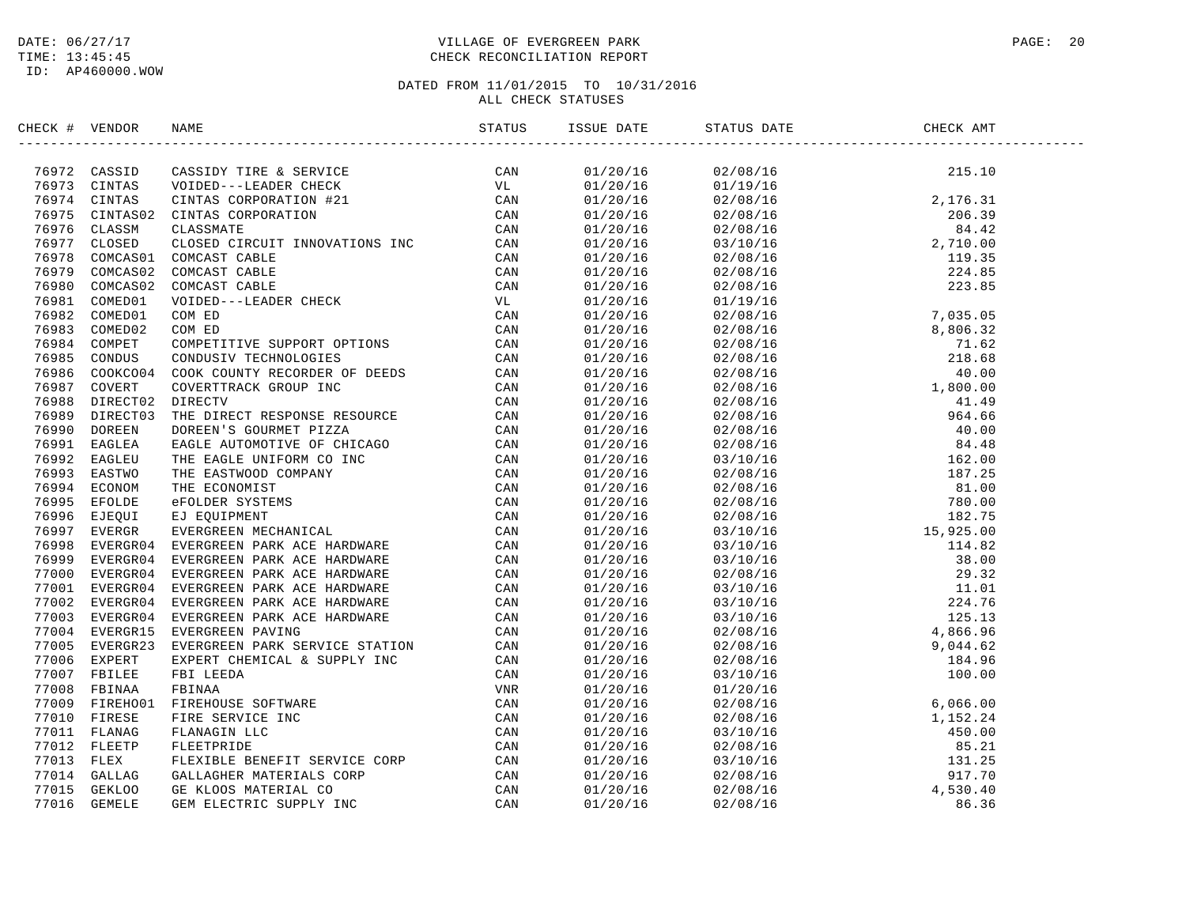#### DATE:  $06/27/17$  PAGE: 20 TIME: 13:45:45 CHECK RECONCILIATION REPORT

| CHECK # VENDOR | NAME                                                                                                                                                                                                                            | ISSUE DATE | STATUS DATE | CHECK AMT |  |
|----------------|---------------------------------------------------------------------------------------------------------------------------------------------------------------------------------------------------------------------------------|------------|-------------|-----------|--|
|                | SHOW NEW YORK SEED (THE A SEVICE A SEVICE SERVES CONTROLL 1978)<br>1978-12 CASSID THE A SEVICE SERVES CONVENTION (THE A SEVICE CAN A STRIP (THE A SERVES CONTRAST) CONTRAST CONTRAST CONTRAST CONTRAST CONTRAST CONTRAST CONTRA |            |             |           |  |
|                |                                                                                                                                                                                                                                 |            |             |           |  |
|                |                                                                                                                                                                                                                                 |            |             |           |  |
|                |                                                                                                                                                                                                                                 |            |             |           |  |
|                |                                                                                                                                                                                                                                 |            |             |           |  |
|                |                                                                                                                                                                                                                                 |            |             |           |  |
|                |                                                                                                                                                                                                                                 |            |             |           |  |
|                |                                                                                                                                                                                                                                 |            |             |           |  |
|                |                                                                                                                                                                                                                                 |            |             |           |  |
|                |                                                                                                                                                                                                                                 |            |             |           |  |
|                |                                                                                                                                                                                                                                 |            |             |           |  |
|                |                                                                                                                                                                                                                                 |            |             |           |  |
|                |                                                                                                                                                                                                                                 |            |             |           |  |
|                |                                                                                                                                                                                                                                 |            |             |           |  |
|                |                                                                                                                                                                                                                                 |            |             |           |  |
|                |                                                                                                                                                                                                                                 |            |             |           |  |
|                |                                                                                                                                                                                                                                 |            |             |           |  |
|                |                                                                                                                                                                                                                                 |            |             |           |  |
|                |                                                                                                                                                                                                                                 |            |             |           |  |
|                |                                                                                                                                                                                                                                 |            |             |           |  |
|                |                                                                                                                                                                                                                                 |            |             |           |  |
|                |                                                                                                                                                                                                                                 |            |             |           |  |
|                |                                                                                                                                                                                                                                 |            |             |           |  |
|                |                                                                                                                                                                                                                                 |            |             |           |  |
|                |                                                                                                                                                                                                                                 |            |             |           |  |
|                |                                                                                                                                                                                                                                 |            |             |           |  |
|                |                                                                                                                                                                                                                                 |            |             |           |  |
|                |                                                                                                                                                                                                                                 |            |             |           |  |
|                |                                                                                                                                                                                                                                 |            |             |           |  |
|                |                                                                                                                                                                                                                                 |            |             |           |  |
|                |                                                                                                                                                                                                                                 |            |             |           |  |
|                |                                                                                                                                                                                                                                 |            |             |           |  |
|                |                                                                                                                                                                                                                                 |            |             |           |  |
|                |                                                                                                                                                                                                                                 |            |             |           |  |
|                |                                                                                                                                                                                                                                 |            |             |           |  |
|                |                                                                                                                                                                                                                                 |            |             |           |  |
|                |                                                                                                                                                                                                                                 |            |             |           |  |
|                |                                                                                                                                                                                                                                 |            |             |           |  |
|                |                                                                                                                                                                                                                                 |            |             |           |  |
|                |                                                                                                                                                                                                                                 |            |             |           |  |
|                |                                                                                                                                                                                                                                 |            |             |           |  |
|                |                                                                                                                                                                                                                                 |            |             |           |  |
|                |                                                                                                                                                                                                                                 |            |             |           |  |
|                |                                                                                                                                                                                                                                 |            |             |           |  |
|                |                                                                                                                                                                                                                                 |            |             |           |  |
|                |                                                                                                                                                                                                                                 |            |             |           |  |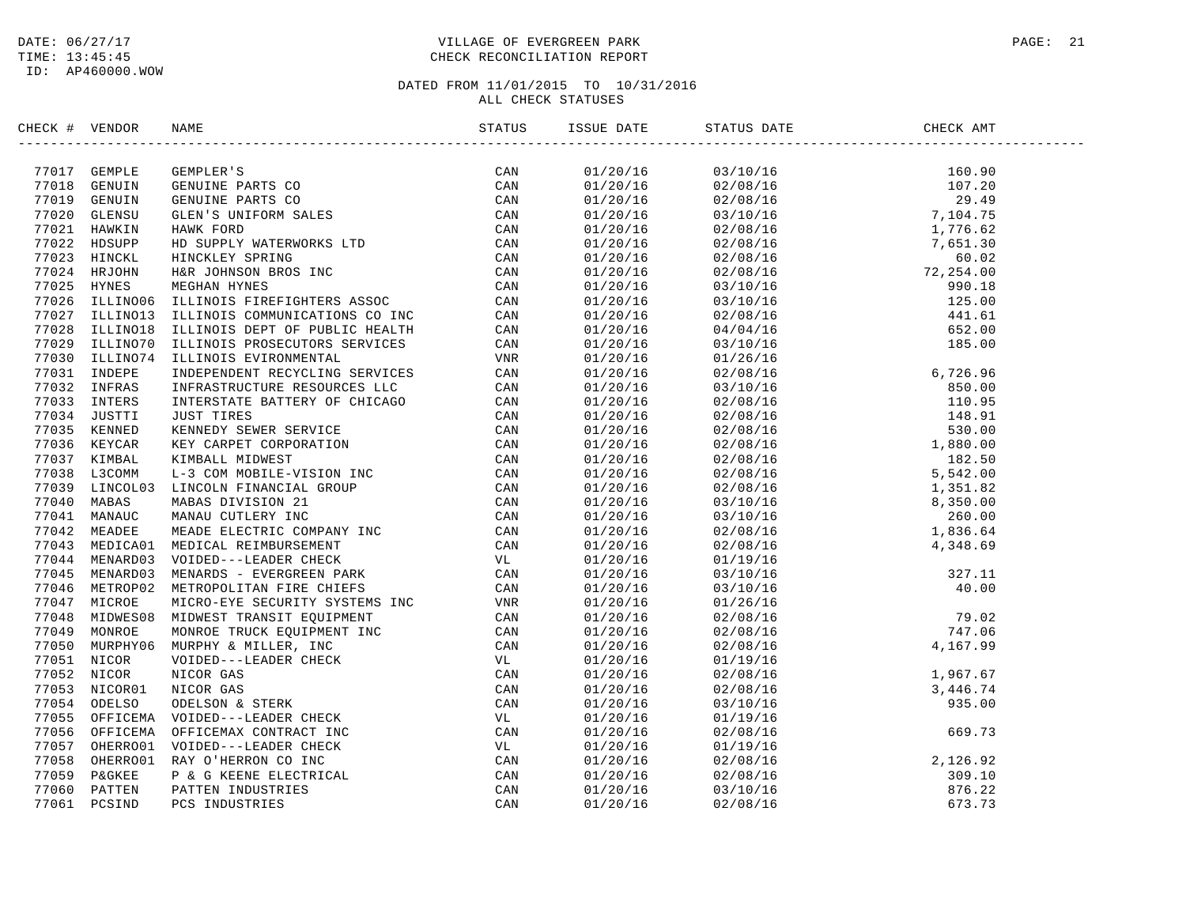#### DATE:  $06/27/17$  PAGE: 21 TIME: 13:45:45 CHECK RECONCILIATION REPORT

## DATED FROM 11/01/2015 TO 10/31/2016

ALL CHECK STATUSES

| CHECK # VENDOR |                | NAME                                                                                                                                                                                                                                       | STATUS | ISSUE DATE | STATUS DATE<br>--------------- | CHECK AMT                                                                                                                                                                                                                                                  |
|----------------|----------------|--------------------------------------------------------------------------------------------------------------------------------------------------------------------------------------------------------------------------------------------|--------|------------|--------------------------------|------------------------------------------------------------------------------------------------------------------------------------------------------------------------------------------------------------------------------------------------------------|
|                |                |                                                                                                                                                                                                                                            |        |            |                                |                                                                                                                                                                                                                                                            |
|                |                | 77017 GEMPLE GEMPLER'S<br>77018 GENUIN GENUINE PARTS CO<br>77019 GENUIN GENUINE PARTS CO<br>77020 GLENSU GLEN'S UNIFORM SALES<br>77021 HAWKIN HAWK FORD CAN<br>77022 HDSUPP HD SUPPLY WATERWORKS LTD CAN<br>77023 HINCKL HINCKLEY SPRING C |        | 01/20/16   |                                |                                                                                                                                                                                                                                                            |
|                |                |                                                                                                                                                                                                                                            |        | 01/20/16   |                                |                                                                                                                                                                                                                                                            |
|                |                |                                                                                                                                                                                                                                            |        | 01/20/16   |                                |                                                                                                                                                                                                                                                            |
|                |                |                                                                                                                                                                                                                                            |        | 01/20/16   |                                |                                                                                                                                                                                                                                                            |
|                |                |                                                                                                                                                                                                                                            |        | 01/20/16   |                                |                                                                                                                                                                                                                                                            |
|                |                |                                                                                                                                                                                                                                            |        | 01/20/16   |                                |                                                                                                                                                                                                                                                            |
|                |                |                                                                                                                                                                                                                                            |        | 01/20/16   |                                |                                                                                                                                                                                                                                                            |
|                |                |                                                                                                                                                                                                                                            |        | 01/20/16   |                                |                                                                                                                                                                                                                                                            |
|                |                |                                                                                                                                                                                                                                            |        | 01/20/16   |                                |                                                                                                                                                                                                                                                            |
|                |                |                                                                                                                                                                                                                                            |        | 01/20/16   |                                |                                                                                                                                                                                                                                                            |
|                |                |                                                                                                                                                                                                                                            |        | 01/20/16   |                                |                                                                                                                                                                                                                                                            |
|                |                |                                                                                                                                                                                                                                            |        | 01/20/16   |                                |                                                                                                                                                                                                                                                            |
|                | 77029 ILLINO70 | ILLINOIS PROSECUTORS SERVICES                                                                                                                                                                                                              | CAN    | 01/20/16   |                                |                                                                                                                                                                                                                                                            |
|                |                | 77030 ILLINO74 ILLINOIS EVIRONMENTAL                                                                                                                                                                                                       | VNR    | 01/20/16   | 01/26/16                       |                                                                                                                                                                                                                                                            |
|                |                |                                                                                                                                                                                                                                            |        | 01/20/16   | 02/08/16                       |                                                                                                                                                                                                                                                            |
|                |                |                                                                                                                                                                                                                                            |        | 01/20/16   | 03/10/16                       |                                                                                                                                                                                                                                                            |
|                |                |                                                                                                                                                                                                                                            |        | 01/20/16   | 02/08/16                       |                                                                                                                                                                                                                                                            |
|                |                |                                                                                                                                                                                                                                            |        | 01/20/16   | 02/08/16                       |                                                                                                                                                                                                                                                            |
|                |                |                                                                                                                                                                                                                                            |        | 01/20/16   | 02/08/16                       |                                                                                                                                                                                                                                                            |
|                |                |                                                                                                                                                                                                                                            |        | 01/20/16   | 02/08/16                       |                                                                                                                                                                                                                                                            |
|                |                |                                                                                                                                                                                                                                            |        | 01/20/16   | 02/08/16                       |                                                                                                                                                                                                                                                            |
|                |                |                                                                                                                                                                                                                                            |        | 01/20/16   | 02/08/16                       |                                                                                                                                                                                                                                                            |
|                |                |                                                                                                                                                                                                                                            |        | 01/20/16   | 02/08/16                       |                                                                                                                                                                                                                                                            |
|                |                |                                                                                                                                                                                                                                            |        | 01/20/16   | 03/10/16                       | $\begin{array}{r} 6\, , 726\, , 96 \\ 850\, , 00 \\ 110\, , 95 \\ 148\, , 91 \\ 530\, , 00 \\ 1\, , 880\, , 00 \\ 182\, .50 \\ 5\, , 542\, , 00 \\ 1\, , 351\, .82 \\ 8\, , 350\, , 00 \\ 260\, , 00 \\ 1\, , 836\, .64 \\ 4\, , 348\, .69 \\ \end{array}$ |
|                |                |                                                                                                                                                                                                                                            |        | 01/20/16   | 03/10/16                       |                                                                                                                                                                                                                                                            |
|                |                |                                                                                                                                                                                                                                            |        | 01/20/16   | 02/08/16                       |                                                                                                                                                                                                                                                            |
|                |                |                                                                                                                                                                                                                                            |        | 01/20/16   | 02/08/16                       | 4,348.69                                                                                                                                                                                                                                                   |
|                |                |                                                                                                                                                                                                                                            |        | 01/20/16   | 01/19/16                       |                                                                                                                                                                                                                                                            |
|                |                |                                                                                                                                                                                                                                            |        | 01/20/16   | 03/10/16                       |                                                                                                                                                                                                                                                            |
|                |                |                                                                                                                                                                                                                                            |        | 01/20/16   | 03/10/16                       |                                                                                                                                                                                                                                                            |
|                |                |                                                                                                                                                                                                                                            |        | 01/20/16   | 01/26/16                       |                                                                                                                                                                                                                                                            |
|                |                |                                                                                                                                                                                                                                            |        | 01/20/16   | 02/08/16                       | $327.11$<br>$40.00$<br>$79.02$<br>$747.06$<br>$4,167.99$                                                                                                                                                                                                   |
|                |                |                                                                                                                                                                                                                                            |        | 01/20/16   | 02/08/16                       |                                                                                                                                                                                                                                                            |
|                |                |                                                                                                                                                                                                                                            |        | 01/20/16   | 02/08/16                       |                                                                                                                                                                                                                                                            |
|                |                |                                                                                                                                                                                                                                            |        | 01/20/16   | 01/19/16                       |                                                                                                                                                                                                                                                            |
|                |                |                                                                                                                                                                                                                                            |        | 01/20/16   | 02/08/16                       | 1,967.67                                                                                                                                                                                                                                                   |
|                |                |                                                                                                                                                                                                                                            |        | 01/20/16   | 02/08/16                       |                                                                                                                                                                                                                                                            |
|                |                |                                                                                                                                                                                                                                            |        | 01/20/16   | 03/10/16                       |                                                                                                                                                                                                                                                            |
|                |                |                                                                                                                                                                                                                                            |        | 01/20/16   | 01/19/16                       |                                                                                                                                                                                                                                                            |
|                |                |                                                                                                                                                                                                                                            |        | 01/20/16   | 02/08/16                       |                                                                                                                                                                                                                                                            |
|                |                |                                                                                                                                                                                                                                            |        | 01/20/16   | 01/19/16                       | $3,446.74$<br>935.00<br>669.73                                                                                                                                                                                                                             |
|                |                |                                                                                                                                                                                                                                            |        | 01/20/16   | 02/08/16                       |                                                                                                                                                                                                                                                            |
|                |                |                                                                                                                                                                                                                                            |        | 01/20/16   | 02/08/16                       |                                                                                                                                                                                                                                                            |
|                |                |                                                                                                                                                                                                                                            |        | 01/20/16   | 03/10/16                       |                                                                                                                                                                                                                                                            |
|                |                | 77023 ILLINOTO ILLINOTS PROSECUTORS SERVICES CAN VIRTINOT (NEW TOPOS INFRASHMETRICAL CAN TREAT TOSS INFORMATION (NEW THE STOLEM CAN TREAT TO CAN THE STOLEM AND INFORMATION CAN ARREST CAN TREAT CONSULT TO CAN ANALY INFORMAT             |        | 01/20/16   | 02/08/16                       | 2, 126.92<br>309.10<br>876.22<br>673.73                                                                                                                                                                                                                    |
|                |                |                                                                                                                                                                                                                                            |        |            |                                |                                                                                                                                                                                                                                                            |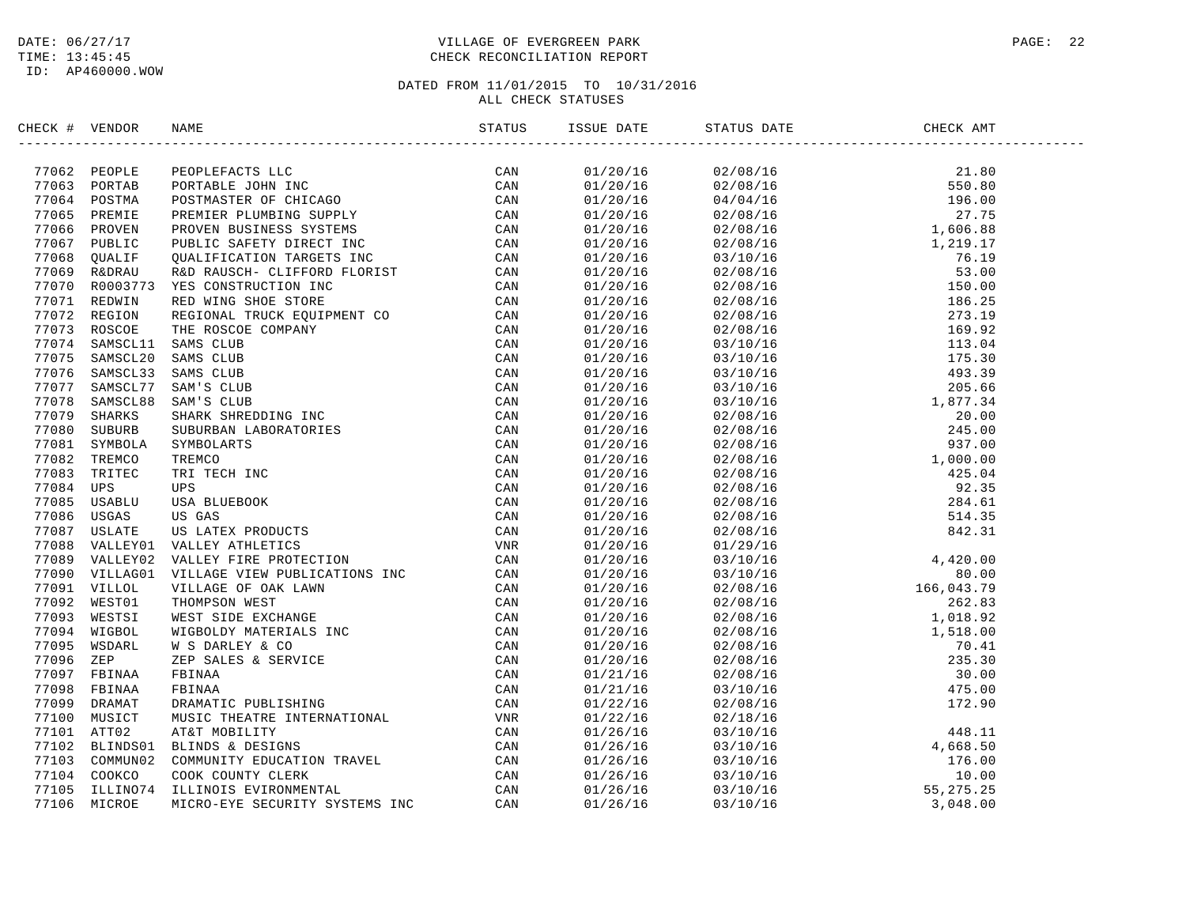#### DATE:  $06/27/17$  PAGE: 22 TIME: 13:45:45 CHECK RECONCILIATION REPORT

| CHECK # VENDOR |                                                                                                                                                                                                                                | ISSUE DATE | STATUS DATE | CHECK AMT |  |
|----------------|--------------------------------------------------------------------------------------------------------------------------------------------------------------------------------------------------------------------------------|------------|-------------|-----------|--|
|                | ICK # VERIDOS NAME YOUR SECRETS LICE CAN ARRY TOO DESIRE THE SECRETS AND TOO TOWN IN THE SECRETS OF THE SECRETS OF THE SECRETS OF THE SECRETS OF THE SECRETS OF THE SECRETS OF THE SECRETS OF THE SECRETS OF THE SECRETS OF TH |            |             |           |  |
|                |                                                                                                                                                                                                                                |            |             |           |  |
|                |                                                                                                                                                                                                                                |            |             |           |  |
|                |                                                                                                                                                                                                                                |            |             |           |  |
|                |                                                                                                                                                                                                                                |            |             |           |  |
|                |                                                                                                                                                                                                                                |            |             |           |  |
|                |                                                                                                                                                                                                                                |            |             |           |  |
|                |                                                                                                                                                                                                                                |            |             |           |  |
|                |                                                                                                                                                                                                                                |            |             |           |  |
|                |                                                                                                                                                                                                                                |            |             |           |  |
|                |                                                                                                                                                                                                                                |            |             |           |  |
|                |                                                                                                                                                                                                                                |            |             |           |  |
|                |                                                                                                                                                                                                                                |            |             |           |  |
|                |                                                                                                                                                                                                                                |            |             |           |  |
|                |                                                                                                                                                                                                                                |            |             |           |  |
|                |                                                                                                                                                                                                                                |            |             |           |  |
|                |                                                                                                                                                                                                                                |            |             |           |  |
|                |                                                                                                                                                                                                                                |            |             |           |  |
|                |                                                                                                                                                                                                                                |            |             |           |  |
|                |                                                                                                                                                                                                                                |            |             |           |  |
|                |                                                                                                                                                                                                                                |            |             |           |  |
|                |                                                                                                                                                                                                                                |            |             |           |  |
|                |                                                                                                                                                                                                                                |            |             |           |  |
|                |                                                                                                                                                                                                                                |            |             |           |  |
|                |                                                                                                                                                                                                                                |            |             |           |  |
|                |                                                                                                                                                                                                                                |            |             |           |  |
|                |                                                                                                                                                                                                                                |            |             |           |  |
|                |                                                                                                                                                                                                                                |            |             |           |  |
|                |                                                                                                                                                                                                                                |            |             |           |  |
|                |                                                                                                                                                                                                                                |            |             |           |  |
|                |                                                                                                                                                                                                                                |            |             |           |  |
|                |                                                                                                                                                                                                                                |            |             |           |  |
|                |                                                                                                                                                                                                                                |            |             |           |  |
|                |                                                                                                                                                                                                                                |            |             |           |  |
|                |                                                                                                                                                                                                                                |            |             |           |  |
|                |                                                                                                                                                                                                                                |            |             |           |  |
|                |                                                                                                                                                                                                                                |            |             |           |  |
|                |                                                                                                                                                                                                                                |            |             |           |  |
|                |                                                                                                                                                                                                                                |            |             |           |  |
|                |                                                                                                                                                                                                                                |            |             |           |  |
|                |                                                                                                                                                                                                                                |            |             |           |  |
|                |                                                                                                                                                                                                                                |            |             |           |  |
|                |                                                                                                                                                                                                                                |            |             |           |  |
|                |                                                                                                                                                                                                                                |            |             |           |  |
|                |                                                                                                                                                                                                                                |            |             |           |  |
|                |                                                                                                                                                                                                                                |            |             |           |  |
|                |                                                                                                                                                                                                                                |            |             |           |  |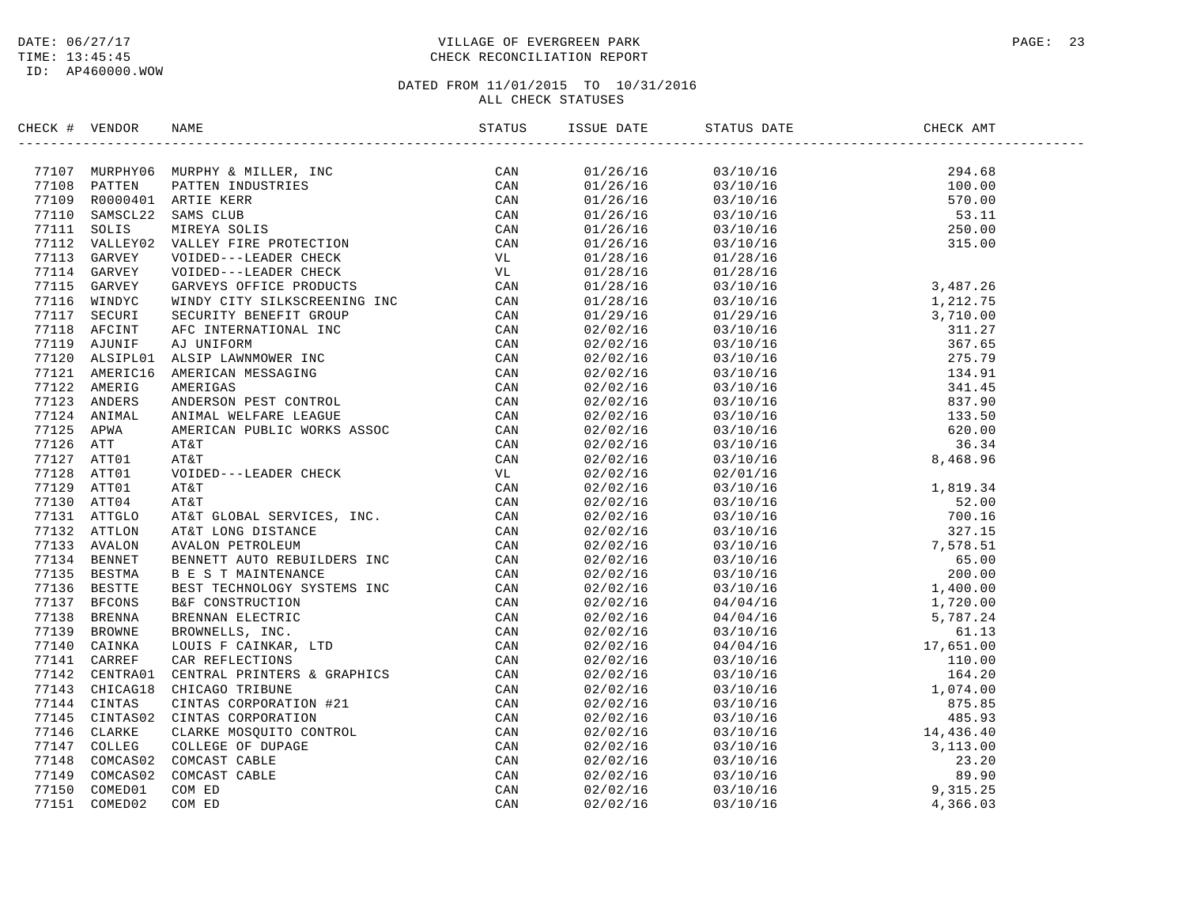#### DATE:  $06/27/17$  PAGE: 23 TIME: 13:45:45 CHECK RECONCILIATION REPORT

| SERCK + VERION NAME<br>STATUS 1991<br>2011<br>2011<br>2011<br>2011<br>2012<br>2012<br>2012<br>2012<br>2012<br>2013<br>2013<br>2013<br>2013<br>2013<br>2013<br>2013<br>2013<br>2013<br>2013<br>2013<br>2013<br>2013<br>2013<br>2012<br>2012<br>2012<br>2012<br>2012<br>2012<br>2020<br>2020<br>2 |  |
|-------------------------------------------------------------------------------------------------------------------------------------------------------------------------------------------------------------------------------------------------------------------------------------------------|--|
|                                                                                                                                                                                                                                                                                                 |  |
|                                                                                                                                                                                                                                                                                                 |  |
|                                                                                                                                                                                                                                                                                                 |  |
|                                                                                                                                                                                                                                                                                                 |  |
|                                                                                                                                                                                                                                                                                                 |  |
|                                                                                                                                                                                                                                                                                                 |  |
|                                                                                                                                                                                                                                                                                                 |  |
|                                                                                                                                                                                                                                                                                                 |  |
|                                                                                                                                                                                                                                                                                                 |  |
|                                                                                                                                                                                                                                                                                                 |  |
|                                                                                                                                                                                                                                                                                                 |  |
|                                                                                                                                                                                                                                                                                                 |  |
|                                                                                                                                                                                                                                                                                                 |  |
|                                                                                                                                                                                                                                                                                                 |  |
|                                                                                                                                                                                                                                                                                                 |  |
|                                                                                                                                                                                                                                                                                                 |  |
|                                                                                                                                                                                                                                                                                                 |  |
|                                                                                                                                                                                                                                                                                                 |  |
|                                                                                                                                                                                                                                                                                                 |  |
|                                                                                                                                                                                                                                                                                                 |  |
|                                                                                                                                                                                                                                                                                                 |  |
|                                                                                                                                                                                                                                                                                                 |  |
|                                                                                                                                                                                                                                                                                                 |  |
|                                                                                                                                                                                                                                                                                                 |  |
|                                                                                                                                                                                                                                                                                                 |  |
|                                                                                                                                                                                                                                                                                                 |  |
|                                                                                                                                                                                                                                                                                                 |  |
|                                                                                                                                                                                                                                                                                                 |  |
|                                                                                                                                                                                                                                                                                                 |  |
|                                                                                                                                                                                                                                                                                                 |  |
|                                                                                                                                                                                                                                                                                                 |  |
|                                                                                                                                                                                                                                                                                                 |  |
|                                                                                                                                                                                                                                                                                                 |  |
|                                                                                                                                                                                                                                                                                                 |  |
|                                                                                                                                                                                                                                                                                                 |  |
|                                                                                                                                                                                                                                                                                                 |  |
|                                                                                                                                                                                                                                                                                                 |  |
|                                                                                                                                                                                                                                                                                                 |  |
|                                                                                                                                                                                                                                                                                                 |  |
|                                                                                                                                                                                                                                                                                                 |  |
|                                                                                                                                                                                                                                                                                                 |  |
|                                                                                                                                                                                                                                                                                                 |  |
|                                                                                                                                                                                                                                                                                                 |  |
|                                                                                                                                                                                                                                                                                                 |  |
|                                                                                                                                                                                                                                                                                                 |  |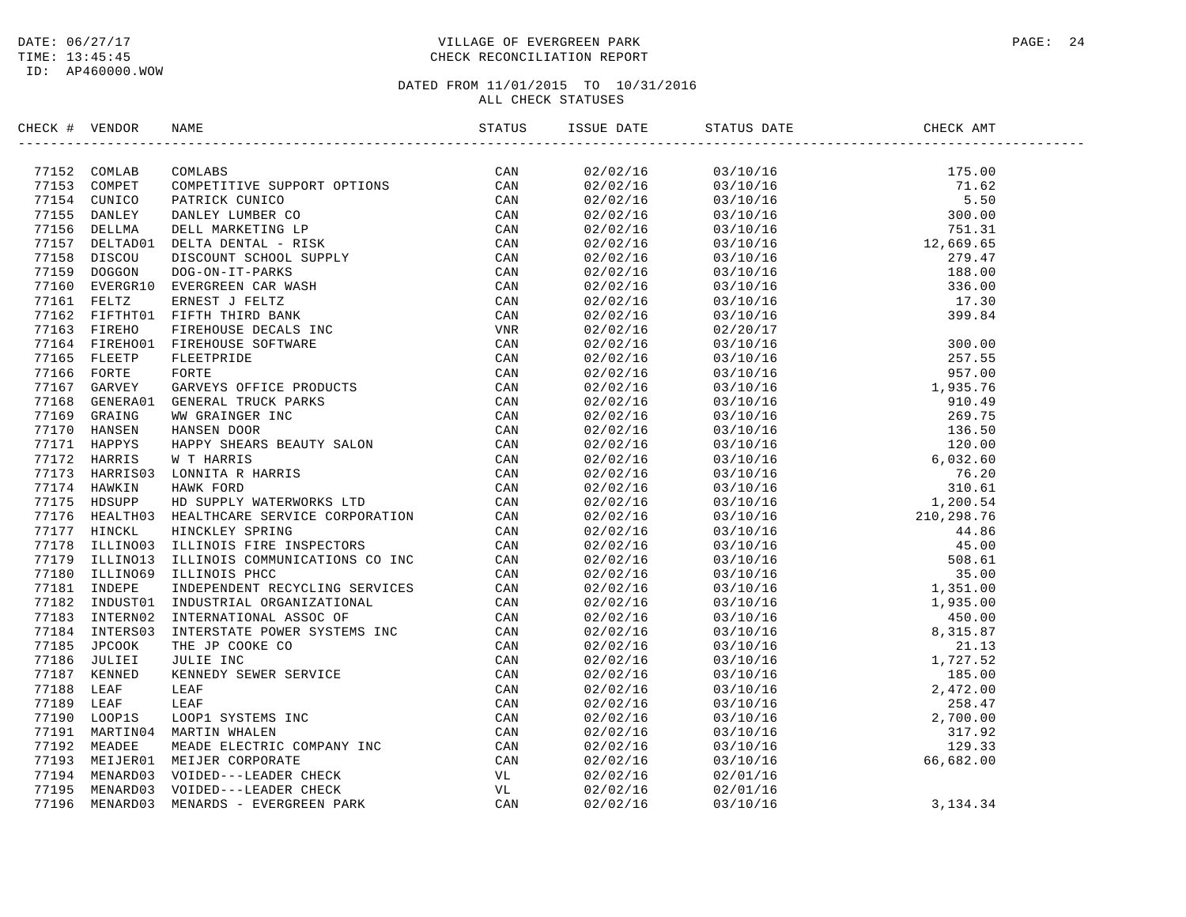#### DATE:  $06/27/17$  PAGE: 24 TIME: 13:45:45 CHECK RECONCILIATION REPORT

| CHECK # VENDOR | NAME                                                                                                                                                                                                                           | ISSUE DATE | STATUS DATE | CHECK AMT |  |
|----------------|--------------------------------------------------------------------------------------------------------------------------------------------------------------------------------------------------------------------------------|------------|-------------|-----------|--|
|                | NEXC + VENDOR NAME<br>TRIST COMINING COMMUNITY SUPPORT OPTIONS CAN CAN A COMMUNITY OPERATION OF PRICING COMMUNITY CONSULTING COMMUNITY (CAN FIRE CAN FIRE THE SECTION OF PRICING THE CAN CONSULT IN THE COMMUNITY OPERATION OF |            |             |           |  |
|                |                                                                                                                                                                                                                                |            |             |           |  |
|                |                                                                                                                                                                                                                                |            |             |           |  |
|                |                                                                                                                                                                                                                                |            |             |           |  |
|                |                                                                                                                                                                                                                                |            |             |           |  |
|                |                                                                                                                                                                                                                                |            |             |           |  |
|                |                                                                                                                                                                                                                                |            |             |           |  |
|                |                                                                                                                                                                                                                                |            |             |           |  |
|                |                                                                                                                                                                                                                                |            |             |           |  |
|                |                                                                                                                                                                                                                                |            |             |           |  |
|                |                                                                                                                                                                                                                                |            |             |           |  |
|                |                                                                                                                                                                                                                                |            |             |           |  |
|                |                                                                                                                                                                                                                                |            |             |           |  |
|                |                                                                                                                                                                                                                                |            |             |           |  |
|                |                                                                                                                                                                                                                                |            |             |           |  |
|                |                                                                                                                                                                                                                                |            |             |           |  |
|                |                                                                                                                                                                                                                                |            |             |           |  |
|                |                                                                                                                                                                                                                                |            |             |           |  |
|                |                                                                                                                                                                                                                                |            |             |           |  |
|                |                                                                                                                                                                                                                                |            |             |           |  |
|                |                                                                                                                                                                                                                                |            |             |           |  |
|                |                                                                                                                                                                                                                                |            |             |           |  |
|                |                                                                                                                                                                                                                                |            |             |           |  |
|                |                                                                                                                                                                                                                                |            |             |           |  |
|                |                                                                                                                                                                                                                                |            |             |           |  |
|                |                                                                                                                                                                                                                                |            |             |           |  |
|                |                                                                                                                                                                                                                                |            |             |           |  |
|                |                                                                                                                                                                                                                                |            |             |           |  |
|                |                                                                                                                                                                                                                                |            |             |           |  |
|                |                                                                                                                                                                                                                                |            |             |           |  |
|                |                                                                                                                                                                                                                                |            |             |           |  |
|                |                                                                                                                                                                                                                                |            |             |           |  |
|                |                                                                                                                                                                                                                                |            |             |           |  |
|                |                                                                                                                                                                                                                                |            |             |           |  |
|                |                                                                                                                                                                                                                                |            |             |           |  |
|                |                                                                                                                                                                                                                                |            |             |           |  |
|                |                                                                                                                                                                                                                                |            |             |           |  |
|                |                                                                                                                                                                                                                                |            |             |           |  |
|                |                                                                                                                                                                                                                                |            |             |           |  |
|                |                                                                                                                                                                                                                                |            |             |           |  |
|                |                                                                                                                                                                                                                                |            |             |           |  |
|                |                                                                                                                                                                                                                                |            |             |           |  |
|                |                                                                                                                                                                                                                                | 02/02/16   | 02/01/16    |           |  |
|                |                                                                                                                                                                                                                                | 02/02/16   | 02/01/16    |           |  |
|                |                                                                                                                                                                                                                                | 02/02/16   | 03/10/16    | 3, 134.34 |  |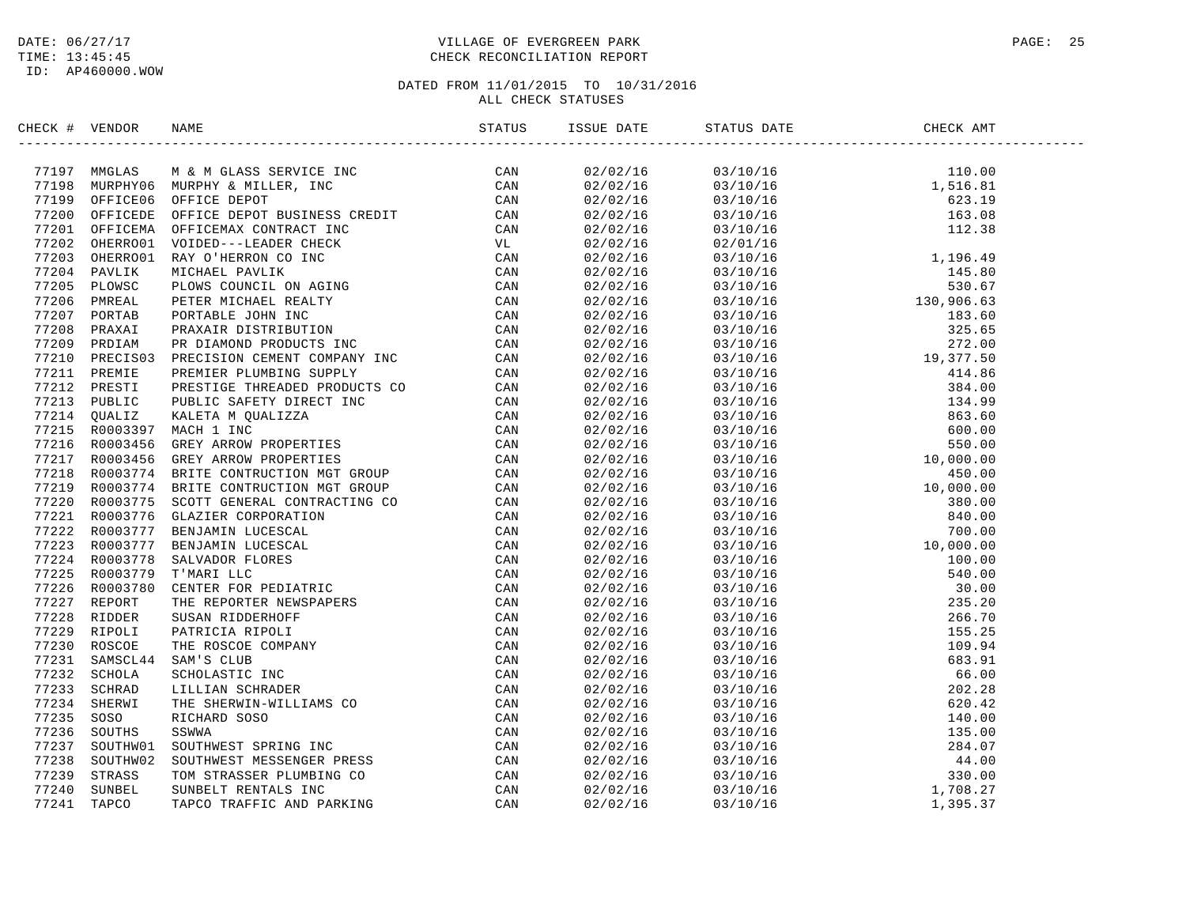#### DATE:  $06/27/17$  PAGE: 25 TIME: 13:45:45 CHECK RECONCILIATION REPORT

| CHECK # VENDOR | NAME                                                                                                                                                                                                                                                                                                                                                |  | STATUS DATE | CHECK AMT |  |
|----------------|-----------------------------------------------------------------------------------------------------------------------------------------------------------------------------------------------------------------------------------------------------------------------------------------------------------------------------------------------------|--|-------------|-----------|--|
|                | $\begin{small} \textbf{G1G1} & \textbf{W1G1G2} & \textbf{W1G1G3} & \textbf{B1G1G1} & \textbf{B1G1G1} & \textbf{B1G1G1} & \textbf{B1G1G1} & \textbf{B1G1G1} & \textbf{B1G1G1} & \textbf{B1G1G1} & \textbf{B1G1G1} & \textbf{B1G1G1} & \textbf{B1G1G1} & \textbf{B1G1G1} & \textbf{B1G1G1} & \textbf{B1G1G1} & \textbf{B1G1G1} & \textbf{B1G1G1} & \$ |  |             |           |  |
|                |                                                                                                                                                                                                                                                                                                                                                     |  |             |           |  |
|                |                                                                                                                                                                                                                                                                                                                                                     |  |             |           |  |
|                |                                                                                                                                                                                                                                                                                                                                                     |  |             |           |  |
|                |                                                                                                                                                                                                                                                                                                                                                     |  |             |           |  |
|                |                                                                                                                                                                                                                                                                                                                                                     |  |             |           |  |
|                |                                                                                                                                                                                                                                                                                                                                                     |  |             |           |  |
|                |                                                                                                                                                                                                                                                                                                                                                     |  |             |           |  |
|                |                                                                                                                                                                                                                                                                                                                                                     |  |             |           |  |
|                |                                                                                                                                                                                                                                                                                                                                                     |  |             |           |  |
|                |                                                                                                                                                                                                                                                                                                                                                     |  |             |           |  |
|                |                                                                                                                                                                                                                                                                                                                                                     |  |             |           |  |
|                |                                                                                                                                                                                                                                                                                                                                                     |  |             |           |  |
|                |                                                                                                                                                                                                                                                                                                                                                     |  |             |           |  |
|                |                                                                                                                                                                                                                                                                                                                                                     |  |             |           |  |
|                |                                                                                                                                                                                                                                                                                                                                                     |  |             |           |  |
|                |                                                                                                                                                                                                                                                                                                                                                     |  |             |           |  |
|                |                                                                                                                                                                                                                                                                                                                                                     |  |             |           |  |
|                |                                                                                                                                                                                                                                                                                                                                                     |  |             |           |  |
|                |                                                                                                                                                                                                                                                                                                                                                     |  |             |           |  |
|                |                                                                                                                                                                                                                                                                                                                                                     |  |             |           |  |
|                |                                                                                                                                                                                                                                                                                                                                                     |  |             |           |  |
|                |                                                                                                                                                                                                                                                                                                                                                     |  |             |           |  |
|                |                                                                                                                                                                                                                                                                                                                                                     |  |             |           |  |
|                |                                                                                                                                                                                                                                                                                                                                                     |  |             |           |  |
|                |                                                                                                                                                                                                                                                                                                                                                     |  |             |           |  |
|                |                                                                                                                                                                                                                                                                                                                                                     |  |             |           |  |
|                |                                                                                                                                                                                                                                                                                                                                                     |  |             |           |  |
|                |                                                                                                                                                                                                                                                                                                                                                     |  |             |           |  |
|                |                                                                                                                                                                                                                                                                                                                                                     |  |             |           |  |
|                |                                                                                                                                                                                                                                                                                                                                                     |  |             |           |  |
|                |                                                                                                                                                                                                                                                                                                                                                     |  |             |           |  |
|                |                                                                                                                                                                                                                                                                                                                                                     |  |             |           |  |
|                |                                                                                                                                                                                                                                                                                                                                                     |  |             |           |  |
|                |                                                                                                                                                                                                                                                                                                                                                     |  |             |           |  |
|                |                                                                                                                                                                                                                                                                                                                                                     |  |             |           |  |
|                |                                                                                                                                                                                                                                                                                                                                                     |  |             |           |  |
|                |                                                                                                                                                                                                                                                                                                                                                     |  |             |           |  |
|                |                                                                                                                                                                                                                                                                                                                                                     |  |             |           |  |
|                |                                                                                                                                                                                                                                                                                                                                                     |  |             |           |  |
|                |                                                                                                                                                                                                                                                                                                                                                     |  |             |           |  |
|                |                                                                                                                                                                                                                                                                                                                                                     |  |             |           |  |
|                |                                                                                                                                                                                                                                                                                                                                                     |  |             |           |  |
|                |                                                                                                                                                                                                                                                                                                                                                     |  |             |           |  |
|                |                                                                                                                                                                                                                                                                                                                                                     |  |             |           |  |
|                |                                                                                                                                                                                                                                                                                                                                                     |  |             |           |  |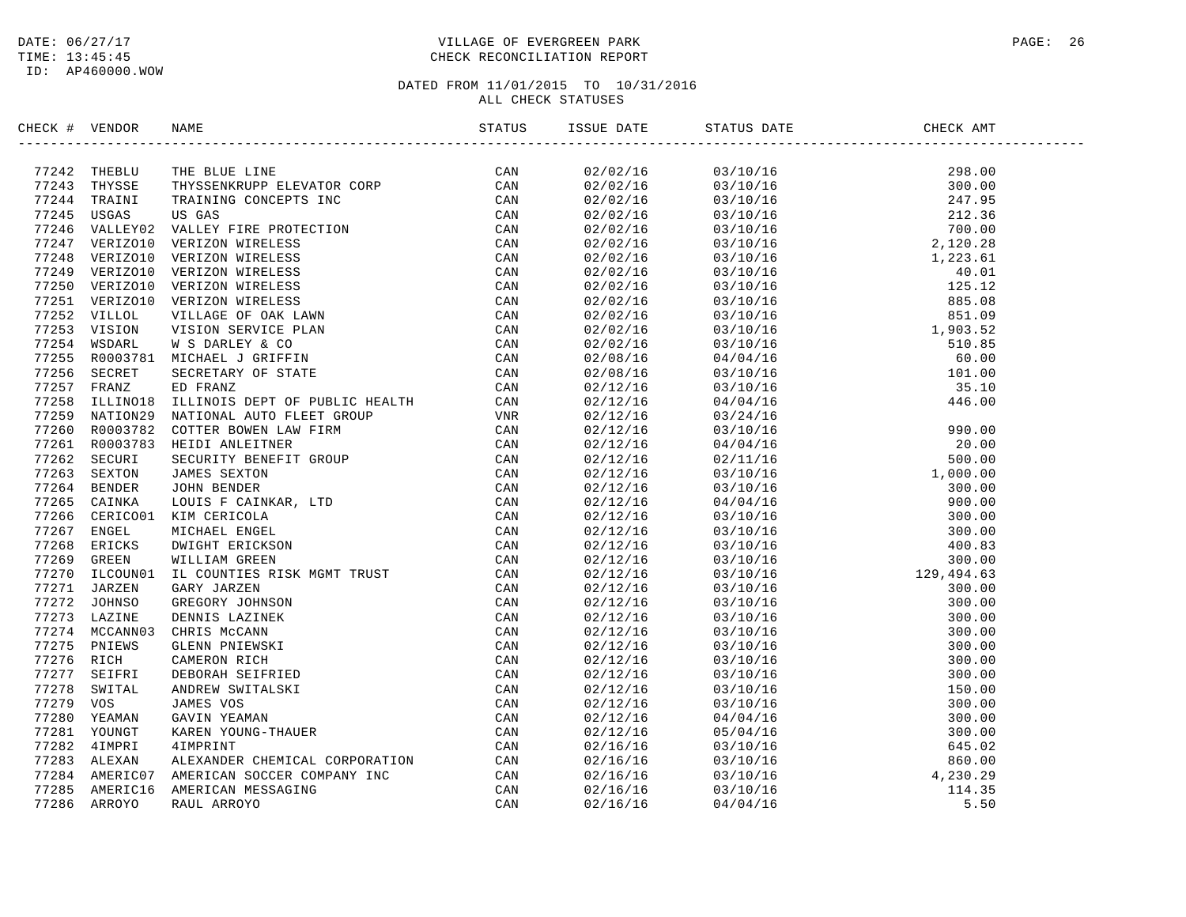#### DATE:  $06/27/17$  PAGE: 26 TIME: 13:45:45 CHECK RECONCILIATION REPORT

| CHECK # VENDOR |                |                                                                                                                                                                                                                                |  |  |  |
|----------------|----------------|--------------------------------------------------------------------------------------------------------------------------------------------------------------------------------------------------------------------------------|--|--|--|
|                |                | 17242 THEBLU THE BLUE LINE (CAN TRIAL THE SUIT 24 THE SUIT 2014 THE SUIT 2014 THAT TRAINING CONCEPTS INC (CAN TRAIN TRAINING CONCEPTS INC (CAN TRAINING CONCEPTS INC (CAN TRAINING CONCEPTS INC (CAN TRAINING CONCEPTS INC (CA |  |  |  |
|                |                |                                                                                                                                                                                                                                |  |  |  |
|                |                |                                                                                                                                                                                                                                |  |  |  |
|                |                |                                                                                                                                                                                                                                |  |  |  |
|                |                |                                                                                                                                                                                                                                |  |  |  |
|                |                |                                                                                                                                                                                                                                |  |  |  |
|                |                |                                                                                                                                                                                                                                |  |  |  |
|                |                |                                                                                                                                                                                                                                |  |  |  |
|                |                |                                                                                                                                                                                                                                |  |  |  |
|                |                |                                                                                                                                                                                                                                |  |  |  |
|                |                |                                                                                                                                                                                                                                |  |  |  |
|                |                |                                                                                                                                                                                                                                |  |  |  |
|                |                |                                                                                                                                                                                                                                |  |  |  |
|                |                |                                                                                                                                                                                                                                |  |  |  |
|                |                |                                                                                                                                                                                                                                |  |  |  |
|                |                |                                                                                                                                                                                                                                |  |  |  |
|                |                |                                                                                                                                                                                                                                |  |  |  |
| 77258          |                |                                                                                                                                                                                                                                |  |  |  |
|                | 77259 NATION29 |                                                                                                                                                                                                                                |  |  |  |
| 77260          |                |                                                                                                                                                                                                                                |  |  |  |
|                |                | 77261 R0003783 HEIDI ANLEITNER                                                                                                                                                                                                 |  |  |  |
| 77262          |                |                                                                                                                                                                                                                                |  |  |  |
| 77263          |                |                                                                                                                                                                                                                                |  |  |  |
|                | 77264 BENDER   |                                                                                                                                                                                                                                |  |  |  |
|                | 77265 CAINKA   |                                                                                                                                                                                                                                |  |  |  |
|                |                | 77266 CERICO01 KIM CERICOLA                                                                                                                                                                                                    |  |  |  |
|                | 77267 ENGEL    |                                                                                                                                                                                                                                |  |  |  |
|                | 77268 ERICKS   |                                                                                                                                                                                                                                |  |  |  |
| 77269          |                |                                                                                                                                                                                                                                |  |  |  |
| 77270          |                |                                                                                                                                                                                                                                |  |  |  |
| 77271          |                |                                                                                                                                                                                                                                |  |  |  |
| 77272          |                |                                                                                                                                                                                                                                |  |  |  |
|                | 77273 LAZINE   |                                                                                                                                                                                                                                |  |  |  |
|                | 77274 MCCANN03 |                                                                                                                                                                                                                                |  |  |  |
|                | 77275 PNIEWS   |                                                                                                                                                                                                                                |  |  |  |
| 77276 RICH     |                |                                                                                                                                                                                                                                |  |  |  |
| 77277          |                |                                                                                                                                                                                                                                |  |  |  |
| 77278          |                |                                                                                                                                                                                                                                |  |  |  |
| 77279          |                |                                                                                                                                                                                                                                |  |  |  |
| 77280          |                |                                                                                                                                                                                                                                |  |  |  |
| 77281          |                |                                                                                                                                                                                                                                |  |  |  |
|                | 77282 4IMPRI   |                                                                                                                                                                                                                                |  |  |  |
|                | 77283 ALEXAN   |                                                                                                                                                                                                                                |  |  |  |
|                | 77284 AMERIC07 |                                                                                                                                                                                                                                |  |  |  |
|                |                | 77285 AMERIC16 AMERICAN MESSAGING                                                                                                                                                                                              |  |  |  |
|                | 77286 ARROYO   | A SECRET SECRETARY OF STATES CAN ARREST SCREW CAN CAN ARREST OF PUBLIC HEALTH CAN ARREST OF DUITS AND INTOXED STATES ON THE SOURCE ON A SECULAR SCREW SOURCE AND CAN ARREST SOURCE AND CAN ARREST SOURCE ON THE SAME AND CONNE |  |  |  |
|                |                |                                                                                                                                                                                                                                |  |  |  |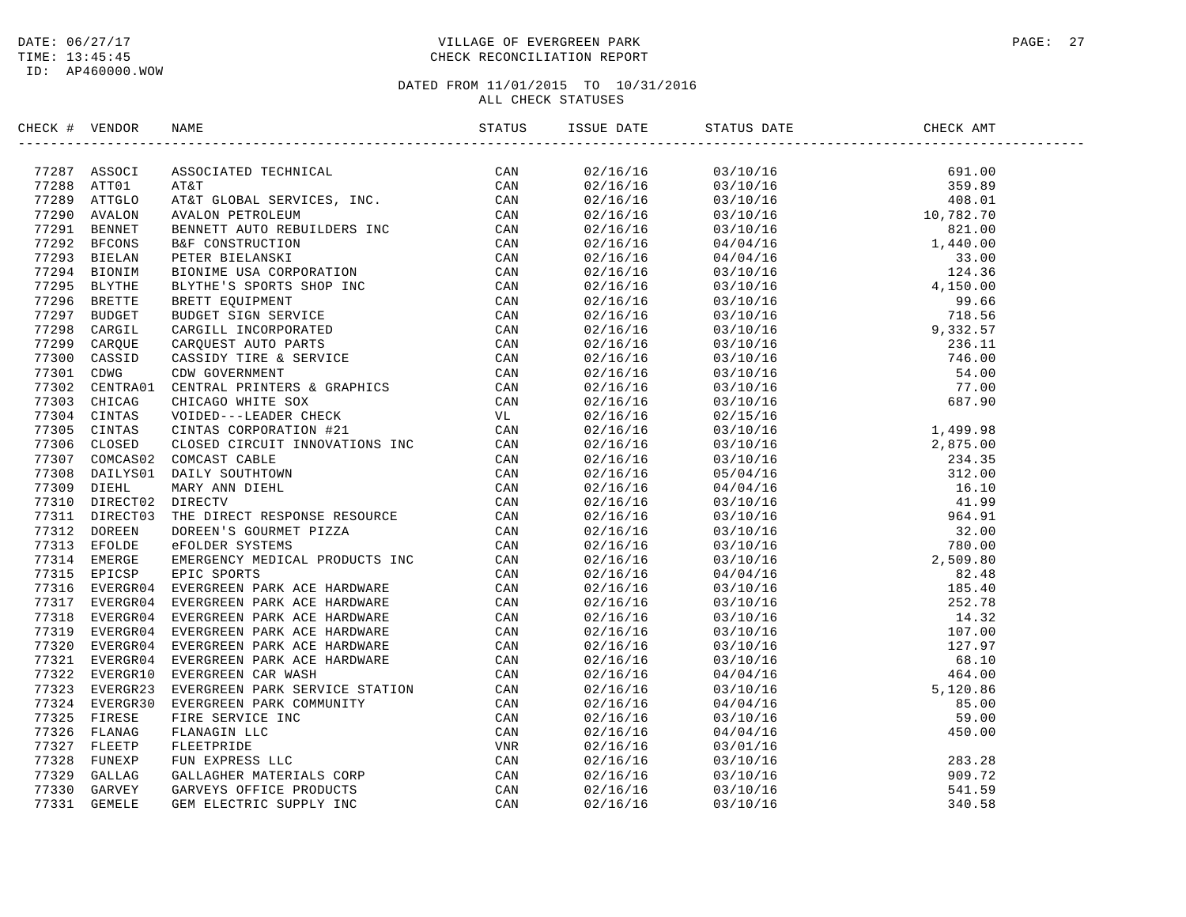#### DATE:  $06/27/17$  PAGE: 27 TIME: 13:45:45 CHECK RECONCILIATION REPORT

| CHECK # VENDOR | NAME                                                                                                                                                                                                                                      | STATUS | ISSUE DATE STATUS DATE                                                                                                                                                                                                                                                   | CHECK AMT |  |
|----------------|-------------------------------------------------------------------------------------------------------------------------------------------------------------------------------------------------------------------------------------------|--------|--------------------------------------------------------------------------------------------------------------------------------------------------------------------------------------------------------------------------------------------------------------------------|-----------|--|
|                | : 4 VEHICAL MANY SOURCES TREAT (2013)<br>28 MY ASSOCIATED TRCHATCAL (2013)<br>28 MY ASSOCIATED TRCHATCAL (2013)<br>28 MY ASSOCIATED TRCHATCAL (2013)<br>28 MY ALOO STROLEUN (2013)<br>29 MY ALOO STROLEUN (2013)<br>29 MY AND STROLEUN CO |        | $\begin{tabular}{cccccccc} 1.116/18/18 & 0.3110/18 & 691.00 \\ 0.2/18/18 & 0.3120/18 & 691.00 \\ 0.2/18/18 & 0.3120/18 & 408.01 \\ 0.2/18/18 & 0.3120/18 & 408.01 \\ 0.2/18/16 & 0.3120/18 & 10.782.70 \\ 0.2/18/16 & 0.3120/18 & 1.440.00 \\ 0.2/18/16 & 0.3120/18 & 1$ |           |  |
|                |                                                                                                                                                                                                                                           |        |                                                                                                                                                                                                                                                                          |           |  |
|                |                                                                                                                                                                                                                                           |        |                                                                                                                                                                                                                                                                          |           |  |
|                |                                                                                                                                                                                                                                           |        |                                                                                                                                                                                                                                                                          |           |  |
|                |                                                                                                                                                                                                                                           |        |                                                                                                                                                                                                                                                                          |           |  |
|                |                                                                                                                                                                                                                                           |        |                                                                                                                                                                                                                                                                          |           |  |
|                |                                                                                                                                                                                                                                           |        |                                                                                                                                                                                                                                                                          |           |  |
|                |                                                                                                                                                                                                                                           |        |                                                                                                                                                                                                                                                                          |           |  |
|                |                                                                                                                                                                                                                                           |        |                                                                                                                                                                                                                                                                          |           |  |
|                |                                                                                                                                                                                                                                           |        |                                                                                                                                                                                                                                                                          |           |  |
|                |                                                                                                                                                                                                                                           |        |                                                                                                                                                                                                                                                                          |           |  |
|                |                                                                                                                                                                                                                                           |        |                                                                                                                                                                                                                                                                          |           |  |
|                |                                                                                                                                                                                                                                           |        |                                                                                                                                                                                                                                                                          |           |  |
|                |                                                                                                                                                                                                                                           |        |                                                                                                                                                                                                                                                                          |           |  |
|                |                                                                                                                                                                                                                                           |        |                                                                                                                                                                                                                                                                          |           |  |
|                |                                                                                                                                                                                                                                           |        |                                                                                                                                                                                                                                                                          |           |  |
|                |                                                                                                                                                                                                                                           |        |                                                                                                                                                                                                                                                                          |           |  |
|                |                                                                                                                                                                                                                                           |        |                                                                                                                                                                                                                                                                          |           |  |
|                |                                                                                                                                                                                                                                           |        |                                                                                                                                                                                                                                                                          |           |  |
|                |                                                                                                                                                                                                                                           |        |                                                                                                                                                                                                                                                                          |           |  |
|                |                                                                                                                                                                                                                                           |        |                                                                                                                                                                                                                                                                          |           |  |
|                |                                                                                                                                                                                                                                           |        |                                                                                                                                                                                                                                                                          |           |  |
|                |                                                                                                                                                                                                                                           |        |                                                                                                                                                                                                                                                                          |           |  |
|                |                                                                                                                                                                                                                                           |        |                                                                                                                                                                                                                                                                          |           |  |
|                |                                                                                                                                                                                                                                           |        |                                                                                                                                                                                                                                                                          |           |  |
|                |                                                                                                                                                                                                                                           |        |                                                                                                                                                                                                                                                                          |           |  |
|                |                                                                                                                                                                                                                                           |        |                                                                                                                                                                                                                                                                          |           |  |
|                |                                                                                                                                                                                                                                           |        |                                                                                                                                                                                                                                                                          |           |  |
|                |                                                                                                                                                                                                                                           |        |                                                                                                                                                                                                                                                                          |           |  |
|                |                                                                                                                                                                                                                                           |        |                                                                                                                                                                                                                                                                          |           |  |
|                |                                                                                                                                                                                                                                           |        |                                                                                                                                                                                                                                                                          |           |  |
|                |                                                                                                                                                                                                                                           |        |                                                                                                                                                                                                                                                                          |           |  |
|                |                                                                                                                                                                                                                                           |        |                                                                                                                                                                                                                                                                          |           |  |
|                |                                                                                                                                                                                                                                           |        |                                                                                                                                                                                                                                                                          |           |  |
|                |                                                                                                                                                                                                                                           |        |                                                                                                                                                                                                                                                                          |           |  |
|                |                                                                                                                                                                                                                                           |        |                                                                                                                                                                                                                                                                          |           |  |
|                |                                                                                                                                                                                                                                           |        |                                                                                                                                                                                                                                                                          |           |  |
|                |                                                                                                                                                                                                                                           |        |                                                                                                                                                                                                                                                                          |           |  |
|                |                                                                                                                                                                                                                                           |        |                                                                                                                                                                                                                                                                          |           |  |
|                |                                                                                                                                                                                                                                           |        |                                                                                                                                                                                                                                                                          |           |  |
|                |                                                                                                                                                                                                                                           |        |                                                                                                                                                                                                                                                                          |           |  |
|                |                                                                                                                                                                                                                                           |        |                                                                                                                                                                                                                                                                          |           |  |
|                |                                                                                                                                                                                                                                           |        |                                                                                                                                                                                                                                                                          |           |  |
|                |                                                                                                                                                                                                                                           |        |                                                                                                                                                                                                                                                                          |           |  |
|                |                                                                                                                                                                                                                                           |        |                                                                                                                                                                                                                                                                          |           |  |
|                |                                                                                                                                                                                                                                           |        |                                                                                                                                                                                                                                                                          |           |  |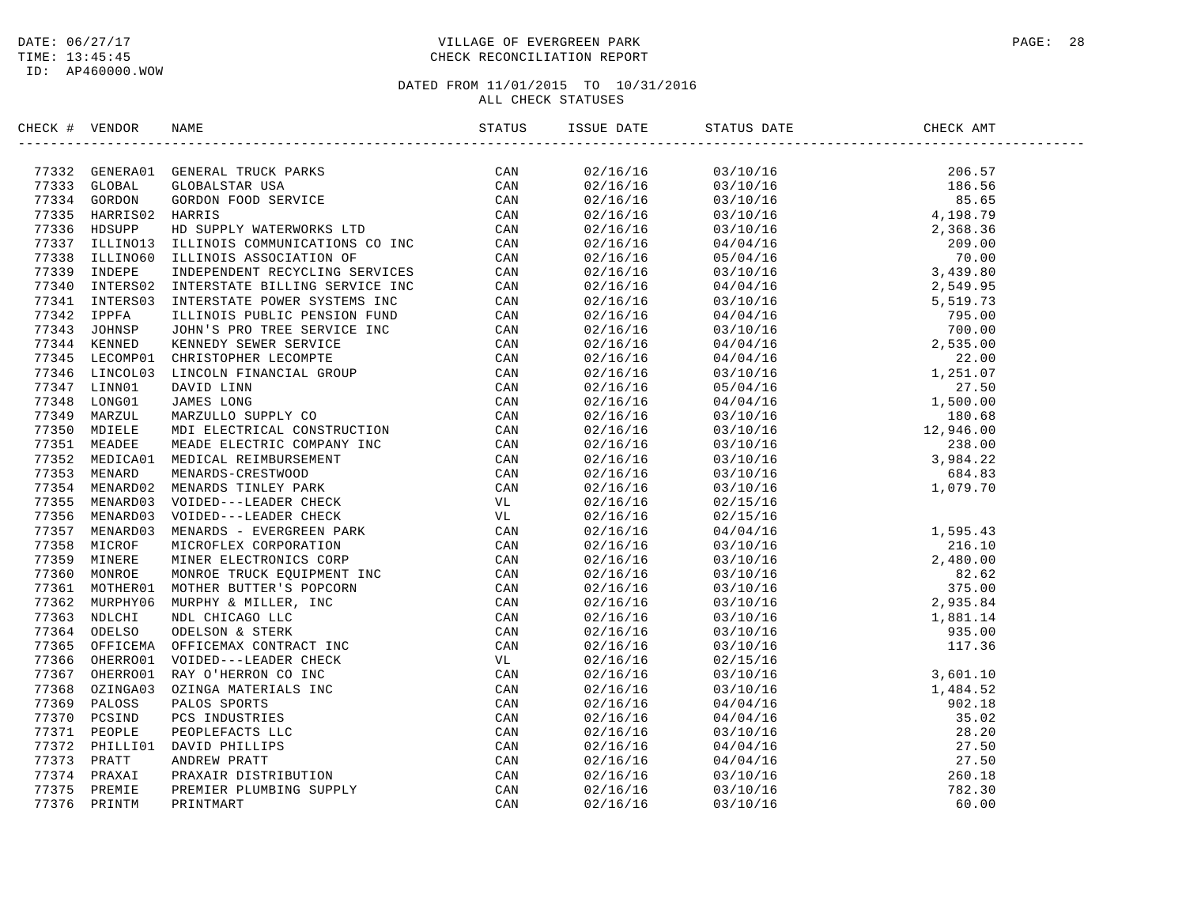#### DATE:  $06/27/17$  PAGE: 28 TIME: 13:45:45 CHECK RECONCILIATION REPORT

| CHECK # VENDOR |                | NAME                                                                                                                                                                                                                                     | STATUS | ISSUE DATE           | STATUS DATE | CHECK AMT |  |
|----------------|----------------|------------------------------------------------------------------------------------------------------------------------------------------------------------------------------------------------------------------------------------------|--------|----------------------|-------------|-----------|--|
|                |                | 77332 GENERAO1 GENERAL TRUCK PARKS<br>77333 GLOBAL GLOBALSTAR USA CAN<br>77334 GORDON GORDON FOOD SERVICE CAN<br>77335 HARRISO2 HARRIS CAN<br>77336 HDSUPP HD SUPPLY WATERWORKS LTD CAN<br>77337 ILLINO13 ILLINOIS COMMUNICATIONS CO INC |        | 02/16/16             |             |           |  |
|                |                |                                                                                                                                                                                                                                          |        | 02/16/16             |             |           |  |
|                |                |                                                                                                                                                                                                                                          |        | 02/16/16             |             |           |  |
|                |                |                                                                                                                                                                                                                                          |        | 02/16/16             |             |           |  |
|                |                |                                                                                                                                                                                                                                          |        | 02/16/16             |             |           |  |
|                |                |                                                                                                                                                                                                                                          |        | 02/16/16             |             |           |  |
|                |                |                                                                                                                                                                                                                                          |        | 02/16/16             |             |           |  |
|                |                |                                                                                                                                                                                                                                          |        | 02/16/16             |             |           |  |
|                | 77340 INTERS02 |                                                                                                                                                                                                                                          |        | 02/16/16             |             |           |  |
|                | 77341 INTERS03 |                                                                                                                                                                                                                                          |        | 02/16/16             |             |           |  |
|                | 77342 IPPFA    |                                                                                                                                                                                                                                          |        | 02/16/16             |             |           |  |
|                | 77343 JOHNSP   |                                                                                                                                                                                                                                          |        | 02/16/16             |             |           |  |
|                | 77344 KENNED   |                                                                                                                                                                                                                                          |        | 02/16/16             |             |           |  |
|                | 77345 LECOMP01 |                                                                                                                                                                                                                                          |        | 02/16/16             |             |           |  |
|                | 77346 LINCOL03 |                                                                                                                                                                                                                                          |        | 02/16/16             |             |           |  |
|                | 77347 LINN01   |                                                                                                                                                                                                                                          |        | 02/16/16             |             |           |  |
|                | 77348 LONG01   |                                                                                                                                                                                                                                          |        | 02/16/16             |             |           |  |
|                | 77349 MARZUL   |                                                                                                                                                                                                                                          |        | 02/16/16             |             |           |  |
|                | 77350 MDIELE   |                                                                                                                                                                                                                                          |        | 02/16/16             |             |           |  |
|                | 77351 MEADEE   |                                                                                                                                                                                                                                          |        | 02/16/16             |             |           |  |
|                | 77352 MEDICA01 |                                                                                                                                                                                                                                          |        | 02/16/16             |             |           |  |
|                | 77353 MENARD   |                                                                                                                                                                                                                                          |        | 02/16/16             |             |           |  |
|                | 77354 MENARD02 |                                                                                                                                                                                                                                          |        | 02/16/16             |             |           |  |
|                | 77355 MENARD03 |                                                                                                                                                                                                                                          |        | 02/16/16             | 02/15/16    |           |  |
|                | 77356 MENARD03 |                                                                                                                                                                                                                                          |        | 02/16/16             | 02/15/16    |           |  |
|                | 77357 MENARD03 |                                                                                                                                                                                                                                          |        | 02/16/16             |             |           |  |
|                | 77358 MICROF   |                                                                                                                                                                                                                                          |        | 02/16/16             |             |           |  |
|                | 77359 MINERE   |                                                                                                                                                                                                                                          |        | 02/16/16             |             |           |  |
|                | 77360 MONROE   |                                                                                                                                                                                                                                          |        | 02/16/16             |             |           |  |
|                | 77361 MOTHER01 |                                                                                                                                                                                                                                          |        | 02/16/16             |             |           |  |
|                | 77362 MURPHY06 |                                                                                                                                                                                                                                          |        | 02/16/16             |             |           |  |
|                | 77363 NDLCHI   |                                                                                                                                                                                                                                          |        |                      |             |           |  |
|                | 77364 ODELSO   |                                                                                                                                                                                                                                          |        | 02/16/16<br>02/16/16 |             |           |  |
|                | 77365 OFFICEMA |                                                                                                                                                                                                                                          |        |                      |             |           |  |
|                | 77366 OHERRO01 |                                                                                                                                                                                                                                          |        | 02/16/16             |             |           |  |
|                |                |                                                                                                                                                                                                                                          |        | 02/16/16             |             |           |  |
|                | 77367 OHERRO01 |                                                                                                                                                                                                                                          |        | 02/16/16             |             |           |  |
|                | 77368 OZINGA03 |                                                                                                                                                                                                                                          |        | 02/16/16             |             |           |  |
|                | 77369 PALOSS   |                                                                                                                                                                                                                                          |        | 02/16/16             |             |           |  |
|                | 77370 PCSIND   |                                                                                                                                                                                                                                          |        | 02/16/16             |             |           |  |
|                | 77371 PEOPLE   | ILLINOIS ASSOCIATION OF THE CAN INDEPENDENT RECYCLING SERVICES (CAN INTERFERENT POWER SYSTEMS INC. CAN CAN ILLINOIS POWER SYSTEMS INC. CAN ARRISTOPHER LECOMPTE<br>LEAD TO THE SERVICE INC. CAN ARRISTOPHER LECOMPTE<br>LEAD TO TH       |        | 02/16/16             |             |           |  |
|                | 77372 PHILLI01 |                                                                                                                                                                                                                                          |        | 02/16/16             |             |           |  |
|                | 77373 PRATT    |                                                                                                                                                                                                                                          |        | 02/16/16             |             |           |  |
|                | 77374 PRAXAI   |                                                                                                                                                                                                                                          |        | 02/16/16             |             |           |  |
|                | 77375 PREMIE   |                                                                                                                                                                                                                                          |        | 02/16/16             |             |           |  |
| 77376          | PRINTM         |                                                                                                                                                                                                                                          |        | 02/16/16             |             |           |  |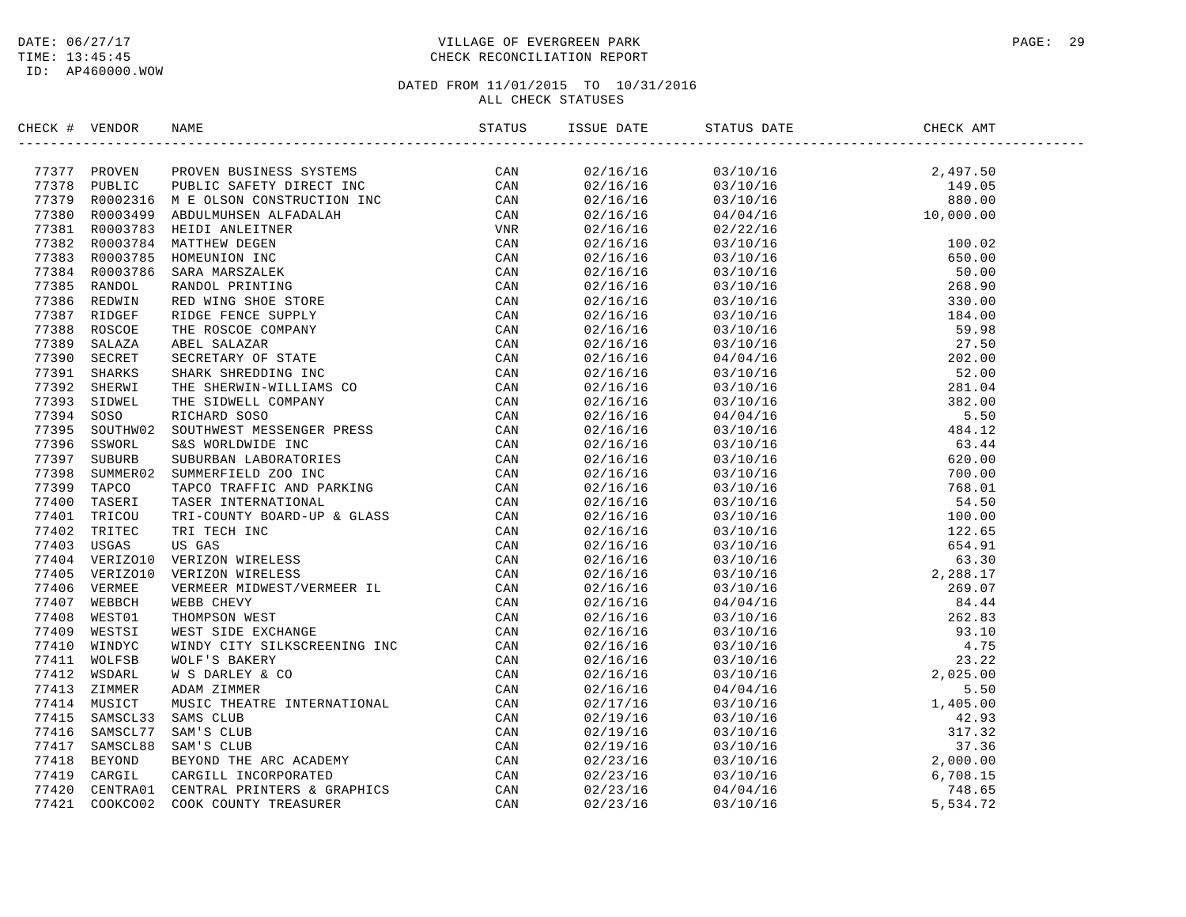#### DATE:  $06/27/17$  PAGE: 29 TIME: 13:45:45 CHECK RECONCILIATION REPORT

| CHECK # VENDOR | NAME                                                                                                                                                                                                                                                                                                                                                                                                                    | STATUS | ISSUE DATE | STATUS DATE                                                                                                                                                                                                                                                                  | CHECK AMT |  |
|----------------|-------------------------------------------------------------------------------------------------------------------------------------------------------------------------------------------------------------------------------------------------------------------------------------------------------------------------------------------------------------------------------------------------------------------------|--------|------------|------------------------------------------------------------------------------------------------------------------------------------------------------------------------------------------------------------------------------------------------------------------------------|-----------|--|
|                | $\begin{tabular}{cccccccc} \textbf{11} & \textbf{1} & \textbf{0} & \textbf{0} & \textbf{0} & \textbf{0} & \textbf{0} & \textbf{0} & \textbf{0} & \textbf{0} & \textbf{0} \\ \textbf{21} & \textbf{22} & \textbf{23} & \textbf{24} & \textbf{25} & \textbf{26} & \textbf{27} & \textbf{28} & \textbf{29} & \textbf{20} \\ \textbf{21} & \textbf{22} & \textbf{23} & \textbf{24} & \textbf{25} & \textbf{26} & \textbf{2$ |        | 02/16/16   |                                                                                                                                                                                                                                                                              |           |  |
|                |                                                                                                                                                                                                                                                                                                                                                                                                                         |        | 02/16/16   | $\begin{array}{ccc} 03/10/16 & 2,497.50 \\ 03/10/16 & 149.05 \\ 03/10/16 & 880.00 \\ 04/04/16 & 10,000.00 \end{array}$                                                                                                                                                       |           |  |
|                |                                                                                                                                                                                                                                                                                                                                                                                                                         |        | 02/16/16   |                                                                                                                                                                                                                                                                              |           |  |
|                |                                                                                                                                                                                                                                                                                                                                                                                                                         |        | 02/16/16   |                                                                                                                                                                                                                                                                              |           |  |
|                |                                                                                                                                                                                                                                                                                                                                                                                                                         |        | 02/16/16   |                                                                                                                                                                                                                                                                              |           |  |
|                |                                                                                                                                                                                                                                                                                                                                                                                                                         |        | 02/16/16   |                                                                                                                                                                                                                                                                              |           |  |
|                |                                                                                                                                                                                                                                                                                                                                                                                                                         |        | 02/16/16   |                                                                                                                                                                                                                                                                              |           |  |
|                |                                                                                                                                                                                                                                                                                                                                                                                                                         |        | 02/16/16   |                                                                                                                                                                                                                                                                              |           |  |
|                |                                                                                                                                                                                                                                                                                                                                                                                                                         |        | 02/16/16   |                                                                                                                                                                                                                                                                              |           |  |
|                |                                                                                                                                                                                                                                                                                                                                                                                                                         |        | 02/16/16   |                                                                                                                                                                                                                                                                              |           |  |
|                |                                                                                                                                                                                                                                                                                                                                                                                                                         |        | 02/16/16   |                                                                                                                                                                                                                                                                              |           |  |
|                |                                                                                                                                                                                                                                                                                                                                                                                                                         |        | 02/16/16   |                                                                                                                                                                                                                                                                              |           |  |
|                |                                                                                                                                                                                                                                                                                                                                                                                                                         |        | 02/16/16   |                                                                                                                                                                                                                                                                              |           |  |
|                |                                                                                                                                                                                                                                                                                                                                                                                                                         |        | 02/16/16   |                                                                                                                                                                                                                                                                              |           |  |
|                |                                                                                                                                                                                                                                                                                                                                                                                                                         |        | 02/16/16   |                                                                                                                                                                                                                                                                              |           |  |
|                |                                                                                                                                                                                                                                                                                                                                                                                                                         |        | 02/16/16   |                                                                                                                                                                                                                                                                              |           |  |
|                |                                                                                                                                                                                                                                                                                                                                                                                                                         |        | 02/16/16   |                                                                                                                                                                                                                                                                              |           |  |
|                |                                                                                                                                                                                                                                                                                                                                                                                                                         |        | 02/16/16   |                                                                                                                                                                                                                                                                              |           |  |
|                |                                                                                                                                                                                                                                                                                                                                                                                                                         |        | 02/16/16   |                                                                                                                                                                                                                                                                              |           |  |
|                |                                                                                                                                                                                                                                                                                                                                                                                                                         |        | 02/16/16   |                                                                                                                                                                                                                                                                              |           |  |
|                |                                                                                                                                                                                                                                                                                                                                                                                                                         |        | 02/16/16   |                                                                                                                                                                                                                                                                              |           |  |
|                |                                                                                                                                                                                                                                                                                                                                                                                                                         |        | 02/16/16   |                                                                                                                                                                                                                                                                              |           |  |
|                |                                                                                                                                                                                                                                                                                                                                                                                                                         |        | 02/16/16   |                                                                                                                                                                                                                                                                              |           |  |
|                |                                                                                                                                                                                                                                                                                                                                                                                                                         |        | 02/16/16   |                                                                                                                                                                                                                                                                              |           |  |
|                |                                                                                                                                                                                                                                                                                                                                                                                                                         |        | 02/16/16   |                                                                                                                                                                                                                                                                              |           |  |
|                |                                                                                                                                                                                                                                                                                                                                                                                                                         |        | 02/16/16   |                                                                                                                                                                                                                                                                              |           |  |
|                |                                                                                                                                                                                                                                                                                                                                                                                                                         |        | 02/16/16   |                                                                                                                                                                                                                                                                              |           |  |
|                |                                                                                                                                                                                                                                                                                                                                                                                                                         |        | 02/16/16   |                                                                                                                                                                                                                                                                              |           |  |
|                |                                                                                                                                                                                                                                                                                                                                                                                                                         |        | 02/16/16   |                                                                                                                                                                                                                                                                              |           |  |
|                |                                                                                                                                                                                                                                                                                                                                                                                                                         |        | 02/16/16   |                                                                                                                                                                                                                                                                              |           |  |
|                |                                                                                                                                                                                                                                                                                                                                                                                                                         |        | 02/16/16   |                                                                                                                                                                                                                                                                              |           |  |
|                |                                                                                                                                                                                                                                                                                                                                                                                                                         |        | 02/16/16   |                                                                                                                                                                                                                                                                              |           |  |
|                |                                                                                                                                                                                                                                                                                                                                                                                                                         |        | 02/16/16   |                                                                                                                                                                                                                                                                              |           |  |
|                |                                                                                                                                                                                                                                                                                                                                                                                                                         |        | 02/16/16   |                                                                                                                                                                                                                                                                              |           |  |
|                |                                                                                                                                                                                                                                                                                                                                                                                                                         |        | 02/16/16   |                                                                                                                                                                                                                                                                              |           |  |
|                |                                                                                                                                                                                                                                                                                                                                                                                                                         |        | 02/16/16   |                                                                                                                                                                                                                                                                              |           |  |
|                |                                                                                                                                                                                                                                                                                                                                                                                                                         |        | 02/16/16   |                                                                                                                                                                                                                                                                              |           |  |
|                |                                                                                                                                                                                                                                                                                                                                                                                                                         |        | 02/17/16   |                                                                                                                                                                                                                                                                              |           |  |
|                |                                                                                                                                                                                                                                                                                                                                                                                                                         |        | 02/19/16   |                                                                                                                                                                                                                                                                              |           |  |
|                |                                                                                                                                                                                                                                                                                                                                                                                                                         |        | 02/19/16   |                                                                                                                                                                                                                                                                              |           |  |
|                |                                                                                                                                                                                                                                                                                                                                                                                                                         |        | 02/19/16   |                                                                                                                                                                                                                                                                              |           |  |
|                |                                                                                                                                                                                                                                                                                                                                                                                                                         |        | 02/23/16   | $\begin{tabular}{cccc} 0.3710/16 & 880.00 \\ 0.3710/16 & 800.00 \\ 0.4704/16 & 100.02 \\ 0.3710/16 & 100.02 \\ 0.3710/16 & 55.00 \\ 0.3710/16 & 55.00 \\ 0.3710/16 & 55.00 \\ 0.3710/16 & 55.00 \\ 0.3710/16 & 55.00 \\ 0.3710/16 & 59.98 \\ 0.3710/16 & 59.98 \\ 0.3710/16$ |           |  |
|                |                                                                                                                                                                                                                                                                                                                                                                                                                         |        | 02/23/16   |                                                                                                                                                                                                                                                                              |           |  |
|                |                                                                                                                                                                                                                                                                                                                                                                                                                         |        | 02/23/16   |                                                                                                                                                                                                                                                                              |           |  |
|                |                                                                                                                                                                                                                                                                                                                                                                                                                         |        | 02/23/16   |                                                                                                                                                                                                                                                                              |           |  |
|                |                                                                                                                                                                                                                                                                                                                                                                                                                         |        |            |                                                                                                                                                                                                                                                                              |           |  |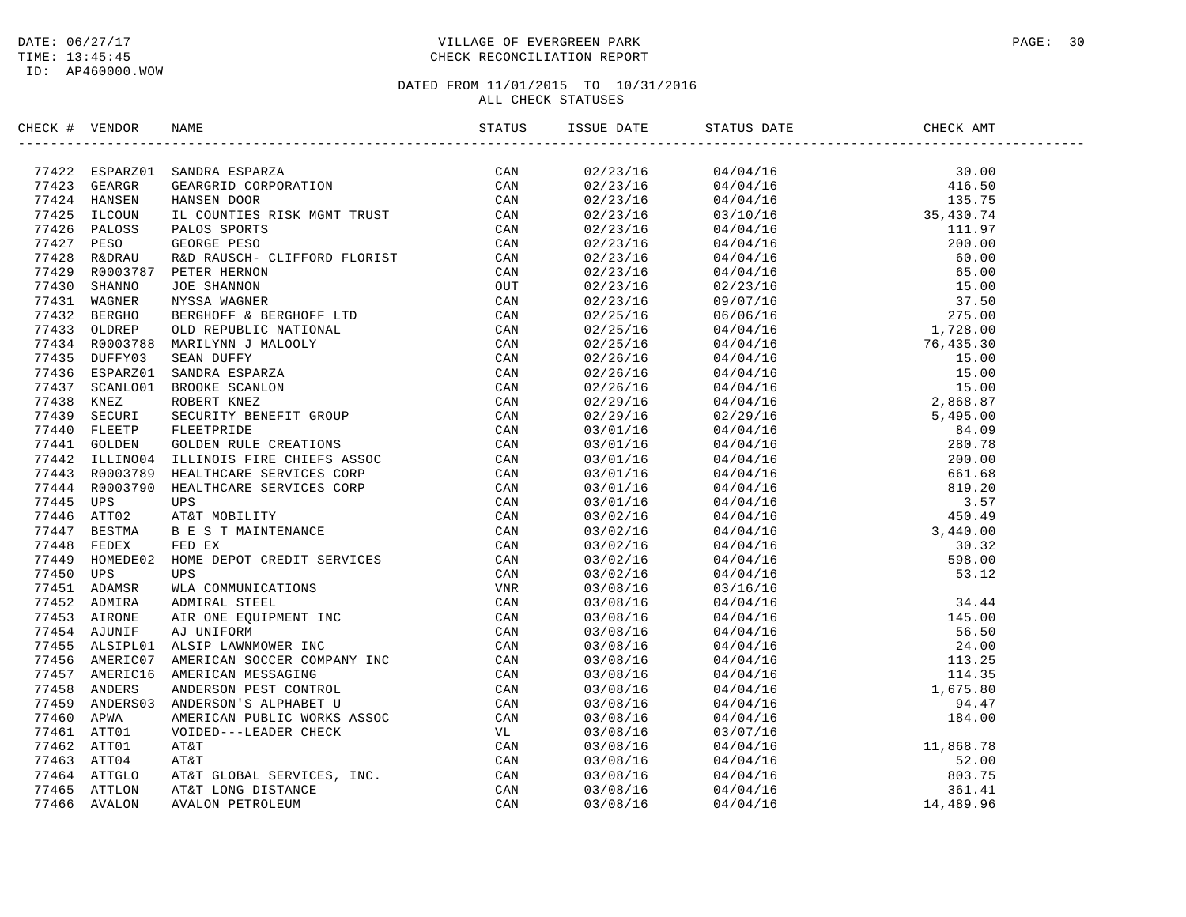#### DATE:  $06/27/17$  PAGE: 30 TIME: 13:45:45 CHECK RECONCILIATION REPORT

| CHECK # VENDOR |                                                                                                                                                                                                                                                 |  |  |  |
|----------------|-------------------------------------------------------------------------------------------------------------------------------------------------------------------------------------------------------------------------------------------------|--|--|--|
|                | SERIEV (* 1980)<br>1824 - SPARZIO SAMORA ESPARZ<br>1742 - SERIEVANDA ESPARZ<br>1742 - SERIEVAND HANSEN DOR (* 1991)<br>1742 - SERIEVAND HANSEN DOR (* 1992)<br>1742 - PERO PRIME BRANCH CORPORATION (* 1993)<br>1742 - PERO SERIEVAND HAND RESP |  |  |  |
|                |                                                                                                                                                                                                                                                 |  |  |  |
|                |                                                                                                                                                                                                                                                 |  |  |  |
|                |                                                                                                                                                                                                                                                 |  |  |  |
|                |                                                                                                                                                                                                                                                 |  |  |  |
|                |                                                                                                                                                                                                                                                 |  |  |  |
|                |                                                                                                                                                                                                                                                 |  |  |  |
|                |                                                                                                                                                                                                                                                 |  |  |  |
|                |                                                                                                                                                                                                                                                 |  |  |  |
|                |                                                                                                                                                                                                                                                 |  |  |  |
|                |                                                                                                                                                                                                                                                 |  |  |  |
|                |                                                                                                                                                                                                                                                 |  |  |  |
|                |                                                                                                                                                                                                                                                 |  |  |  |
|                |                                                                                                                                                                                                                                                 |  |  |  |
|                |                                                                                                                                                                                                                                                 |  |  |  |
|                |                                                                                                                                                                                                                                                 |  |  |  |
|                |                                                                                                                                                                                                                                                 |  |  |  |
|                |                                                                                                                                                                                                                                                 |  |  |  |
|                |                                                                                                                                                                                                                                                 |  |  |  |
|                |                                                                                                                                                                                                                                                 |  |  |  |
|                |                                                                                                                                                                                                                                                 |  |  |  |
|                |                                                                                                                                                                                                                                                 |  |  |  |
|                |                                                                                                                                                                                                                                                 |  |  |  |
|                |                                                                                                                                                                                                                                                 |  |  |  |
|                |                                                                                                                                                                                                                                                 |  |  |  |
|                |                                                                                                                                                                                                                                                 |  |  |  |
|                |                                                                                                                                                                                                                                                 |  |  |  |
|                |                                                                                                                                                                                                                                                 |  |  |  |
|                |                                                                                                                                                                                                                                                 |  |  |  |
|                |                                                                                                                                                                                                                                                 |  |  |  |
|                |                                                                                                                                                                                                                                                 |  |  |  |
|                |                                                                                                                                                                                                                                                 |  |  |  |
|                |                                                                                                                                                                                                                                                 |  |  |  |
|                |                                                                                                                                                                                                                                                 |  |  |  |
|                |                                                                                                                                                                                                                                                 |  |  |  |
|                |                                                                                                                                                                                                                                                 |  |  |  |
|                |                                                                                                                                                                                                                                                 |  |  |  |
|                |                                                                                                                                                                                                                                                 |  |  |  |
|                |                                                                                                                                                                                                                                                 |  |  |  |
|                |                                                                                                                                                                                                                                                 |  |  |  |
|                |                                                                                                                                                                                                                                                 |  |  |  |
|                |                                                                                                                                                                                                                                                 |  |  |  |
|                |                                                                                                                                                                                                                                                 |  |  |  |
|                |                                                                                                                                                                                                                                                 |  |  |  |
|                |                                                                                                                                                                                                                                                 |  |  |  |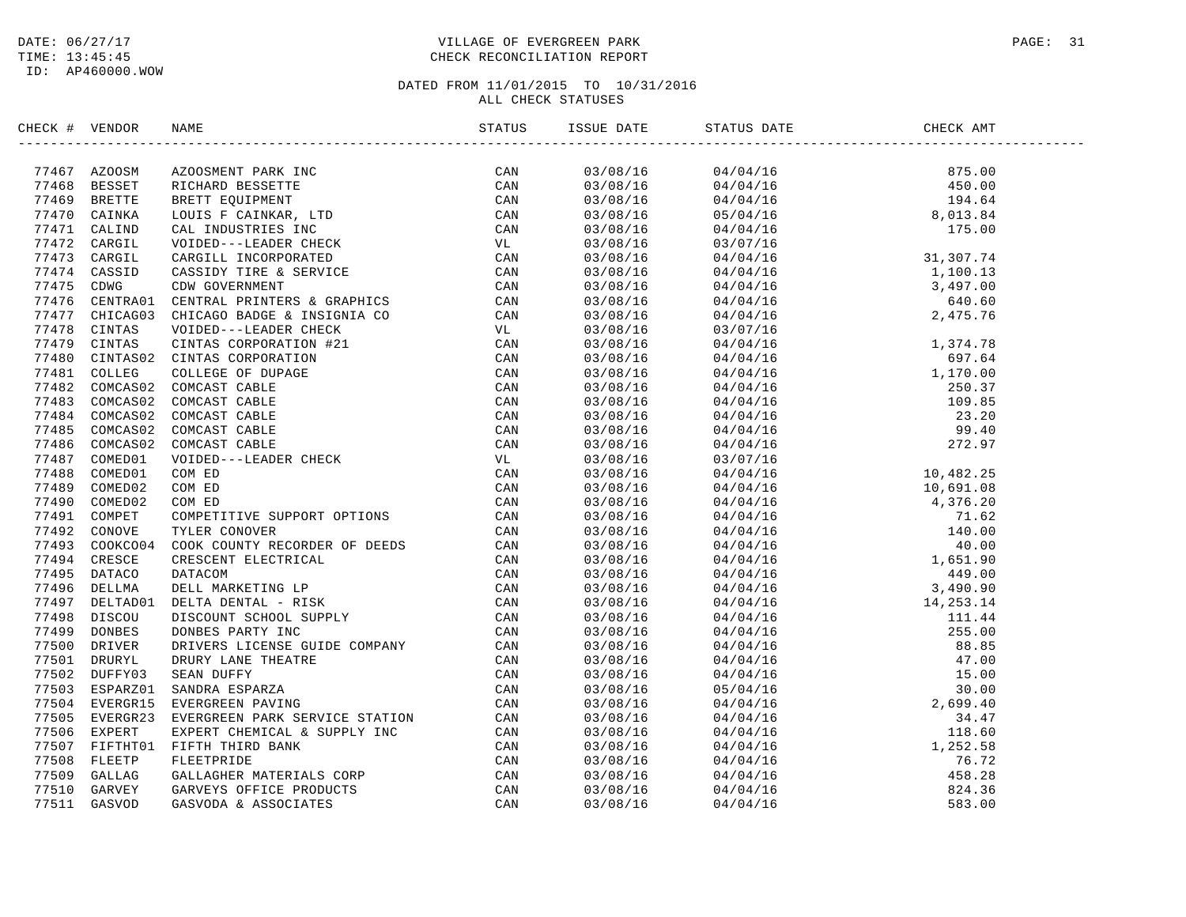#### DATE:  $06/27/17$  PAGE: 31 TIME: 13:45:45 CHECK RECONCILIATION REPORT

| CHECK # VENDOR | NAME                                                                                                                                                                                                                                | ISSUE DATE | STATUS DATE                                                                                                                                                                                                                                                                                                                                  | CHECK AMT |  |
|----------------|-------------------------------------------------------------------------------------------------------------------------------------------------------------------------------------------------------------------------------------|------------|----------------------------------------------------------------------------------------------------------------------------------------------------------------------------------------------------------------------------------------------------------------------------------------------------------------------------------------------|-----------|--|
|                | <b>EXCRETE VERSION INTO THE CONSTRUER PROFILE CAN ARREST AND DESIGNER IN CANAL AND AN ABSOLUTE CAN ARREST AND AN ABSOLUTE CAN ARREST CONSTRUER AND CONSTRUER CONSTRUER (MATHEM CAN 77414 CANSIDE CASED) CANNOT THE SERVICE CAN </b> |            | $\begin{array}{cccc} 0\,3 \,/\, 0\,8 \,/\, 16 \qquad \qquad & 0\,4 \,/\, 0\,4 \,/\, 16 \qquad \qquad & 8\,75 \,. \, 0\,0 \\ 0\,3 \,/\, 0\,8 \,/\, 16 \qquad \qquad & 0\,4 \,/\, 0\,4 \,/\, 16 \qquad \qquad & 19\,4 \,. \, 64 \qquad \qquad & 0\,3 \,/\, 0\,8 \,/\, 16 \qquad \qquad & 0\,5 \,/\, 0\,4 \,/\, 16 \qquad \qquad & 8 \,, \, 0\$ |           |  |
|                |                                                                                                                                                                                                                                     |            |                                                                                                                                                                                                                                                                                                                                              |           |  |
|                |                                                                                                                                                                                                                                     |            |                                                                                                                                                                                                                                                                                                                                              |           |  |
|                |                                                                                                                                                                                                                                     |            |                                                                                                                                                                                                                                                                                                                                              |           |  |
|                |                                                                                                                                                                                                                                     |            |                                                                                                                                                                                                                                                                                                                                              |           |  |
|                |                                                                                                                                                                                                                                     |            |                                                                                                                                                                                                                                                                                                                                              |           |  |
|                |                                                                                                                                                                                                                                     |            |                                                                                                                                                                                                                                                                                                                                              |           |  |
|                |                                                                                                                                                                                                                                     |            |                                                                                                                                                                                                                                                                                                                                              |           |  |
|                |                                                                                                                                                                                                                                     |            |                                                                                                                                                                                                                                                                                                                                              |           |  |
|                |                                                                                                                                                                                                                                     |            |                                                                                                                                                                                                                                                                                                                                              |           |  |
|                |                                                                                                                                                                                                                                     |            |                                                                                                                                                                                                                                                                                                                                              |           |  |
|                |                                                                                                                                                                                                                                     | 03/08/16   |                                                                                                                                                                                                                                                                                                                                              |           |  |
|                |                                                                                                                                                                                                                                     | 03/08/16   |                                                                                                                                                                                                                                                                                                                                              |           |  |
|                |                                                                                                                                                                                                                                     | 03/08/16   |                                                                                                                                                                                                                                                                                                                                              |           |  |
|                |                                                                                                                                                                                                                                     | 03/08/16   |                                                                                                                                                                                                                                                                                                                                              |           |  |
|                |                                                                                                                                                                                                                                     | 03/08/16   |                                                                                                                                                                                                                                                                                                                                              |           |  |
|                |                                                                                                                                                                                                                                     | 03/08/16   |                                                                                                                                                                                                                                                                                                                                              |           |  |
|                |                                                                                                                                                                                                                                     | 03/08/16   |                                                                                                                                                                                                                                                                                                                                              |           |  |
|                |                                                                                                                                                                                                                                     | 03/08/16   |                                                                                                                                                                                                                                                                                                                                              |           |  |
|                |                                                                                                                                                                                                                                     | 03/08/16   |                                                                                                                                                                                                                                                                                                                                              |           |  |
|                |                                                                                                                                                                                                                                     | 03/08/16   |                                                                                                                                                                                                                                                                                                                                              |           |  |
|                |                                                                                                                                                                                                                                     | 03/08/16   |                                                                                                                                                                                                                                                                                                                                              |           |  |
|                |                                                                                                                                                                                                                                     | 03/08/16   |                                                                                                                                                                                                                                                                                                                                              |           |  |
|                |                                                                                                                                                                                                                                     | 03/08/16   |                                                                                                                                                                                                                                                                                                                                              |           |  |
|                |                                                                                                                                                                                                                                     | 03/08/16   |                                                                                                                                                                                                                                                                                                                                              |           |  |
|                |                                                                                                                                                                                                                                     | 03/08/16   |                                                                                                                                                                                                                                                                                                                                              |           |  |
|                |                                                                                                                                                                                                                                     | 03/08/16   |                                                                                                                                                                                                                                                                                                                                              |           |  |
|                |                                                                                                                                                                                                                                     | 03/08/16   |                                                                                                                                                                                                                                                                                                                                              |           |  |
|                |                                                                                                                                                                                                                                     | 03/08/16   |                                                                                                                                                                                                                                                                                                                                              |           |  |
|                |                                                                                                                                                                                                                                     | 03/08/16   |                                                                                                                                                                                                                                                                                                                                              |           |  |
|                |                                                                                                                                                                                                                                     | 03/08/16   |                                                                                                                                                                                                                                                                                                                                              |           |  |
|                |                                                                                                                                                                                                                                     | 03/08/16   |                                                                                                                                                                                                                                                                                                                                              |           |  |
|                |                                                                                                                                                                                                                                     | 03/08/16   |                                                                                                                                                                                                                                                                                                                                              |           |  |
|                |                                                                                                                                                                                                                                     | 03/08/16   |                                                                                                                                                                                                                                                                                                                                              |           |  |
|                |                                                                                                                                                                                                                                     | 03/08/16   |                                                                                                                                                                                                                                                                                                                                              |           |  |
|                |                                                                                                                                                                                                                                     | 03/08/16   |                                                                                                                                                                                                                                                                                                                                              |           |  |
|                |                                                                                                                                                                                                                                     | 03/08/16   |                                                                                                                                                                                                                                                                                                                                              |           |  |
|                |                                                                                                                                                                                                                                     | 03/08/16   |                                                                                                                                                                                                                                                                                                                                              |           |  |
|                |                                                                                                                                                                                                                                     | 03/08/16   |                                                                                                                                                                                                                                                                                                                                              |           |  |
|                |                                                                                                                                                                                                                                     | 03/08/16   |                                                                                                                                                                                                                                                                                                                                              |           |  |
|                |                                                                                                                                                                                                                                     | 03/08/16   |                                                                                                                                                                                                                                                                                                                                              |           |  |
|                |                                                                                                                                                                                                                                     | 03/08/16   |                                                                                                                                                                                                                                                                                                                                              |           |  |
|                |                                                                                                                                                                                                                                     | 03/08/16   |                                                                                                                                                                                                                                                                                                                                              |           |  |
|                |                                                                                                                                                                                                                                     | 03/08/16   |                                                                                                                                                                                                                                                                                                                                              |           |  |
|                |                                                                                                                                                                                                                                     | 03/08/16   |                                                                                                                                                                                                                                                                                                                                              |           |  |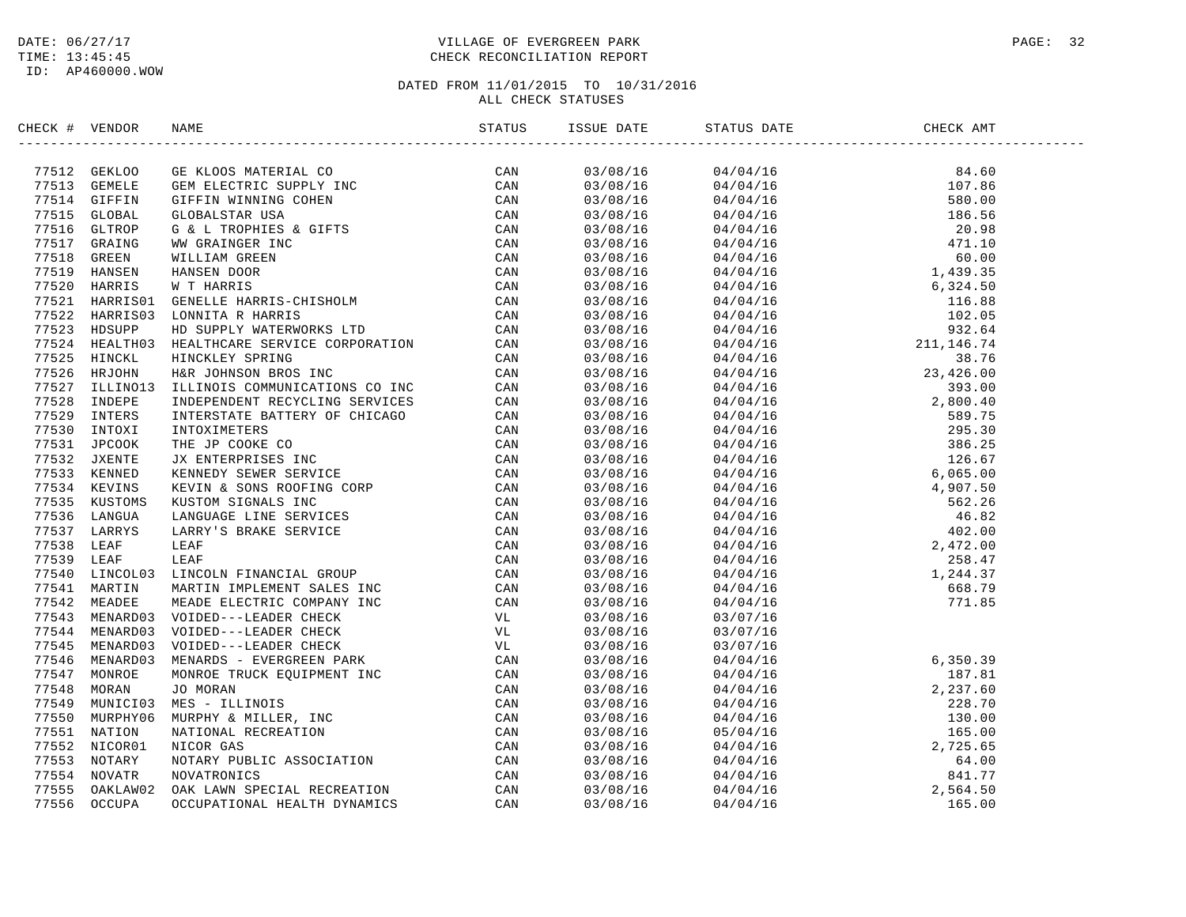#### DATE:  $06/27/17$  PAGE: 32 TIME: 13:45:45 CHECK RECONCILIATION REPORT

| CHECK # VENDOR |                                                                                                                                                                                                                                | STATUS | ISSUE DATE | STATUS DATE                                                                                                                                                                                                                                                                                                                                                                                 | CHECK AMT                                                                                                                                                                                                                                                                           |  |
|----------------|--------------------------------------------------------------------------------------------------------------------------------------------------------------------------------------------------------------------------------|--------|------------|---------------------------------------------------------------------------------------------------------------------------------------------------------------------------------------------------------------------------------------------------------------------------------------------------------------------------------------------------------------------------------------------|-------------------------------------------------------------------------------------------------------------------------------------------------------------------------------------------------------------------------------------------------------------------------------------|--|
|                | ITENE 1 VIRIDOS 1990 (1991) SERVICE CONNECTION CAN 1991 (1991) ORAN STATEM GODE MATERIAL CONNECTION (1991) 1991 (1991) 1991 (1991) 1991 (1991) 1991 (1991) 1991 (1991) 1991 (1991) 1991 (1991) 1991 (1991) 1991 (1991) 1991 (1 |        | 03/08/16   | $\begin{tabular}{cccc} $0$ & $0$ & $0$ & $0$ \\ \hline $0$ & $0$ & $0$ & $0$ \\ \hline $0$ & $0$ & $0$ & $0$ \\ \hline $0$ & $0$ & $0$ & $0$ \\ \hline $0$ & $0$ & $0$ & $0$ \\ \hline $0$ & $0$ & $0$ & $0$ \\ \hline $0$ & $0$ & $0$ & $0$ \\ \hline $0$ & $0$ & $0$ & $0$ \\ \hline $0$ & $0$ & $0$ & $0$ \\ \hline $0$ & $0$ & $0$ & $0$ \\ \hline $0$ & $0$ & $0$ & $0$ \\ \hline $0$$ |                                                                                                                                                                                                                                                                                     |  |
|                |                                                                                                                                                                                                                                |        | 03/08/16   |                                                                                                                                                                                                                                                                                                                                                                                             |                                                                                                                                                                                                                                                                                     |  |
|                |                                                                                                                                                                                                                                |        | 03/08/16   |                                                                                                                                                                                                                                                                                                                                                                                             |                                                                                                                                                                                                                                                                                     |  |
|                |                                                                                                                                                                                                                                |        | 03/08/16   |                                                                                                                                                                                                                                                                                                                                                                                             |                                                                                                                                                                                                                                                                                     |  |
|                |                                                                                                                                                                                                                                |        | 03/08/16   |                                                                                                                                                                                                                                                                                                                                                                                             |                                                                                                                                                                                                                                                                                     |  |
|                |                                                                                                                                                                                                                                |        | 03/08/16   |                                                                                                                                                                                                                                                                                                                                                                                             |                                                                                                                                                                                                                                                                                     |  |
|                |                                                                                                                                                                                                                                |        | 03/08/16   |                                                                                                                                                                                                                                                                                                                                                                                             |                                                                                                                                                                                                                                                                                     |  |
|                |                                                                                                                                                                                                                                |        | 03/08/16   |                                                                                                                                                                                                                                                                                                                                                                                             |                                                                                                                                                                                                                                                                                     |  |
|                |                                                                                                                                                                                                                                |        | 03/08/16   |                                                                                                                                                                                                                                                                                                                                                                                             |                                                                                                                                                                                                                                                                                     |  |
|                |                                                                                                                                                                                                                                |        | 03/08/16   |                                                                                                                                                                                                                                                                                                                                                                                             |                                                                                                                                                                                                                                                                                     |  |
|                |                                                                                                                                                                                                                                |        | 03/08/16   |                                                                                                                                                                                                                                                                                                                                                                                             |                                                                                                                                                                                                                                                                                     |  |
|                |                                                                                                                                                                                                                                |        | 03/08/16   |                                                                                                                                                                                                                                                                                                                                                                                             |                                                                                                                                                                                                                                                                                     |  |
|                |                                                                                                                                                                                                                                |        | 03/08/16   |                                                                                                                                                                                                                                                                                                                                                                                             |                                                                                                                                                                                                                                                                                     |  |
|                |                                                                                                                                                                                                                                |        | 03/08/16   |                                                                                                                                                                                                                                                                                                                                                                                             |                                                                                                                                                                                                                                                                                     |  |
|                |                                                                                                                                                                                                                                |        | 03/08/16   |                                                                                                                                                                                                                                                                                                                                                                                             |                                                                                                                                                                                                                                                                                     |  |
|                |                                                                                                                                                                                                                                |        | 03/08/16   |                                                                                                                                                                                                                                                                                                                                                                                             |                                                                                                                                                                                                                                                                                     |  |
|                |                                                                                                                                                                                                                                |        | 03/08/16   |                                                                                                                                                                                                                                                                                                                                                                                             |                                                                                                                                                                                                                                                                                     |  |
|                |                                                                                                                                                                                                                                |        | 03/08/16   |                                                                                                                                                                                                                                                                                                                                                                                             |                                                                                                                                                                                                                                                                                     |  |
|                |                                                                                                                                                                                                                                |        | 03/08/16   |                                                                                                                                                                                                                                                                                                                                                                                             |                                                                                                                                                                                                                                                                                     |  |
|                |                                                                                                                                                                                                                                |        | 03/08/16   |                                                                                                                                                                                                                                                                                                                                                                                             |                                                                                                                                                                                                                                                                                     |  |
|                |                                                                                                                                                                                                                                |        | 03/08/16   |                                                                                                                                                                                                                                                                                                                                                                                             |                                                                                                                                                                                                                                                                                     |  |
|                |                                                                                                                                                                                                                                |        | 03/08/16   |                                                                                                                                                                                                                                                                                                                                                                                             |                                                                                                                                                                                                                                                                                     |  |
|                |                                                                                                                                                                                                                                |        | 03/08/16   |                                                                                                                                                                                                                                                                                                                                                                                             |                                                                                                                                                                                                                                                                                     |  |
|                |                                                                                                                                                                                                                                |        | 03/08/16   |                                                                                                                                                                                                                                                                                                                                                                                             |                                                                                                                                                                                                                                                                                     |  |
|                |                                                                                                                                                                                                                                |        | 03/08/16   |                                                                                                                                                                                                                                                                                                                                                                                             |                                                                                                                                                                                                                                                                                     |  |
|                |                                                                                                                                                                                                                                |        | 03/08/16   |                                                                                                                                                                                                                                                                                                                                                                                             |                                                                                                                                                                                                                                                                                     |  |
|                |                                                                                                                                                                                                                                |        | 03/08/16   |                                                                                                                                                                                                                                                                                                                                                                                             |                                                                                                                                                                                                                                                                                     |  |
|                |                                                                                                                                                                                                                                |        | 03/08/16   |                                                                                                                                                                                                                                                                                                                                                                                             |                                                                                                                                                                                                                                                                                     |  |
|                |                                                                                                                                                                                                                                |        | 03/08/16   |                                                                                                                                                                                                                                                                                                                                                                                             |                                                                                                                                                                                                                                                                                     |  |
|                |                                                                                                                                                                                                                                |        | 03/08/16   |                                                                                                                                                                                                                                                                                                                                                                                             |                                                                                                                                                                                                                                                                                     |  |
|                |                                                                                                                                                                                                                                |        | 03/08/16   |                                                                                                                                                                                                                                                                                                                                                                                             |                                                                                                                                                                                                                                                                                     |  |
|                |                                                                                                                                                                                                                                |        | 03/08/16   | 03/07/16                                                                                                                                                                                                                                                                                                                                                                                    |                                                                                                                                                                                                                                                                                     |  |
|                |                                                                                                                                                                                                                                |        | 03/08/16   | 03/07/16                                                                                                                                                                                                                                                                                                                                                                                    |                                                                                                                                                                                                                                                                                     |  |
|                |                                                                                                                                                                                                                                |        | 03/08/16   | 03/07/16                                                                                                                                                                                                                                                                                                                                                                                    |                                                                                                                                                                                                                                                                                     |  |
|                |                                                                                                                                                                                                                                |        | 03/08/16   |                                                                                                                                                                                                                                                                                                                                                                                             |                                                                                                                                                                                                                                                                                     |  |
|                |                                                                                                                                                                                                                                |        | 03/08/16   |                                                                                                                                                                                                                                                                                                                                                                                             |                                                                                                                                                                                                                                                                                     |  |
|                |                                                                                                                                                                                                                                |        | 03/08/16   |                                                                                                                                                                                                                                                                                                                                                                                             |                                                                                                                                                                                                                                                                                     |  |
|                |                                                                                                                                                                                                                                |        | 03/08/16   |                                                                                                                                                                                                                                                                                                                                                                                             |                                                                                                                                                                                                                                                                                     |  |
|                |                                                                                                                                                                                                                                |        | 03/08/16   |                                                                                                                                                                                                                                                                                                                                                                                             |                                                                                                                                                                                                                                                                                     |  |
|                |                                                                                                                                                                                                                                |        | 03/08/16   |                                                                                                                                                                                                                                                                                                                                                                                             |                                                                                                                                                                                                                                                                                     |  |
|                |                                                                                                                                                                                                                                |        | 03/08/16   |                                                                                                                                                                                                                                                                                                                                                                                             |                                                                                                                                                                                                                                                                                     |  |
|                |                                                                                                                                                                                                                                |        | 03/08/16   |                                                                                                                                                                                                                                                                                                                                                                                             | $\begin{array}{cccc} 03/07/16 & 6\, , 350\, .39 \\ 04/04/16 & 187\, .81 \\ 04/04/16 & 2\, , 237\, .60 \\ 04/04/16 & 228\, .70 \\ 04/04/16 & 130\, .00 \\ 05/04/16 & 130\, .00 \\ 04/04/16 & 2\, , 725\, .65 \\ 04/04/16 & 64\, .00 \\ 04/04/16 & 841\, .77 \\ 04/04/16 & 2\, , 564$ |  |
|                |                                                                                                                                                                                                                                |        | 03/08/16   |                                                                                                                                                                                                                                                                                                                                                                                             |                                                                                                                                                                                                                                                                                     |  |
|                |                                                                                                                                                                                                                                |        | 03/08/16   |                                                                                                                                                                                                                                                                                                                                                                                             |                                                                                                                                                                                                                                                                                     |  |
|                |                                                                                                                                                                                                                                |        | 03/08/16   |                                                                                                                                                                                                                                                                                                                                                                                             |                                                                                                                                                                                                                                                                                     |  |
|                |                                                                                                                                                                                                                                |        |            |                                                                                                                                                                                                                                                                                                                                                                                             |                                                                                                                                                                                                                                                                                     |  |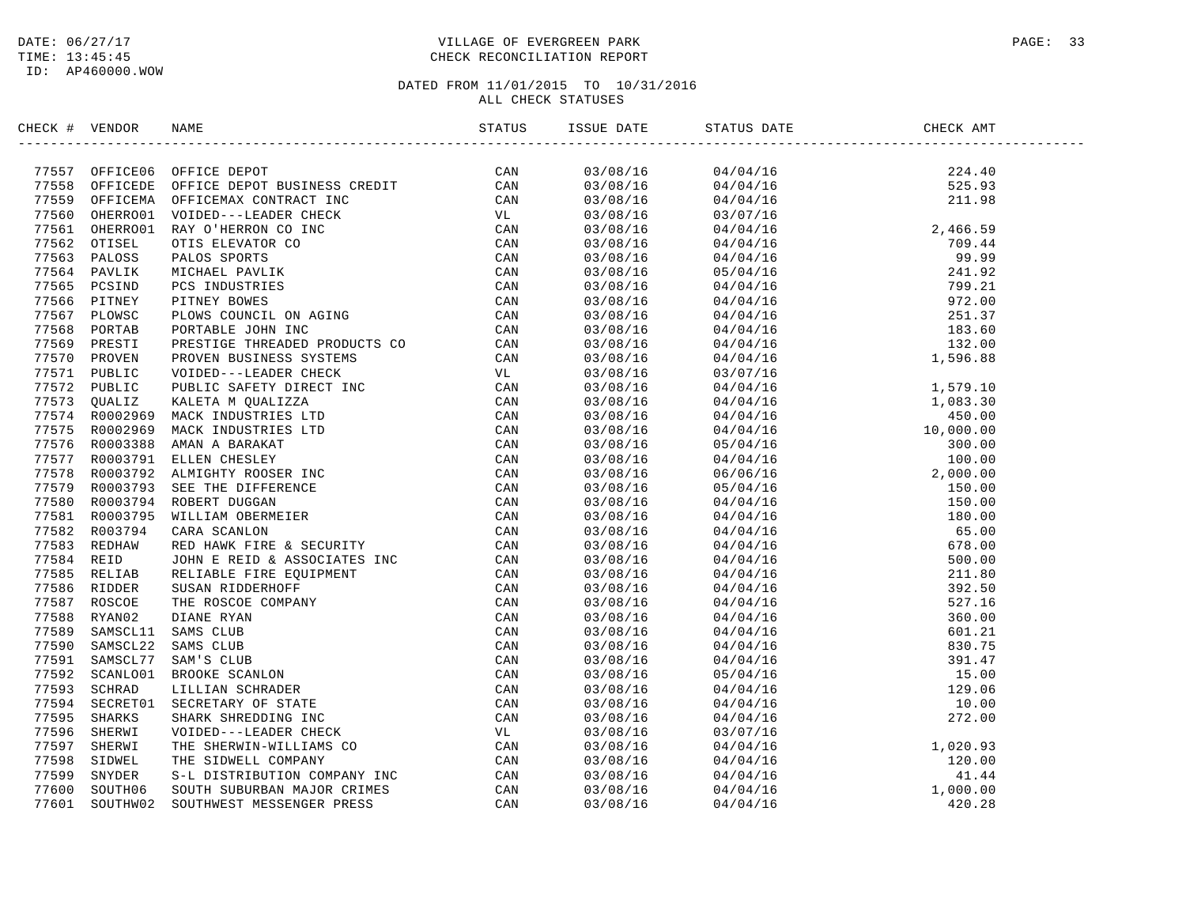#### DATE:  $06/27/17$  PAGE: 33 TIME: 13:45:45 CHECK RECONCILIATION REPORT

| CHECK # VENDOR |                                                                                                                                                                                                                                         |          |                                                                                                                                                                                                                                                                         |  |
|----------------|-----------------------------------------------------------------------------------------------------------------------------------------------------------------------------------------------------------------------------------------|----------|-------------------------------------------------------------------------------------------------------------------------------------------------------------------------------------------------------------------------------------------------------------------------|--|
|                | CIECR (FIGURE 1980)<br>17557 OPPICEOR OFFICE DEPOT BUSINESS CREDIT<br>17558 OPPICEOR OFFICE DEPOT BUSINESS CREDIT<br>17558 OPPICEOR OFFICE DEPOT BUSINESS CREDIT<br>17558 OPPICEOR OFFICE DEPOT BUSINESS CREDIT<br>17558 ORIGINAL OTTOE |          | $\begin{array}{cccc} 03/08/16 & 04/04/16 & 224.40 \\ 03/08/16 & 04/04/16 & 525.93 \\ 03/08/16 & 04/04/16 & 211.98 \\ 03/08/16 & 03/07/16 & 246.59 \\ 03/08/16 & 04/04/16 & 709.44 \\ 03/08/16 & 04/04/16 & 709.44 \\ 03/08/16 & 04/04/16 & 99.99 \\ 03/08/16 & 04/04/1$ |  |
|                |                                                                                                                                                                                                                                         |          |                                                                                                                                                                                                                                                                         |  |
|                |                                                                                                                                                                                                                                         |          |                                                                                                                                                                                                                                                                         |  |
|                |                                                                                                                                                                                                                                         |          |                                                                                                                                                                                                                                                                         |  |
|                |                                                                                                                                                                                                                                         |          |                                                                                                                                                                                                                                                                         |  |
|                |                                                                                                                                                                                                                                         |          |                                                                                                                                                                                                                                                                         |  |
|                |                                                                                                                                                                                                                                         |          |                                                                                                                                                                                                                                                                         |  |
|                |                                                                                                                                                                                                                                         |          |                                                                                                                                                                                                                                                                         |  |
|                |                                                                                                                                                                                                                                         |          |                                                                                                                                                                                                                                                                         |  |
|                |                                                                                                                                                                                                                                         |          |                                                                                                                                                                                                                                                                         |  |
|                |                                                                                                                                                                                                                                         |          |                                                                                                                                                                                                                                                                         |  |
|                |                                                                                                                                                                                                                                         |          |                                                                                                                                                                                                                                                                         |  |
|                |                                                                                                                                                                                                                                         |          |                                                                                                                                                                                                                                                                         |  |
|                |                                                                                                                                                                                                                                         |          |                                                                                                                                                                                                                                                                         |  |
|                |                                                                                                                                                                                                                                         |          |                                                                                                                                                                                                                                                                         |  |
|                |                                                                                                                                                                                                                                         | 03/08/16 |                                                                                                                                                                                                                                                                         |  |
|                |                                                                                                                                                                                                                                         | 03/08/16 |                                                                                                                                                                                                                                                                         |  |
|                |                                                                                                                                                                                                                                         | 03/08/16 |                                                                                                                                                                                                                                                                         |  |
|                |                                                                                                                                                                                                                                         | 03/08/16 |                                                                                                                                                                                                                                                                         |  |
|                |                                                                                                                                                                                                                                         | 03/08/16 |                                                                                                                                                                                                                                                                         |  |
|                |                                                                                                                                                                                                                                         | 03/08/16 |                                                                                                                                                                                                                                                                         |  |
|                |                                                                                                                                                                                                                                         | 03/08/16 |                                                                                                                                                                                                                                                                         |  |
|                |                                                                                                                                                                                                                                         | 03/08/16 |                                                                                                                                                                                                                                                                         |  |
|                |                                                                                                                                                                                                                                         | 03/08/16 |                                                                                                                                                                                                                                                                         |  |
|                |                                                                                                                                                                                                                                         | 03/08/16 |                                                                                                                                                                                                                                                                         |  |
|                |                                                                                                                                                                                                                                         | 03/08/16 |                                                                                                                                                                                                                                                                         |  |
|                |                                                                                                                                                                                                                                         | 03/08/16 |                                                                                                                                                                                                                                                                         |  |
|                |                                                                                                                                                                                                                                         | 03/08/16 |                                                                                                                                                                                                                                                                         |  |
|                |                                                                                                                                                                                                                                         | 03/08/16 |                                                                                                                                                                                                                                                                         |  |
|                |                                                                                                                                                                                                                                         | 03/08/16 |                                                                                                                                                                                                                                                                         |  |
|                |                                                                                                                                                                                                                                         | 03/08/16 |                                                                                                                                                                                                                                                                         |  |
|                |                                                                                                                                                                                                                                         | 03/08/16 |                                                                                                                                                                                                                                                                         |  |
|                |                                                                                                                                                                                                                                         | 03/08/16 |                                                                                                                                                                                                                                                                         |  |
|                |                                                                                                                                                                                                                                         | 03/08/16 |                                                                                                                                                                                                                                                                         |  |
|                |                                                                                                                                                                                                                                         | 03/08/16 |                                                                                                                                                                                                                                                                         |  |
|                |                                                                                                                                                                                                                                         | 03/08/16 |                                                                                                                                                                                                                                                                         |  |
|                |                                                                                                                                                                                                                                         | 03/08/16 |                                                                                                                                                                                                                                                                         |  |
|                |                                                                                                                                                                                                                                         | 03/08/16 |                                                                                                                                                                                                                                                                         |  |
|                |                                                                                                                                                                                                                                         | 03/08/16 |                                                                                                                                                                                                                                                                         |  |
|                |                                                                                                                                                                                                                                         | 03/08/16 |                                                                                                                                                                                                                                                                         |  |
|                |                                                                                                                                                                                                                                         | 03/08/16 |                                                                                                                                                                                                                                                                         |  |
|                |                                                                                                                                                                                                                                         | 03/08/16 |                                                                                                                                                                                                                                                                         |  |
|                |                                                                                                                                                                                                                                         | 03/08/16 |                                                                                                                                                                                                                                                                         |  |
|                |                                                                                                                                                                                                                                         | 03/08/16 |                                                                                                                                                                                                                                                                         |  |
|                |                                                                                                                                                                                                                                         | 03/08/16 |                                                                                                                                                                                                                                                                         |  |
|                |                                                                                                                                                                                                                                         | 03/08/16 |                                                                                                                                                                                                                                                                         |  |
|                |                                                                                                                                                                                                                                         |          |                                                                                                                                                                                                                                                                         |  |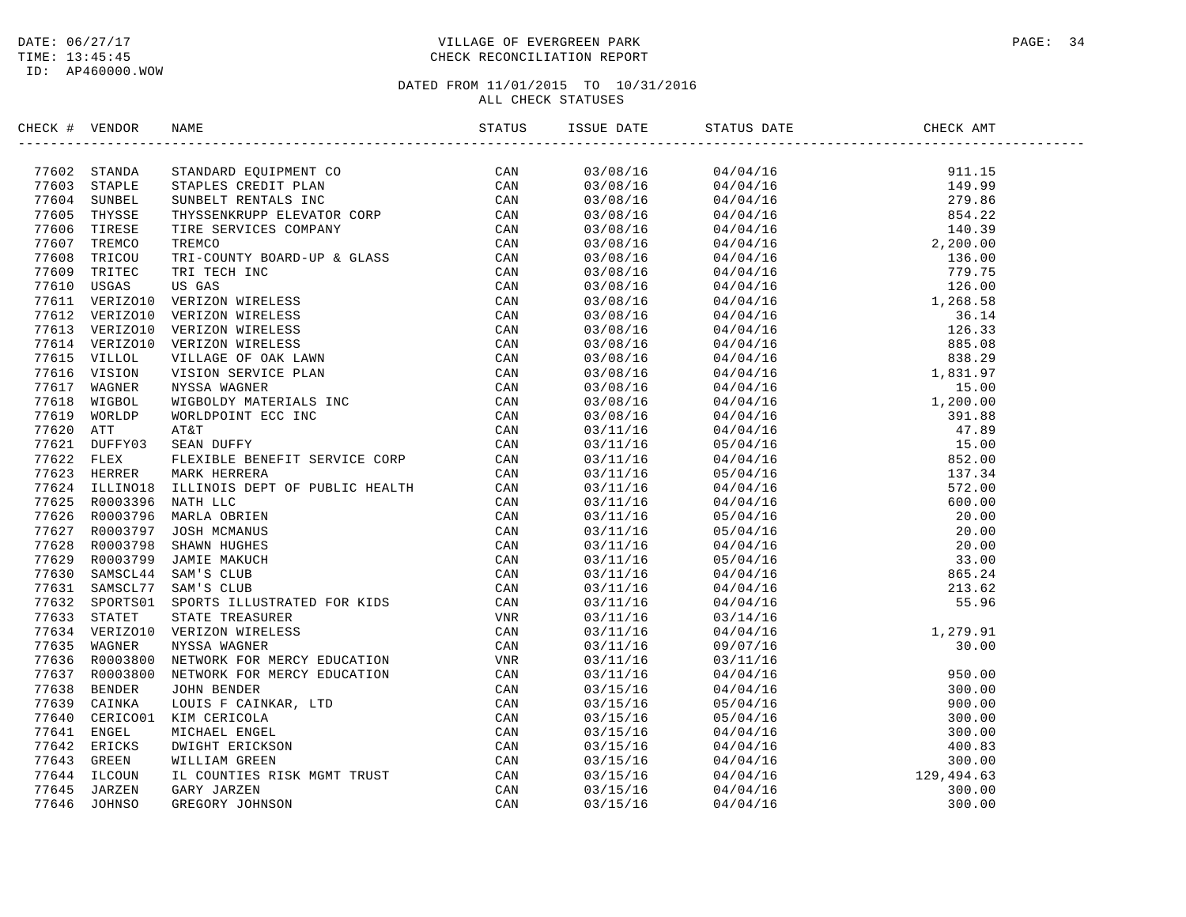#### DATE:  $06/27/17$  PAGE: 34 TIME: 13:45:45 CHECK RECONCILIATION REPORT

| CHECK # VENDOR |                |                                                                                                                                                                                                                                                |          | ISSUE DATE STATUS DATE                                                                                                                                                                                                                                                   | CHECK AMT |  |
|----------------|----------------|------------------------------------------------------------------------------------------------------------------------------------------------------------------------------------------------------------------------------------------------|----------|--------------------------------------------------------------------------------------------------------------------------------------------------------------------------------------------------------------------------------------------------------------------------|-----------|--|
|                | 77602 STANDA   |                                                                                                                                                                                                                                                |          | $\begin{tabular}{cccccccc} 0.3708/16 & 0.474/16 & 911.15 \\ 0.3708/16 & 0.4704/16 & 911.15 \\ 0.3708/16 & 0.4704/16 & 149.99 \\ 0.3708/16 & 0.4704/16 & 149.99 \\ 0.3708/16 & 0.4704/16 & 140.39 \\ 0.3708/16 & 0.4704/16 & 140.39 \\ 0.3708/16 & 0.4704/16 & 12.200.00$ |           |  |
|                | 77603 STAPLE   |                                                                                                                                                                                                                                                |          |                                                                                                                                                                                                                                                                          |           |  |
|                | 77604 SUNBEL   |                                                                                                                                                                                                                                                |          |                                                                                                                                                                                                                                                                          |           |  |
|                | 77605 THYSSE   |                                                                                                                                                                                                                                                |          |                                                                                                                                                                                                                                                                          |           |  |
|                | 77606 TIRESE   |                                                                                                                                                                                                                                                |          |                                                                                                                                                                                                                                                                          |           |  |
|                | 77607 TREMCO   |                                                                                                                                                                                                                                                |          |                                                                                                                                                                                                                                                                          |           |  |
|                | 77608 TRICOU   |                                                                                                                                                                                                                                                |          |                                                                                                                                                                                                                                                                          |           |  |
|                | 77609 TRITEC   |                                                                                                                                                                                                                                                |          |                                                                                                                                                                                                                                                                          |           |  |
|                | 77610 USGAS    |                                                                                                                                                                                                                                                |          |                                                                                                                                                                                                                                                                          |           |  |
|                | 77611 VERIZO10 |                                                                                                                                                                                                                                                |          |                                                                                                                                                                                                                                                                          |           |  |
|                | 77612 VERIZO10 |                                                                                                                                                                                                                                                |          |                                                                                                                                                                                                                                                                          |           |  |
|                | 77613 VERIZO10 |                                                                                                                                                                                                                                                |          |                                                                                                                                                                                                                                                                          |           |  |
|                | 77614 VERIZO10 |                                                                                                                                                                                                                                                |          |                                                                                                                                                                                                                                                                          |           |  |
|                | 77615 VILLOL   |                                                                                                                                                                                                                                                |          |                                                                                                                                                                                                                                                                          |           |  |
|                | 77616 VISION   |                                                                                                                                                                                                                                                |          |                                                                                                                                                                                                                                                                          |           |  |
|                | 77617 WAGNER   |                                                                                                                                                                                                                                                |          |                                                                                                                                                                                                                                                                          |           |  |
|                | 77618 WIGBOL   |                                                                                                                                                                                                                                                |          |                                                                                                                                                                                                                                                                          |           |  |
|                | 77619 WORLDP   |                                                                                                                                                                                                                                                |          |                                                                                                                                                                                                                                                                          |           |  |
| 77620 ATT      |                |                                                                                                                                                                                                                                                |          |                                                                                                                                                                                                                                                                          |           |  |
|                | 77621 DUFFY03  |                                                                                                                                                                                                                                                |          |                                                                                                                                                                                                                                                                          |           |  |
| 77622 FLEX     |                |                                                                                                                                                                                                                                                |          |                                                                                                                                                                                                                                                                          |           |  |
|                | 77623 HERRER   |                                                                                                                                                                                                                                                |          |                                                                                                                                                                                                                                                                          |           |  |
|                |                |                                                                                                                                                                                                                                                |          |                                                                                                                                                                                                                                                                          |           |  |
|                |                |                                                                                                                                                                                                                                                |          |                                                                                                                                                                                                                                                                          |           |  |
|                |                |                                                                                                                                                                                                                                                |          |                                                                                                                                                                                                                                                                          |           |  |
|                |                |                                                                                                                                                                                                                                                |          |                                                                                                                                                                                                                                                                          |           |  |
|                |                |                                                                                                                                                                                                                                                |          |                                                                                                                                                                                                                                                                          |           |  |
|                |                |                                                                                                                                                                                                                                                |          |                                                                                                                                                                                                                                                                          |           |  |
|                |                |                                                                                                                                                                                                                                                |          |                                                                                                                                                                                                                                                                          |           |  |
|                |                |                                                                                                                                                                                                                                                |          |                                                                                                                                                                                                                                                                          |           |  |
|                |                |                                                                                                                                                                                                                                                |          |                                                                                                                                                                                                                                                                          |           |  |
|                |                |                                                                                                                                                                                                                                                | 03/11/16 |                                                                                                                                                                                                                                                                          |           |  |
|                |                |                                                                                                                                                                                                                                                | 03/11/16 |                                                                                                                                                                                                                                                                          |           |  |
|                |                |                                                                                                                                                                                                                                                | 03/11/16 |                                                                                                                                                                                                                                                                          |           |  |
|                |                |                                                                                                                                                                                                                                                | 03/11/16 |                                                                                                                                                                                                                                                                          |           |  |
|                |                |                                                                                                                                                                                                                                                | 03/11/16 |                                                                                                                                                                                                                                                                          |           |  |
|                |                |                                                                                                                                                                                                                                                | 03/15/16 |                                                                                                                                                                                                                                                                          |           |  |
|                |                |                                                                                                                                                                                                                                                | 03/15/16 |                                                                                                                                                                                                                                                                          |           |  |
|                |                |                                                                                                                                                                                                                                                | 03/15/16 |                                                                                                                                                                                                                                                                          |           |  |
|                |                |                                                                                                                                                                                                                                                | 03/15/16 |                                                                                                                                                                                                                                                                          |           |  |
|                |                |                                                                                                                                                                                                                                                | 03/15/16 |                                                                                                                                                                                                                                                                          |           |  |
|                |                | 77623 HERRER MARK HERRERA<br>77623 HERRER MARK HERRERA<br>77623 HERRER MARK HERRERA<br>77625 EOO03396 NATH LLC<br>77625 ROO03396 MARIA OBRIEN<br>77626 ROO03795 MARIA OBRIEN<br>77627 ROO03795 JOSH MCMANUS<br>77628 ROO03799 JAMIE MARUCH<br> | 03/15/16 |                                                                                                                                                                                                                                                                          |           |  |
|                |                |                                                                                                                                                                                                                                                | 03/15/16 |                                                                                                                                                                                                                                                                          |           |  |
|                |                |                                                                                                                                                                                                                                                | 03/15/16 |                                                                                                                                                                                                                                                                          |           |  |
|                |                |                                                                                                                                                                                                                                                | 03/15/16 |                                                                                                                                                                                                                                                                          |           |  |
|                |                |                                                                                                                                                                                                                                                |          |                                                                                                                                                                                                                                                                          |           |  |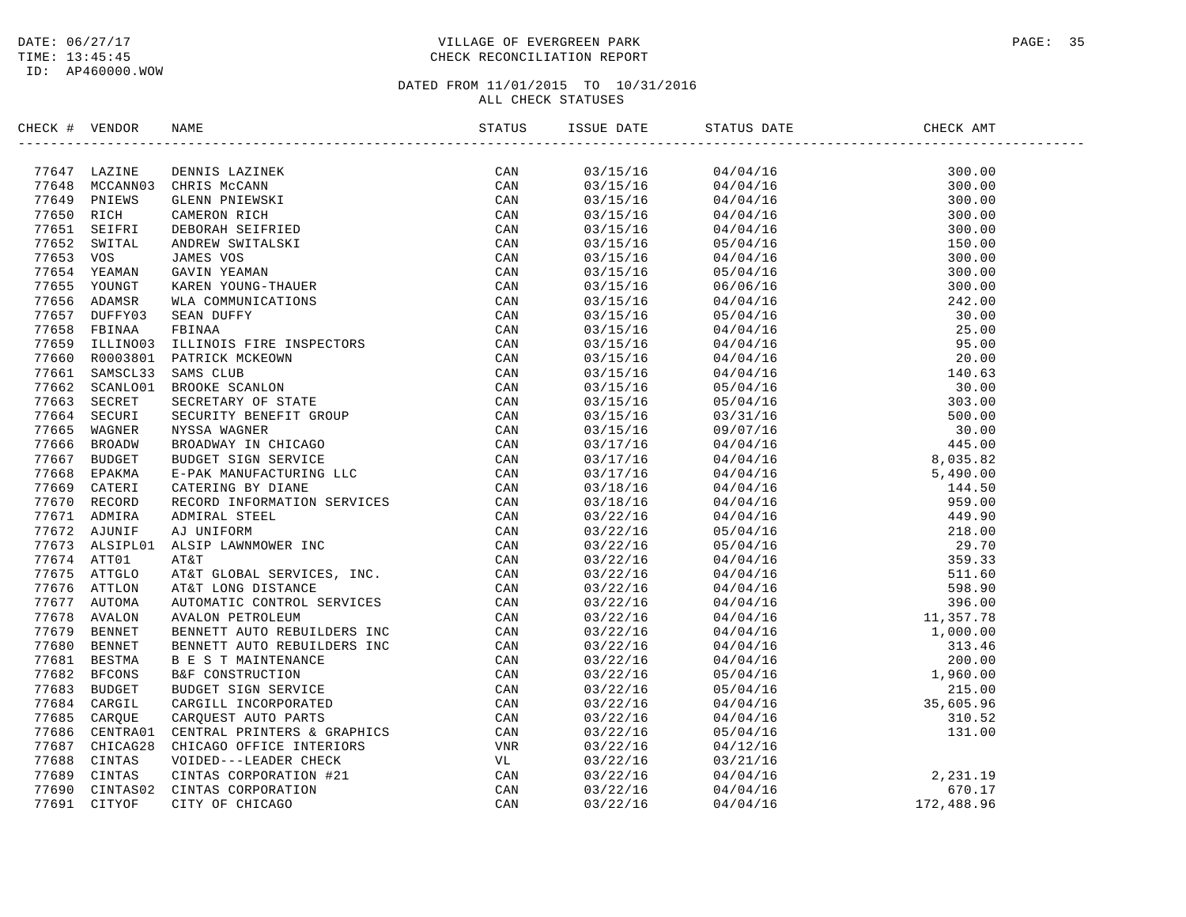### DATE:  $06/27/17$  PAGE: 35 TIME: 13:45:45 CHECK RECONCILIATION REPORT

| CHECK # VENDOR |                              | NAME                                                                                                                                                                                                                             |     | ISSUE DATE           | STATUS DATE | CHECK AMT                                                                                                                                   |  |
|----------------|------------------------------|----------------------------------------------------------------------------------------------------------------------------------------------------------------------------------------------------------------------------------|-----|----------------------|-------------|---------------------------------------------------------------------------------------------------------------------------------------------|--|
|                |                              | NAME CAN AREN'IN THE SECURE A GRAPHICS<br>MARE CAN BE CAN ANDENING THE SECAL AND TRIN AND A SECURE THE SECAL AND A SECURE THE CAN AREN' SCRIPTING THE CAN AREN' CONTINUES THE CAN AREN' CONTINUES THE INSPECTING THAT CAN BE SAN |     |                      |             |                                                                                                                                             |  |
|                | 77647 LAZINE                 |                                                                                                                                                                                                                                  | CAN |                      |             |                                                                                                                                             |  |
|                |                              | 77648 MCCANN03 CHRIS McCANN                                                                                                                                                                                                      |     |                      |             |                                                                                                                                             |  |
|                | 77649 PNIEWS                 |                                                                                                                                                                                                                                  |     |                      |             |                                                                                                                                             |  |
| 77650 RICH     | 77651 SEIFRI                 |                                                                                                                                                                                                                                  |     |                      |             |                                                                                                                                             |  |
|                | 77652 SWITAL                 |                                                                                                                                                                                                                                  |     |                      |             |                                                                                                                                             |  |
| 77653 VOS      |                              |                                                                                                                                                                                                                                  |     |                      |             |                                                                                                                                             |  |
|                | 77654 YEAMAN                 |                                                                                                                                                                                                                                  |     |                      |             |                                                                                                                                             |  |
|                | 77655 YOUNGT                 |                                                                                                                                                                                                                                  |     |                      |             |                                                                                                                                             |  |
|                | 77656 ADAMSR                 |                                                                                                                                                                                                                                  |     |                      |             |                                                                                                                                             |  |
|                | 77657 DUFFY03                |                                                                                                                                                                                                                                  |     |                      |             |                                                                                                                                             |  |
|                | 77658 FBINAA                 |                                                                                                                                                                                                                                  |     |                      |             |                                                                                                                                             |  |
|                | 77659 ILLINO03               |                                                                                                                                                                                                                                  |     |                      |             |                                                                                                                                             |  |
|                | 77660 R0003801               |                                                                                                                                                                                                                                  |     |                      |             |                                                                                                                                             |  |
|                | 77661 SAMSCL33               |                                                                                                                                                                                                                                  |     |                      |             |                                                                                                                                             |  |
|                | 77662 SCANLO01               |                                                                                                                                                                                                                                  |     |                      |             |                                                                                                                                             |  |
|                | 77663 SECRET                 |                                                                                                                                                                                                                                  |     |                      |             |                                                                                                                                             |  |
|                | 77664 SECURI                 |                                                                                                                                                                                                                                  |     |                      |             |                                                                                                                                             |  |
|                | 77665 WAGNER                 |                                                                                                                                                                                                                                  |     |                      |             |                                                                                                                                             |  |
|                | 77666 BROADW                 |                                                                                                                                                                                                                                  |     |                      |             |                                                                                                                                             |  |
|                | 77667 BUDGET                 |                                                                                                                                                                                                                                  |     |                      |             |                                                                                                                                             |  |
|                | 77668 EPAKMA                 |                                                                                                                                                                                                                                  |     |                      |             |                                                                                                                                             |  |
|                | 77669 CATERI                 |                                                                                                                                                                                                                                  |     |                      |             |                                                                                                                                             |  |
|                | 77670 RECORD                 |                                                                                                                                                                                                                                  |     |                      |             |                                                                                                                                             |  |
|                | 77671 ADMIRA                 |                                                                                                                                                                                                                                  |     |                      |             |                                                                                                                                             |  |
|                | 77672 AJUNIF                 |                                                                                                                                                                                                                                  |     |                      |             |                                                                                                                                             |  |
|                | 77673 ALSIPL01               |                                                                                                                                                                                                                                  |     |                      |             |                                                                                                                                             |  |
|                | 77674 ATT01                  |                                                                                                                                                                                                                                  |     |                      |             |                                                                                                                                             |  |
|                | 77675 ATTGLO                 |                                                                                                                                                                                                                                  |     |                      |             |                                                                                                                                             |  |
|                | 77676 ATTLON                 |                                                                                                                                                                                                                                  |     |                      |             |                                                                                                                                             |  |
|                | 77677 AUTOMA                 |                                                                                                                                                                                                                                  |     |                      |             |                                                                                                                                             |  |
|                | 77678 AVALON                 |                                                                                                                                                                                                                                  |     |                      |             |                                                                                                                                             |  |
|                | 77679 BENNET                 |                                                                                                                                                                                                                                  |     |                      |             |                                                                                                                                             |  |
|                | 77680 BENNET                 |                                                                                                                                                                                                                                  |     |                      |             |                                                                                                                                             |  |
|                | 77681 BESTMA                 |                                                                                                                                                                                                                                  |     |                      |             |                                                                                                                                             |  |
|                | 77682 BFCONS                 |                                                                                                                                                                                                                                  |     |                      |             |                                                                                                                                             |  |
|                | 77683 BUDGET                 |                                                                                                                                                                                                                                  |     |                      |             |                                                                                                                                             |  |
|                | 77684 CARGIL                 |                                                                                                                                                                                                                                  |     |                      |             |                                                                                                                                             |  |
|                | 77685 CAROUE                 |                                                                                                                                                                                                                                  |     |                      |             |                                                                                                                                             |  |
|                | 77686 CENTRA01               |                                                                                                                                                                                                                                  |     |                      |             |                                                                                                                                             |  |
|                | 77687 CHICAG28               |                                                                                                                                                                                                                                  |     | 03/22/16             | 04/12/16    |                                                                                                                                             |  |
|                | 77688 CINTAS<br>77689 CINTAS |                                                                                                                                                                                                                                  |     | 03/22/16<br>03/22/16 |             | $\begin{array}{llllll} 03/21/16 & & & & \\ 04/04/16 & & & & 2,231.19 \\ 04/04/16 & & & & 670.17 \\ 04/04/16 & & & & 172,488.96 \end{array}$ |  |
| 77690          | CINTAS02                     |                                                                                                                                                                                                                                  |     | 03/22/16             | 04/04/16    |                                                                                                                                             |  |
|                | 77691 CITYOF                 |                                                                                                                                                                                                                                  |     | 03/22/16             |             |                                                                                                                                             |  |
|                |                              |                                                                                                                                                                                                                                  |     |                      |             |                                                                                                                                             |  |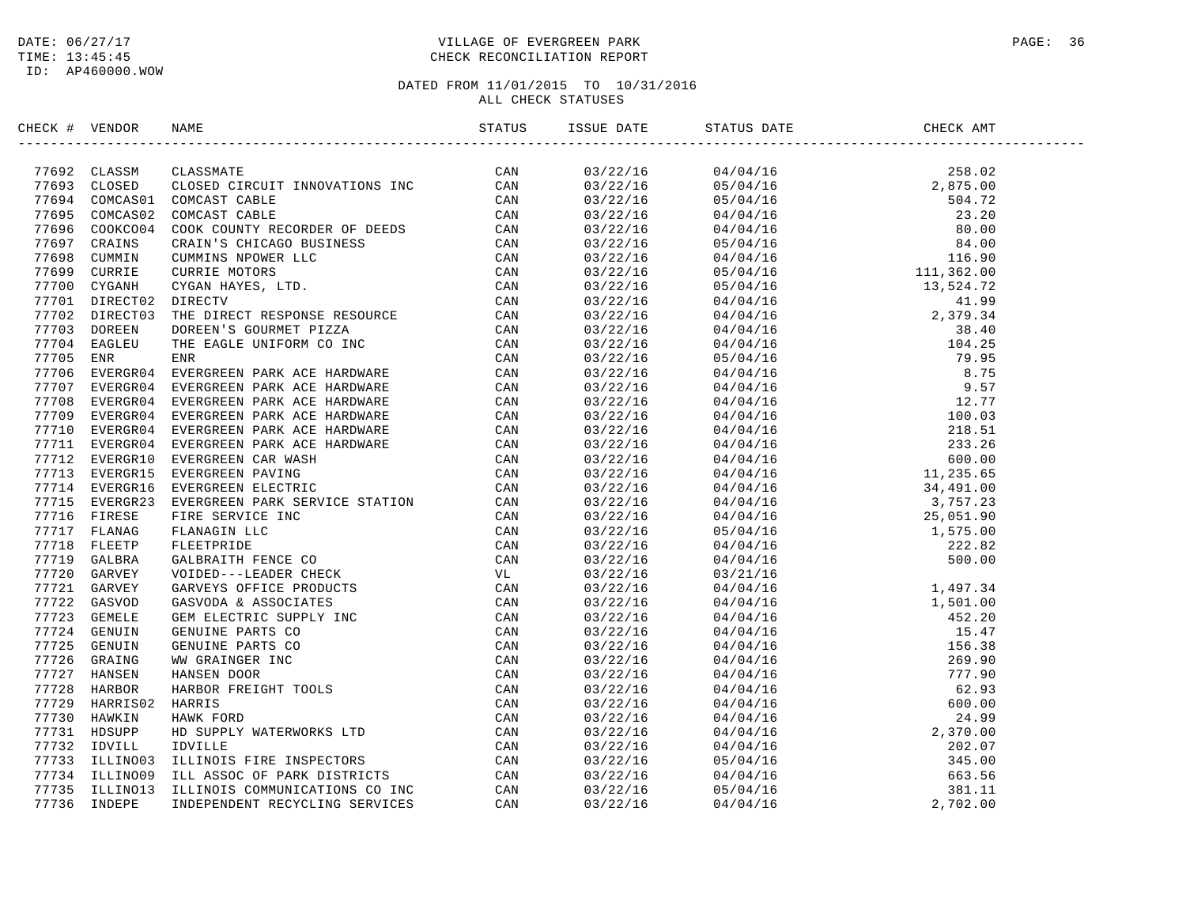#### DATE:  $06/27/17$  PAGE: 36 TIME: 13:45:45 CHECK RECONCILIATION REPORT

| CHECK # VENDOR |  | STATUS ISSUE DATE STATUS DATE |                                                                                                                                                                                                                                                                          | CHECK AMT |
|----------------|--|-------------------------------|--------------------------------------------------------------------------------------------------------------------------------------------------------------------------------------------------------------------------------------------------------------------------|-----------|
|                |  |                               |                                                                                                                                                                                                                                                                          |           |
|                |  |                               | $\begin{tabular}{cccccccc} 0.3722/16 & 0.4704/16 & 258.02 \\ 0.3722/16 & 0.4704/16 & 2.875.00 \\ 0.3722/16 & 0.5704/16 & 2.875.00 \\ 0.3722/16 & 0.4704/16 & 2.375.0 \\ 0.3722/16 & 0.4704/16 & 80.00 \\ 0.3722/16 & 0.5704/16 & 116.90 \\ 0.3722/16 & 0.5704/16 & 116.$ |           |
|                |  |                               |                                                                                                                                                                                                                                                                          |           |
|                |  |                               |                                                                                                                                                                                                                                                                          |           |
|                |  |                               |                                                                                                                                                                                                                                                                          |           |
|                |  |                               |                                                                                                                                                                                                                                                                          |           |
|                |  |                               |                                                                                                                                                                                                                                                                          |           |
|                |  |                               |                                                                                                                                                                                                                                                                          |           |
|                |  |                               |                                                                                                                                                                                                                                                                          |           |
|                |  |                               |                                                                                                                                                                                                                                                                          |           |
|                |  |                               |                                                                                                                                                                                                                                                                          |           |
|                |  |                               |                                                                                                                                                                                                                                                                          |           |
|                |  |                               |                                                                                                                                                                                                                                                                          |           |
|                |  |                               |                                                                                                                                                                                                                                                                          |           |
|                |  |                               |                                                                                                                                                                                                                                                                          |           |
|                |  |                               |                                                                                                                                                                                                                                                                          |           |
|                |  |                               |                                                                                                                                                                                                                                                                          |           |
|                |  |                               |                                                                                                                                                                                                                                                                          |           |
|                |  |                               |                                                                                                                                                                                                                                                                          |           |
|                |  |                               |                                                                                                                                                                                                                                                                          |           |
|                |  |                               |                                                                                                                                                                                                                                                                          |           |
|                |  |                               |                                                                                                                                                                                                                                                                          |           |
|                |  |                               |                                                                                                                                                                                                                                                                          |           |
|                |  |                               |                                                                                                                                                                                                                                                                          |           |
|                |  |                               |                                                                                                                                                                                                                                                                          |           |
|                |  |                               |                                                                                                                                                                                                                                                                          |           |
|                |  |                               |                                                                                                                                                                                                                                                                          |           |
|                |  |                               |                                                                                                                                                                                                                                                                          |           |
|                |  |                               |                                                                                                                                                                                                                                                                          |           |
|                |  |                               |                                                                                                                                                                                                                                                                          |           |
|                |  | 03/22/16                      |                                                                                                                                                                                                                                                                          |           |
|                |  |                               |                                                                                                                                                                                                                                                                          |           |
|                |  | 03/22/16                      |                                                                                                                                                                                                                                                                          |           |
|                |  | 03/22/16<br>03/22/16          |                                                                                                                                                                                                                                                                          |           |
|                |  | 03/22/16                      |                                                                                                                                                                                                                                                                          |           |
|                |  | 03/22/16                      |                                                                                                                                                                                                                                                                          |           |
|                |  |                               |                                                                                                                                                                                                                                                                          |           |
|                |  | 03/22/16<br>03/22/16          |                                                                                                                                                                                                                                                                          |           |
|                |  | 03/22/16                      |                                                                                                                                                                                                                                                                          |           |
|                |  |                               |                                                                                                                                                                                                                                                                          |           |
|                |  | 03/22/16                      |                                                                                                                                                                                                                                                                          |           |
|                |  | 03/22/16                      |                                                                                                                                                                                                                                                                          |           |
|                |  | 03/22/16<br>03/22/16          | $\begin{array}{cccc} 03/21/16 \ 04/04/16 \ 04/04/16 \ 04/04/16 \ 04/04/16 \ 04/04/16 \ 04/04/16 \ 04/04/16 \ 04/04/16 \ 04/04/16 \ 04/04/16 \ 04/04/16 \ 04/04/16 \ 04/04/16 \ 04/04/16 \ 04/04/16 \ 04/04/16 \ 04/04/16 \ 04/04/16 \ 04/04/16 \ 04/04/16 \ 04$          |           |
|                |  |                               |                                                                                                                                                                                                                                                                          |           |
|                |  | 03/22/16                      |                                                                                                                                                                                                                                                                          |           |
|                |  | 03/22/16                      |                                                                                                                                                                                                                                                                          |           |
|                |  | 03/22/16                      |                                                                                                                                                                                                                                                                          |           |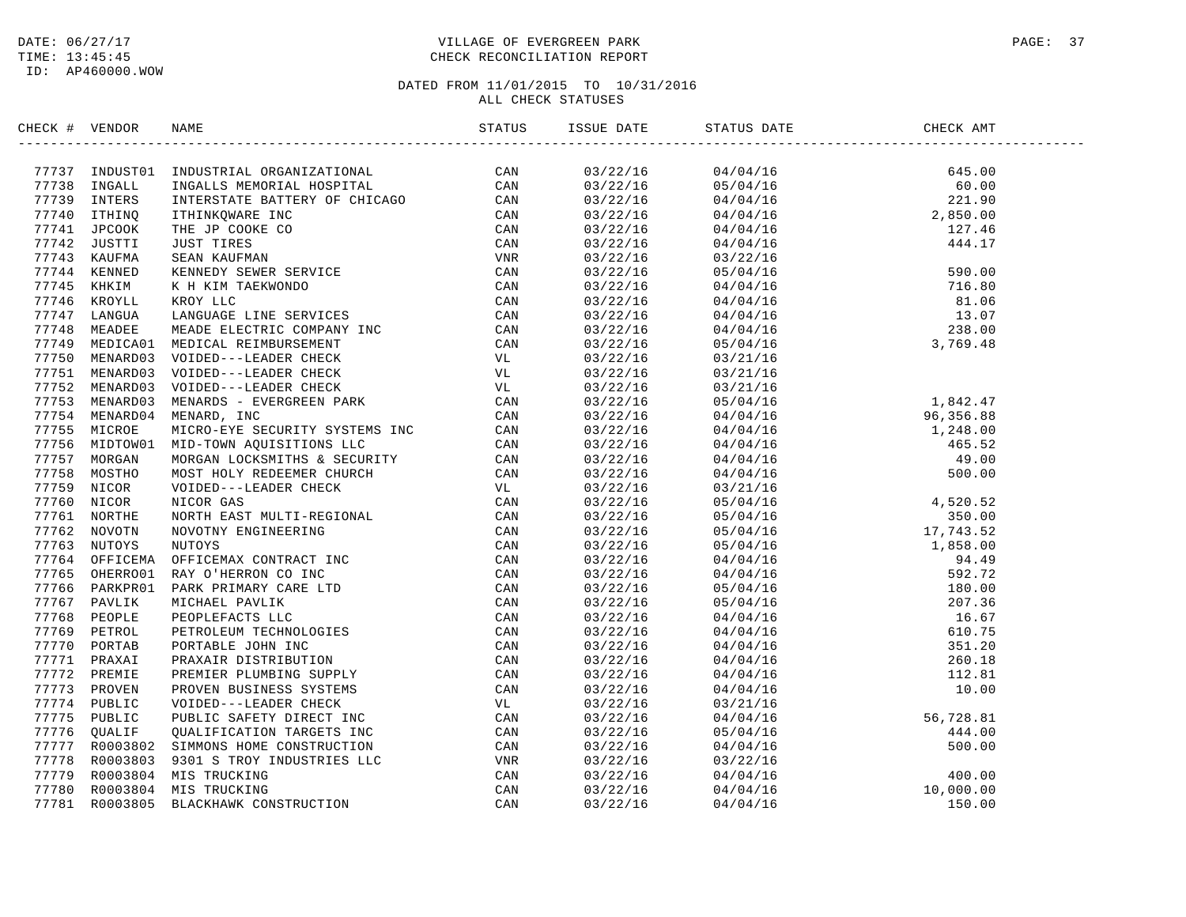# DATE:  $06/27/17$  PAGE: 37 TIME: 13:45:45 CHECK RECONCILIATION REPORT

| CHECK # VENDOR | NAME                                                                                                                                                                                                                            |                      | STATUS DATE                                                                                                                                                                                                                                                            | CHECK AMT |  |
|----------------|---------------------------------------------------------------------------------------------------------------------------------------------------------------------------------------------------------------------------------|----------------------|------------------------------------------------------------------------------------------------------------------------------------------------------------------------------------------------------------------------------------------------------------------------|-----------|--|
|                | SPACE 4 VERION INSOLUTION AND MANUSTRATION (CAN 1972)<br>17723 INGALE INSOLUTION DESPENDENT CONTROL CONTROL (CAN 177740 ITHING THE SPACE INCONENT PACKED (CAN 177740 ITHING THE SPACE OF CAN 177740 ITHING THE SPACE OF CAN 177 |                      |                                                                                                                                                                                                                                                                        |           |  |
|                |                                                                                                                                                                                                                                 |                      |                                                                                                                                                                                                                                                                        |           |  |
|                |                                                                                                                                                                                                                                 |                      |                                                                                                                                                                                                                                                                        |           |  |
|                |                                                                                                                                                                                                                                 |                      |                                                                                                                                                                                                                                                                        |           |  |
|                |                                                                                                                                                                                                                                 |                      |                                                                                                                                                                                                                                                                        |           |  |
|                |                                                                                                                                                                                                                                 |                      |                                                                                                                                                                                                                                                                        |           |  |
|                |                                                                                                                                                                                                                                 |                      |                                                                                                                                                                                                                                                                        |           |  |
|                |                                                                                                                                                                                                                                 |                      |                                                                                                                                                                                                                                                                        |           |  |
|                |                                                                                                                                                                                                                                 |                      |                                                                                                                                                                                                                                                                        |           |  |
|                |                                                                                                                                                                                                                                 |                      |                                                                                                                                                                                                                                                                        |           |  |
|                |                                                                                                                                                                                                                                 |                      |                                                                                                                                                                                                                                                                        |           |  |
|                |                                                                                                                                                                                                                                 |                      |                                                                                                                                                                                                                                                                        |           |  |
|                |                                                                                                                                                                                                                                 |                      |                                                                                                                                                                                                                                                                        |           |  |
|                |                                                                                                                                                                                                                                 | 03/22/16<br>03/22/16 | $04/04/16$<br>$05/04/16$                                                                                                                                                                                                                                               |           |  |
|                |                                                                                                                                                                                                                                 |                      |                                                                                                                                                                                                                                                                        |           |  |
|                |                                                                                                                                                                                                                                 | 03/22/16             | 03/21/16                                                                                                                                                                                                                                                               |           |  |
|                |                                                                                                                                                                                                                                 | 03/22/16             | 03/21/16                                                                                                                                                                                                                                                               |           |  |
|                |                                                                                                                                                                                                                                 |                      |                                                                                                                                                                                                                                                                        |           |  |
|                |                                                                                                                                                                                                                                 |                      |                                                                                                                                                                                                                                                                        |           |  |
|                |                                                                                                                                                                                                                                 |                      |                                                                                                                                                                                                                                                                        |           |  |
|                |                                                                                                                                                                                                                                 |                      |                                                                                                                                                                                                                                                                        |           |  |
|                |                                                                                                                                                                                                                                 |                      |                                                                                                                                                                                                                                                                        |           |  |
|                |                                                                                                                                                                                                                                 |                      | $\begin{array}{cccc} 0.3/22/16 & 0.3/21/16 \\ 0.3/22/16 & 0.3/21/16 \\ 0.3/22/16 & 0.5/04/16 & 1, 842.47 \\ 0.3/22/16 & 0.4/04/16 & 1, 248.00 \\ 0.3/22/16 & 0.4/04/16 & 465.52 \\ 0.3/22/16 & 0.4/04/16 & 49.00 \\ 0.3/22/16 & 0.4/04/16 & 49.00 \\ 0.3/22/16 & 0.4$  |           |  |
|                |                                                                                                                                                                                                                                 |                      |                                                                                                                                                                                                                                                                        |           |  |
|                |                                                                                                                                                                                                                                 |                      |                                                                                                                                                                                                                                                                        |           |  |
|                |                                                                                                                                                                                                                                 |                      |                                                                                                                                                                                                                                                                        |           |  |
|                |                                                                                                                                                                                                                                 |                      |                                                                                                                                                                                                                                                                        |           |  |
|                |                                                                                                                                                                                                                                 |                      |                                                                                                                                                                                                                                                                        |           |  |
|                |                                                                                                                                                                                                                                 |                      |                                                                                                                                                                                                                                                                        |           |  |
|                |                                                                                                                                                                                                                                 |                      |                                                                                                                                                                                                                                                                        |           |  |
|                |                                                                                                                                                                                                                                 |                      |                                                                                                                                                                                                                                                                        |           |  |
|                |                                                                                                                                                                                                                                 |                      |                                                                                                                                                                                                                                                                        |           |  |
|                |                                                                                                                                                                                                                                 |                      |                                                                                                                                                                                                                                                                        |           |  |
|                |                                                                                                                                                                                                                                 |                      |                                                                                                                                                                                                                                                                        |           |  |
|                |                                                                                                                                                                                                                                 |                      |                                                                                                                                                                                                                                                                        |           |  |
|                |                                                                                                                                                                                                                                 |                      |                                                                                                                                                                                                                                                                        |           |  |
|                |                                                                                                                                                                                                                                 |                      |                                                                                                                                                                                                                                                                        |           |  |
|                |                                                                                                                                                                                                                                 |                      |                                                                                                                                                                                                                                                                        |           |  |
|                |                                                                                                                                                                                                                                 |                      |                                                                                                                                                                                                                                                                        |           |  |
|                |                                                                                                                                                                                                                                 |                      |                                                                                                                                                                                                                                                                        |           |  |
|                |                                                                                                                                                                                                                                 |                      |                                                                                                                                                                                                                                                                        |           |  |
|                |                                                                                                                                                                                                                                 |                      |                                                                                                                                                                                                                                                                        |           |  |
|                |                                                                                                                                                                                                                                 |                      |                                                                                                                                                                                                                                                                        |           |  |
|                |                                                                                                                                                                                                                                 |                      |                                                                                                                                                                                                                                                                        |           |  |
|                |                                                                                                                                                                                                                                 |                      |                                                                                                                                                                                                                                                                        |           |  |
|                |                                                                                                                                                                                                                                 |                      | $\begin{array}{cccc} 03/22/16 & 04/04/16 & 10/3/22/16 \\ 03/22/16 & 03/21/16 & 56,728.81 \\ 03/22/16 & 05/04/16 & 560.00 \\ 03/22/16 & 04/04/16 & 500.00 \\ 03/22/16 & 03/22/16 & 440.00 \\ 03/22/16 & 04/04/16 & 400.00 \\ 03/22/16 & 04/04/16 & 10,000.00 \\ 03/22/$ |           |  |
|                |                                                                                                                                                                                                                                 |                      |                                                                                                                                                                                                                                                                        |           |  |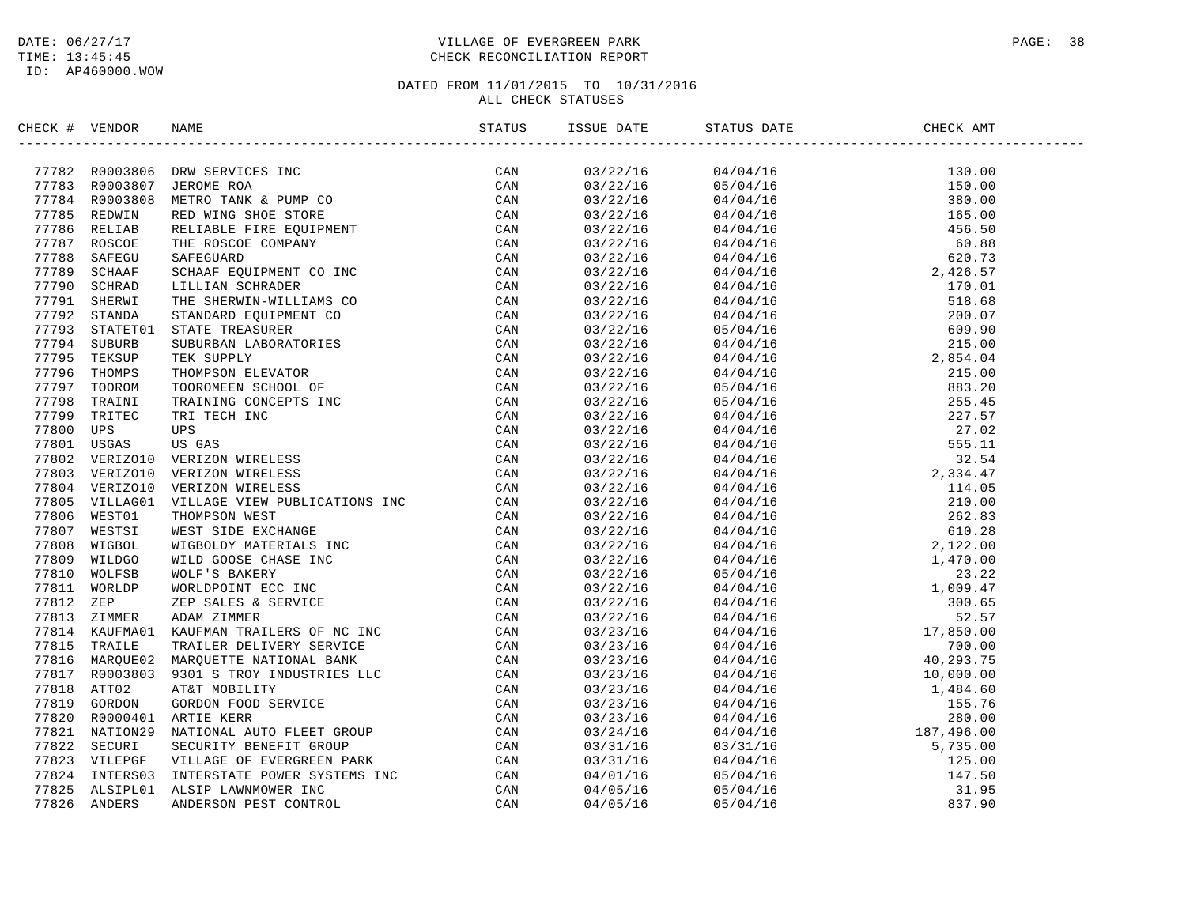# DATE:  $06/27/17$  PAGE: 38 TIME: 13:45:45 CHECK RECONCILIATION REPORT

| CHECK # VENDOR | NAME STATUS ISSI                                                                                                                                                                                                              | ISSUE DATE | STATUS DATE                                                                                                                                                                                                                                                                                    | CHECK AMT |
|----------------|-------------------------------------------------------------------------------------------------------------------------------------------------------------------------------------------------------------------------------|------------|------------------------------------------------------------------------------------------------------------------------------------------------------------------------------------------------------------------------------------------------------------------------------------------------|-----------|
|                | SECCRET WERDON NAME SERVICES IN A SERVICE CAN A SERVICE AND A SERVICE CAN A SERVICE CAN A SERVICE CAN A SERVICE CAN A SERVICE CAN A SERVICE CAN A SERVICE CAN SERVICE CAN SERVICE CAN SERVICE CAN A SERVICE CAN A SERVICE CAN |            | $\begin{tabular}{cccccccc} $0.37/27/18$ & $0.47/4/16$ & $130.00$ \\[-2pt] $0.37/27/18$ & $0.47/4/16$ & $130.00$ \\[-2pt] $0.37/27/18$ & $0.47/4/16$ & $130.00$ \\[-2pt] $0.37/27/18$ & $0.47/4/16$ & $160.08$ \\[-2pt] $0.37/27/18$ & $0.47/4/16$ & $60.88$ \\[-2pt] $0.37/27/18$ & $0.47/4/1$ |           |
|                |                                                                                                                                                                                                                               |            |                                                                                                                                                                                                                                                                                                |           |
|                |                                                                                                                                                                                                                               |            |                                                                                                                                                                                                                                                                                                |           |
|                |                                                                                                                                                                                                                               |            |                                                                                                                                                                                                                                                                                                |           |
|                |                                                                                                                                                                                                                               |            |                                                                                                                                                                                                                                                                                                |           |
|                |                                                                                                                                                                                                                               |            |                                                                                                                                                                                                                                                                                                |           |
|                |                                                                                                                                                                                                                               |            |                                                                                                                                                                                                                                                                                                |           |
|                |                                                                                                                                                                                                                               |            |                                                                                                                                                                                                                                                                                                |           |
|                |                                                                                                                                                                                                                               |            |                                                                                                                                                                                                                                                                                                |           |
|                |                                                                                                                                                                                                                               |            |                                                                                                                                                                                                                                                                                                |           |
|                |                                                                                                                                                                                                                               |            |                                                                                                                                                                                                                                                                                                |           |
|                |                                                                                                                                                                                                                               |            |                                                                                                                                                                                                                                                                                                |           |
|                |                                                                                                                                                                                                                               |            |                                                                                                                                                                                                                                                                                                |           |
|                |                                                                                                                                                                                                                               |            |                                                                                                                                                                                                                                                                                                |           |
|                |                                                                                                                                                                                                                               |            |                                                                                                                                                                                                                                                                                                |           |
|                |                                                                                                                                                                                                                               |            |                                                                                                                                                                                                                                                                                                |           |
|                |                                                                                                                                                                                                                               |            |                                                                                                                                                                                                                                                                                                |           |
|                |                                                                                                                                                                                                                               |            |                                                                                                                                                                                                                                                                                                |           |
|                |                                                                                                                                                                                                                               |            |                                                                                                                                                                                                                                                                                                |           |
|                |                                                                                                                                                                                                                               |            |                                                                                                                                                                                                                                                                                                |           |
|                |                                                                                                                                                                                                                               |            |                                                                                                                                                                                                                                                                                                |           |
|                |                                                                                                                                                                                                                               |            |                                                                                                                                                                                                                                                                                                |           |
|                |                                                                                                                                                                                                                               |            |                                                                                                                                                                                                                                                                                                |           |
|                |                                                                                                                                                                                                                               |            |                                                                                                                                                                                                                                                                                                |           |
|                |                                                                                                                                                                                                                               |            |                                                                                                                                                                                                                                                                                                |           |
|                |                                                                                                                                                                                                                               |            |                                                                                                                                                                                                                                                                                                |           |
|                |                                                                                                                                                                                                                               |            |                                                                                                                                                                                                                                                                                                |           |
|                |                                                                                                                                                                                                                               |            |                                                                                                                                                                                                                                                                                                |           |
|                |                                                                                                                                                                                                                               |            |                                                                                                                                                                                                                                                                                                |           |
|                |                                                                                                                                                                                                                               |            |                                                                                                                                                                                                                                                                                                |           |
|                |                                                                                                                                                                                                                               |            |                                                                                                                                                                                                                                                                                                |           |
|                |                                                                                                                                                                                                                               |            |                                                                                                                                                                                                                                                                                                |           |
|                |                                                                                                                                                                                                                               |            |                                                                                                                                                                                                                                                                                                |           |
|                |                                                                                                                                                                                                                               |            |                                                                                                                                                                                                                                                                                                |           |
|                |                                                                                                                                                                                                                               |            |                                                                                                                                                                                                                                                                                                |           |
|                |                                                                                                                                                                                                                               |            |                                                                                                                                                                                                                                                                                                |           |
|                |                                                                                                                                                                                                                               |            |                                                                                                                                                                                                                                                                                                |           |
|                |                                                                                                                                                                                                                               |            |                                                                                                                                                                                                                                                                                                |           |
|                |                                                                                                                                                                                                                               |            |                                                                                                                                                                                                                                                                                                |           |
|                |                                                                                                                                                                                                                               |            |                                                                                                                                                                                                                                                                                                |           |
|                |                                                                                                                                                                                                                               |            |                                                                                                                                                                                                                                                                                                |           |
|                |                                                                                                                                                                                                                               |            |                                                                                                                                                                                                                                                                                                |           |
|                |                                                                                                                                                                                                                               |            |                                                                                                                                                                                                                                                                                                |           |
|                |                                                                                                                                                                                                                               |            |                                                                                                                                                                                                                                                                                                |           |
|                |                                                                                                                                                                                                                               |            |                                                                                                                                                                                                                                                                                                |           |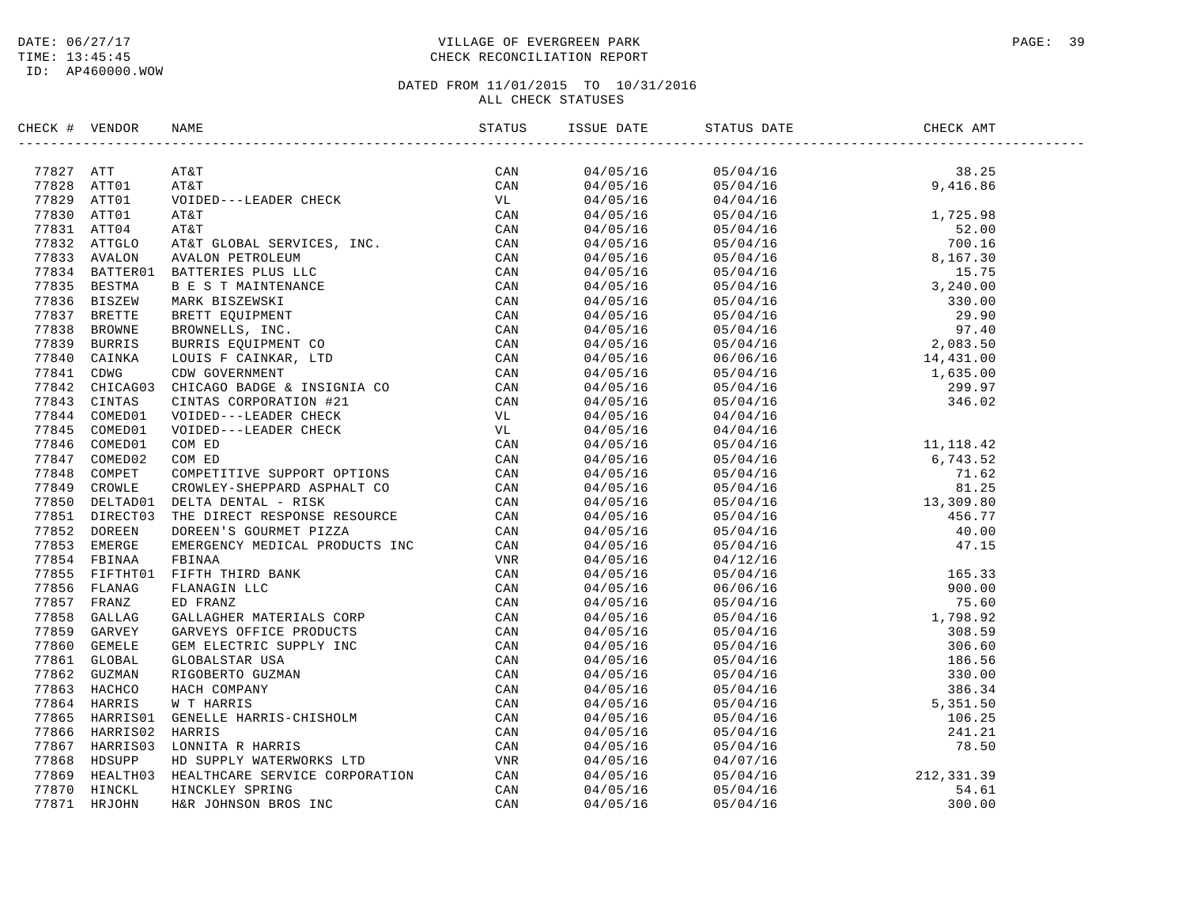# DATE:  $06/27/17$  PAGE: 39 TIME: 13:45:45 CHECK RECONCILIATION REPORT

# DATED FROM 11/01/2015 TO 10/31/2016

# ALL CHECK STATUSES

| CHECK # VENDOR | NAME | ISSUE DATE | STATUS DATE                                                                                                                                                                                                                                                    | CHECK AMT |  |
|----------------|------|------------|----------------------------------------------------------------------------------------------------------------------------------------------------------------------------------------------------------------------------------------------------------------|-----------|--|
|                |      |            |                                                                                                                                                                                                                                                                |           |  |
|                |      |            |                                                                                                                                                                                                                                                                |           |  |
|                |      |            |                                                                                                                                                                                                                                                                |           |  |
|                |      |            |                                                                                                                                                                                                                                                                |           |  |
|                |      |            |                                                                                                                                                                                                                                                                |           |  |
|                |      |            |                                                                                                                                                                                                                                                                |           |  |
|                |      |            |                                                                                                                                                                                                                                                                |           |  |
|                |      |            |                                                                                                                                                                                                                                                                |           |  |
|                |      |            |                                                                                                                                                                                                                                                                |           |  |
|                |      |            |                                                                                                                                                                                                                                                                |           |  |
|                |      |            |                                                                                                                                                                                                                                                                |           |  |
|                |      |            |                                                                                                                                                                                                                                                                |           |  |
|                |      |            |                                                                                                                                                                                                                                                                |           |  |
|                |      |            |                                                                                                                                                                                                                                                                |           |  |
|                |      |            |                                                                                                                                                                                                                                                                |           |  |
|                |      |            |                                                                                                                                                                                                                                                                |           |  |
|                |      |            |                                                                                                                                                                                                                                                                |           |  |
|                |      |            |                                                                                                                                                                                                                                                                |           |  |
|                |      | 04/05/16   | 04/04/16                                                                                                                                                                                                                                                       |           |  |
|                |      |            |                                                                                                                                                                                                                                                                |           |  |
|                |      |            |                                                                                                                                                                                                                                                                |           |  |
|                |      |            |                                                                                                                                                                                                                                                                |           |  |
|                |      |            |                                                                                                                                                                                                                                                                |           |  |
|                |      |            |                                                                                                                                                                                                                                                                |           |  |
|                |      |            |                                                                                                                                                                                                                                                                |           |  |
|                |      |            |                                                                                                                                                                                                                                                                |           |  |
|                |      |            |                                                                                                                                                                                                                                                                |           |  |
|                |      |            |                                                                                                                                                                                                                                                                |           |  |
|                |      |            |                                                                                                                                                                                                                                                                |           |  |
|                |      |            |                                                                                                                                                                                                                                                                |           |  |
|                |      |            |                                                                                                                                                                                                                                                                |           |  |
|                |      |            |                                                                                                                                                                                                                                                                |           |  |
|                |      |            |                                                                                                                                                                                                                                                                |           |  |
|                |      |            |                                                                                                                                                                                                                                                                |           |  |
|                |      |            |                                                                                                                                                                                                                                                                |           |  |
|                |      |            |                                                                                                                                                                                                                                                                |           |  |
|                |      |            |                                                                                                                                                                                                                                                                |           |  |
|                |      |            |                                                                                                                                                                                                                                                                |           |  |
|                |      |            |                                                                                                                                                                                                                                                                |           |  |
|                |      |            |                                                                                                                                                                                                                                                                |           |  |
|                |      |            |                                                                                                                                                                                                                                                                |           |  |
|                |      |            | $\begin{tabular}{@{}c@{}}\n04/05/16 & 04/04/16 & 04/04/16\cr 4/05/16 & 05/04/16 & 11,118.42\cr 04/05/16 & 05/04/16 & 11,118.42\cr 04/05/16 & 05/04/16 & 6,743.52\cr 04/05/16 & 05/04/16 & 71.62\cr 04/05/16 & 05/04/16 & 81.25\cr 04/05/16 & 05/04/16 & 13,30$ |           |  |
|                |      |            |                                                                                                                                                                                                                                                                |           |  |
|                |      |            |                                                                                                                                                                                                                                                                |           |  |
|                |      |            |                                                                                                                                                                                                                                                                |           |  |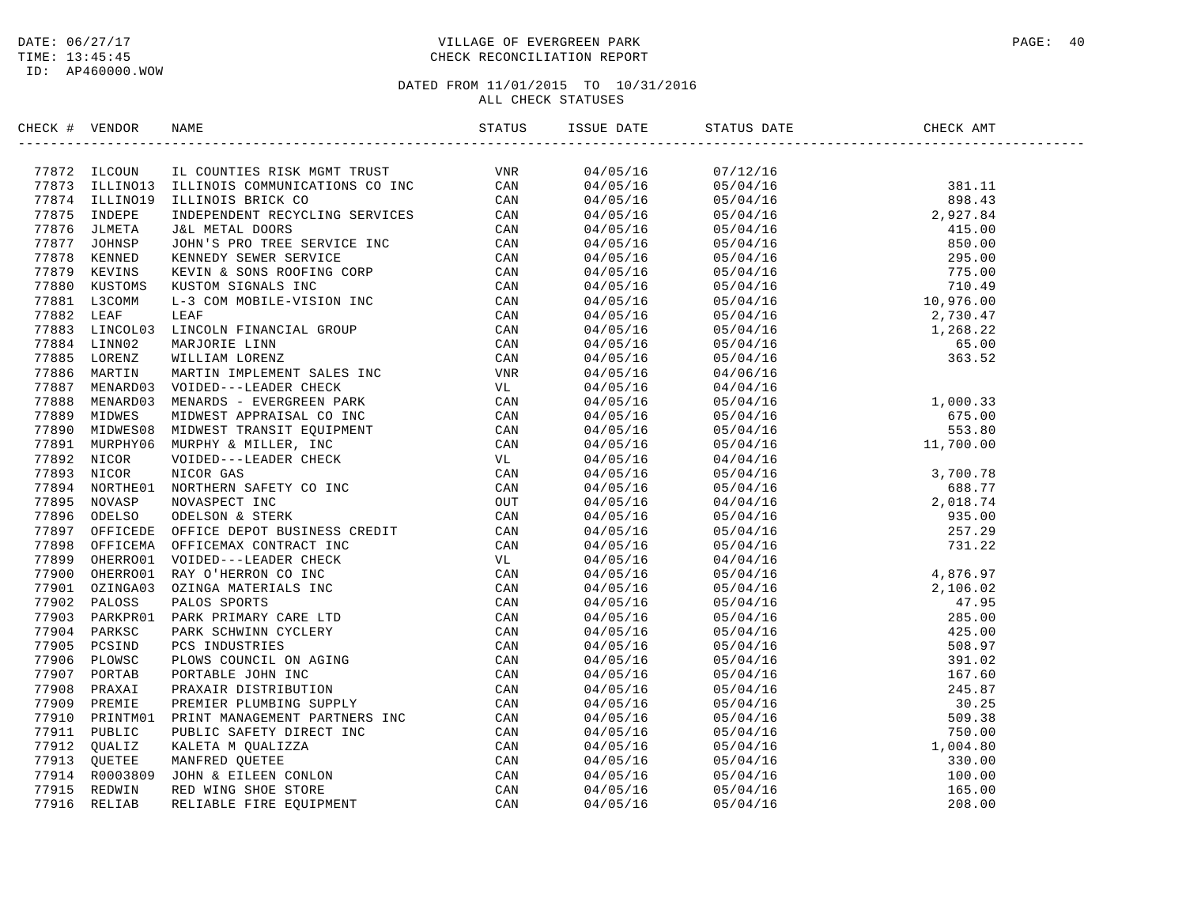# DATE:  $06/27/17$  PAGE: 40 TIME: 13:45:45 CHECK RECONCILIATION REPORT

| CHECK # VENDOR | NAME                                                                                                                                                                                                                         | STATUS | ISSUE DATE           | STATUS DATE                                                                                                                                                                                                                                                    | CHECK AMT                                                    |  |
|----------------|------------------------------------------------------------------------------------------------------------------------------------------------------------------------------------------------------------------------------|--------|----------------------|----------------------------------------------------------------------------------------------------------------------------------------------------------------------------------------------------------------------------------------------------------------|--------------------------------------------------------------|--|
|                | NALLY YEARS IN THE COUNTES RESERVE MANY TREE SERVES AND THE SERVES AND THE SERVES AND MANY TREE SERVES AND MANY TREES AND MANY TREES AND MANY CONTRACT IN the server of the server of the server of the server of the server |        | 04/05/16             | 07/12/16                                                                                                                                                                                                                                                       |                                                              |  |
|                |                                                                                                                                                                                                                              |        | 04/05/16             |                                                                                                                                                                                                                                                                |                                                              |  |
|                |                                                                                                                                                                                                                              |        | 04/05/16             |                                                                                                                                                                                                                                                                |                                                              |  |
|                |                                                                                                                                                                                                                              |        | 04/05/16             |                                                                                                                                                                                                                                                                |                                                              |  |
|                |                                                                                                                                                                                                                              |        | 04/05/16             |                                                                                                                                                                                                                                                                |                                                              |  |
|                |                                                                                                                                                                                                                              |        | 04/05/16             |                                                                                                                                                                                                                                                                |                                                              |  |
|                |                                                                                                                                                                                                                              |        | 04/05/16             |                                                                                                                                                                                                                                                                |                                                              |  |
|                |                                                                                                                                                                                                                              |        | 04/05/16             |                                                                                                                                                                                                                                                                |                                                              |  |
|                |                                                                                                                                                                                                                              |        | 04/05/16             |                                                                                                                                                                                                                                                                |                                                              |  |
|                |                                                                                                                                                                                                                              |        | 04/05/16             |                                                                                                                                                                                                                                                                |                                                              |  |
|                |                                                                                                                                                                                                                              |        | 04/05/16             |                                                                                                                                                                                                                                                                |                                                              |  |
|                |                                                                                                                                                                                                                              |        | 04/05/16             |                                                                                                                                                                                                                                                                |                                                              |  |
|                |                                                                                                                                                                                                                              |        | 04/05/16             |                                                                                                                                                                                                                                                                |                                                              |  |
|                |                                                                                                                                                                                                                              |        | 04/05/16             |                                                                                                                                                                                                                                                                |                                                              |  |
|                |                                                                                                                                                                                                                              |        | 04/05/16             | 04/06/16                                                                                                                                                                                                                                                       |                                                              |  |
|                |                                                                                                                                                                                                                              |        | 04/05/16             | 04/04/16                                                                                                                                                                                                                                                       |                                                              |  |
|                |                                                                                                                                                                                                                              |        | 04/05/16             | 05/04/16                                                                                                                                                                                                                                                       | $1,000.33$<br>$675.00$<br>$553.80$<br>$11,700.00$            |  |
|                |                                                                                                                                                                                                                              |        | 04/05/16             | 05/04/16                                                                                                                                                                                                                                                       |                                                              |  |
|                |                                                                                                                                                                                                                              |        | 04/05/16             | 05/04/16                                                                                                                                                                                                                                                       |                                                              |  |
|                |                                                                                                                                                                                                                              |        | 04/05/16             | 05/04/16                                                                                                                                                                                                                                                       |                                                              |  |
|                |                                                                                                                                                                                                                              |        | 04/05/16             | 04/04/16                                                                                                                                                                                                                                                       |                                                              |  |
|                |                                                                                                                                                                                                                              |        | 04/05/16             | 05/04/16                                                                                                                                                                                                                                                       |                                                              |  |
|                |                                                                                                                                                                                                                              |        | 04/05/16             | 05/04/16                                                                                                                                                                                                                                                       |                                                              |  |
|                |                                                                                                                                                                                                                              |        | 04/05/16             | 04/04/16                                                                                                                                                                                                                                                       | 3,700.78<br>688.77<br>2,018.74<br>935.00<br>257.29<br>731.22 |  |
|                |                                                                                                                                                                                                                              |        | 04/05/16             | 05/04/16                                                                                                                                                                                                                                                       |                                                              |  |
|                |                                                                                                                                                                                                                              |        | 04/05/16             | 05/04/16                                                                                                                                                                                                                                                       |                                                              |  |
|                |                                                                                                                                                                                                                              |        | 04/05/16             | 05/04/16                                                                                                                                                                                                                                                       |                                                              |  |
|                |                                                                                                                                                                                                                              |        | 04/05/16             | 04/04/16                                                                                                                                                                                                                                                       |                                                              |  |
|                |                                                                                                                                                                                                                              |        | 04/05/16             |                                                                                                                                                                                                                                                                |                                                              |  |
|                |                                                                                                                                                                                                                              |        | 04/05/16             |                                                                                                                                                                                                                                                                |                                                              |  |
|                |                                                                                                                                                                                                                              |        | 04/05/16             |                                                                                                                                                                                                                                                                |                                                              |  |
|                |                                                                                                                                                                                                                              |        | 04/05/16             |                                                                                                                                                                                                                                                                |                                                              |  |
|                |                                                                                                                                                                                                                              |        | 04/05/16             |                                                                                                                                                                                                                                                                |                                                              |  |
|                |                                                                                                                                                                                                                              |        | 04/05/16             |                                                                                                                                                                                                                                                                |                                                              |  |
|                |                                                                                                                                                                                                                              |        | 04/05/16             |                                                                                                                                                                                                                                                                |                                                              |  |
|                |                                                                                                                                                                                                                              |        | 04/05/16             |                                                                                                                                                                                                                                                                |                                                              |  |
|                |                                                                                                                                                                                                                              |        | 04/05/16             |                                                                                                                                                                                                                                                                |                                                              |  |
|                |                                                                                                                                                                                                                              |        |                      |                                                                                                                                                                                                                                                                |                                                              |  |
|                |                                                                                                                                                                                                                              |        | 04/05/16<br>04/05/16 |                                                                                                                                                                                                                                                                |                                                              |  |
|                |                                                                                                                                                                                                                              |        |                      |                                                                                                                                                                                                                                                                |                                                              |  |
|                |                                                                                                                                                                                                                              |        | 04/05/16             |                                                                                                                                                                                                                                                                |                                                              |  |
|                |                                                                                                                                                                                                                              |        | 04/05/16             | $\begin{array}{r} \tt 14/94/16 \ 05/04/16 \ 05/04/16 \ 05/04/16 \ 05/04/16 \ 05/04/16 \ 05/04/16 \ 05/04/16 \ 05/04/16 \ 05/04/16 \ 05/04/16 \ 05/04/16 \ 05/04/16 \ 05/04/16 \ 05/04/16 \ 05/04/16 \ 05/04/16 \ 05/04/16 \ 05/04/16 \ 05/04/16 \ 05/04/16 \ $ |                                                              |  |
|                |                                                                                                                                                                                                                              |        | 04/05/16             |                                                                                                                                                                                                                                                                |                                                              |  |
|                |                                                                                                                                                                                                                              |        | 04/05/16             |                                                                                                                                                                                                                                                                |                                                              |  |
|                |                                                                                                                                                                                                                              |        | 04/05/16             |                                                                                                                                                                                                                                                                |                                                              |  |
|                |                                                                                                                                                                                                                              |        | 04/05/16             |                                                                                                                                                                                                                                                                |                                                              |  |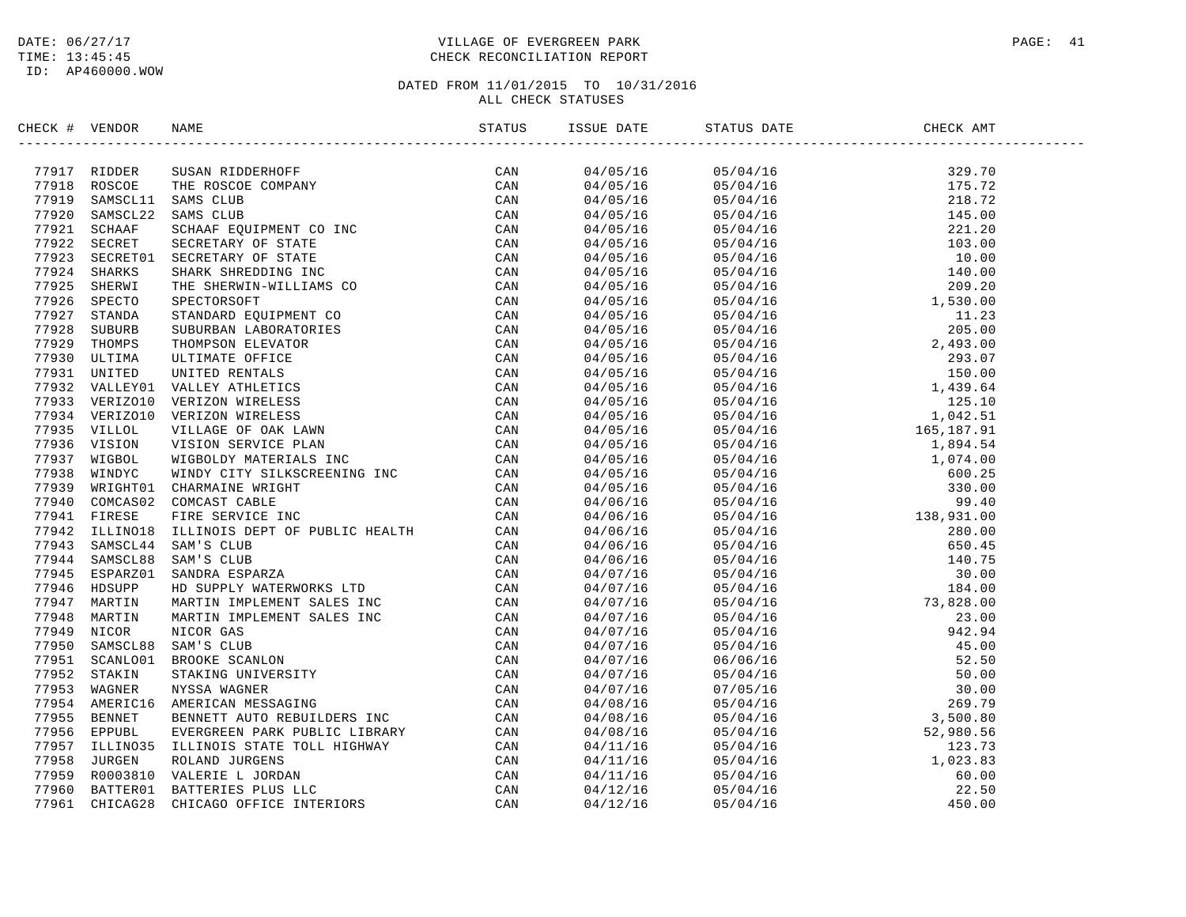# DATE:  $06/27/17$  PAGE: 41 TIME: 13:45:45 CHECK RECONCILIATION REPORT

| CHECK # VENDOR |  | STATUS | ISSUE DATE STATUS DATE |  |
|----------------|--|--------|------------------------|--|
|                |  |        |                        |  |
|                |  |        |                        |  |
|                |  |        |                        |  |
|                |  |        |                        |  |
|                |  |        |                        |  |
|                |  |        |                        |  |
|                |  |        |                        |  |
|                |  |        |                        |  |
|                |  |        |                        |  |
|                |  |        |                        |  |
|                |  |        |                        |  |
|                |  |        |                        |  |
|                |  |        |                        |  |
|                |  |        |                        |  |
|                |  |        |                        |  |
|                |  |        |                        |  |
|                |  |        |                        |  |
|                |  |        |                        |  |
|                |  |        |                        |  |
|                |  |        |                        |  |
|                |  |        |                        |  |
|                |  |        |                        |  |
|                |  |        |                        |  |
|                |  |        |                        |  |
|                |  |        |                        |  |
|                |  |        |                        |  |
|                |  |        |                        |  |
|                |  |        |                        |  |
|                |  |        |                        |  |
|                |  |        |                        |  |
|                |  |        |                        |  |
|                |  |        |                        |  |
|                |  |        |                        |  |
|                |  |        |                        |  |
|                |  |        |                        |  |
|                |  |        |                        |  |
|                |  |        |                        |  |
|                |  |        |                        |  |
|                |  |        |                        |  |
|                |  |        |                        |  |
|                |  |        |                        |  |
|                |  |        |                        |  |
|                |  |        |                        |  |
|                |  |        |                        |  |
|                |  |        |                        |  |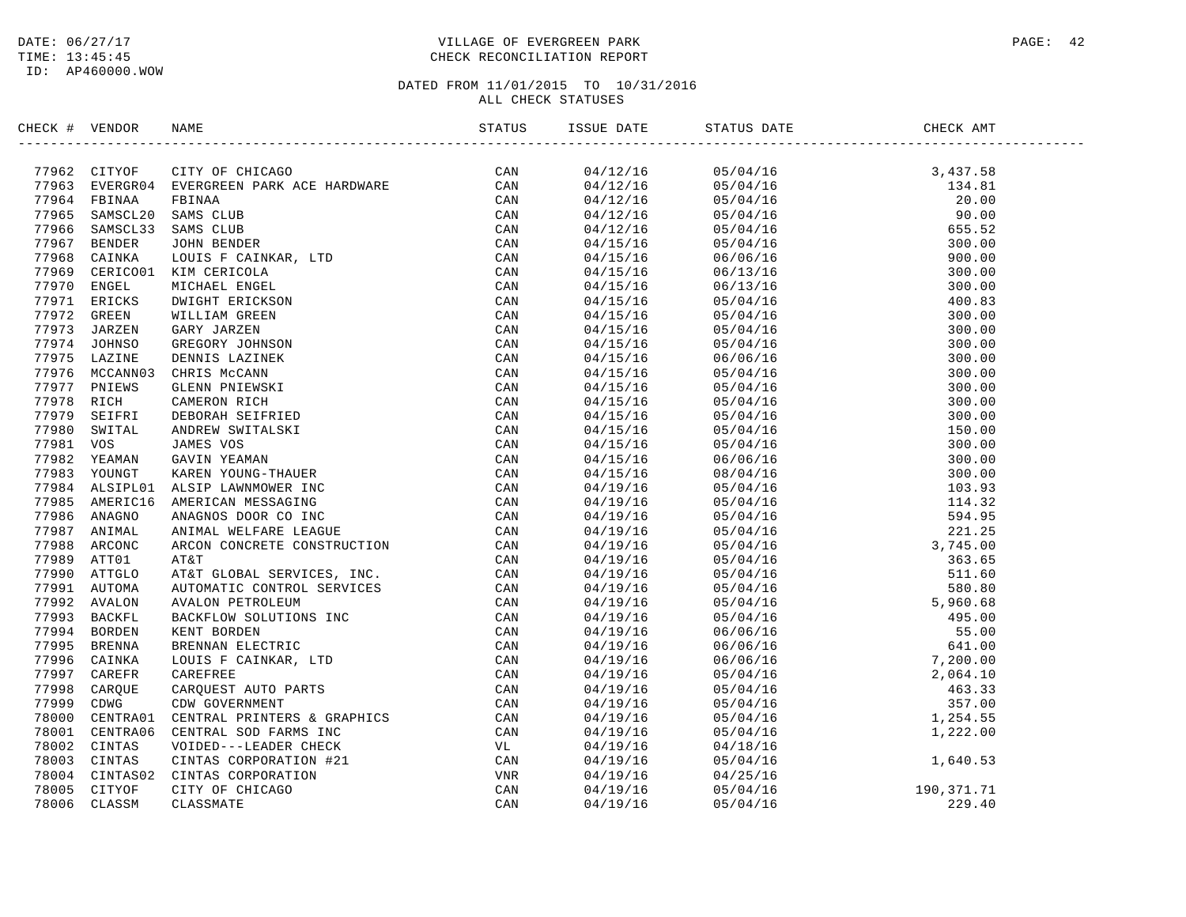# DATE:  $06/27/17$  PAGE: 42 TIME: 13:45:45 CHECK RECONCILIATION REPORT

| CHECK # VENDOR |                                                                                                                                                                                                                               | STATUS | ISSUE DATE | STATUS DATE<br>--------------- | CHECK AMT                                                                                                                                                                                                                                                                                                         |
|----------------|-------------------------------------------------------------------------------------------------------------------------------------------------------------------------------------------------------------------------------|--------|------------|--------------------------------|-------------------------------------------------------------------------------------------------------------------------------------------------------------------------------------------------------------------------------------------------------------------------------------------------------------------|
|                | ARAC 1 YEARNA PRINCING MARIN VOCATION SERVICES (CAN 77952 CHITYOP CHANGE CAN THE SERVICE CAN THE SERVICE CAN CONSULTED AND CAN ARREST CONSULTED AND CONSULTED AND CONSULTED CAN CHANGE THE CAN CONSULTED SERVICE CAN CONSULTE |        |            |                                | $\begin{tabular}{cccc} \multicolumn{4}{c}{\begin{tabular}{l} $0$5/04/16$ \\ $0$9/04/16$ \\ $0$9/04/16$ \\ $0$9/04/16$ \\ $0$9/04/16$ \\ $0$9/04/16$ \\ $0$9/04/16$ \\ $0$9/04/16$ \\ $0$9/04/16$ \\ $0$9/04/16$ \\ $0$9/04/16$ \\ $0$9/04/16$ \\ $0$9/04/16$ \\ $0$9/04/16$ \\ $0$9/04/16$ \\ $0$9/04/16$ \\ $0$$ |
|                |                                                                                                                                                                                                                               |        | 04/12/16   |                                |                                                                                                                                                                                                                                                                                                                   |
|                |                                                                                                                                                                                                                               |        | 04/12/16   |                                |                                                                                                                                                                                                                                                                                                                   |
|                |                                                                                                                                                                                                                               |        | 04/12/16   |                                |                                                                                                                                                                                                                                                                                                                   |
|                |                                                                                                                                                                                                                               |        | 04/12/16   |                                |                                                                                                                                                                                                                                                                                                                   |
|                |                                                                                                                                                                                                                               |        | 04/12/16   |                                |                                                                                                                                                                                                                                                                                                                   |
|                |                                                                                                                                                                                                                               |        | 04/15/16   |                                |                                                                                                                                                                                                                                                                                                                   |
|                |                                                                                                                                                                                                                               |        | 04/15/16   |                                |                                                                                                                                                                                                                                                                                                                   |
|                |                                                                                                                                                                                                                               |        | 04/15/16   |                                |                                                                                                                                                                                                                                                                                                                   |
|                |                                                                                                                                                                                                                               |        | 04/15/16   |                                |                                                                                                                                                                                                                                                                                                                   |
|                |                                                                                                                                                                                                                               |        | 04/15/16   |                                |                                                                                                                                                                                                                                                                                                                   |
|                |                                                                                                                                                                                                                               |        | 04/15/16   |                                |                                                                                                                                                                                                                                                                                                                   |
|                |                                                                                                                                                                                                                               |        | 04/15/16   |                                |                                                                                                                                                                                                                                                                                                                   |
|                |                                                                                                                                                                                                                               |        | 04/15/16   |                                |                                                                                                                                                                                                                                                                                                                   |
|                |                                                                                                                                                                                                                               |        | 04/15/16   |                                |                                                                                                                                                                                                                                                                                                                   |
|                |                                                                                                                                                                                                                               |        | 04/15/16   |                                |                                                                                                                                                                                                                                                                                                                   |
|                |                                                                                                                                                                                                                               |        | 04/15/16   |                                |                                                                                                                                                                                                                                                                                                                   |
|                |                                                                                                                                                                                                                               |        | 04/15/16   |                                |                                                                                                                                                                                                                                                                                                                   |
|                |                                                                                                                                                                                                                               |        | 04/15/16   |                                |                                                                                                                                                                                                                                                                                                                   |
|                |                                                                                                                                                                                                                               |        | 04/15/16   |                                |                                                                                                                                                                                                                                                                                                                   |
|                |                                                                                                                                                                                                                               |        | 04/15/16   |                                |                                                                                                                                                                                                                                                                                                                   |
|                |                                                                                                                                                                                                                               |        | 04/15/16   |                                |                                                                                                                                                                                                                                                                                                                   |
|                |                                                                                                                                                                                                                               |        | 04/15/16   |                                |                                                                                                                                                                                                                                                                                                                   |
|                |                                                                                                                                                                                                                               |        | 04/19/16   |                                |                                                                                                                                                                                                                                                                                                                   |
|                |                                                                                                                                                                                                                               |        | 04/19/16   |                                |                                                                                                                                                                                                                                                                                                                   |
|                |                                                                                                                                                                                                                               |        | 04/19/16   |                                |                                                                                                                                                                                                                                                                                                                   |
|                |                                                                                                                                                                                                                               |        | 04/19/16   |                                |                                                                                                                                                                                                                                                                                                                   |
|                |                                                                                                                                                                                                                               |        | 04/19/16   |                                |                                                                                                                                                                                                                                                                                                                   |
|                |                                                                                                                                                                                                                               |        | 04/19/16   |                                |                                                                                                                                                                                                                                                                                                                   |
|                |                                                                                                                                                                                                                               |        | 04/19/16   |                                |                                                                                                                                                                                                                                                                                                                   |
|                |                                                                                                                                                                                                                               |        | 04/19/16   |                                |                                                                                                                                                                                                                                                                                                                   |
|                |                                                                                                                                                                                                                               |        | 04/19/16   |                                |                                                                                                                                                                                                                                                                                                                   |
|                |                                                                                                                                                                                                                               |        | 04/19/16   |                                |                                                                                                                                                                                                                                                                                                                   |
|                |                                                                                                                                                                                                                               |        | 04/19/16   |                                |                                                                                                                                                                                                                                                                                                                   |
|                |                                                                                                                                                                                                                               |        | 04/19/16   |                                |                                                                                                                                                                                                                                                                                                                   |
|                |                                                                                                                                                                                                                               |        | 04/19/16   |                                |                                                                                                                                                                                                                                                                                                                   |
|                |                                                                                                                                                                                                                               |        | 04/19/16   |                                |                                                                                                                                                                                                                                                                                                                   |
|                |                                                                                                                                                                                                                               |        | 04/19/16   |                                |                                                                                                                                                                                                                                                                                                                   |
|                |                                                                                                                                                                                                                               |        | 04/19/16   |                                |                                                                                                                                                                                                                                                                                                                   |
|                |                                                                                                                                                                                                                               |        | 04/19/16   |                                |                                                                                                                                                                                                                                                                                                                   |
|                |                                                                                                                                                                                                                               |        | 04/19/16   |                                |                                                                                                                                                                                                                                                                                                                   |
|                |                                                                                                                                                                                                                               |        | 04/19/16   |                                |                                                                                                                                                                                                                                                                                                                   |
|                |                                                                                                                                                                                                                               |        | 04/19/16   |                                |                                                                                                                                                                                                                                                                                                                   |
|                |                                                                                                                                                                                                                               |        | 04/19/16   | 04/25/16                       |                                                                                                                                                                                                                                                                                                                   |
|                |                                                                                                                                                                                                                               |        | 04/19/16   | 05/04/16                       | $190, 371.71$<br>$229.40$                                                                                                                                                                                                                                                                                         |
|                |                                                                                                                                                                                                                               |        | 04/19/16   | 05/04/16                       | 229.40                                                                                                                                                                                                                                                                                                            |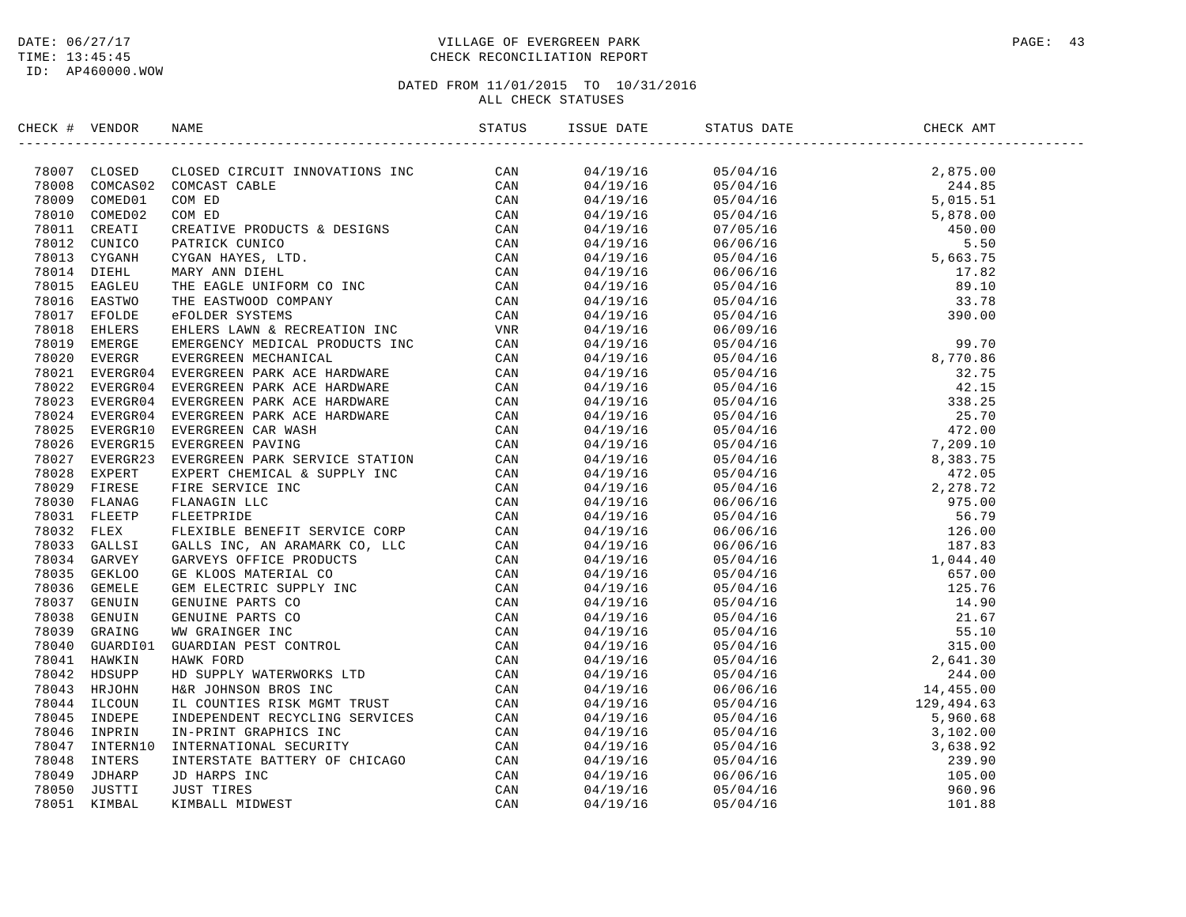# DATE:  $06/27/17$  PAGE: 43 TIME: 13:45:45 CHECK RECONCILIATION REPORT

| CHECK # VENDOR |  |  |  |  |
|----------------|--|--|--|--|
|                |  |  |  |  |
|                |  |  |  |  |
|                |  |  |  |  |
|                |  |  |  |  |
|                |  |  |  |  |
|                |  |  |  |  |
|                |  |  |  |  |
|                |  |  |  |  |
|                |  |  |  |  |
|                |  |  |  |  |
|                |  |  |  |  |
|                |  |  |  |  |
|                |  |  |  |  |
|                |  |  |  |  |
|                |  |  |  |  |
|                |  |  |  |  |
|                |  |  |  |  |
|                |  |  |  |  |
|                |  |  |  |  |
|                |  |  |  |  |
|                |  |  |  |  |
|                |  |  |  |  |
|                |  |  |  |  |
|                |  |  |  |  |
|                |  |  |  |  |
|                |  |  |  |  |
|                |  |  |  |  |
|                |  |  |  |  |
|                |  |  |  |  |
|                |  |  |  |  |
|                |  |  |  |  |
|                |  |  |  |  |
|                |  |  |  |  |
|                |  |  |  |  |
|                |  |  |  |  |
|                |  |  |  |  |
|                |  |  |  |  |
|                |  |  |  |  |
|                |  |  |  |  |
|                |  |  |  |  |
|                |  |  |  |  |
|                |  |  |  |  |
|                |  |  |  |  |
|                |  |  |  |  |
|                |  |  |  |  |
|                |  |  |  |  |
|                |  |  |  |  |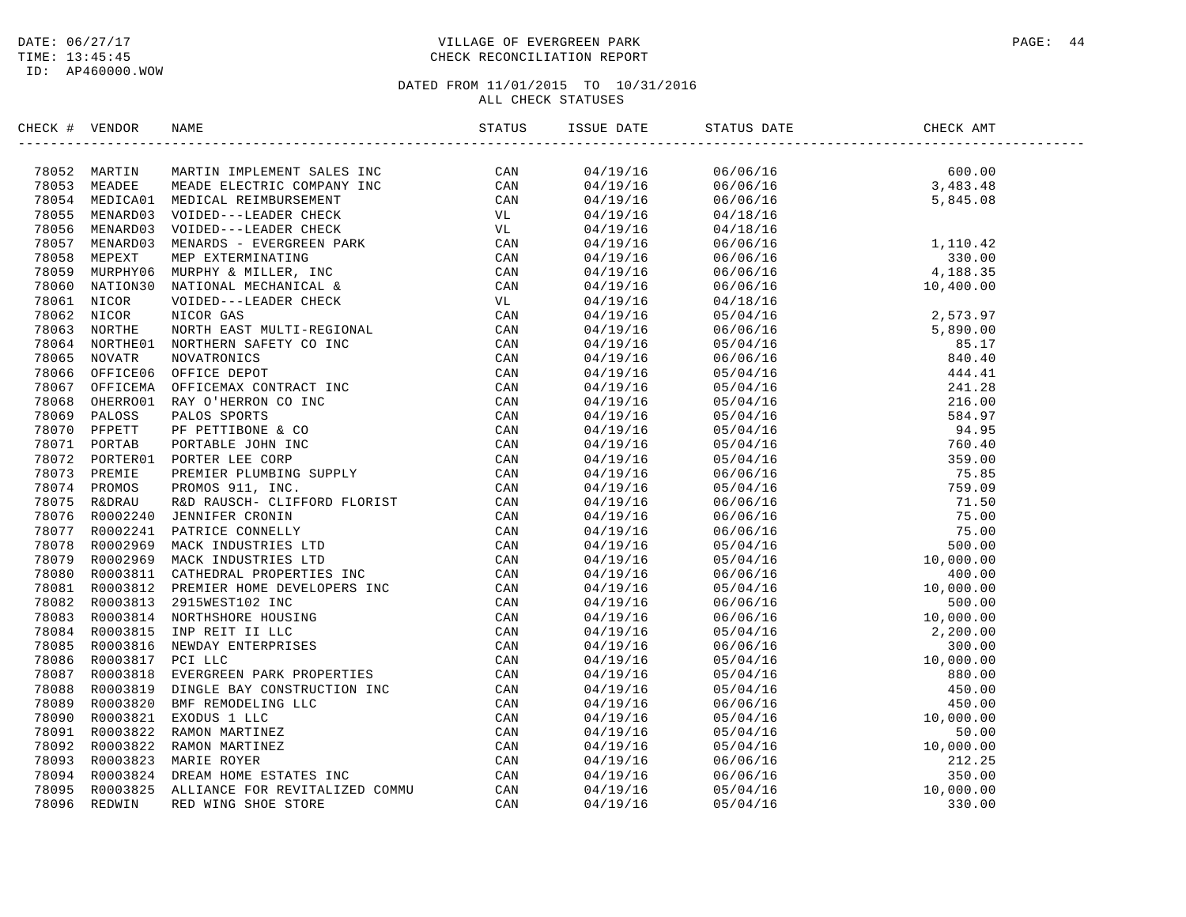# DATE:  $06/27/17$  PAGE: 44 TIME: 13:45:45 CHECK RECONCILIATION REPORT

| CHECK # VENDOR | NAME                                                                                                                                                                                                                                                                                                                                                                                                           | ISSUE DATE | STATUS DATE                                                                                                                        | CHECK AMT |
|----------------|----------------------------------------------------------------------------------------------------------------------------------------------------------------------------------------------------------------------------------------------------------------------------------------------------------------------------------------------------------------------------------------------------------------|------------|------------------------------------------------------------------------------------------------------------------------------------|-----------|
|                | $\begin{tabular}{cccccccc} \textbf{ICEK} & \textbf{WUDDPR} & \textbf{MARITB} & \textbf{MMDRITB} & \textbf{MARITB} & \textbf{MARITB} \\ \hline \textbf{78052} & \textbf{MARITB} & \textbf{MARITB} & \textbf{MADRITB} & \textbf{MADRITB} & \textbf{MBCS} \\ \hline \textbf{78053} & \textbf{MBDC030} & \textbf{MEDD} & \textbf{MEDL} & \textbf{MHEB} & \textbf{MBDR} \\ \hline \textbf{78055} & \textbf{MBDC030$ |            | $\begin{array}{cccc} 04/19/16 & 06/06/16 & 600.00 \\ 04/19/16 & 06/06/16 & 3,483.48 \\ 04/19/16 & 06/06/16 & 5,845.08 \end{array}$ |           |
|                |                                                                                                                                                                                                                                                                                                                                                                                                                |            |                                                                                                                                    |           |
|                |                                                                                                                                                                                                                                                                                                                                                                                                                |            |                                                                                                                                    |           |
|                |                                                                                                                                                                                                                                                                                                                                                                                                                | 04/19/16   | 04/18/16                                                                                                                           |           |
|                |                                                                                                                                                                                                                                                                                                                                                                                                                | 04/19/16   | 04/18/16                                                                                                                           |           |
|                |                                                                                                                                                                                                                                                                                                                                                                                                                | 04/19/16   | $04/18/16$<br>$06/06/16$<br>$06/06/16$<br>$06/06/16$<br>$06/06/16$<br>$06/06/16$<br>$06/06/16$<br>$06/06/16$<br>$10,400.00$        |           |
|                |                                                                                                                                                                                                                                                                                                                                                                                                                | 04/19/16   |                                                                                                                                    |           |
|                |                                                                                                                                                                                                                                                                                                                                                                                                                | 04/19/16   |                                                                                                                                    |           |
|                |                                                                                                                                                                                                                                                                                                                                                                                                                | 04/19/16   |                                                                                                                                    |           |
|                |                                                                                                                                                                                                                                                                                                                                                                                                                | 04/19/16   | 04/18/16                                                                                                                           |           |
|                |                                                                                                                                                                                                                                                                                                                                                                                                                | 04/19/16   |                                                                                                                                    |           |
|                |                                                                                                                                                                                                                                                                                                                                                                                                                | 04/19/16   |                                                                                                                                    |           |
|                |                                                                                                                                                                                                                                                                                                                                                                                                                | 04/19/16   |                                                                                                                                    |           |
|                |                                                                                                                                                                                                                                                                                                                                                                                                                | 04/19/16   |                                                                                                                                    |           |
|                |                                                                                                                                                                                                                                                                                                                                                                                                                | 04/19/16   |                                                                                                                                    |           |
|                |                                                                                                                                                                                                                                                                                                                                                                                                                | 04/19/16   |                                                                                                                                    |           |
|                |                                                                                                                                                                                                                                                                                                                                                                                                                | 04/19/16   |                                                                                                                                    |           |
|                |                                                                                                                                                                                                                                                                                                                                                                                                                | 04/19/16   |                                                                                                                                    |           |
|                |                                                                                                                                                                                                                                                                                                                                                                                                                | 04/19/16   |                                                                                                                                    |           |
|                |                                                                                                                                                                                                                                                                                                                                                                                                                | 04/19/16   |                                                                                                                                    |           |
|                |                                                                                                                                                                                                                                                                                                                                                                                                                | 04/19/16   |                                                                                                                                    |           |
|                |                                                                                                                                                                                                                                                                                                                                                                                                                | 04/19/16   |                                                                                                                                    |           |
|                |                                                                                                                                                                                                                                                                                                                                                                                                                | 04/19/16   |                                                                                                                                    |           |
|                |                                                                                                                                                                                                                                                                                                                                                                                                                | 04/19/16   |                                                                                                                                    |           |
|                |                                                                                                                                                                                                                                                                                                                                                                                                                | 04/19/16   |                                                                                                                                    |           |
|                |                                                                                                                                                                                                                                                                                                                                                                                                                | 04/19/16   |                                                                                                                                    |           |
|                |                                                                                                                                                                                                                                                                                                                                                                                                                | 04/19/16   |                                                                                                                                    |           |
|                |                                                                                                                                                                                                                                                                                                                                                                                                                | 04/19/16   |                                                                                                                                    |           |
|                |                                                                                                                                                                                                                                                                                                                                                                                                                | 04/19/16   |                                                                                                                                    |           |
|                |                                                                                                                                                                                                                                                                                                                                                                                                                | 04/19/16   |                                                                                                                                    |           |
|                |                                                                                                                                                                                                                                                                                                                                                                                                                | 04/19/16   |                                                                                                                                    |           |
|                |                                                                                                                                                                                                                                                                                                                                                                                                                | 04/19/16   |                                                                                                                                    |           |
|                |                                                                                                                                                                                                                                                                                                                                                                                                                | 04/19/16   |                                                                                                                                    |           |
|                |                                                                                                                                                                                                                                                                                                                                                                                                                | 04/19/16   |                                                                                                                                    |           |
|                |                                                                                                                                                                                                                                                                                                                                                                                                                | 04/19/16   |                                                                                                                                    |           |
|                |                                                                                                                                                                                                                                                                                                                                                                                                                | 04/19/16   |                                                                                                                                    |           |
|                |                                                                                                                                                                                                                                                                                                                                                                                                                | 04/19/16   |                                                                                                                                    |           |
|                |                                                                                                                                                                                                                                                                                                                                                                                                                | 04/19/16   |                                                                                                                                    |           |
|                |                                                                                                                                                                                                                                                                                                                                                                                                                | 04/19/16   |                                                                                                                                    |           |
|                |                                                                                                                                                                                                                                                                                                                                                                                                                | 04/19/16   |                                                                                                                                    |           |
|                |                                                                                                                                                                                                                                                                                                                                                                                                                | 04/19/16   |                                                                                                                                    |           |
|                |                                                                                                                                                                                                                                                                                                                                                                                                                | 04/19/16   |                                                                                                                                    |           |
|                |                                                                                                                                                                                                                                                                                                                                                                                                                | 04/19/16   |                                                                                                                                    |           |
|                |                                                                                                                                                                                                                                                                                                                                                                                                                | 04/19/16   |                                                                                                                                    |           |
|                |                                                                                                                                                                                                                                                                                                                                                                                                                | 04/19/16   |                                                                                                                                    |           |
|                |                                                                                                                                                                                                                                                                                                                                                                                                                |            |                                                                                                                                    |           |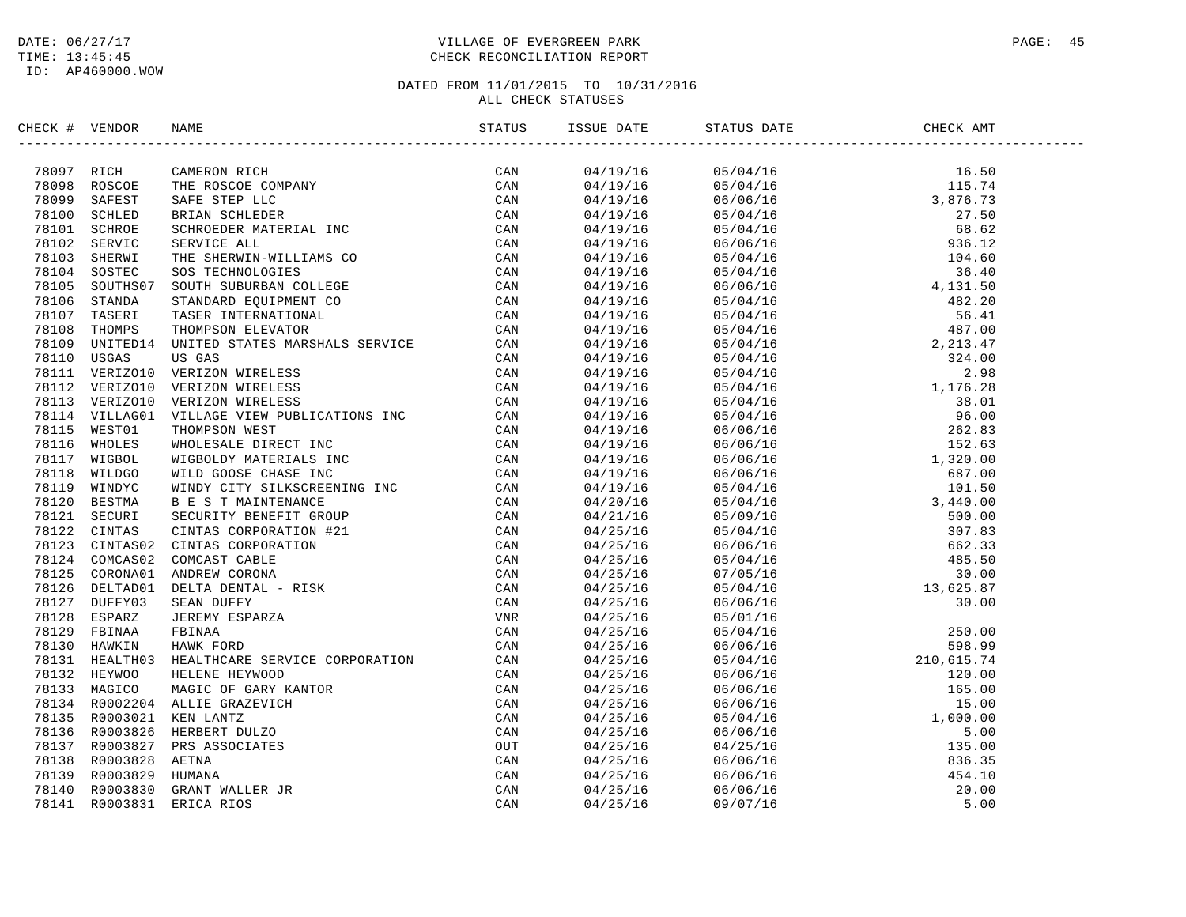# DATE:  $06/27/17$  PAGE: 45 TIME: 13:45:45 CHECK RECONCILIATION REPORT

| CHECK # VENDOR |                | NAME                                                                                                                                                                                                                                           |     |  |  |
|----------------|----------------|------------------------------------------------------------------------------------------------------------------------------------------------------------------------------------------------------------------------------------------------|-----|--|--|
|                | 78097 RICH     | NAMENON RICH (CAN MICROSCOPER)<br>THE ROSCO COMPANY<br>THE ROSCO COMPANY<br>NET AND STREET DUCES<br>SERVICE ALL ANDERS TREE LIC<br>SERVICE ALL ANDERS MITHEIN CONTRESS<br>SON THE SHENATION COLLEGE<br>STANDARD ROUTH STREET INC<br>THE SHENAT | CAN |  |  |
|                | 78098 ROSCOE   |                                                                                                                                                                                                                                                |     |  |  |
|                | 78099 SAFEST   |                                                                                                                                                                                                                                                |     |  |  |
|                | 78100 SCHLED   |                                                                                                                                                                                                                                                |     |  |  |
|                | 78101 SCHROE   |                                                                                                                                                                                                                                                |     |  |  |
|                | 78102 SERVIC   |                                                                                                                                                                                                                                                |     |  |  |
|                | 78103 SHERWI   |                                                                                                                                                                                                                                                |     |  |  |
|                | 78104 SOSTEC   |                                                                                                                                                                                                                                                |     |  |  |
|                | 78105 SOUTHS07 |                                                                                                                                                                                                                                                |     |  |  |
|                | 78106 STANDA   |                                                                                                                                                                                                                                                |     |  |  |
|                | 78107 TASERI   |                                                                                                                                                                                                                                                |     |  |  |
|                | 78108 THOMPS   |                                                                                                                                                                                                                                                |     |  |  |
| 78109          | UNITED14       |                                                                                                                                                                                                                                                |     |  |  |
|                | 78110 USGAS    |                                                                                                                                                                                                                                                |     |  |  |
|                | 78111 VERIZO10 |                                                                                                                                                                                                                                                |     |  |  |
|                | 78112 VERIZO10 |                                                                                                                                                                                                                                                |     |  |  |
|                | 78113 VERIZO10 |                                                                                                                                                                                                                                                |     |  |  |
|                | 78114 VILLAG01 |                                                                                                                                                                                                                                                |     |  |  |
|                | 78115 WEST01   |                                                                                                                                                                                                                                                |     |  |  |
|                | 78116 WHOLES   |                                                                                                                                                                                                                                                |     |  |  |
|                | 78117 WIGBOL   |                                                                                                                                                                                                                                                |     |  |  |
| 78118          | WILDGO         |                                                                                                                                                                                                                                                |     |  |  |
|                | 78119 WINDYC   |                                                                                                                                                                                                                                                |     |  |  |
|                | 78120 BESTMA   |                                                                                                                                                                                                                                                |     |  |  |
|                | 78121 SECURI   |                                                                                                                                                                                                                                                |     |  |  |
|                | 78122 CINTAS   |                                                                                                                                                                                                                                                |     |  |  |
|                | 78123 CINTAS02 |                                                                                                                                                                                                                                                |     |  |  |
|                | 78124 COMCAS02 |                                                                                                                                                                                                                                                |     |  |  |
|                | 78125 CORONA01 |                                                                                                                                                                                                                                                |     |  |  |
|                | 78126 DELTAD01 |                                                                                                                                                                                                                                                |     |  |  |
|                | 78127 DUFFY03  |                                                                                                                                                                                                                                                |     |  |  |
|                | 78128 ESPARZ   |                                                                                                                                                                                                                                                |     |  |  |
|                | 78129 FBINAA   |                                                                                                                                                                                                                                                |     |  |  |
|                | 78130 HAWKIN   |                                                                                                                                                                                                                                                |     |  |  |
|                | 78131 HEALTH03 |                                                                                                                                                                                                                                                |     |  |  |
|                | 78132 HEYWOO   |                                                                                                                                                                                                                                                |     |  |  |
|                |                |                                                                                                                                                                                                                                                |     |  |  |
|                | 78133 MAGICO   |                                                                                                                                                                                                                                                |     |  |  |
|                | 78134 R0002204 |                                                                                                                                                                                                                                                |     |  |  |
|                | 78135 R0003021 |                                                                                                                                                                                                                                                |     |  |  |
|                | 78136 R0003826 |                                                                                                                                                                                                                                                |     |  |  |
|                | 78137 R0003827 |                                                                                                                                                                                                                                                |     |  |  |
|                | 78138 R0003828 |                                                                                                                                                                                                                                                |     |  |  |
|                | 78139 R0003829 |                                                                                                                                                                                                                                                |     |  |  |
|                | 78140 R0003830 |                                                                                                                                                                                                                                                |     |  |  |
|                | 78141 R0003831 |                                                                                                                                                                                                                                                |     |  |  |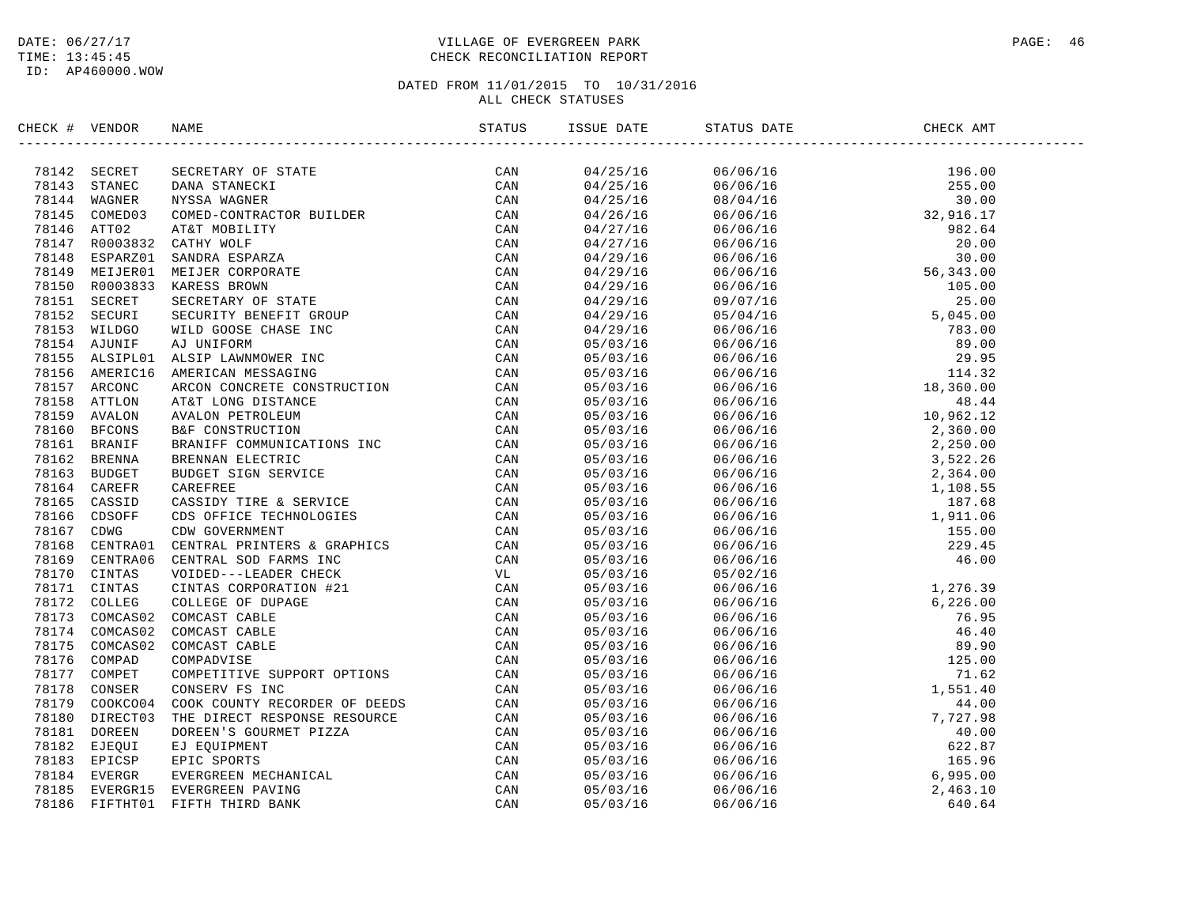# DATE:  $06/27/17$  PAGE: 46 TIME: 13:45:45 CHECK RECONCILIATION REPORT

| CHECK # VENDOR | NAME                                                                                                                                                                                                                          | ISSUE DATE | STATUS DATE                                                                                                                                                                                                                                                                 | CHECK AMT |  |
|----------------|-------------------------------------------------------------------------------------------------------------------------------------------------------------------------------------------------------------------------------|------------|-----------------------------------------------------------------------------------------------------------------------------------------------------------------------------------------------------------------------------------------------------------------------------|-----------|--|
|                | HERCH VENDOR NAME (SCRIPTION TECHNOLOGY PRODUCED AN ANNE CAN FAIR SEARCH CAN ARREST SCRIPTION ON A MANUSCRIPTION ON A 1979 CONFIDENT CONDUCED AND A STANDARD CONFIDENT CONFIDENT CONTAINST CAN A 1971 CONFIDENT CONFIDENT CON |            | $\begin{tabular}{cccccccc} 1580.16 & 8141.85 & 86.06 & 88.06 & 88.06 & 88.06 & 88.06 & 88.06 & 88.06 & 88.06 & 88.06 & 88.06 & 88.06 & 88.06 & 88.06 & 88.06 & 88.06 & 88.06 & 88.06 & 88.06 & 88.06 & 88.06 & 88.06 & 88.06 & 88.06 & 88.06 & 88.06 & 88.06 & 88.06 & 88.$ |           |  |
|                |                                                                                                                                                                                                                               |            |                                                                                                                                                                                                                                                                             |           |  |
|                |                                                                                                                                                                                                                               |            |                                                                                                                                                                                                                                                                             |           |  |
|                |                                                                                                                                                                                                                               |            |                                                                                                                                                                                                                                                                             |           |  |
|                |                                                                                                                                                                                                                               |            |                                                                                                                                                                                                                                                                             |           |  |
|                |                                                                                                                                                                                                                               |            |                                                                                                                                                                                                                                                                             |           |  |
|                |                                                                                                                                                                                                                               |            |                                                                                                                                                                                                                                                                             |           |  |
|                |                                                                                                                                                                                                                               |            |                                                                                                                                                                                                                                                                             |           |  |
|                |                                                                                                                                                                                                                               |            |                                                                                                                                                                                                                                                                             |           |  |
|                |                                                                                                                                                                                                                               |            |                                                                                                                                                                                                                                                                             |           |  |
|                |                                                                                                                                                                                                                               |            |                                                                                                                                                                                                                                                                             |           |  |
|                |                                                                                                                                                                                                                               |            |                                                                                                                                                                                                                                                                             |           |  |
|                |                                                                                                                                                                                                                               |            |                                                                                                                                                                                                                                                                             |           |  |
|                |                                                                                                                                                                                                                               |            |                                                                                                                                                                                                                                                                             |           |  |
|                |                                                                                                                                                                                                                               |            |                                                                                                                                                                                                                                                                             |           |  |
|                |                                                                                                                                                                                                                               |            |                                                                                                                                                                                                                                                                             |           |  |
|                |                                                                                                                                                                                                                               |            |                                                                                                                                                                                                                                                                             |           |  |
|                |                                                                                                                                                                                                                               |            |                                                                                                                                                                                                                                                                             |           |  |
|                |                                                                                                                                                                                                                               |            |                                                                                                                                                                                                                                                                             |           |  |
|                |                                                                                                                                                                                                                               |            |                                                                                                                                                                                                                                                                             |           |  |
|                |                                                                                                                                                                                                                               |            |                                                                                                                                                                                                                                                                             |           |  |
|                |                                                                                                                                                                                                                               |            |                                                                                                                                                                                                                                                                             |           |  |
|                |                                                                                                                                                                                                                               |            |                                                                                                                                                                                                                                                                             |           |  |
|                |                                                                                                                                                                                                                               |            |                                                                                                                                                                                                                                                                             |           |  |
|                |                                                                                                                                                                                                                               |            |                                                                                                                                                                                                                                                                             |           |  |
|                |                                                                                                                                                                                                                               |            |                                                                                                                                                                                                                                                                             |           |  |
|                |                                                                                                                                                                                                                               |            |                                                                                                                                                                                                                                                                             |           |  |
|                |                                                                                                                                                                                                                               |            |                                                                                                                                                                                                                                                                             |           |  |
|                |                                                                                                                                                                                                                               |            |                                                                                                                                                                                                                                                                             |           |  |
|                |                                                                                                                                                                                                                               |            |                                                                                                                                                                                                                                                                             |           |  |
|                |                                                                                                                                                                                                                               |            |                                                                                                                                                                                                                                                                             |           |  |
|                |                                                                                                                                                                                                                               |            |                                                                                                                                                                                                                                                                             |           |  |
|                |                                                                                                                                                                                                                               |            |                                                                                                                                                                                                                                                                             |           |  |
|                |                                                                                                                                                                                                                               |            |                                                                                                                                                                                                                                                                             |           |  |
|                |                                                                                                                                                                                                                               |            |                                                                                                                                                                                                                                                                             |           |  |
|                |                                                                                                                                                                                                                               |            |                                                                                                                                                                                                                                                                             |           |  |
|                |                                                                                                                                                                                                                               |            |                                                                                                                                                                                                                                                                             |           |  |
|                |                                                                                                                                                                                                                               |            |                                                                                                                                                                                                                                                                             |           |  |
|                |                                                                                                                                                                                                                               |            |                                                                                                                                                                                                                                                                             |           |  |
|                |                                                                                                                                                                                                                               |            |                                                                                                                                                                                                                                                                             |           |  |
|                |                                                                                                                                                                                                                               |            |                                                                                                                                                                                                                                                                             |           |  |
|                |                                                                                                                                                                                                                               |            |                                                                                                                                                                                                                                                                             |           |  |
|                |                                                                                                                                                                                                                               |            |                                                                                                                                                                                                                                                                             |           |  |
|                |                                                                                                                                                                                                                               |            |                                                                                                                                                                                                                                                                             |           |  |
|                |                                                                                                                                                                                                                               |            |                                                                                                                                                                                                                                                                             |           |  |
|                |                                                                                                                                                                                                                               |            |                                                                                                                                                                                                                                                                             |           |  |
|                |                                                                                                                                                                                                                               |            |                                                                                                                                                                                                                                                                             |           |  |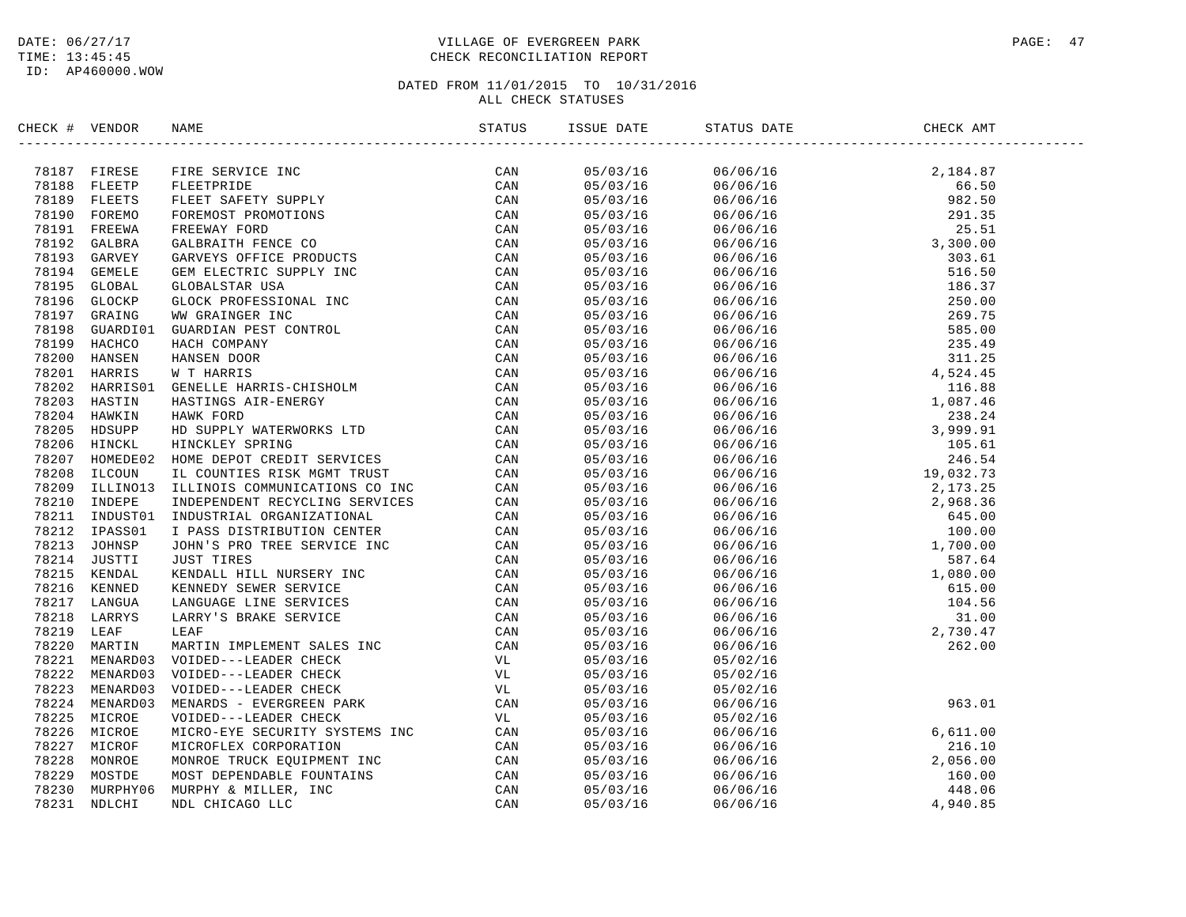# DATE:  $06/27/17$  PAGE: 47 TIME: 13:45:45 CHECK RECONCILIATION REPORT

| CHECK # VENDOR |                                                                                                                                                                                                                               | STATUS | ISSUE DATE | STATUS DATE                                                                                                                                                                                                                                                         | CHECK AMT |  |
|----------------|-------------------------------------------------------------------------------------------------------------------------------------------------------------------------------------------------------------------------------|--------|------------|---------------------------------------------------------------------------------------------------------------------------------------------------------------------------------------------------------------------------------------------------------------------|-----------|--|
|                | TREAT VERINDS FREE SERVICE INCORPRENENT MODEL IN THE SERVICE IN THE SERVICE IN THE SERVICE IN THE SERVICE ON A 1990 FOR FAST STATE STATE STATE AND CAN CONSIDER THE SERVICE ON A 1990 FOR FAST CONSIDERED AND CAN CONSIDER TH |        |            | $\begin{tabular}{cccccccc} 0.570316 & 0.676716 & 0.676716 & 0.676716 & 0.676716 & 0.676716 & 0.676716 & 0.676716 & 0.676716 & 0.676716 & 0.676716 & 0.676716 & 0.676716 & 0.676716 & 0.676716 & 0.676716 & 0.676716 & 0.676716 & 0.676716 & 0.676716 & 0.676716 & $ |           |  |
|                |                                                                                                                                                                                                                               |        |            |                                                                                                                                                                                                                                                                     |           |  |
|                |                                                                                                                                                                                                                               |        |            |                                                                                                                                                                                                                                                                     |           |  |
|                |                                                                                                                                                                                                                               |        |            |                                                                                                                                                                                                                                                                     |           |  |
|                |                                                                                                                                                                                                                               |        |            |                                                                                                                                                                                                                                                                     |           |  |
|                |                                                                                                                                                                                                                               |        |            |                                                                                                                                                                                                                                                                     |           |  |
|                |                                                                                                                                                                                                                               |        |            |                                                                                                                                                                                                                                                                     |           |  |
|                |                                                                                                                                                                                                                               |        |            |                                                                                                                                                                                                                                                                     |           |  |
|                |                                                                                                                                                                                                                               |        |            |                                                                                                                                                                                                                                                                     |           |  |
|                |                                                                                                                                                                                                                               |        |            |                                                                                                                                                                                                                                                                     |           |  |
|                |                                                                                                                                                                                                                               |        |            |                                                                                                                                                                                                                                                                     |           |  |
|                |                                                                                                                                                                                                                               |        |            |                                                                                                                                                                                                                                                                     |           |  |
|                |                                                                                                                                                                                                                               |        |            |                                                                                                                                                                                                                                                                     |           |  |
|                |                                                                                                                                                                                                                               |        |            |                                                                                                                                                                                                                                                                     |           |  |
|                |                                                                                                                                                                                                                               |        |            |                                                                                                                                                                                                                                                                     |           |  |
|                |                                                                                                                                                                                                                               |        |            |                                                                                                                                                                                                                                                                     |           |  |
|                |                                                                                                                                                                                                                               |        |            |                                                                                                                                                                                                                                                                     |           |  |
|                |                                                                                                                                                                                                                               |        |            |                                                                                                                                                                                                                                                                     |           |  |
|                |                                                                                                                                                                                                                               |        |            |                                                                                                                                                                                                                                                                     |           |  |
|                |                                                                                                                                                                                                                               |        |            |                                                                                                                                                                                                                                                                     |           |  |
|                |                                                                                                                                                                                                                               |        |            |                                                                                                                                                                                                                                                                     |           |  |
|                |                                                                                                                                                                                                                               |        |            |                                                                                                                                                                                                                                                                     |           |  |
|                |                                                                                                                                                                                                                               |        |            |                                                                                                                                                                                                                                                                     |           |  |
|                |                                                                                                                                                                                                                               |        |            |                                                                                                                                                                                                                                                                     |           |  |
|                |                                                                                                                                                                                                                               |        |            |                                                                                                                                                                                                                                                                     |           |  |
|                |                                                                                                                                                                                                                               |        |            |                                                                                                                                                                                                                                                                     |           |  |
|                |                                                                                                                                                                                                                               |        |            |                                                                                                                                                                                                                                                                     |           |  |
|                |                                                                                                                                                                                                                               |        |            |                                                                                                                                                                                                                                                                     |           |  |
|                |                                                                                                                                                                                                                               |        |            |                                                                                                                                                                                                                                                                     |           |  |
|                |                                                                                                                                                                                                                               |        |            |                                                                                                                                                                                                                                                                     |           |  |
|                |                                                                                                                                                                                                                               |        |            |                                                                                                                                                                                                                                                                     |           |  |
|                |                                                                                                                                                                                                                               |        |            |                                                                                                                                                                                                                                                                     |           |  |
|                |                                                                                                                                                                                                                               |        |            |                                                                                                                                                                                                                                                                     |           |  |
|                |                                                                                                                                                                                                                               |        |            |                                                                                                                                                                                                                                                                     |           |  |
|                |                                                                                                                                                                                                                               |        |            |                                                                                                                                                                                                                                                                     |           |  |
|                |                                                                                                                                                                                                                               |        | 05/03/16   | 05/02/16                                                                                                                                                                                                                                                            |           |  |
|                |                                                                                                                                                                                                                               |        | 05/03/16   | 05/02/16                                                                                                                                                                                                                                                            |           |  |
|                |                                                                                                                                                                                                                               |        | 05/03/16   | 06/06/16                                                                                                                                                                                                                                                            | 963.01    |  |
|                |                                                                                                                                                                                                                               |        | 05/03/16   | 05/02/16                                                                                                                                                                                                                                                            |           |  |
|                |                                                                                                                                                                                                                               |        | 05/03/16   |                                                                                                                                                                                                                                                                     |           |  |
|                |                                                                                                                                                                                                                               |        | 05/03/16   |                                                                                                                                                                                                                                                                     |           |  |
|                |                                                                                                                                                                                                                               |        | 05/03/16   |                                                                                                                                                                                                                                                                     |           |  |
|                |                                                                                                                                                                                                                               |        | 05/03/16   |                                                                                                                                                                                                                                                                     |           |  |
|                |                                                                                                                                                                                                                               |        | 05/03/16   |                                                                                                                                                                                                                                                                     |           |  |
|                |                                                                                                                                                                                                                               |        | 05/03/16   |                                                                                                                                                                                                                                                                     |           |  |
|                |                                                                                                                                                                                                                               |        |            |                                                                                                                                                                                                                                                                     |           |  |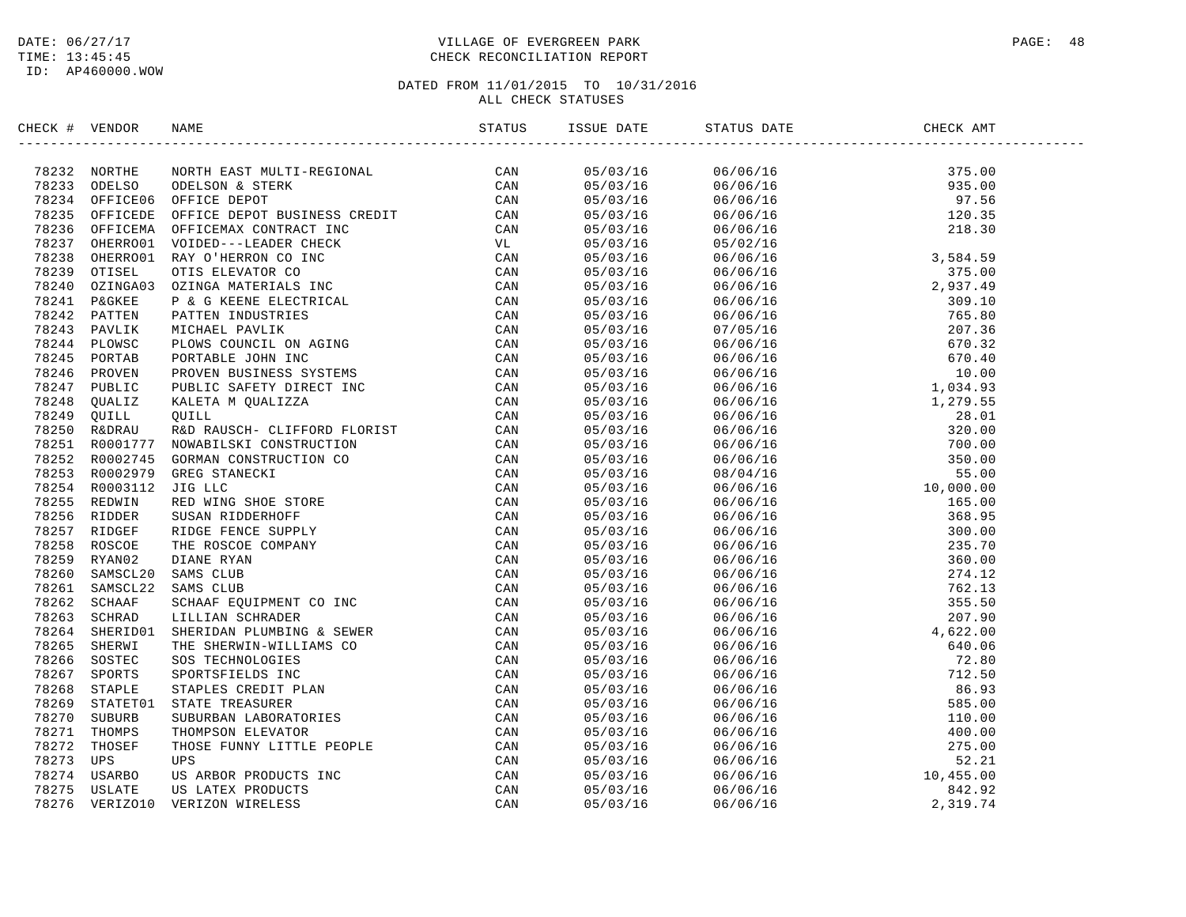# DATE:  $06/27/17$  PAGE: 48 TIME: 13:45:45 CHECK RECONCILIATION REPORT

| CHECK # VENDOR | NAME                                                                                                                                                                                                                         |  | ISSUE DATE STATUS DATE | CHECK AMT |  |
|----------------|------------------------------------------------------------------------------------------------------------------------------------------------------------------------------------------------------------------------------|--|------------------------|-----------|--|
|                | IDENTIFY VERTICAL SOLUTION IN THE STATE OF AN 1931 SOLUTION CONSULTION (CAN 1932 SOLUTION IN THE STATE OF A 1941 SOLUTION IN THE STATE OF A 1941 SOLUTION IN THE STATE OF A 1942 SOLUTION IN THE STATE OF A 1942 SOLUTION IN |  |                        |           |  |
|                |                                                                                                                                                                                                                              |  |                        |           |  |
|                |                                                                                                                                                                                                                              |  |                        |           |  |
|                |                                                                                                                                                                                                                              |  |                        |           |  |
|                |                                                                                                                                                                                                                              |  |                        |           |  |
|                |                                                                                                                                                                                                                              |  |                        |           |  |
|                |                                                                                                                                                                                                                              |  |                        |           |  |
|                |                                                                                                                                                                                                                              |  |                        |           |  |
|                |                                                                                                                                                                                                                              |  |                        |           |  |
|                |                                                                                                                                                                                                                              |  |                        |           |  |
|                |                                                                                                                                                                                                                              |  |                        |           |  |
|                |                                                                                                                                                                                                                              |  |                        |           |  |
|                |                                                                                                                                                                                                                              |  |                        |           |  |
|                |                                                                                                                                                                                                                              |  |                        |           |  |
|                |                                                                                                                                                                                                                              |  |                        |           |  |
|                |                                                                                                                                                                                                                              |  |                        |           |  |
|                |                                                                                                                                                                                                                              |  |                        |           |  |
|                |                                                                                                                                                                                                                              |  |                        |           |  |
|                |                                                                                                                                                                                                                              |  |                        |           |  |
|                |                                                                                                                                                                                                                              |  |                        |           |  |
|                |                                                                                                                                                                                                                              |  |                        |           |  |
|                |                                                                                                                                                                                                                              |  |                        |           |  |
|                |                                                                                                                                                                                                                              |  |                        |           |  |
|                |                                                                                                                                                                                                                              |  |                        |           |  |
|                |                                                                                                                                                                                                                              |  |                        |           |  |
|                |                                                                                                                                                                                                                              |  |                        |           |  |
|                |                                                                                                                                                                                                                              |  |                        |           |  |
|                |                                                                                                                                                                                                                              |  |                        |           |  |
|                |                                                                                                                                                                                                                              |  |                        |           |  |
|                |                                                                                                                                                                                                                              |  |                        |           |  |
|                |                                                                                                                                                                                                                              |  |                        |           |  |
|                |                                                                                                                                                                                                                              |  |                        |           |  |
|                |                                                                                                                                                                                                                              |  |                        |           |  |
|                |                                                                                                                                                                                                                              |  |                        |           |  |
|                |                                                                                                                                                                                                                              |  |                        |           |  |
|                |                                                                                                                                                                                                                              |  |                        |           |  |
|                |                                                                                                                                                                                                                              |  |                        |           |  |
|                |                                                                                                                                                                                                                              |  |                        |           |  |
|                |                                                                                                                                                                                                                              |  |                        |           |  |
|                |                                                                                                                                                                                                                              |  |                        |           |  |
|                |                                                                                                                                                                                                                              |  |                        |           |  |
|                |                                                                                                                                                                                                                              |  |                        |           |  |
|                |                                                                                                                                                                                                                              |  |                        |           |  |
|                |                                                                                                                                                                                                                              |  |                        |           |  |
|                |                                                                                                                                                                                                                              |  |                        |           |  |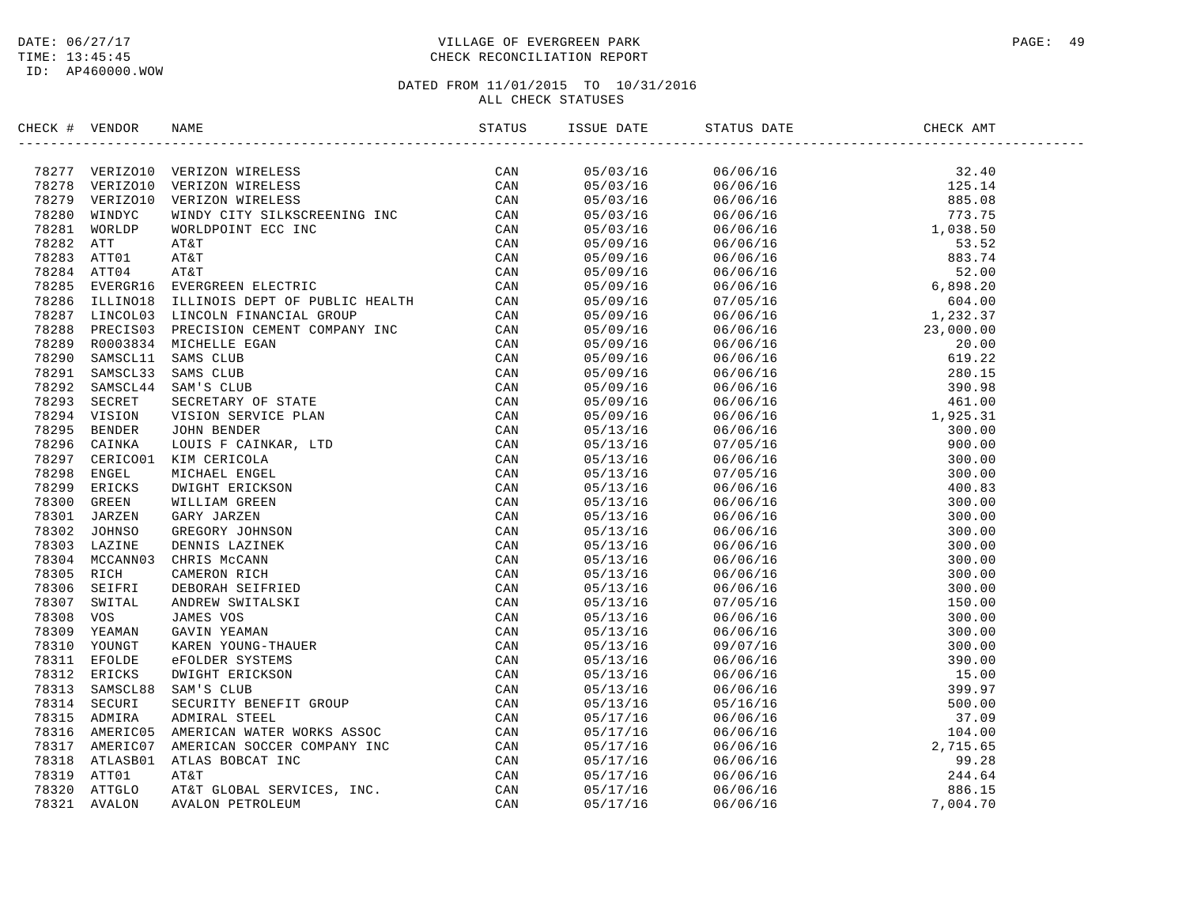# DATE:  $06/27/17$  PAGE: 49 TIME: 13:45:45 CHECK RECONCILIATION REPORT

| CHECK # VENDOR |                                                                                                                                                                                                                                          |  |                                                                                                                                                                                                                                                                                        |  |
|----------------|------------------------------------------------------------------------------------------------------------------------------------------------------------------------------------------------------------------------------------------|--|----------------------------------------------------------------------------------------------------------------------------------------------------------------------------------------------------------------------------------------------------------------------------------------|--|
|                | SPECIFE VERIDOS NAME TRANSPORTED STATES (200 M)<br>20221 VERIZOID VERIZON WIRELES (200 M)<br>20221 VERIZOID VERIZON WIRELES (200 M)<br>20221 WORLDON VERIDO VERIZON WIRELES (200 M)<br>2023 WINDYC WINDY CITY SILKSCREENING INC. CAN<br> |  | $\begin{tabular}{l c c c c} \hline & $0.9702/15$ & $0.6706/15$ & $3.140$ \\ \hline 0.8703/15 & $0.6706/15$ & $3.240$ \\ 0.8703/15 & $0.6706/15$ & $3.240$ \\ 0.8703/15 & $0.6706/15$ & $3.502$ \\ 0.8703/15 & $0.6706/15$ & $3.527$ \\ 0.8703/15 & $0.6706/15$ & $3.527$ \\ 0.8703/15$ |  |
|                |                                                                                                                                                                                                                                          |  |                                                                                                                                                                                                                                                                                        |  |
|                |                                                                                                                                                                                                                                          |  |                                                                                                                                                                                                                                                                                        |  |
|                |                                                                                                                                                                                                                                          |  |                                                                                                                                                                                                                                                                                        |  |
|                |                                                                                                                                                                                                                                          |  |                                                                                                                                                                                                                                                                                        |  |
|                |                                                                                                                                                                                                                                          |  |                                                                                                                                                                                                                                                                                        |  |
|                |                                                                                                                                                                                                                                          |  |                                                                                                                                                                                                                                                                                        |  |
|                |                                                                                                                                                                                                                                          |  |                                                                                                                                                                                                                                                                                        |  |
|                |                                                                                                                                                                                                                                          |  |                                                                                                                                                                                                                                                                                        |  |
|                |                                                                                                                                                                                                                                          |  |                                                                                                                                                                                                                                                                                        |  |
|                |                                                                                                                                                                                                                                          |  |                                                                                                                                                                                                                                                                                        |  |
|                |                                                                                                                                                                                                                                          |  |                                                                                                                                                                                                                                                                                        |  |
|                |                                                                                                                                                                                                                                          |  |                                                                                                                                                                                                                                                                                        |  |
|                |                                                                                                                                                                                                                                          |  |                                                                                                                                                                                                                                                                                        |  |
|                |                                                                                                                                                                                                                                          |  |                                                                                                                                                                                                                                                                                        |  |
|                |                                                                                                                                                                                                                                          |  |                                                                                                                                                                                                                                                                                        |  |
|                |                                                                                                                                                                                                                                          |  |                                                                                                                                                                                                                                                                                        |  |
|                |                                                                                                                                                                                                                                          |  |                                                                                                                                                                                                                                                                                        |  |
|                |                                                                                                                                                                                                                                          |  |                                                                                                                                                                                                                                                                                        |  |
|                |                                                                                                                                                                                                                                          |  |                                                                                                                                                                                                                                                                                        |  |
|                |                                                                                                                                                                                                                                          |  |                                                                                                                                                                                                                                                                                        |  |
|                |                                                                                                                                                                                                                                          |  |                                                                                                                                                                                                                                                                                        |  |
|                |                                                                                                                                                                                                                                          |  |                                                                                                                                                                                                                                                                                        |  |
|                |                                                                                                                                                                                                                                          |  |                                                                                                                                                                                                                                                                                        |  |
|                |                                                                                                                                                                                                                                          |  |                                                                                                                                                                                                                                                                                        |  |
|                |                                                                                                                                                                                                                                          |  |                                                                                                                                                                                                                                                                                        |  |
|                |                                                                                                                                                                                                                                          |  |                                                                                                                                                                                                                                                                                        |  |
|                |                                                                                                                                                                                                                                          |  |                                                                                                                                                                                                                                                                                        |  |
|                |                                                                                                                                                                                                                                          |  |                                                                                                                                                                                                                                                                                        |  |
|                |                                                                                                                                                                                                                                          |  |                                                                                                                                                                                                                                                                                        |  |
|                |                                                                                                                                                                                                                                          |  |                                                                                                                                                                                                                                                                                        |  |
|                |                                                                                                                                                                                                                                          |  |                                                                                                                                                                                                                                                                                        |  |
|                |                                                                                                                                                                                                                                          |  |                                                                                                                                                                                                                                                                                        |  |
|                |                                                                                                                                                                                                                                          |  |                                                                                                                                                                                                                                                                                        |  |
|                |                                                                                                                                                                                                                                          |  |                                                                                                                                                                                                                                                                                        |  |
|                |                                                                                                                                                                                                                                          |  |                                                                                                                                                                                                                                                                                        |  |
|                |                                                                                                                                                                                                                                          |  |                                                                                                                                                                                                                                                                                        |  |
|                |                                                                                                                                                                                                                                          |  |                                                                                                                                                                                                                                                                                        |  |
|                |                                                                                                                                                                                                                                          |  |                                                                                                                                                                                                                                                                                        |  |
|                |                                                                                                                                                                                                                                          |  |                                                                                                                                                                                                                                                                                        |  |
|                |                                                                                                                                                                                                                                          |  |                                                                                                                                                                                                                                                                                        |  |
|                |                                                                                                                                                                                                                                          |  |                                                                                                                                                                                                                                                                                        |  |
|                |                                                                                                                                                                                                                                          |  |                                                                                                                                                                                                                                                                                        |  |
|                |                                                                                                                                                                                                                                          |  |                                                                                                                                                                                                                                                                                        |  |
|                |                                                                                                                                                                                                                                          |  |                                                                                                                                                                                                                                                                                        |  |
|                |                                                                                                                                                                                                                                          |  |                                                                                                                                                                                                                                                                                        |  |
|                |                                                                                                                                                                                                                                          |  |                                                                                                                                                                                                                                                                                        |  |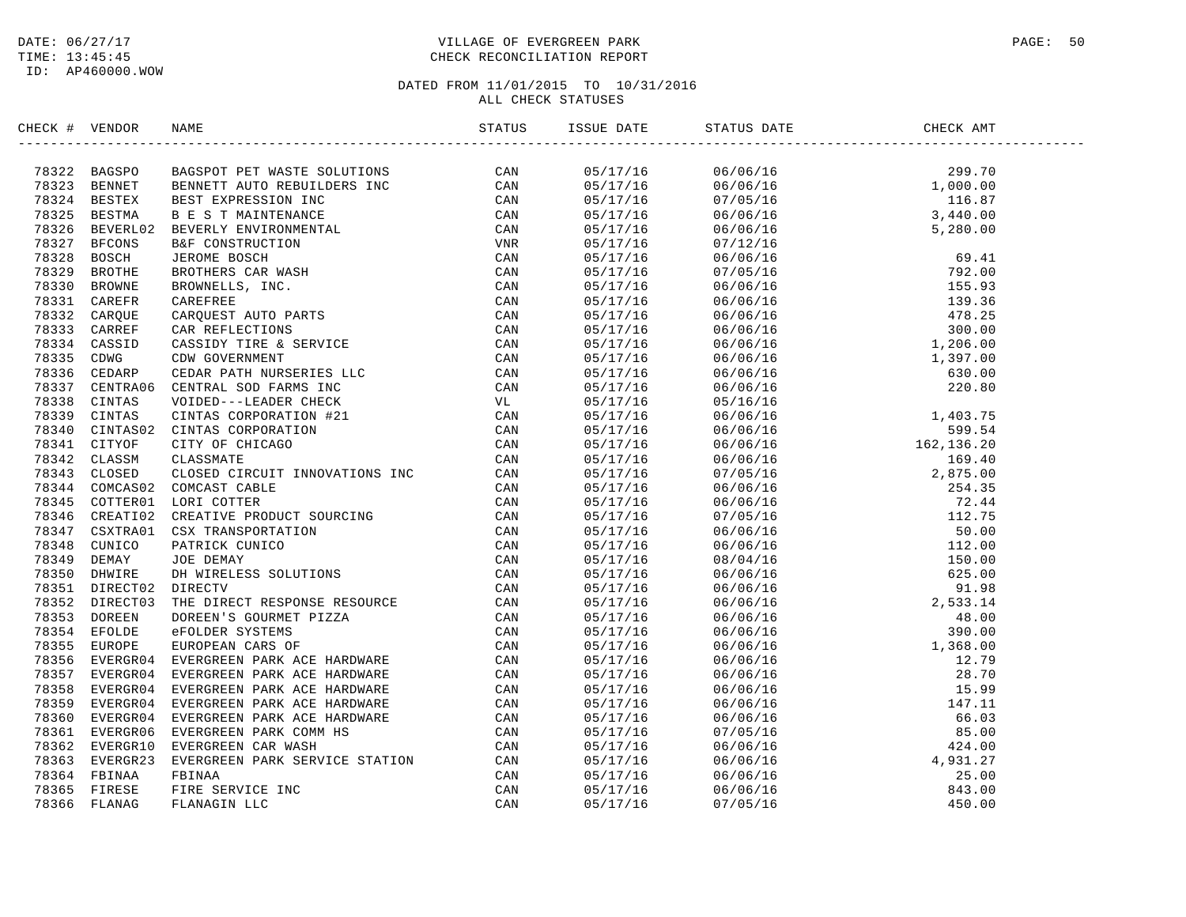# DATE:  $06/27/17$  PAGE: 50 TIME: 13:45:45 CHECK RECONCILIATION REPORT

| CHECK # VENDOR | NAME                                                                                                                                                                                                                                                                                                                                                                        | ISSUE DATE | STATUS DATE | CHECK AMT |  |
|----------------|-----------------------------------------------------------------------------------------------------------------------------------------------------------------------------------------------------------------------------------------------------------------------------------------------------------------------------------------------------------------------------|------------|-------------|-----------|--|
|                | $\begin{tabular}{cccccccc} $\mathbf{198864} & $\mathbf{0.0476} & $\mathbf{0.0476} & $\mathbf{0.0476} & $\mathbf{0.0476} & $\mathbf{0.0476} & $\mathbf{0.0476} & $\mathbf{0.0476} & $\mathbf{0.0476} & $\mathbf{0.0476} & $\mathbf{0.0476} & $\mathbf{0.0476} & $\mathbf{0.0476} & $\mathbf{0.0476} & $\mathbf{0.0476} & $\mathbf{0.0476} & $\mathbf{0.0476} & $\mathbf{0.0$ |            |             |           |  |
|                |                                                                                                                                                                                                                                                                                                                                                                             |            |             |           |  |
|                |                                                                                                                                                                                                                                                                                                                                                                             |            |             |           |  |
|                |                                                                                                                                                                                                                                                                                                                                                                             |            |             |           |  |
|                |                                                                                                                                                                                                                                                                                                                                                                             |            |             |           |  |
|                |                                                                                                                                                                                                                                                                                                                                                                             |            |             |           |  |
|                |                                                                                                                                                                                                                                                                                                                                                                             |            |             |           |  |
|                |                                                                                                                                                                                                                                                                                                                                                                             |            |             |           |  |
|                |                                                                                                                                                                                                                                                                                                                                                                             |            |             |           |  |
|                |                                                                                                                                                                                                                                                                                                                                                                             |            |             |           |  |
|                |                                                                                                                                                                                                                                                                                                                                                                             |            |             |           |  |
|                |                                                                                                                                                                                                                                                                                                                                                                             |            |             |           |  |
|                |                                                                                                                                                                                                                                                                                                                                                                             |            |             |           |  |
|                |                                                                                                                                                                                                                                                                                                                                                                             |            |             |           |  |
|                |                                                                                                                                                                                                                                                                                                                                                                             |            |             |           |  |
|                |                                                                                                                                                                                                                                                                                                                                                                             |            |             |           |  |
|                |                                                                                                                                                                                                                                                                                                                                                                             |            |             |           |  |
|                |                                                                                                                                                                                                                                                                                                                                                                             |            |             |           |  |
|                |                                                                                                                                                                                                                                                                                                                                                                             |            |             |           |  |
|                |                                                                                                                                                                                                                                                                                                                                                                             |            |             |           |  |
|                |                                                                                                                                                                                                                                                                                                                                                                             |            |             |           |  |
|                |                                                                                                                                                                                                                                                                                                                                                                             |            |             |           |  |
|                |                                                                                                                                                                                                                                                                                                                                                                             |            |             |           |  |
|                |                                                                                                                                                                                                                                                                                                                                                                             |            |             |           |  |
|                |                                                                                                                                                                                                                                                                                                                                                                             |            |             |           |  |
|                |                                                                                                                                                                                                                                                                                                                                                                             |            |             |           |  |
|                |                                                                                                                                                                                                                                                                                                                                                                             |            |             |           |  |
|                |                                                                                                                                                                                                                                                                                                                                                                             |            |             |           |  |
|                |                                                                                                                                                                                                                                                                                                                                                                             |            |             |           |  |
|                |                                                                                                                                                                                                                                                                                                                                                                             |            |             |           |  |
|                |                                                                                                                                                                                                                                                                                                                                                                             |            |             |           |  |
|                |                                                                                                                                                                                                                                                                                                                                                                             |            |             |           |  |
|                |                                                                                                                                                                                                                                                                                                                                                                             |            |             |           |  |
|                |                                                                                                                                                                                                                                                                                                                                                                             |            |             |           |  |
|                |                                                                                                                                                                                                                                                                                                                                                                             |            |             |           |  |
|                |                                                                                                                                                                                                                                                                                                                                                                             |            |             |           |  |
|                |                                                                                                                                                                                                                                                                                                                                                                             |            |             |           |  |
|                |                                                                                                                                                                                                                                                                                                                                                                             |            |             |           |  |
|                |                                                                                                                                                                                                                                                                                                                                                                             |            |             |           |  |
|                |                                                                                                                                                                                                                                                                                                                                                                             |            |             |           |  |
|                |                                                                                                                                                                                                                                                                                                                                                                             |            |             |           |  |
|                |                                                                                                                                                                                                                                                                                                                                                                             |            |             |           |  |
|                |                                                                                                                                                                                                                                                                                                                                                                             |            |             |           |  |
|                |                                                                                                                                                                                                                                                                                                                                                                             |            |             |           |  |
|                |                                                                                                                                                                                                                                                                                                                                                                             |            |             |           |  |
|                |                                                                                                                                                                                                                                                                                                                                                                             |            |             |           |  |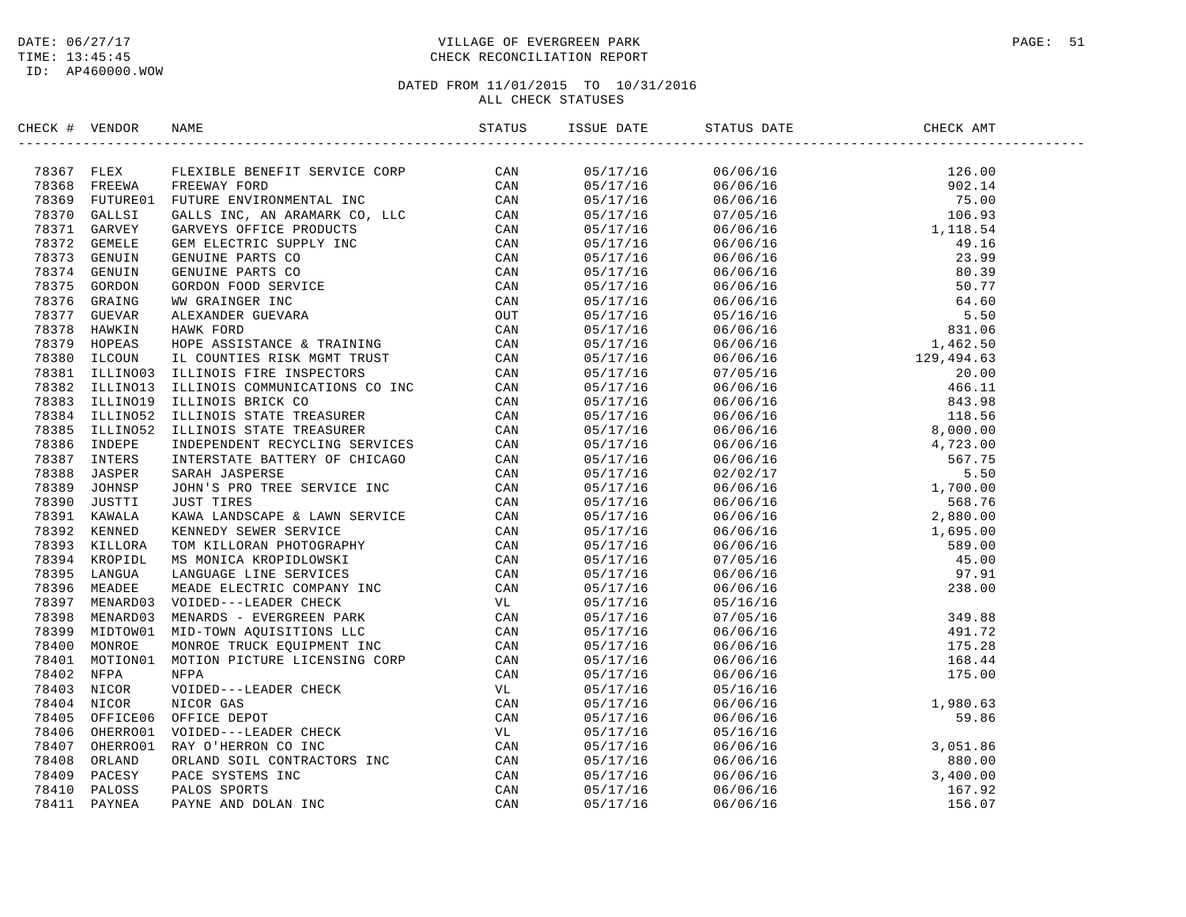# DATE:  $06/27/17$  PAGE: 51 TIME: 13:45:45 CHECK RECONCILIATION REPORT

| CHECK # VENDOR | NAME                                                                                                                                                                                                                                                                                                                                                                                                                 | ISSUE DATE | STATUS DATE CHE<br>------------------------------ | CHECK AMT |  |
|----------------|----------------------------------------------------------------------------------------------------------------------------------------------------------------------------------------------------------------------------------------------------------------------------------------------------------------------------------------------------------------------------------------------------------------------|------------|---------------------------------------------------|-----------|--|
|                | $\begin{tabular}{cccccccc} \textbf{CRE} & \textbf{WROB} & \textbf{MDRB} & \textbf{MDRB} & \textbf{MDRB} & \textbf{MDRB} & \textbf{MDRB} & \textbf{MDRB} & \textbf{MDRB} & \textbf{MDRB} & \textbf{MDRB} & \textbf{MDRB} & \textbf{MDRB} & \textbf{MDRB} & \textbf{MDRB} & \textbf{MDRB} & \textbf{MDRB} & \textbf{MDRB} & \textbf{MDRB} & \textbf{MDRB} & \textbf{MDRB} & \textbf{MDRB} & \textbf{MDRB} & \textbf{M$ |            |                                                   |           |  |
|                |                                                                                                                                                                                                                                                                                                                                                                                                                      |            |                                                   |           |  |
|                |                                                                                                                                                                                                                                                                                                                                                                                                                      |            |                                                   |           |  |
|                |                                                                                                                                                                                                                                                                                                                                                                                                                      |            |                                                   |           |  |
|                |                                                                                                                                                                                                                                                                                                                                                                                                                      |            |                                                   |           |  |
|                |                                                                                                                                                                                                                                                                                                                                                                                                                      |            |                                                   |           |  |
|                |                                                                                                                                                                                                                                                                                                                                                                                                                      |            |                                                   |           |  |
|                |                                                                                                                                                                                                                                                                                                                                                                                                                      |            |                                                   |           |  |
|                |                                                                                                                                                                                                                                                                                                                                                                                                                      |            |                                                   |           |  |
|                |                                                                                                                                                                                                                                                                                                                                                                                                                      |            |                                                   |           |  |
|                |                                                                                                                                                                                                                                                                                                                                                                                                                      |            |                                                   |           |  |
|                |                                                                                                                                                                                                                                                                                                                                                                                                                      |            |                                                   |           |  |
|                |                                                                                                                                                                                                                                                                                                                                                                                                                      |            |                                                   |           |  |
|                |                                                                                                                                                                                                                                                                                                                                                                                                                      |            |                                                   |           |  |
|                |                                                                                                                                                                                                                                                                                                                                                                                                                      |            |                                                   |           |  |
|                |                                                                                                                                                                                                                                                                                                                                                                                                                      |            |                                                   |           |  |
|                |                                                                                                                                                                                                                                                                                                                                                                                                                      |            |                                                   |           |  |
|                |                                                                                                                                                                                                                                                                                                                                                                                                                      |            |                                                   |           |  |
|                |                                                                                                                                                                                                                                                                                                                                                                                                                      |            |                                                   |           |  |
|                |                                                                                                                                                                                                                                                                                                                                                                                                                      |            |                                                   |           |  |
|                |                                                                                                                                                                                                                                                                                                                                                                                                                      |            |                                                   |           |  |
|                |                                                                                                                                                                                                                                                                                                                                                                                                                      |            |                                                   |           |  |
|                |                                                                                                                                                                                                                                                                                                                                                                                                                      |            |                                                   |           |  |
|                |                                                                                                                                                                                                                                                                                                                                                                                                                      |            |                                                   |           |  |
|                |                                                                                                                                                                                                                                                                                                                                                                                                                      |            |                                                   |           |  |
|                |                                                                                                                                                                                                                                                                                                                                                                                                                      |            |                                                   |           |  |
|                |                                                                                                                                                                                                                                                                                                                                                                                                                      |            |                                                   |           |  |
|                |                                                                                                                                                                                                                                                                                                                                                                                                                      |            |                                                   |           |  |
|                |                                                                                                                                                                                                                                                                                                                                                                                                                      |            |                                                   |           |  |
|                |                                                                                                                                                                                                                                                                                                                                                                                                                      |            |                                                   |           |  |
|                |                                                                                                                                                                                                                                                                                                                                                                                                                      |            |                                                   |           |  |
|                |                                                                                                                                                                                                                                                                                                                                                                                                                      |            |                                                   |           |  |
|                |                                                                                                                                                                                                                                                                                                                                                                                                                      |            |                                                   |           |  |
|                |                                                                                                                                                                                                                                                                                                                                                                                                                      |            |                                                   |           |  |
|                |                                                                                                                                                                                                                                                                                                                                                                                                                      |            |                                                   |           |  |
|                |                                                                                                                                                                                                                                                                                                                                                                                                                      |            |                                                   |           |  |
|                |                                                                                                                                                                                                                                                                                                                                                                                                                      |            |                                                   |           |  |
|                |                                                                                                                                                                                                                                                                                                                                                                                                                      |            |                                                   |           |  |
|                |                                                                                                                                                                                                                                                                                                                                                                                                                      |            |                                                   |           |  |
|                |                                                                                                                                                                                                                                                                                                                                                                                                                      |            |                                                   |           |  |
|                |                                                                                                                                                                                                                                                                                                                                                                                                                      |            |                                                   |           |  |
|                |                                                                                                                                                                                                                                                                                                                                                                                                                      |            |                                                   |           |  |
|                |                                                                                                                                                                                                                                                                                                                                                                                                                      |            |                                                   |           |  |
|                |                                                                                                                                                                                                                                                                                                                                                                                                                      |            |                                                   |           |  |
|                |                                                                                                                                                                                                                                                                                                                                                                                                                      |            |                                                   |           |  |
|                |                                                                                                                                                                                                                                                                                                                                                                                                                      |            |                                                   |           |  |
|                |                                                                                                                                                                                                                                                                                                                                                                                                                      |            |                                                   |           |  |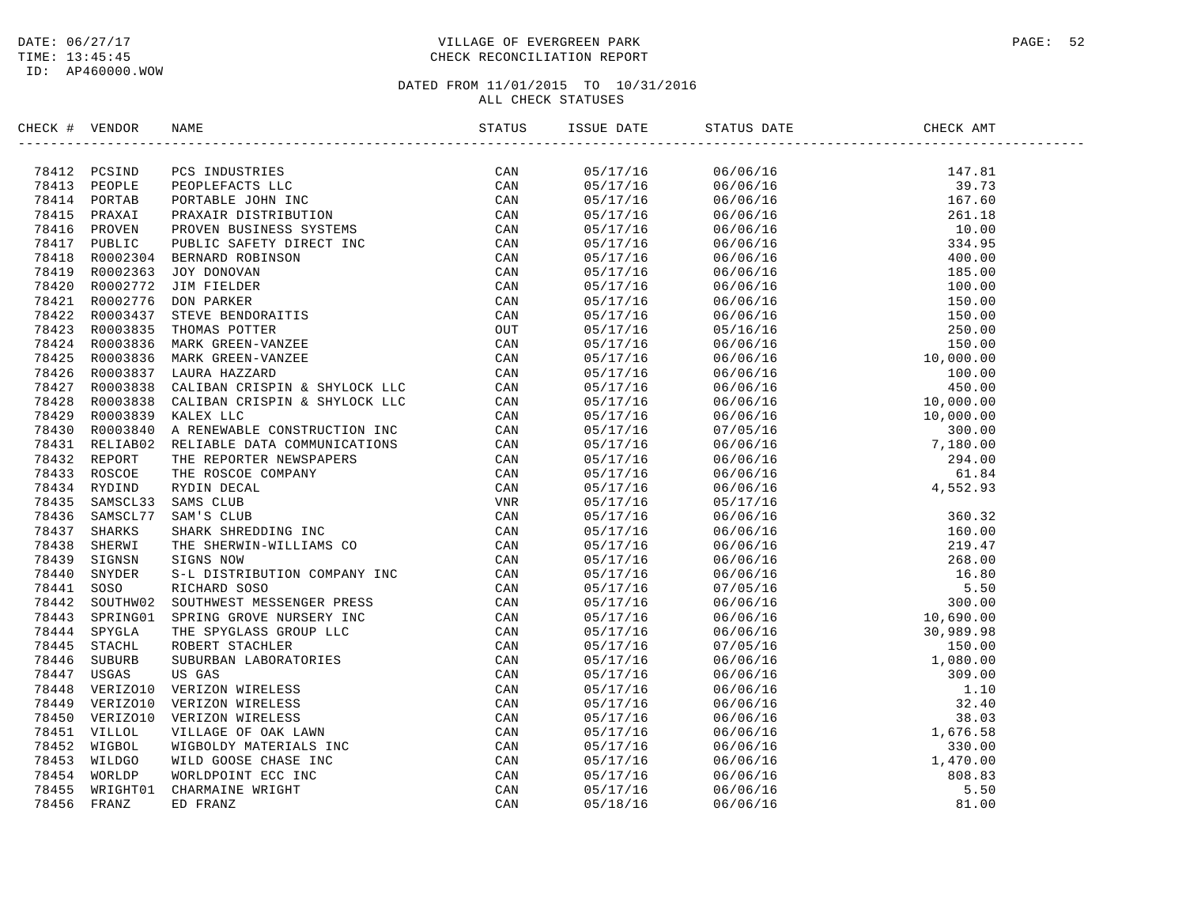# DATE:  $06/27/17$  PAGE: 52 TIME: 13:45:45 CHECK RECONCILIATION REPORT

| CHECK # VENDOR |  |  | ISSUE DATE STATUS DATE |  |
|----------------|--|--|------------------------|--|
|                |  |  |                        |  |
|                |  |  |                        |  |
|                |  |  |                        |  |
|                |  |  |                        |  |
|                |  |  |                        |  |
|                |  |  |                        |  |
|                |  |  |                        |  |
|                |  |  |                        |  |
|                |  |  |                        |  |
|                |  |  |                        |  |
|                |  |  |                        |  |
|                |  |  |                        |  |
|                |  |  |                        |  |
|                |  |  |                        |  |
|                |  |  |                        |  |
|                |  |  |                        |  |
|                |  |  |                        |  |
|                |  |  |                        |  |
|                |  |  |                        |  |
|                |  |  |                        |  |
|                |  |  |                        |  |
|                |  |  |                        |  |
|                |  |  |                        |  |
|                |  |  |                        |  |
|                |  |  |                        |  |
|                |  |  |                        |  |
|                |  |  |                        |  |
|                |  |  |                        |  |
|                |  |  |                        |  |
|                |  |  |                        |  |
|                |  |  |                        |  |
|                |  |  |                        |  |
|                |  |  |                        |  |
|                |  |  |                        |  |
|                |  |  |                        |  |
|                |  |  |                        |  |
|                |  |  |                        |  |
|                |  |  |                        |  |
|                |  |  |                        |  |
|                |  |  |                        |  |
|                |  |  |                        |  |
|                |  |  |                        |  |
|                |  |  |                        |  |
|                |  |  |                        |  |
|                |  |  |                        |  |
|                |  |  |                        |  |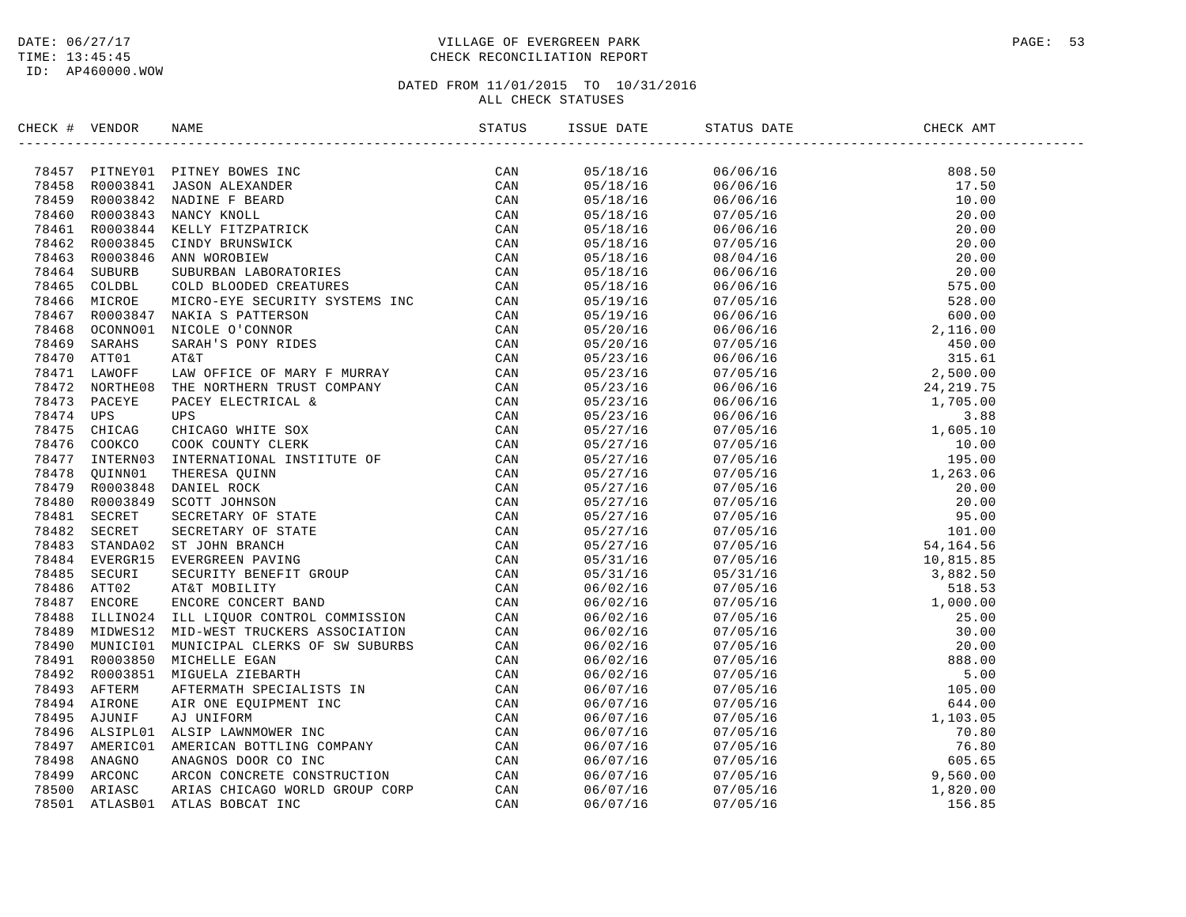# DATE:  $06/27/17$  PAGE: 53 TIME: 13:45:45 CHECK RECONCILIATION REPORT

| CHECK # VENDOR |                | NAME                                                                                                                                                                                                                                           | STATUS | ISSUE DATE | STATUS DATE | CHECK AMT |  |
|----------------|----------------|------------------------------------------------------------------------------------------------------------------------------------------------------------------------------------------------------------------------------------------------|--------|------------|-------------|-----------|--|
|                |                | 174457 PITNEY DIRIK BOWES INC. (CAN 179457 PITNEY 10003844 ANDINE FIRED TRASS ROODSALE AND CAN THE SEARCH TRANSPORTED THAN 1794460 ROODSALE CONNECT TRANSPORT CONNECT THE CAN TRANSPORT ON THE SEARCH TRANSPORT ON THE SCALE T                 |        | 05/18/16   |             |           |  |
|                |                |                                                                                                                                                                                                                                                |        | 05/18/16   |             |           |  |
|                |                |                                                                                                                                                                                                                                                |        | 05/18/16   |             |           |  |
|                |                |                                                                                                                                                                                                                                                |        | 05/18/16   |             |           |  |
|                |                |                                                                                                                                                                                                                                                |        | 05/18/16   |             |           |  |
|                |                |                                                                                                                                                                                                                                                |        | 05/18/16   |             |           |  |
|                |                |                                                                                                                                                                                                                                                |        | 05/18/16   |             |           |  |
|                |                |                                                                                                                                                                                                                                                |        | 05/18/16   |             |           |  |
|                |                |                                                                                                                                                                                                                                                |        | 05/18/16   |             |           |  |
|                |                |                                                                                                                                                                                                                                                |        | 05/19/16   |             |           |  |
|                |                |                                                                                                                                                                                                                                                |        | 05/19/16   |             |           |  |
|                |                |                                                                                                                                                                                                                                                |        | 05/20/16   |             |           |  |
|                |                |                                                                                                                                                                                                                                                |        | 05/20/16   |             |           |  |
|                |                |                                                                                                                                                                                                                                                |        | 05/23/16   |             |           |  |
|                |                |                                                                                                                                                                                                                                                |        | 05/23/16   |             |           |  |
|                |                |                                                                                                                                                                                                                                                |        | 05/23/16   |             |           |  |
|                |                |                                                                                                                                                                                                                                                |        | 05/23/16   |             |           |  |
|                |                |                                                                                                                                                                                                                                                |        | 05/23/16   |             |           |  |
|                |                |                                                                                                                                                                                                                                                |        | 05/27/16   |             |           |  |
|                |                |                                                                                                                                                                                                                                                |        | 05/27/16   |             |           |  |
|                |                |                                                                                                                                                                                                                                                |        | 05/27/16   |             |           |  |
|                |                |                                                                                                                                                                                                                                                |        | 05/27/16   |             |           |  |
|                |                |                                                                                                                                                                                                                                                |        | 05/27/16   |             |           |  |
|                |                |                                                                                                                                                                                                                                                |        | 05/27/16   |             |           |  |
|                |                |                                                                                                                                                                                                                                                |        | 05/27/16   |             |           |  |
|                |                |                                                                                                                                                                                                                                                |        | 05/27/16   |             |           |  |
|                |                |                                                                                                                                                                                                                                                |        | 05/27/16   |             |           |  |
|                |                |                                                                                                                                                                                                                                                |        | 05/31/16   |             |           |  |
|                |                |                                                                                                                                                                                                                                                |        |            |             |           |  |
|                |                |                                                                                                                                                                                                                                                |        | 05/31/16   |             |           |  |
|                |                |                                                                                                                                                                                                                                                |        | 06/02/16   |             |           |  |
|                |                |                                                                                                                                                                                                                                                |        | 06/02/16   |             |           |  |
|                |                |                                                                                                                                                                                                                                                |        | 06/02/16   |             |           |  |
|                |                |                                                                                                                                                                                                                                                |        | 06/02/16   |             |           |  |
|                | 78490 MUNICI01 |                                                                                                                                                                                                                                                |        | 06/02/16   |             |           |  |
|                | 78491 R0003850 |                                                                                                                                                                                                                                                |        | 06/02/16   |             |           |  |
|                | 78492 R0003851 |                                                                                                                                                                                                                                                |        | 06/02/16   |             |           |  |
|                | 78493 AFTERM   |                                                                                                                                                                                                                                                |        | 06/07/16   |             |           |  |
|                | 78494 AIRONE   |                                                                                                                                                                                                                                                |        | 06/07/16   |             |           |  |
|                | 78495 AJUNIF   |                                                                                                                                                                                                                                                |        | 06/07/16   |             |           |  |
|                | 78496 ALSIPL01 |                                                                                                                                                                                                                                                |        | 06/07/16   |             |           |  |
|                | 78497 AMERIC01 | MID-WEST TRUCKERS ASSOCIATION CAN<br>MUNICIPAL CLERKS OF SW SUBURBS CAN<br>MIGUELA ZIEBARTH CAN<br>MIGUELA ZIEBARTH CAN<br>AFTERMATH SPECIALISTS IN CAN<br>AFTERMATH SPECIALISTS IN CAN<br>AN UNIFORM<br>AJ UNIFORM<br>ALSIP LAWNMOWER INC CAN |        | 06/07/16   |             |           |  |
| 78498          | ANAGNO         |                                                                                                                                                                                                                                                |        | 06/07/16   |             |           |  |
| 78499          | ARCONC         |                                                                                                                                                                                                                                                |        | 06/07/16   |             |           |  |
| 78500          | ARIASC         |                                                                                                                                                                                                                                                |        | 06/07/16   |             |           |  |
| 78501          | ATLASB01       |                                                                                                                                                                                                                                                |        | 06/07/16   |             |           |  |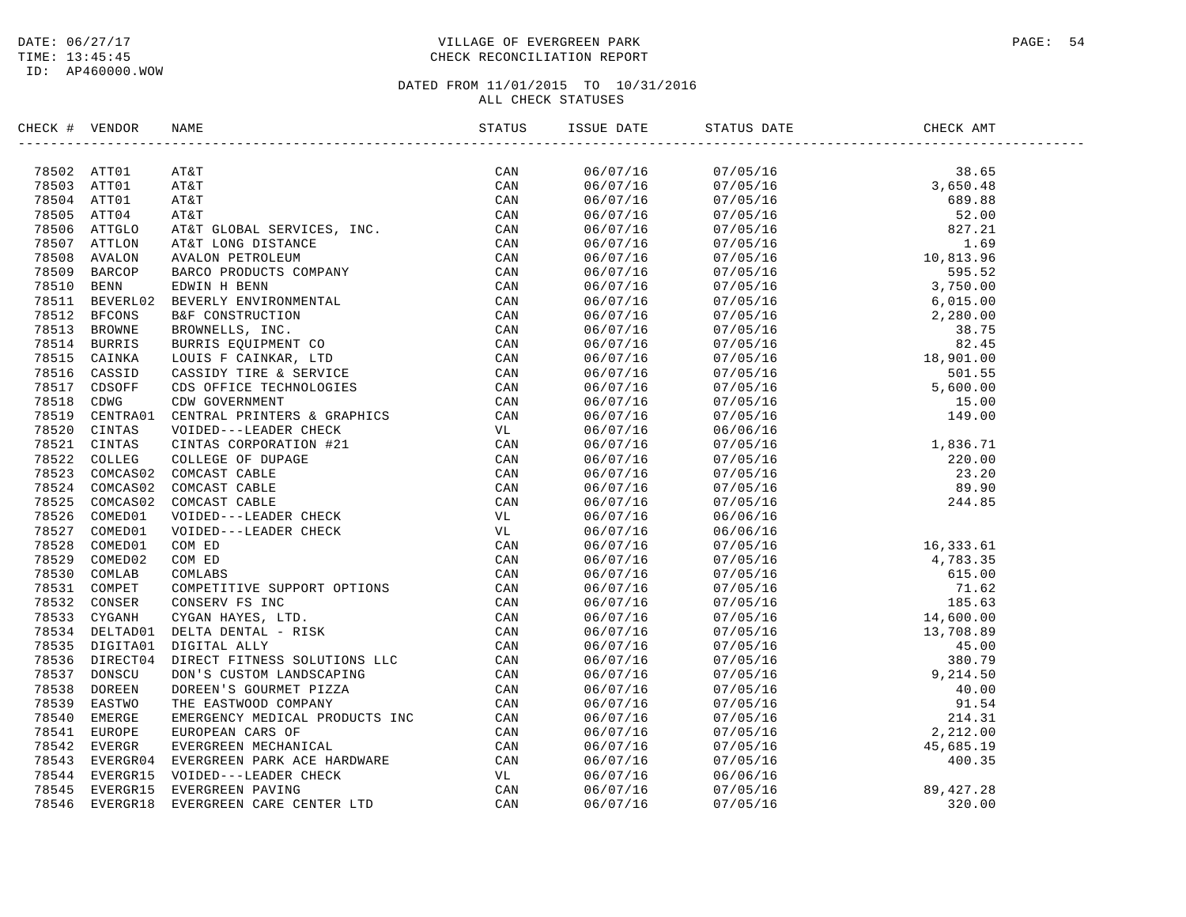# DATE:  $06/27/17$  PAGE: 54 TIME: 13:45:45 CHECK RECONCILIATION REPORT

| CHECK # VENDOR |                                                                                                                                                                                                                                             | ISSUE DATE           | STATUS DATE                                                                                                                                          | CHECK AMT |  |
|----------------|---------------------------------------------------------------------------------------------------------------------------------------------------------------------------------------------------------------------------------------------|----------------------|------------------------------------------------------------------------------------------------------------------------------------------------------|-----------|--|
|                | SERCE # VERDOR RANE 5 1974 1981 1982 1982<br>18812 ATTU 1 ATAT<br>18851 ATTU 1 ATAT<br>18851 ATTU 1 ATAT<br>18851 ATTU 1 ATAT<br>18856 ATTO4 ATET GLOBAL SERVICES, IRC. CAN<br>18856 ATTO4 ATET GLOBAL SERVICES, IRC. CAN<br>18850 ATTO4 AT |                      |                                                                                                                                                      |           |  |
|                |                                                                                                                                                                                                                                             |                      |                                                                                                                                                      |           |  |
|                |                                                                                                                                                                                                                                             |                      |                                                                                                                                                      |           |  |
|                |                                                                                                                                                                                                                                             |                      |                                                                                                                                                      |           |  |
|                |                                                                                                                                                                                                                                             |                      |                                                                                                                                                      |           |  |
|                |                                                                                                                                                                                                                                             |                      |                                                                                                                                                      |           |  |
|                |                                                                                                                                                                                                                                             |                      |                                                                                                                                                      |           |  |
|                |                                                                                                                                                                                                                                             |                      |                                                                                                                                                      |           |  |
|                |                                                                                                                                                                                                                                             |                      |                                                                                                                                                      |           |  |
|                |                                                                                                                                                                                                                                             |                      |                                                                                                                                                      |           |  |
|                |                                                                                                                                                                                                                                             |                      |                                                                                                                                                      |           |  |
|                |                                                                                                                                                                                                                                             |                      |                                                                                                                                                      |           |  |
|                |                                                                                                                                                                                                                                             |                      |                                                                                                                                                      |           |  |
|                |                                                                                                                                                                                                                                             |                      |                                                                                                                                                      |           |  |
|                |                                                                                                                                                                                                                                             |                      |                                                                                                                                                      |           |  |
|                |                                                                                                                                                                                                                                             |                      |                                                                                                                                                      |           |  |
|                |                                                                                                                                                                                                                                             |                      |                                                                                                                                                      |           |  |
|                |                                                                                                                                                                                                                                             |                      |                                                                                                                                                      |           |  |
|                |                                                                                                                                                                                                                                             |                      |                                                                                                                                                      |           |  |
|                |                                                                                                                                                                                                                                             | 06/07/16<br>06/07/16 | 06/06/16<br>06/06/16<br>07/05/16<br>07/05/16<br>07/05/16<br>07/05/16<br>07/05/16<br>07/05/16<br>089.90<br>06/06/16<br>06/06/16<br>06/06/16<br>089.90 |           |  |
|                |                                                                                                                                                                                                                                             |                      |                                                                                                                                                      |           |  |
|                |                                                                                                                                                                                                                                             | 06/07/16             |                                                                                                                                                      |           |  |
|                |                                                                                                                                                                                                                                             | 06/07/16<br>06/07/16 |                                                                                                                                                      |           |  |
|                |                                                                                                                                                                                                                                             |                      |                                                                                                                                                      |           |  |
|                |                                                                                                                                                                                                                                             | 06/07/16<br>06/07/16 |                                                                                                                                                      |           |  |
|                |                                                                                                                                                                                                                                             |                      |                                                                                                                                                      |           |  |
|                |                                                                                                                                                                                                                                             |                      |                                                                                                                                                      |           |  |
|                |                                                                                                                                                                                                                                             |                      |                                                                                                                                                      |           |  |
|                |                                                                                                                                                                                                                                             |                      |                                                                                                                                                      |           |  |
|                |                                                                                                                                                                                                                                             |                      |                                                                                                                                                      |           |  |
|                |                                                                                                                                                                                                                                             |                      |                                                                                                                                                      |           |  |
|                |                                                                                                                                                                                                                                             |                      |                                                                                                                                                      |           |  |
|                |                                                                                                                                                                                                                                             |                      |                                                                                                                                                      |           |  |
|                |                                                                                                                                                                                                                                             |                      |                                                                                                                                                      |           |  |
|                |                                                                                                                                                                                                                                             |                      |                                                                                                                                                      |           |  |
|                |                                                                                                                                                                                                                                             |                      |                                                                                                                                                      |           |  |
|                |                                                                                                                                                                                                                                             |                      |                                                                                                                                                      |           |  |
|                |                                                                                                                                                                                                                                             |                      |                                                                                                                                                      |           |  |
|                |                                                                                                                                                                                                                                             |                      |                                                                                                                                                      |           |  |
|                |                                                                                                                                                                                                                                             |                      |                                                                                                                                                      |           |  |
|                |                                                                                                                                                                                                                                             |                      |                                                                                                                                                      |           |  |
|                |                                                                                                                                                                                                                                             |                      |                                                                                                                                                      |           |  |
|                |                                                                                                                                                                                                                                             |                      |                                                                                                                                                      |           |  |
|                |                                                                                                                                                                                                                                             |                      |                                                                                                                                                      |           |  |
|                |                                                                                                                                                                                                                                             |                      |                                                                                                                                                      |           |  |
|                |                                                                                                                                                                                                                                             |                      |                                                                                                                                                      |           |  |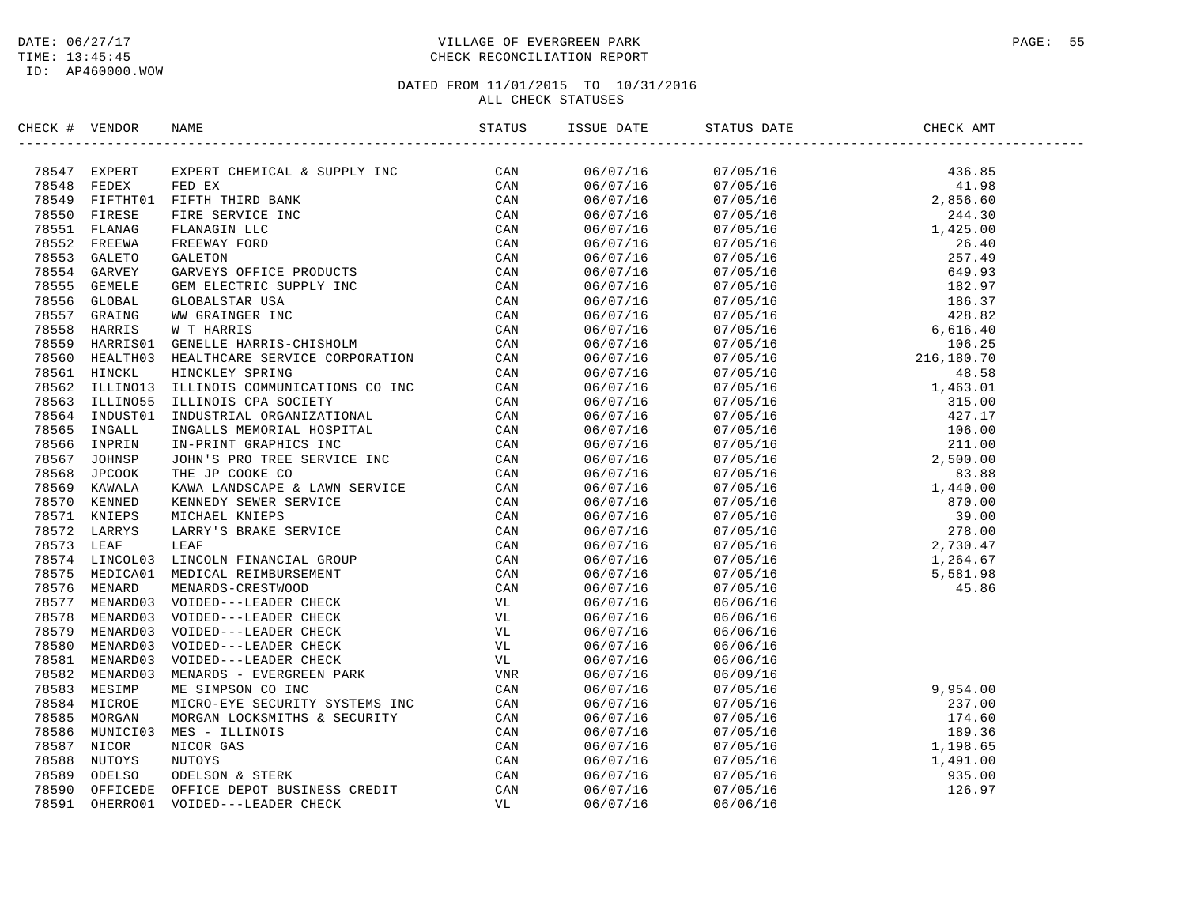# DATE:  $06/27/17$  PAGE: 55 TIME: 13:45:45 CHECK RECONCILIATION REPORT

| CHECK # VENDOR | NAME                                                                                                                                                                                                                          | ISSUE DATE | STATUS DATE | CHECK AMT                                                                                                                                                                                                                                                                                                                                                                                                          |  |
|----------------|-------------------------------------------------------------------------------------------------------------------------------------------------------------------------------------------------------------------------------|------------|-------------|--------------------------------------------------------------------------------------------------------------------------------------------------------------------------------------------------------------------------------------------------------------------------------------------------------------------------------------------------------------------------------------------------------------------|--|
|                | ERICA F VERDUCK RAWE CHANNEL (ESTE DETAIN AN AN SUPPLY INC. CAN ARREST INTERNATION CONTROLL IN THE CONTROLL IN THE CHANNEL CHANNEL CHANNEL CHANNEL CHANNEL CHANNEL CHANNEL CHANNEL CHANNEL CHANNEL CHANNEL CHANNEL CHANNEL CH | 06/07/16   |             | $\begin{tabular}{@{}c c c c c} \hline \multicolumn{4}{c}{\mbox{\small\bf 07/05/16}} & \multicolumn{4}{c}{\mbox{\small\bf 07/05/16}} & \multicolumn{4}{c}{\mbox{\small\bf 41.98}} & \multicolumn{4}{c}{\mbox{\small\bf 07/05/16}} & \multicolumn{4}{c}{\mbox{\small\bf 07/05/16}} & \multicolumn{4}{c}{\mbox{\small\bf 07/05/16}} & \multicolumn{4}{c}{\mbox{\small\bf 28.6.60}} & \multicolumn{4}{c}{\mbox{\small$ |  |
|                |                                                                                                                                                                                                                               | 06/07/16   |             |                                                                                                                                                                                                                                                                                                                                                                                                                    |  |
|                |                                                                                                                                                                                                                               | 06/07/16   |             |                                                                                                                                                                                                                                                                                                                                                                                                                    |  |
|                |                                                                                                                                                                                                                               | 06/07/16   |             |                                                                                                                                                                                                                                                                                                                                                                                                                    |  |
|                |                                                                                                                                                                                                                               | 06/07/16   |             |                                                                                                                                                                                                                                                                                                                                                                                                                    |  |
|                |                                                                                                                                                                                                                               | 06/07/16   |             |                                                                                                                                                                                                                                                                                                                                                                                                                    |  |
|                |                                                                                                                                                                                                                               | 06/07/16   |             |                                                                                                                                                                                                                                                                                                                                                                                                                    |  |
|                |                                                                                                                                                                                                                               | 06/07/16   |             |                                                                                                                                                                                                                                                                                                                                                                                                                    |  |
|                |                                                                                                                                                                                                                               | 06/07/16   |             |                                                                                                                                                                                                                                                                                                                                                                                                                    |  |
|                |                                                                                                                                                                                                                               | 06/07/16   |             |                                                                                                                                                                                                                                                                                                                                                                                                                    |  |
|                |                                                                                                                                                                                                                               | 06/07/16   |             |                                                                                                                                                                                                                                                                                                                                                                                                                    |  |
|                |                                                                                                                                                                                                                               | 06/07/16   |             |                                                                                                                                                                                                                                                                                                                                                                                                                    |  |
|                |                                                                                                                                                                                                                               | 06/07/16   |             |                                                                                                                                                                                                                                                                                                                                                                                                                    |  |
|                |                                                                                                                                                                                                                               | 06/07/16   |             |                                                                                                                                                                                                                                                                                                                                                                                                                    |  |
|                |                                                                                                                                                                                                                               | 06/07/16   |             |                                                                                                                                                                                                                                                                                                                                                                                                                    |  |
|                |                                                                                                                                                                                                                               | 06/07/16   |             |                                                                                                                                                                                                                                                                                                                                                                                                                    |  |
|                |                                                                                                                                                                                                                               | 06/07/16   |             |                                                                                                                                                                                                                                                                                                                                                                                                                    |  |
|                |                                                                                                                                                                                                                               | 06/07/16   |             |                                                                                                                                                                                                                                                                                                                                                                                                                    |  |
|                |                                                                                                                                                                                                                               | 06/07/16   |             |                                                                                                                                                                                                                                                                                                                                                                                                                    |  |
|                |                                                                                                                                                                                                                               | 06/07/16   |             |                                                                                                                                                                                                                                                                                                                                                                                                                    |  |
|                |                                                                                                                                                                                                                               | 06/07/16   |             |                                                                                                                                                                                                                                                                                                                                                                                                                    |  |
|                |                                                                                                                                                                                                                               | 06/07/16   |             |                                                                                                                                                                                                                                                                                                                                                                                                                    |  |
|                |                                                                                                                                                                                                                               | 06/07/16   |             |                                                                                                                                                                                                                                                                                                                                                                                                                    |  |
|                |                                                                                                                                                                                                                               | 06/07/16   |             |                                                                                                                                                                                                                                                                                                                                                                                                                    |  |
|                |                                                                                                                                                                                                                               | 06/07/16   |             |                                                                                                                                                                                                                                                                                                                                                                                                                    |  |
|                |                                                                                                                                                                                                                               | 06/07/16   |             |                                                                                                                                                                                                                                                                                                                                                                                                                    |  |
|                |                                                                                                                                                                                                                               | 06/07/16   |             |                                                                                                                                                                                                                                                                                                                                                                                                                    |  |
|                |                                                                                                                                                                                                                               | 06/07/16   |             |                                                                                                                                                                                                                                                                                                                                                                                                                    |  |
|                |                                                                                                                                                                                                                               | 06/07/16   |             |                                                                                                                                                                                                                                                                                                                                                                                                                    |  |
|                |                                                                                                                                                                                                                               | 06/07/16   |             |                                                                                                                                                                                                                                                                                                                                                                                                                    |  |
|                |                                                                                                                                                                                                                               | 06/07/16   |             |                                                                                                                                                                                                                                                                                                                                                                                                                    |  |
|                |                                                                                                                                                                                                                               | 06/07/16   | 06/06/16    |                                                                                                                                                                                                                                                                                                                                                                                                                    |  |
|                |                                                                                                                                                                                                                               | 06/07/16   | 06/06/16    |                                                                                                                                                                                                                                                                                                                                                                                                                    |  |
|                |                                                                                                                                                                                                                               | 06/07/16   | 06/06/16    |                                                                                                                                                                                                                                                                                                                                                                                                                    |  |
|                |                                                                                                                                                                                                                               | 06/07/16   | 06/06/16    |                                                                                                                                                                                                                                                                                                                                                                                                                    |  |
|                |                                                                                                                                                                                                                               | 06/07/16   |             | 06/09/16<br>07/05/16<br>07/05/16<br>07/05/16<br>07/05/16<br>07/05/16<br>07/05/16<br>07/05/16<br>189.36<br>1,198.65<br>1,198.65                                                                                                                                                                                                                                                                                     |  |
|                |                                                                                                                                                                                                                               | 06/07/16   |             |                                                                                                                                                                                                                                                                                                                                                                                                                    |  |
|                |                                                                                                                                                                                                                               | 06/07/16   |             |                                                                                                                                                                                                                                                                                                                                                                                                                    |  |
|                |                                                                                                                                                                                                                               | 06/07/16   |             |                                                                                                                                                                                                                                                                                                                                                                                                                    |  |
|                |                                                                                                                                                                                                                               | 06/07/16   |             |                                                                                                                                                                                                                                                                                                                                                                                                                    |  |
|                |                                                                                                                                                                                                                               | 06/07/16   |             |                                                                                                                                                                                                                                                                                                                                                                                                                    |  |
|                |                                                                                                                                                                                                                               | 06/07/16   |             |                                                                                                                                                                                                                                                                                                                                                                                                                    |  |
|                |                                                                                                                                                                                                                               | 06/07/16   |             |                                                                                                                                                                                                                                                                                                                                                                                                                    |  |
|                |                                                                                                                                                                                                                               | 06/07/16   |             | 07/05/16<br>07/05/16<br>07/05/16<br>07/05/16<br>07/05/16<br>07/05/16<br>126.97                                                                                                                                                                                                                                                                                                                                     |  |
|                |                                                                                                                                                                                                                               | 06/07/16   | 06/06/16    |                                                                                                                                                                                                                                                                                                                                                                                                                    |  |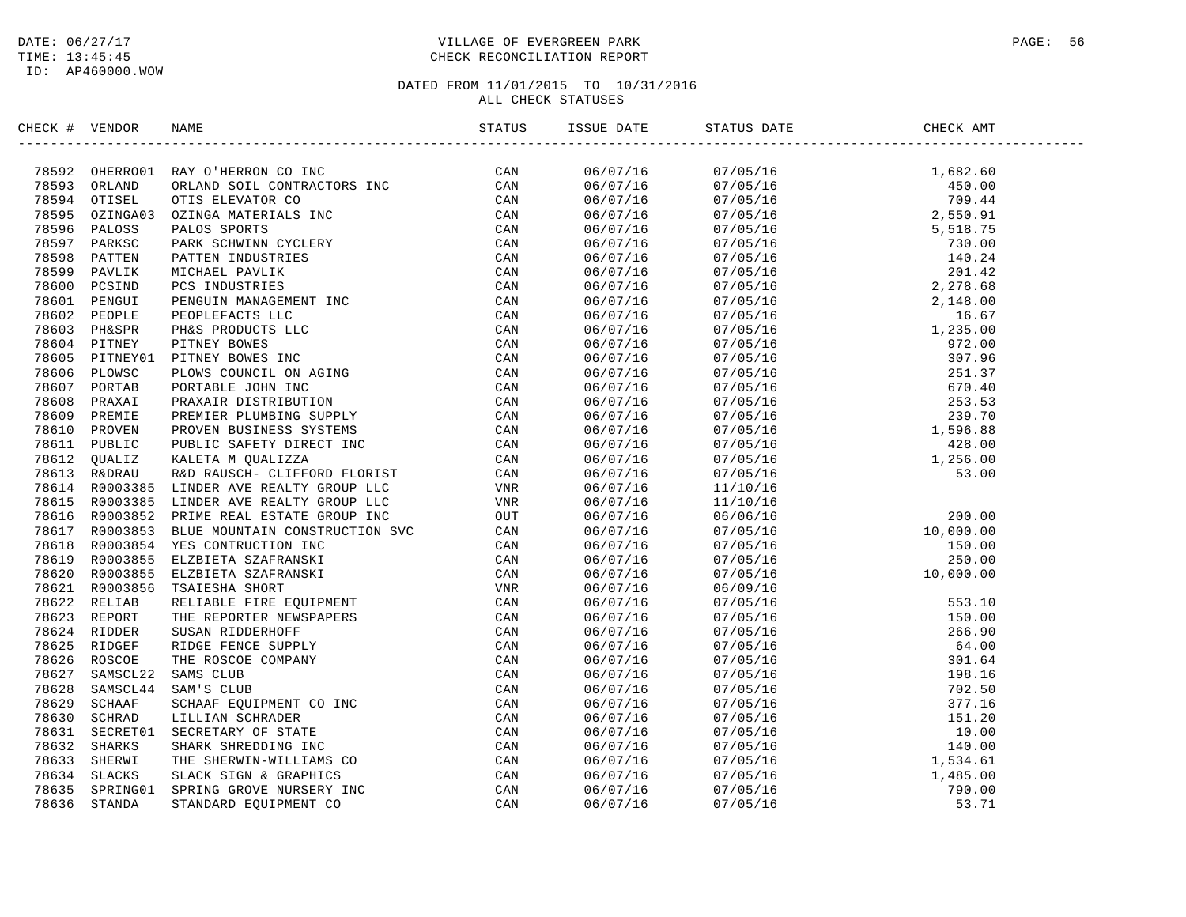# DATE:  $06/27/17$  PAGE: 56 TIME: 13:45:45 CHECK RECONCILIATION REPORT

| $\begin{tabular}{cccccccc} \textbf{M} & \textbf{M} & \textbf{M} & \textbf{M} & \textbf{M} & \textbf{M} & \textbf{M} & \textbf{M} & \textbf{M} & \textbf{M} & \textbf{M} & \textbf{M} & \textbf{M} & \textbf{M} & \textbf{M} & \textbf{M} & \textbf{M} & \textbf{M} & \textbf{M} & \textbf{M} & \textbf{M} & \textbf{M} & \textbf{M} & \textbf{M} & \textbf{M} & \textbf{M} & \textbf{M} & \textbf{M} & \textbf{M} & \textbf{M} & \$<br>06/07/16<br>$\begin{tabular}{cccccc} 07/05/16 & 1,682.60 \\ 07/05/16 & 450.00 \\ 07/05/16 & 450.00 \\ 07/05/16 & 799.44 \\ 07/05/16 & 799.44 \\ 07/05/16 & 799.44 \\ 07/05/16 & 730.00 \\ 07/05/16 & 730.00 \\ 07/05/16 & 2,278.68 \\ 07/05/16 & 2,148.00 \\ 07/05/16 & 2,278.68 \\ 07/0$<br>06/07/16<br>06/07/16<br>06/07/16<br>06/07/16<br>06/07/16<br>06/07/16<br>06/07/16<br>06/07/16<br>06/07/16<br>06/07/16<br>06/07/16<br>06/07/16<br>06/07/16<br>06/07/16<br>06/07/16<br>06/07/16<br>06/07/16<br>06/07/16<br>06/07/16<br>06/07/16<br>06/07/16<br>06/07/16<br>06/07/16<br>06/07/16<br>06/07/16<br>06/07/16<br>06/07/16<br>06/07/16<br>06/07/16<br>06/09/16<br>$\begin{array}{r} 553.10 \\ 150.00 \\ 266.90 \\ 64.00 \\ 301.64 \\ 198.16 \\ 702.50 \\ 377.16 \\ 151.20 \\ 10.00 \\ 140.00 \\ 1,534.61 \\ 1,485.00 \\ 790.00 \\ 53.71 \end{array}$<br>06/07/16<br>07/05/16<br>06/07/16<br>07/05/16<br>06/07/16<br>07/05/16<br>06/07/16<br>07/05/16<br>06/07/16<br>07/05/16<br>06/07/16<br>07/05/16<br>06/07/16<br>07/05/16 | CHECK # VENDOR | NAME | ISSUE DATE | STATUS DATE | CHECK AMT |
|------------------------------------------------------------------------------------------------------------------------------------------------------------------------------------------------------------------------------------------------------------------------------------------------------------------------------------------------------------------------------------------------------------------------------------------------------------------------------------------------------------------------------------------------------------------------------------------------------------------------------------------------------------------------------------------------------------------------------------------------------------------------------------------------------------------------------------------------------------------------------------------------------------------------------------------------------------------------------------------------------------------------------------------------------------------------------------------------------------------------------------------------------------------------------------------------------------------------------------------------------------------------------------------------------------------------------------------------------------------------------------------------------------------------------------------------------------------------|----------------|------|------------|-------------|-----------|
|                                                                                                                                                                                                                                                                                                                                                                                                                                                                                                                                                                                                                                                                                                                                                                                                                                                                                                                                                                                                                                                                                                                                                                                                                                                                                                                                                                                                                                                                        |                |      |            |             |           |
|                                                                                                                                                                                                                                                                                                                                                                                                                                                                                                                                                                                                                                                                                                                                                                                                                                                                                                                                                                                                                                                                                                                                                                                                                                                                                                                                                                                                                                                                        |                |      |            |             |           |
|                                                                                                                                                                                                                                                                                                                                                                                                                                                                                                                                                                                                                                                                                                                                                                                                                                                                                                                                                                                                                                                                                                                                                                                                                                                                                                                                                                                                                                                                        |                |      |            |             |           |
|                                                                                                                                                                                                                                                                                                                                                                                                                                                                                                                                                                                                                                                                                                                                                                                                                                                                                                                                                                                                                                                                                                                                                                                                                                                                                                                                                                                                                                                                        |                |      |            |             |           |
|                                                                                                                                                                                                                                                                                                                                                                                                                                                                                                                                                                                                                                                                                                                                                                                                                                                                                                                                                                                                                                                                                                                                                                                                                                                                                                                                                                                                                                                                        |                |      |            |             |           |
|                                                                                                                                                                                                                                                                                                                                                                                                                                                                                                                                                                                                                                                                                                                                                                                                                                                                                                                                                                                                                                                                                                                                                                                                                                                                                                                                                                                                                                                                        |                |      |            |             |           |
|                                                                                                                                                                                                                                                                                                                                                                                                                                                                                                                                                                                                                                                                                                                                                                                                                                                                                                                                                                                                                                                                                                                                                                                                                                                                                                                                                                                                                                                                        |                |      |            |             |           |
|                                                                                                                                                                                                                                                                                                                                                                                                                                                                                                                                                                                                                                                                                                                                                                                                                                                                                                                                                                                                                                                                                                                                                                                                                                                                                                                                                                                                                                                                        |                |      |            |             |           |
|                                                                                                                                                                                                                                                                                                                                                                                                                                                                                                                                                                                                                                                                                                                                                                                                                                                                                                                                                                                                                                                                                                                                                                                                                                                                                                                                                                                                                                                                        |                |      |            |             |           |
|                                                                                                                                                                                                                                                                                                                                                                                                                                                                                                                                                                                                                                                                                                                                                                                                                                                                                                                                                                                                                                                                                                                                                                                                                                                                                                                                                                                                                                                                        |                |      |            |             |           |
|                                                                                                                                                                                                                                                                                                                                                                                                                                                                                                                                                                                                                                                                                                                                                                                                                                                                                                                                                                                                                                                                                                                                                                                                                                                                                                                                                                                                                                                                        |                |      |            |             |           |
|                                                                                                                                                                                                                                                                                                                                                                                                                                                                                                                                                                                                                                                                                                                                                                                                                                                                                                                                                                                                                                                                                                                                                                                                                                                                                                                                                                                                                                                                        |                |      |            |             |           |
|                                                                                                                                                                                                                                                                                                                                                                                                                                                                                                                                                                                                                                                                                                                                                                                                                                                                                                                                                                                                                                                                                                                                                                                                                                                                                                                                                                                                                                                                        |                |      |            |             |           |
|                                                                                                                                                                                                                                                                                                                                                                                                                                                                                                                                                                                                                                                                                                                                                                                                                                                                                                                                                                                                                                                                                                                                                                                                                                                                                                                                                                                                                                                                        |                |      |            |             |           |
|                                                                                                                                                                                                                                                                                                                                                                                                                                                                                                                                                                                                                                                                                                                                                                                                                                                                                                                                                                                                                                                                                                                                                                                                                                                                                                                                                                                                                                                                        |                |      |            |             |           |
|                                                                                                                                                                                                                                                                                                                                                                                                                                                                                                                                                                                                                                                                                                                                                                                                                                                                                                                                                                                                                                                                                                                                                                                                                                                                                                                                                                                                                                                                        |                |      |            |             |           |
|                                                                                                                                                                                                                                                                                                                                                                                                                                                                                                                                                                                                                                                                                                                                                                                                                                                                                                                                                                                                                                                                                                                                                                                                                                                                                                                                                                                                                                                                        |                |      |            |             |           |
|                                                                                                                                                                                                                                                                                                                                                                                                                                                                                                                                                                                                                                                                                                                                                                                                                                                                                                                                                                                                                                                                                                                                                                                                                                                                                                                                                                                                                                                                        |                |      |            |             |           |
|                                                                                                                                                                                                                                                                                                                                                                                                                                                                                                                                                                                                                                                                                                                                                                                                                                                                                                                                                                                                                                                                                                                                                                                                                                                                                                                                                                                                                                                                        |                |      |            |             |           |
|                                                                                                                                                                                                                                                                                                                                                                                                                                                                                                                                                                                                                                                                                                                                                                                                                                                                                                                                                                                                                                                                                                                                                                                                                                                                                                                                                                                                                                                                        |                |      |            |             |           |
|                                                                                                                                                                                                                                                                                                                                                                                                                                                                                                                                                                                                                                                                                                                                                                                                                                                                                                                                                                                                                                                                                                                                                                                                                                                                                                                                                                                                                                                                        |                |      |            |             |           |
|                                                                                                                                                                                                                                                                                                                                                                                                                                                                                                                                                                                                                                                                                                                                                                                                                                                                                                                                                                                                                                                                                                                                                                                                                                                                                                                                                                                                                                                                        |                |      |            |             |           |
|                                                                                                                                                                                                                                                                                                                                                                                                                                                                                                                                                                                                                                                                                                                                                                                                                                                                                                                                                                                                                                                                                                                                                                                                                                                                                                                                                                                                                                                                        |                |      |            |             |           |
|                                                                                                                                                                                                                                                                                                                                                                                                                                                                                                                                                                                                                                                                                                                                                                                                                                                                                                                                                                                                                                                                                                                                                                                                                                                                                                                                                                                                                                                                        |                |      |            |             |           |
|                                                                                                                                                                                                                                                                                                                                                                                                                                                                                                                                                                                                                                                                                                                                                                                                                                                                                                                                                                                                                                                                                                                                                                                                                                                                                                                                                                                                                                                                        |                |      |            |             |           |
|                                                                                                                                                                                                                                                                                                                                                                                                                                                                                                                                                                                                                                                                                                                                                                                                                                                                                                                                                                                                                                                                                                                                                                                                                                                                                                                                                                                                                                                                        |                |      |            |             |           |
|                                                                                                                                                                                                                                                                                                                                                                                                                                                                                                                                                                                                                                                                                                                                                                                                                                                                                                                                                                                                                                                                                                                                                                                                                                                                                                                                                                                                                                                                        |                |      |            |             |           |
|                                                                                                                                                                                                                                                                                                                                                                                                                                                                                                                                                                                                                                                                                                                                                                                                                                                                                                                                                                                                                                                                                                                                                                                                                                                                                                                                                                                                                                                                        |                |      |            |             |           |
|                                                                                                                                                                                                                                                                                                                                                                                                                                                                                                                                                                                                                                                                                                                                                                                                                                                                                                                                                                                                                                                                                                                                                                                                                                                                                                                                                                                                                                                                        |                |      |            |             |           |
|                                                                                                                                                                                                                                                                                                                                                                                                                                                                                                                                                                                                                                                                                                                                                                                                                                                                                                                                                                                                                                                                                                                                                                                                                                                                                                                                                                                                                                                                        |                |      |            |             |           |
|                                                                                                                                                                                                                                                                                                                                                                                                                                                                                                                                                                                                                                                                                                                                                                                                                                                                                                                                                                                                                                                                                                                                                                                                                                                                                                                                                                                                                                                                        |                |      |            |             |           |
|                                                                                                                                                                                                                                                                                                                                                                                                                                                                                                                                                                                                                                                                                                                                                                                                                                                                                                                                                                                                                                                                                                                                                                                                                                                                                                                                                                                                                                                                        |                |      |            |             |           |
|                                                                                                                                                                                                                                                                                                                                                                                                                                                                                                                                                                                                                                                                                                                                                                                                                                                                                                                                                                                                                                                                                                                                                                                                                                                                                                                                                                                                                                                                        |                |      |            |             |           |
|                                                                                                                                                                                                                                                                                                                                                                                                                                                                                                                                                                                                                                                                                                                                                                                                                                                                                                                                                                                                                                                                                                                                                                                                                                                                                                                                                                                                                                                                        |                |      |            |             |           |
|                                                                                                                                                                                                                                                                                                                                                                                                                                                                                                                                                                                                                                                                                                                                                                                                                                                                                                                                                                                                                                                                                                                                                                                                                                                                                                                                                                                                                                                                        |                |      |            |             |           |
|                                                                                                                                                                                                                                                                                                                                                                                                                                                                                                                                                                                                                                                                                                                                                                                                                                                                                                                                                                                                                                                                                                                                                                                                                                                                                                                                                                                                                                                                        |                |      |            |             |           |
|                                                                                                                                                                                                                                                                                                                                                                                                                                                                                                                                                                                                                                                                                                                                                                                                                                                                                                                                                                                                                                                                                                                                                                                                                                                                                                                                                                                                                                                                        |                |      |            |             |           |
|                                                                                                                                                                                                                                                                                                                                                                                                                                                                                                                                                                                                                                                                                                                                                                                                                                                                                                                                                                                                                                                                                                                                                                                                                                                                                                                                                                                                                                                                        |                |      |            |             |           |
|                                                                                                                                                                                                                                                                                                                                                                                                                                                                                                                                                                                                                                                                                                                                                                                                                                                                                                                                                                                                                                                                                                                                                                                                                                                                                                                                                                                                                                                                        |                |      | 06/07/16   | 07/05/16    |           |
| 06/07/16<br>07/05/16                                                                                                                                                                                                                                                                                                                                                                                                                                                                                                                                                                                                                                                                                                                                                                                                                                                                                                                                                                                                                                                                                                                                                                                                                                                                                                                                                                                                                                                   |                |      |            |             |           |
| 06/07/16<br>07/05/16                                                                                                                                                                                                                                                                                                                                                                                                                                                                                                                                                                                                                                                                                                                                                                                                                                                                                                                                                                                                                                                                                                                                                                                                                                                                                                                                                                                                                                                   |                |      |            |             |           |
| 06/07/16<br>07/05/16                                                                                                                                                                                                                                                                                                                                                                                                                                                                                                                                                                                                                                                                                                                                                                                                                                                                                                                                                                                                                                                                                                                                                                                                                                                                                                                                                                                                                                                   |                |      |            |             |           |
| 06/07/16<br>07/05/16                                                                                                                                                                                                                                                                                                                                                                                                                                                                                                                                                                                                                                                                                                                                                                                                                                                                                                                                                                                                                                                                                                                                                                                                                                                                                                                                                                                                                                                   |                |      |            |             |           |
| 06/07/16<br>07/05/16                                                                                                                                                                                                                                                                                                                                                                                                                                                                                                                                                                                                                                                                                                                                                                                                                                                                                                                                                                                                                                                                                                                                                                                                                                                                                                                                                                                                                                                   |                |      |            |             |           |
| 06/07/16<br>07/05/16                                                                                                                                                                                                                                                                                                                                                                                                                                                                                                                                                                                                                                                                                                                                                                                                                                                                                                                                                                                                                                                                                                                                                                                                                                                                                                                                                                                                                                                   |                |      |            |             |           |
| 06/07/16<br>07/05/16                                                                                                                                                                                                                                                                                                                                                                                                                                                                                                                                                                                                                                                                                                                                                                                                                                                                                                                                                                                                                                                                                                                                                                                                                                                                                                                                                                                                                                                   |                |      |            |             |           |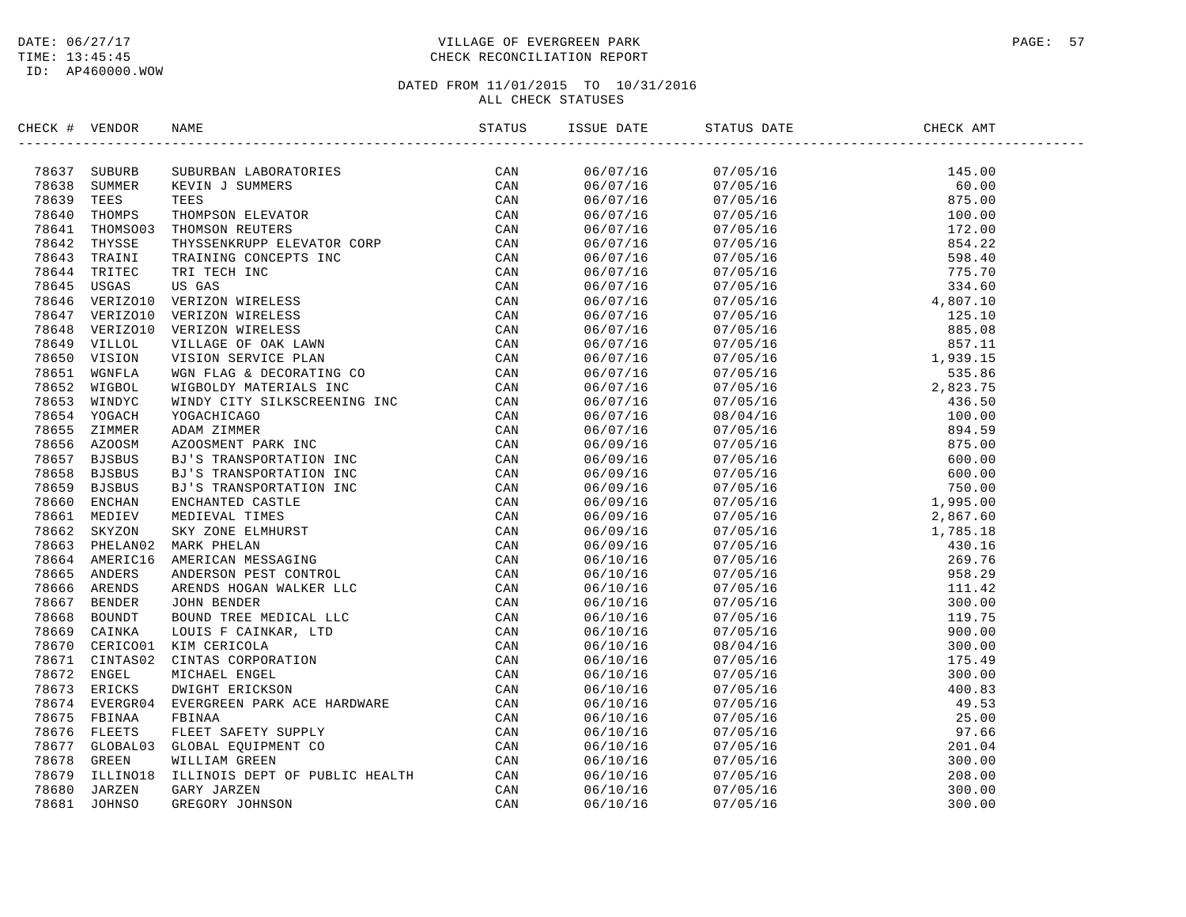# DATE:  $06/27/17$  PAGE: 57 TIME: 13:45:45 CHECK RECONCILIATION REPORT

|  | $\begin{tabular}{c c c} $VENDOS$ & $NAB1$ & $S17103$ & $S18109$ \\ $7$ & $SU10712$ & $SU107124M$ & $SU107124M$ & $S1814$ & $S1814$ \\ $9$ & $SU10712$ & $SU1813$ & $SU1813$ & $SU1812$ & $S1814$ \\ $10$ & $T1694689 & $T18204$ & $T1694780N$ & $U169488$ & $CAN$ \\ $10$ & $T1694689 & $T1694780N$ & $SU18$ |                      |  |  |
|--|--------------------------------------------------------------------------------------------------------------------------------------------------------------------------------------------------------------------------------------------------------------------------------------------------------------|----------------------|--|--|
|  |                                                                                                                                                                                                                                                                                                              | 06/07/16<br>06/07/16 |  |  |
|  |                                                                                                                                                                                                                                                                                                              |                      |  |  |
|  |                                                                                                                                                                                                                                                                                                              | 06/07/16             |  |  |
|  |                                                                                                                                                                                                                                                                                                              | 06/07/16             |  |  |
|  |                                                                                                                                                                                                                                                                                                              | 06/07/16             |  |  |
|  |                                                                                                                                                                                                                                                                                                              | 06/07/16             |  |  |
|  |                                                                                                                                                                                                                                                                                                              | 06/07/16<br>06/07/16 |  |  |
|  |                                                                                                                                                                                                                                                                                                              | 06/07/16             |  |  |
|  |                                                                                                                                                                                                                                                                                                              | 06/07/16             |  |  |
|  |                                                                                                                                                                                                                                                                                                              | 06/07/16             |  |  |
|  |                                                                                                                                                                                                                                                                                                              | 06/07/16             |  |  |
|  |                                                                                                                                                                                                                                                                                                              | 06/07/16             |  |  |
|  |                                                                                                                                                                                                                                                                                                              | 06/07/16             |  |  |
|  |                                                                                                                                                                                                                                                                                                              | 06/07/16             |  |  |
|  |                                                                                                                                                                                                                                                                                                              | 06/07/16             |  |  |
|  |                                                                                                                                                                                                                                                                                                              | 06/07/16             |  |  |
|  |                                                                                                                                                                                                                                                                                                              | 06/07/16             |  |  |
|  |                                                                                                                                                                                                                                                                                                              | 06/07/16             |  |  |
|  |                                                                                                                                                                                                                                                                                                              | 06/09/16             |  |  |
|  |                                                                                                                                                                                                                                                                                                              | 06/09/16             |  |  |
|  |                                                                                                                                                                                                                                                                                                              | 06/09/16             |  |  |
|  |                                                                                                                                                                                                                                                                                                              | 06/09/16             |  |  |
|  |                                                                                                                                                                                                                                                                                                              | 06/09/16             |  |  |
|  |                                                                                                                                                                                                                                                                                                              | 06/09/16             |  |  |
|  |                                                                                                                                                                                                                                                                                                              | 06/09/16             |  |  |
|  |                                                                                                                                                                                                                                                                                                              | 06/09/16             |  |  |
|  |                                                                                                                                                                                                                                                                                                              | 06/10/16             |  |  |
|  |                                                                                                                                                                                                                                                                                                              | 06/10/16             |  |  |
|  |                                                                                                                                                                                                                                                                                                              | 06/10/16             |  |  |
|  |                                                                                                                                                                                                                                                                                                              | 06/10/16             |  |  |
|  |                                                                                                                                                                                                                                                                                                              | 06/10/16             |  |  |
|  |                                                                                                                                                                                                                                                                                                              | 06/10/16             |  |  |
|  |                                                                                                                                                                                                                                                                                                              | 06/10/16             |  |  |
|  |                                                                                                                                                                                                                                                                                                              | 06/10/16             |  |  |
|  |                                                                                                                                                                                                                                                                                                              | 06/10/16             |  |  |
|  |                                                                                                                                                                                                                                                                                                              | 06/10/16             |  |  |
|  |                                                                                                                                                                                                                                                                                                              | 06/10/16             |  |  |
|  |                                                                                                                                                                                                                                                                                                              | 06/10/16             |  |  |
|  |                                                                                                                                                                                                                                                                                                              | 06/10/16             |  |  |
|  |                                                                                                                                                                                                                                                                                                              | 06/10/16             |  |  |
|  |                                                                                                                                                                                                                                                                                                              | 06/10/16             |  |  |
|  |                                                                                                                                                                                                                                                                                                              | 06/10/16             |  |  |
|  |                                                                                                                                                                                                                                                                                                              | 06/10/16             |  |  |
|  |                                                                                                                                                                                                                                                                                                              | 06/10/16             |  |  |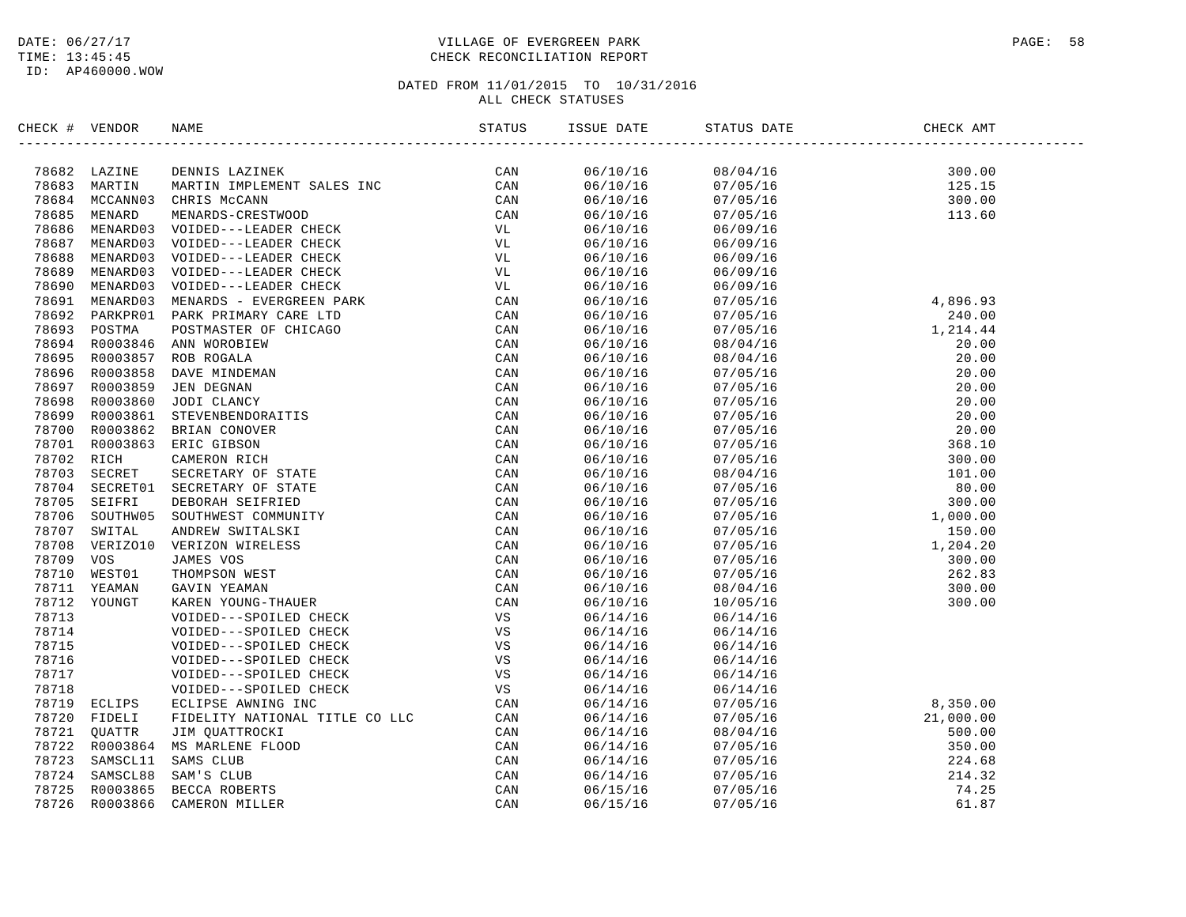# DATE:  $06/27/17$  PAGE: 58 TIME: 13:45:45 CHECK RECONCILIATION REPORT

| CHECK # VENDOR |                | NAME                                                                                                                                                                                                                                                                                                                                                         |     | ISSUE DATE           | STATUS DATE          | CHECK AMT                                        |
|----------------|----------------|--------------------------------------------------------------------------------------------------------------------------------------------------------------------------------------------------------------------------------------------------------------------------------------------------------------------------------------------------------------|-----|----------------------|----------------------|--------------------------------------------------|
|                | 78682 LAZINE   | DENNIS LAZINEK                                                                                                                                                                                                                                                                                                                                               | CAN | 06/10/16             | 08/04/16             | 300.00                                           |
|                | 78683 MARTIN   | MARTIN IMPLEMENT SALES INC<br>CHRIS MCCANN<br>MENARDS-CRESTWOOD<br>VOIDED---LEADER CHECK<br>VOIDED---LEADER CHECK<br>VOIDED---LEADER CHECK<br>VOIDED---LEADER CHECK<br>VOIDED---LEADER CHECK<br>VOIDED---LEADER CHECK<br>VOIDED----LEADER CHECK                                                                                                              | CAN | 06/10/16             | 07/05/16             | 125.15                                           |
|                |                | 78684 MCCANN03 CHRIS McCANN                                                                                                                                                                                                                                                                                                                                  | CAN | 06/10/16             | 07/05/16             | 300.00                                           |
| 78685          | MENARD         |                                                                                                                                                                                                                                                                                                                                                              | CAN | 06/10/16             | 07/05/16             | 113.60                                           |
|                | 78686 MENARD03 |                                                                                                                                                                                                                                                                                                                                                              | VL  | 06/10/16             | 06/09/16             |                                                  |
|                | 78687 MENARD03 |                                                                                                                                                                                                                                                                                                                                                              | VL  | 06/10/16             | 06/09/16             |                                                  |
| 78688          | MENARD03       |                                                                                                                                                                                                                                                                                                                                                              | VL  | 06/10/16             | 06/09/16             |                                                  |
| 78689          | MENARD03       |                                                                                                                                                                                                                                                                                                                                                              | VL  | 06/10/16             | 06/09/16             |                                                  |
| 78690          | MENARD03       |                                                                                                                                                                                                                                                                                                                                                              | VL  | 06/10/16             | 06/09/16             |                                                  |
|                | 78691 MENARD03 |                                                                                                                                                                                                                                                                                                                                                              | CAN | 06/10/16             | 07/05/16             | 4,896.93                                         |
| 78692          | PARKPR01       |                                                                                                                                                                                                                                                                                                                                                              | CAN | 06/10/16             | 07/05/16             | 240.00                                           |
|                | 78693 POSTMA   |                                                                                                                                                                                                                                                                                                                                                              | CAN | 06/10/16             | 07/05/16             | 1,214.44                                         |
|                |                | 78694 R0003846 ANN WOROBIEW                                                                                                                                                                                                                                                                                                                                  | CAN | 06/10/16             | 08/04/16             | 20.00                                            |
|                | 78695 R0003857 |                                                                                                                                                                                                                                                                                                                                                              | CAN | 06/10/16             | 08/04/16             | 20.00                                            |
|                |                | 78696 R0003858 DAVE MINDEMAN                                                                                                                                                                                                                                                                                                                                 | CAN | 06/10/16             | 07/05/16             | 20.00                                            |
|                | 78697 R0003859 |                                                                                                                                                                                                                                                                                                                                                              | CAN | 06/10/16             | 07/05/16             | 20.00                                            |
| 78698          |                | R0003860 JODI CLANCY                                                                                                                                                                                                                                                                                                                                         | CAN | 06/10/16             | 07/05/16             | 20.00                                            |
| 78699          | R0003861       |                                                                                                                                                                                                                                                                                                                                                              | CAN | 06/10/16             | 07/05/16             | 20.00                                            |
|                |                | 78700 R0003862 BRIAN CONOVER                                                                                                                                                                                                                                                                                                                                 | CAN | 06/10/16             | 07/05/16             | 20.00                                            |
|                |                | 78701 R0003863 ERIC GIBSON                                                                                                                                                                                                                                                                                                                                   | CAN | 06/10/16             | 07/05/16             | 368.10                                           |
| 78702 RICH     |                |                                                                                                                                                                                                                                                                                                                                                              | CAN | 06/10/16             | 07/05/16             | 300.00                                           |
| 78703          | SECRET         |                                                                                                                                                                                                                                                                                                                                                              | CAN | 06/10/16             | 08/04/16             | 101.00                                           |
|                |                | 78704 SECRET01 SECRETARY OF STATE                                                                                                                                                                                                                                                                                                                            | CAN | 06/10/16             | 07/05/16             | 80.00                                            |
| 78705          | SEIFRI         |                                                                                                                                                                                                                                                                                                                                                              | CAN | 06/10/16             | 07/05/16             | 300.00                                           |
| 78706          | SOUTHW05       |                                                                                                                                                                                                                                                                                                                                                              | CAN | 06/10/16             | 07/05/16             |                                                  |
| 78707          | SWITAL         |                                                                                                                                                                                                                                                                                                                                                              | CAN | 06/10/16             | 07/05/16             | $1,000.00$<br>$150.00$<br>$1,204.20$<br>$300.00$ |
| 78708          | VERIZO10       |                                                                                                                                                                                                                                                                                                                                                              | CAN | 06/10/16             | 07/05/16             |                                                  |
| 78709 VOS      |                |                                                                                                                                                                                                                                                                                                                                                              | CAN | 06/10/16             | 07/05/16             |                                                  |
| 78710          | WEST01         |                                                                                                                                                                                                                                                                                                                                                              | CAN | 06/10/16             | 07/05/16             | 262.83                                           |
|                | 78711 YEAMAN   |                                                                                                                                                                                                                                                                                                                                                              | CAN | 06/10/16             | 08/04/16             | 300.00                                           |
|                | 78712 YOUNGT   |                                                                                                                                                                                                                                                                                                                                                              | CAN | 06/10/16             | 10/05/16             | 300.00                                           |
| 78713          |                |                                                                                                                                                                                                                                                                                                                                                              | VS  | 06/14/16             | 06/14/16             |                                                  |
| 78714          |                |                                                                                                                                                                                                                                                                                                                                                              | VS  | 06/14/16             | 06/14/16             |                                                  |
| 78715          |                |                                                                                                                                                                                                                                                                                                                                                              | VS  | 06/14/16             | 06/14/16             |                                                  |
| 78716          |                |                                                                                                                                                                                                                                                                                                                                                              | VS  | 06/14/16             | 06/14/16             |                                                  |
| 78717          |                |                                                                                                                                                                                                                                                                                                                                                              | VS  | 06/14/16             | 06/14/16             |                                                  |
| 78718          |                |                                                                                                                                                                                                                                                                                                                                                              | VS  | 06/14/16             | 06/14/16             |                                                  |
|                | 78719 ECLIPS   |                                                                                                                                                                                                                                                                                                                                                              | CAN | 06/14/16             | 07/05/16             | 8,350.00                                         |
| 78720          | FIDELI         | VOIDED---LEADER CHECK<br>VOIDED---LEADER CHECK<br>VOIDED---LEADER CHECK<br>PORK PRIMARY CARE LTDC<br>PARK PRIMARY CARE LTD<br>POSTMASTER OF CHICAGO<br>ANN WOROBIEW<br>DOSTMASTER OF CHICAGO<br>ANN WOROBIEW<br>JEN DES NOALA<br>DAVE MINDEMAN<br>JEN DES NAME<br><br>ECLIPSE AWNING INC<br>FIDELITY NATIONAL TITLE CO LLC<br>TIDELITY NATIONAL TITLE CO LLC | CAN | 06/14/16             | 07/05/16             | 21,000.00                                        |
| 78721          | QUATTR         |                                                                                                                                                                                                                                                                                                                                                              | CAN |                      |                      | 500.00                                           |
|                | 78722 R0003864 | MS MARLENE FLOOD                                                                                                                                                                                                                                                                                                                                             | CAN | 06/14/16<br>06/14/16 | 08/04/16<br>07/05/16 | 350.00                                           |
| 78723          |                |                                                                                                                                                                                                                                                                                                                                                              |     |                      |                      |                                                  |
|                | SAMSCL11       | SAMS CLUB                                                                                                                                                                                                                                                                                                                                                    | CAN | 06/14/16             | 07/05/16             | 224.68<br>214.32                                 |
| 78724          | SAMSCL88       | SAM'S CLUB                                                                                                                                                                                                                                                                                                                                                   | CAN | 06/14/16             | 07/05/16             |                                                  |
| 78725          | R0003865       | BECCA ROBERTS                                                                                                                                                                                                                                                                                                                                                | CAN | 06/15/16             | 07/05/16             | 74.25                                            |
| 78726          | R0003866       | CAMERON MILLER                                                                                                                                                                                                                                                                                                                                               | CAN | 06/15/16             | 07/05/16             | 61.87                                            |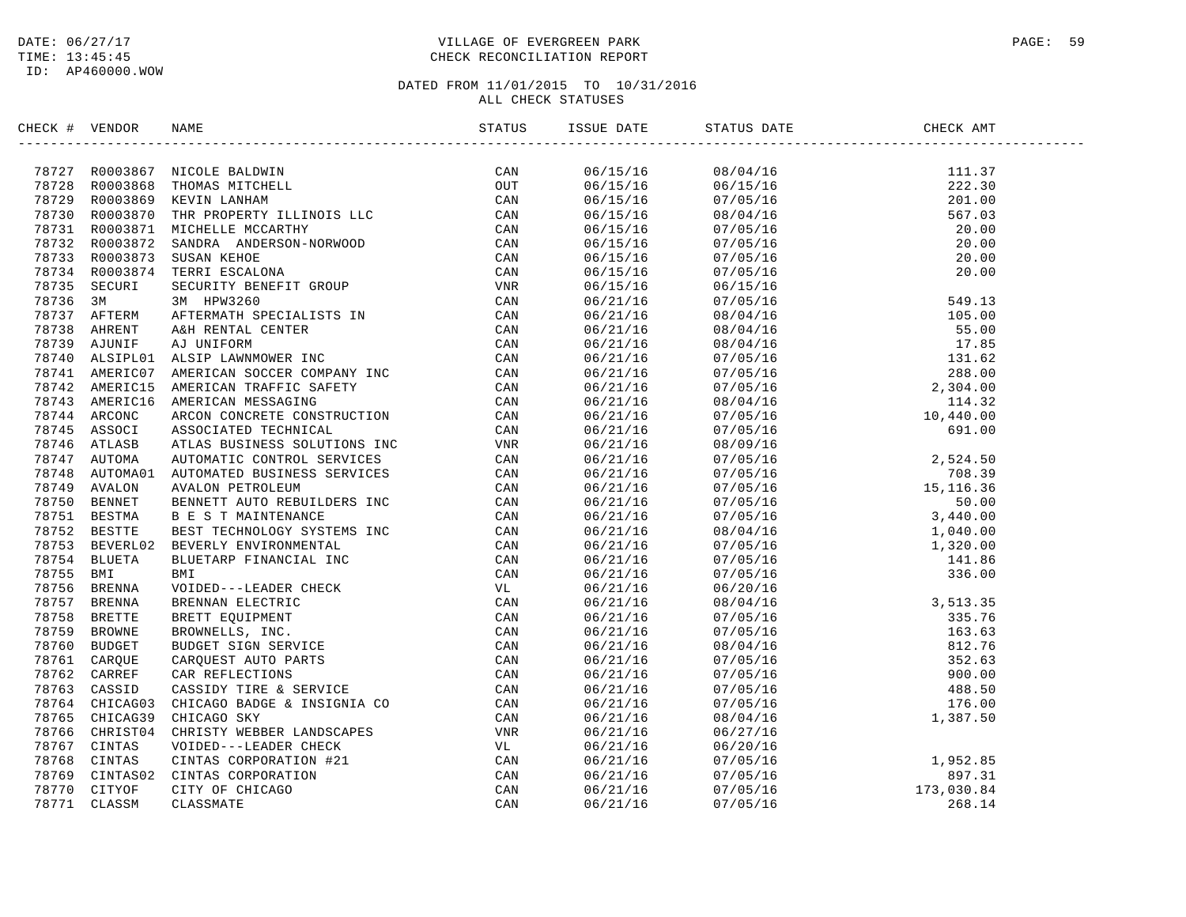# DATE:  $06/27/17$  PAGE: 59 TIME: 13:45:45 CHECK RECONCILIATION REPORT

| CHECK # VENDOR | NAME                                                                                                                                                                                                                                                                                                                                                              | STATUS | ISSUE DATE           | STATUS DATE | CHECK AMT                                                                                                    |  |
|----------------|-------------------------------------------------------------------------------------------------------------------------------------------------------------------------------------------------------------------------------------------------------------------------------------------------------------------------------------------------------------------|--------|----------------------|-------------|--------------------------------------------------------------------------------------------------------------|--|
|                | $\begin{tabular}{cccc} \textbf{3.0335} & \textbf{5.046} & \textbf{5.046} & \textbf{5.046} & \textbf{5.046} & \textbf{5.046} & \textbf{5.046} & \textbf{5.046} & \textbf{5.046} & \textbf{5.046} & \textbf{5.046} & \textbf{5.046} & \textbf{5.046} & \textbf{5.046} & \textbf{5.046} & \textbf{5.046} & \textbf{5.046} & \textbf{5.046} & \textbf{5.046} & \text$ |        | 06/15/16             |             |                                                                                                              |  |
|                |                                                                                                                                                                                                                                                                                                                                                                   |        | 06/15/16             |             |                                                                                                              |  |
|                |                                                                                                                                                                                                                                                                                                                                                                   |        | 06/15/16             |             |                                                                                                              |  |
|                |                                                                                                                                                                                                                                                                                                                                                                   |        | 06/15/16             |             |                                                                                                              |  |
|                |                                                                                                                                                                                                                                                                                                                                                                   |        | 06/15/16             |             |                                                                                                              |  |
|                |                                                                                                                                                                                                                                                                                                                                                                   |        | 06/15/16             |             |                                                                                                              |  |
|                |                                                                                                                                                                                                                                                                                                                                                                   |        | 06/15/16             |             |                                                                                                              |  |
|                |                                                                                                                                                                                                                                                                                                                                                                   |        | 06/15/16             |             |                                                                                                              |  |
|                |                                                                                                                                                                                                                                                                                                                                                                   |        | 06/15/16             |             |                                                                                                              |  |
|                |                                                                                                                                                                                                                                                                                                                                                                   |        | 06/21/16             |             |                                                                                                              |  |
|                |                                                                                                                                                                                                                                                                                                                                                                   |        | 06/21/16             |             |                                                                                                              |  |
|                |                                                                                                                                                                                                                                                                                                                                                                   |        | 06/21/16             |             |                                                                                                              |  |
|                |                                                                                                                                                                                                                                                                                                                                                                   |        | 06/21/16             |             |                                                                                                              |  |
|                |                                                                                                                                                                                                                                                                                                                                                                   |        | 06/21/16             |             |                                                                                                              |  |
|                |                                                                                                                                                                                                                                                                                                                                                                   |        | 06/21/16             |             |                                                                                                              |  |
|                |                                                                                                                                                                                                                                                                                                                                                                   |        | 06/21/16             |             |                                                                                                              |  |
|                |                                                                                                                                                                                                                                                                                                                                                                   |        | 06/21/16             |             |                                                                                                              |  |
|                |                                                                                                                                                                                                                                                                                                                                                                   |        | 06/21/16             |             |                                                                                                              |  |
|                |                                                                                                                                                                                                                                                                                                                                                                   |        | 06/21/16             |             |                                                                                                              |  |
|                |                                                                                                                                                                                                                                                                                                                                                                   |        |                      |             |                                                                                                              |  |
|                |                                                                                                                                                                                                                                                                                                                                                                   |        | 06/21/16<br>06/21/16 |             |                                                                                                              |  |
|                |                                                                                                                                                                                                                                                                                                                                                                   |        |                      |             |                                                                                                              |  |
|                |                                                                                                                                                                                                                                                                                                                                                                   |        | 06/21/16<br>06/21/16 |             |                                                                                                              |  |
|                |                                                                                                                                                                                                                                                                                                                                                                   |        |                      |             |                                                                                                              |  |
|                |                                                                                                                                                                                                                                                                                                                                                                   |        | 06/21/16             |             |                                                                                                              |  |
|                |                                                                                                                                                                                                                                                                                                                                                                   |        | 06/21/16             |             |                                                                                                              |  |
|                |                                                                                                                                                                                                                                                                                                                                                                   |        | 06/21/16             |             |                                                                                                              |  |
|                |                                                                                                                                                                                                                                                                                                                                                                   |        | 06/21/16             |             |                                                                                                              |  |
|                |                                                                                                                                                                                                                                                                                                                                                                   |        | 06/21/16             |             |                                                                                                              |  |
|                |                                                                                                                                                                                                                                                                                                                                                                   |        | 06/21/16             |             |                                                                                                              |  |
|                |                                                                                                                                                                                                                                                                                                                                                                   |        | 06/21/16             | 06/20/16    |                                                                                                              |  |
|                |                                                                                                                                                                                                                                                                                                                                                                   |        | 06/21/16             | 08/04/16    | $3,513.35$<br>$335.76$<br>$163.63$<br>$812.76$<br>$352.63$<br>$900.00$<br>$488.50$<br>$176.00$<br>$1,387.50$ |  |
|                |                                                                                                                                                                                                                                                                                                                                                                   |        | 06/21/16             | 07/05/16    |                                                                                                              |  |
|                |                                                                                                                                                                                                                                                                                                                                                                   |        | 06/21/16             | 07/05/16    |                                                                                                              |  |
|                |                                                                                                                                                                                                                                                                                                                                                                   |        | 06/21/16             | 08/04/16    |                                                                                                              |  |
|                |                                                                                                                                                                                                                                                                                                                                                                   |        | 06/21/16             | 07/05/16    |                                                                                                              |  |
|                |                                                                                                                                                                                                                                                                                                                                                                   |        | 06/21/16             | 07/05/16    |                                                                                                              |  |
|                |                                                                                                                                                                                                                                                                                                                                                                   |        | 06/21/16             | 07/05/16    |                                                                                                              |  |
|                |                                                                                                                                                                                                                                                                                                                                                                   |        | 06/21/16             | 07/05/16    |                                                                                                              |  |
|                |                                                                                                                                                                                                                                                                                                                                                                   |        | 06/21/16             | 08/04/16    |                                                                                                              |  |
|                |                                                                                                                                                                                                                                                                                                                                                                   |        | 06/21/16             | 06/27/16    |                                                                                                              |  |
|                |                                                                                                                                                                                                                                                                                                                                                                   |        | 06/21/16             | 06/20/16    | 1,952.85<br>897.31<br>173,030.84<br>268.14                                                                   |  |
|                |                                                                                                                                                                                                                                                                                                                                                                   |        | 06/21/16             | 07/05/16    |                                                                                                              |  |
|                |                                                                                                                                                                                                                                                                                                                                                                   |        | 06/21/16             | 07/05/16    |                                                                                                              |  |
|                |                                                                                                                                                                                                                                                                                                                                                                   |        | 06/21/16             | 07/05/16    |                                                                                                              |  |
|                |                                                                                                                                                                                                                                                                                                                                                                   |        | 06/21/16             | 07/05/16    |                                                                                                              |  |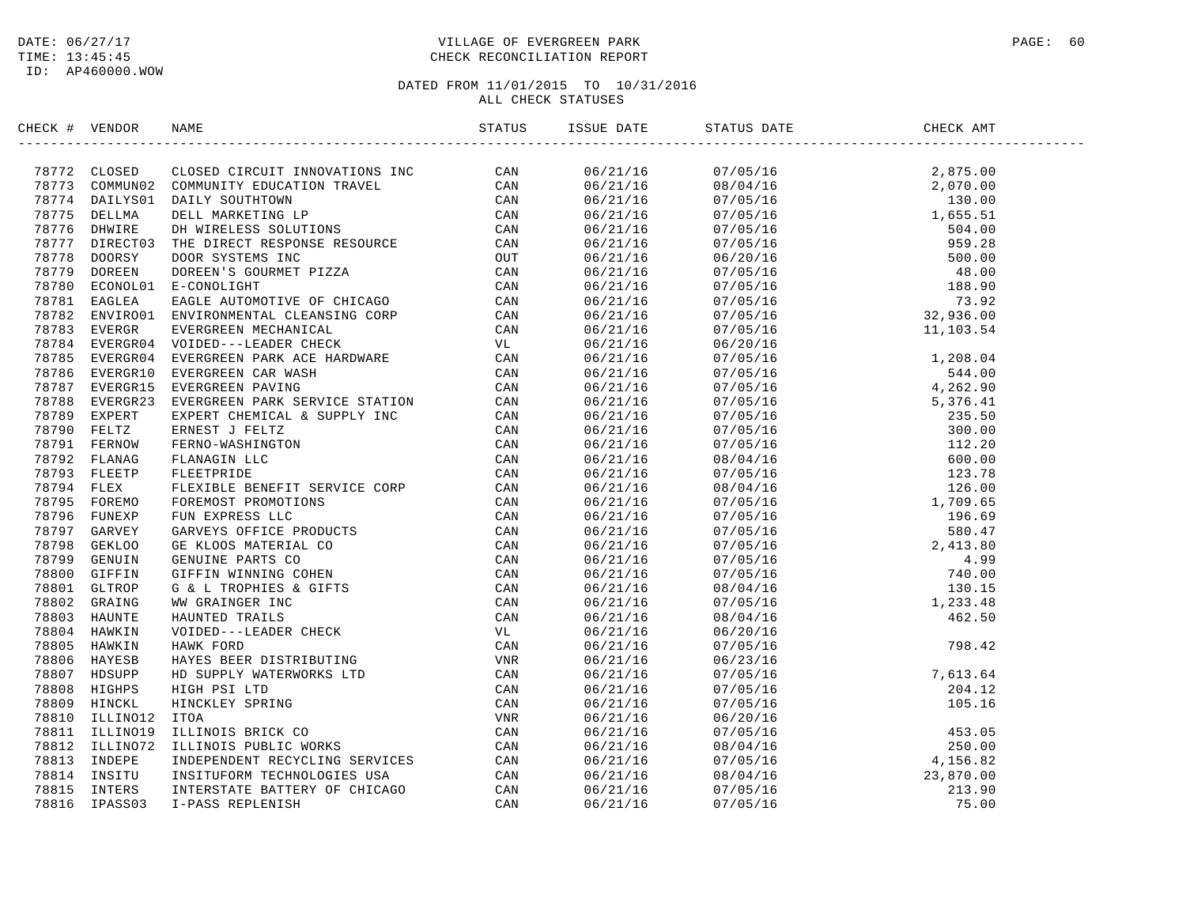# DATE:  $06/27/17$  PAGE: 60 TIME: 13:45:45 CHECK RECONCILIATION REPORT

| CHECK # VENDOR | NAME | ISSUE DATE | STATUS DATE | CHECK AMT |  |
|----------------|------|------------|-------------|-----------|--|
|                |      |            |             |           |  |
|                |      |            |             |           |  |
|                |      |            |             |           |  |
|                |      |            |             |           |  |
|                |      |            |             |           |  |
|                |      |            |             |           |  |
|                |      |            |             |           |  |
|                |      |            |             |           |  |
|                |      |            |             |           |  |
|                |      |            |             |           |  |
|                |      |            |             |           |  |
|                |      |            |             |           |  |
|                |      |            |             |           |  |
|                |      |            |             |           |  |
|                |      |            |             |           |  |
|                |      |            |             |           |  |
|                |      |            |             |           |  |
|                |      |            |             |           |  |
|                |      |            |             |           |  |
|                |      |            |             |           |  |
|                |      |            |             |           |  |
|                |      |            |             |           |  |
|                |      |            |             |           |  |
|                |      |            |             |           |  |
|                |      |            |             |           |  |
|                |      |            |             |           |  |
|                |      |            |             |           |  |
|                |      |            |             |           |  |
|                |      |            |             |           |  |
|                |      |            |             |           |  |
|                |      |            |             |           |  |
|                |      |            |             |           |  |
|                |      |            |             |           |  |
|                |      |            |             |           |  |
|                |      |            |             |           |  |
|                |      |            |             |           |  |
|                |      |            |             |           |  |
|                |      |            |             |           |  |
|                |      |            |             |           |  |
|                |      |            |             |           |  |
|                |      |            |             |           |  |
|                |      |            |             |           |  |
|                |      |            |             |           |  |
|                |      |            |             |           |  |
|                |      |            |             |           |  |
|                |      |            |             |           |  |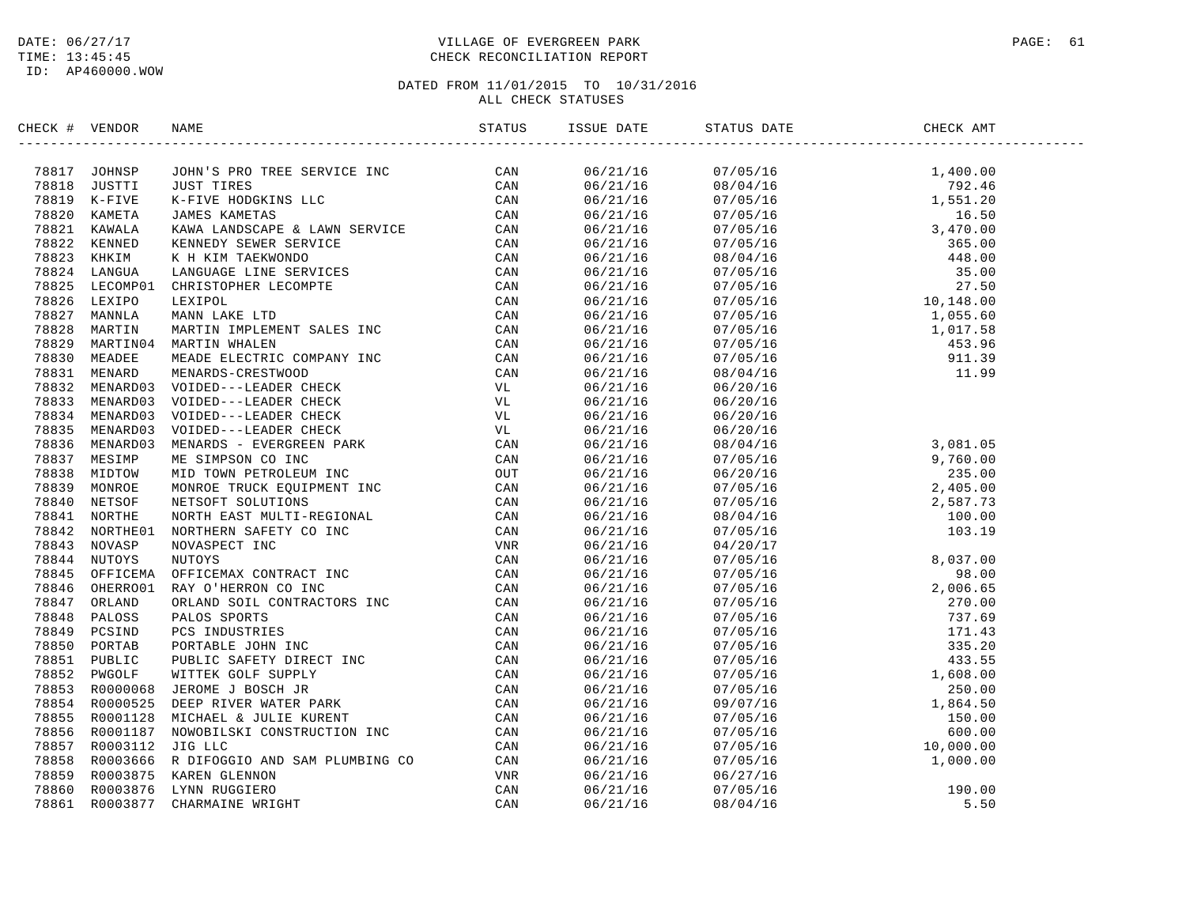# DATE:  $06/27/17$  PAGE: 61 TIME: 13:45:45 CHECK RECONCILIATION REPORT

| CHECK # VENDOR |                                | NAME                                                                                                                                                                                                                             | STATUS | ISSUE DATE | STATUS DATE | CHECK AMT |  |
|----------------|--------------------------------|----------------------------------------------------------------------------------------------------------------------------------------------------------------------------------------------------------------------------------|--------|------------|-------------|-----------|--|
|                | 78817 JOHNSP                   | AMARING THE SERVICE THE CAN METALL CARRY CAN ARREST INC.<br>THE TIME AND ANNOUNCE IN the service of the canonical control of the service of the service of the service of the service of the service of the service of the servi |        | 06/21/16   |             |           |  |
|                | 78818 JUSTTI                   |                                                                                                                                                                                                                                  |        | 06/21/16   |             |           |  |
|                | 78819 K-FIVE                   |                                                                                                                                                                                                                                  |        | 06/21/16   |             |           |  |
|                | 78820 KAMETA                   |                                                                                                                                                                                                                                  |        | 06/21/16   |             |           |  |
|                | 78821 KAWALA                   |                                                                                                                                                                                                                                  |        | 06/21/16   |             |           |  |
|                | 78822 KENNED                   |                                                                                                                                                                                                                                  |        | 06/21/16   |             |           |  |
|                | 78823 KHKIM                    |                                                                                                                                                                                                                                  |        | 06/21/16   |             |           |  |
|                | 78824 LANGUA                   |                                                                                                                                                                                                                                  |        | 06/21/16   |             |           |  |
|                | 78825 LECOMP01                 |                                                                                                                                                                                                                                  |        | 06/21/16   |             |           |  |
|                | 78826 LEXIPO                   |                                                                                                                                                                                                                                  |        | 06/21/16   |             |           |  |
|                | 78827 MANNLA                   |                                                                                                                                                                                                                                  |        | 06/21/16   |             |           |  |
|                | 78828 MARTIN                   |                                                                                                                                                                                                                                  |        | 06/21/16   |             |           |  |
| 78829          |                                | MARTIN04 MARTIN WHALEN                                                                                                                                                                                                           |        | 06/21/16   |             |           |  |
|                | 78830 MEADEE                   |                                                                                                                                                                                                                                  |        | 06/21/16   |             |           |  |
|                | 78831 MENARD                   |                                                                                                                                                                                                                                  |        | 06/21/16   |             |           |  |
|                | 78832 MENARD03                 |                                                                                                                                                                                                                                  |        | 06/21/16   |             |           |  |
|                | 78833 MENARD03                 |                                                                                                                                                                                                                                  |        | 06/21/16   | 06/20/16    |           |  |
|                | 78834 MENARD03                 |                                                                                                                                                                                                                                  |        | 06/21/16   | 06/20/16    |           |  |
|                | 78835 MENARD03                 |                                                                                                                                                                                                                                  |        | 06/21/16   | 06/20/16    |           |  |
|                | 78836 MENARD03                 |                                                                                                                                                                                                                                  |        | 06/21/16   |             |           |  |
|                | 78837 MESIMP                   |                                                                                                                                                                                                                                  |        | 06/21/16   |             |           |  |
| 78838          | MIDTOW                         |                                                                                                                                                                                                                                  |        | 06/21/16   |             |           |  |
|                | 78839 MONROE                   |                                                                                                                                                                                                                                  |        | 06/21/16   |             |           |  |
|                | 78840 NETSOF                   |                                                                                                                                                                                                                                  |        | 06/21/16   |             |           |  |
|                | 78841 NORTHE                   |                                                                                                                                                                                                                                  |        | 06/21/16   |             |           |  |
|                | 78842 NORTHE01                 |                                                                                                                                                                                                                                  |        | 06/21/16   |             |           |  |
|                | 78843 NOVASP                   |                                                                                                                                                                                                                                  |        | 06/21/16   |             |           |  |
|                |                                |                                                                                                                                                                                                                                  |        |            |             |           |  |
|                | 78844 NUTOYS                   |                                                                                                                                                                                                                                  |        | 06/21/16   |             |           |  |
|                | 78845 OFFICEMA                 |                                                                                                                                                                                                                                  |        | 06/21/16   |             |           |  |
|                | 78846 OHERRO01<br>78847 ORLAND |                                                                                                                                                                                                                                  |        | 06/21/16   |             |           |  |
|                |                                |                                                                                                                                                                                                                                  |        | 06/21/16   |             |           |  |
|                | 78848 PALOSS                   |                                                                                                                                                                                                                                  |        | 06/21/16   |             |           |  |
|                | 78849 PCSIND                   |                                                                                                                                                                                                                                  |        | 06/21/16   |             |           |  |
|                | 78850 PORTAB                   |                                                                                                                                                                                                                                  |        | 06/21/16   |             |           |  |
|                | 78851 PUBLIC                   |                                                                                                                                                                                                                                  |        | 06/21/16   |             |           |  |
|                | 78852 PWGOLF                   |                                                                                                                                                                                                                                  |        | 06/21/16   |             |           |  |
|                | 78853 R0000068                 |                                                                                                                                                                                                                                  |        | 06/21/16   |             |           |  |
|                | 78854 R0000525                 |                                                                                                                                                                                                                                  |        | 06/21/16   |             |           |  |
|                | 78855 R0001128                 |                                                                                                                                                                                                                                  |        | 06/21/16   |             |           |  |
|                | 78856 R0001187                 |                                                                                                                                                                                                                                  |        | 06/21/16   |             |           |  |
|                | 78857 R0003112                 |                                                                                                                                                                                                                                  |        | 06/21/16   |             |           |  |
|                | 78858 R0003666                 |                                                                                                                                                                                                                                  |        | 06/21/16   |             |           |  |
|                | 78859 R0003875                 |                                                                                                                                                                                                                                  |        | 06/21/16   |             |           |  |
|                | 78860 R0003876                 |                                                                                                                                                                                                                                  |        | 06/21/16   |             |           |  |
|                | 78861 R0003877                 |                                                                                                                                                                                                                                  |        | 06/21/16   |             |           |  |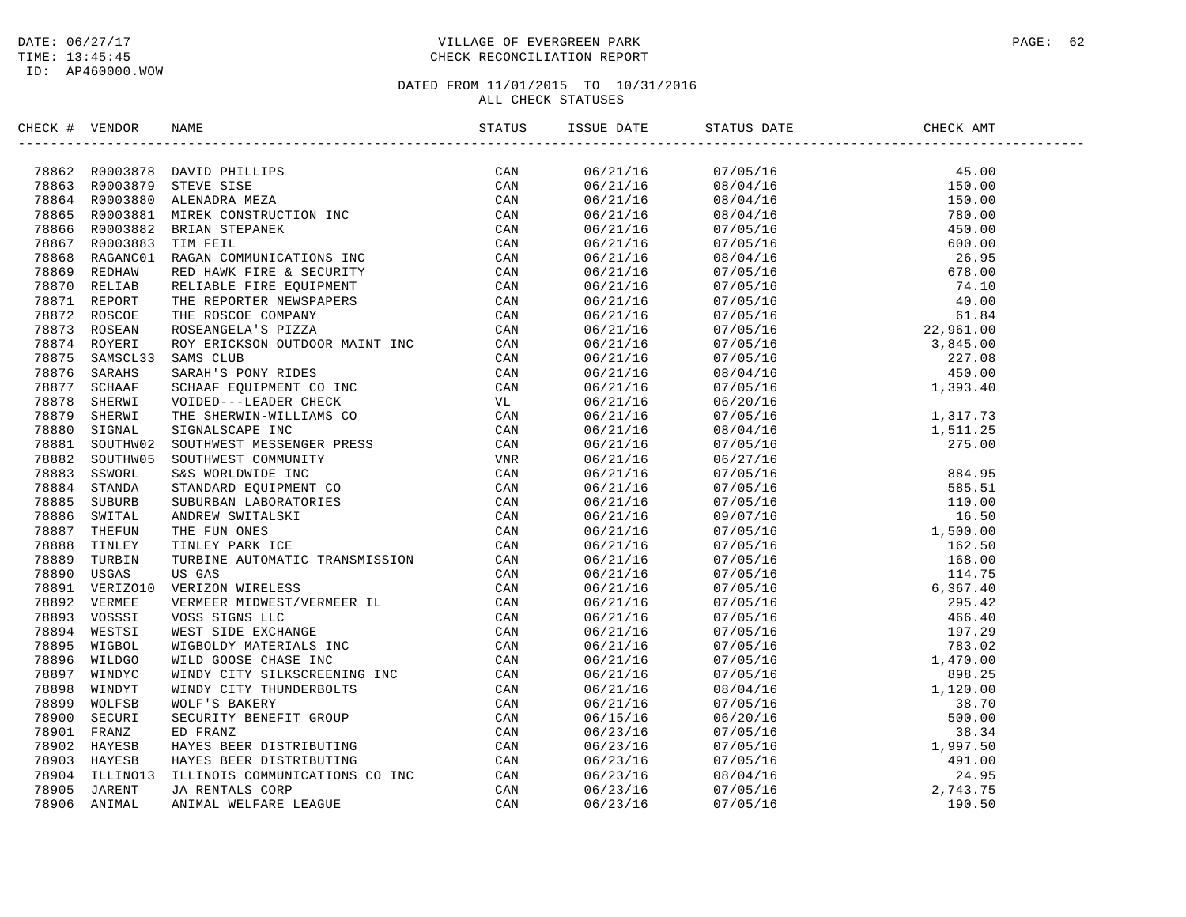# DATE:  $06/27/17$  PAGE: 62 TIME: 13:45:45 CHECK RECONCILIATION REPORT

| CHECK # VENDOR |          | NAME                                                                                                                                                                                                                                                                                                                                                                                                                                   | STATUS | ISSUE DATE           | STATUS DATE | CHECK AMT |  |
|----------------|----------|----------------------------------------------------------------------------------------------------------------------------------------------------------------------------------------------------------------------------------------------------------------------------------------------------------------------------------------------------------------------------------------------------------------------------------------|--------|----------------------|-------------|-----------|--|
|                |          | $\begin{tabular}{cccccccc} \textbf{a} & \textbf{r} & \textbf{r} & \textbf{r} & \textbf{r} & \textbf{r} & \textbf{r} & \textbf{r} & \textbf{r} & \textbf{r} & \textbf{r} & \textbf{r} \\ \textbf{a} & \textbf{r} & \textbf{r} & \textbf{r} & \textbf{r} & \textbf{r} & \textbf{r} \\ \textbf{a} & \textbf{r} & \textbf{r} & \textbf{r} & \textbf{r} & \textbf{r} & \textbf{r} \\ \textbf{b} & \textbf{r} & \textbf{r} & \textbf{r} & \$ |        | 06/21/16             |             |           |  |
|                |          |                                                                                                                                                                                                                                                                                                                                                                                                                                        |        | 06/21/16             |             |           |  |
|                |          |                                                                                                                                                                                                                                                                                                                                                                                                                                        |        | 06/21/16             |             |           |  |
|                |          |                                                                                                                                                                                                                                                                                                                                                                                                                                        |        | 06/21/16             |             |           |  |
|                |          |                                                                                                                                                                                                                                                                                                                                                                                                                                        |        | 06/21/16             |             |           |  |
|                |          |                                                                                                                                                                                                                                                                                                                                                                                                                                        |        | 06/21/16             |             |           |  |
|                |          |                                                                                                                                                                                                                                                                                                                                                                                                                                        |        | 06/21/16             |             |           |  |
|                |          |                                                                                                                                                                                                                                                                                                                                                                                                                                        |        | 06/21/16             |             |           |  |
|                |          |                                                                                                                                                                                                                                                                                                                                                                                                                                        |        | 06/21/16             |             |           |  |
|                |          |                                                                                                                                                                                                                                                                                                                                                                                                                                        |        | 06/21/16             |             |           |  |
|                |          |                                                                                                                                                                                                                                                                                                                                                                                                                                        |        | 06/21/16             |             |           |  |
|                |          |                                                                                                                                                                                                                                                                                                                                                                                                                                        |        | 06/21/16             |             |           |  |
|                |          |                                                                                                                                                                                                                                                                                                                                                                                                                                        |        | 06/21/16             |             |           |  |
|                |          |                                                                                                                                                                                                                                                                                                                                                                                                                                        |        | 06/21/16             |             |           |  |
|                |          |                                                                                                                                                                                                                                                                                                                                                                                                                                        |        | 06/21/16             |             |           |  |
|                |          |                                                                                                                                                                                                                                                                                                                                                                                                                                        |        | 06/21/16             |             |           |  |
|                |          |                                                                                                                                                                                                                                                                                                                                                                                                                                        |        | 06/21/16             |             |           |  |
|                |          |                                                                                                                                                                                                                                                                                                                                                                                                                                        |        | 06/21/16             |             |           |  |
|                |          |                                                                                                                                                                                                                                                                                                                                                                                                                                        |        | 06/21/16             |             |           |  |
|                |          |                                                                                                                                                                                                                                                                                                                                                                                                                                        |        | 06/21/16             |             |           |  |
|                |          |                                                                                                                                                                                                                                                                                                                                                                                                                                        |        | 06/21/16             |             |           |  |
|                |          |                                                                                                                                                                                                                                                                                                                                                                                                                                        |        | 06/21/16             |             |           |  |
|                |          |                                                                                                                                                                                                                                                                                                                                                                                                                                        |        | 06/21/16             |             |           |  |
|                |          |                                                                                                                                                                                                                                                                                                                                                                                                                                        |        | 06/21/16             |             |           |  |
|                |          |                                                                                                                                                                                                                                                                                                                                                                                                                                        |        |                      |             |           |  |
|                |          |                                                                                                                                                                                                                                                                                                                                                                                                                                        |        | 06/21/16<br>06/21/16 |             |           |  |
|                |          |                                                                                                                                                                                                                                                                                                                                                                                                                                        |        |                      |             |           |  |
|                |          |                                                                                                                                                                                                                                                                                                                                                                                                                                        |        | 06/21/16             |             |           |  |
|                |          |                                                                                                                                                                                                                                                                                                                                                                                                                                        |        | 06/21/16             |             |           |  |
|                |          |                                                                                                                                                                                                                                                                                                                                                                                                                                        |        | 06/21/16             |             |           |  |
|                |          |                                                                                                                                                                                                                                                                                                                                                                                                                                        |        | 06/21/16             |             |           |  |
|                |          |                                                                                                                                                                                                                                                                                                                                                                                                                                        |        | 06/21/16             |             |           |  |
|                |          |                                                                                                                                                                                                                                                                                                                                                                                                                                        |        | 06/21/16             |             |           |  |
|                |          |                                                                                                                                                                                                                                                                                                                                                                                                                                        |        | 06/21/16             |             |           |  |
|                |          |                                                                                                                                                                                                                                                                                                                                                                                                                                        |        | 06/21/16             |             |           |  |
|                |          |                                                                                                                                                                                                                                                                                                                                                                                                                                        |        | 06/21/16             |             |           |  |
|                |          |                                                                                                                                                                                                                                                                                                                                                                                                                                        |        | 06/21/16             |             |           |  |
|                |          |                                                                                                                                                                                                                                                                                                                                                                                                                                        |        | 06/21/16             |             |           |  |
|                |          |                                                                                                                                                                                                                                                                                                                                                                                                                                        |        | 06/21/16             |             |           |  |
|                |          |                                                                                                                                                                                                                                                                                                                                                                                                                                        |        | 06/15/16             |             |           |  |
|                |          |                                                                                                                                                                                                                                                                                                                                                                                                                                        |        | 06/23/16             |             |           |  |
|                |          |                                                                                                                                                                                                                                                                                                                                                                                                                                        |        | 06/23/16             |             |           |  |
|                |          |                                                                                                                                                                                                                                                                                                                                                                                                                                        |        | 06/23/16             |             |           |  |
| 78904          | ILLINO13 | ILLINOIS COMMUNICATIONS CO INC<br>JA RENTALS CORP<br>ANIMAL WELFARE LEAGUE                                                                                                                                                                                                                                                                                                                                                             | CAN    | 06/23/16             |             |           |  |
| 78905          | JARENT   |                                                                                                                                                                                                                                                                                                                                                                                                                                        | CAN    | 06/23/16             |             |           |  |
| 78906          | ANIMAL   | ANIMAL WELFARE LEAGUE                                                                                                                                                                                                                                                                                                                                                                                                                  | CAN    | 06/23/16             |             |           |  |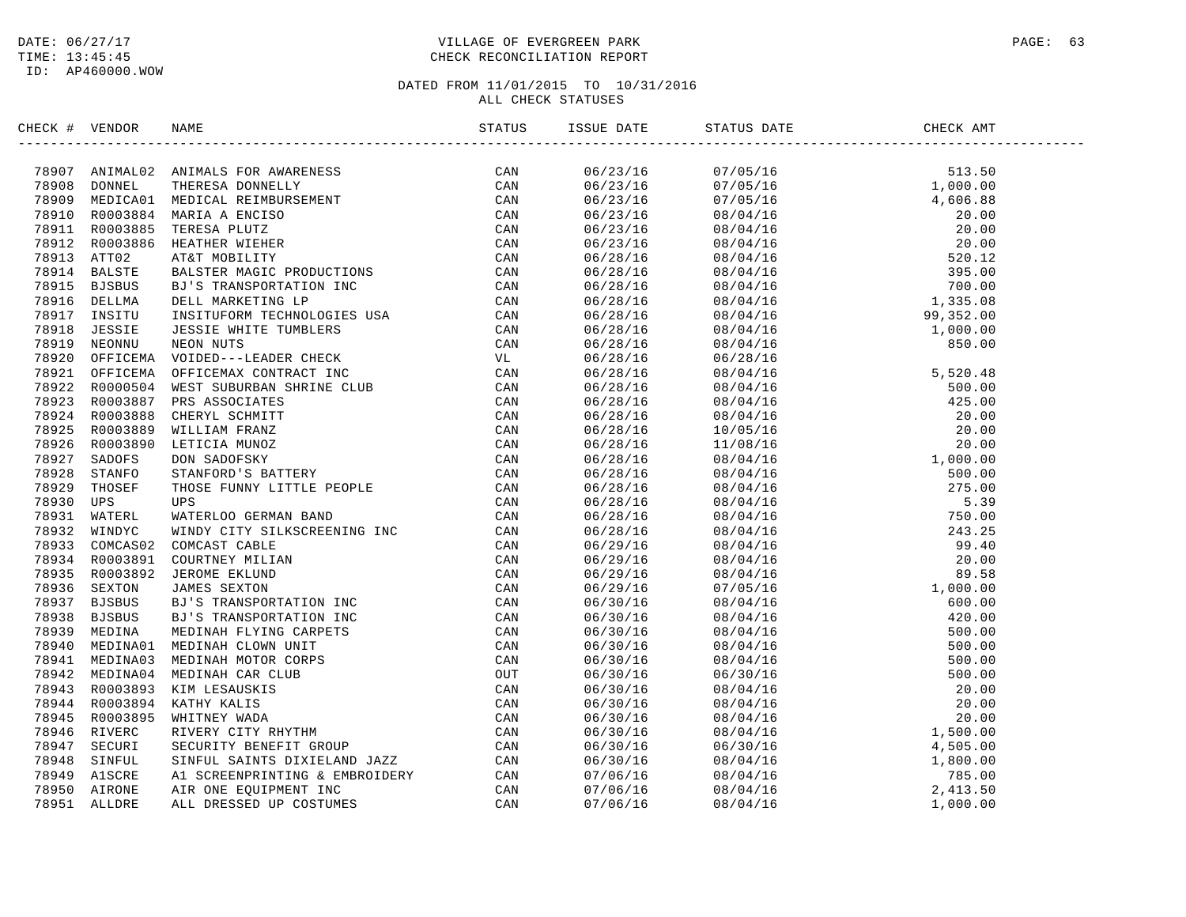# DATE:  $06/27/17$  PAGE: 63 TIME: 13:45:45 CHECK RECONCILIATION REPORT

| CHECK # VENDOR | NAME                                                                                                                                                                                                                          | ISSUE DATE           | STATUS DATE                                                                                                                                                                                                                                                           | CHECK AMT |  |
|----------------|-------------------------------------------------------------------------------------------------------------------------------------------------------------------------------------------------------------------------------|----------------------|-----------------------------------------------------------------------------------------------------------------------------------------------------------------------------------------------------------------------------------------------------------------------|-----------|--|
|                | ILICAT MEXINDER AMATIA CON MARGINING THE CAN AND MANUSING THE CAN ARRIVED AN INDICAL REVIEW WAS CONVERGED CAN ARRIVED AND INDICAL REVIEW ON THE CAN ARRIVED AND INDICAL THE CAN ARRIVED AND INDICAL CONVERGENCE CAN ARRIVED A | 06/23/16             | $\begin{tabular}{cccc} 197.67 & 011.68 & 011.69 & 011.60 & 011.60 & 011.60 & 011.60 & 011.60 & 011.60 & 011.60 & 011.60 & 011.60 & 011.60 & 011.60 & 011.60 & 011.60 & 011.60 & 011.60 & 011.60 & 011.60 & 011.60 & 011.60 & 011.60 & 011.60 & 011.60 & 011.60 & 011$ |           |  |
|                |                                                                                                                                                                                                                               | 06/23/16             |                                                                                                                                                                                                                                                                       |           |  |
|                |                                                                                                                                                                                                                               | 06/23/16             |                                                                                                                                                                                                                                                                       |           |  |
|                |                                                                                                                                                                                                                               | 06/23/16             |                                                                                                                                                                                                                                                                       |           |  |
|                |                                                                                                                                                                                                                               | 06/23/16             |                                                                                                                                                                                                                                                                       |           |  |
|                |                                                                                                                                                                                                                               | 06/23/16             |                                                                                                                                                                                                                                                                       |           |  |
|                |                                                                                                                                                                                                                               | 06/28/16             |                                                                                                                                                                                                                                                                       |           |  |
|                |                                                                                                                                                                                                                               | 06/28/16             |                                                                                                                                                                                                                                                                       |           |  |
|                |                                                                                                                                                                                                                               | 06/28/16             |                                                                                                                                                                                                                                                                       |           |  |
|                |                                                                                                                                                                                                                               |                      |                                                                                                                                                                                                                                                                       |           |  |
|                |                                                                                                                                                                                                                               | 06/28/16<br>06/28/16 |                                                                                                                                                                                                                                                                       |           |  |
|                |                                                                                                                                                                                                                               |                      |                                                                                                                                                                                                                                                                       |           |  |
|                |                                                                                                                                                                                                                               | 06/28/16             |                                                                                                                                                                                                                                                                       |           |  |
|                |                                                                                                                                                                                                                               | 06/28/16             |                                                                                                                                                                                                                                                                       |           |  |
|                |                                                                                                                                                                                                                               | 06/28/16             |                                                                                                                                                                                                                                                                       |           |  |
|                |                                                                                                                                                                                                                               | 06/28/16             |                                                                                                                                                                                                                                                                       |           |  |
|                |                                                                                                                                                                                                                               | 06/28/16             |                                                                                                                                                                                                                                                                       |           |  |
|                |                                                                                                                                                                                                                               | 06/28/16             |                                                                                                                                                                                                                                                                       |           |  |
|                |                                                                                                                                                                                                                               | 06/28/16             |                                                                                                                                                                                                                                                                       |           |  |
|                |                                                                                                                                                                                                                               | 06/28/16             |                                                                                                                                                                                                                                                                       |           |  |
|                |                                                                                                                                                                                                                               | 06/28/16             |                                                                                                                                                                                                                                                                       |           |  |
|                |                                                                                                                                                                                                                               | 06/28/16             |                                                                                                                                                                                                                                                                       |           |  |
|                |                                                                                                                                                                                                                               | 06/28/16             |                                                                                                                                                                                                                                                                       |           |  |
|                |                                                                                                                                                                                                                               | 06/28/16             |                                                                                                                                                                                                                                                                       |           |  |
|                |                                                                                                                                                                                                                               | 06/28/16             |                                                                                                                                                                                                                                                                       |           |  |
|                |                                                                                                                                                                                                                               | 06/28/16             |                                                                                                                                                                                                                                                                       |           |  |
|                |                                                                                                                                                                                                                               | 06/28/16             |                                                                                                                                                                                                                                                                       |           |  |
|                |                                                                                                                                                                                                                               | 06/29/16             |                                                                                                                                                                                                                                                                       |           |  |
|                |                                                                                                                                                                                                                               | 06/29/16             |                                                                                                                                                                                                                                                                       |           |  |
|                |                                                                                                                                                                                                                               | 06/29/16             |                                                                                                                                                                                                                                                                       |           |  |
|                |                                                                                                                                                                                                                               | 06/29/16             |                                                                                                                                                                                                                                                                       |           |  |
|                |                                                                                                                                                                                                                               | 06/30/16             |                                                                                                                                                                                                                                                                       |           |  |
|                |                                                                                                                                                                                                                               | 06/30/16             |                                                                                                                                                                                                                                                                       |           |  |
|                |                                                                                                                                                                                                                               | 06/30/16             |                                                                                                                                                                                                                                                                       |           |  |
|                |                                                                                                                                                                                                                               | 06/30/16             |                                                                                                                                                                                                                                                                       |           |  |
|                |                                                                                                                                                                                                                               | 06/30/16             |                                                                                                                                                                                                                                                                       |           |  |
|                |                                                                                                                                                                                                                               | 06/30/16             |                                                                                                                                                                                                                                                                       |           |  |
|                |                                                                                                                                                                                                                               | 06/30/16             |                                                                                                                                                                                                                                                                       |           |  |
|                |                                                                                                                                                                                                                               | 06/30/16             |                                                                                                                                                                                                                                                                       |           |  |
|                |                                                                                                                                                                                                                               | 06/30/16             |                                                                                                                                                                                                                                                                       |           |  |
|                |                                                                                                                                                                                                                               | 06/30/16             |                                                                                                                                                                                                                                                                       |           |  |
|                |                                                                                                                                                                                                                               | 06/30/16             |                                                                                                                                                                                                                                                                       |           |  |
|                |                                                                                                                                                                                                                               | 06/30/16             |                                                                                                                                                                                                                                                                       |           |  |
|                |                                                                                                                                                                                                                               | 07/06/16             |                                                                                                                                                                                                                                                                       |           |  |
|                |                                                                                                                                                                                                                               | 07/06/16             |                                                                                                                                                                                                                                                                       |           |  |
|                |                                                                                                                                                                                                                               | 07/06/16             |                                                                                                                                                                                                                                                                       |           |  |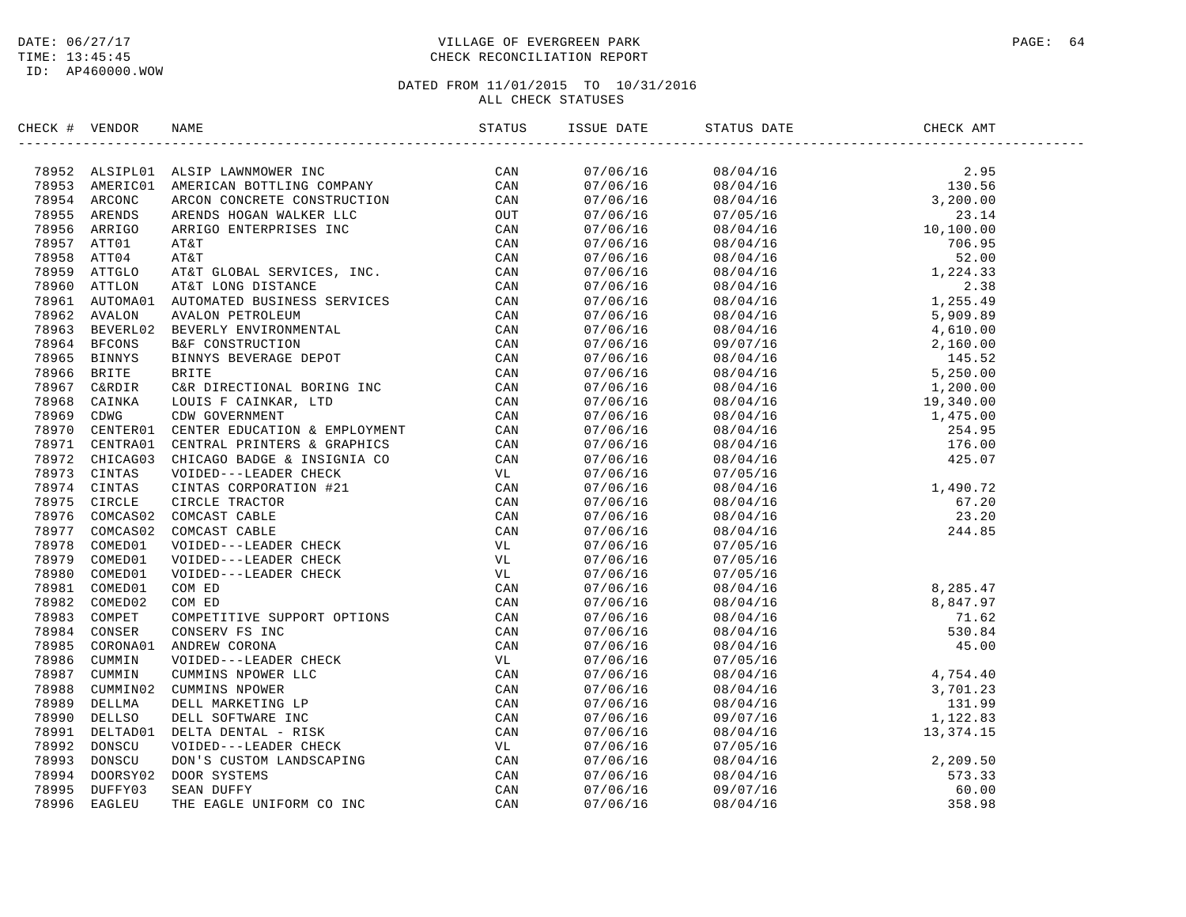# DATE:  $06/27/17$  PAGE: 64 TIME: 13:45:45 CHECK RECONCILIATION REPORT

| CHECK # VENDOR | E<br> ----------------------------------<br>NAME                                                                                                                                                                              | STATUS | ISSUE DATE | STATUS DATE | CHECK AMT                                                                                                      |  |
|----------------|-------------------------------------------------------------------------------------------------------------------------------------------------------------------------------------------------------------------------------|--------|------------|-------------|----------------------------------------------------------------------------------------------------------------|--|
|                | ENCE 1 WHOLE MARINE LAST LAND RESERVE INC. THE SERVE CAN ARREST SERVE ON A SERVE AND MANUSCRIP CONTRACTOR (CAN ARREST CONTRACTOR) AND CONTRACT CONTRACT CONTRACT CONTRACT CONTRACT CONTRACT CONTRACT AND MANUSCRIP CONTRACT C |        | 07/06/16   |             |                                                                                                                |  |
|                |                                                                                                                                                                                                                               |        | 07/06/16   |             |                                                                                                                |  |
|                |                                                                                                                                                                                                                               |        | 07/06/16   |             |                                                                                                                |  |
|                |                                                                                                                                                                                                                               |        | 07/06/16   |             |                                                                                                                |  |
|                |                                                                                                                                                                                                                               |        | 07/06/16   |             |                                                                                                                |  |
|                |                                                                                                                                                                                                                               |        | 07/06/16   |             |                                                                                                                |  |
|                |                                                                                                                                                                                                                               |        | 07/06/16   |             |                                                                                                                |  |
|                |                                                                                                                                                                                                                               |        | 07/06/16   |             |                                                                                                                |  |
|                |                                                                                                                                                                                                                               |        | 07/06/16   |             |                                                                                                                |  |
|                |                                                                                                                                                                                                                               |        | 07/06/16   |             |                                                                                                                |  |
|                |                                                                                                                                                                                                                               |        | 07/06/16   |             |                                                                                                                |  |
|                |                                                                                                                                                                                                                               |        | 07/06/16   |             |                                                                                                                |  |
|                |                                                                                                                                                                                                                               |        | 07/06/16   |             |                                                                                                                |  |
|                |                                                                                                                                                                                                                               |        | 07/06/16   |             |                                                                                                                |  |
|                |                                                                                                                                                                                                                               |        | 07/06/16   |             |                                                                                                                |  |
|                |                                                                                                                                                                                                                               |        | 07/06/16   |             |                                                                                                                |  |
|                |                                                                                                                                                                                                                               |        | 07/06/16   |             |                                                                                                                |  |
|                |                                                                                                                                                                                                                               |        | 07/06/16   |             |                                                                                                                |  |
|                |                                                                                                                                                                                                                               |        | 07/06/16   |             |                                                                                                                |  |
|                |                                                                                                                                                                                                                               |        | 07/06/16   |             |                                                                                                                |  |
|                |                                                                                                                                                                                                                               |        | 07/06/16   |             |                                                                                                                |  |
|                |                                                                                                                                                                                                                               |        | 07/06/16   | 07/05/16    |                                                                                                                |  |
|                |                                                                                                                                                                                                                               |        | 07/06/16   | 08/04/16    |                                                                                                                |  |
|                |                                                                                                                                                                                                                               |        | 07/06/16   | 08/04/16    | $1,490.72$<br>$67.20$<br>$23.20$<br>$244.85$                                                                   |  |
|                |                                                                                                                                                                                                                               |        | 07/06/16   | 08/04/16    |                                                                                                                |  |
|                |                                                                                                                                                                                                                               |        | 07/06/16   | 08/04/16    |                                                                                                                |  |
|                |                                                                                                                                                                                                                               |        | 07/06/16   | 07/05/16    |                                                                                                                |  |
|                |                                                                                                                                                                                                                               |        | 07/06/16   | 07/05/16    |                                                                                                                |  |
|                |                                                                                                                                                                                                                               |        | 07/06/16   | 07/05/16    |                                                                                                                |  |
|                |                                                                                                                                                                                                                               |        | 07/06/16   | 08/04/16    |                                                                                                                |  |
|                |                                                                                                                                                                                                                               |        | 07/06/16   | 08/04/16    |                                                                                                                |  |
|                |                                                                                                                                                                                                                               |        | 07/06/16   | 08/04/16    |                                                                                                                |  |
|                |                                                                                                                                                                                                                               |        | 07/06/16   | 08/04/16    |                                                                                                                |  |
|                |                                                                                                                                                                                                                               |        | 07/06/16   | 08/04/16    | 8, 285. 47<br>8, 847. 97<br>71. 62<br>530. 84<br>45. 00<br>4, 754. 40<br>3, 701. 23<br>131. 99<br>1, 274. 374. |  |
|                |                                                                                                                                                                                                                               |        | 07/06/16   | 07/05/16    |                                                                                                                |  |
|                |                                                                                                                                                                                                                               |        | 07/06/16   | 08/04/16    |                                                                                                                |  |
|                |                                                                                                                                                                                                                               |        | 07/06/16   | 08/04/16    |                                                                                                                |  |
|                |                                                                                                                                                                                                                               |        | 07/06/16   | 08/04/16    |                                                                                                                |  |
|                |                                                                                                                                                                                                                               |        | 07/06/16   | 09/07/16    |                                                                                                                |  |
|                |                                                                                                                                                                                                                               |        | 07/06/16   | 08/04/16    | 13,374.15                                                                                                      |  |
|                |                                                                                                                                                                                                                               |        | 07/06/16   | 07/05/16    |                                                                                                                |  |
|                |                                                                                                                                                                                                                               |        | 07/06/16   | 08/04/16    | 2, 209.50<br>573.33<br>60.00<br>358.98                                                                         |  |
|                |                                                                                                                                                                                                                               |        | 07/06/16   | 08/04/16    |                                                                                                                |  |
|                |                                                                                                                                                                                                                               |        | 07/06/16   | 09/07/16    |                                                                                                                |  |
|                |                                                                                                                                                                                                                               |        | 07/06/16   | 08/04/16    |                                                                                                                |  |
|                |                                                                                                                                                                                                                               |        |            |             |                                                                                                                |  |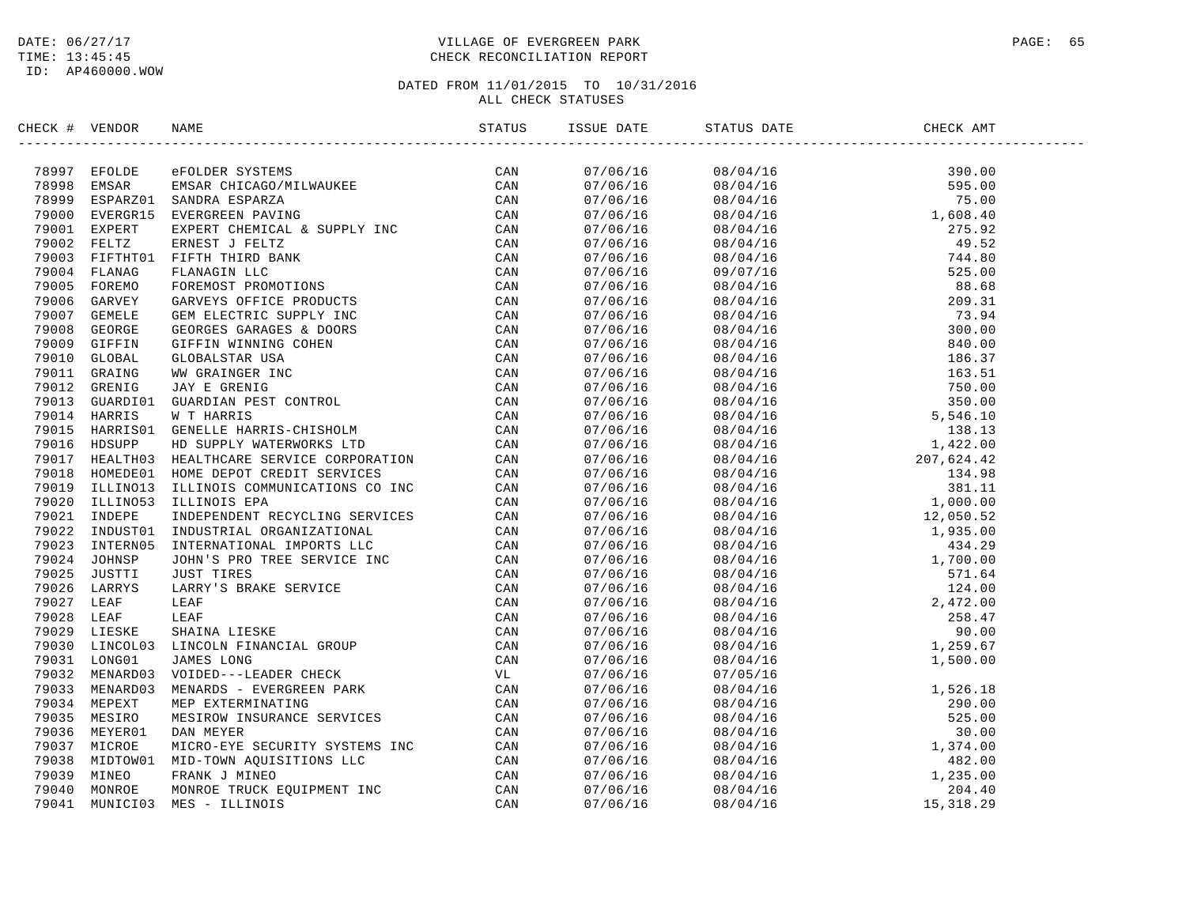# DATE:  $06/27/17$  PAGE: 65 TIME: 13:45:45 CHECK RECONCILIATION REPORT

| CHECK # VENDOR | NAME                                                                                                                                                                                                                                    | ISSUE DATE | STATUS DATE | CHECK AMT |  |
|----------------|-----------------------------------------------------------------------------------------------------------------------------------------------------------------------------------------------------------------------------------------|------------|-------------|-----------|--|
|                | STRICK # VENDOR NAME<br>STATUS 38<br>2009 NEOLEN AVERA ERICAGO/MILIANIKE CAN<br>2009 NEWARD BANDAR BERSARI CHICAGO/MILIANIKE CAN<br>2009 NEWART EXPERIENCES, ANNE CHICAGO/MILIANIKE CAN<br>2009 NEWART EXPERIENCES ANNE ANNE CHICAGO CA |            |             |           |  |
|                |                                                                                                                                                                                                                                         |            |             |           |  |
|                |                                                                                                                                                                                                                                         |            |             |           |  |
|                |                                                                                                                                                                                                                                         |            |             |           |  |
|                |                                                                                                                                                                                                                                         |            |             |           |  |
|                |                                                                                                                                                                                                                                         |            |             |           |  |
|                |                                                                                                                                                                                                                                         |            |             |           |  |
|                |                                                                                                                                                                                                                                         |            |             |           |  |
|                |                                                                                                                                                                                                                                         |            |             |           |  |
|                |                                                                                                                                                                                                                                         |            |             |           |  |
|                |                                                                                                                                                                                                                                         |            |             |           |  |
|                |                                                                                                                                                                                                                                         |            |             |           |  |
|                |                                                                                                                                                                                                                                         |            |             |           |  |
|                |                                                                                                                                                                                                                                         |            |             |           |  |
|                |                                                                                                                                                                                                                                         |            |             |           |  |
|                |                                                                                                                                                                                                                                         |            |             |           |  |
|                |                                                                                                                                                                                                                                         |            |             |           |  |
|                |                                                                                                                                                                                                                                         |            |             |           |  |
|                |                                                                                                                                                                                                                                         |            |             |           |  |
|                |                                                                                                                                                                                                                                         |            |             |           |  |
|                |                                                                                                                                                                                                                                         |            |             |           |  |
|                |                                                                                                                                                                                                                                         |            |             |           |  |
|                |                                                                                                                                                                                                                                         |            |             |           |  |
|                |                                                                                                                                                                                                                                         |            |             |           |  |
|                |                                                                                                                                                                                                                                         |            |             |           |  |
|                |                                                                                                                                                                                                                                         |            |             |           |  |
|                |                                                                                                                                                                                                                                         |            |             |           |  |
|                |                                                                                                                                                                                                                                         |            |             |           |  |
|                |                                                                                                                                                                                                                                         |            |             |           |  |
|                |                                                                                                                                                                                                                                         |            |             |           |  |
|                |                                                                                                                                                                                                                                         |            |             |           |  |
|                |                                                                                                                                                                                                                                         |            |             |           |  |
|                |                                                                                                                                                                                                                                         |            |             |           |  |
|                |                                                                                                                                                                                                                                         |            |             |           |  |
|                |                                                                                                                                                                                                                                         |            |             |           |  |
|                |                                                                                                                                                                                                                                         |            |             |           |  |
|                |                                                                                                                                                                                                                                         |            |             |           |  |
|                |                                                                                                                                                                                                                                         |            |             |           |  |
|                |                                                                                                                                                                                                                                         |            |             |           |  |
|                |                                                                                                                                                                                                                                         |            |             |           |  |
|                |                                                                                                                                                                                                                                         |            |             |           |  |
|                |                                                                                                                                                                                                                                         |            |             |           |  |
|                |                                                                                                                                                                                                                                         |            |             |           |  |
|                |                                                                                                                                                                                                                                         |            |             |           |  |
|                |                                                                                                                                                                                                                                         |            |             |           |  |
|                |                                                                                                                                                                                                                                         |            |             |           |  |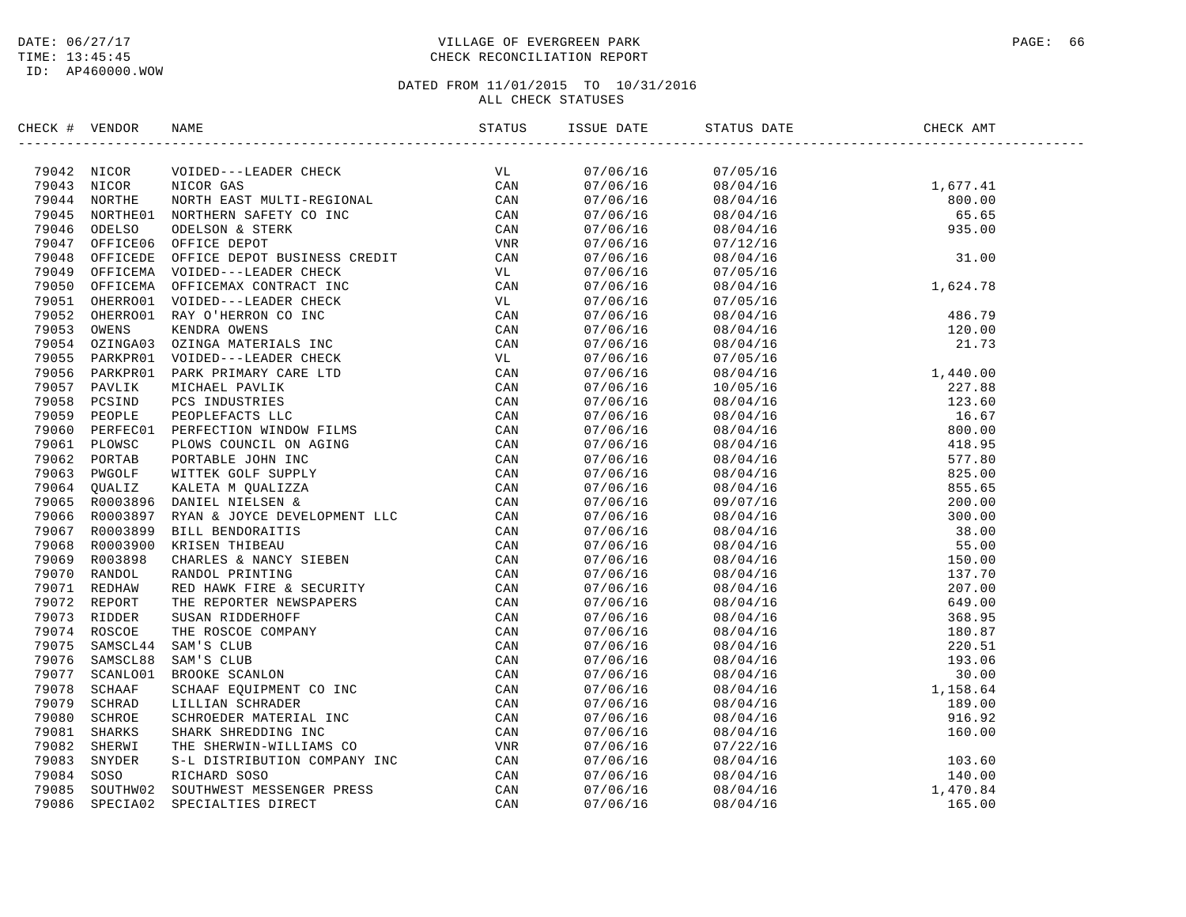# DATE:  $06/27/17$  PAGE: 66 TIME: 13:45:45 CHECK RECONCILIATION REPORT

| CHECK # VENDOR |                                                                                                                                                                                                                                         |  |                                                                                                                                                                                                                                                                                       | CHECK AMT |  |
|----------------|-----------------------------------------------------------------------------------------------------------------------------------------------------------------------------------------------------------------------------------------|--|---------------------------------------------------------------------------------------------------------------------------------------------------------------------------------------------------------------------------------------------------------------------------------------|-----------|--|
|                | SERCE 4 VERIOG NAME<br>1974 MICOS NICOR OLE ARABE CHECK VICINE (1974)<br>1981 MICOS NICOR OLE ARABE CHECK VICINE CAN CAN<br>1994 MICOS NICOR OLE SERVE CHECK CAN<br>1994 MICOS NICOR OLE STREET CO-INC CAN<br>1994 MICOR OF DESCRIPTION |  |                                                                                                                                                                                                                                                                                       |           |  |
|                |                                                                                                                                                                                                                                         |  | $\begin{array}{cccc} 07/06/16 & 07/05/16 & 08/04/16 & 1,677.41 \\ 07/06/16 & 08/04/16 & 1,677.41 \\ 07/06/16 & 08/04/16 & 800.00 \\ 07/06/16 & 08/04/16 & 65.65 \\ 07/06/16 & 08/04/16 & 935.00 \\ 07/06/16 & 07/12/16 & 31.00 \\ 07/06/16 & 08/04/16 & 31.00 \\ 07/06$               |           |  |
|                |                                                                                                                                                                                                                                         |  |                                                                                                                                                                                                                                                                                       |           |  |
|                |                                                                                                                                                                                                                                         |  |                                                                                                                                                                                                                                                                                       |           |  |
|                |                                                                                                                                                                                                                                         |  |                                                                                                                                                                                                                                                                                       |           |  |
|                |                                                                                                                                                                                                                                         |  |                                                                                                                                                                                                                                                                                       |           |  |
|                |                                                                                                                                                                                                                                         |  |                                                                                                                                                                                                                                                                                       |           |  |
|                |                                                                                                                                                                                                                                         |  |                                                                                                                                                                                                                                                                                       |           |  |
|                |                                                                                                                                                                                                                                         |  |                                                                                                                                                                                                                                                                                       |           |  |
|                |                                                                                                                                                                                                                                         |  |                                                                                                                                                                                                                                                                                       |           |  |
|                |                                                                                                                                                                                                                                         |  |                                                                                                                                                                                                                                                                                       |           |  |
|                |                                                                                                                                                                                                                                         |  |                                                                                                                                                                                                                                                                                       |           |  |
|                |                                                                                                                                                                                                                                         |  |                                                                                                                                                                                                                                                                                       |           |  |
|                |                                                                                                                                                                                                                                         |  |                                                                                                                                                                                                                                                                                       |           |  |
|                |                                                                                                                                                                                                                                         |  |                                                                                                                                                                                                                                                                                       |           |  |
|                |                                                                                                                                                                                                                                         |  |                                                                                                                                                                                                                                                                                       |           |  |
|                |                                                                                                                                                                                                                                         |  |                                                                                                                                                                                                                                                                                       |           |  |
|                |                                                                                                                                                                                                                                         |  |                                                                                                                                                                                                                                                                                       |           |  |
|                |                                                                                                                                                                                                                                         |  |                                                                                                                                                                                                                                                                                       |           |  |
|                |                                                                                                                                                                                                                                         |  |                                                                                                                                                                                                                                                                                       |           |  |
|                |                                                                                                                                                                                                                                         |  |                                                                                                                                                                                                                                                                                       |           |  |
|                |                                                                                                                                                                                                                                         |  |                                                                                                                                                                                                                                                                                       |           |  |
|                |                                                                                                                                                                                                                                         |  |                                                                                                                                                                                                                                                                                       |           |  |
|                |                                                                                                                                                                                                                                         |  |                                                                                                                                                                                                                                                                                       |           |  |
|                |                                                                                                                                                                                                                                         |  |                                                                                                                                                                                                                                                                                       |           |  |
|                |                                                                                                                                                                                                                                         |  |                                                                                                                                                                                                                                                                                       |           |  |
|                |                                                                                                                                                                                                                                         |  |                                                                                                                                                                                                                                                                                       |           |  |
|                |                                                                                                                                                                                                                                         |  |                                                                                                                                                                                                                                                                                       |           |  |
|                |                                                                                                                                                                                                                                         |  |                                                                                                                                                                                                                                                                                       |           |  |
|                |                                                                                                                                                                                                                                         |  |                                                                                                                                                                                                                                                                                       |           |  |
|                |                                                                                                                                                                                                                                         |  |                                                                                                                                                                                                                                                                                       |           |  |
|                |                                                                                                                                                                                                                                         |  |                                                                                                                                                                                                                                                                                       |           |  |
|                |                                                                                                                                                                                                                                         |  |                                                                                                                                                                                                                                                                                       |           |  |
|                |                                                                                                                                                                                                                                         |  |                                                                                                                                                                                                                                                                                       |           |  |
|                |                                                                                                                                                                                                                                         |  |                                                                                                                                                                                                                                                                                       |           |  |
|                |                                                                                                                                                                                                                                         |  |                                                                                                                                                                                                                                                                                       |           |  |
|                |                                                                                                                                                                                                                                         |  |                                                                                                                                                                                                                                                                                       |           |  |
|                |                                                                                                                                                                                                                                         |  |                                                                                                                                                                                                                                                                                       |           |  |
|                |                                                                                                                                                                                                                                         |  |                                                                                                                                                                                                                                                                                       |           |  |
|                |                                                                                                                                                                                                                                         |  |                                                                                                                                                                                                                                                                                       |           |  |
|                |                                                                                                                                                                                                                                         |  |                                                                                                                                                                                                                                                                                       |           |  |
|                |                                                                                                                                                                                                                                         |  |                                                                                                                                                                                                                                                                                       |           |  |
|                |                                                                                                                                                                                                                                         |  | $\begin{tabular}{@{}c c c c} $0.7/06/16$ & $0.7/05/16$ & $1.624$ \\ $0.7/06/16$ & $0.7/05/16$ & $1.624$ \\ $0.7/06/16$ & $0.7/05/16$ & $1.624$ \\ $0.7/06/16$ & $0.8/04/16$ & $1.624$ \\ $0.7/06/16$ & $0.8/04/16$ & $21.73$ \\ $0.7/06/16$ & $0.8/04/16$ & $21.73$ \\ $0.7/06/16$ &$ |           |  |
|                |                                                                                                                                                                                                                                         |  |                                                                                                                                                                                                                                                                                       |           |  |
|                |                                                                                                                                                                                                                                         |  |                                                                                                                                                                                                                                                                                       |           |  |
|                |                                                                                                                                                                                                                                         |  |                                                                                                                                                                                                                                                                                       |           |  |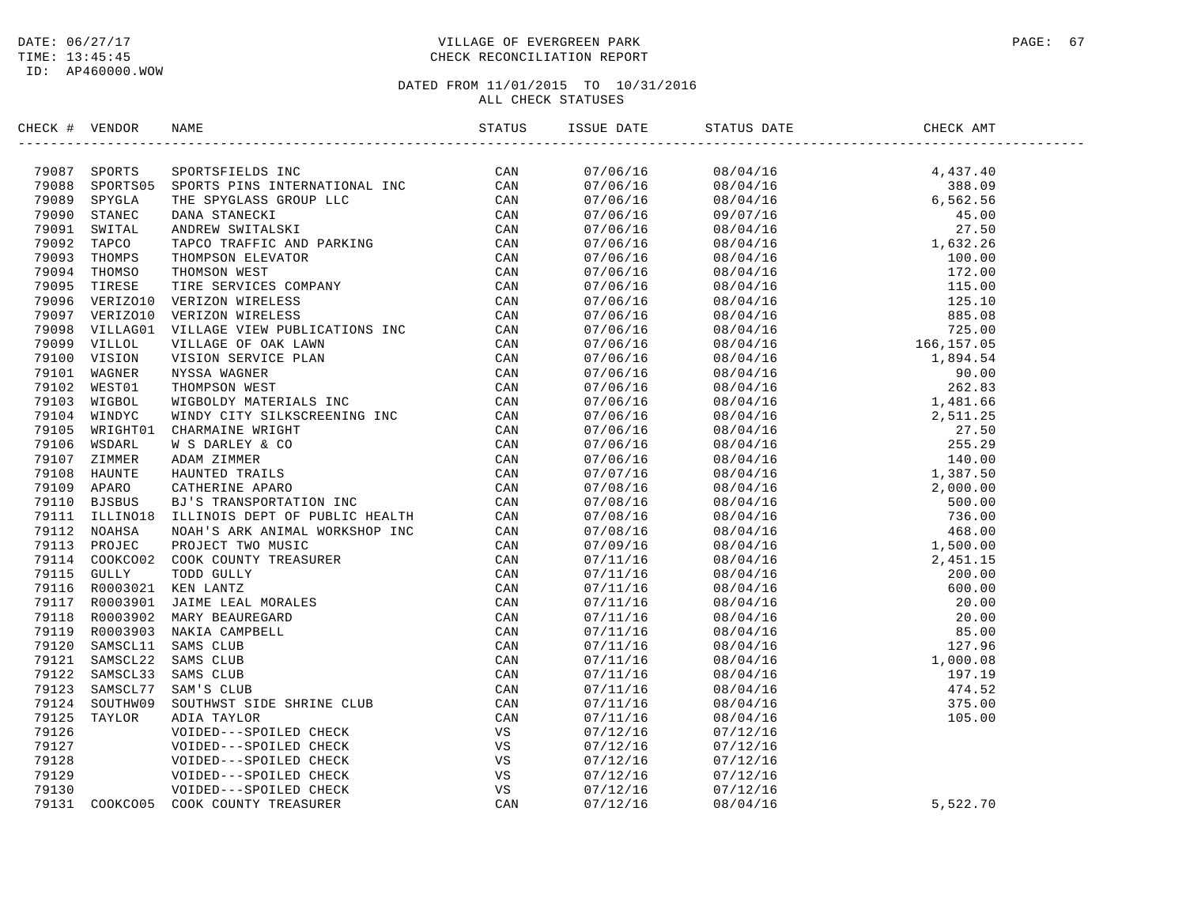# DATE:  $06/27/17$  PAGE: 67 TIME: 13:45:45 CHECK RECONCILIATION REPORT

| CHECK # VENDOR |                                                                                                                                                                                                                                     |                      |                                                                                                                                                                                                                                                                                                                 |          |  |
|----------------|-------------------------------------------------------------------------------------------------------------------------------------------------------------------------------------------------------------------------------------|----------------------|-----------------------------------------------------------------------------------------------------------------------------------------------------------------------------------------------------------------------------------------------------------------------------------------------------------------|----------|--|
|                | NERGY # VERIDOS NAMES IN STATISTIC SECTION IN A SAME TRANSPORT CAN A 2013<br>2018 SPORTS SPORTS FROM DETERMATIONAL INC CAN C<br>2018 SPORTS SPORTS FROM DETAINS INCREASE CAN C<br>2019 STANDA MUDDER STATISTICS IN PARTICULAR CAN C |                      | $\begin{tabular}{l cccc} \hline \multicolumn{4}{c}{\begin{tabular}{l} $07/06/16$ & $08/04/16$ \\ $07/06/16$ & $08/04/16$ \\ $07/06/16$ & $08/04/16$ \\ $07/06/16$ & $08/04/16$ \\ $07/06/16$ & $08/04/16$ \\ $07/06/16$ & $08/04/16$ \\ $07/06/16$ & $08/04/16$ \\ $07/06/16$ & $08/04/16$ \\ $07/06/16$ & $08$ |          |  |
|                |                                                                                                                                                                                                                                     |                      |                                                                                                                                                                                                                                                                                                                 |          |  |
|                |                                                                                                                                                                                                                                     |                      |                                                                                                                                                                                                                                                                                                                 |          |  |
|                |                                                                                                                                                                                                                                     |                      |                                                                                                                                                                                                                                                                                                                 |          |  |
|                |                                                                                                                                                                                                                                     |                      |                                                                                                                                                                                                                                                                                                                 |          |  |
|                |                                                                                                                                                                                                                                     |                      |                                                                                                                                                                                                                                                                                                                 |          |  |
|                |                                                                                                                                                                                                                                     |                      |                                                                                                                                                                                                                                                                                                                 |          |  |
|                |                                                                                                                                                                                                                                     |                      |                                                                                                                                                                                                                                                                                                                 |          |  |
|                |                                                                                                                                                                                                                                     |                      |                                                                                                                                                                                                                                                                                                                 |          |  |
|                |                                                                                                                                                                                                                                     |                      |                                                                                                                                                                                                                                                                                                                 |          |  |
|                |                                                                                                                                                                                                                                     |                      |                                                                                                                                                                                                                                                                                                                 |          |  |
|                |                                                                                                                                                                                                                                     |                      |                                                                                                                                                                                                                                                                                                                 |          |  |
|                |                                                                                                                                                                                                                                     |                      |                                                                                                                                                                                                                                                                                                                 |          |  |
|                |                                                                                                                                                                                                                                     |                      |                                                                                                                                                                                                                                                                                                                 |          |  |
|                |                                                                                                                                                                                                                                     |                      |                                                                                                                                                                                                                                                                                                                 |          |  |
|                |                                                                                                                                                                                                                                     |                      |                                                                                                                                                                                                                                                                                                                 |          |  |
|                |                                                                                                                                                                                                                                     |                      |                                                                                                                                                                                                                                                                                                                 |          |  |
|                |                                                                                                                                                                                                                                     |                      |                                                                                                                                                                                                                                                                                                                 |          |  |
|                |                                                                                                                                                                                                                                     |                      |                                                                                                                                                                                                                                                                                                                 |          |  |
|                |                                                                                                                                                                                                                                     |                      |                                                                                                                                                                                                                                                                                                                 |          |  |
|                |                                                                                                                                                                                                                                     |                      |                                                                                                                                                                                                                                                                                                                 |          |  |
|                |                                                                                                                                                                                                                                     |                      |                                                                                                                                                                                                                                                                                                                 |          |  |
|                |                                                                                                                                                                                                                                     |                      |                                                                                                                                                                                                                                                                                                                 |          |  |
|                |                                                                                                                                                                                                                                     |                      |                                                                                                                                                                                                                                                                                                                 |          |  |
|                |                                                                                                                                                                                                                                     |                      |                                                                                                                                                                                                                                                                                                                 |          |  |
|                |                                                                                                                                                                                                                                     |                      |                                                                                                                                                                                                                                                                                                                 |          |  |
|                |                                                                                                                                                                                                                                     |                      |                                                                                                                                                                                                                                                                                                                 |          |  |
|                |                                                                                                                                                                                                                                     |                      |                                                                                                                                                                                                                                                                                                                 |          |  |
|                |                                                                                                                                                                                                                                     |                      |                                                                                                                                                                                                                                                                                                                 |          |  |
|                |                                                                                                                                                                                                                                     |                      |                                                                                                                                                                                                                                                                                                                 |          |  |
|                |                                                                                                                                                                                                                                     |                      |                                                                                                                                                                                                                                                                                                                 |          |  |
|                |                                                                                                                                                                                                                                     |                      |                                                                                                                                                                                                                                                                                                                 |          |  |
|                |                                                                                                                                                                                                                                     |                      |                                                                                                                                                                                                                                                                                                                 |          |  |
|                |                                                                                                                                                                                                                                     |                      |                                                                                                                                                                                                                                                                                                                 |          |  |
|                |                                                                                                                                                                                                                                     |                      |                                                                                                                                                                                                                                                                                                                 |          |  |
|                |                                                                                                                                                                                                                                     |                      |                                                                                                                                                                                                                                                                                                                 |          |  |
|                |                                                                                                                                                                                                                                     |                      |                                                                                                                                                                                                                                                                                                                 |          |  |
|                |                                                                                                                                                                                                                                     |                      |                                                                                                                                                                                                                                                                                                                 |          |  |
|                |                                                                                                                                                                                                                                     |                      |                                                                                                                                                                                                                                                                                                                 |          |  |
|                |                                                                                                                                                                                                                                     |                      |                                                                                                                                                                                                                                                                                                                 |          |  |
|                |                                                                                                                                                                                                                                     |                      |                                                                                                                                                                                                                                                                                                                 |          |  |
|                |                                                                                                                                                                                                                                     | 07/12/16             | 07/12/16                                                                                                                                                                                                                                                                                                        |          |  |
|                |                                                                                                                                                                                                                                     | 07/12/16<br>07/12/16 | 07/12/16                                                                                                                                                                                                                                                                                                        |          |  |
|                |                                                                                                                                                                                                                                     |                      | 07/12/16                                                                                                                                                                                                                                                                                                        |          |  |
|                |                                                                                                                                                                                                                                     | 07/12/16             | 07/12/16                                                                                                                                                                                                                                                                                                        |          |  |
|                |                                                                                                                                                                                                                                     | 07/12/16             | 08/04/16                                                                                                                                                                                                                                                                                                        | 5,522.70 |  |
|                |                                                                                                                                                                                                                                     |                      |                                                                                                                                                                                                                                                                                                                 |          |  |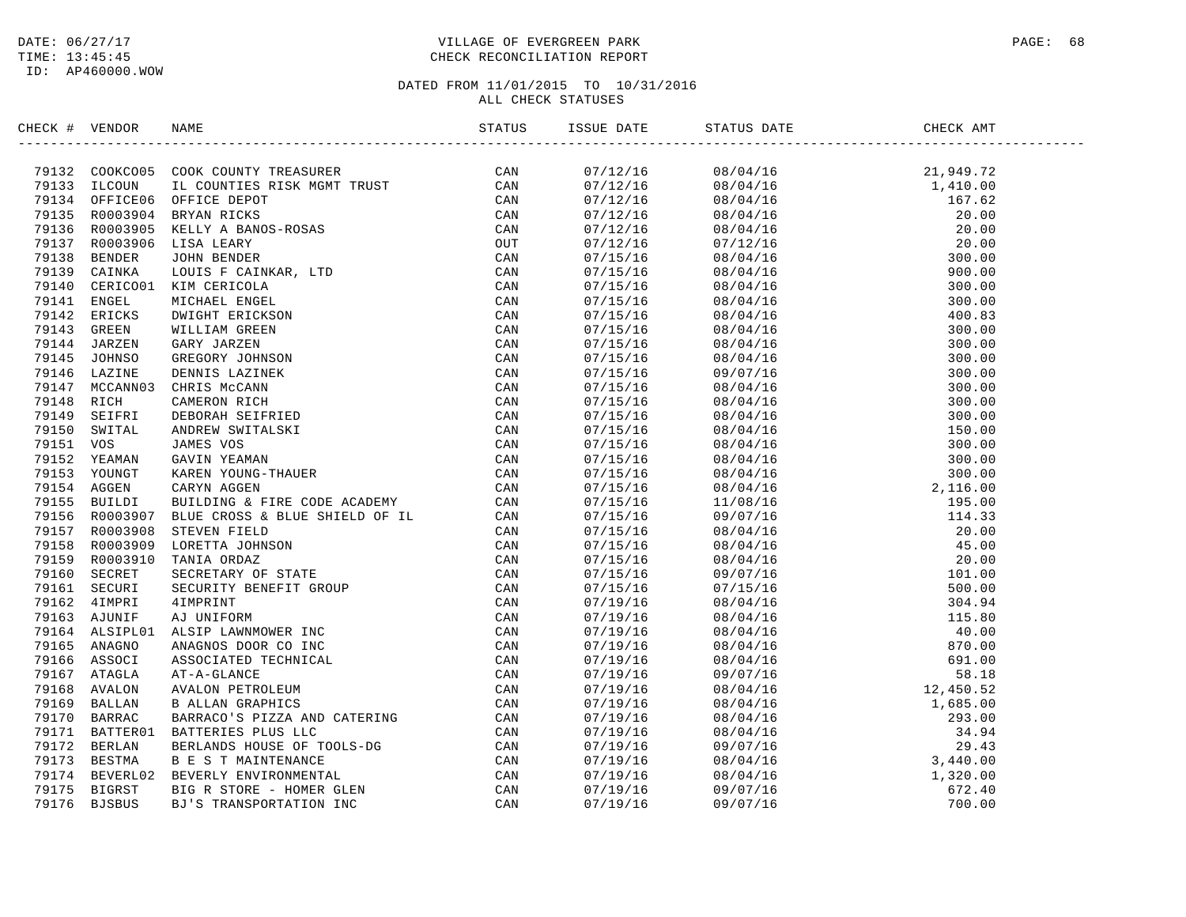# DATE:  $06/27/17$  PAGE: 68 TIME: 13:45:45 CHECK RECONCILIATION REPORT

| CHECK # VENDOR |                                                                                                                                                                                                                                          |  |                                                                                                                                                                                                                                                                                      |  |
|----------------|------------------------------------------------------------------------------------------------------------------------------------------------------------------------------------------------------------------------------------------|--|--------------------------------------------------------------------------------------------------------------------------------------------------------------------------------------------------------------------------------------------------------------------------------------|--|
|                | XRCK + VERDOCK NAME<br>XRCK + VERDOCK COOK COUNTY TERAINDER<br>79133 CROOK COOK COUNTY TERAINDER<br>79134 CROOK COOK CONTIES RESERVED CAN<br>79135 REOGRESS OFFICE DEVELOP<br>79135 REOGRESS KELV A BANOS-ROBAS<br>79135 REOGRESS KELV A |  | $\begin{tabular}{l cccc} SUSB DATE & SINTB DATE & SINTB 50718 B787878978788788797712/18 & 08/04/16 & 21,949.72 \\ 07/12/16 & 08/04/16 & 1,410.00 \\ 07/12/16 & 08/04/16 & 20.00 \\ 07/12/16 & 08/04/16 & 20.00 \\ 07/12/16 & 08/04/16 & 20.00 \\ 07/12/16 & 08/04/16 & 20.00 \\ 07/$ |  |
|                |                                                                                                                                                                                                                                          |  |                                                                                                                                                                                                                                                                                      |  |
|                |                                                                                                                                                                                                                                          |  |                                                                                                                                                                                                                                                                                      |  |
|                |                                                                                                                                                                                                                                          |  |                                                                                                                                                                                                                                                                                      |  |
|                |                                                                                                                                                                                                                                          |  |                                                                                                                                                                                                                                                                                      |  |
|                |                                                                                                                                                                                                                                          |  |                                                                                                                                                                                                                                                                                      |  |
|                |                                                                                                                                                                                                                                          |  |                                                                                                                                                                                                                                                                                      |  |
|                |                                                                                                                                                                                                                                          |  |                                                                                                                                                                                                                                                                                      |  |
|                |                                                                                                                                                                                                                                          |  |                                                                                                                                                                                                                                                                                      |  |
|                |                                                                                                                                                                                                                                          |  |                                                                                                                                                                                                                                                                                      |  |
|                |                                                                                                                                                                                                                                          |  |                                                                                                                                                                                                                                                                                      |  |
|                |                                                                                                                                                                                                                                          |  |                                                                                                                                                                                                                                                                                      |  |
|                |                                                                                                                                                                                                                                          |  |                                                                                                                                                                                                                                                                                      |  |
|                |                                                                                                                                                                                                                                          |  |                                                                                                                                                                                                                                                                                      |  |
|                |                                                                                                                                                                                                                                          |  |                                                                                                                                                                                                                                                                                      |  |
|                |                                                                                                                                                                                                                                          |  |                                                                                                                                                                                                                                                                                      |  |
|                |                                                                                                                                                                                                                                          |  |                                                                                                                                                                                                                                                                                      |  |
|                |                                                                                                                                                                                                                                          |  |                                                                                                                                                                                                                                                                                      |  |
|                |                                                                                                                                                                                                                                          |  |                                                                                                                                                                                                                                                                                      |  |
|                |                                                                                                                                                                                                                                          |  |                                                                                                                                                                                                                                                                                      |  |
|                |                                                                                                                                                                                                                                          |  |                                                                                                                                                                                                                                                                                      |  |
|                |                                                                                                                                                                                                                                          |  |                                                                                                                                                                                                                                                                                      |  |
|                |                                                                                                                                                                                                                                          |  |                                                                                                                                                                                                                                                                                      |  |
|                |                                                                                                                                                                                                                                          |  |                                                                                                                                                                                                                                                                                      |  |
|                |                                                                                                                                                                                                                                          |  |                                                                                                                                                                                                                                                                                      |  |
|                |                                                                                                                                                                                                                                          |  |                                                                                                                                                                                                                                                                                      |  |
|                |                                                                                                                                                                                                                                          |  |                                                                                                                                                                                                                                                                                      |  |
|                |                                                                                                                                                                                                                                          |  |                                                                                                                                                                                                                                                                                      |  |
|                |                                                                                                                                                                                                                                          |  |                                                                                                                                                                                                                                                                                      |  |
|                |                                                                                                                                                                                                                                          |  |                                                                                                                                                                                                                                                                                      |  |
|                |                                                                                                                                                                                                                                          |  |                                                                                                                                                                                                                                                                                      |  |
|                |                                                                                                                                                                                                                                          |  |                                                                                                                                                                                                                                                                                      |  |
|                |                                                                                                                                                                                                                                          |  |                                                                                                                                                                                                                                                                                      |  |
|                |                                                                                                                                                                                                                                          |  |                                                                                                                                                                                                                                                                                      |  |
|                |                                                                                                                                                                                                                                          |  |                                                                                                                                                                                                                                                                                      |  |
|                |                                                                                                                                                                                                                                          |  |                                                                                                                                                                                                                                                                                      |  |
|                |                                                                                                                                                                                                                                          |  |                                                                                                                                                                                                                                                                                      |  |
|                |                                                                                                                                                                                                                                          |  |                                                                                                                                                                                                                                                                                      |  |
|                |                                                                                                                                                                                                                                          |  |                                                                                                                                                                                                                                                                                      |  |
|                |                                                                                                                                                                                                                                          |  |                                                                                                                                                                                                                                                                                      |  |
|                |                                                                                                                                                                                                                                          |  |                                                                                                                                                                                                                                                                                      |  |
|                |                                                                                                                                                                                                                                          |  |                                                                                                                                                                                                                                                                                      |  |
|                |                                                                                                                                                                                                                                          |  |                                                                                                                                                                                                                                                                                      |  |
|                |                                                                                                                                                                                                                                          |  |                                                                                                                                                                                                                                                                                      |  |
|                |                                                                                                                                                                                                                                          |  |                                                                                                                                                                                                                                                                                      |  |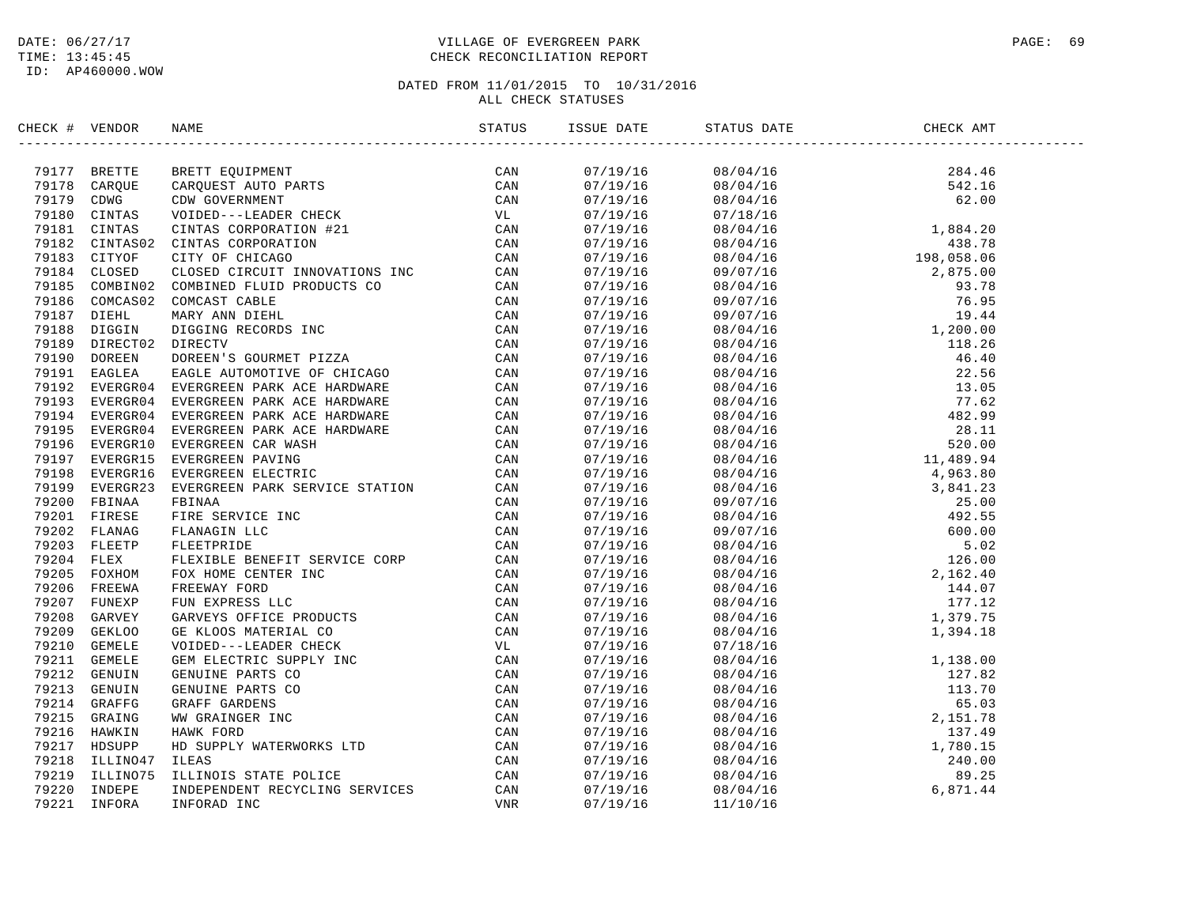# DATE:  $06/27/17$  PAGE: 69 TIME: 13:45:45 CHECK RECONCILIATION REPORT

| CHECK # VENDOR | NAME                                                                                                                                                                                                                         |          | ISSUE DATE STATUS DATE                                                                                                                                                                                                                                                    | CHECK AMT                                                                                                                                                                                                                                                                   |  |
|----------------|------------------------------------------------------------------------------------------------------------------------------------------------------------------------------------------------------------------------------|----------|---------------------------------------------------------------------------------------------------------------------------------------------------------------------------------------------------------------------------------------------------------------------------|-----------------------------------------------------------------------------------------------------------------------------------------------------------------------------------------------------------------------------------------------------------------------------|--|
|                | ECR # VEROIDS MANY REPORT OF THE SERVICE CAN VERTIFIED AND STANDARD CAN CAN USE CAN CAN CONSULTER THE SAME CONSULTER THE SAME CONSULTER THE SAME CONSULTER THE SAME CONSULTER THAT IS a series of the same state of the same |          | $\begin{tabular}{cccccccc} 07/19/15 & 08/04/16 & 284.46 \\ 07/19/19/16 & 08/04/16 & 542.16 \\ 07/19/16 & 07/18/16 & 62.00 \\ 07/19/16 & 07/19/16 & 08/04/16 & 1,884.20 \\ 07/19/16 & 08/04/16 & 1,884.20 \\ 07/19/16 & 08/04/16 & 1,884.20 \\ 07/19/16 & 08/04/16 & 1,88$ |                                                                                                                                                                                                                                                                             |  |
|                |                                                                                                                                                                                                                              |          |                                                                                                                                                                                                                                                                           |                                                                                                                                                                                                                                                                             |  |
|                |                                                                                                                                                                                                                              |          |                                                                                                                                                                                                                                                                           |                                                                                                                                                                                                                                                                             |  |
|                |                                                                                                                                                                                                                              |          |                                                                                                                                                                                                                                                                           |                                                                                                                                                                                                                                                                             |  |
|                |                                                                                                                                                                                                                              |          |                                                                                                                                                                                                                                                                           |                                                                                                                                                                                                                                                                             |  |
|                |                                                                                                                                                                                                                              |          |                                                                                                                                                                                                                                                                           |                                                                                                                                                                                                                                                                             |  |
|                |                                                                                                                                                                                                                              |          |                                                                                                                                                                                                                                                                           |                                                                                                                                                                                                                                                                             |  |
|                |                                                                                                                                                                                                                              |          |                                                                                                                                                                                                                                                                           |                                                                                                                                                                                                                                                                             |  |
|                |                                                                                                                                                                                                                              |          |                                                                                                                                                                                                                                                                           |                                                                                                                                                                                                                                                                             |  |
|                |                                                                                                                                                                                                                              |          |                                                                                                                                                                                                                                                                           |                                                                                                                                                                                                                                                                             |  |
|                |                                                                                                                                                                                                                              |          |                                                                                                                                                                                                                                                                           |                                                                                                                                                                                                                                                                             |  |
|                |                                                                                                                                                                                                                              |          |                                                                                                                                                                                                                                                                           |                                                                                                                                                                                                                                                                             |  |
|                |                                                                                                                                                                                                                              |          |                                                                                                                                                                                                                                                                           |                                                                                                                                                                                                                                                                             |  |
|                |                                                                                                                                                                                                                              |          |                                                                                                                                                                                                                                                                           |                                                                                                                                                                                                                                                                             |  |
|                |                                                                                                                                                                                                                              |          |                                                                                                                                                                                                                                                                           |                                                                                                                                                                                                                                                                             |  |
|                |                                                                                                                                                                                                                              |          |                                                                                                                                                                                                                                                                           |                                                                                                                                                                                                                                                                             |  |
|                |                                                                                                                                                                                                                              |          |                                                                                                                                                                                                                                                                           |                                                                                                                                                                                                                                                                             |  |
|                |                                                                                                                                                                                                                              |          |                                                                                                                                                                                                                                                                           |                                                                                                                                                                                                                                                                             |  |
|                |                                                                                                                                                                                                                              |          |                                                                                                                                                                                                                                                                           |                                                                                                                                                                                                                                                                             |  |
|                |                                                                                                                                                                                                                              |          |                                                                                                                                                                                                                                                                           |                                                                                                                                                                                                                                                                             |  |
|                |                                                                                                                                                                                                                              |          |                                                                                                                                                                                                                                                                           |                                                                                                                                                                                                                                                                             |  |
|                |                                                                                                                                                                                                                              |          |                                                                                                                                                                                                                                                                           |                                                                                                                                                                                                                                                                             |  |
|                |                                                                                                                                                                                                                              |          |                                                                                                                                                                                                                                                                           |                                                                                                                                                                                                                                                                             |  |
|                |                                                                                                                                                                                                                              |          |                                                                                                                                                                                                                                                                           |                                                                                                                                                                                                                                                                             |  |
|                |                                                                                                                                                                                                                              |          |                                                                                                                                                                                                                                                                           |                                                                                                                                                                                                                                                                             |  |
|                |                                                                                                                                                                                                                              |          |                                                                                                                                                                                                                                                                           |                                                                                                                                                                                                                                                                             |  |
|                |                                                                                                                                                                                                                              |          |                                                                                                                                                                                                                                                                           |                                                                                                                                                                                                                                                                             |  |
|                |                                                                                                                                                                                                                              |          |                                                                                                                                                                                                                                                                           |                                                                                                                                                                                                                                                                             |  |
|                |                                                                                                                                                                                                                              |          |                                                                                                                                                                                                                                                                           |                                                                                                                                                                                                                                                                             |  |
|                |                                                                                                                                                                                                                              |          |                                                                                                                                                                                                                                                                           |                                                                                                                                                                                                                                                                             |  |
|                |                                                                                                                                                                                                                              |          |                                                                                                                                                                                                                                                                           |                                                                                                                                                                                                                                                                             |  |
|                |                                                                                                                                                                                                                              |          |                                                                                                                                                                                                                                                                           |                                                                                                                                                                                                                                                                             |  |
|                |                                                                                                                                                                                                                              |          |                                                                                                                                                                                                                                                                           |                                                                                                                                                                                                                                                                             |  |
|                |                                                                                                                                                                                                                              |          |                                                                                                                                                                                                                                                                           |                                                                                                                                                                                                                                                                             |  |
|                |                                                                                                                                                                                                                              | 07/19/16 |                                                                                                                                                                                                                                                                           |                                                                                                                                                                                                                                                                             |  |
|                |                                                                                                                                                                                                                              | 07/19/16 |                                                                                                                                                                                                                                                                           |                                                                                                                                                                                                                                                                             |  |
|                |                                                                                                                                                                                                                              | 07/19/16 |                                                                                                                                                                                                                                                                           |                                                                                                                                                                                                                                                                             |  |
|                |                                                                                                                                                                                                                              | 07/19/16 |                                                                                                                                                                                                                                                                           |                                                                                                                                                                                                                                                                             |  |
|                |                                                                                                                                                                                                                              | 07/19/16 |                                                                                                                                                                                                                                                                           |                                                                                                                                                                                                                                                                             |  |
|                |                                                                                                                                                                                                                              | 07/19/16 |                                                                                                                                                                                                                                                                           |                                                                                                                                                                                                                                                                             |  |
|                |                                                                                                                                                                                                                              | 07/19/16 |                                                                                                                                                                                                                                                                           |                                                                                                                                                                                                                                                                             |  |
|                |                                                                                                                                                                                                                              | 07/19/16 |                                                                                                                                                                                                                                                                           |                                                                                                                                                                                                                                                                             |  |
|                |                                                                                                                                                                                                                              | 07/19/16 |                                                                                                                                                                                                                                                                           | $\begin{array}{cccc} 08/04/16 & 1,394.18 \\ 07/18/16 & 1,138.00 \\ 08/04/16 & 1,138.00 \\ 08/04/16 & 127.82 \\ 08/04/16 & 113.70 \\ 08/04/16 & 2,151.78 \\ 08/04/16 & 2,151.78 \\ 08/04/16 & 137.49 \\ 08/04/16 & 1,780.15 \\ 08/04/16 & 240.00 \\ 08/04/16 & 89.25 \\ 08/$ |  |
|                |                                                                                                                                                                                                                              | 07/19/16 |                                                                                                                                                                                                                                                                           |                                                                                                                                                                                                                                                                             |  |
|                |                                                                                                                                                                                                                              | 07/19/16 |                                                                                                                                                                                                                                                                           |                                                                                                                                                                                                                                                                             |  |
|                |                                                                                                                                                                                                                              | 07/19/16 |                                                                                                                                                                                                                                                                           |                                                                                                                                                                                                                                                                             |  |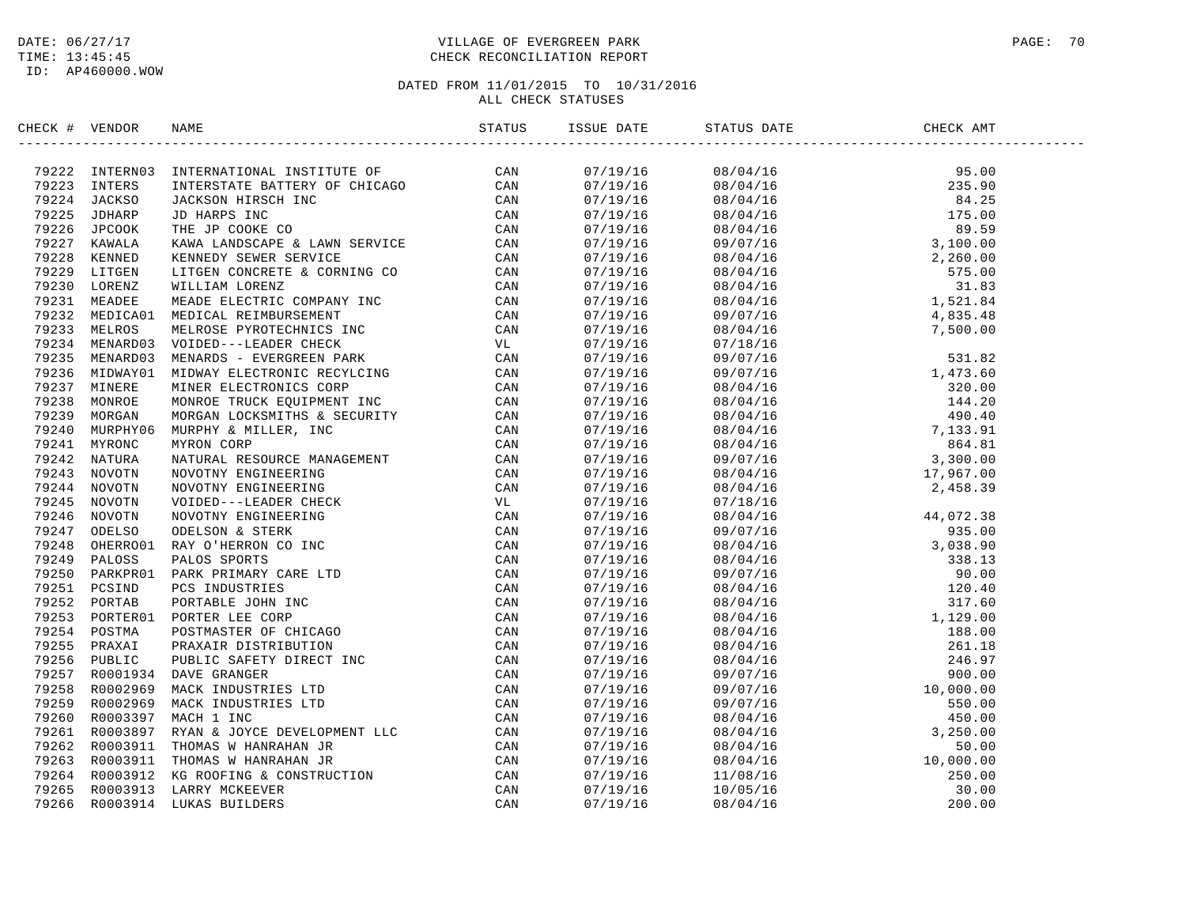# DATE:  $06/27/17$  PAGE: 70 TIME: 13:45:45 CHECK RECONCILIATION REPORT

| CHECK # VENDOR | NAME                                                                                                                                                                                                                                                                                                |  | STATUS DATE | CHECK AMT |  |
|----------------|-----------------------------------------------------------------------------------------------------------------------------------------------------------------------------------------------------------------------------------------------------------------------------------------------------|--|-------------|-----------|--|
|                | $\begin{tabular}{cccccccc} $4$ & $90750$ & $90750$ & $90750$ & $90750$ & $90750$ & $90750$ & $90750$ & $90750$ & $90750$ & $90750$ & $90750$ & $90750$ & $90750$ & $90750$ & $90750$ & $90750$ & $90750$ & $90750$ & $90750$ & $90750$ & $90750$ & $90750$ & $90750$ & $90750$ & $90750$ & $90750$$ |  |             |           |  |
|                |                                                                                                                                                                                                                                                                                                     |  |             |           |  |
|                |                                                                                                                                                                                                                                                                                                     |  |             |           |  |
|                |                                                                                                                                                                                                                                                                                                     |  |             |           |  |
|                |                                                                                                                                                                                                                                                                                                     |  |             |           |  |
|                |                                                                                                                                                                                                                                                                                                     |  |             |           |  |
|                |                                                                                                                                                                                                                                                                                                     |  |             |           |  |
|                |                                                                                                                                                                                                                                                                                                     |  |             |           |  |
|                |                                                                                                                                                                                                                                                                                                     |  |             |           |  |
|                |                                                                                                                                                                                                                                                                                                     |  |             |           |  |
|                |                                                                                                                                                                                                                                                                                                     |  |             |           |  |
|                |                                                                                                                                                                                                                                                                                                     |  |             |           |  |
|                |                                                                                                                                                                                                                                                                                                     |  |             |           |  |
|                |                                                                                                                                                                                                                                                                                                     |  |             |           |  |
|                |                                                                                                                                                                                                                                                                                                     |  |             |           |  |
|                |                                                                                                                                                                                                                                                                                                     |  |             |           |  |
|                |                                                                                                                                                                                                                                                                                                     |  |             |           |  |
|                |                                                                                                                                                                                                                                                                                                     |  |             |           |  |
|                |                                                                                                                                                                                                                                                                                                     |  |             |           |  |
|                |                                                                                                                                                                                                                                                                                                     |  |             |           |  |
|                |                                                                                                                                                                                                                                                                                                     |  |             |           |  |
|                |                                                                                                                                                                                                                                                                                                     |  |             |           |  |
|                |                                                                                                                                                                                                                                                                                                     |  |             |           |  |
|                |                                                                                                                                                                                                                                                                                                     |  |             |           |  |
|                |                                                                                                                                                                                                                                                                                                     |  |             |           |  |
|                |                                                                                                                                                                                                                                                                                                     |  |             |           |  |
|                |                                                                                                                                                                                                                                                                                                     |  |             |           |  |
|                |                                                                                                                                                                                                                                                                                                     |  |             |           |  |
|                |                                                                                                                                                                                                                                                                                                     |  |             |           |  |
|                |                                                                                                                                                                                                                                                                                                     |  |             |           |  |
|                |                                                                                                                                                                                                                                                                                                     |  |             |           |  |
|                |                                                                                                                                                                                                                                                                                                     |  |             |           |  |
|                |                                                                                                                                                                                                                                                                                                     |  |             |           |  |
|                |                                                                                                                                                                                                                                                                                                     |  |             |           |  |
|                |                                                                                                                                                                                                                                                                                                     |  |             |           |  |
|                |                                                                                                                                                                                                                                                                                                     |  |             |           |  |
|                |                                                                                                                                                                                                                                                                                                     |  |             |           |  |
|                |                                                                                                                                                                                                                                                                                                     |  |             |           |  |
|                |                                                                                                                                                                                                                                                                                                     |  |             |           |  |
|                |                                                                                                                                                                                                                                                                                                     |  |             |           |  |
|                |                                                                                                                                                                                                                                                                                                     |  |             |           |  |
|                |                                                                                                                                                                                                                                                                                                     |  |             |           |  |
|                |                                                                                                                                                                                                                                                                                                     |  |             |           |  |
|                |                                                                                                                                                                                                                                                                                                     |  |             |           |  |
|                |                                                                                                                                                                                                                                                                                                     |  |             |           |  |
|                |                                                                                                                                                                                                                                                                                                     |  |             |           |  |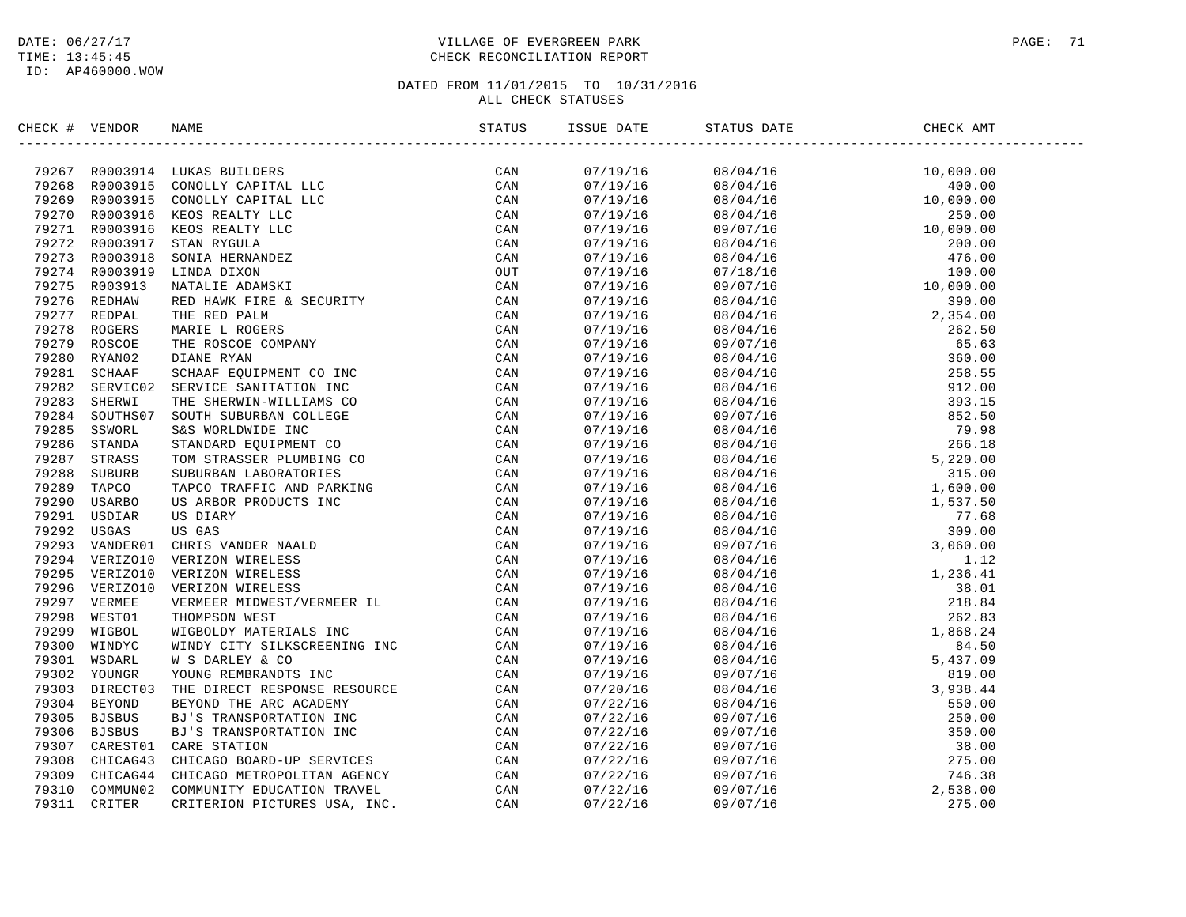# DATE:  $06/27/17$  PAGE: 71 TIME: 13:45:45 CHECK RECONCILIATION REPORT

| CHECK # VENDOR | NAME                                                                                                                                                                                                                          | ISSUE DATE | STATUS DATE                                                                                                                                                                                                                                                           | CHECK AMT |
|----------------|-------------------------------------------------------------------------------------------------------------------------------------------------------------------------------------------------------------------------------|------------|-----------------------------------------------------------------------------------------------------------------------------------------------------------------------------------------------------------------------------------------------------------------------|-----------|
|                | HALM YERDO ISLAMS INTERNATIONAL INTERNATION IN THE CAN ARREST AND A STRUCTURE CONDUCTS IN THE SECRET CONDUCTS IN THE SECRET CONDUCTS INTO A 1992 IN THE SECRET CONDUCTS IN THE SECRET CONDUCTS INTO A 1992 IN THE SECRET COND |            | $\begin{tabular}{cccccccc} 1 & 017/19/15 & 08/04/15 & 10, 000, 000 \\ 07/19/19/15 & 08/04/15 & 10, 000, 000 \\ 07/19/19/15 & 08/04/15 & 10, 000, 000 \\ 07/19/19/16 & 08/04/15 & 10, 000, 000 \\ 07/19/19/16 & 08/04/16 & 10, 000, 000 \\ 07/19/16 & 08/04/16 & 10, $ |           |
|                |                                                                                                                                                                                                                               |            |                                                                                                                                                                                                                                                                       |           |
|                |                                                                                                                                                                                                                               |            |                                                                                                                                                                                                                                                                       |           |
|                |                                                                                                                                                                                                                               |            |                                                                                                                                                                                                                                                                       |           |
|                |                                                                                                                                                                                                                               |            |                                                                                                                                                                                                                                                                       |           |
|                |                                                                                                                                                                                                                               |            |                                                                                                                                                                                                                                                                       |           |
|                |                                                                                                                                                                                                                               |            |                                                                                                                                                                                                                                                                       |           |
|                |                                                                                                                                                                                                                               |            |                                                                                                                                                                                                                                                                       |           |
|                |                                                                                                                                                                                                                               |            |                                                                                                                                                                                                                                                                       |           |
|                |                                                                                                                                                                                                                               |            |                                                                                                                                                                                                                                                                       |           |
|                |                                                                                                                                                                                                                               |            |                                                                                                                                                                                                                                                                       |           |
|                |                                                                                                                                                                                                                               |            |                                                                                                                                                                                                                                                                       |           |
|                |                                                                                                                                                                                                                               |            |                                                                                                                                                                                                                                                                       |           |
|                |                                                                                                                                                                                                                               |            |                                                                                                                                                                                                                                                                       |           |
|                |                                                                                                                                                                                                                               |            |                                                                                                                                                                                                                                                                       |           |
|                |                                                                                                                                                                                                                               |            |                                                                                                                                                                                                                                                                       |           |
|                |                                                                                                                                                                                                                               |            |                                                                                                                                                                                                                                                                       |           |
|                |                                                                                                                                                                                                                               |            |                                                                                                                                                                                                                                                                       |           |
|                |                                                                                                                                                                                                                               |            |                                                                                                                                                                                                                                                                       |           |
|                |                                                                                                                                                                                                                               |            |                                                                                                                                                                                                                                                                       |           |
|                |                                                                                                                                                                                                                               |            |                                                                                                                                                                                                                                                                       |           |
|                |                                                                                                                                                                                                                               |            |                                                                                                                                                                                                                                                                       |           |
|                |                                                                                                                                                                                                                               |            |                                                                                                                                                                                                                                                                       |           |
|                |                                                                                                                                                                                                                               |            |                                                                                                                                                                                                                                                                       |           |
|                |                                                                                                                                                                                                                               |            |                                                                                                                                                                                                                                                                       |           |
|                |                                                                                                                                                                                                                               |            |                                                                                                                                                                                                                                                                       |           |
|                |                                                                                                                                                                                                                               |            |                                                                                                                                                                                                                                                                       |           |
|                |                                                                                                                                                                                                                               |            |                                                                                                                                                                                                                                                                       |           |
|                |                                                                                                                                                                                                                               |            |                                                                                                                                                                                                                                                                       |           |
|                |                                                                                                                                                                                                                               |            |                                                                                                                                                                                                                                                                       |           |
|                |                                                                                                                                                                                                                               |            |                                                                                                                                                                                                                                                                       |           |
|                |                                                                                                                                                                                                                               |            |                                                                                                                                                                                                                                                                       |           |
|                |                                                                                                                                                                                                                               |            |                                                                                                                                                                                                                                                                       |           |
|                |                                                                                                                                                                                                                               |            |                                                                                                                                                                                                                                                                       |           |
|                |                                                                                                                                                                                                                               |            |                                                                                                                                                                                                                                                                       |           |
|                |                                                                                                                                                                                                                               |            |                                                                                                                                                                                                                                                                       |           |
|                |                                                                                                                                                                                                                               |            |                                                                                                                                                                                                                                                                       |           |
|                |                                                                                                                                                                                                                               |            |                                                                                                                                                                                                                                                                       |           |
|                |                                                                                                                                                                                                                               |            |                                                                                                                                                                                                                                                                       |           |
|                |                                                                                                                                                                                                                               |            |                                                                                                                                                                                                                                                                       |           |
|                |                                                                                                                                                                                                                               |            |                                                                                                                                                                                                                                                                       |           |
|                |                                                                                                                                                                                                                               |            |                                                                                                                                                                                                                                                                       |           |
|                |                                                                                                                                                                                                                               |            |                                                                                                                                                                                                                                                                       |           |
|                |                                                                                                                                                                                                                               |            |                                                                                                                                                                                                                                                                       |           |
|                |                                                                                                                                                                                                                               |            |                                                                                                                                                                                                                                                                       |           |
|                |                                                                                                                                                                                                                               |            |                                                                                                                                                                                                                                                                       |           |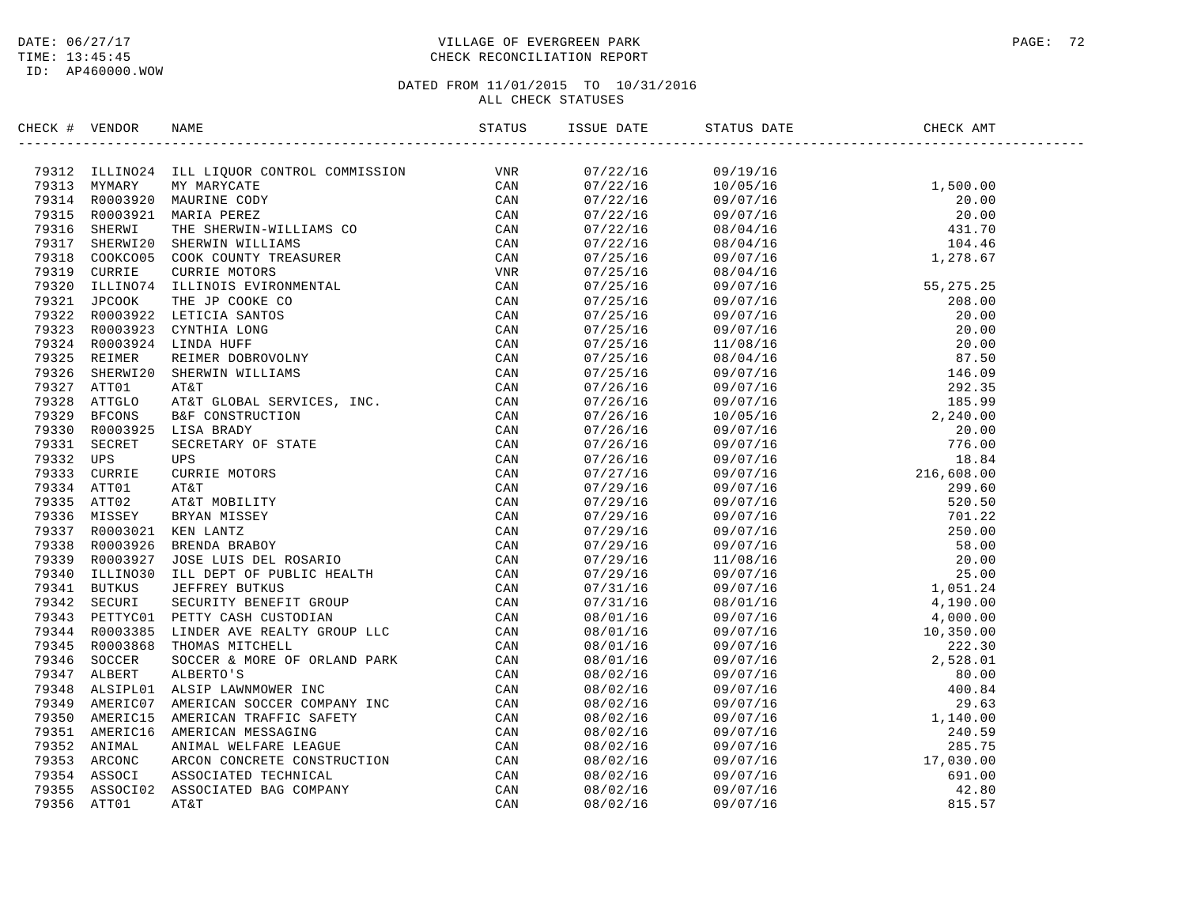# DATE:  $06/27/17$  PAGE: 72 TIME: 13:45:45 CHECK RECONCILIATION REPORT

| CHECK # VENDOR |                                                                                                                                                                                                                                                                                                                                                   |  | STATUS DATE | CHECK AMT |  |
|----------------|---------------------------------------------------------------------------------------------------------------------------------------------------------------------------------------------------------------------------------------------------------------------------------------------------------------------------------------------------|--|-------------|-----------|--|
|                | $\begin{small} \textbf{1.0167} & \textbf{1.01783} & \textbf{2.0278} & \textbf{3.0388} & \textbf{5.0488} & \textbf{5.0488} & \textbf{6.0488} & \textbf{6.0488} & \textbf{6.0488} & \textbf{6.0488} & \textbf{6.0488} & \textbf{6.0488} & \textbf{6.0488} & \textbf{6.0488} & \textbf{6.0488} & \textbf{6.0488} & \textbf{6.0488} & \textbf{6.0488$ |  |             |           |  |
|                |                                                                                                                                                                                                                                                                                                                                                   |  |             |           |  |
|                |                                                                                                                                                                                                                                                                                                                                                   |  |             |           |  |
|                |                                                                                                                                                                                                                                                                                                                                                   |  |             |           |  |
|                |                                                                                                                                                                                                                                                                                                                                                   |  |             |           |  |
|                |                                                                                                                                                                                                                                                                                                                                                   |  |             |           |  |
|                |                                                                                                                                                                                                                                                                                                                                                   |  |             |           |  |
|                |                                                                                                                                                                                                                                                                                                                                                   |  |             |           |  |
|                |                                                                                                                                                                                                                                                                                                                                                   |  |             |           |  |
|                |                                                                                                                                                                                                                                                                                                                                                   |  |             |           |  |
|                |                                                                                                                                                                                                                                                                                                                                                   |  |             |           |  |
|                |                                                                                                                                                                                                                                                                                                                                                   |  |             |           |  |
|                |                                                                                                                                                                                                                                                                                                                                                   |  |             |           |  |
|                |                                                                                                                                                                                                                                                                                                                                                   |  |             |           |  |
|                |                                                                                                                                                                                                                                                                                                                                                   |  |             |           |  |
|                |                                                                                                                                                                                                                                                                                                                                                   |  |             |           |  |
|                |                                                                                                                                                                                                                                                                                                                                                   |  |             |           |  |
|                |                                                                                                                                                                                                                                                                                                                                                   |  |             |           |  |
|                |                                                                                                                                                                                                                                                                                                                                                   |  |             |           |  |
|                |                                                                                                                                                                                                                                                                                                                                                   |  |             |           |  |
|                |                                                                                                                                                                                                                                                                                                                                                   |  |             |           |  |
|                |                                                                                                                                                                                                                                                                                                                                                   |  |             |           |  |
|                |                                                                                                                                                                                                                                                                                                                                                   |  |             |           |  |
|                |                                                                                                                                                                                                                                                                                                                                                   |  |             |           |  |
|                |                                                                                                                                                                                                                                                                                                                                                   |  |             |           |  |
|                |                                                                                                                                                                                                                                                                                                                                                   |  |             |           |  |
|                |                                                                                                                                                                                                                                                                                                                                                   |  |             |           |  |
|                |                                                                                                                                                                                                                                                                                                                                                   |  |             |           |  |
|                |                                                                                                                                                                                                                                                                                                                                                   |  |             |           |  |
|                |                                                                                                                                                                                                                                                                                                                                                   |  |             |           |  |
|                |                                                                                                                                                                                                                                                                                                                                                   |  |             |           |  |
|                |                                                                                                                                                                                                                                                                                                                                                   |  |             |           |  |
|                |                                                                                                                                                                                                                                                                                                                                                   |  |             |           |  |
|                |                                                                                                                                                                                                                                                                                                                                                   |  |             |           |  |
|                |                                                                                                                                                                                                                                                                                                                                                   |  |             |           |  |
|                |                                                                                                                                                                                                                                                                                                                                                   |  |             |           |  |
|                |                                                                                                                                                                                                                                                                                                                                                   |  |             |           |  |
|                |                                                                                                                                                                                                                                                                                                                                                   |  |             |           |  |
|                |                                                                                                                                                                                                                                                                                                                                                   |  |             |           |  |
|                |                                                                                                                                                                                                                                                                                                                                                   |  |             |           |  |
|                |                                                                                                                                                                                                                                                                                                                                                   |  |             |           |  |
|                |                                                                                                                                                                                                                                                                                                                                                   |  |             |           |  |
|                |                                                                                                                                                                                                                                                                                                                                                   |  |             |           |  |
|                |                                                                                                                                                                                                                                                                                                                                                   |  |             |           |  |
|                |                                                                                                                                                                                                                                                                                                                                                   |  |             |           |  |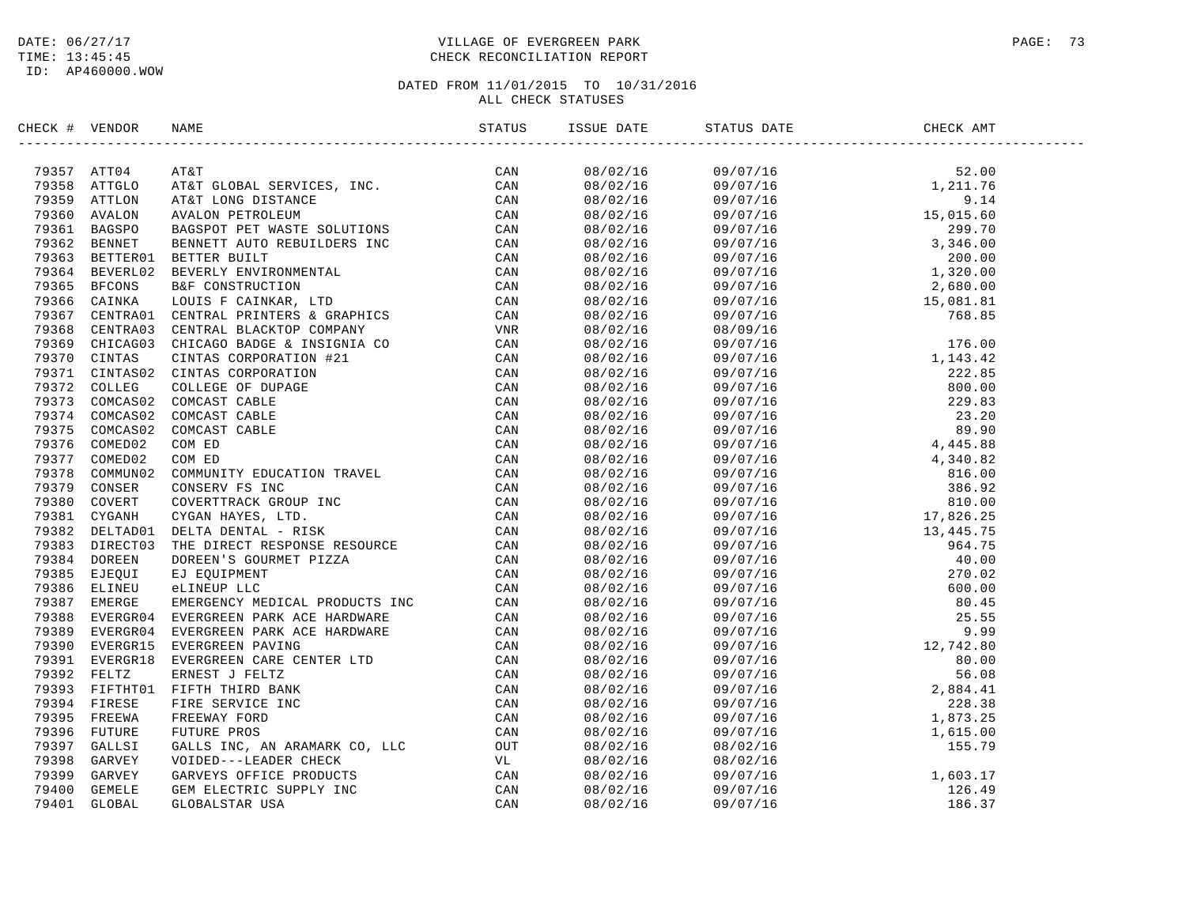### DATE:  $06/27/17$  PAGE: 73 TIME: 13:45:45 CHECK RECONCILIATION REPORT

| INCRE # VERIOR MAN WITHOUT SERVICES, INC.<br>1993578 ATTOL ATAT CLORAL SERVICES, INC. CAN<br>79358 ATTOLO ATAT CLORAL SERVICES, INC. CAN<br>79358 ATTOLO ATAT CLORAL SERVICES INC. CAN<br>79358 ATTOLO ATAT CLORAL SERVICES INC. CAN<br><br>$\begin{tabular}{cccccccc} 153.66 & 0.9715 & 0.9715 & 0.9715 & 0.9715 & 0.9715 & 0.9715 & 0.9715 & 0.9715 & 0.9715 & 0.9715 & 0.9715 & 0.9715 & 0.9715 & 0.9715 & 0.9715 & 0.9715 & 0.9715 & 0.9715 & 0.9715 & 0.9715 & 0.9715 & 0.9715 & 0.9715 & 0.9715 & 0.9715 & 0.$ | CHECK # VENDOR | NAME STATUS ISS<br>NAME | ISSUE DATE STATUS DATE | CHECK AMT |  |
|----------------------------------------------------------------------------------------------------------------------------------------------------------------------------------------------------------------------------------------------------------------------------------------------------------------------------------------------------------------------------------------------------------------------------------------------------------------------------------------------------------------------|----------------|-------------------------|------------------------|-----------|--|
|                                                                                                                                                                                                                                                                                                                                                                                                                                                                                                                      |                |                         |                        |           |  |
|                                                                                                                                                                                                                                                                                                                                                                                                                                                                                                                      |                |                         |                        |           |  |
|                                                                                                                                                                                                                                                                                                                                                                                                                                                                                                                      |                |                         |                        |           |  |
|                                                                                                                                                                                                                                                                                                                                                                                                                                                                                                                      |                |                         |                        |           |  |
|                                                                                                                                                                                                                                                                                                                                                                                                                                                                                                                      |                |                         |                        |           |  |
|                                                                                                                                                                                                                                                                                                                                                                                                                                                                                                                      |                |                         |                        |           |  |
|                                                                                                                                                                                                                                                                                                                                                                                                                                                                                                                      |                |                         |                        |           |  |
|                                                                                                                                                                                                                                                                                                                                                                                                                                                                                                                      |                |                         |                        |           |  |
|                                                                                                                                                                                                                                                                                                                                                                                                                                                                                                                      |                |                         |                        |           |  |
|                                                                                                                                                                                                                                                                                                                                                                                                                                                                                                                      |                |                         |                        |           |  |
|                                                                                                                                                                                                                                                                                                                                                                                                                                                                                                                      |                |                         |                        |           |  |
|                                                                                                                                                                                                                                                                                                                                                                                                                                                                                                                      |                |                         |                        |           |  |
|                                                                                                                                                                                                                                                                                                                                                                                                                                                                                                                      |                |                         |                        |           |  |
|                                                                                                                                                                                                                                                                                                                                                                                                                                                                                                                      |                |                         |                        |           |  |
|                                                                                                                                                                                                                                                                                                                                                                                                                                                                                                                      |                |                         |                        |           |  |
|                                                                                                                                                                                                                                                                                                                                                                                                                                                                                                                      |                |                         |                        |           |  |
|                                                                                                                                                                                                                                                                                                                                                                                                                                                                                                                      |                |                         |                        |           |  |
|                                                                                                                                                                                                                                                                                                                                                                                                                                                                                                                      |                |                         |                        |           |  |
|                                                                                                                                                                                                                                                                                                                                                                                                                                                                                                                      |                |                         |                        |           |  |
|                                                                                                                                                                                                                                                                                                                                                                                                                                                                                                                      |                |                         |                        |           |  |
|                                                                                                                                                                                                                                                                                                                                                                                                                                                                                                                      |                |                         |                        |           |  |
|                                                                                                                                                                                                                                                                                                                                                                                                                                                                                                                      |                |                         |                        |           |  |
|                                                                                                                                                                                                                                                                                                                                                                                                                                                                                                                      |                |                         |                        |           |  |
|                                                                                                                                                                                                                                                                                                                                                                                                                                                                                                                      |                |                         |                        |           |  |
|                                                                                                                                                                                                                                                                                                                                                                                                                                                                                                                      |                |                         |                        |           |  |
|                                                                                                                                                                                                                                                                                                                                                                                                                                                                                                                      |                |                         |                        |           |  |
|                                                                                                                                                                                                                                                                                                                                                                                                                                                                                                                      |                |                         |                        |           |  |
|                                                                                                                                                                                                                                                                                                                                                                                                                                                                                                                      |                |                         |                        |           |  |
|                                                                                                                                                                                                                                                                                                                                                                                                                                                                                                                      |                |                         |                        |           |  |
|                                                                                                                                                                                                                                                                                                                                                                                                                                                                                                                      |                |                         |                        |           |  |
|                                                                                                                                                                                                                                                                                                                                                                                                                                                                                                                      |                |                         |                        |           |  |
|                                                                                                                                                                                                                                                                                                                                                                                                                                                                                                                      |                |                         |                        |           |  |
|                                                                                                                                                                                                                                                                                                                                                                                                                                                                                                                      |                |                         |                        |           |  |
|                                                                                                                                                                                                                                                                                                                                                                                                                                                                                                                      |                |                         |                        |           |  |
|                                                                                                                                                                                                                                                                                                                                                                                                                                                                                                                      |                |                         |                        |           |  |
|                                                                                                                                                                                                                                                                                                                                                                                                                                                                                                                      |                |                         |                        |           |  |
|                                                                                                                                                                                                                                                                                                                                                                                                                                                                                                                      |                |                         |                        |           |  |
|                                                                                                                                                                                                                                                                                                                                                                                                                                                                                                                      |                |                         |                        |           |  |
|                                                                                                                                                                                                                                                                                                                                                                                                                                                                                                                      |                |                         |                        |           |  |
|                                                                                                                                                                                                                                                                                                                                                                                                                                                                                                                      |                |                         |                        |           |  |
|                                                                                                                                                                                                                                                                                                                                                                                                                                                                                                                      |                |                         |                        |           |  |
|                                                                                                                                                                                                                                                                                                                                                                                                                                                                                                                      |                |                         |                        |           |  |
|                                                                                                                                                                                                                                                                                                                                                                                                                                                                                                                      |                |                         |                        |           |  |
|                                                                                                                                                                                                                                                                                                                                                                                                                                                                                                                      |                |                         |                        |           |  |
|                                                                                                                                                                                                                                                                                                                                                                                                                                                                                                                      |                |                         |                        |           |  |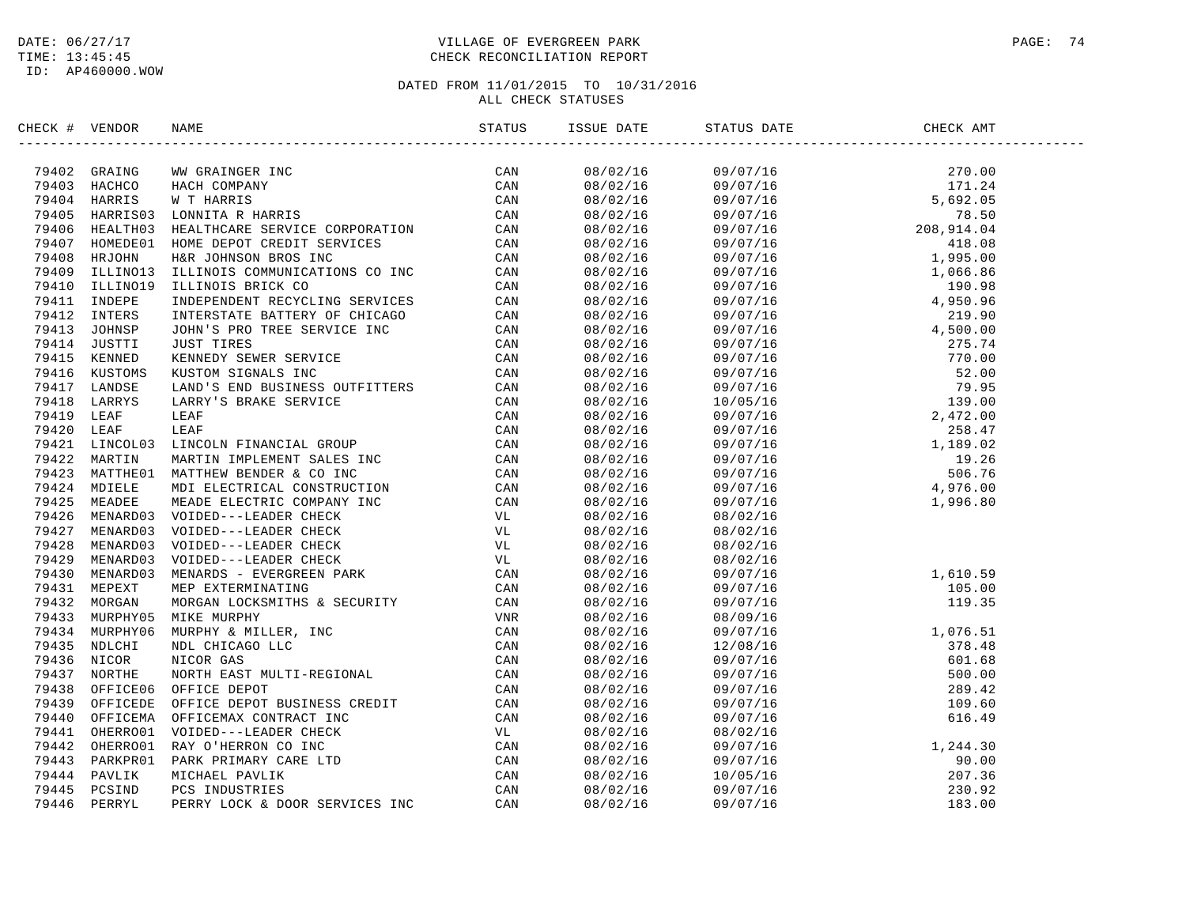### DATE:  $06/27/17$  PAGE: 74 TIME: 13:45:45 CHECK RECONCILIATION REPORT

| CHECK # VENDOR | NAME | ISSUE DATE | STATUS DATE                                                                                                                                                                                                                                                          | CHECK AMT |  |
|----------------|------|------------|----------------------------------------------------------------------------------------------------------------------------------------------------------------------------------------------------------------------------------------------------------------------|-----------|--|
|                |      |            |                                                                                                                                                                                                                                                                      |           |  |
|                |      |            |                                                                                                                                                                                                                                                                      |           |  |
|                |      |            |                                                                                                                                                                                                                                                                      |           |  |
|                |      |            |                                                                                                                                                                                                                                                                      |           |  |
|                |      |            |                                                                                                                                                                                                                                                                      |           |  |
|                |      |            |                                                                                                                                                                                                                                                                      |           |  |
|                |      |            |                                                                                                                                                                                                                                                                      |           |  |
|                |      |            |                                                                                                                                                                                                                                                                      |           |  |
|                |      |            |                                                                                                                                                                                                                                                                      |           |  |
|                |      |            |                                                                                                                                                                                                                                                                      |           |  |
|                |      |            |                                                                                                                                                                                                                                                                      |           |  |
|                |      |            |                                                                                                                                                                                                                                                                      |           |  |
|                |      |            |                                                                                                                                                                                                                                                                      |           |  |
|                |      |            |                                                                                                                                                                                                                                                                      |           |  |
|                |      |            |                                                                                                                                                                                                                                                                      |           |  |
|                |      |            |                                                                                                                                                                                                                                                                      |           |  |
|                |      |            |                                                                                                                                                                                                                                                                      |           |  |
|                |      |            |                                                                                                                                                                                                                                                                      |           |  |
|                |      |            |                                                                                                                                                                                                                                                                      |           |  |
|                |      |            |                                                                                                                                                                                                                                                                      |           |  |
|                |      |            |                                                                                                                                                                                                                                                                      |           |  |
|                |      |            |                                                                                                                                                                                                                                                                      |           |  |
|                |      |            |                                                                                                                                                                                                                                                                      |           |  |
|                |      |            |                                                                                                                                                                                                                                                                      |           |  |
|                |      |            |                                                                                                                                                                                                                                                                      |           |  |
|                |      | 08/02/16   |                                                                                                                                                                                                                                                                      |           |  |
|                |      | 08/02/16   | $08/02/16$<br>08/02/16<br>08/02/16                                                                                                                                                                                                                                   |           |  |
|                |      | 08/02/16   | 08/02/16                                                                                                                                                                                                                                                             |           |  |
|                |      |            |                                                                                                                                                                                                                                                                      |           |  |
|                |      |            |                                                                                                                                                                                                                                                                      |           |  |
|                |      |            |                                                                                                                                                                                                                                                                      |           |  |
|                |      |            |                                                                                                                                                                                                                                                                      |           |  |
|                |      |            |                                                                                                                                                                                                                                                                      |           |  |
|                |      |            |                                                                                                                                                                                                                                                                      |           |  |
|                |      |            |                                                                                                                                                                                                                                                                      |           |  |
|                |      |            |                                                                                                                                                                                                                                                                      |           |  |
|                |      |            |                                                                                                                                                                                                                                                                      |           |  |
|                |      |            |                                                                                                                                                                                                                                                                      |           |  |
|                |      |            |                                                                                                                                                                                                                                                                      |           |  |
|                |      |            |                                                                                                                                                                                                                                                                      |           |  |
|                |      |            |                                                                                                                                                                                                                                                                      |           |  |
|                |      |            | $\begin{array}{cccc} 08/02/16 & 09/02/16 & 08/02/16 \\ 08/02/16 & 08/02/16 & 1,244.30 \\ 08/02/16 & 09/07/16 & 1,244.30 \\ 08/02/16 & 09/07/16 & 207.36 \\ 08/02/16 & 10/05/16 & 230.92 \\ 08/02/16 & 09/07/16 & 230.92 \\ 08/02/16 & 09/07/16 & 183.00 \end{array}$ |           |  |
|                |      |            |                                                                                                                                                                                                                                                                      |           |  |
|                |      |            |                                                                                                                                                                                                                                                                      |           |  |
|                |      |            |                                                                                                                                                                                                                                                                      |           |  |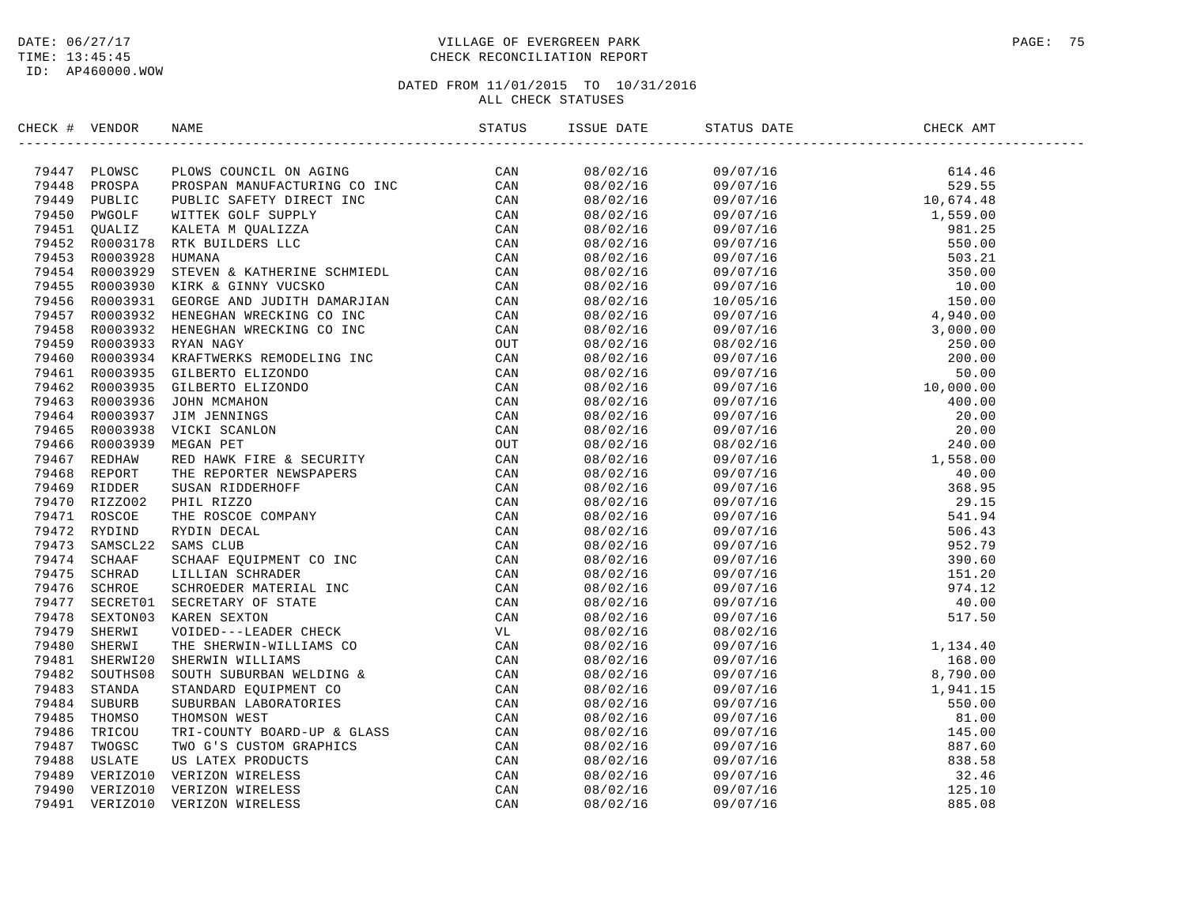### DATE:  $06/27/17$  PAGE: 75 TIME: 13:45:45 CHECK RECONCILIATION REPORT

| CHECK # VENDOR | NAME                                                                                                                                                                                                                                    | ISSUE DATE | STATUS DATE | CHECK AMT |  |
|----------------|-----------------------------------------------------------------------------------------------------------------------------------------------------------------------------------------------------------------------------------------|------------|-------------|-----------|--|
|                | NECK + VENDOR RAME<br>1984<br>2000 - PLONIS CONCILLON AGENC CONTENE COMMIT (1984<br>2004 - PLONIS CONTENE AGENT INC. 2004 CONTENENTS CONTENENTS<br>2004 - PRESS, 2009 - PLONIS CONTENENTS CONTENENTS CAN<br>2004 - PRESS CONTENENTS CON |            |             |           |  |
|                |                                                                                                                                                                                                                                         |            |             |           |  |
|                |                                                                                                                                                                                                                                         |            |             |           |  |
|                |                                                                                                                                                                                                                                         |            |             |           |  |
|                |                                                                                                                                                                                                                                         |            |             |           |  |
|                |                                                                                                                                                                                                                                         |            |             |           |  |
|                |                                                                                                                                                                                                                                         |            |             |           |  |
|                |                                                                                                                                                                                                                                         |            |             |           |  |
|                |                                                                                                                                                                                                                                         |            |             |           |  |
|                |                                                                                                                                                                                                                                         |            |             |           |  |
|                |                                                                                                                                                                                                                                         |            |             |           |  |
|                |                                                                                                                                                                                                                                         |            |             |           |  |
|                |                                                                                                                                                                                                                                         |            |             |           |  |
|                |                                                                                                                                                                                                                                         |            |             |           |  |
|                |                                                                                                                                                                                                                                         |            |             |           |  |
|                |                                                                                                                                                                                                                                         |            |             |           |  |
|                |                                                                                                                                                                                                                                         |            |             |           |  |
|                |                                                                                                                                                                                                                                         |            |             |           |  |
|                |                                                                                                                                                                                                                                         |            |             |           |  |
|                |                                                                                                                                                                                                                                         |            |             |           |  |
|                |                                                                                                                                                                                                                                         |            |             |           |  |
|                |                                                                                                                                                                                                                                         |            |             |           |  |
|                |                                                                                                                                                                                                                                         |            |             |           |  |
|                |                                                                                                                                                                                                                                         |            |             |           |  |
|                |                                                                                                                                                                                                                                         |            |             |           |  |
|                |                                                                                                                                                                                                                                         |            |             |           |  |
|                |                                                                                                                                                                                                                                         |            |             |           |  |
|                |                                                                                                                                                                                                                                         |            |             |           |  |
|                |                                                                                                                                                                                                                                         |            |             |           |  |
|                |                                                                                                                                                                                                                                         |            |             |           |  |
|                |                                                                                                                                                                                                                                         |            |             |           |  |
|                |                                                                                                                                                                                                                                         |            |             |           |  |
|                |                                                                                                                                                                                                                                         |            |             |           |  |
|                |                                                                                                                                                                                                                                         |            |             |           |  |
|                |                                                                                                                                                                                                                                         |            |             |           |  |
|                |                                                                                                                                                                                                                                         |            |             |           |  |
|                |                                                                                                                                                                                                                                         |            |             |           |  |
|                |                                                                                                                                                                                                                                         |            |             |           |  |
|                |                                                                                                                                                                                                                                         |            |             |           |  |
|                |                                                                                                                                                                                                                                         |            |             |           |  |
|                |                                                                                                                                                                                                                                         |            |             |           |  |
|                |                                                                                                                                                                                                                                         |            |             |           |  |
|                |                                                                                                                                                                                                                                         |            |             |           |  |
|                |                                                                                                                                                                                                                                         |            |             |           |  |
|                |                                                                                                                                                                                                                                         |            |             |           |  |
|                |                                                                                                                                                                                                                                         |            |             |           |  |
|                |                                                                                                                                                                                                                                         |            |             |           |  |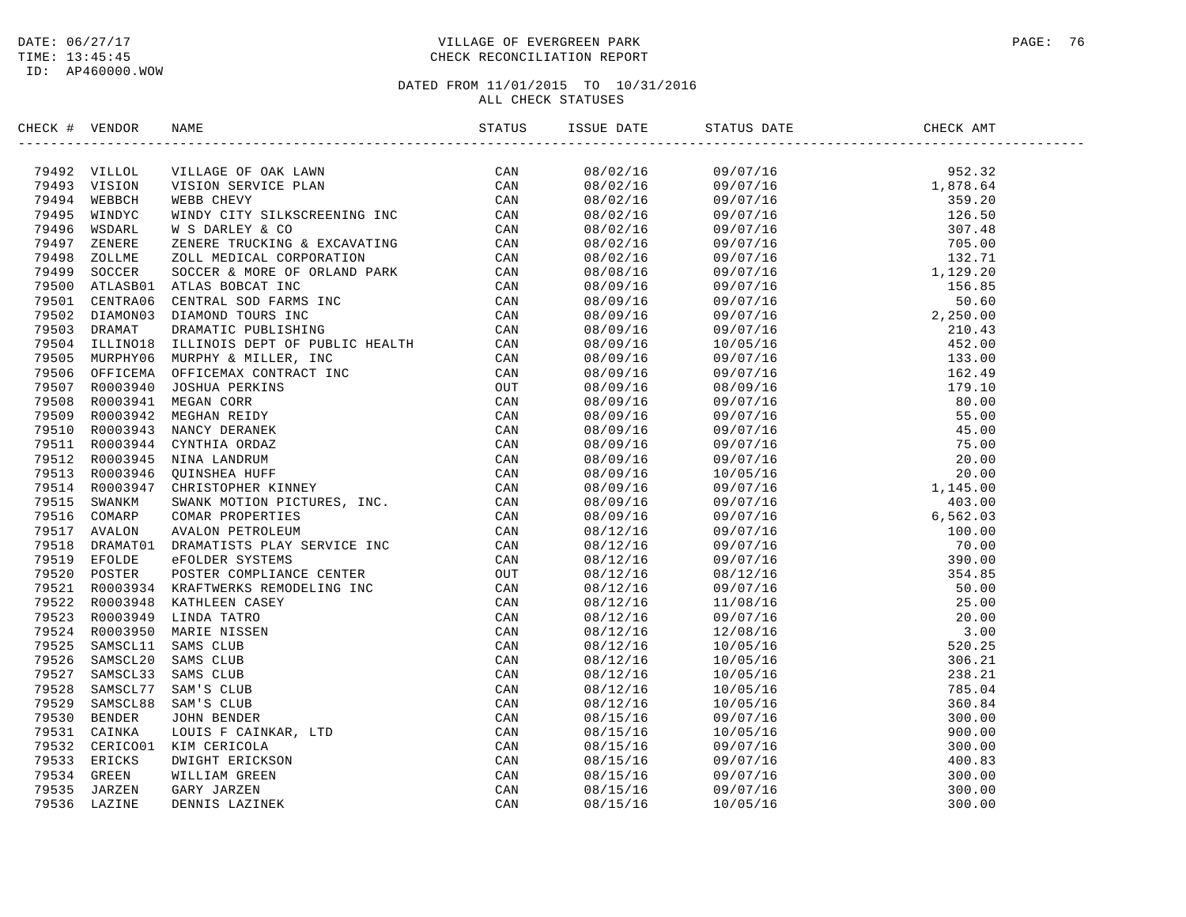## DATE:  $06/27/17$  PAGE: 76 TIME: 13:45:45 CHECK RECONCILIATION REPORT

| CHECK # VENDOR |                          | NAME                                                                                                                                                                                                                           |  | ISSUE DATE STATUS DATE                                                                                                                                                                                                                                                       | CHECK AMT |  |
|----------------|--------------------------|--------------------------------------------------------------------------------------------------------------------------------------------------------------------------------------------------------------------------------|--|------------------------------------------------------------------------------------------------------------------------------------------------------------------------------------------------------------------------------------------------------------------------------|-----------|--|
|                | 79492 VILLOL             | NAMCY DERAFINE TRIP (CAN DERAFINE SEAT CAN DERAFINE THE SEAR ON SERVICE PLAN (CAN NEBB CHEVY CHANNER INC. CONNECTY SURFACE REALLY AND SEAR AND SEAR AND SEAR AND SEAR AND SEAR AND SEAR AND SEAR AND SEAR AND SEAR AND SEAR AN |  | $\begin{tabular}{cccccccc} 15807/18 & 997/18 & 977/18 & 987.32 \\ 08702/18 & 097/18 & 1,878.64 \\ 08702/18 & 097/15 & 1,878.64 \\ 08702/15 & 097/15 & 1578.64 \\ 08702/15 & 097/15 & 126.50 \\ 08702/15 & 097/15 & 126.50 \\ 08702/15 & 097/15 & 122.70 \\ 08702/15 & 097/1$ |           |  |
|                | 79493 VISION             |                                                                                                                                                                                                                                |  |                                                                                                                                                                                                                                                                              |           |  |
|                | 79494 WEBBCH             |                                                                                                                                                                                                                                |  |                                                                                                                                                                                                                                                                              |           |  |
| 79495          | WINDYC                   |                                                                                                                                                                                                                                |  |                                                                                                                                                                                                                                                                              |           |  |
|                | 79496 WSDARL             |                                                                                                                                                                                                                                |  |                                                                                                                                                                                                                                                                              |           |  |
|                | 79497 ZENERE             |                                                                                                                                                                                                                                |  |                                                                                                                                                                                                                                                                              |           |  |
| 79498          | ZOLLME                   |                                                                                                                                                                                                                                |  |                                                                                                                                                                                                                                                                              |           |  |
| 79499          | SOCCER                   |                                                                                                                                                                                                                                |  |                                                                                                                                                                                                                                                                              |           |  |
| 79500          | ATLASB01                 |                                                                                                                                                                                                                                |  |                                                                                                                                                                                                                                                                              |           |  |
|                | 79501 CENTRA06           |                                                                                                                                                                                                                                |  |                                                                                                                                                                                                                                                                              |           |  |
|                | 79502 DIAMON03           |                                                                                                                                                                                                                                |  |                                                                                                                                                                                                                                                                              |           |  |
|                | 79503 DRAMAT             |                                                                                                                                                                                                                                |  |                                                                                                                                                                                                                                                                              |           |  |
| 79504          | ILLINO18                 |                                                                                                                                                                                                                                |  |                                                                                                                                                                                                                                                                              |           |  |
|                | 79505 MURPHY06           |                                                                                                                                                                                                                                |  |                                                                                                                                                                                                                                                                              |           |  |
|                | 79506 OFFICEMA           |                                                                                                                                                                                                                                |  |                                                                                                                                                                                                                                                                              |           |  |
|                | 79507 R0003940           |                                                                                                                                                                                                                                |  |                                                                                                                                                                                                                                                                              |           |  |
|                | 79508 R0003941           |                                                                                                                                                                                                                                |  |                                                                                                                                                                                                                                                                              |           |  |
|                | 79509 R0003942           |                                                                                                                                                                                                                                |  |                                                                                                                                                                                                                                                                              |           |  |
|                | 79510 R0003943           |                                                                                                                                                                                                                                |  |                                                                                                                                                                                                                                                                              |           |  |
|                | 79511 R0003944           |                                                                                                                                                                                                                                |  |                                                                                                                                                                                                                                                                              |           |  |
|                | 79512 R0003945           |                                                                                                                                                                                                                                |  |                                                                                                                                                                                                                                                                              |           |  |
| 79513          | R0003946                 |                                                                                                                                                                                                                                |  |                                                                                                                                                                                                                                                                              |           |  |
|                | 79514 R0003947           |                                                                                                                                                                                                                                |  |                                                                                                                                                                                                                                                                              |           |  |
|                | 79515 SWANKM             |                                                                                                                                                                                                                                |  |                                                                                                                                                                                                                                                                              |           |  |
|                | 79516 COMARP             |                                                                                                                                                                                                                                |  |                                                                                                                                                                                                                                                                              |           |  |
|                | 79517 AVALON             |                                                                                                                                                                                                                                |  |                                                                                                                                                                                                                                                                              |           |  |
| 79518          | DRAMAT01                 |                                                                                                                                                                                                                                |  |                                                                                                                                                                                                                                                                              |           |  |
|                | 79519 EFOLDE             |                                                                                                                                                                                                                                |  |                                                                                                                                                                                                                                                                              |           |  |
| 79520          |                          |                                                                                                                                                                                                                                |  |                                                                                                                                                                                                                                                                              |           |  |
|                | POSTER<br>79521 R0003934 |                                                                                                                                                                                                                                |  |                                                                                                                                                                                                                                                                              |           |  |
|                | 79522 R0003948           |                                                                                                                                                                                                                                |  |                                                                                                                                                                                                                                                                              |           |  |
|                |                          |                                                                                                                                                                                                                                |  |                                                                                                                                                                                                                                                                              |           |  |
|                | 79523 R0003949           |                                                                                                                                                                                                                                |  |                                                                                                                                                                                                                                                                              |           |  |
|                | 79524 R0003950           |                                                                                                                                                                                                                                |  |                                                                                                                                                                                                                                                                              |           |  |
| 79525          | SAMSCL11                 |                                                                                                                                                                                                                                |  |                                                                                                                                                                                                                                                                              |           |  |
|                | 79526 SAMSCL20           |                                                                                                                                                                                                                                |  |                                                                                                                                                                                                                                                                              |           |  |
| 79527          | SAMSCL33                 |                                                                                                                                                                                                                                |  |                                                                                                                                                                                                                                                                              |           |  |
|                | 79528 SAMSCL77           |                                                                                                                                                                                                                                |  |                                                                                                                                                                                                                                                                              |           |  |
| 79529          | SAMSCL88                 |                                                                                                                                                                                                                                |  |                                                                                                                                                                                                                                                                              |           |  |
|                | 79530 BENDER             |                                                                                                                                                                                                                                |  |                                                                                                                                                                                                                                                                              |           |  |
|                | 79531 CAINKA             |                                                                                                                                                                                                                                |  |                                                                                                                                                                                                                                                                              |           |  |
|                | 79532 CERICO01           |                                                                                                                                                                                                                                |  |                                                                                                                                                                                                                                                                              |           |  |
|                | 79533 ERICKS             |                                                                                                                                                                                                                                |  |                                                                                                                                                                                                                                                                              |           |  |
|                | 79534 GREEN              |                                                                                                                                                                                                                                |  |                                                                                                                                                                                                                                                                              |           |  |
| 79535          | JARZEN                   |                                                                                                                                                                                                                                |  |                                                                                                                                                                                                                                                                              |           |  |
| 79536          | LAZINE                   |                                                                                                                                                                                                                                |  |                                                                                                                                                                                                                                                                              |           |  |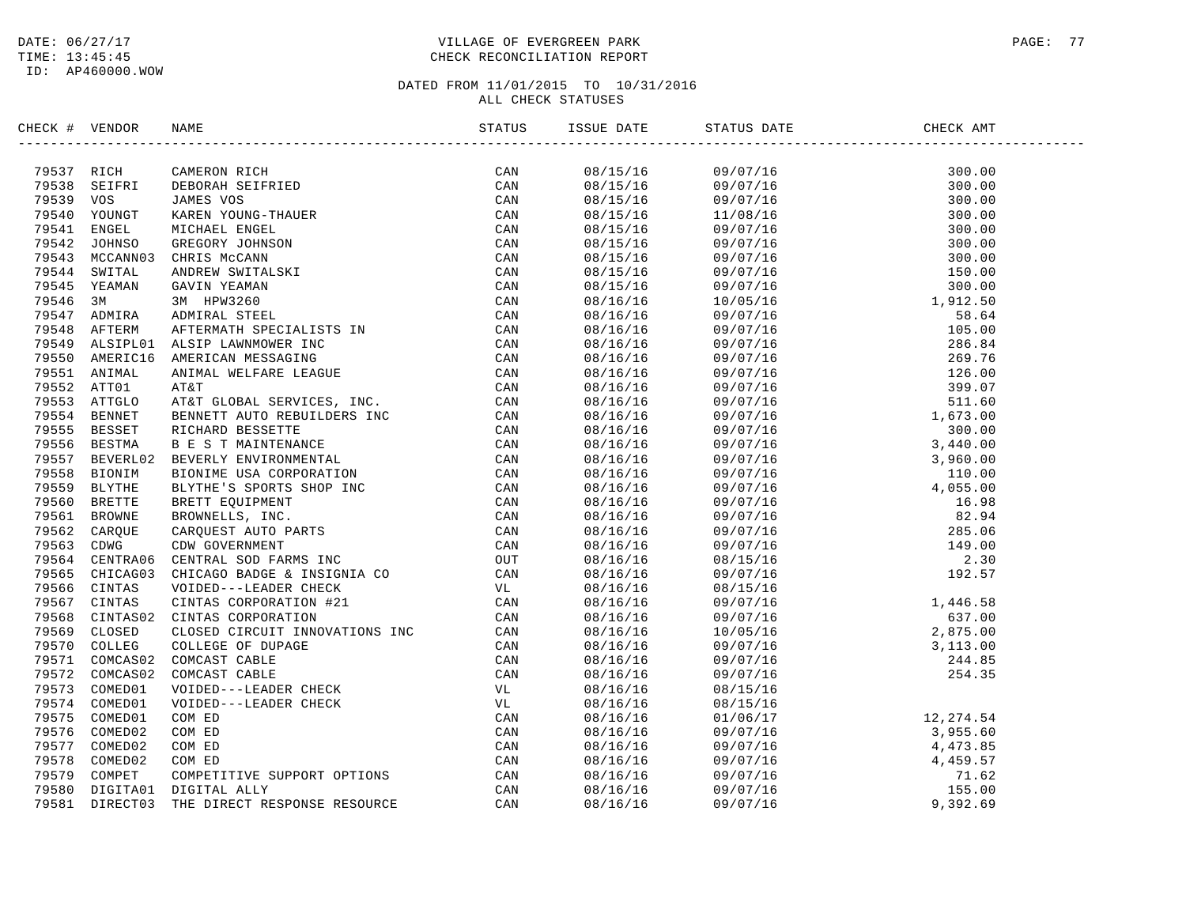### DATE:  $06/27/17$  PAGE: 77 TIME: 13:45:45 CHECK RECONCILIATION REPORT

| CHECK # VENDOR | NAME                                                                                                                                                                                                                                                                                                                                                                       | ISSUE DATE | STATUS DATE                                                                                                                                                                                                                                                             | CHECK AMT |  |
|----------------|----------------------------------------------------------------------------------------------------------------------------------------------------------------------------------------------------------------------------------------------------------------------------------------------------------------------------------------------------------------------------|------------|-------------------------------------------------------------------------------------------------------------------------------------------------------------------------------------------------------------------------------------------------------------------------|-----------|--|
|                | $\begin{tabular}{cccccccc} \textbf{78517} & \textbf{R151} & \textbf{CANDR 311} & \textbf{SINR 316} & \textbf{SOLR 321} & \textbf{SUSL 331} & \textbf{SUSL 34} & \textbf{SUSL 35} & \textbf{SUSL 35} & \textbf{SUSL 35} & \textbf{SUSL 35} & \textbf{SUSL 35} & \textbf{SUSL 35} & \textbf{SUSL 35} & \textbf{SUSL 35} & \textbf{SUSL 35} & \textbf{SUSL 35} & \textbf{SUS$ |            | $\begin{tabular}{cccccccc} 0.8715/16 & 0.9717/16 & 300.000 & 0.0000 & 0.0000 & 0.0000 & 0.0000 & 0.0000 & 0.0000 & 0.0000 & 0.0000 & 0.0000 & 0.0000 & 0.0000 & 0.0000 & 0.0000 & 0.0000 & 0.0000 & 0.0000 & 0.0000 & 0.0000 & 0.0000 & 0.0000 & 0.0000 & 0.0000 & 0.0$ |           |  |
|                |                                                                                                                                                                                                                                                                                                                                                                            |            |                                                                                                                                                                                                                                                                         |           |  |
|                |                                                                                                                                                                                                                                                                                                                                                                            |            |                                                                                                                                                                                                                                                                         |           |  |
|                |                                                                                                                                                                                                                                                                                                                                                                            |            |                                                                                                                                                                                                                                                                         |           |  |
|                |                                                                                                                                                                                                                                                                                                                                                                            |            |                                                                                                                                                                                                                                                                         |           |  |
|                |                                                                                                                                                                                                                                                                                                                                                                            |            |                                                                                                                                                                                                                                                                         |           |  |
|                |                                                                                                                                                                                                                                                                                                                                                                            |            |                                                                                                                                                                                                                                                                         |           |  |
|                |                                                                                                                                                                                                                                                                                                                                                                            |            |                                                                                                                                                                                                                                                                         |           |  |
|                |                                                                                                                                                                                                                                                                                                                                                                            |            |                                                                                                                                                                                                                                                                         |           |  |
|                |                                                                                                                                                                                                                                                                                                                                                                            |            |                                                                                                                                                                                                                                                                         |           |  |
|                |                                                                                                                                                                                                                                                                                                                                                                            |            |                                                                                                                                                                                                                                                                         |           |  |
|                |                                                                                                                                                                                                                                                                                                                                                                            |            |                                                                                                                                                                                                                                                                         |           |  |
|                |                                                                                                                                                                                                                                                                                                                                                                            |            |                                                                                                                                                                                                                                                                         |           |  |
|                |                                                                                                                                                                                                                                                                                                                                                                            |            |                                                                                                                                                                                                                                                                         |           |  |
|                |                                                                                                                                                                                                                                                                                                                                                                            |            |                                                                                                                                                                                                                                                                         |           |  |
|                |                                                                                                                                                                                                                                                                                                                                                                            |            |                                                                                                                                                                                                                                                                         |           |  |
|                |                                                                                                                                                                                                                                                                                                                                                                            |            |                                                                                                                                                                                                                                                                         |           |  |
|                |                                                                                                                                                                                                                                                                                                                                                                            |            |                                                                                                                                                                                                                                                                         |           |  |
|                |                                                                                                                                                                                                                                                                                                                                                                            |            |                                                                                                                                                                                                                                                                         |           |  |
|                |                                                                                                                                                                                                                                                                                                                                                                            |            |                                                                                                                                                                                                                                                                         |           |  |
|                |                                                                                                                                                                                                                                                                                                                                                                            |            |                                                                                                                                                                                                                                                                         |           |  |
|                |                                                                                                                                                                                                                                                                                                                                                                            |            |                                                                                                                                                                                                                                                                         |           |  |
|                |                                                                                                                                                                                                                                                                                                                                                                            |            |                                                                                                                                                                                                                                                                         |           |  |
|                |                                                                                                                                                                                                                                                                                                                                                                            |            |                                                                                                                                                                                                                                                                         |           |  |
|                |                                                                                                                                                                                                                                                                                                                                                                            |            |                                                                                                                                                                                                                                                                         |           |  |
|                |                                                                                                                                                                                                                                                                                                                                                                            |            |                                                                                                                                                                                                                                                                         |           |  |
|                |                                                                                                                                                                                                                                                                                                                                                                            |            |                                                                                                                                                                                                                                                                         |           |  |
|                |                                                                                                                                                                                                                                                                                                                                                                            |            |                                                                                                                                                                                                                                                                         |           |  |
|                |                                                                                                                                                                                                                                                                                                                                                                            |            |                                                                                                                                                                                                                                                                         |           |  |
|                |                                                                                                                                                                                                                                                                                                                                                                            |            |                                                                                                                                                                                                                                                                         |           |  |
|                |                                                                                                                                                                                                                                                                                                                                                                            |            |                                                                                                                                                                                                                                                                         |           |  |
|                |                                                                                                                                                                                                                                                                                                                                                                            |            |                                                                                                                                                                                                                                                                         |           |  |
|                |                                                                                                                                                                                                                                                                                                                                                                            |            |                                                                                                                                                                                                                                                                         |           |  |
|                |                                                                                                                                                                                                                                                                                                                                                                            |            |                                                                                                                                                                                                                                                                         |           |  |
|                |                                                                                                                                                                                                                                                                                                                                                                            |            |                                                                                                                                                                                                                                                                         |           |  |
|                |                                                                                                                                                                                                                                                                                                                                                                            |            |                                                                                                                                                                                                                                                                         |           |  |
|                |                                                                                                                                                                                                                                                                                                                                                                            |            |                                                                                                                                                                                                                                                                         |           |  |
|                |                                                                                                                                                                                                                                                                                                                                                                            |            |                                                                                                                                                                                                                                                                         |           |  |
|                |                                                                                                                                                                                                                                                                                                                                                                            | 08/16/16   |                                                                                                                                                                                                                                                                         |           |  |
|                |                                                                                                                                                                                                                                                                                                                                                                            | 08/16/16   |                                                                                                                                                                                                                                                                         |           |  |
|                |                                                                                                                                                                                                                                                                                                                                                                            | 08/16/16   |                                                                                                                                                                                                                                                                         |           |  |
|                |                                                                                                                                                                                                                                                                                                                                                                            | 08/16/16   |                                                                                                                                                                                                                                                                         |           |  |
|                |                                                                                                                                                                                                                                                                                                                                                                            | 08/16/16   | $\begin{array}{llllll} 08/15/16 \ 01/06/17 \ 09/07/16 \ 09/07/16 \ 09/07/16 \ 09/07/16 \ 09/07/16 \ 09/07/16 \ 09/07/16 \ 09/07/16 \ 09/07/16 \ 09/07/16 \ 09/07/16 \ 09/07/16 \ 09/07/16 \ 09/07/16 \ 09/07/16 \ 09/07/16 \ 09/07/16 \ 09/07/16 \ 09/07/16 \ $         |           |  |
|                |                                                                                                                                                                                                                                                                                                                                                                            | 08/16/16   |                                                                                                                                                                                                                                                                         |           |  |
|                |                                                                                                                                                                                                                                                                                                                                                                            | 08/16/16   |                                                                                                                                                                                                                                                                         |           |  |
|                |                                                                                                                                                                                                                                                                                                                                                                            | 08/16/16   |                                                                                                                                                                                                                                                                         |           |  |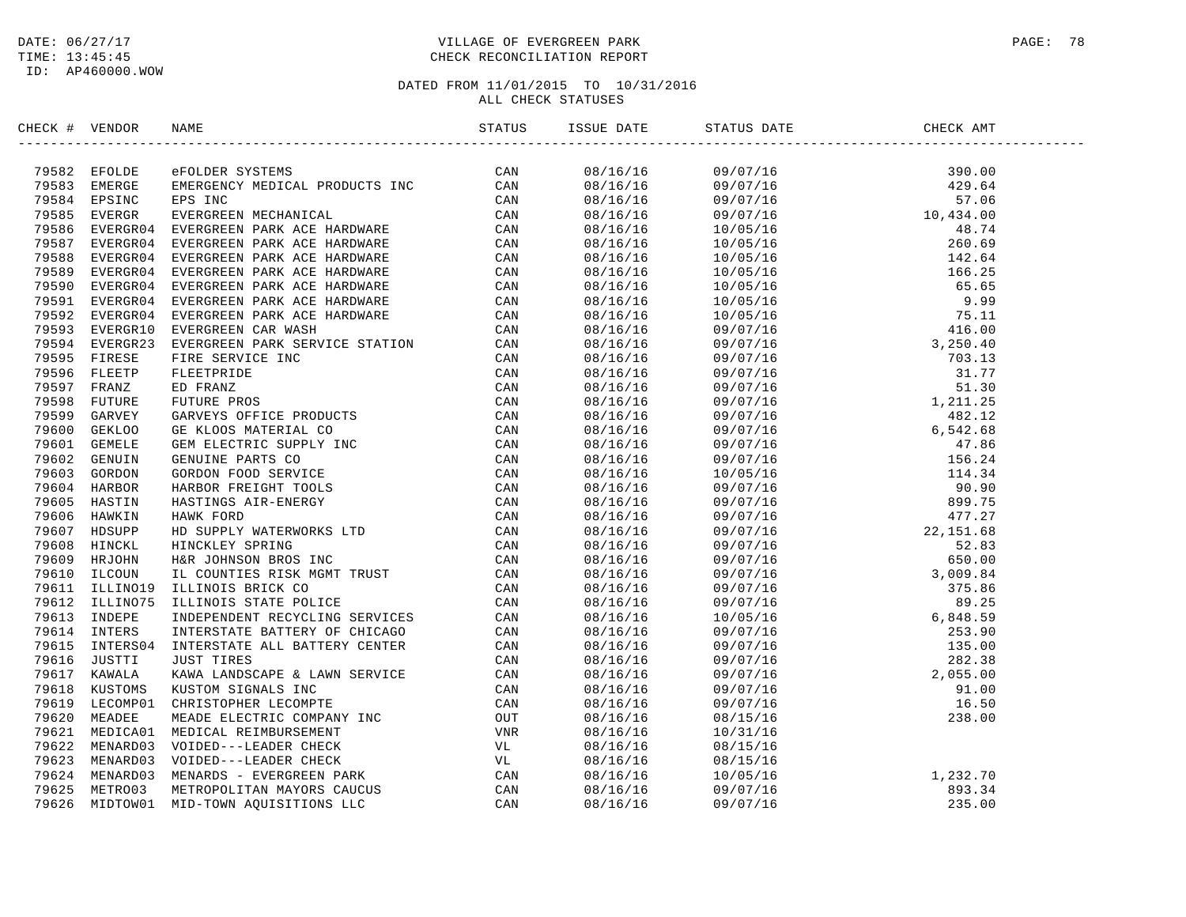### DATE:  $06/27/17$  PAGE: 78 TIME: 13:45:45 CHECK RECONCILIATION REPORT

| CHECK # VENDOR | NAME                                                                                                                                                                                                                                                                                            | ISSUE DATE | STATUS DATE                                                                                                                                                                            | CHECK AMT |  |
|----------------|-------------------------------------------------------------------------------------------------------------------------------------------------------------------------------------------------------------------------------------------------------------------------------------------------|------------|----------------------------------------------------------------------------------------------------------------------------------------------------------------------------------------|-----------|--|
|                | $\begin{tabular}{cccccccc} $4 & $400008$ & $400008$ & $400008$ & $400008$ & $400008$ & $400008$ & $400008$ & $400008$ & $400008$ & $400008$ & $400008$ & $400008$ & $400008$ & $400008$ & $400008$ & $400008$ & $400008$ & $400008$ & $400008$ & $400008$ & $400008$ & $400008$ & $400008$ & $$ |            |                                                                                                                                                                                        |           |  |
|                |                                                                                                                                                                                                                                                                                                 |            |                                                                                                                                                                                        |           |  |
|                |                                                                                                                                                                                                                                                                                                 |            |                                                                                                                                                                                        |           |  |
|                |                                                                                                                                                                                                                                                                                                 |            |                                                                                                                                                                                        |           |  |
|                |                                                                                                                                                                                                                                                                                                 |            |                                                                                                                                                                                        |           |  |
|                |                                                                                                                                                                                                                                                                                                 |            |                                                                                                                                                                                        |           |  |
|                |                                                                                                                                                                                                                                                                                                 |            |                                                                                                                                                                                        |           |  |
|                |                                                                                                                                                                                                                                                                                                 |            |                                                                                                                                                                                        |           |  |
|                |                                                                                                                                                                                                                                                                                                 |            |                                                                                                                                                                                        |           |  |
|                |                                                                                                                                                                                                                                                                                                 |            |                                                                                                                                                                                        |           |  |
|                |                                                                                                                                                                                                                                                                                                 |            |                                                                                                                                                                                        |           |  |
|                |                                                                                                                                                                                                                                                                                                 |            |                                                                                                                                                                                        |           |  |
|                |                                                                                                                                                                                                                                                                                                 |            |                                                                                                                                                                                        |           |  |
|                |                                                                                                                                                                                                                                                                                                 |            |                                                                                                                                                                                        |           |  |
|                |                                                                                                                                                                                                                                                                                                 |            |                                                                                                                                                                                        |           |  |
|                |                                                                                                                                                                                                                                                                                                 |            |                                                                                                                                                                                        |           |  |
|                |                                                                                                                                                                                                                                                                                                 |            |                                                                                                                                                                                        |           |  |
|                |                                                                                                                                                                                                                                                                                                 |            |                                                                                                                                                                                        |           |  |
|                |                                                                                                                                                                                                                                                                                                 |            |                                                                                                                                                                                        |           |  |
|                |                                                                                                                                                                                                                                                                                                 |            |                                                                                                                                                                                        |           |  |
|                |                                                                                                                                                                                                                                                                                                 |            |                                                                                                                                                                                        |           |  |
|                |                                                                                                                                                                                                                                                                                                 |            |                                                                                                                                                                                        |           |  |
|                |                                                                                                                                                                                                                                                                                                 |            |                                                                                                                                                                                        |           |  |
|                |                                                                                                                                                                                                                                                                                                 |            |                                                                                                                                                                                        |           |  |
|                |                                                                                                                                                                                                                                                                                                 |            |                                                                                                                                                                                        |           |  |
|                |                                                                                                                                                                                                                                                                                                 |            |                                                                                                                                                                                        |           |  |
|                |                                                                                                                                                                                                                                                                                                 |            |                                                                                                                                                                                        |           |  |
|                |                                                                                                                                                                                                                                                                                                 |            |                                                                                                                                                                                        |           |  |
|                |                                                                                                                                                                                                                                                                                                 |            |                                                                                                                                                                                        |           |  |
|                |                                                                                                                                                                                                                                                                                                 |            |                                                                                                                                                                                        |           |  |
|                |                                                                                                                                                                                                                                                                                                 |            |                                                                                                                                                                                        |           |  |
|                |                                                                                                                                                                                                                                                                                                 |            |                                                                                                                                                                                        |           |  |
|                |                                                                                                                                                                                                                                                                                                 |            |                                                                                                                                                                                        |           |  |
|                |                                                                                                                                                                                                                                                                                                 |            |                                                                                                                                                                                        |           |  |
|                |                                                                                                                                                                                                                                                                                                 |            |                                                                                                                                                                                        |           |  |
|                |                                                                                                                                                                                                                                                                                                 |            |                                                                                                                                                                                        |           |  |
|                |                                                                                                                                                                                                                                                                                                 |            |                                                                                                                                                                                        |           |  |
|                |                                                                                                                                                                                                                                                                                                 |            |                                                                                                                                                                                        |           |  |
|                |                                                                                                                                                                                                                                                                                                 |            |                                                                                                                                                                                        |           |  |
|                |                                                                                                                                                                                                                                                                                                 |            |                                                                                                                                                                                        |           |  |
|                |                                                                                                                                                                                                                                                                                                 |            |                                                                                                                                                                                        |           |  |
|                |                                                                                                                                                                                                                                                                                                 |            | $\begin{array}{cccc} 08/16/16 & 08/15/16 & 08/15/16 \\ 08/16/16 & 08/15/16 & 1 \\ 08/16/16 & 10/05/16 & 1 \\ 08/16/16 & 09/07/16 & 893.34 \\ 08/16/16 & 09/07/16 & 235.00 \end{array}$ |           |  |
|                |                                                                                                                                                                                                                                                                                                 |            |                                                                                                                                                                                        |           |  |
|                |                                                                                                                                                                                                                                                                                                 |            |                                                                                                                                                                                        |           |  |
|                |                                                                                                                                                                                                                                                                                                 |            |                                                                                                                                                                                        |           |  |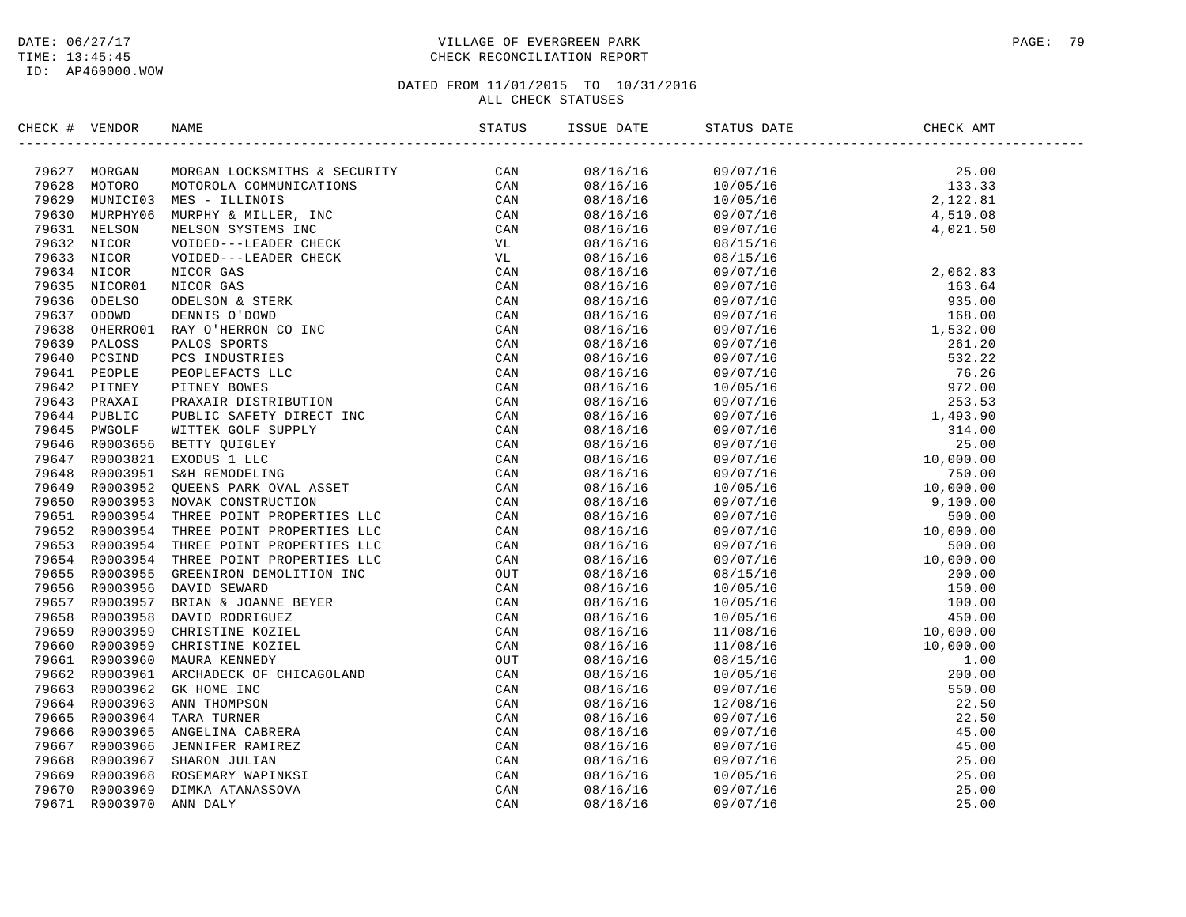### DATE:  $06/27/17$  PAGE: 79 TIME: 13:45:45 CHECK RECONCILIATION REPORT

| CHECK # VENDOR | NAME<br>CK F VEHICAR SAAR CONSIDERATIES & SECURITY CAN 19941 MOREMON CONSIDERATIES (AN 1995) MUNICIPAL CONSIDERATIES (AN 1995) MUNICIPAL CONSIDERATIES (AN 1995) MUNICIPAL CONSIDERATIES (AN 1995) MUNICIPAL CONSIDERATION (AN 1995) | ISSUE DATE | STATUS DATE | CHECK AMT                                                                                                                                    |
|----------------|--------------------------------------------------------------------------------------------------------------------------------------------------------------------------------------------------------------------------------------|------------|-------------|----------------------------------------------------------------------------------------------------------------------------------------------|
|                |                                                                                                                                                                                                                                      |            |             |                                                                                                                                              |
|                |                                                                                                                                                                                                                                      | 08/16/16   |             | $\begin{array}{llll} 09/07/16 & 25.00 \\ 10/05/16 & 133.33 \\ 10/05/16 & 2,122.81 \\ 09/07/16 & 4,510.08 \\ 09/07/16 & 4,021.50 \end{array}$ |
|                |                                                                                                                                                                                                                                      | 08/16/16   |             |                                                                                                                                              |
|                |                                                                                                                                                                                                                                      | 08/16/16   |             |                                                                                                                                              |
|                |                                                                                                                                                                                                                                      | 08/16/16   |             |                                                                                                                                              |
|                |                                                                                                                                                                                                                                      | 08/16/16   |             |                                                                                                                                              |
|                |                                                                                                                                                                                                                                      | 08/16/16   | 08/15/16    |                                                                                                                                              |
|                |                                                                                                                                                                                                                                      | 08/16/16   |             |                                                                                                                                              |
|                |                                                                                                                                                                                                                                      | 08/16/16   |             |                                                                                                                                              |
|                |                                                                                                                                                                                                                                      | 08/16/16   |             |                                                                                                                                              |
|                |                                                                                                                                                                                                                                      | 08/16/16   |             |                                                                                                                                              |
|                |                                                                                                                                                                                                                                      | 08/16/16   |             |                                                                                                                                              |
|                |                                                                                                                                                                                                                                      | 08/16/16   |             |                                                                                                                                              |
|                |                                                                                                                                                                                                                                      | 08/16/16   |             |                                                                                                                                              |
|                |                                                                                                                                                                                                                                      | 08/16/16   |             |                                                                                                                                              |
|                |                                                                                                                                                                                                                                      | 08/16/16   |             |                                                                                                                                              |
|                |                                                                                                                                                                                                                                      | 08/16/16   |             |                                                                                                                                              |
|                |                                                                                                                                                                                                                                      | 08/16/16   |             |                                                                                                                                              |
|                |                                                                                                                                                                                                                                      | 08/16/16   |             |                                                                                                                                              |
|                |                                                                                                                                                                                                                                      | 08/16/16   |             |                                                                                                                                              |
|                |                                                                                                                                                                                                                                      | 08/16/16   |             |                                                                                                                                              |
|                |                                                                                                                                                                                                                                      | 08/16/16   |             |                                                                                                                                              |
|                |                                                                                                                                                                                                                                      | 08/16/16   |             |                                                                                                                                              |
|                |                                                                                                                                                                                                                                      | 08/16/16   |             |                                                                                                                                              |
|                |                                                                                                                                                                                                                                      | 08/16/16   |             |                                                                                                                                              |
|                |                                                                                                                                                                                                                                      | 08/16/16   |             |                                                                                                                                              |
|                |                                                                                                                                                                                                                                      | 08/16/16   |             |                                                                                                                                              |
|                |                                                                                                                                                                                                                                      | 08/16/16   |             |                                                                                                                                              |
|                |                                                                                                                                                                                                                                      | 08/16/16   |             |                                                                                                                                              |
|                |                                                                                                                                                                                                                                      | 08/16/16   |             |                                                                                                                                              |
|                |                                                                                                                                                                                                                                      | 08/16/16   |             |                                                                                                                                              |
|                |                                                                                                                                                                                                                                      | 08/16/16   |             |                                                                                                                                              |
|                |                                                                                                                                                                                                                                      | 08/16/16   |             |                                                                                                                                              |
|                |                                                                                                                                                                                                                                      | 08/16/16   |             |                                                                                                                                              |
|                |                                                                                                                                                                                                                                      | 08/16/16   |             |                                                                                                                                              |
|                |                                                                                                                                                                                                                                      | 08/16/16   |             |                                                                                                                                              |
|                |                                                                                                                                                                                                                                      | 08/16/16   |             |                                                                                                                                              |
|                |                                                                                                                                                                                                                                      | 08/16/16   |             |                                                                                                                                              |
|                |                                                                                                                                                                                                                                      | 08/16/16   |             |                                                                                                                                              |
|                |                                                                                                                                                                                                                                      | 08/16/16   |             |                                                                                                                                              |
|                |                                                                                                                                                                                                                                      | 08/16/16   |             |                                                                                                                                              |
|                |                                                                                                                                                                                                                                      | 08/16/16   |             |                                                                                                                                              |
|                |                                                                                                                                                                                                                                      | 08/16/16   |             |                                                                                                                                              |
|                |                                                                                                                                                                                                                                      | 08/16/16   |             |                                                                                                                                              |
|                |                                                                                                                                                                                                                                      | 08/16/16   |             |                                                                                                                                              |
|                |                                                                                                                                                                                                                                      |            |             |                                                                                                                                              |
|                |                                                                                                                                                                                                                                      | 08/16/16   |             |                                                                                                                                              |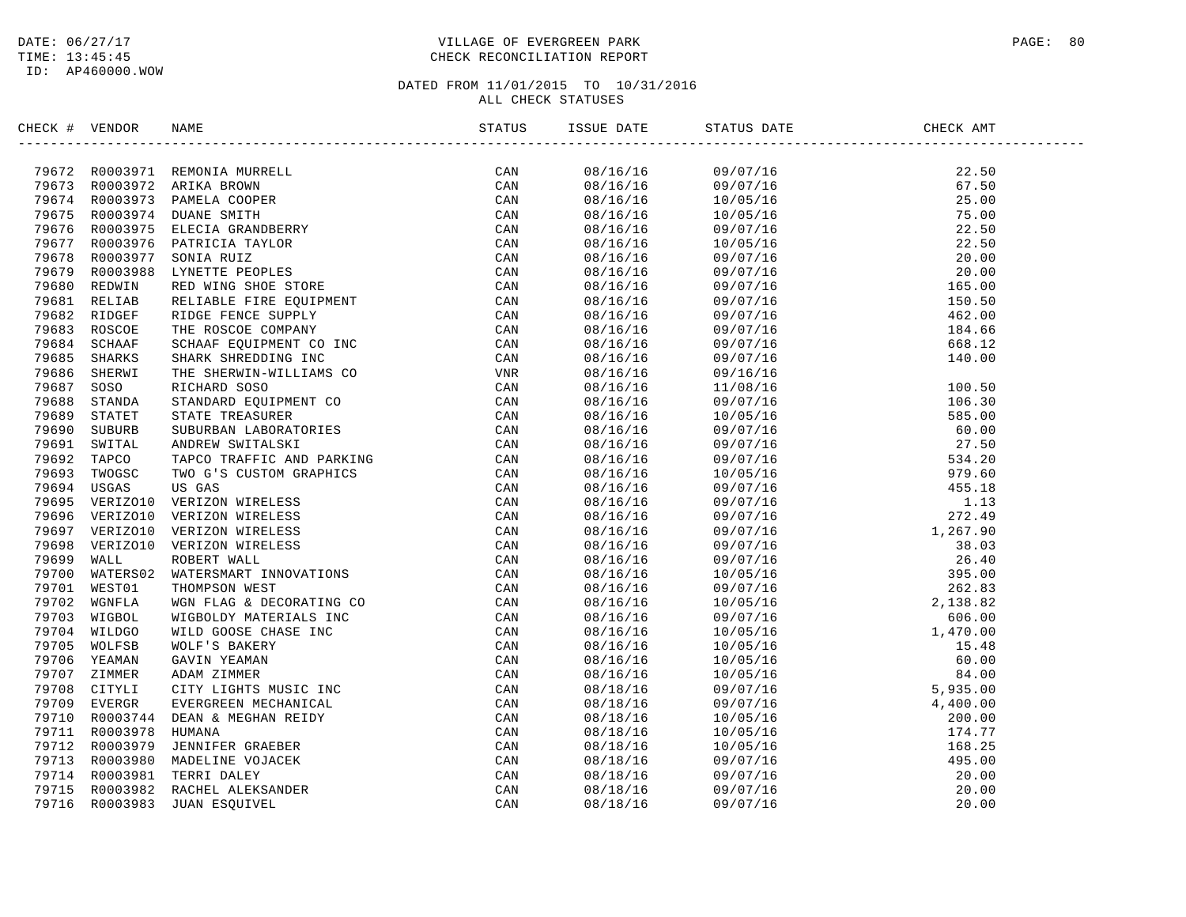### DATE:  $06/27/17$  PAGE: 80 TIME: 13:45:45 CHECK RECONCILIATION REPORT

| CHECK # VENDOR |  |     | ISSUE DATE | STATUS DATE | CHECK AMT |  |
|----------------|--|-----|------------|-------------|-----------|--|
|                |  |     |            |             |           |  |
|                |  | CAN |            |             |           |  |
|                |  |     |            |             |           |  |
|                |  |     |            |             |           |  |
|                |  |     |            |             |           |  |
|                |  |     |            |             |           |  |
|                |  |     |            |             |           |  |
|                |  |     |            |             |           |  |
|                |  |     |            |             |           |  |
|                |  |     |            |             |           |  |
|                |  |     |            |             |           |  |
|                |  |     |            |             |           |  |
|                |  |     |            |             |           |  |
|                |  |     |            |             |           |  |
|                |  |     |            |             |           |  |
|                |  |     |            |             |           |  |
|                |  |     |            |             |           |  |
|                |  |     |            |             |           |  |
|                |  |     |            |             |           |  |
|                |  |     |            |             |           |  |
|                |  |     |            |             |           |  |
|                |  |     |            |             |           |  |
|                |  |     |            |             |           |  |
|                |  |     |            |             |           |  |
|                |  |     |            |             |           |  |
|                |  |     |            |             |           |  |
|                |  |     |            |             |           |  |
|                |  |     |            |             |           |  |
|                |  |     |            |             |           |  |
|                |  |     |            |             |           |  |
|                |  |     |            |             |           |  |
|                |  |     |            |             |           |  |
|                |  |     |            |             |           |  |
|                |  |     |            |             |           |  |
|                |  |     |            |             |           |  |
|                |  |     |            |             |           |  |
|                |  |     |            |             |           |  |
|                |  |     |            |             |           |  |
|                |  |     |            |             |           |  |
|                |  |     |            |             |           |  |
|                |  |     |            |             |           |  |
|                |  |     |            |             |           |  |
|                |  |     |            |             |           |  |
|                |  |     |            |             |           |  |
|                |  |     |            |             |           |  |
|                |  |     |            |             |           |  |
|                |  |     |            |             |           |  |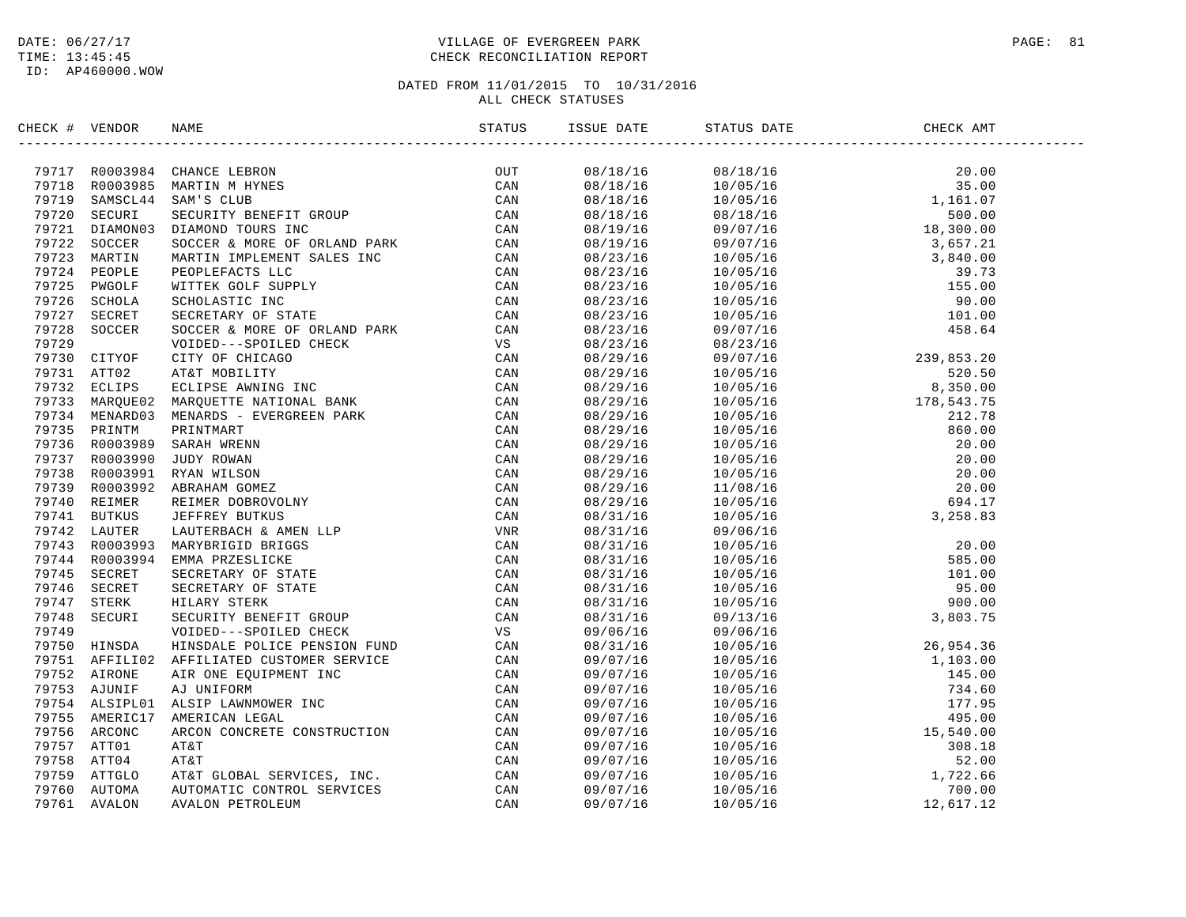### DATE:  $06/27/17$  PAGE: 81 TIME: 13:45:45 CHECK RECONCILIATION REPORT

| CHECK # VENDOR | NAME                                                                                                                                                                                                                         | ISSUE DATE | STATUS DATE | CHECK AMT                                                                                                                                                                                                                                                                    |  |
|----------------|------------------------------------------------------------------------------------------------------------------------------------------------------------------------------------------------------------------------------|------------|-------------|------------------------------------------------------------------------------------------------------------------------------------------------------------------------------------------------------------------------------------------------------------------------------|--|
|                | HEAT VERTICAL MARGINDS ARRESTS TRIVES AND MANUFACT CAN AN USE TRIVES ACTIVE AND SAME CHANGE LEADER THE CAN APPROXIMATE CHANGE THE CAN APPROXIMATELY CHANGE THE CAN APPROXIMATELY CHANGE THE CAN APPROXIMATELY CHANGE THE CAN | 08/18/16   |             | $\begin{array}{cccc} 08/18/16 & 20.00 \\ 10/05/16 & 35.00 \\ 10/05/16 & 1,161.07 \\ 08/18/16 & 500.00 \\ 09/07/16 & 18,300.00 \\ 09/07/16 & 3,657.21 \\ 10/05/16 & 39.73 \\ 10/05/16 & 105.16 \\ 10/05/16 & 105.00 \\ 10/05/16 & 101.00 \\ 09/07/16 & 458.64 \\ 08/23/16 & $ |  |
|                |                                                                                                                                                                                                                              | 08/18/16   |             |                                                                                                                                                                                                                                                                              |  |
|                |                                                                                                                                                                                                                              | 08/18/16   |             |                                                                                                                                                                                                                                                                              |  |
|                |                                                                                                                                                                                                                              | 08/18/16   |             |                                                                                                                                                                                                                                                                              |  |
|                |                                                                                                                                                                                                                              | 08/19/16   |             |                                                                                                                                                                                                                                                                              |  |
|                |                                                                                                                                                                                                                              | 08/19/16   |             |                                                                                                                                                                                                                                                                              |  |
|                |                                                                                                                                                                                                                              | 08/23/16   |             |                                                                                                                                                                                                                                                                              |  |
|                |                                                                                                                                                                                                                              | 08/23/16   |             |                                                                                                                                                                                                                                                                              |  |
|                |                                                                                                                                                                                                                              | 08/23/16   |             |                                                                                                                                                                                                                                                                              |  |
|                |                                                                                                                                                                                                                              | 08/23/16   |             |                                                                                                                                                                                                                                                                              |  |
|                |                                                                                                                                                                                                                              | 08/23/16   |             |                                                                                                                                                                                                                                                                              |  |
|                |                                                                                                                                                                                                                              | 08/23/16   |             |                                                                                                                                                                                                                                                                              |  |
|                |                                                                                                                                                                                                                              | 08/23/16   |             |                                                                                                                                                                                                                                                                              |  |
|                |                                                                                                                                                                                                                              | 08/29/16   |             | 09/07/16<br>08/23/16<br>09/07/16<br>10/05/16<br>10/05/16<br>10/05/16<br>10/05/16<br>10/05/16<br>10/05/16<br>10/05/16<br>10/05/16<br>10/05/16<br>10/05/16<br>10/05/16<br>10/05/16<br>10/05/16<br>10/05/16<br>10/05/16<br>10/05/16<br>10/05/16<br>10/05/16<br>10/05/16<br>10   |  |
|                |                                                                                                                                                                                                                              | 08/29/16   |             |                                                                                                                                                                                                                                                                              |  |
|                |                                                                                                                                                                                                                              | 08/29/16   |             |                                                                                                                                                                                                                                                                              |  |
|                |                                                                                                                                                                                                                              | 08/29/16   |             |                                                                                                                                                                                                                                                                              |  |
|                |                                                                                                                                                                                                                              | 08/29/16   |             |                                                                                                                                                                                                                                                                              |  |
|                |                                                                                                                                                                                                                              | 08/29/16   |             |                                                                                                                                                                                                                                                                              |  |
|                |                                                                                                                                                                                                                              | 08/29/16   |             |                                                                                                                                                                                                                                                                              |  |
|                |                                                                                                                                                                                                                              | 08/29/16   |             |                                                                                                                                                                                                                                                                              |  |
|                |                                                                                                                                                                                                                              | 08/29/16   |             |                                                                                                                                                                                                                                                                              |  |
|                |                                                                                                                                                                                                                              | 08/29/16   |             |                                                                                                                                                                                                                                                                              |  |
|                |                                                                                                                                                                                                                              | 08/29/16   |             |                                                                                                                                                                                                                                                                              |  |
|                |                                                                                                                                                                                                                              | 08/31/16   |             |                                                                                                                                                                                                                                                                              |  |
|                |                                                                                                                                                                                                                              | 08/31/16   |             |                                                                                                                                                                                                                                                                              |  |
|                |                                                                                                                                                                                                                              | 08/31/16   |             |                                                                                                                                                                                                                                                                              |  |
|                |                                                                                                                                                                                                                              | 08/31/16   |             |                                                                                                                                                                                                                                                                              |  |
|                |                                                                                                                                                                                                                              | 08/31/16   |             |                                                                                                                                                                                                                                                                              |  |
|                |                                                                                                                                                                                                                              | 08/31/16   |             |                                                                                                                                                                                                                                                                              |  |
|                |                                                                                                                                                                                                                              | 08/31/16   |             |                                                                                                                                                                                                                                                                              |  |
|                |                                                                                                                                                                                                                              | 08/31/16   |             |                                                                                                                                                                                                                                                                              |  |
|                |                                                                                                                                                                                                                              | 09/06/16   |             |                                                                                                                                                                                                                                                                              |  |
|                |                                                                                                                                                                                                                              | 08/31/16   |             |                                                                                                                                                                                                                                                                              |  |
|                |                                                                                                                                                                                                                              | 09/07/16   |             |                                                                                                                                                                                                                                                                              |  |
|                |                                                                                                                                                                                                                              | 09/07/16   |             |                                                                                                                                                                                                                                                                              |  |
|                |                                                                                                                                                                                                                              | 09/07/16   |             |                                                                                                                                                                                                                                                                              |  |
|                |                                                                                                                                                                                                                              | 09/07/16   |             |                                                                                                                                                                                                                                                                              |  |
|                |                                                                                                                                                                                                                              | 09/07/16   |             |                                                                                                                                                                                                                                                                              |  |
|                |                                                                                                                                                                                                                              | 09/07/16   |             |                                                                                                                                                                                                                                                                              |  |
|                |                                                                                                                                                                                                                              | 09/07/16   |             |                                                                                                                                                                                                                                                                              |  |
|                |                                                                                                                                                                                                                              | 09/07/16   |             | $\begin{array}{cccc} 09/06/16 & 26,954.36 \\ 10/05/16 & 1,103.00 \\ 10/05/16 & 1,103.00 \\ 10/05/16 & 734.60 \\ 10/05/16 & 734.60 \\ 10/05/16 & 177.95 \\ 10/05/16 & 15,540.00 \\ 10/05/16 & 52.00 \\ 10/05/16 & 52.00 \\ 10/05/16 & 1,722.66 \\ 10/05/16 & 1,722.66 \\ 10$  |  |
|                |                                                                                                                                                                                                                              | 09/07/16   |             |                                                                                                                                                                                                                                                                              |  |
|                |                                                                                                                                                                                                                              | 09/07/16   |             |                                                                                                                                                                                                                                                                              |  |
|                |                                                                                                                                                                                                                              | 09/07/16   |             |                                                                                                                                                                                                                                                                              |  |
|                |                                                                                                                                                                                                                              |            |             |                                                                                                                                                                                                                                                                              |  |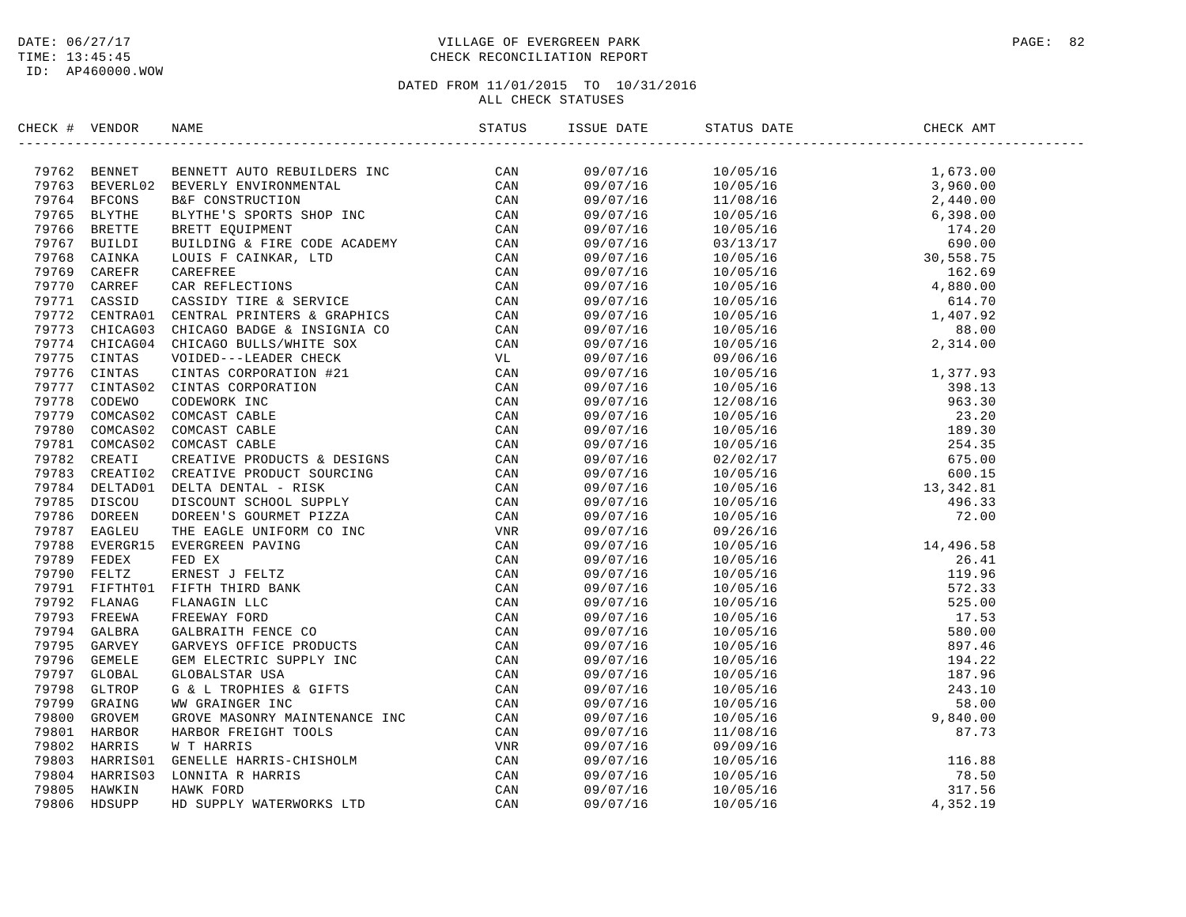### DATE:  $06/27/17$  PAGE: 82 TIME: 13:45:45 CHECK RECONCILIATION REPORT

| CHECK # VENDOR | NAME                                                                                                                                                                                                                                                                                                                                                                                | ISSUE DATE | STATUS DATE | CHECK AMT |  |
|----------------|-------------------------------------------------------------------------------------------------------------------------------------------------------------------------------------------------------------------------------------------------------------------------------------------------------------------------------------------------------------------------------------|------------|-------------|-----------|--|
|                | $\begin{tabular}{cccccccc} $\mathbf{0.0167} & $\mathbf{0.0267} & $\mathbf{0.037} & $\mathbf{0.047} & $\mathbf{0.047} & $\mathbf{0.047} & $\mathbf{0.047} & $\mathbf{0.047} & $\mathbf{0.047} & $\mathbf{0.047} & $\mathbf{0.047} & $\mathbf{0.047} & $\mathbf{0.047} & $\mathbf{0.047} & $\mathbf{0.047} & $\mathbf{0.047} & $\mathbf{0.047} & $\mathbf{0.047} & $\mathbf{0.047} &$ |            |             |           |  |
|                |                                                                                                                                                                                                                                                                                                                                                                                     |            |             |           |  |
|                |                                                                                                                                                                                                                                                                                                                                                                                     |            |             |           |  |
|                |                                                                                                                                                                                                                                                                                                                                                                                     |            |             |           |  |
|                |                                                                                                                                                                                                                                                                                                                                                                                     |            |             |           |  |
|                |                                                                                                                                                                                                                                                                                                                                                                                     |            |             |           |  |
|                |                                                                                                                                                                                                                                                                                                                                                                                     |            |             |           |  |
|                |                                                                                                                                                                                                                                                                                                                                                                                     |            |             |           |  |
|                |                                                                                                                                                                                                                                                                                                                                                                                     |            |             |           |  |
|                |                                                                                                                                                                                                                                                                                                                                                                                     |            |             |           |  |
|                |                                                                                                                                                                                                                                                                                                                                                                                     |            |             |           |  |
|                |                                                                                                                                                                                                                                                                                                                                                                                     |            |             |           |  |
|                |                                                                                                                                                                                                                                                                                                                                                                                     |            |             |           |  |
|                |                                                                                                                                                                                                                                                                                                                                                                                     |            |             |           |  |
|                |                                                                                                                                                                                                                                                                                                                                                                                     |            |             |           |  |
|                |                                                                                                                                                                                                                                                                                                                                                                                     |            |             |           |  |
|                |                                                                                                                                                                                                                                                                                                                                                                                     |            |             |           |  |
|                |                                                                                                                                                                                                                                                                                                                                                                                     |            |             |           |  |
|                |                                                                                                                                                                                                                                                                                                                                                                                     |            |             |           |  |
|                |                                                                                                                                                                                                                                                                                                                                                                                     |            |             |           |  |
|                |                                                                                                                                                                                                                                                                                                                                                                                     |            |             |           |  |
|                |                                                                                                                                                                                                                                                                                                                                                                                     |            |             |           |  |
|                |                                                                                                                                                                                                                                                                                                                                                                                     |            |             |           |  |
|                |                                                                                                                                                                                                                                                                                                                                                                                     |            |             |           |  |
|                |                                                                                                                                                                                                                                                                                                                                                                                     |            |             |           |  |
|                |                                                                                                                                                                                                                                                                                                                                                                                     |            |             |           |  |
|                |                                                                                                                                                                                                                                                                                                                                                                                     |            |             |           |  |
|                |                                                                                                                                                                                                                                                                                                                                                                                     |            |             |           |  |
|                |                                                                                                                                                                                                                                                                                                                                                                                     |            |             |           |  |
|                |                                                                                                                                                                                                                                                                                                                                                                                     |            |             |           |  |
|                |                                                                                                                                                                                                                                                                                                                                                                                     |            |             |           |  |
|                |                                                                                                                                                                                                                                                                                                                                                                                     |            |             |           |  |
|                |                                                                                                                                                                                                                                                                                                                                                                                     |            |             |           |  |
|                |                                                                                                                                                                                                                                                                                                                                                                                     |            |             |           |  |
|                |                                                                                                                                                                                                                                                                                                                                                                                     |            |             |           |  |
|                |                                                                                                                                                                                                                                                                                                                                                                                     |            |             |           |  |
|                |                                                                                                                                                                                                                                                                                                                                                                                     |            |             |           |  |
|                |                                                                                                                                                                                                                                                                                                                                                                                     |            |             |           |  |
|                |                                                                                                                                                                                                                                                                                                                                                                                     |            |             |           |  |
|                |                                                                                                                                                                                                                                                                                                                                                                                     |            |             |           |  |
|                |                                                                                                                                                                                                                                                                                                                                                                                     |            |             |           |  |
|                |                                                                                                                                                                                                                                                                                                                                                                                     |            |             |           |  |
|                |                                                                                                                                                                                                                                                                                                                                                                                     |            |             |           |  |
|                |                                                                                                                                                                                                                                                                                                                                                                                     |            |             |           |  |
|                |                                                                                                                                                                                                                                                                                                                                                                                     |            |             |           |  |
|                |                                                                                                                                                                                                                                                                                                                                                                                     |            |             |           |  |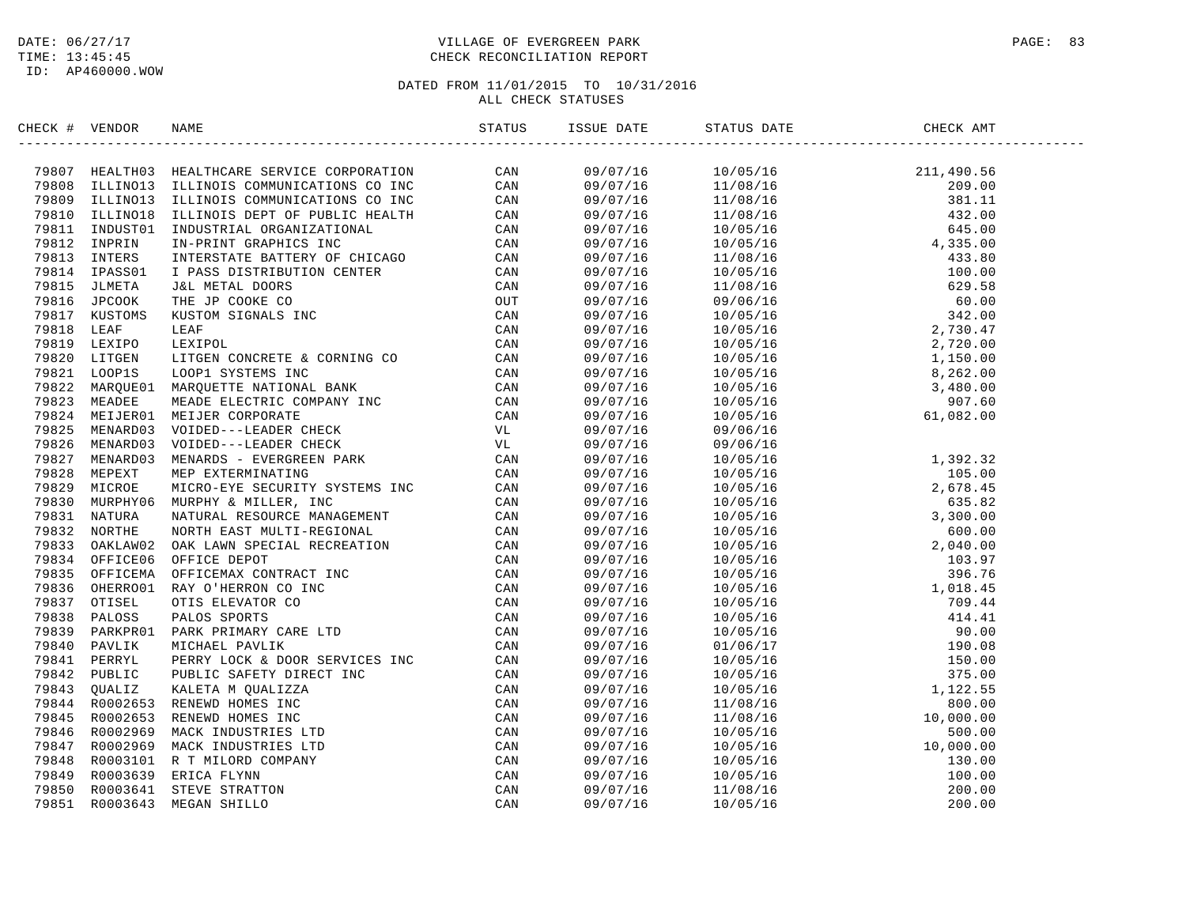ID: AP460000.WOW

### DATE:  $06/27/17$  PAGE: 83 TIME: 13:45:45 CHECK RECONCILIATION REPORT

| CHECK # VENDOR | NAME                                                                                                                                                                                                                                                                                                                                                                                                                                                         | STATUS | ISSUE DATE | STATUS DATE | CHECK AMT |  |
|----------------|--------------------------------------------------------------------------------------------------------------------------------------------------------------------------------------------------------------------------------------------------------------------------------------------------------------------------------------------------------------------------------------------------------------------------------------------------------------|--------|------------|-------------|-----------|--|
|                | $\begin{small} &\text{crs} & \text{tr} & \text{tr} & \text{tr} & \text{tr} & \text{tr} & \text{tr} & \text{tr} & \text{tr} & \text{tr} & \text{tr} & \text{tr} & \text{tr} & \text{tr} & \text{tr} & \text{tr} & \text{tr} & \text{tr} & \text{tr} & \text{tr} & \text{tr} & \text{tr} & \text{tr} & \text{tr} & \text{tr} & \text{tr} & \text{tr} & \text{tr} & \text{tr} & \text{tr} & \text{tr} & \text{tr} & \text{tr} & \text{tr} & \text{tr} & \text{$ |        |            |             |           |  |
|                |                                                                                                                                                                                                                                                                                                                                                                                                                                                              |        |            |             |           |  |
|                |                                                                                                                                                                                                                                                                                                                                                                                                                                                              |        |            |             |           |  |
|                |                                                                                                                                                                                                                                                                                                                                                                                                                                                              |        |            |             |           |  |
|                |                                                                                                                                                                                                                                                                                                                                                                                                                                                              |        |            |             |           |  |
|                |                                                                                                                                                                                                                                                                                                                                                                                                                                                              |        |            |             |           |  |
|                |                                                                                                                                                                                                                                                                                                                                                                                                                                                              |        |            |             |           |  |
|                |                                                                                                                                                                                                                                                                                                                                                                                                                                                              |        |            |             |           |  |
|                |                                                                                                                                                                                                                                                                                                                                                                                                                                                              |        |            |             |           |  |
|                |                                                                                                                                                                                                                                                                                                                                                                                                                                                              |        |            |             |           |  |
|                |                                                                                                                                                                                                                                                                                                                                                                                                                                                              |        |            |             |           |  |
|                |                                                                                                                                                                                                                                                                                                                                                                                                                                                              |        |            |             |           |  |
|                |                                                                                                                                                                                                                                                                                                                                                                                                                                                              |        |            |             |           |  |
|                |                                                                                                                                                                                                                                                                                                                                                                                                                                                              |        |            |             |           |  |
|                |                                                                                                                                                                                                                                                                                                                                                                                                                                                              |        |            |             |           |  |
|                |                                                                                                                                                                                                                                                                                                                                                                                                                                                              |        |            |             |           |  |
|                |                                                                                                                                                                                                                                                                                                                                                                                                                                                              |        |            |             |           |  |
|                |                                                                                                                                                                                                                                                                                                                                                                                                                                                              |        |            |             |           |  |
|                |                                                                                                                                                                                                                                                                                                                                                                                                                                                              |        |            |             |           |  |
|                |                                                                                                                                                                                                                                                                                                                                                                                                                                                              |        |            |             |           |  |
|                |                                                                                                                                                                                                                                                                                                                                                                                                                                                              |        |            |             |           |  |
|                |                                                                                                                                                                                                                                                                                                                                                                                                                                                              |        |            |             |           |  |
|                |                                                                                                                                                                                                                                                                                                                                                                                                                                                              |        |            |             |           |  |
|                |                                                                                                                                                                                                                                                                                                                                                                                                                                                              |        |            |             |           |  |
|                |                                                                                                                                                                                                                                                                                                                                                                                                                                                              |        |            |             |           |  |
|                |                                                                                                                                                                                                                                                                                                                                                                                                                                                              |        |            |             |           |  |
|                |                                                                                                                                                                                                                                                                                                                                                                                                                                                              |        |            |             |           |  |
|                |                                                                                                                                                                                                                                                                                                                                                                                                                                                              |        |            |             |           |  |
|                |                                                                                                                                                                                                                                                                                                                                                                                                                                                              |        |            |             |           |  |
|                |                                                                                                                                                                                                                                                                                                                                                                                                                                                              |        |            |             |           |  |
|                |                                                                                                                                                                                                                                                                                                                                                                                                                                                              |        |            |             |           |  |
|                |                                                                                                                                                                                                                                                                                                                                                                                                                                                              |        |            |             |           |  |
|                |                                                                                                                                                                                                                                                                                                                                                                                                                                                              |        |            |             |           |  |
|                |                                                                                                                                                                                                                                                                                                                                                                                                                                                              |        |            |             |           |  |
|                |                                                                                                                                                                                                                                                                                                                                                                                                                                                              |        |            |             |           |  |
|                |                                                                                                                                                                                                                                                                                                                                                                                                                                                              |        |            |             |           |  |
|                |                                                                                                                                                                                                                                                                                                                                                                                                                                                              |        |            |             |           |  |
|                |                                                                                                                                                                                                                                                                                                                                                                                                                                                              |        |            |             |           |  |
|                |                                                                                                                                                                                                                                                                                                                                                                                                                                                              |        |            |             |           |  |
|                |                                                                                                                                                                                                                                                                                                                                                                                                                                                              |        |            |             |           |  |
|                |                                                                                                                                                                                                                                                                                                                                                                                                                                                              |        |            |             |           |  |
|                |                                                                                                                                                                                                                                                                                                                                                                                                                                                              |        |            |             |           |  |
|                |                                                                                                                                                                                                                                                                                                                                                                                                                                                              |        |            |             |           |  |
|                |                                                                                                                                                                                                                                                                                                                                                                                                                                                              |        |            |             |           |  |
|                |                                                                                                                                                                                                                                                                                                                                                                                                                                                              |        |            |             |           |  |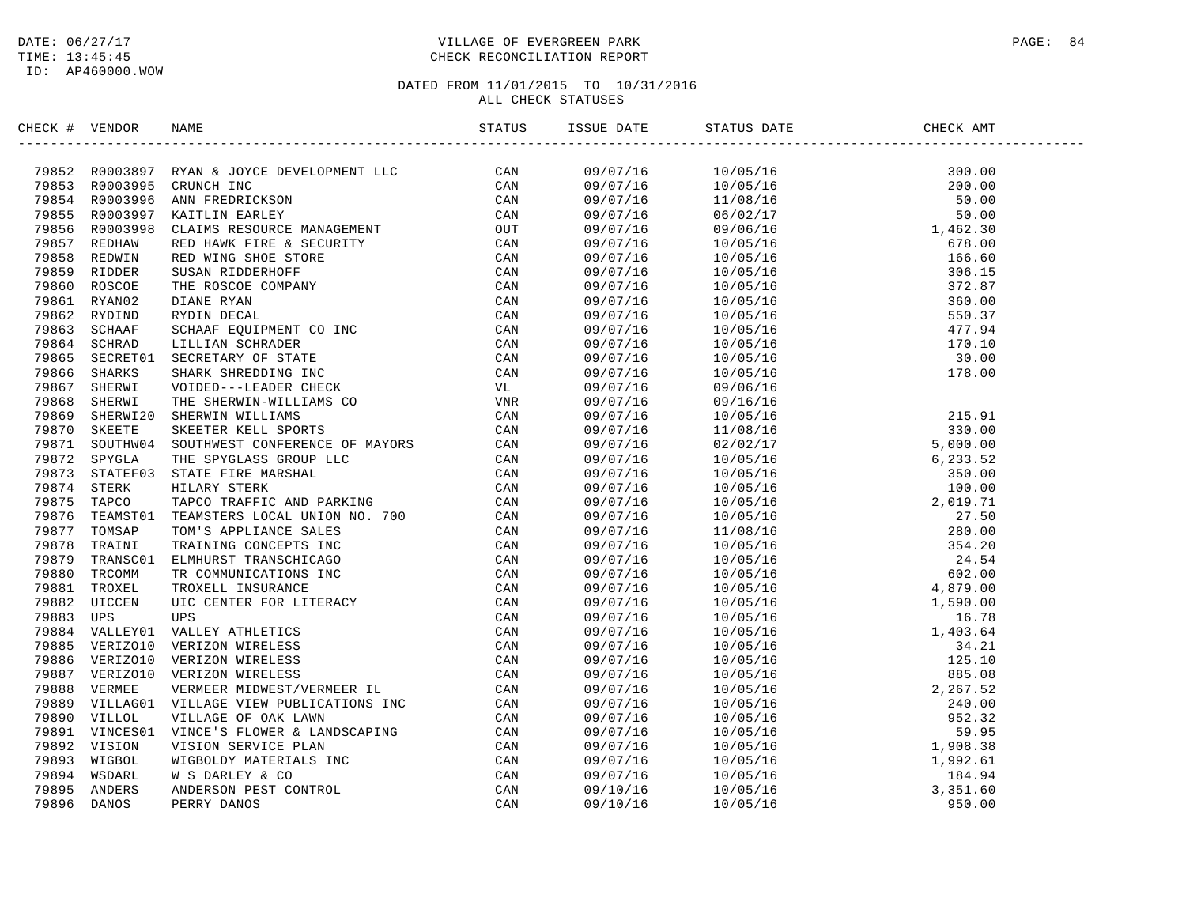### DATE:  $06/27/17$  PAGE: 84 TIME: 13:45:45 CHECK RECONCILIATION REPORT

| CHECK # VENDOR | NAME                                                                                                                                                                                                                          |          | ISSUE DATE STATUS DATE | CHECK AMT                                                                                                                                                                                                                                                                                                |
|----------------|-------------------------------------------------------------------------------------------------------------------------------------------------------------------------------------------------------------------------------|----------|------------------------|----------------------------------------------------------------------------------------------------------------------------------------------------------------------------------------------------------------------------------------------------------------------------------------------------------|
|                | INCRET WANDA NAME SOURCE INVESTIGATION TRINING CONSTRUER (CAN 1988) TRINING AND THE CAN TRINING CONSTRUCT CAN TRINING THE CAN CONSTRUCT CONSTRUER CONSTRUER (CAN 1985) 2017410 STATE CONSTRUER CONSTRUER (CAN 1985) 2017420 ( |          |                        | $\begin{tabular}{l c c c c} \hline & 10/05/16 & 11/08/16 & 200.00 \\ \hline 11/08/16 & 12/05/16 & 200.00 \\ \hline 11/08/16 & 10/05/16 & 50.00 \\ \hline 10/05/16 & 1462.30 \\ \hline 10/05/16 & 166.60 \\ \hline 10/05/16 & 306.15 \\ \hline 10/05/16 & 306.15 \\ \hline 10/05/16 & 306.15 \\ \hline 1$ |
|                |                                                                                                                                                                                                                               | 09/07/16 |                        |                                                                                                                                                                                                                                                                                                          |
|                |                                                                                                                                                                                                                               | 09/07/16 |                        |                                                                                                                                                                                                                                                                                                          |
|                |                                                                                                                                                                                                                               | 09/07/16 |                        |                                                                                                                                                                                                                                                                                                          |
|                |                                                                                                                                                                                                                               | 09/07/16 |                        |                                                                                                                                                                                                                                                                                                          |
|                |                                                                                                                                                                                                                               | 09/07/16 |                        |                                                                                                                                                                                                                                                                                                          |
|                |                                                                                                                                                                                                                               | 09/07/16 |                        |                                                                                                                                                                                                                                                                                                          |
|                |                                                                                                                                                                                                                               | 09/07/16 |                        |                                                                                                                                                                                                                                                                                                          |
|                |                                                                                                                                                                                                                               | 09/07/16 |                        |                                                                                                                                                                                                                                                                                                          |
|                |                                                                                                                                                                                                                               | 09/07/16 |                        |                                                                                                                                                                                                                                                                                                          |
|                |                                                                                                                                                                                                                               | 09/07/16 |                        |                                                                                                                                                                                                                                                                                                          |
|                |                                                                                                                                                                                                                               | 09/07/16 |                        |                                                                                                                                                                                                                                                                                                          |
|                |                                                                                                                                                                                                                               | 09/07/16 |                        |                                                                                                                                                                                                                                                                                                          |
|                |                                                                                                                                                                                                                               | 09/07/16 |                        |                                                                                                                                                                                                                                                                                                          |
|                |                                                                                                                                                                                                                               | 09/07/16 |                        |                                                                                                                                                                                                                                                                                                          |
|                |                                                                                                                                                                                                                               | 09/07/16 |                        |                                                                                                                                                                                                                                                                                                          |
|                |                                                                                                                                                                                                                               | 09/07/16 |                        |                                                                                                                                                                                                                                                                                                          |
|                |                                                                                                                                                                                                                               | 09/07/16 |                        |                                                                                                                                                                                                                                                                                                          |
|                |                                                                                                                                                                                                                               | 09/07/16 |                        |                                                                                                                                                                                                                                                                                                          |
|                |                                                                                                                                                                                                                               | 09/07/16 |                        |                                                                                                                                                                                                                                                                                                          |
|                |                                                                                                                                                                                                                               | 09/07/16 |                        |                                                                                                                                                                                                                                                                                                          |
|                |                                                                                                                                                                                                                               | 09/07/16 |                        |                                                                                                                                                                                                                                                                                                          |
|                |                                                                                                                                                                                                                               | 09/07/16 |                        |                                                                                                                                                                                                                                                                                                          |
|                |                                                                                                                                                                                                                               | 09/07/16 |                        |                                                                                                                                                                                                                                                                                                          |
|                |                                                                                                                                                                                                                               | 09/07/16 |                        |                                                                                                                                                                                                                                                                                                          |
|                |                                                                                                                                                                                                                               | 09/07/16 |                        |                                                                                                                                                                                                                                                                                                          |
|                |                                                                                                                                                                                                                               | 09/07/16 |                        |                                                                                                                                                                                                                                                                                                          |
|                |                                                                                                                                                                                                                               | 09/07/16 |                        |                                                                                                                                                                                                                                                                                                          |
|                |                                                                                                                                                                                                                               | 09/07/16 |                        |                                                                                                                                                                                                                                                                                                          |
|                |                                                                                                                                                                                                                               | 09/07/16 |                        |                                                                                                                                                                                                                                                                                                          |
|                |                                                                                                                                                                                                                               | 09/07/16 |                        |                                                                                                                                                                                                                                                                                                          |
|                |                                                                                                                                                                                                                               | 09/07/16 |                        |                                                                                                                                                                                                                                                                                                          |
|                |                                                                                                                                                                                                                               | 09/07/16 |                        |                                                                                                                                                                                                                                                                                                          |
|                |                                                                                                                                                                                                                               | 09/07/16 |                        |                                                                                                                                                                                                                                                                                                          |
|                |                                                                                                                                                                                                                               | 09/07/16 |                        |                                                                                                                                                                                                                                                                                                          |
|                |                                                                                                                                                                                                                               | 09/07/16 |                        |                                                                                                                                                                                                                                                                                                          |
|                |                                                                                                                                                                                                                               | 09/07/16 |                        |                                                                                                                                                                                                                                                                                                          |
|                |                                                                                                                                                                                                                               | 09/07/16 |                        |                                                                                                                                                                                                                                                                                                          |
|                |                                                                                                                                                                                                                               | 09/07/16 |                        |                                                                                                                                                                                                                                                                                                          |
|                |                                                                                                                                                                                                                               | 09/07/16 |                        |                                                                                                                                                                                                                                                                                                          |
|                |                                                                                                                                                                                                                               | 09/07/16 |                        |                                                                                                                                                                                                                                                                                                          |
|                |                                                                                                                                                                                                                               | 09/07/16 |                        |                                                                                                                                                                                                                                                                                                          |
|                |                                                                                                                                                                                                                               | 09/07/16 |                        |                                                                                                                                                                                                                                                                                                          |
|                |                                                                                                                                                                                                                               |          |                        |                                                                                                                                                                                                                                                                                                          |
|                |                                                                                                                                                                                                                               | 09/07/16 |                        |                                                                                                                                                                                                                                                                                                          |
|                |                                                                                                                                                                                                                               | 09/10/16 |                        |                                                                                                                                                                                                                                                                                                          |
|                |                                                                                                                                                                                                                               | 09/10/16 |                        |                                                                                                                                                                                                                                                                                                          |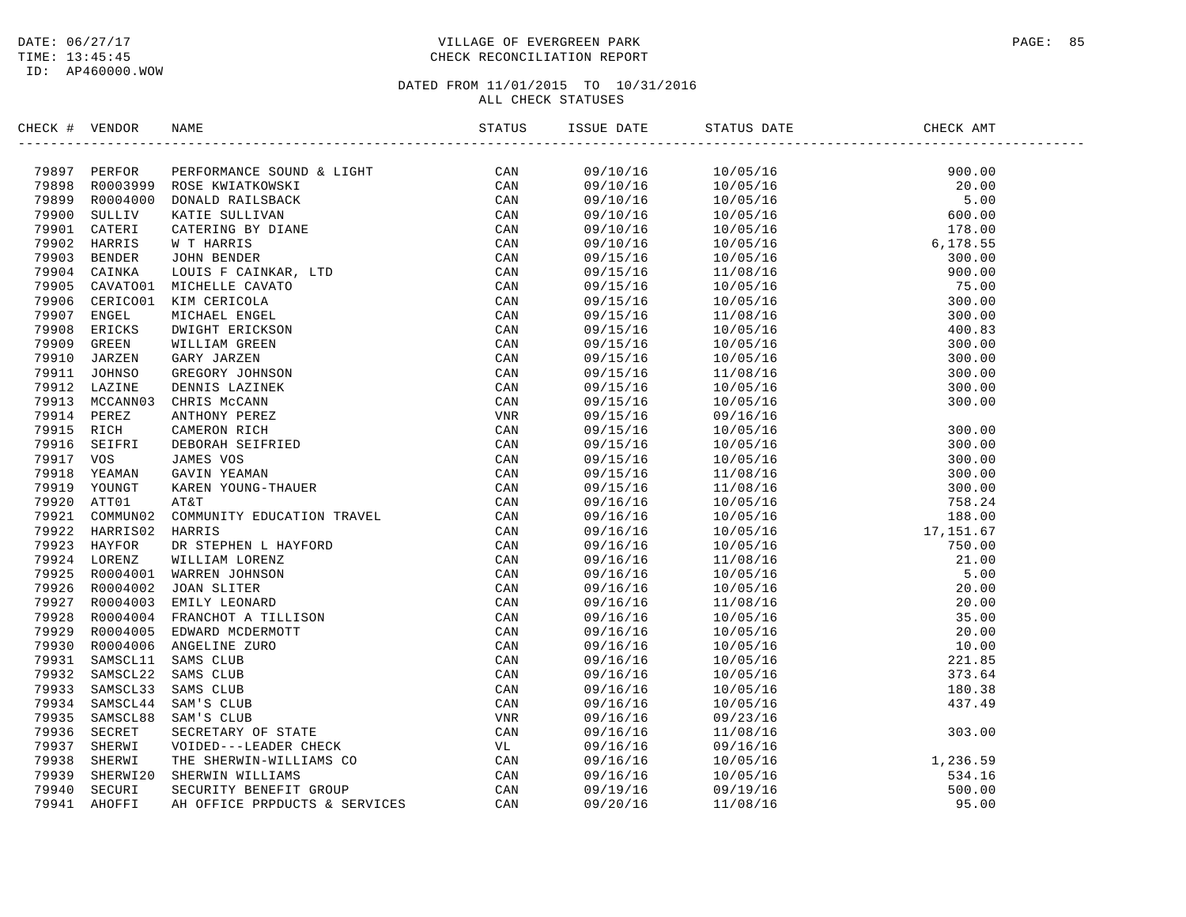### DATE:  $06/27/17$  PAGE: 85 TIME: 13:45:45 CHECK RECONCILIATION REPORT

| CHECK # VENDOR |                                                                                                                                                                                                                                                |  |  |  |
|----------------|------------------------------------------------------------------------------------------------------------------------------------------------------------------------------------------------------------------------------------------------|--|--|--|
|                | SERIES (* 1938)<br>1939 - PERIDOR MARE STATISTER (* 1811)<br>1949 - PREDICAN DE PRODUCES (* 1818)<br>1949 - RODING DONALD MALESARX (* 1818)<br>1959 - RODING DONALD MALES STATISTER (* 1818)<br>1959 - RODING CARRING CARRING (* 1818)<br>1959 |  |  |  |
|                |                                                                                                                                                                                                                                                |  |  |  |
|                |                                                                                                                                                                                                                                                |  |  |  |
|                |                                                                                                                                                                                                                                                |  |  |  |
|                |                                                                                                                                                                                                                                                |  |  |  |
|                |                                                                                                                                                                                                                                                |  |  |  |
|                |                                                                                                                                                                                                                                                |  |  |  |
|                |                                                                                                                                                                                                                                                |  |  |  |
|                |                                                                                                                                                                                                                                                |  |  |  |
|                |                                                                                                                                                                                                                                                |  |  |  |
|                |                                                                                                                                                                                                                                                |  |  |  |
|                |                                                                                                                                                                                                                                                |  |  |  |
|                |                                                                                                                                                                                                                                                |  |  |  |
|                |                                                                                                                                                                                                                                                |  |  |  |
|                |                                                                                                                                                                                                                                                |  |  |  |
|                |                                                                                                                                                                                                                                                |  |  |  |
|                |                                                                                                                                                                                                                                                |  |  |  |
|                |                                                                                                                                                                                                                                                |  |  |  |
|                |                                                                                                                                                                                                                                                |  |  |  |
|                |                                                                                                                                                                                                                                                |  |  |  |
|                |                                                                                                                                                                                                                                                |  |  |  |
|                |                                                                                                                                                                                                                                                |  |  |  |
|                |                                                                                                                                                                                                                                                |  |  |  |
|                |                                                                                                                                                                                                                                                |  |  |  |
|                |                                                                                                                                                                                                                                                |  |  |  |
|                |                                                                                                                                                                                                                                                |  |  |  |
|                |                                                                                                                                                                                                                                                |  |  |  |
|                |                                                                                                                                                                                                                                                |  |  |  |
|                |                                                                                                                                                                                                                                                |  |  |  |
|                |                                                                                                                                                                                                                                                |  |  |  |
|                |                                                                                                                                                                                                                                                |  |  |  |
|                |                                                                                                                                                                                                                                                |  |  |  |
|                |                                                                                                                                                                                                                                                |  |  |  |
|                |                                                                                                                                                                                                                                                |  |  |  |
|                |                                                                                                                                                                                                                                                |  |  |  |
|                |                                                                                                                                                                                                                                                |  |  |  |
|                |                                                                                                                                                                                                                                                |  |  |  |
|                |                                                                                                                                                                                                                                                |  |  |  |
|                |                                                                                                                                                                                                                                                |  |  |  |
|                |                                                                                                                                                                                                                                                |  |  |  |
|                |                                                                                                                                                                                                                                                |  |  |  |
|                |                                                                                                                                                                                                                                                |  |  |  |
|                |                                                                                                                                                                                                                                                |  |  |  |
|                |                                                                                                                                                                                                                                                |  |  |  |
|                |                                                                                                                                                                                                                                                |  |  |  |
|                |                                                                                                                                                                                                                                                |  |  |  |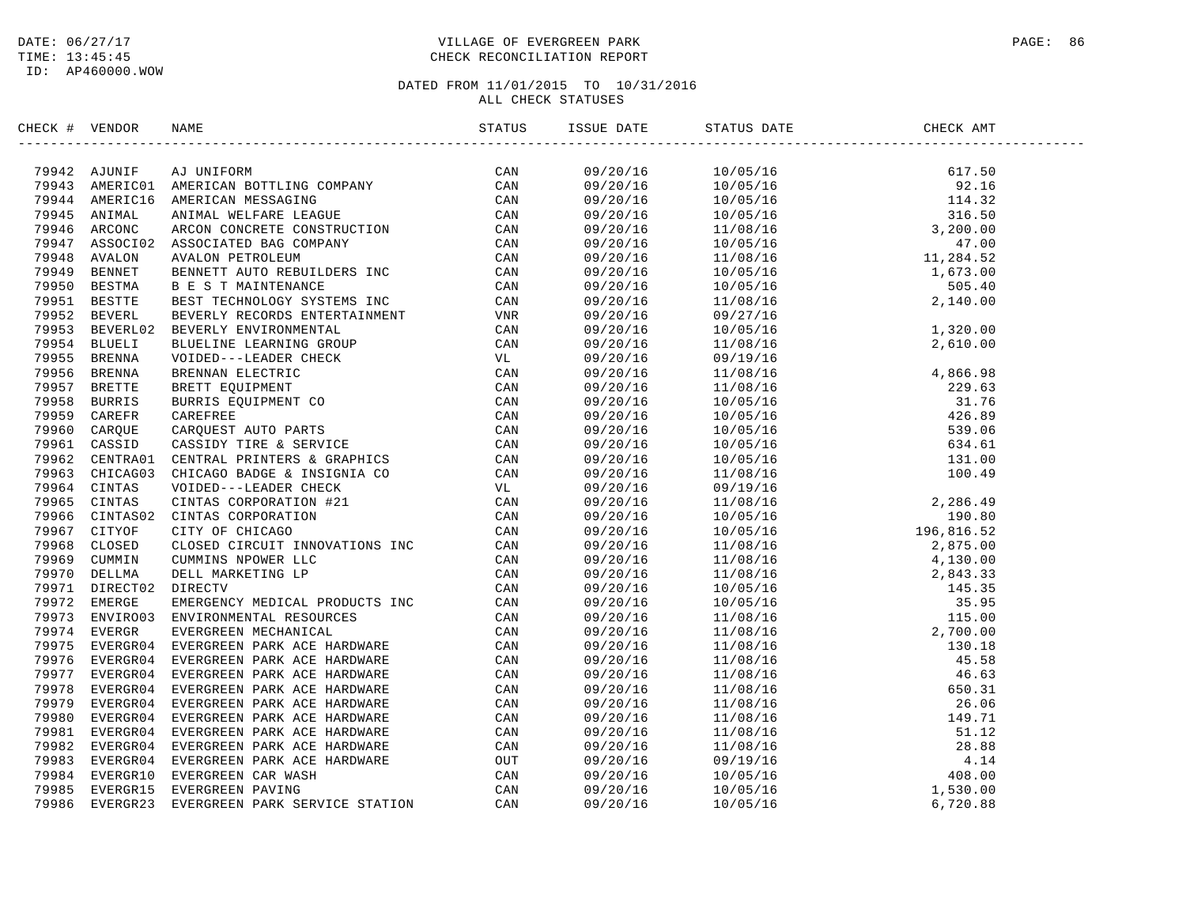### DATE:  $06/27/17$  PAGE: 86 TIME: 13:45:45 CHECK RECONCILIATION REPORT

| CHECK # VENDOR | NAME                                                                                                                                                                                                                                                                                                                                                                                                                                | STATUS | ISSUE DATE | STATUS DATE                                                                                                                                                                                                                                                                                                                                                                                                                                                                   | CHECK AMT |  |
|----------------|-------------------------------------------------------------------------------------------------------------------------------------------------------------------------------------------------------------------------------------------------------------------------------------------------------------------------------------------------------------------------------------------------------------------------------------|--------|------------|-------------------------------------------------------------------------------------------------------------------------------------------------------------------------------------------------------------------------------------------------------------------------------------------------------------------------------------------------------------------------------------------------------------------------------------------------------------------------------|-----------|--|
|                | $\begin{tabular}{cccccccc} \textbf{m} & \textbf{0} & \textbf{0} & \textbf{0} & \textbf{0} & \textbf{0} & \textbf{0} & \textbf{0} & \textbf{0} & \textbf{0} & \textbf{0} & \textbf{0} & \textbf{0} & \textbf{0} & \textbf{0} & \textbf{0} & \textbf{0} & \textbf{0} & \textbf{0} & \textbf{0} & \textbf{0} & \textbf{0} & \textbf{0} & \textbf{0} & \textbf{0} & \textbf{0} & \textbf{0} & \textbf{0} & \textbf{0} & \textbf{0} & \$ |        | 09/20/16   | $\begin{tabular}{l c c c c} \hline \multicolumn{1}{c}{\multicolumn{1}{c}{\multicolumn{1}{c}{\multicolumn{1}{c}{\multicolumn{1}{c}{\multicolumn{1}{c}{\multicolumn{1}{c}{\multicolumn{1}{c}{\multicolumn{1}{c}{\multicolumn{1}{c}{\multicolumn{1}{c}{\multicolumn{1}{c}{\multicolumn{1}{c}{\multicolumn{1}{c}{\multicolumn{1}{c}{\multicolumn{1}{c}{\multicolumn{1}{c}{\multicolumn{1}{c}{\multicolumn{1}{c}{\multicolumn{1}{c}{\multicolumn{1}{c}{\multicolumn{1}{c}{\multic$ |           |  |
|                |                                                                                                                                                                                                                                                                                                                                                                                                                                     |        | 09/20/16   |                                                                                                                                                                                                                                                                                                                                                                                                                                                                               |           |  |
|                |                                                                                                                                                                                                                                                                                                                                                                                                                                     |        | 09/20/16   |                                                                                                                                                                                                                                                                                                                                                                                                                                                                               |           |  |
|                |                                                                                                                                                                                                                                                                                                                                                                                                                                     |        | 09/20/16   |                                                                                                                                                                                                                                                                                                                                                                                                                                                                               |           |  |
|                |                                                                                                                                                                                                                                                                                                                                                                                                                                     |        | 09/20/16   |                                                                                                                                                                                                                                                                                                                                                                                                                                                                               |           |  |
|                |                                                                                                                                                                                                                                                                                                                                                                                                                                     |        | 09/20/16   |                                                                                                                                                                                                                                                                                                                                                                                                                                                                               |           |  |
|                |                                                                                                                                                                                                                                                                                                                                                                                                                                     |        | 09/20/16   |                                                                                                                                                                                                                                                                                                                                                                                                                                                                               |           |  |
|                |                                                                                                                                                                                                                                                                                                                                                                                                                                     |        | 09/20/16   |                                                                                                                                                                                                                                                                                                                                                                                                                                                                               |           |  |
|                |                                                                                                                                                                                                                                                                                                                                                                                                                                     |        | 09/20/16   |                                                                                                                                                                                                                                                                                                                                                                                                                                                                               |           |  |
|                |                                                                                                                                                                                                                                                                                                                                                                                                                                     |        | 09/20/16   |                                                                                                                                                                                                                                                                                                                                                                                                                                                                               |           |  |
|                |                                                                                                                                                                                                                                                                                                                                                                                                                                     |        | 09/20/16   |                                                                                                                                                                                                                                                                                                                                                                                                                                                                               |           |  |
|                |                                                                                                                                                                                                                                                                                                                                                                                                                                     |        | 09/20/16   |                                                                                                                                                                                                                                                                                                                                                                                                                                                                               |           |  |
|                |                                                                                                                                                                                                                                                                                                                                                                                                                                     |        | 09/20/16   |                                                                                                                                                                                                                                                                                                                                                                                                                                                                               |           |  |
|                |                                                                                                                                                                                                                                                                                                                                                                                                                                     |        | 09/20/16   |                                                                                                                                                                                                                                                                                                                                                                                                                                                                               |           |  |
|                |                                                                                                                                                                                                                                                                                                                                                                                                                                     |        | 09/20/16   |                                                                                                                                                                                                                                                                                                                                                                                                                                                                               |           |  |
|                |                                                                                                                                                                                                                                                                                                                                                                                                                                     |        | 09/20/16   |                                                                                                                                                                                                                                                                                                                                                                                                                                                                               |           |  |
|                |                                                                                                                                                                                                                                                                                                                                                                                                                                     |        |            |                                                                                                                                                                                                                                                                                                                                                                                                                                                                               |           |  |
|                |                                                                                                                                                                                                                                                                                                                                                                                                                                     |        | 09/20/16   |                                                                                                                                                                                                                                                                                                                                                                                                                                                                               |           |  |
|                |                                                                                                                                                                                                                                                                                                                                                                                                                                     |        | 09/20/16   |                                                                                                                                                                                                                                                                                                                                                                                                                                                                               |           |  |
|                |                                                                                                                                                                                                                                                                                                                                                                                                                                     |        | 09/20/16   |                                                                                                                                                                                                                                                                                                                                                                                                                                                                               |           |  |
|                |                                                                                                                                                                                                                                                                                                                                                                                                                                     |        | 09/20/16   |                                                                                                                                                                                                                                                                                                                                                                                                                                                                               |           |  |
|                |                                                                                                                                                                                                                                                                                                                                                                                                                                     |        | 09/20/16   |                                                                                                                                                                                                                                                                                                                                                                                                                                                                               |           |  |
|                |                                                                                                                                                                                                                                                                                                                                                                                                                                     |        | 09/20/16   |                                                                                                                                                                                                                                                                                                                                                                                                                                                                               |           |  |
|                |                                                                                                                                                                                                                                                                                                                                                                                                                                     |        | 09/20/16   |                                                                                                                                                                                                                                                                                                                                                                                                                                                                               |           |  |
|                |                                                                                                                                                                                                                                                                                                                                                                                                                                     |        | 09/20/16   |                                                                                                                                                                                                                                                                                                                                                                                                                                                                               |           |  |
|                |                                                                                                                                                                                                                                                                                                                                                                                                                                     |        | 09/20/16   |                                                                                                                                                                                                                                                                                                                                                                                                                                                                               |           |  |
|                |                                                                                                                                                                                                                                                                                                                                                                                                                                     |        | 09/20/16   |                                                                                                                                                                                                                                                                                                                                                                                                                                                                               |           |  |
|                |                                                                                                                                                                                                                                                                                                                                                                                                                                     |        | 09/20/16   |                                                                                                                                                                                                                                                                                                                                                                                                                                                                               |           |  |
|                |                                                                                                                                                                                                                                                                                                                                                                                                                                     |        | 09/20/16   |                                                                                                                                                                                                                                                                                                                                                                                                                                                                               |           |  |
|                |                                                                                                                                                                                                                                                                                                                                                                                                                                     |        | 09/20/16   |                                                                                                                                                                                                                                                                                                                                                                                                                                                                               |           |  |
|                |                                                                                                                                                                                                                                                                                                                                                                                                                                     |        | 09/20/16   |                                                                                                                                                                                                                                                                                                                                                                                                                                                                               |           |  |
|                |                                                                                                                                                                                                                                                                                                                                                                                                                                     |        | 09/20/16   |                                                                                                                                                                                                                                                                                                                                                                                                                                                                               |           |  |
|                |                                                                                                                                                                                                                                                                                                                                                                                                                                     |        | 09/20/16   |                                                                                                                                                                                                                                                                                                                                                                                                                                                                               |           |  |
|                |                                                                                                                                                                                                                                                                                                                                                                                                                                     |        | 09/20/16   |                                                                                                                                                                                                                                                                                                                                                                                                                                                                               |           |  |
|                |                                                                                                                                                                                                                                                                                                                                                                                                                                     |        | 09/20/16   |                                                                                                                                                                                                                                                                                                                                                                                                                                                                               |           |  |
|                |                                                                                                                                                                                                                                                                                                                                                                                                                                     |        | 09/20/16   |                                                                                                                                                                                                                                                                                                                                                                                                                                                                               |           |  |
|                |                                                                                                                                                                                                                                                                                                                                                                                                                                     |        | 09/20/16   |                                                                                                                                                                                                                                                                                                                                                                                                                                                                               |           |  |
|                |                                                                                                                                                                                                                                                                                                                                                                                                                                     |        | 09/20/16   |                                                                                                                                                                                                                                                                                                                                                                                                                                                                               |           |  |
|                |                                                                                                                                                                                                                                                                                                                                                                                                                                     |        | 09/20/16   |                                                                                                                                                                                                                                                                                                                                                                                                                                                                               |           |  |
|                |                                                                                                                                                                                                                                                                                                                                                                                                                                     |        | 09/20/16   |                                                                                                                                                                                                                                                                                                                                                                                                                                                                               |           |  |
|                |                                                                                                                                                                                                                                                                                                                                                                                                                                     |        | 09/20/16   |                                                                                                                                                                                                                                                                                                                                                                                                                                                                               |           |  |
|                |                                                                                                                                                                                                                                                                                                                                                                                                                                     |        | 09/20/16   |                                                                                                                                                                                                                                                                                                                                                                                                                                                                               |           |  |
|                |                                                                                                                                                                                                                                                                                                                                                                                                                                     |        | 09/20/16   |                                                                                                                                                                                                                                                                                                                                                                                                                                                                               |           |  |
|                |                                                                                                                                                                                                                                                                                                                                                                                                                                     |        | 09/20/16   |                                                                                                                                                                                                                                                                                                                                                                                                                                                                               |           |  |
|                |                                                                                                                                                                                                                                                                                                                                                                                                                                     |        | 09/20/16   |                                                                                                                                                                                                                                                                                                                                                                                                                                                                               |           |  |
|                |                                                                                                                                                                                                                                                                                                                                                                                                                                     |        | 09/20/16   |                                                                                                                                                                                                                                                                                                                                                                                                                                                                               |           |  |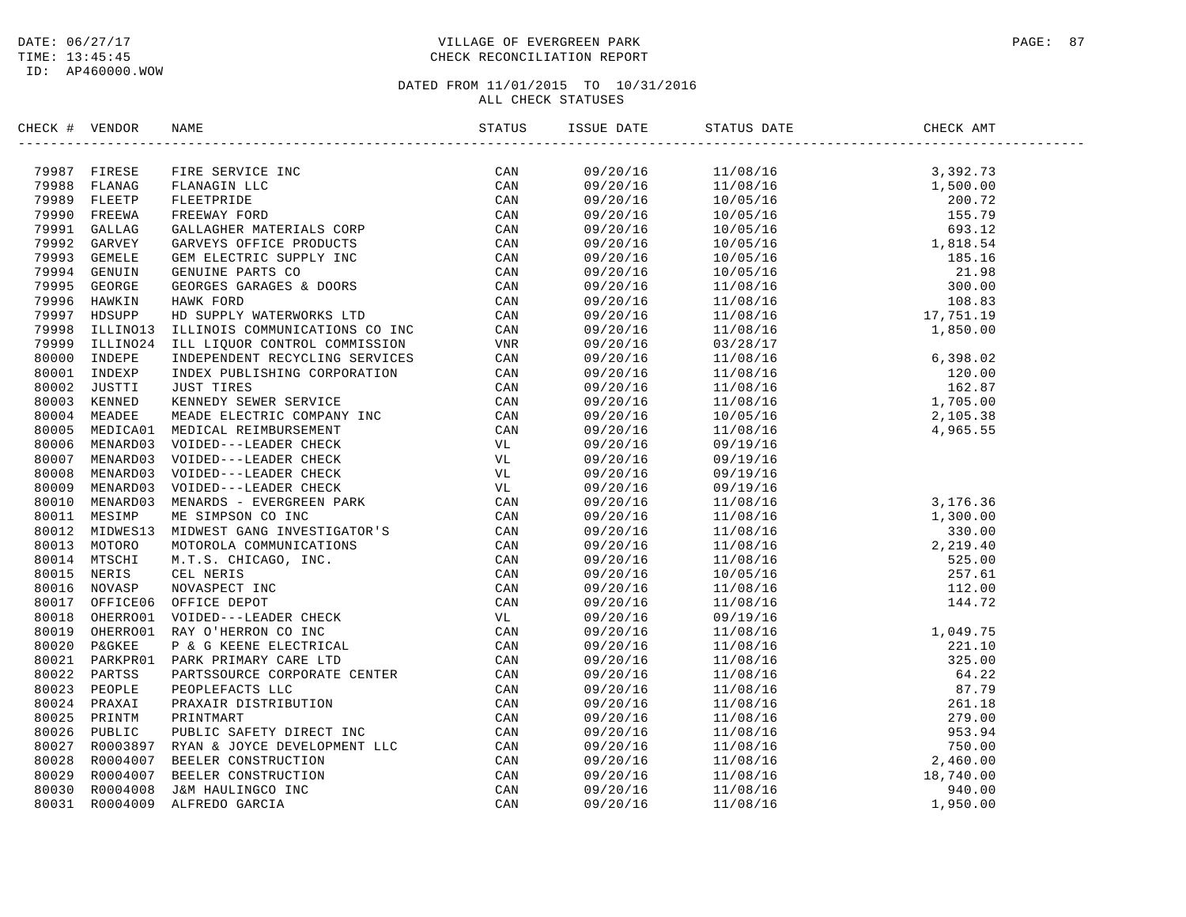### DATE:  $06/27/17$  PAGE: 87 TIME: 13:45:45 CHECK RECONCILIATION REPORT

| CHECK # VENDOR |                              | NAME                                                                                                                                                                                                                                                 |     | ISSUE DATE           | STATUS DATE                        | CHECK AMT |  |
|----------------|------------------------------|------------------------------------------------------------------------------------------------------------------------------------------------------------------------------------------------------------------------------------------------------|-----|----------------------|------------------------------------|-----------|--|
|                |                              | FIRE SERVICE INC<br>FLANAGIN LLC<br>FLEETPRIDE CAN<br>FREEWAY FORD CAN<br>GALLAGHER MATERIALS CORP CAN<br>GARVEYS OFFICE PRODUCTS CAN<br>GENUINE PARTS CO<br>GENUINE PARTS CO<br>GENUINE PARTS CO<br>HAWK FORD CAN<br>HAWK FORD CAN<br>HAWK FORD CAN |     |                      |                                    |           |  |
|                | 79987 FIRESE                 |                                                                                                                                                                                                                                                      | CAN |                      |                                    |           |  |
|                | 79988 FLANAG                 |                                                                                                                                                                                                                                                      |     |                      |                                    |           |  |
|                | 79989 FLEETP                 |                                                                                                                                                                                                                                                      |     |                      |                                    |           |  |
|                | 79990 FREEWA                 |                                                                                                                                                                                                                                                      |     |                      |                                    |           |  |
|                | 79991 GALLAG                 |                                                                                                                                                                                                                                                      |     |                      |                                    |           |  |
|                | 79992 GARVEY                 |                                                                                                                                                                                                                                                      |     |                      |                                    |           |  |
|                | 79993 GEMELE<br>79994 GENUIN |                                                                                                                                                                                                                                                      |     |                      |                                    |           |  |
|                | 79995 GEORGE                 |                                                                                                                                                                                                                                                      |     |                      |                                    |           |  |
|                | 79996 HAWKIN                 |                                                                                                                                                                                                                                                      |     |                      |                                    |           |  |
|                | 79997 HDSUPP                 |                                                                                                                                                                                                                                                      |     |                      |                                    |           |  |
|                |                              |                                                                                                                                                                                                                                                      |     |                      |                                    |           |  |
|                |                              |                                                                                                                                                                                                                                                      |     |                      |                                    |           |  |
|                |                              |                                                                                                                                                                                                                                                      |     |                      |                                    |           |  |
|                |                              |                                                                                                                                                                                                                                                      |     |                      |                                    |           |  |
|                |                              |                                                                                                                                                                                                                                                      |     |                      |                                    |           |  |
|                |                              |                                                                                                                                                                                                                                                      |     |                      |                                    |           |  |
|                |                              |                                                                                                                                                                                                                                                      |     |                      |                                    |           |  |
|                |                              |                                                                                                                                                                                                                                                      |     |                      |                                    |           |  |
|                |                              |                                                                                                                                                                                                                                                      |     | 09/20/16             | $11/08/16$<br>09/19/16<br>09/19/16 |           |  |
|                |                              |                                                                                                                                                                                                                                                      |     | 09/20/16             | 09/19/16                           |           |  |
|                |                              |                                                                                                                                                                                                                                                      |     |                      | 09/19/16                           |           |  |
|                |                              |                                                                                                                                                                                                                                                      |     | 09/20/16<br>09/20/16 |                                    |           |  |
|                |                              |                                                                                                                                                                                                                                                      |     |                      |                                    |           |  |
|                |                              |                                                                                                                                                                                                                                                      |     |                      |                                    |           |  |
|                |                              |                                                                                                                                                                                                                                                      |     |                      |                                    |           |  |
|                |                              |                                                                                                                                                                                                                                                      |     |                      |                                    |           |  |
|                |                              |                                                                                                                                                                                                                                                      |     |                      |                                    |           |  |
|                |                              |                                                                                                                                                                                                                                                      |     |                      |                                    |           |  |
|                |                              |                                                                                                                                                                                                                                                      |     |                      |                                    |           |  |
|                |                              |                                                                                                                                                                                                                                                      |     |                      |                                    |           |  |
|                |                              |                                                                                                                                                                                                                                                      |     |                      |                                    |           |  |
|                |                              |                                                                                                                                                                                                                                                      |     |                      |                                    |           |  |
|                |                              |                                                                                                                                                                                                                                                      |     |                      |                                    |           |  |
|                |                              |                                                                                                                                                                                                                                                      |     |                      |                                    |           |  |
|                |                              |                                                                                                                                                                                                                                                      |     |                      |                                    |           |  |
|                |                              |                                                                                                                                                                                                                                                      |     |                      |                                    |           |  |
|                |                              |                                                                                                                                                                                                                                                      |     |                      |                                    |           |  |
|                |                              |                                                                                                                                                                                                                                                      |     |                      |                                    |           |  |
|                |                              |                                                                                                                                                                                                                                                      |     |                      |                                    |           |  |
|                |                              | 7999 HAWKIN HAWK FORD COMMITCATIONS O TON CAN FIGHER CONTROLLING ON THE RESULTING ON THE SUPER THE SCONE CAN SUPER THE SCONE CONTROL CONTROLLING SO THE SUPER THE SUPER THE SCONE CONTROL CONTROLLING SO TO THE SUPER THE STAN                       |     |                      |                                    |           |  |
|                |                              |                                                                                                                                                                                                                                                      |     |                      |                                    |           |  |
|                |                              |                                                                                                                                                                                                                                                      |     |                      |                                    |           |  |
|                |                              |                                                                                                                                                                                                                                                      |     |                      |                                    |           |  |
|                |                              |                                                                                                                                                                                                                                                      |     |                      |                                    |           |  |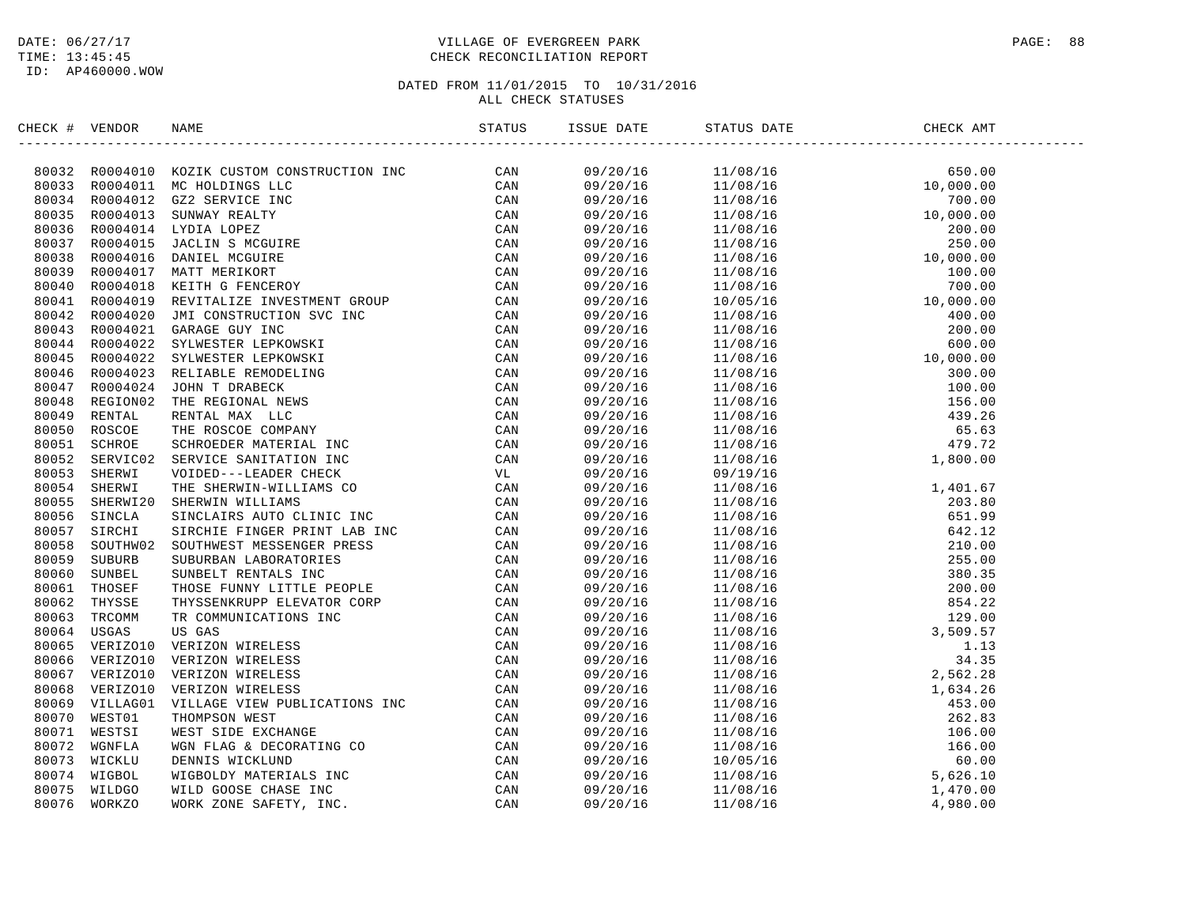### DATE:  $06/27/17$  PAGE: 88 TIME: 13:45:45 CHECK RECONCILIATION REPORT

| CHECK # VENDOR | NAME | ISSUE DATE | STATUS DATE | CHECK AMT |
|----------------|------|------------|-------------|-----------|
|                |      |            |             |           |
|                |      |            |             |           |
|                |      |            |             |           |
|                |      |            |             |           |
|                |      |            |             |           |
|                |      |            |             |           |
|                |      |            |             |           |
|                |      |            |             |           |
|                |      |            |             |           |
|                |      |            |             |           |
|                |      |            |             |           |
|                |      |            |             |           |
|                |      |            |             |           |
|                |      |            |             |           |
|                |      |            |             |           |
|                |      |            |             |           |
|                |      |            |             |           |
|                |      |            |             |           |
|                |      |            |             |           |
|                |      |            |             |           |
|                |      |            |             |           |
|                |      |            |             |           |
|                |      |            |             |           |
|                |      |            |             |           |
|                |      |            |             |           |
|                |      |            |             |           |
|                |      |            |             |           |
|                |      |            |             |           |
|                |      |            |             |           |
|                |      |            |             |           |
|                |      |            |             |           |
|                |      |            |             |           |
|                |      |            |             |           |
|                |      |            |             |           |
|                |      |            |             |           |
|                |      |            |             |           |
|                |      |            |             |           |
|                |      |            |             |           |
|                |      |            |             |           |
|                |      |            |             |           |
|                |      |            |             |           |
|                |      |            |             |           |
|                |      |            |             |           |
|                |      |            |             |           |
|                |      |            |             |           |
|                |      |            |             |           |
|                |      |            |             |           |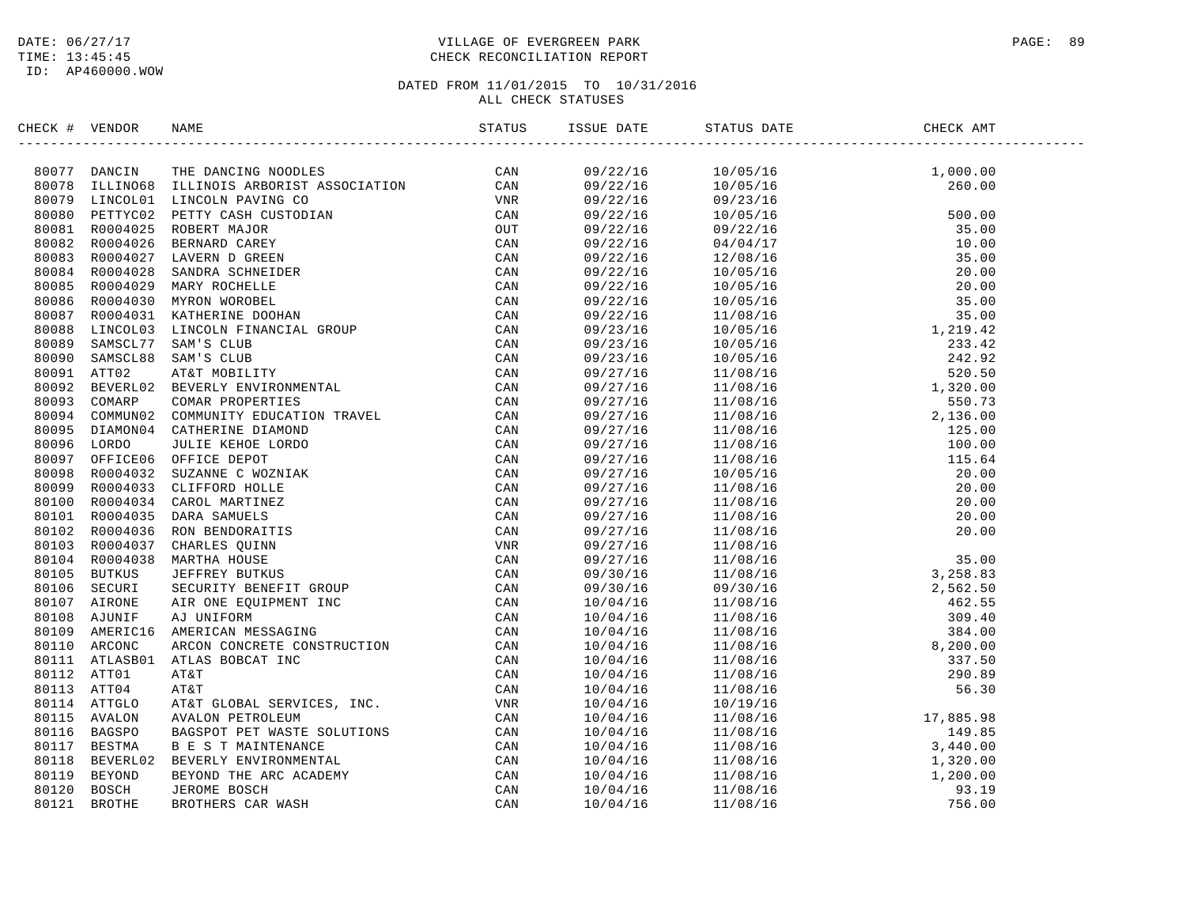### DATE:  $06/27/17$  PAGE: 89 TIME: 13:45:45 CHECK RECONCILIATION REPORT

| CHECK # VENDOR | NAME                                                                                                                                                                                                                                  | ISSUE DATE | STATUS DATE | CHECK AMT |  |
|----------------|---------------------------------------------------------------------------------------------------------------------------------------------------------------------------------------------------------------------------------------|------------|-------------|-----------|--|
|                | NECK + VENDOR<br>HERE AND TRANSIS IN DERIVATION CODES<br>SOUTH TRANSIS ILLINOIS ARROSTET ASSOCIATION CAN<br>SOUTH LINOIS ILLINOIS ARROSTET ASSOCIATION VAN AND CAN<br>SOUTH INCOLOR IN CONSUMING CORRESPONDING CAN ARROW OF THE CONSU |            |             |           |  |
|                |                                                                                                                                                                                                                                       |            |             |           |  |
|                |                                                                                                                                                                                                                                       |            |             |           |  |
|                |                                                                                                                                                                                                                                       |            |             |           |  |
|                |                                                                                                                                                                                                                                       |            |             |           |  |
|                |                                                                                                                                                                                                                                       |            |             |           |  |
|                |                                                                                                                                                                                                                                       |            |             |           |  |
|                |                                                                                                                                                                                                                                       |            |             |           |  |
|                |                                                                                                                                                                                                                                       |            |             |           |  |
|                |                                                                                                                                                                                                                                       |            |             |           |  |
|                |                                                                                                                                                                                                                                       |            |             |           |  |
|                |                                                                                                                                                                                                                                       |            |             |           |  |
|                |                                                                                                                                                                                                                                       |            |             |           |  |
|                |                                                                                                                                                                                                                                       |            |             |           |  |
|                |                                                                                                                                                                                                                                       |            |             |           |  |
|                |                                                                                                                                                                                                                                       |            |             |           |  |
|                |                                                                                                                                                                                                                                       |            |             |           |  |
|                |                                                                                                                                                                                                                                       |            |             |           |  |
|                |                                                                                                                                                                                                                                       |            |             |           |  |
|                |                                                                                                                                                                                                                                       |            |             |           |  |
|                |                                                                                                                                                                                                                                       |            |             |           |  |
|                |                                                                                                                                                                                                                                       |            |             |           |  |
|                |                                                                                                                                                                                                                                       |            |             |           |  |
|                |                                                                                                                                                                                                                                       |            |             |           |  |
|                |                                                                                                                                                                                                                                       |            |             |           |  |
|                |                                                                                                                                                                                                                                       |            |             |           |  |
|                |                                                                                                                                                                                                                                       |            |             |           |  |
|                |                                                                                                                                                                                                                                       |            |             |           |  |
|                |                                                                                                                                                                                                                                       |            |             |           |  |
|                |                                                                                                                                                                                                                                       |            |             |           |  |
|                |                                                                                                                                                                                                                                       |            |             |           |  |
|                |                                                                                                                                                                                                                                       |            |             |           |  |
|                |                                                                                                                                                                                                                                       |            |             |           |  |
|                |                                                                                                                                                                                                                                       |            |             |           |  |
|                |                                                                                                                                                                                                                                       |            |             |           |  |
|                |                                                                                                                                                                                                                                       |            |             |           |  |
|                |                                                                                                                                                                                                                                       |            |             |           |  |
|                |                                                                                                                                                                                                                                       |            |             |           |  |
|                |                                                                                                                                                                                                                                       |            |             |           |  |
|                |                                                                                                                                                                                                                                       |            |             |           |  |
|                |                                                                                                                                                                                                                                       |            |             |           |  |
|                |                                                                                                                                                                                                                                       |            |             |           |  |
|                |                                                                                                                                                                                                                                       |            |             |           |  |
|                |                                                                                                                                                                                                                                       |            |             |           |  |
|                |                                                                                                                                                                                                                                       |            |             |           |  |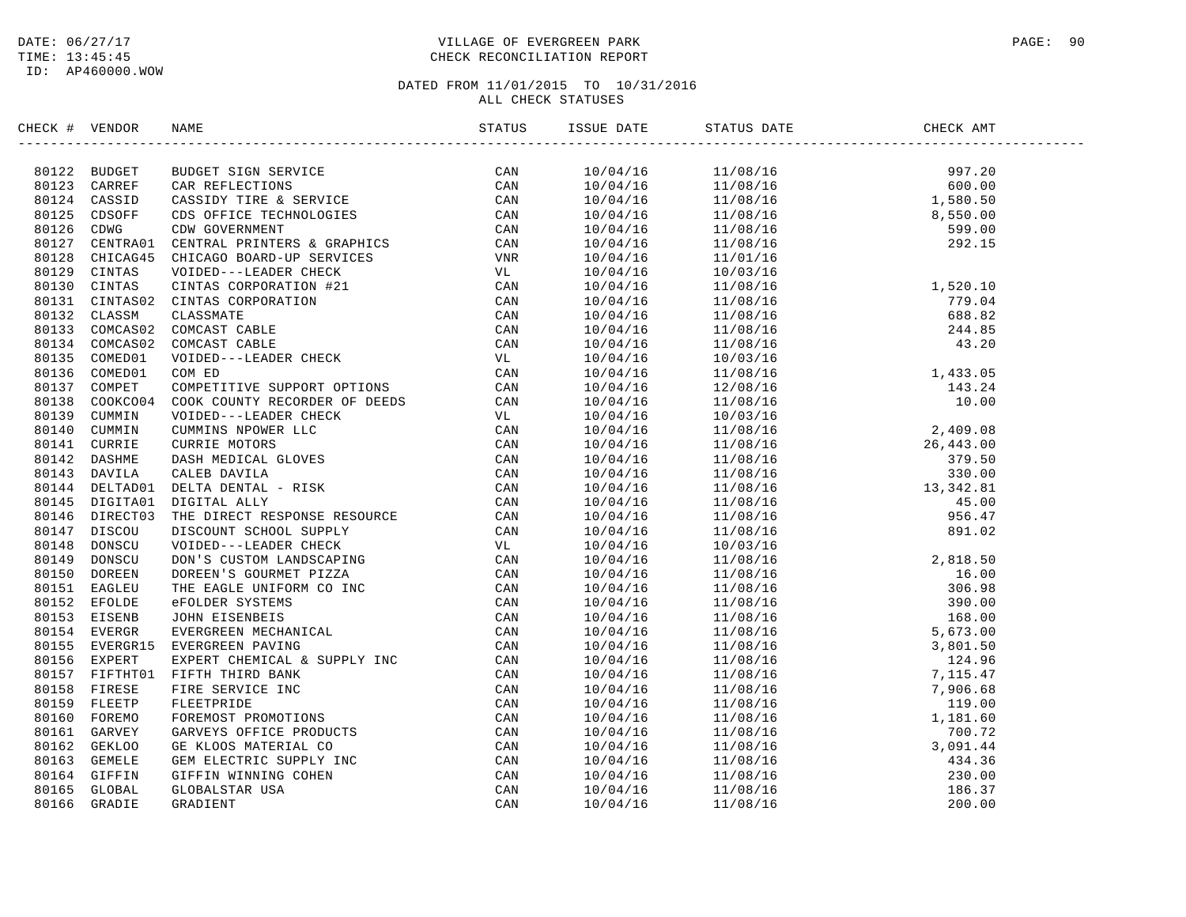### DATE:  $06/27/17$  PAGE: 90 TIME: 13:45:45 CHECK RECONCILIATION REPORT

| CHECK # VENDOR | NAME                                                                                                                                                                                                                                                                                                                                                                                                                                |     | ISSUE DATE | STATUS DATE                                                                                                                                                                                                                                                                                 | CHECK AMT |  |
|----------------|-------------------------------------------------------------------------------------------------------------------------------------------------------------------------------------------------------------------------------------------------------------------------------------------------------------------------------------------------------------------------------------------------------------------------------------|-----|------------|---------------------------------------------------------------------------------------------------------------------------------------------------------------------------------------------------------------------------------------------------------------------------------------------|-----------|--|
|                | $\begin{tabular}{cccccccc} \textbf{1} & \textbf{1} & \textbf{2} & \textbf{3} & \textbf{3} & \textbf{3} & \textbf{3} & \textbf{3} & \textbf{3} & \textbf{3} & \textbf{3} & \textbf{3} & \textbf{3} & \textbf{3} & \textbf{3} & \textbf{3} & \textbf{3} & \textbf{3} & \textbf{3} & \textbf{3} & \textbf{3} & \textbf{3} & \textbf{3} & \textbf{3} & \textbf{3} & \textbf{3} & \textbf{3} & \textbf{3} & \textbf{3} & \textbf{3} & \$ | CAN |            |                                                                                                                                                                                                                                                                                             |           |  |
|                |                                                                                                                                                                                                                                                                                                                                                                                                                                     |     |            | $\begin{array}{cccc} 10/04/16 & 11/08/16 & 997.20 \\ 10/04/16 & 11/08/16 & 600.00 \\ 10/04/16 & 11/08/16 & 1,580.50 \\ 10/04/16 & 11/08/16 & 8,550.00 \\ 10/04/16 & 11/08/16 & 599.00 \\ 10/04/16 & 11/08/16 & 599.00 \\ 10/04/16 & 11/01/16 & 292.15 \\ 10/04/16 & 10$                     |           |  |
|                |                                                                                                                                                                                                                                                                                                                                                                                                                                     |     |            |                                                                                                                                                                                                                                                                                             |           |  |
|                |                                                                                                                                                                                                                                                                                                                                                                                                                                     |     |            |                                                                                                                                                                                                                                                                                             |           |  |
|                |                                                                                                                                                                                                                                                                                                                                                                                                                                     |     |            |                                                                                                                                                                                                                                                                                             |           |  |
|                |                                                                                                                                                                                                                                                                                                                                                                                                                                     |     |            |                                                                                                                                                                                                                                                                                             |           |  |
|                |                                                                                                                                                                                                                                                                                                                                                                                                                                     |     |            |                                                                                                                                                                                                                                                                                             |           |  |
|                |                                                                                                                                                                                                                                                                                                                                                                                                                                     |     | 10/04/16   |                                                                                                                                                                                                                                                                                             |           |  |
|                |                                                                                                                                                                                                                                                                                                                                                                                                                                     |     |            | 10/03/16                                                                                                                                                                                                                                                                                    |           |  |
|                |                                                                                                                                                                                                                                                                                                                                                                                                                                     |     | 10/04/16   |                                                                                                                                                                                                                                                                                             |           |  |
|                |                                                                                                                                                                                                                                                                                                                                                                                                                                     |     | 10/04/16   |                                                                                                                                                                                                                                                                                             |           |  |
|                |                                                                                                                                                                                                                                                                                                                                                                                                                                     |     | 10/04/16   |                                                                                                                                                                                                                                                                                             |           |  |
|                |                                                                                                                                                                                                                                                                                                                                                                                                                                     |     | 10/04/16   |                                                                                                                                                                                                                                                                                             |           |  |
|                |                                                                                                                                                                                                                                                                                                                                                                                                                                     |     | 10/04/16   |                                                                                                                                                                                                                                                                                             |           |  |
|                |                                                                                                                                                                                                                                                                                                                                                                                                                                     |     | 10/04/16   |                                                                                                                                                                                                                                                                                             |           |  |
|                |                                                                                                                                                                                                                                                                                                                                                                                                                                     |     | 10/04/16   |                                                                                                                                                                                                                                                                                             |           |  |
|                |                                                                                                                                                                                                                                                                                                                                                                                                                                     |     | 10/04/16   |                                                                                                                                                                                                                                                                                             |           |  |
|                |                                                                                                                                                                                                                                                                                                                                                                                                                                     |     | 10/04/16   |                                                                                                                                                                                                                                                                                             |           |  |
|                |                                                                                                                                                                                                                                                                                                                                                                                                                                     |     | 10/04/16   |                                                                                                                                                                                                                                                                                             |           |  |
|                |                                                                                                                                                                                                                                                                                                                                                                                                                                     |     | 10/04/16   |                                                                                                                                                                                                                                                                                             |           |  |
|                |                                                                                                                                                                                                                                                                                                                                                                                                                                     |     | 10/04/16   |                                                                                                                                                                                                                                                                                             |           |  |
|                |                                                                                                                                                                                                                                                                                                                                                                                                                                     |     | 10/04/16   |                                                                                                                                                                                                                                                                                             |           |  |
|                |                                                                                                                                                                                                                                                                                                                                                                                                                                     |     | 10/04/16   |                                                                                                                                                                                                                                                                                             |           |  |
|                |                                                                                                                                                                                                                                                                                                                                                                                                                                     |     | 10/04/16   |                                                                                                                                                                                                                                                                                             |           |  |
|                |                                                                                                                                                                                                                                                                                                                                                                                                                                     |     | 10/04/16   |                                                                                                                                                                                                                                                                                             |           |  |
|                |                                                                                                                                                                                                                                                                                                                                                                                                                                     |     | 10/04/16   |                                                                                                                                                                                                                                                                                             |           |  |
|                |                                                                                                                                                                                                                                                                                                                                                                                                                                     |     | 10/04/16   |                                                                                                                                                                                                                                                                                             |           |  |
|                |                                                                                                                                                                                                                                                                                                                                                                                                                                     |     | 10/04/16   |                                                                                                                                                                                                                                                                                             |           |  |
|                |                                                                                                                                                                                                                                                                                                                                                                                                                                     |     | 10/04/16   |                                                                                                                                                                                                                                                                                             |           |  |
|                |                                                                                                                                                                                                                                                                                                                                                                                                                                     |     | 10/04/16   |                                                                                                                                                                                                                                                                                             |           |  |
|                |                                                                                                                                                                                                                                                                                                                                                                                                                                     |     | 10/04/16   |                                                                                                                                                                                                                                                                                             |           |  |
|                |                                                                                                                                                                                                                                                                                                                                                                                                                                     |     | 10/04/16   |                                                                                                                                                                                                                                                                                             |           |  |
|                |                                                                                                                                                                                                                                                                                                                                                                                                                                     |     | 10/04/16   |                                                                                                                                                                                                                                                                                             |           |  |
|                |                                                                                                                                                                                                                                                                                                                                                                                                                                     |     | 10/04/16   |                                                                                                                                                                                                                                                                                             |           |  |
|                |                                                                                                                                                                                                                                                                                                                                                                                                                                     |     | 10/04/16   |                                                                                                                                                                                                                                                                                             |           |  |
|                |                                                                                                                                                                                                                                                                                                                                                                                                                                     |     | 10/04/16   |                                                                                                                                                                                                                                                                                             |           |  |
|                |                                                                                                                                                                                                                                                                                                                                                                                                                                     |     | 10/04/16   |                                                                                                                                                                                                                                                                                             |           |  |
|                |                                                                                                                                                                                                                                                                                                                                                                                                                                     |     | 10/04/16   |                                                                                                                                                                                                                                                                                             |           |  |
|                |                                                                                                                                                                                                                                                                                                                                                                                                                                     |     | 10/04/16   |                                                                                                                                                                                                                                                                                             |           |  |
|                |                                                                                                                                                                                                                                                                                                                                                                                                                                     |     | 10/04/16   |                                                                                                                                                                                                                                                                                             |           |  |
|                |                                                                                                                                                                                                                                                                                                                                                                                                                                     |     | 10/04/16   |                                                                                                                                                                                                                                                                                             |           |  |
|                |                                                                                                                                                                                                                                                                                                                                                                                                                                     |     | 10/04/16   | $\begin{tabular}{l c c c} $11/01/16$ & $17/01/16$ \\ $11/03/16$ & $17/08/16$ \\ $11/08/16$ & $779.04$ \\ $11/08/16$ & $78.010$ \\ $11/08/16$ & $78.010$ \\ $11/08/16$ & $88.83$ \\ $11/08/16$ & $43.20$ \\ $11/08/16$ & $43.20$ \\ $11/08/16$ & $43.20$ \\ $11/08/16$ & $14.85$ \\ $11/08/$ |           |  |
|                |                                                                                                                                                                                                                                                                                                                                                                                                                                     |     | 10/04/16   |                                                                                                                                                                                                                                                                                             |           |  |
|                |                                                                                                                                                                                                                                                                                                                                                                                                                                     |     | 10/04/16   |                                                                                                                                                                                                                                                                                             |           |  |
|                |                                                                                                                                                                                                                                                                                                                                                                                                                                     |     | 10/04/16   |                                                                                                                                                                                                                                                                                             |           |  |
|                |                                                                                                                                                                                                                                                                                                                                                                                                                                     |     | 10/04/16   |                                                                                                                                                                                                                                                                                             |           |  |
|                |                                                                                                                                                                                                                                                                                                                                                                                                                                     |     |            |                                                                                                                                                                                                                                                                                             |           |  |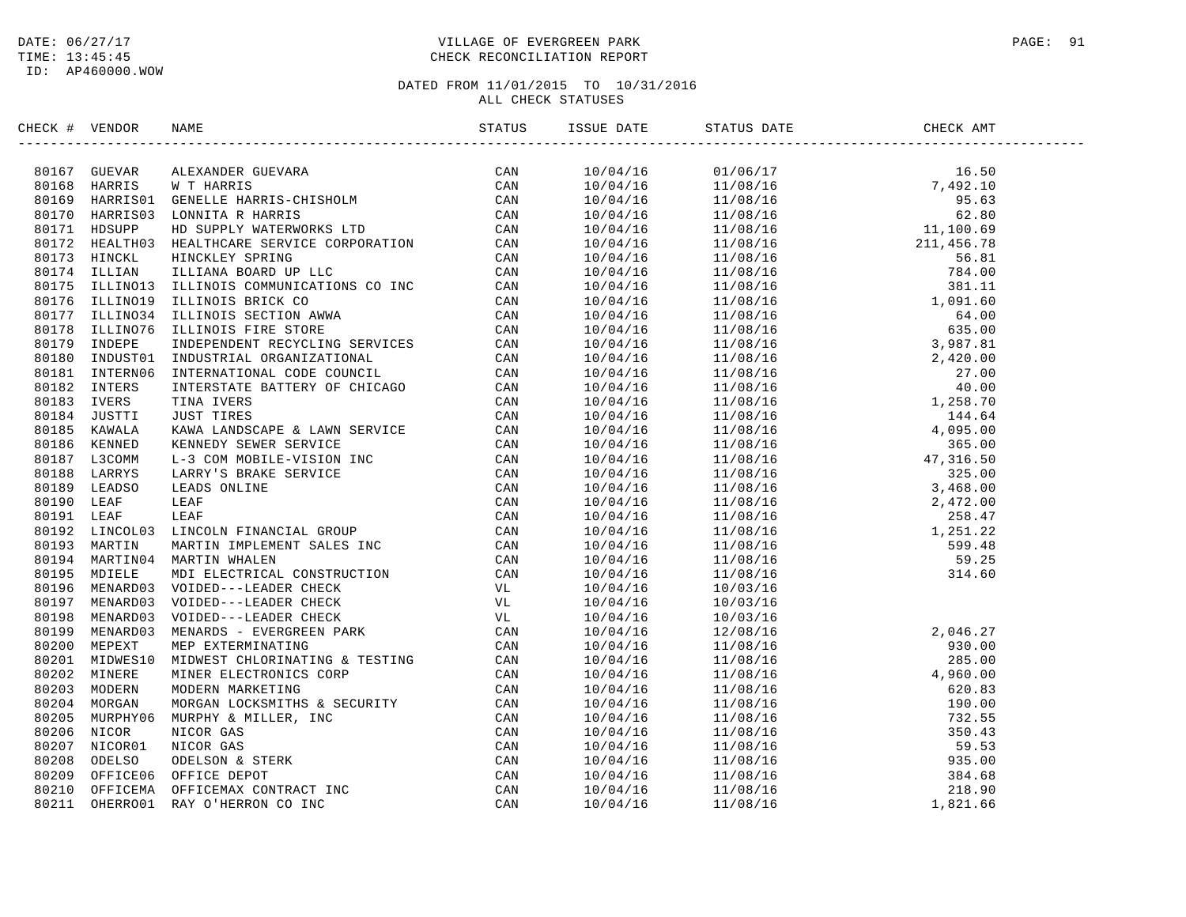### DATE:  $06/27/17$  PAGE: 91 TIME: 13:45:45 CHECK RECONCILIATION REPORT

| CHECK # VENDOR | NAME                                                                                                                                                                                                                            | ISSUE DATE | STATUS DATE                                                                                                                                                                                                                                                                                    | CHECK AMT |  |
|----------------|---------------------------------------------------------------------------------------------------------------------------------------------------------------------------------------------------------------------------------|------------|------------------------------------------------------------------------------------------------------------------------------------------------------------------------------------------------------------------------------------------------------------------------------------------------|-----------|--|
|                | SERCE 4 VERIDOR NAME<br>STATUS - SIZENING ANALY MORE CHEMICAL CONSUMERING CAN SINGLE AND A CONSUMER AND CONSUMER SERVICE CHEMICAL CONSUMERING CAN SALE AND SIZEN CAN SALE IN THE CAN SALE IN THE CAN SALE IN THE CAN SALE IN TH |            | $\begin{tabular}{l c c c c} \hline & 10/04/16 & 01/06/17 & 16.50 \\ \hline 10/04/16 & 11/08/16 & 7,492.10 \\ \hline 10/04/16 & 11/08/16 & 7,492.10 \\ \hline 10/04/16 & 11/08/16 & 62.80 \\ \hline 10/04/16 & 11/08/16 & 62.80 \\ \hline 10/04/16 & 11/08/16 & 764.00 \\ \hline 10/04/16 & 11$ |           |  |
|                |                                                                                                                                                                                                                                 |            |                                                                                                                                                                                                                                                                                                |           |  |
|                |                                                                                                                                                                                                                                 |            |                                                                                                                                                                                                                                                                                                |           |  |
|                |                                                                                                                                                                                                                                 |            |                                                                                                                                                                                                                                                                                                |           |  |
|                |                                                                                                                                                                                                                                 |            |                                                                                                                                                                                                                                                                                                |           |  |
|                |                                                                                                                                                                                                                                 |            |                                                                                                                                                                                                                                                                                                |           |  |
|                |                                                                                                                                                                                                                                 |            |                                                                                                                                                                                                                                                                                                |           |  |
|                |                                                                                                                                                                                                                                 |            |                                                                                                                                                                                                                                                                                                |           |  |
|                |                                                                                                                                                                                                                                 |            |                                                                                                                                                                                                                                                                                                |           |  |
|                |                                                                                                                                                                                                                                 |            |                                                                                                                                                                                                                                                                                                |           |  |
|                |                                                                                                                                                                                                                                 |            |                                                                                                                                                                                                                                                                                                |           |  |
|                |                                                                                                                                                                                                                                 |            |                                                                                                                                                                                                                                                                                                |           |  |
|                |                                                                                                                                                                                                                                 |            |                                                                                                                                                                                                                                                                                                |           |  |
|                |                                                                                                                                                                                                                                 |            |                                                                                                                                                                                                                                                                                                |           |  |
|                |                                                                                                                                                                                                                                 |            |                                                                                                                                                                                                                                                                                                |           |  |
|                |                                                                                                                                                                                                                                 |            |                                                                                                                                                                                                                                                                                                |           |  |
|                |                                                                                                                                                                                                                                 |            |                                                                                                                                                                                                                                                                                                |           |  |
|                |                                                                                                                                                                                                                                 |            |                                                                                                                                                                                                                                                                                                |           |  |
|                |                                                                                                                                                                                                                                 |            |                                                                                                                                                                                                                                                                                                |           |  |
|                |                                                                                                                                                                                                                                 |            |                                                                                                                                                                                                                                                                                                |           |  |
|                |                                                                                                                                                                                                                                 |            |                                                                                                                                                                                                                                                                                                |           |  |
|                |                                                                                                                                                                                                                                 |            |                                                                                                                                                                                                                                                                                                |           |  |
|                |                                                                                                                                                                                                                                 |            |                                                                                                                                                                                                                                                                                                |           |  |
|                |                                                                                                                                                                                                                                 |            |                                                                                                                                                                                                                                                                                                |           |  |
|                |                                                                                                                                                                                                                                 |            |                                                                                                                                                                                                                                                                                                |           |  |
|                |                                                                                                                                                                                                                                 |            |                                                                                                                                                                                                                                                                                                |           |  |
|                |                                                                                                                                                                                                                                 |            |                                                                                                                                                                                                                                                                                                |           |  |
|                |                                                                                                                                                                                                                                 |            |                                                                                                                                                                                                                                                                                                |           |  |
|                |                                                                                                                                                                                                                                 |            |                                                                                                                                                                                                                                                                                                |           |  |
|                |                                                                                                                                                                                                                                 |            |                                                                                                                                                                                                                                                                                                |           |  |
|                |                                                                                                                                                                                                                                 |            |                                                                                                                                                                                                                                                                                                |           |  |
|                |                                                                                                                                                                                                                                 |            | $\begin{array}{cc} 10/04/16 \qquad & 10/03/16 \\ 10/04/16 \qquad & 10/03/16 \end{array}$                                                                                                                                                                                                       |           |  |
|                |                                                                                                                                                                                                                                 |            |                                                                                                                                                                                                                                                                                                |           |  |
|                |                                                                                                                                                                                                                                 |            |                                                                                                                                                                                                                                                                                                |           |  |
|                |                                                                                                                                                                                                                                 |            |                                                                                                                                                                                                                                                                                                |           |  |
|                |                                                                                                                                                                                                                                 |            |                                                                                                                                                                                                                                                                                                |           |  |
|                |                                                                                                                                                                                                                                 |            |                                                                                                                                                                                                                                                                                                |           |  |
|                |                                                                                                                                                                                                                                 |            |                                                                                                                                                                                                                                                                                                |           |  |
|                |                                                                                                                                                                                                                                 |            |                                                                                                                                                                                                                                                                                                |           |  |
|                |                                                                                                                                                                                                                                 |            |                                                                                                                                                                                                                                                                                                |           |  |
|                |                                                                                                                                                                                                                                 |            |                                                                                                                                                                                                                                                                                                |           |  |
|                |                                                                                                                                                                                                                                 |            |                                                                                                                                                                                                                                                                                                |           |  |
|                |                                                                                                                                                                                                                                 |            |                                                                                                                                                                                                                                                                                                |           |  |
|                |                                                                                                                                                                                                                                 |            |                                                                                                                                                                                                                                                                                                |           |  |
|                |                                                                                                                                                                                                                                 |            |                                                                                                                                                                                                                                                                                                |           |  |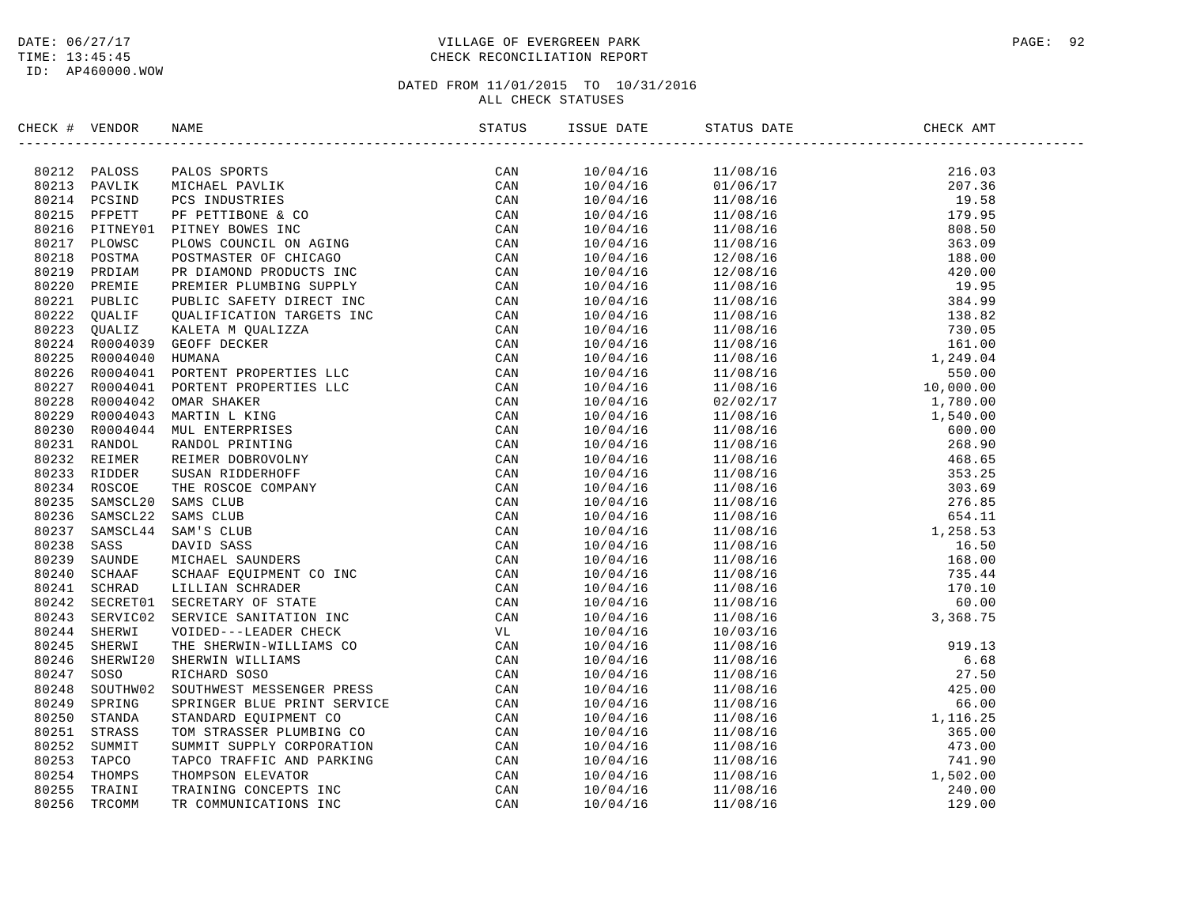### DATE:  $06/27/17$  PAGE: 92 TIME: 13:45:45 CHECK RECONCILIATION REPORT

| CHECK # VENDOR |                                                                                                                                                                                                                               |  |                                                                                                                                                                                                                                                                                                                                      |  |
|----------------|-------------------------------------------------------------------------------------------------------------------------------------------------------------------------------------------------------------------------------|--|--------------------------------------------------------------------------------------------------------------------------------------------------------------------------------------------------------------------------------------------------------------------------------------------------------------------------------------|--|
|                | THE VALUE AND MANUS TRANSPORT IN THE CAN BE AN ANOTHONOUS PROPERTY ON A 2012 PARTICLE THEORY IN THE SECOND CAN BE A 1990 AND 1990 AND 1990 AND 1990 AND 1990 AND 1990 AND 1990 AND 1990 AND 1990 AND 1990 AND 1990 AND 1990 A |  | $\begin{tabular}{l c c c} \hline \textbf{18.6 01} & \textbf{514.08 0818}\\ \hline \textbf{19.094/16} & 0.106610\\ \hline \textbf{10.094/16} & 0.106710\\ \hline \textbf{10.094/16} & 0.106710\\ \hline \textbf{10.094/16} & 0.106710\\ \hline \textbf{10.094/16} & 0.108916\\ \hline \textbf{10.094/16} & 0.108916\\ \hline \textbf$ |  |
|                |                                                                                                                                                                                                                               |  |                                                                                                                                                                                                                                                                                                                                      |  |
|                |                                                                                                                                                                                                                               |  |                                                                                                                                                                                                                                                                                                                                      |  |
|                |                                                                                                                                                                                                                               |  |                                                                                                                                                                                                                                                                                                                                      |  |
|                |                                                                                                                                                                                                                               |  |                                                                                                                                                                                                                                                                                                                                      |  |
|                |                                                                                                                                                                                                                               |  |                                                                                                                                                                                                                                                                                                                                      |  |
|                |                                                                                                                                                                                                                               |  |                                                                                                                                                                                                                                                                                                                                      |  |
|                |                                                                                                                                                                                                                               |  |                                                                                                                                                                                                                                                                                                                                      |  |
|                |                                                                                                                                                                                                                               |  |                                                                                                                                                                                                                                                                                                                                      |  |
|                |                                                                                                                                                                                                                               |  |                                                                                                                                                                                                                                                                                                                                      |  |
|                |                                                                                                                                                                                                                               |  |                                                                                                                                                                                                                                                                                                                                      |  |
|                |                                                                                                                                                                                                                               |  |                                                                                                                                                                                                                                                                                                                                      |  |
|                |                                                                                                                                                                                                                               |  |                                                                                                                                                                                                                                                                                                                                      |  |
|                |                                                                                                                                                                                                                               |  |                                                                                                                                                                                                                                                                                                                                      |  |
|                |                                                                                                                                                                                                                               |  |                                                                                                                                                                                                                                                                                                                                      |  |
|                |                                                                                                                                                                                                                               |  |                                                                                                                                                                                                                                                                                                                                      |  |
|                |                                                                                                                                                                                                                               |  |                                                                                                                                                                                                                                                                                                                                      |  |
|                |                                                                                                                                                                                                                               |  |                                                                                                                                                                                                                                                                                                                                      |  |
|                |                                                                                                                                                                                                                               |  |                                                                                                                                                                                                                                                                                                                                      |  |
|                |                                                                                                                                                                                                                               |  |                                                                                                                                                                                                                                                                                                                                      |  |
|                |                                                                                                                                                                                                                               |  |                                                                                                                                                                                                                                                                                                                                      |  |
|                |                                                                                                                                                                                                                               |  |                                                                                                                                                                                                                                                                                                                                      |  |
|                |                                                                                                                                                                                                                               |  |                                                                                                                                                                                                                                                                                                                                      |  |
|                |                                                                                                                                                                                                                               |  |                                                                                                                                                                                                                                                                                                                                      |  |
|                |                                                                                                                                                                                                                               |  |                                                                                                                                                                                                                                                                                                                                      |  |
|                |                                                                                                                                                                                                                               |  |                                                                                                                                                                                                                                                                                                                                      |  |
|                |                                                                                                                                                                                                                               |  |                                                                                                                                                                                                                                                                                                                                      |  |
|                |                                                                                                                                                                                                                               |  |                                                                                                                                                                                                                                                                                                                                      |  |
|                |                                                                                                                                                                                                                               |  |                                                                                                                                                                                                                                                                                                                                      |  |
|                |                                                                                                                                                                                                                               |  |                                                                                                                                                                                                                                                                                                                                      |  |
|                |                                                                                                                                                                                                                               |  |                                                                                                                                                                                                                                                                                                                                      |  |
|                |                                                                                                                                                                                                                               |  |                                                                                                                                                                                                                                                                                                                                      |  |
|                |                                                                                                                                                                                                                               |  |                                                                                                                                                                                                                                                                                                                                      |  |
|                |                                                                                                                                                                                                                               |  |                                                                                                                                                                                                                                                                                                                                      |  |
|                |                                                                                                                                                                                                                               |  |                                                                                                                                                                                                                                                                                                                                      |  |
|                |                                                                                                                                                                                                                               |  |                                                                                                                                                                                                                                                                                                                                      |  |
|                |                                                                                                                                                                                                                               |  |                                                                                                                                                                                                                                                                                                                                      |  |
|                |                                                                                                                                                                                                                               |  |                                                                                                                                                                                                                                                                                                                                      |  |
|                |                                                                                                                                                                                                                               |  |                                                                                                                                                                                                                                                                                                                                      |  |
|                |                                                                                                                                                                                                                               |  |                                                                                                                                                                                                                                                                                                                                      |  |
|                |                                                                                                                                                                                                                               |  |                                                                                                                                                                                                                                                                                                                                      |  |
|                |                                                                                                                                                                                                                               |  |                                                                                                                                                                                                                                                                                                                                      |  |
|                |                                                                                                                                                                                                                               |  |                                                                                                                                                                                                                                                                                                                                      |  |
|                |                                                                                                                                                                                                                               |  |                                                                                                                                                                                                                                                                                                                                      |  |
|                |                                                                                                                                                                                                                               |  |                                                                                                                                                                                                                                                                                                                                      |  |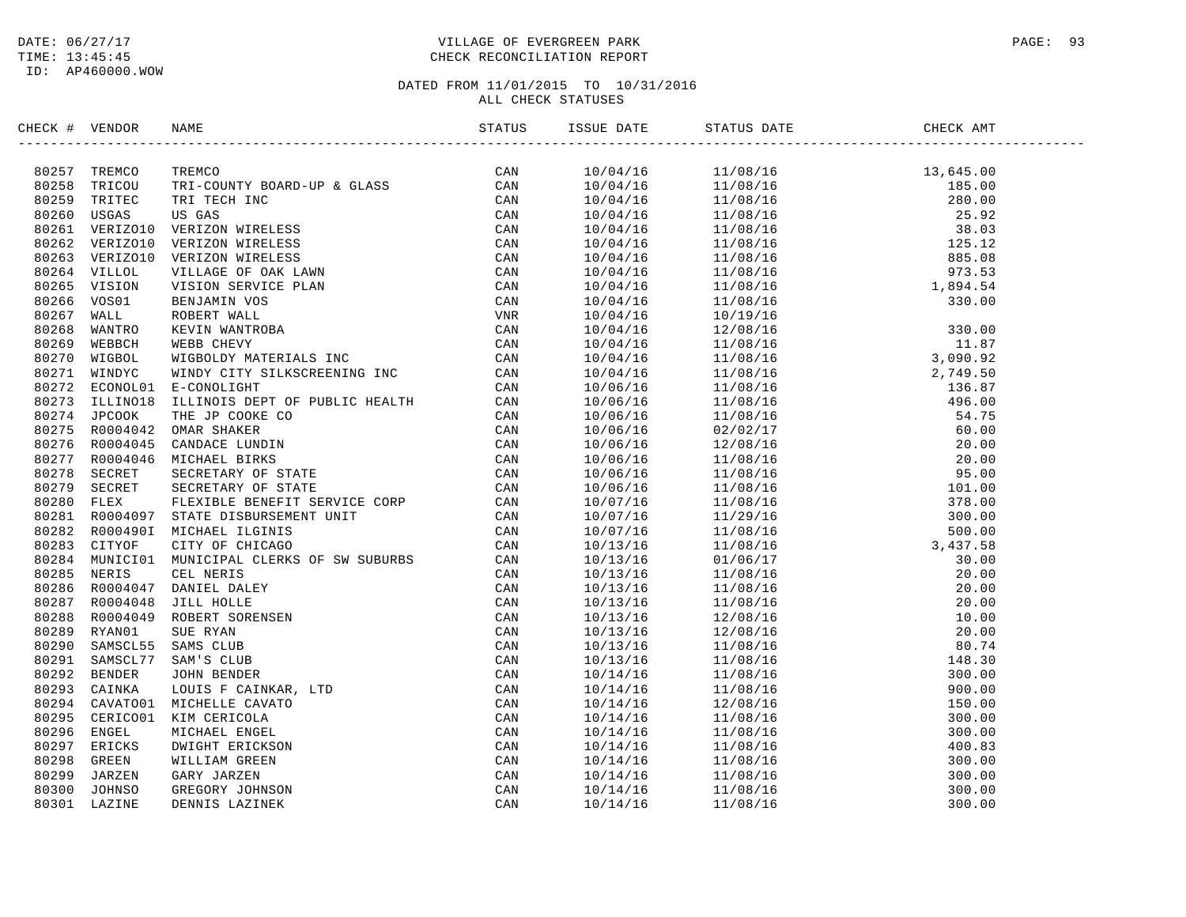### DATE:  $06/27/17$  PAGE: 93 TIME: 13:45:45 CHECK RECONCILIATION REPORT

| CHECK # VENDOR |                                  |                                                                                                                                                                                                                                                                |  |  |  |
|----------------|----------------------------------|----------------------------------------------------------------------------------------------------------------------------------------------------------------------------------------------------------------------------------------------------------------|--|--|--|
|                |                                  | TREMCO<br>TREMCO<br>TRI-COUNTY BOARD-UP & GLASS<br>TRI-TECH INC<br>US GAS<br>TRI TECH INC<br>US GAS<br>VERIZON WIRELESS<br>VERIZON WIRELESS<br>VERIZON WIRELESS<br>VERIZON WIRELESS<br>CAN<br>VERIZON WIRELESS<br>CAN<br>VERIZON WIRELESS<br>CAN<br>VERIZON MI |  |  |  |
|                | 80257 TREMCO                     |                                                                                                                                                                                                                                                                |  |  |  |
|                | 80258 TRICOU                     |                                                                                                                                                                                                                                                                |  |  |  |
| 80259          | TRITEC                           |                                                                                                                                                                                                                                                                |  |  |  |
|                | 80260 USGAS                      |                                                                                                                                                                                                                                                                |  |  |  |
|                | 80261 VERIZO10<br>80262 VERIZO10 |                                                                                                                                                                                                                                                                |  |  |  |
| 80263          | VERIZO10                         |                                                                                                                                                                                                                                                                |  |  |  |
|                | 80264 VILLOL                     |                                                                                                                                                                                                                                                                |  |  |  |
| 80265          | VISION                           |                                                                                                                                                                                                                                                                |  |  |  |
| 80266          | VOS01                            |                                                                                                                                                                                                                                                                |  |  |  |
| 80267          | WALL                             |                                                                                                                                                                                                                                                                |  |  |  |
| 80268          | WANTRO                           |                                                                                                                                                                                                                                                                |  |  |  |
| 80269          | WEBBCH                           |                                                                                                                                                                                                                                                                |  |  |  |
| 80270          | WIGBOL                           |                                                                                                                                                                                                                                                                |  |  |  |
| 80271          | WINDYC                           |                                                                                                                                                                                                                                                                |  |  |  |
| 80272          |                                  | ECONOL01 E-CONOLIGHT                                                                                                                                                                                                                                           |  |  |  |
| 80273          |                                  |                                                                                                                                                                                                                                                                |  |  |  |
|                | 80274 JPCOOK                     |                                                                                                                                                                                                                                                                |  |  |  |
| 80275          |                                  |                                                                                                                                                                                                                                                                |  |  |  |
|                | 80276 R0004045                   |                                                                                                                                                                                                                                                                |  |  |  |
| 80277          |                                  |                                                                                                                                                                                                                                                                |  |  |  |
| 80278          |                                  |                                                                                                                                                                                                                                                                |  |  |  |
| 80279          |                                  |                                                                                                                                                                                                                                                                |  |  |  |
| 80280          |                                  |                                                                                                                                                                                                                                                                |  |  |  |
| 80281          |                                  |                                                                                                                                                                                                                                                                |  |  |  |
| 80282          |                                  |                                                                                                                                                                                                                                                                |  |  |  |
|                | 80283 CITYOF                     |                                                                                                                                                                                                                                                                |  |  |  |
| 80284          |                                  |                                                                                                                                                                                                                                                                |  |  |  |
| 80285          |                                  |                                                                                                                                                                                                                                                                |  |  |  |
| 80286          |                                  |                                                                                                                                                                                                                                                                |  |  |  |
| 80287          |                                  |                                                                                                                                                                                                                                                                |  |  |  |
| 80288          |                                  |                                                                                                                                                                                                                                                                |  |  |  |
| 80289          |                                  |                                                                                                                                                                                                                                                                |  |  |  |
| 80290          |                                  |                                                                                                                                                                                                                                                                |  |  |  |
| 80291          |                                  |                                                                                                                                                                                                                                                                |  |  |  |
| 80292          |                                  |                                                                                                                                                                                                                                                                |  |  |  |
| 80293          |                                  |                                                                                                                                                                                                                                                                |  |  |  |
| 80294          |                                  |                                                                                                                                                                                                                                                                |  |  |  |
| 80295          |                                  |                                                                                                                                                                                                                                                                |  |  |  |
| 80296          |                                  |                                                                                                                                                                                                                                                                |  |  |  |
| 80297          |                                  |                                                                                                                                                                                                                                                                |  |  |  |
| 80298          |                                  |                                                                                                                                                                                                                                                                |  |  |  |
| 80299          |                                  |                                                                                                                                                                                                                                                                |  |  |  |
| 80300          |                                  |                                                                                                                                                                                                                                                                |  |  |  |
| 80301          |                                  | WINDYC WINDY CITY SILKSCREENING INC<br>2 REONOLD B-CONOLIGHT<br>2 REONOLD B-CONOLIGHT<br>3 ILLINOIS DEPT OF PUBLIC HEALTH<br>3 TLLINOIS ILLINOIS DEPT OF PUBLIC HEALTH<br>2 AN RO004044 OMAR SHAKER<br>7 RO004044 MICHAEL BIRKS<br>7 RO00404                   |  |  |  |
|                |                                  |                                                                                                                                                                                                                                                                |  |  |  |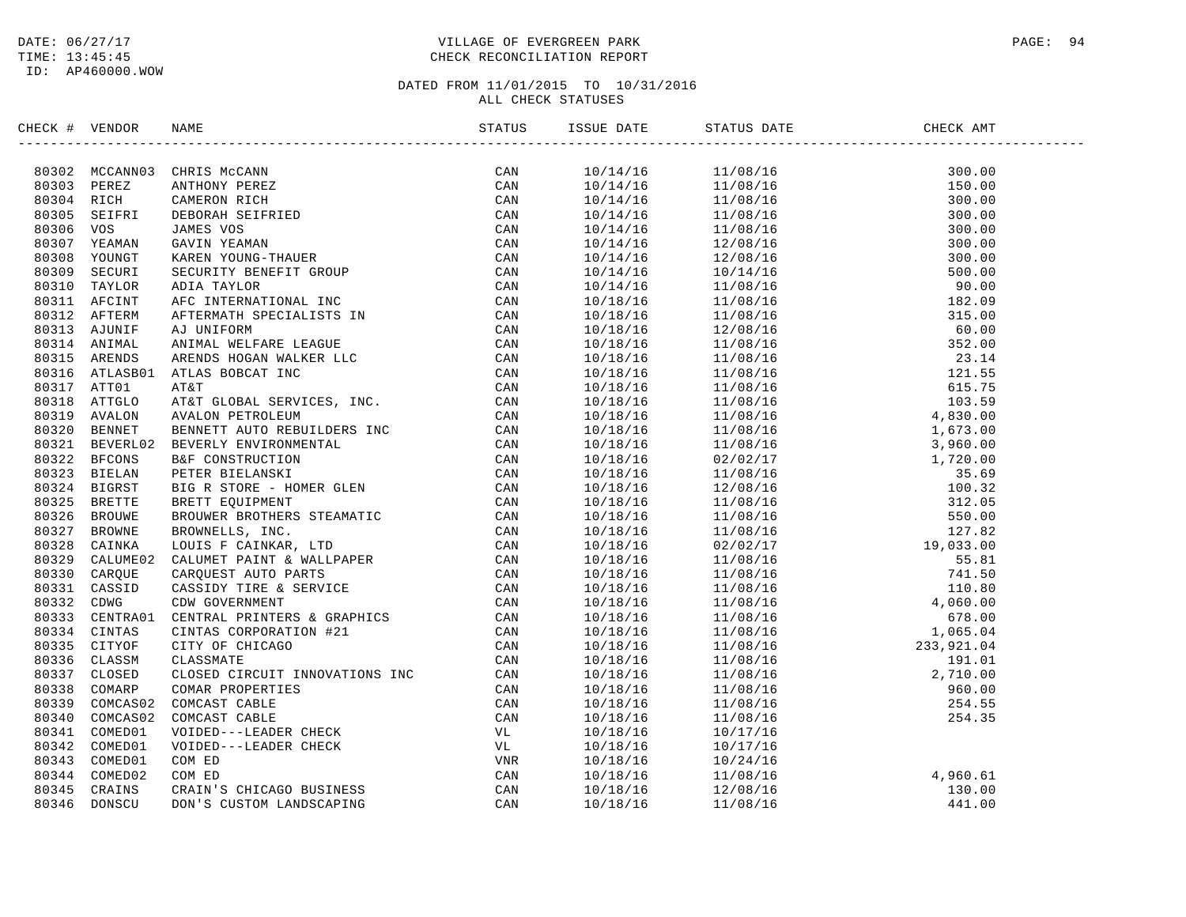### DATE:  $06/27/17$  PAGE: 94 TIME: 13:45:45 CHECK RECONCILIATION REPORT

| CHECK # VENDOR | NAME STATUS ISSI |     |          | ISSUE DATE STATUS DATE                                                                                                                                                                                                                                                         |                                    |
|----------------|------------------|-----|----------|--------------------------------------------------------------------------------------------------------------------------------------------------------------------------------------------------------------------------------------------------------------------------------|------------------------------------|
|                |                  | CAN |          | $\begin{tabular}{cccccccc} \hline & 11/14/18 & 11/108/18 & 13/108/16 & 130.00 \\ 10/14/18 & 11/108/16 & 150.00 \\ 10/14/16 & 11/108/16 & 150.00 \\ 10/14/16 & 11/108/16 & 300.00 \\ 10/14/16 & 12/08/16 & 300.00 \\ 10/14/16 & 12/08/16 & 300.00 \\ 10/14/16 & 12/08/16 & 500$ |                                    |
|                |                  |     |          |                                                                                                                                                                                                                                                                                |                                    |
|                |                  |     |          |                                                                                                                                                                                                                                                                                |                                    |
|                |                  |     |          |                                                                                                                                                                                                                                                                                |                                    |
|                |                  |     |          |                                                                                                                                                                                                                                                                                |                                    |
|                |                  |     |          |                                                                                                                                                                                                                                                                                |                                    |
|                |                  |     |          |                                                                                                                                                                                                                                                                                |                                    |
|                |                  |     |          |                                                                                                                                                                                                                                                                                |                                    |
|                |                  |     |          |                                                                                                                                                                                                                                                                                |                                    |
|                |                  |     |          |                                                                                                                                                                                                                                                                                |                                    |
|                |                  |     |          |                                                                                                                                                                                                                                                                                |                                    |
|                |                  |     |          |                                                                                                                                                                                                                                                                                |                                    |
|                |                  |     |          |                                                                                                                                                                                                                                                                                |                                    |
|                |                  |     |          |                                                                                                                                                                                                                                                                                |                                    |
|                |                  |     |          |                                                                                                                                                                                                                                                                                |                                    |
|                |                  |     |          |                                                                                                                                                                                                                                                                                |                                    |
|                |                  |     |          |                                                                                                                                                                                                                                                                                |                                    |
|                |                  |     |          |                                                                                                                                                                                                                                                                                |                                    |
|                |                  |     |          |                                                                                                                                                                                                                                                                                |                                    |
|                |                  |     |          |                                                                                                                                                                                                                                                                                |                                    |
|                |                  |     |          |                                                                                                                                                                                                                                                                                |                                    |
|                |                  |     |          |                                                                                                                                                                                                                                                                                |                                    |
|                |                  |     |          |                                                                                                                                                                                                                                                                                |                                    |
|                |                  |     |          |                                                                                                                                                                                                                                                                                |                                    |
|                |                  |     |          |                                                                                                                                                                                                                                                                                |                                    |
|                |                  |     |          |                                                                                                                                                                                                                                                                                |                                    |
|                |                  |     |          |                                                                                                                                                                                                                                                                                |                                    |
|                |                  |     |          |                                                                                                                                                                                                                                                                                |                                    |
|                |                  |     |          |                                                                                                                                                                                                                                                                                |                                    |
|                |                  |     |          |                                                                                                                                                                                                                                                                                |                                    |
|                |                  |     |          |                                                                                                                                                                                                                                                                                |                                    |
|                |                  |     |          |                                                                                                                                                                                                                                                                                |                                    |
|                |                  |     |          |                                                                                                                                                                                                                                                                                |                                    |
|                |                  |     |          |                                                                                                                                                                                                                                                                                |                                    |
|                |                  |     |          |                                                                                                                                                                                                                                                                                |                                    |
|                |                  |     |          |                                                                                                                                                                                                                                                                                |                                    |
|                |                  |     |          |                                                                                                                                                                                                                                                                                |                                    |
|                |                  |     |          |                                                                                                                                                                                                                                                                                |                                    |
|                |                  |     |          |                                                                                                                                                                                                                                                                                |                                    |
|                |                  |     |          |                                                                                                                                                                                                                                                                                |                                    |
|                |                  |     | 10/18/16 | 10/17/16                                                                                                                                                                                                                                                                       |                                    |
|                |                  |     | 10/18/16 | 10/24/16                                                                                                                                                                                                                                                                       |                                    |
|                |                  |     | 10/18/16 | 11/08/16                                                                                                                                                                                                                                                                       |                                    |
|                |                  |     | 10/18/16 | 12/08/16                                                                                                                                                                                                                                                                       |                                    |
|                |                  |     | 10/18/16 | 11/08/16                                                                                                                                                                                                                                                                       | $4,960.61$<br>$130.00$<br>$441.00$ |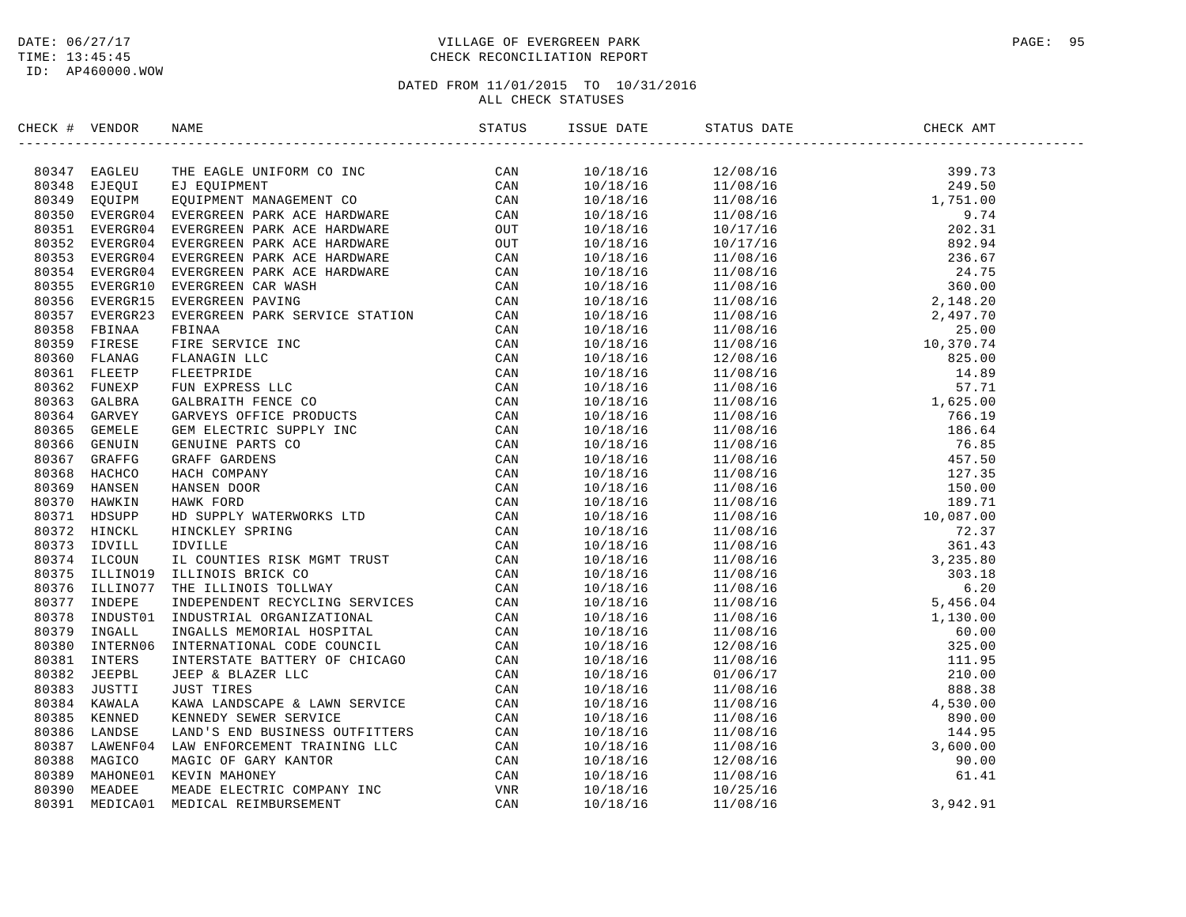### DATE:  $06/27/17$  PAGE: 95 TIME: 13:45:45 CHECK RECONCILIATION REPORT

| CHECK # VENDOR |                                                                                                                                                                                                                              | ISSUE DATE STATUS DATE | ------------------                                                                                                                                                                                                                                                                    |  |
|----------------|------------------------------------------------------------------------------------------------------------------------------------------------------------------------------------------------------------------------------|------------------------|---------------------------------------------------------------------------------------------------------------------------------------------------------------------------------------------------------------------------------------------------------------------------------------|--|
|                | INCRET (FROM MARINE THE SECURE MARINEMENT) CAN ARREST AND A STRUCK IN THE SACRIFIC CAN BOOTH THE SECURE THE SACRO MARINEMENT CONTROLL IN THE SACRO CAN BUT THE SACRO CONTROLL IN THE SACRO CAN BUT THE SACRO CONTROLL IN THE |                        | $\begin{tabular}{cccccccc} $2502$ & $M18/18$ & $12/08/18$ & $12/08/18$ & $19/18/18$ & $19/18/18$ & $19/18/18$ & $19/18/18$ & $19/18/18$ & $19/18/18$ & $19/18/18$ & $19/18/18$ & $19/18/18$ & $19/18/18$ & $19/18/18$ & $19/18/18$ & $19/18/18$ & $19/18/18$ & $19/18/18$ & $19/18/1$ |  |
|                |                                                                                                                                                                                                                              |                        |                                                                                                                                                                                                                                                                                       |  |
|                |                                                                                                                                                                                                                              |                        |                                                                                                                                                                                                                                                                                       |  |
|                |                                                                                                                                                                                                                              |                        |                                                                                                                                                                                                                                                                                       |  |
|                |                                                                                                                                                                                                                              |                        |                                                                                                                                                                                                                                                                                       |  |
|                |                                                                                                                                                                                                                              |                        |                                                                                                                                                                                                                                                                                       |  |
|                |                                                                                                                                                                                                                              |                        |                                                                                                                                                                                                                                                                                       |  |
|                |                                                                                                                                                                                                                              |                        |                                                                                                                                                                                                                                                                                       |  |
|                |                                                                                                                                                                                                                              |                        |                                                                                                                                                                                                                                                                                       |  |
|                |                                                                                                                                                                                                                              |                        |                                                                                                                                                                                                                                                                                       |  |
|                |                                                                                                                                                                                                                              |                        |                                                                                                                                                                                                                                                                                       |  |
|                |                                                                                                                                                                                                                              |                        |                                                                                                                                                                                                                                                                                       |  |
|                |                                                                                                                                                                                                                              |                        |                                                                                                                                                                                                                                                                                       |  |
|                |                                                                                                                                                                                                                              |                        |                                                                                                                                                                                                                                                                                       |  |
|                |                                                                                                                                                                                                                              |                        |                                                                                                                                                                                                                                                                                       |  |
|                |                                                                                                                                                                                                                              |                        |                                                                                                                                                                                                                                                                                       |  |
|                |                                                                                                                                                                                                                              |                        |                                                                                                                                                                                                                                                                                       |  |
|                |                                                                                                                                                                                                                              |                        |                                                                                                                                                                                                                                                                                       |  |
|                |                                                                                                                                                                                                                              |                        |                                                                                                                                                                                                                                                                                       |  |
|                |                                                                                                                                                                                                                              |                        |                                                                                                                                                                                                                                                                                       |  |
|                |                                                                                                                                                                                                                              |                        |                                                                                                                                                                                                                                                                                       |  |
|                |                                                                                                                                                                                                                              |                        |                                                                                                                                                                                                                                                                                       |  |
|                |                                                                                                                                                                                                                              |                        |                                                                                                                                                                                                                                                                                       |  |
|                |                                                                                                                                                                                                                              |                        |                                                                                                                                                                                                                                                                                       |  |
|                |                                                                                                                                                                                                                              |                        |                                                                                                                                                                                                                                                                                       |  |
|                |                                                                                                                                                                                                                              |                        |                                                                                                                                                                                                                                                                                       |  |
|                |                                                                                                                                                                                                                              |                        |                                                                                                                                                                                                                                                                                       |  |
|                |                                                                                                                                                                                                                              |                        |                                                                                                                                                                                                                                                                                       |  |
|                |                                                                                                                                                                                                                              |                        |                                                                                                                                                                                                                                                                                       |  |
|                |                                                                                                                                                                                                                              |                        |                                                                                                                                                                                                                                                                                       |  |
|                |                                                                                                                                                                                                                              |                        |                                                                                                                                                                                                                                                                                       |  |
|                |                                                                                                                                                                                                                              |                        |                                                                                                                                                                                                                                                                                       |  |
|                |                                                                                                                                                                                                                              |                        |                                                                                                                                                                                                                                                                                       |  |
|                |                                                                                                                                                                                                                              |                        |                                                                                                                                                                                                                                                                                       |  |
|                |                                                                                                                                                                                                                              |                        |                                                                                                                                                                                                                                                                                       |  |
|                |                                                                                                                                                                                                                              |                        |                                                                                                                                                                                                                                                                                       |  |
|                |                                                                                                                                                                                                                              |                        |                                                                                                                                                                                                                                                                                       |  |
|                |                                                                                                                                                                                                                              |                        |                                                                                                                                                                                                                                                                                       |  |
|                |                                                                                                                                                                                                                              |                        |                                                                                                                                                                                                                                                                                       |  |
|                |                                                                                                                                                                                                                              |                        |                                                                                                                                                                                                                                                                                       |  |
|                |                                                                                                                                                                                                                              |                        |                                                                                                                                                                                                                                                                                       |  |
|                |                                                                                                                                                                                                                              |                        |                                                                                                                                                                                                                                                                                       |  |
|                |                                                                                                                                                                                                                              |                        |                                                                                                                                                                                                                                                                                       |  |
|                |                                                                                                                                                                                                                              |                        |                                                                                                                                                                                                                                                                                       |  |
|                |                                                                                                                                                                                                                              |                        |                                                                                                                                                                                                                                                                                       |  |
|                |                                                                                                                                                                                                                              |                        |                                                                                                                                                                                                                                                                                       |  |
|                |                                                                                                                                                                                                                              |                        |                                                                                                                                                                                                                                                                                       |  |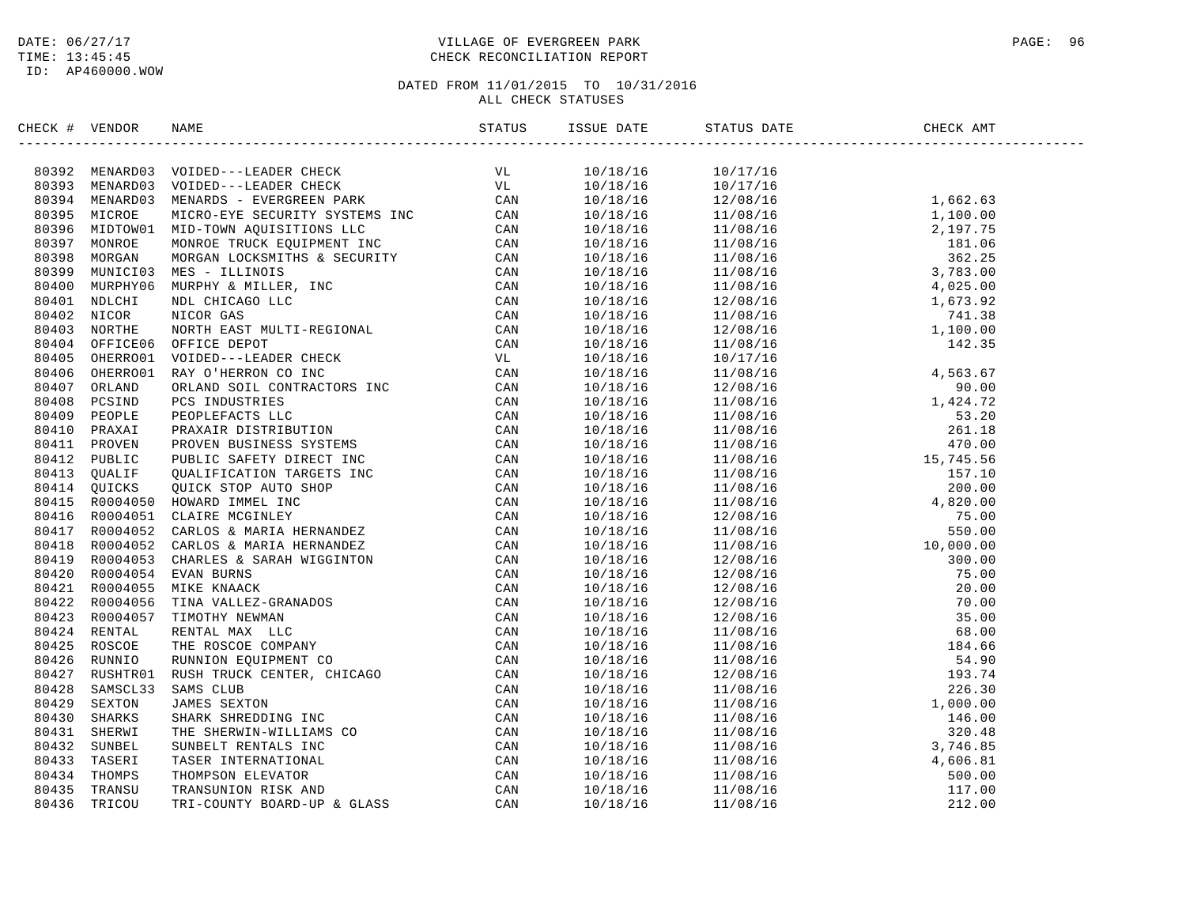ID: AP460000.WOW

### DATE:  $06/27/17$  PAGE: 96 TIME: 13:45:45 CHECK RECONCILIATION REPORT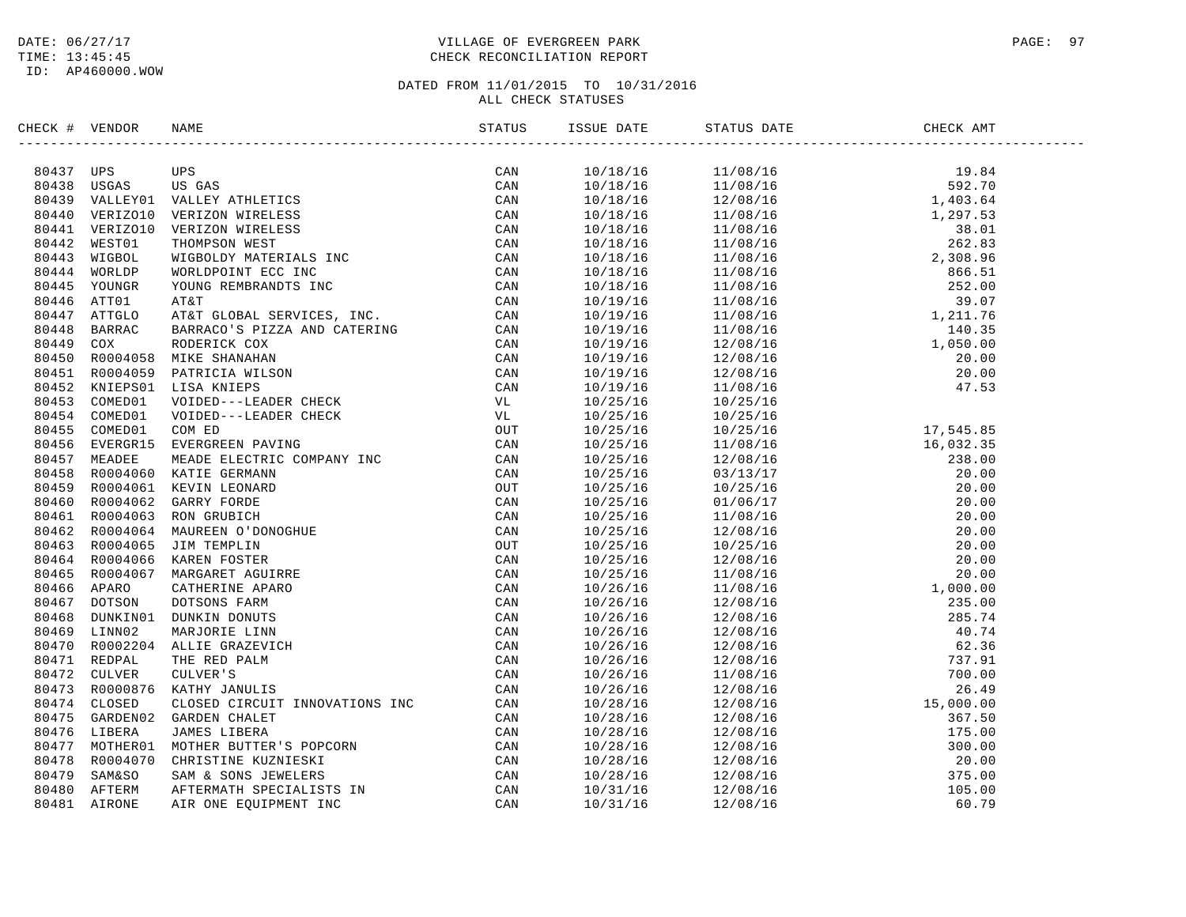### DATE:  $06/27/17$  PAGE: 97 TIME: 13:45:45 CHECK RECONCILIATION REPORT

|  | IRECC # VERIDOS NAME INCREASES CON CONTRESS CAN ASSASS THE SERVICE CAN BE AN ANNEX AND VALUE VALUE AND VALUE AND VALUE OF A MANUS CONTRESS CAN A SERVICE CONTRESS CAN A SERVICE CONTRESS CAN A SERVICE CONTRESS CONTRESS CONT |     | $\begin{tabular}{l c c c c} \hline \textbf{18.846} & \textbf{58.847} & \textbf{68.857} \\ \hline 110/18/16 & 11/08/16 & 19.84 \\ \hline 10/18/16 & 11/08/16 & 19.84 \\ \hline 10/18/16 & 11/08/16 & 14.93.64 \\ \hline 10/18/16 & 11/08/16 & 14.93.64 \\ \hline 10/18/16 & 11/08/16 & 12.93.81 \\ \hline 1$ |  |
|--|-------------------------------------------------------------------------------------------------------------------------------------------------------------------------------------------------------------------------------|-----|-------------------------------------------------------------------------------------------------------------------------------------------------------------------------------------------------------------------------------------------------------------------------------------------------------------|--|
|  |                                                                                                                                                                                                                               | CAN |                                                                                                                                                                                                                                                                                                             |  |
|  |                                                                                                                                                                                                                               |     |                                                                                                                                                                                                                                                                                                             |  |
|  |                                                                                                                                                                                                                               |     |                                                                                                                                                                                                                                                                                                             |  |
|  |                                                                                                                                                                                                                               |     |                                                                                                                                                                                                                                                                                                             |  |
|  |                                                                                                                                                                                                                               |     |                                                                                                                                                                                                                                                                                                             |  |
|  |                                                                                                                                                                                                                               |     |                                                                                                                                                                                                                                                                                                             |  |
|  |                                                                                                                                                                                                                               |     |                                                                                                                                                                                                                                                                                                             |  |
|  |                                                                                                                                                                                                                               |     |                                                                                                                                                                                                                                                                                                             |  |
|  |                                                                                                                                                                                                                               |     |                                                                                                                                                                                                                                                                                                             |  |
|  |                                                                                                                                                                                                                               |     |                                                                                                                                                                                                                                                                                                             |  |
|  |                                                                                                                                                                                                                               |     |                                                                                                                                                                                                                                                                                                             |  |
|  |                                                                                                                                                                                                                               |     |                                                                                                                                                                                                                                                                                                             |  |
|  |                                                                                                                                                                                                                               |     |                                                                                                                                                                                                                                                                                                             |  |
|  |                                                                                                                                                                                                                               |     |                                                                                                                                                                                                                                                                                                             |  |
|  |                                                                                                                                                                                                                               |     |                                                                                                                                                                                                                                                                                                             |  |
|  |                                                                                                                                                                                                                               |     |                                                                                                                                                                                                                                                                                                             |  |
|  |                                                                                                                                                                                                                               |     |                                                                                                                                                                                                                                                                                                             |  |
|  |                                                                                                                                                                                                                               |     |                                                                                                                                                                                                                                                                                                             |  |
|  |                                                                                                                                                                                                                               |     |                                                                                                                                                                                                                                                                                                             |  |
|  |                                                                                                                                                                                                                               |     |                                                                                                                                                                                                                                                                                                             |  |
|  |                                                                                                                                                                                                                               |     |                                                                                                                                                                                                                                                                                                             |  |
|  |                                                                                                                                                                                                                               |     |                                                                                                                                                                                                                                                                                                             |  |
|  |                                                                                                                                                                                                                               |     |                                                                                                                                                                                                                                                                                                             |  |
|  |                                                                                                                                                                                                                               |     |                                                                                                                                                                                                                                                                                                             |  |
|  |                                                                                                                                                                                                                               |     |                                                                                                                                                                                                                                                                                                             |  |
|  |                                                                                                                                                                                                                               |     |                                                                                                                                                                                                                                                                                                             |  |
|  |                                                                                                                                                                                                                               |     |                                                                                                                                                                                                                                                                                                             |  |
|  |                                                                                                                                                                                                                               |     |                                                                                                                                                                                                                                                                                                             |  |
|  |                                                                                                                                                                                                                               |     |                                                                                                                                                                                                                                                                                                             |  |
|  |                                                                                                                                                                                                                               |     |                                                                                                                                                                                                                                                                                                             |  |
|  |                                                                                                                                                                                                                               |     |                                                                                                                                                                                                                                                                                                             |  |
|  |                                                                                                                                                                                                                               |     |                                                                                                                                                                                                                                                                                                             |  |
|  |                                                                                                                                                                                                                               |     |                                                                                                                                                                                                                                                                                                             |  |
|  |                                                                                                                                                                                                                               |     |                                                                                                                                                                                                                                                                                                             |  |
|  |                                                                                                                                                                                                                               |     |                                                                                                                                                                                                                                                                                                             |  |
|  |                                                                                                                                                                                                                               |     |                                                                                                                                                                                                                                                                                                             |  |
|  |                                                                                                                                                                                                                               |     |                                                                                                                                                                                                                                                                                                             |  |
|  |                                                                                                                                                                                                                               |     |                                                                                                                                                                                                                                                                                                             |  |
|  |                                                                                                                                                                                                                               |     |                                                                                                                                                                                                                                                                                                             |  |
|  |                                                                                                                                                                                                                               |     |                                                                                                                                                                                                                                                                                                             |  |
|  |                                                                                                                                                                                                                               |     |                                                                                                                                                                                                                                                                                                             |  |
|  |                                                                                                                                                                                                                               |     |                                                                                                                                                                                                                                                                                                             |  |
|  |                                                                                                                                                                                                                               |     |                                                                                                                                                                                                                                                                                                             |  |
|  |                                                                                                                                                                                                                               |     |                                                                                                                                                                                                                                                                                                             |  |
|  |                                                                                                                                                                                                                               |     |                                                                                                                                                                                                                                                                                                             |  |
|  |                                                                                                                                                                                                                               |     |                                                                                                                                                                                                                                                                                                             |  |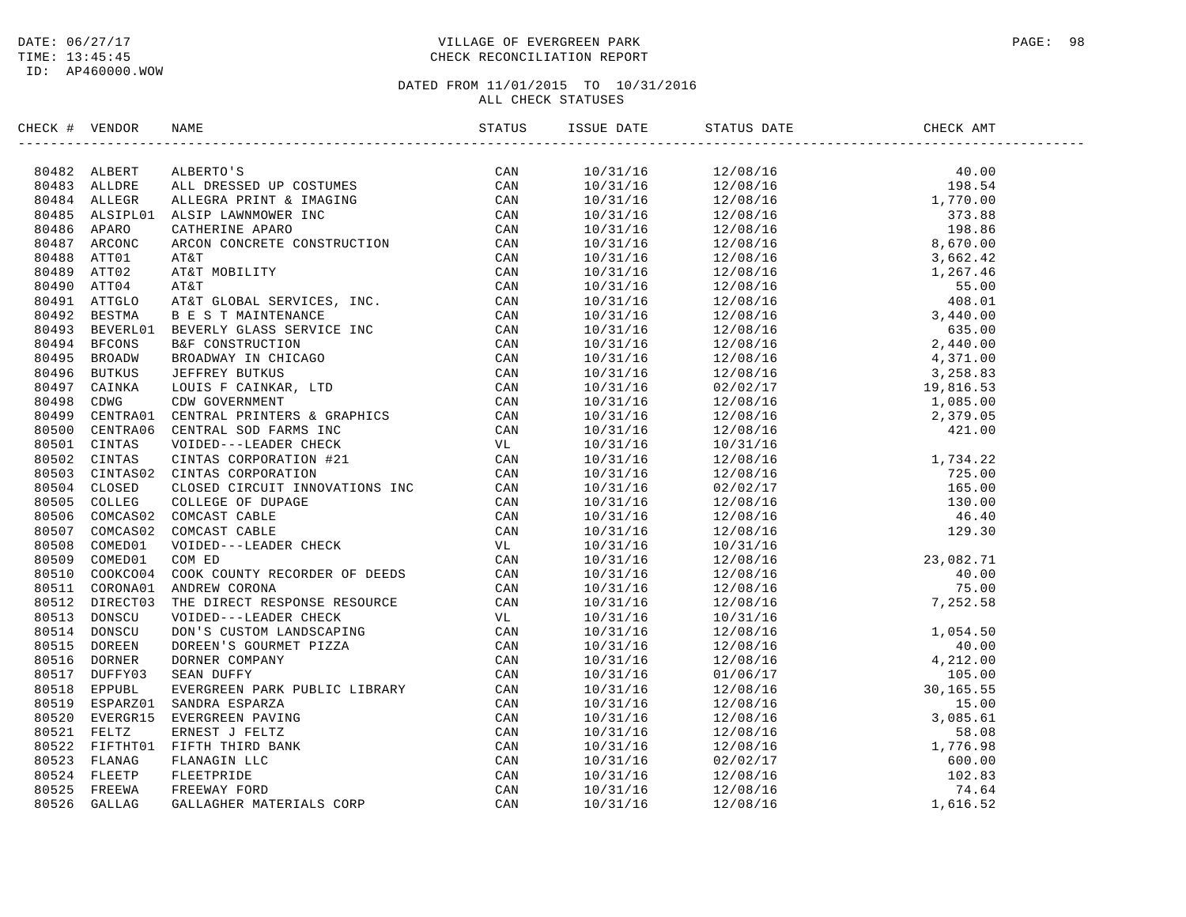### DATE:  $06/27/17$  PAGE: 98 TIME: 13:45:45 CHECK RECONCILIATION REPORT

| CHECK # VENDOR | NAME                                                                                                                                                                                                                          | STATUS | ISSUE DATE STATUS DATE                                                                                                                                                                                                                                                            | CHECK AMT<br>----------------------- |  |
|----------------|-------------------------------------------------------------------------------------------------------------------------------------------------------------------------------------------------------------------------------|--------|-----------------------------------------------------------------------------------------------------------------------------------------------------------------------------------------------------------------------------------------------------------------------------------|--------------------------------------|--|
|                | SEAL IS VEHICLE RABLE TO CONTROL IN THE CAN SERVE AND CONTROL CONTROL CONTROL CONTROL CONTROL CONTROL CONTROL CONTROL CONTROL CONTROL CONTROL CONTROL CONTROL CONTROL CONTROL CONTROL CONTROL CONTROL CONTROL CONTROL CONTROL |        | $\begin{tabular}{cccccccc} 1.13 & 1.14 & 1.14 & 1.14 & 1.14 & 1.14 & 1.14 & 1.14 & 1.14 & 1.14 & 1.14 & 1.14 & 1.14 & 1.14 & 1.14 & 1.14 & 1.14 & 1.14 & 1.14 & 1.14 & 1.14 & 1.14 & 1.14 & 1.14 & 1.14 & 1.14 & 1.14 & 1.14 & 1.14 & 1.14 & 1.14 & 1.14 & 1.14 & 1.14 & 1.14 & $ |                                      |  |
|                |                                                                                                                                                                                                                               |        |                                                                                                                                                                                                                                                                                   |                                      |  |
|                |                                                                                                                                                                                                                               |        |                                                                                                                                                                                                                                                                                   |                                      |  |
|                |                                                                                                                                                                                                                               |        |                                                                                                                                                                                                                                                                                   |                                      |  |
|                |                                                                                                                                                                                                                               |        |                                                                                                                                                                                                                                                                                   |                                      |  |
|                |                                                                                                                                                                                                                               |        |                                                                                                                                                                                                                                                                                   |                                      |  |
|                |                                                                                                                                                                                                                               |        |                                                                                                                                                                                                                                                                                   |                                      |  |
|                |                                                                                                                                                                                                                               |        |                                                                                                                                                                                                                                                                                   |                                      |  |
|                |                                                                                                                                                                                                                               |        |                                                                                                                                                                                                                                                                                   |                                      |  |
|                |                                                                                                                                                                                                                               |        |                                                                                                                                                                                                                                                                                   |                                      |  |
|                |                                                                                                                                                                                                                               |        |                                                                                                                                                                                                                                                                                   |                                      |  |
|                |                                                                                                                                                                                                                               |        |                                                                                                                                                                                                                                                                                   |                                      |  |
|                |                                                                                                                                                                                                                               |        |                                                                                                                                                                                                                                                                                   |                                      |  |
|                |                                                                                                                                                                                                                               |        |                                                                                                                                                                                                                                                                                   |                                      |  |
|                |                                                                                                                                                                                                                               |        |                                                                                                                                                                                                                                                                                   |                                      |  |
|                |                                                                                                                                                                                                                               |        |                                                                                                                                                                                                                                                                                   |                                      |  |
|                |                                                                                                                                                                                                                               |        |                                                                                                                                                                                                                                                                                   |                                      |  |
|                |                                                                                                                                                                                                                               |        |                                                                                                                                                                                                                                                                                   |                                      |  |
|                |                                                                                                                                                                                                                               |        |                                                                                                                                                                                                                                                                                   |                                      |  |
|                |                                                                                                                                                                                                                               |        |                                                                                                                                                                                                                                                                                   |                                      |  |
|                |                                                                                                                                                                                                                               |        |                                                                                                                                                                                                                                                                                   |                                      |  |
|                |                                                                                                                                                                                                                               |        |                                                                                                                                                                                                                                                                                   |                                      |  |
|                |                                                                                                                                                                                                                               |        |                                                                                                                                                                                                                                                                                   |                                      |  |
|                |                                                                                                                                                                                                                               |        |                                                                                                                                                                                                                                                                                   |                                      |  |
|                |                                                                                                                                                                                                                               |        |                                                                                                                                                                                                                                                                                   |                                      |  |
|                |                                                                                                                                                                                                                               |        |                                                                                                                                                                                                                                                                                   |                                      |  |
|                |                                                                                                                                                                                                                               |        |                                                                                                                                                                                                                                                                                   |                                      |  |
|                |                                                                                                                                                                                                                               |        |                                                                                                                                                                                                                                                                                   |                                      |  |
|                |                                                                                                                                                                                                                               |        |                                                                                                                                                                                                                                                                                   |                                      |  |
|                |                                                                                                                                                                                                                               |        |                                                                                                                                                                                                                                                                                   |                                      |  |
|                |                                                                                                                                                                                                                               |        |                                                                                                                                                                                                                                                                                   |                                      |  |
|                |                                                                                                                                                                                                                               |        |                                                                                                                                                                                                                                                                                   |                                      |  |
|                |                                                                                                                                                                                                                               |        |                                                                                                                                                                                                                                                                                   |                                      |  |
|                |                                                                                                                                                                                                                               |        |                                                                                                                                                                                                                                                                                   |                                      |  |
|                |                                                                                                                                                                                                                               |        |                                                                                                                                                                                                                                                                                   |                                      |  |
|                |                                                                                                                                                                                                                               |        |                                                                                                                                                                                                                                                                                   |                                      |  |
|                |                                                                                                                                                                                                                               |        |                                                                                                                                                                                                                                                                                   |                                      |  |
|                |                                                                                                                                                                                                                               |        |                                                                                                                                                                                                                                                                                   |                                      |  |
|                |                                                                                                                                                                                                                               |        |                                                                                                                                                                                                                                                                                   |                                      |  |
|                |                                                                                                                                                                                                                               |        |                                                                                                                                                                                                                                                                                   |                                      |  |
|                |                                                                                                                                                                                                                               |        |                                                                                                                                                                                                                                                                                   |                                      |  |
|                |                                                                                                                                                                                                                               |        |                                                                                                                                                                                                                                                                                   |                                      |  |
|                |                                                                                                                                                                                                                               |        |                                                                                                                                                                                                                                                                                   |                                      |  |
|                |                                                                                                                                                                                                                               |        |                                                                                                                                                                                                                                                                                   |                                      |  |
|                |                                                                                                                                                                                                                               |        |                                                                                                                                                                                                                                                                                   |                                      |  |
|                |                                                                                                                                                                                                                               |        |                                                                                                                                                                                                                                                                                   |                                      |  |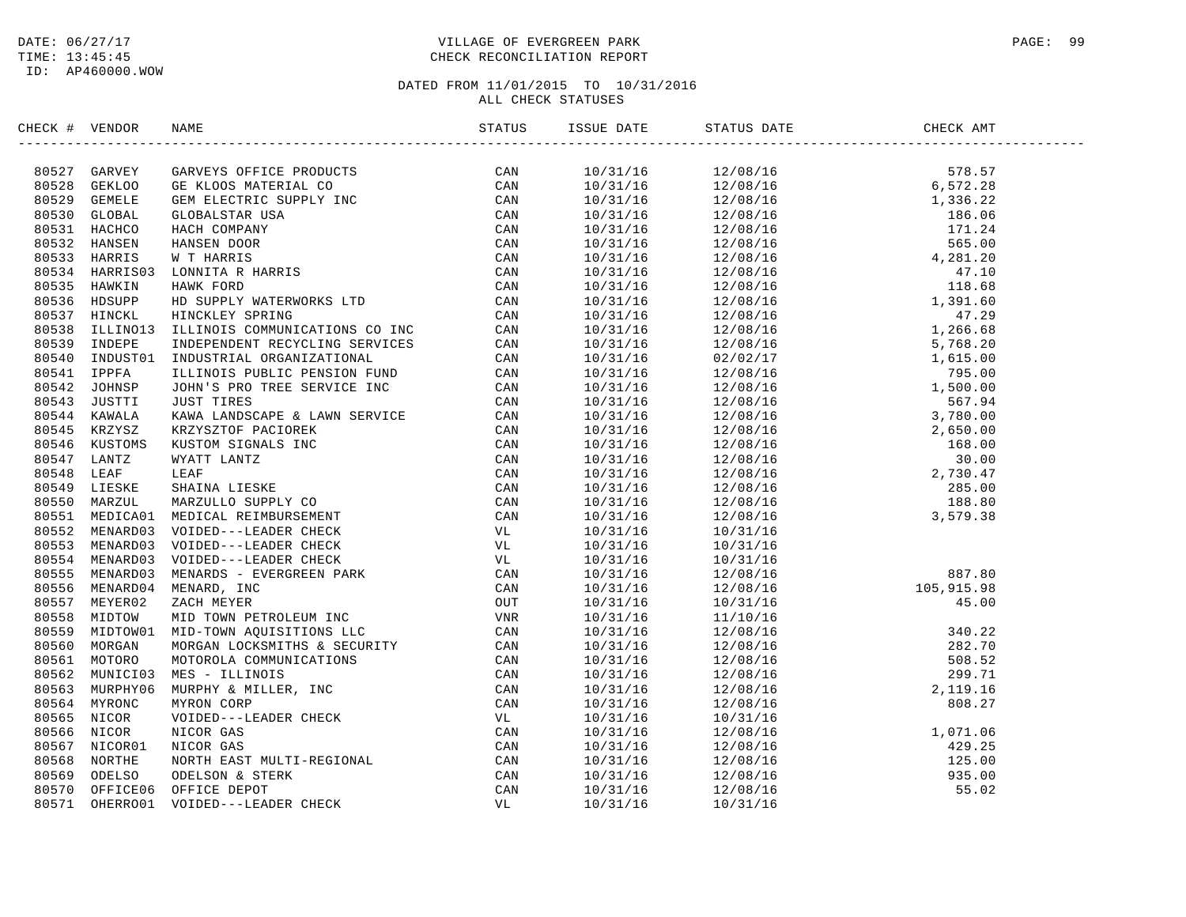ID: AP460000.WOW

### DATE:  $06/27/17$  PAGE: 99 TIME: 13:45:45 CHECK RECONCILIATION REPORT

| CHECK # VENDOR |                                                                                                                                                                                                                                                                                                                                                                                                                                             |  |  |  |
|----------------|---------------------------------------------------------------------------------------------------------------------------------------------------------------------------------------------------------------------------------------------------------------------------------------------------------------------------------------------------------------------------------------------------------------------------------------------|--|--|--|
|                | $\begin{tabular}{cccccccc} \textbf{C} & \textbf{F} & \textbf{V} & \textbf{W} & \textbf{GAVIS} & \textbf{GAVIS} & \textbf{GAVIS} & \textbf{GAVIS} & \textbf{GAVIS} & \textbf{GAVIS} & \textbf{GAVIS} & \textbf{GAVIS} & \textbf{GAVIS} & \textbf{GAVIS} & \textbf{GAVIS} & \textbf{GAVIS} & \textbf{GAVIS} & \textbf{GAVIS} & \textbf{GAVIS} & \textbf{GAVIS} & \textbf{GAVIS} & \textbf{GAVIS} & \textbf{GAVIS} & \textbf{GAVIS} & \textbf$ |  |  |  |
|                |                                                                                                                                                                                                                                                                                                                                                                                                                                             |  |  |  |
|                |                                                                                                                                                                                                                                                                                                                                                                                                                                             |  |  |  |
|                |                                                                                                                                                                                                                                                                                                                                                                                                                                             |  |  |  |
|                |                                                                                                                                                                                                                                                                                                                                                                                                                                             |  |  |  |
|                |                                                                                                                                                                                                                                                                                                                                                                                                                                             |  |  |  |
|                |                                                                                                                                                                                                                                                                                                                                                                                                                                             |  |  |  |
|                |                                                                                                                                                                                                                                                                                                                                                                                                                                             |  |  |  |
|                |                                                                                                                                                                                                                                                                                                                                                                                                                                             |  |  |  |
|                |                                                                                                                                                                                                                                                                                                                                                                                                                                             |  |  |  |
|                |                                                                                                                                                                                                                                                                                                                                                                                                                                             |  |  |  |
|                |                                                                                                                                                                                                                                                                                                                                                                                                                                             |  |  |  |
|                |                                                                                                                                                                                                                                                                                                                                                                                                                                             |  |  |  |
|                |                                                                                                                                                                                                                                                                                                                                                                                                                                             |  |  |  |
|                |                                                                                                                                                                                                                                                                                                                                                                                                                                             |  |  |  |
|                |                                                                                                                                                                                                                                                                                                                                                                                                                                             |  |  |  |
|                |                                                                                                                                                                                                                                                                                                                                                                                                                                             |  |  |  |
|                |                                                                                                                                                                                                                                                                                                                                                                                                                                             |  |  |  |
|                |                                                                                                                                                                                                                                                                                                                                                                                                                                             |  |  |  |
|                |                                                                                                                                                                                                                                                                                                                                                                                                                                             |  |  |  |
|                |                                                                                                                                                                                                                                                                                                                                                                                                                                             |  |  |  |
|                |                                                                                                                                                                                                                                                                                                                                                                                                                                             |  |  |  |
|                |                                                                                                                                                                                                                                                                                                                                                                                                                                             |  |  |  |
|                |                                                                                                                                                                                                                                                                                                                                                                                                                                             |  |  |  |
|                |                                                                                                                                                                                                                                                                                                                                                                                                                                             |  |  |  |
|                |                                                                                                                                                                                                                                                                                                                                                                                                                                             |  |  |  |
|                |                                                                                                                                                                                                                                                                                                                                                                                                                                             |  |  |  |
|                |                                                                                                                                                                                                                                                                                                                                                                                                                                             |  |  |  |
|                |                                                                                                                                                                                                                                                                                                                                                                                                                                             |  |  |  |
|                |                                                                                                                                                                                                                                                                                                                                                                                                                                             |  |  |  |
|                |                                                                                                                                                                                                                                                                                                                                                                                                                                             |  |  |  |
|                |                                                                                                                                                                                                                                                                                                                                                                                                                                             |  |  |  |
|                |                                                                                                                                                                                                                                                                                                                                                                                                                                             |  |  |  |
|                |                                                                                                                                                                                                                                                                                                                                                                                                                                             |  |  |  |
|                |                                                                                                                                                                                                                                                                                                                                                                                                                                             |  |  |  |
|                |                                                                                                                                                                                                                                                                                                                                                                                                                                             |  |  |  |
|                |                                                                                                                                                                                                                                                                                                                                                                                                                                             |  |  |  |
|                |                                                                                                                                                                                                                                                                                                                                                                                                                                             |  |  |  |
|                |                                                                                                                                                                                                                                                                                                                                                                                                                                             |  |  |  |
|                |                                                                                                                                                                                                                                                                                                                                                                                                                                             |  |  |  |
|                |                                                                                                                                                                                                                                                                                                                                                                                                                                             |  |  |  |
|                |                                                                                                                                                                                                                                                                                                                                                                                                                                             |  |  |  |
|                |                                                                                                                                                                                                                                                                                                                                                                                                                                             |  |  |  |
|                |                                                                                                                                                                                                                                                                                                                                                                                                                                             |  |  |  |
|                |                                                                                                                                                                                                                                                                                                                                                                                                                                             |  |  |  |
|                |                                                                                                                                                                                                                                                                                                                                                                                                                                             |  |  |  |
|                |                                                                                                                                                                                                                                                                                                                                                                                                                                             |  |  |  |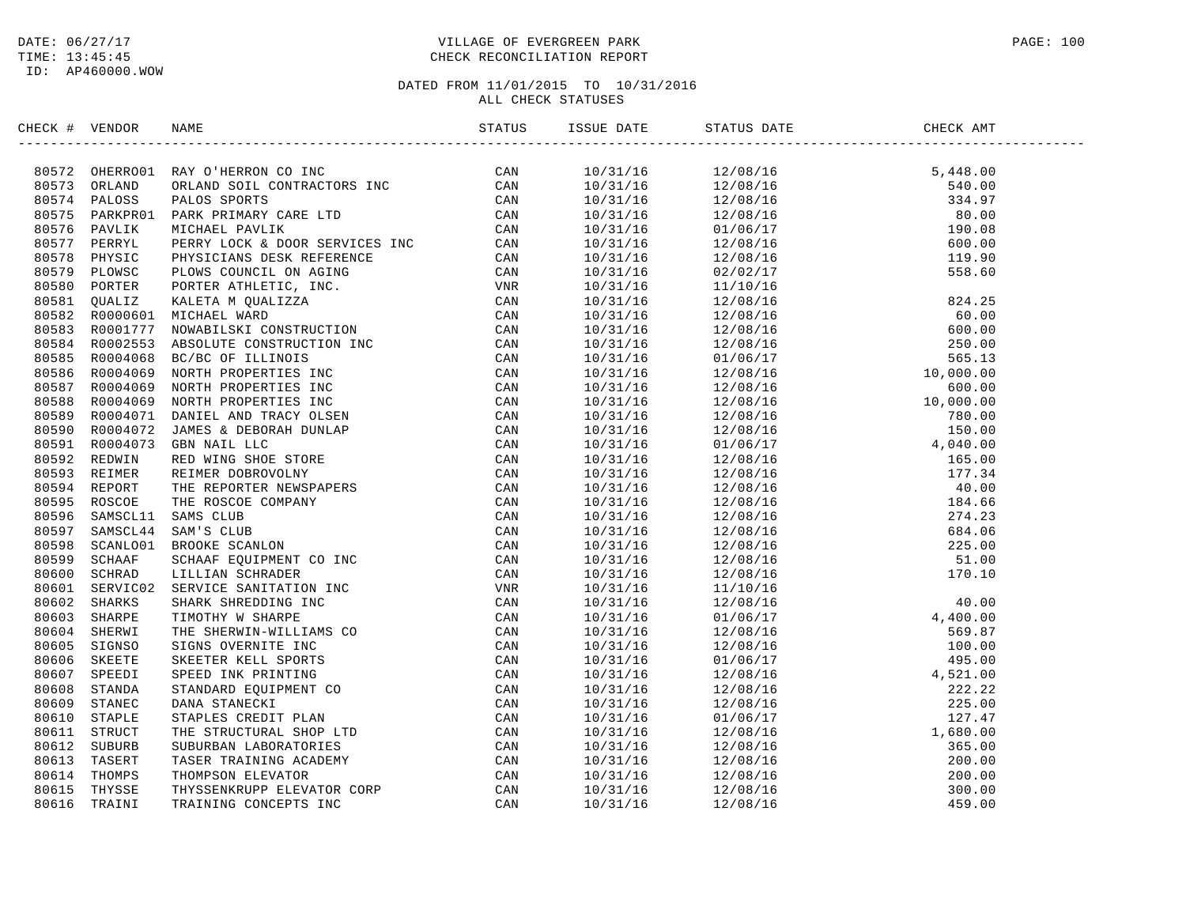### DATE:  $06/27/17$  PAGE: 100 TIME: 13:45:45 CHECK RECONCILIATION REPORT

| CHECK # VENDOR | NAME                                                                                                                                                                                                                           | ISSUE DATE | STATUS DATE                                                                                                                                                                                                                                                                                 | CHECK AMT |  |
|----------------|--------------------------------------------------------------------------------------------------------------------------------------------------------------------------------------------------------------------------------|------------|---------------------------------------------------------------------------------------------------------------------------------------------------------------------------------------------------------------------------------------------------------------------------------------------|-----------|--|
|                | XRCK + VERDOR NAME<br>SERVICES CONTRACTOR CONTENENT CONTRACTOR (CAN SOLUTION CONTRACTOR CONTRACTOR SERVICES SOLUTION OF THE STREET CAN SOLUTION AND SOLUTION CONTRACTOR CONTRACTOR CONTRACTOR CONTRACTOR CONTRACTOR CONTRACTOR |            | $\begin{tabular}{cccccccc} $M580$ FARTB-IRHS DARTB-IRHS DARTB-IRHS DASTL 11116 & 12/08/16 & 5,448.00 \\ 10/31/16 & 12/08/16 & 540.00 \\ 10/31/16 & 12/08/16 & 540.00 \\ 10/31/16 & 12/08/16 & 60.00 \\ 10/31/16 & 12/08/16 & 60.00 \\ 10/31/16 & 12/08/16 & 60.00 \\ 10/31/16 & 12/08/16 &$ |           |  |
|                |                                                                                                                                                                                                                                |            |                                                                                                                                                                                                                                                                                             |           |  |
|                |                                                                                                                                                                                                                                |            |                                                                                                                                                                                                                                                                                             |           |  |
|                |                                                                                                                                                                                                                                |            |                                                                                                                                                                                                                                                                                             |           |  |
|                |                                                                                                                                                                                                                                |            |                                                                                                                                                                                                                                                                                             |           |  |
|                |                                                                                                                                                                                                                                |            |                                                                                                                                                                                                                                                                                             |           |  |
|                |                                                                                                                                                                                                                                |            |                                                                                                                                                                                                                                                                                             |           |  |
|                |                                                                                                                                                                                                                                |            |                                                                                                                                                                                                                                                                                             |           |  |
|                |                                                                                                                                                                                                                                |            |                                                                                                                                                                                                                                                                                             |           |  |
|                |                                                                                                                                                                                                                                |            |                                                                                                                                                                                                                                                                                             |           |  |
|                |                                                                                                                                                                                                                                |            |                                                                                                                                                                                                                                                                                             |           |  |
|                |                                                                                                                                                                                                                                |            |                                                                                                                                                                                                                                                                                             |           |  |
|                |                                                                                                                                                                                                                                |            |                                                                                                                                                                                                                                                                                             |           |  |
|                |                                                                                                                                                                                                                                |            |                                                                                                                                                                                                                                                                                             |           |  |
|                |                                                                                                                                                                                                                                |            |                                                                                                                                                                                                                                                                                             |           |  |
|                |                                                                                                                                                                                                                                |            |                                                                                                                                                                                                                                                                                             |           |  |
|                |                                                                                                                                                                                                                                |            |                                                                                                                                                                                                                                                                                             |           |  |
|                |                                                                                                                                                                                                                                |            |                                                                                                                                                                                                                                                                                             |           |  |
|                |                                                                                                                                                                                                                                |            |                                                                                                                                                                                                                                                                                             |           |  |
|                |                                                                                                                                                                                                                                |            |                                                                                                                                                                                                                                                                                             |           |  |
|                |                                                                                                                                                                                                                                |            |                                                                                                                                                                                                                                                                                             |           |  |
|                |                                                                                                                                                                                                                                |            |                                                                                                                                                                                                                                                                                             |           |  |
|                |                                                                                                                                                                                                                                |            |                                                                                                                                                                                                                                                                                             |           |  |
|                |                                                                                                                                                                                                                                |            |                                                                                                                                                                                                                                                                                             |           |  |
|                |                                                                                                                                                                                                                                |            |                                                                                                                                                                                                                                                                                             |           |  |
|                |                                                                                                                                                                                                                                |            |                                                                                                                                                                                                                                                                                             |           |  |
|                |                                                                                                                                                                                                                                |            |                                                                                                                                                                                                                                                                                             |           |  |
|                |                                                                                                                                                                                                                                |            |                                                                                                                                                                                                                                                                                             |           |  |
|                |                                                                                                                                                                                                                                |            |                                                                                                                                                                                                                                                                                             |           |  |
|                |                                                                                                                                                                                                                                |            |                                                                                                                                                                                                                                                                                             |           |  |
|                |                                                                                                                                                                                                                                |            |                                                                                                                                                                                                                                                                                             |           |  |
|                |                                                                                                                                                                                                                                |            |                                                                                                                                                                                                                                                                                             |           |  |
|                |                                                                                                                                                                                                                                |            |                                                                                                                                                                                                                                                                                             |           |  |
|                |                                                                                                                                                                                                                                |            |                                                                                                                                                                                                                                                                                             |           |  |
|                |                                                                                                                                                                                                                                |            |                                                                                                                                                                                                                                                                                             |           |  |
|                |                                                                                                                                                                                                                                |            |                                                                                                                                                                                                                                                                                             |           |  |
|                |                                                                                                                                                                                                                                |            |                                                                                                                                                                                                                                                                                             |           |  |
|                |                                                                                                                                                                                                                                |            |                                                                                                                                                                                                                                                                                             |           |  |
|                |                                                                                                                                                                                                                                |            |                                                                                                                                                                                                                                                                                             |           |  |
|                |                                                                                                                                                                                                                                |            |                                                                                                                                                                                                                                                                                             |           |  |
|                |                                                                                                                                                                                                                                |            |                                                                                                                                                                                                                                                                                             |           |  |
|                |                                                                                                                                                                                                                                |            |                                                                                                                                                                                                                                                                                             |           |  |
|                |                                                                                                                                                                                                                                |            |                                                                                                                                                                                                                                                                                             |           |  |
|                |                                                                                                                                                                                                                                |            |                                                                                                                                                                                                                                                                                             |           |  |
|                |                                                                                                                                                                                                                                |            |                                                                                                                                                                                                                                                                                             |           |  |
|                |                                                                                                                                                                                                                                |            |                                                                                                                                                                                                                                                                                             |           |  |
|                |                                                                                                                                                                                                                                |            |                                                                                                                                                                                                                                                                                             |           |  |